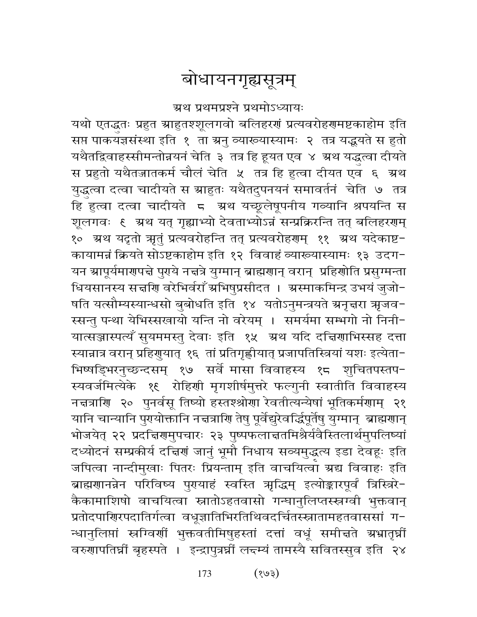# बोधायनगृह्यसूत्रम्

ग्रथ प्रथमप्रश्ने प्रथमोऽध्यायः

यथो एतद्धृतः प्रहुत स्राहुतश्शूलगवो बलिहरणं प्रत्यवरोहणमष्टकाहोम इति सप्त पाकयज्ञसंस्था इति १ ता ग्रनु व्याख्यास्यामः २ तत्र यद्धयते स हुतो यथैतद्विवाहस्सीमन्तोन्नयनं चेति ३ तत्र हि हूयत एव ४ ग्रथ यद्धुत्वा दीयते स प्रहुतो यथैतज्जातकर्म चौलं चेति ५ तत्र हि हुत्वा दीयत एव ६ अ्थ युद्धत्वा दत्वा चादीयते स ग्राहुतः यथैतदुपनयनं समावर्तनं चेति ७ तत्र हि हुत्वा दत्वा चादीयते 5 अथ यच्छूलेषूपनीय गव्यानि श्रपयन्ति स शूलगवः १ अथ यत् गृह्याभ्यो देवताभ्योऽन्नं सन्प्रक्रिरन्ति तत् बलिहरगम् १० ग्रथ यदृतो ऋृतुं प्रत्यवरोहन्ति तत् प्रत्यवरोहणम् ११ ग्रथ यदेकाष्ट-कायामन्नं क्रियते सोऽष्टकाहोम इति १२ विवाहं व्याख्यास्यामः १३ उदग-यन स्रापूर्यमार्गपद्मे पुराये नद्मत्रे युग्मान् ब्राह्मगान् वरान् प्रहिशोति प्रसुग्मन्ता धियसानस्य सत्त्रीण वरेभिर्वराँ ग्रभिषुप्रसीदत । ग्रस्माकमिन्द्र उभयं जुजो-षति यत्सौम्यस्यान्धसो बुबोधति इति १४ यतोऽनुमन्त्रयते ग्रनृत्तरा ऋजव− स्सन्तु पन्था येभिस्सखायो यन्ति नो वरेयम् । समर्यमा सम्भगो नो निनी-यात्सञ्जास्पत्यँ सुयममस्तु देवाः इति १५ अथ यदि दचिर्णाभिस्सह दत्ता स्यान्नात्र वरान् प्रहिणुयात् १६ तां प्रतिगृह्णीयात् प्रजापतिस्त्रियां यशः इत्येता-भिष्षड्भिरनुच्छन्दसम् १७ सर्वे मासा विवाहस्य १८ शुचितपस्तप-स्यवर्जमित्येके १६ रोहिणी मृगशीर्षमुत्तरे फल्गुनी स्वातीति विवाहस्य नद्मत्राणि २० पुनर्वसू तिष्यो हस्तश्श्रोणा रेवतीत्यन्येषां भूतिकर्मणाम् २१ यानि चान्यानि पुरयोक्तानि नद्मत्राशि तेषु पूर्वेद्युरेवर्द्धिपूर्तेषु युग्मान् ब्राह्मशान् भोजयेत् २२ प्रदच्चिरणमुपचारः २३ पुष्पफलाच्ततमिश्रैर्यवैस्तिलार्थमुपलिष्यां दध्योदनं सम्प्रकीर्य दच्चिणं जानुं भूमौ निधाय सव्यमुद्धत्य इडा देवहूः इति जपित्वा नान्दीमुखाः पितरः प्रियन्ताम् इति वाचयित्वा ग्रद्य विवाहः इति ब्राह्मणानन्नेन परिविष्य पुरायाहं स्वस्ति ऋद्धिम् इत्योङ्कारपूर्वं त्रिस्त्रिरे-कैकामाशिषो वाचयित्वा स्नातोऽहतवासो गन्धानुलिप्तस्स्नग्वी भुक्तवान् प्रतोदपाणिरपदातिर्गत्वा वधूज्ञातिभिरतिथिवदर्चितस्स्नातामहतवाससां ग-न्धानुलिप्तां स्रग्विर्णी भुक्तवतीमिषुहस्तां दत्तां वधूं समीचते ग्रभ्रातृघ्नीं वरुणापतिघ्नीं बृहस्पते । इन्द्रापुत्रघ्नीं लन्दम्यं तामस्यै सवितस्सुव इति २४

> $(\xi \circ \xi)$ 173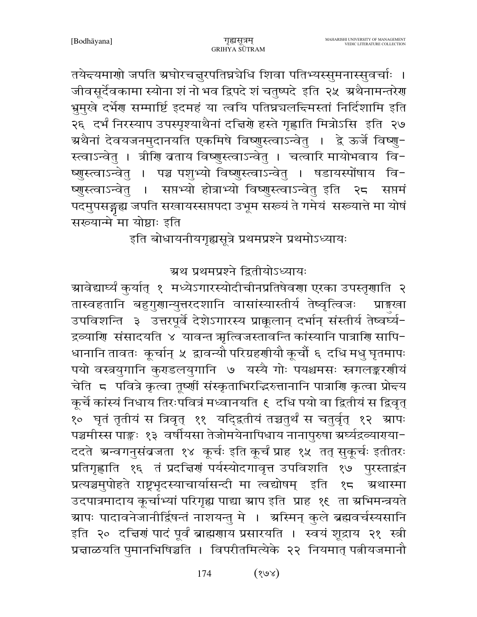तयेद्त्यमाणो जपति ग्रघोरचनुरपतिघ्रचेधि शिवा पतिभ्यस्सुमनास्सुवर्चाः । जीवसूर्देवकामा स्योना शं नो भव द्विपदे शं चतुष्पदे इति २५ अथैनामन्तरेग भ्रुमुखे दर्भेग्ग सम्मार्ष्टि इदमहं या त्वयि पतिघ्नचलन्दिमस्तां निर्दिशामि इति २६ दर्भं निरस्याप उपस्पृश्याथैनां दच्चिणे हस्ते गृह्णाति मित्रोऽसि इति २७ ग्रथैनां देवयजनमुदानयति एकमिषे विष्णुस्त्वाऽन्वेतु । द्वे ऊर्जे विष्णु− स्त्वाऽन्वेतु । त्रीणि ब्रताय विष्णुस्त्वाऽन्वेतु । चत्वारि मायोभवाय वि− ष्णुस्त्वाऽन्वेतु । पञ्च पशुभ्यो विष्णुस्त्वाऽन्वेतु । षडायस्पोंषाय वि-सप्तभ्यो होत्राभ्यो विष्णुस्त्वाऽन्वेतु इति २८ सप्तमं ष्णस्त्वाऽन्वेत् । पदमुपसङ्गृह्य जपति सखायस्सप्तपदा उभूम संख्यं ते गमेयं सरूयात्ते मा योषं सरूयान्मे मा योष्ठाः इति

इति बोधायनीयगृह्यसूत्रे प्रथमप्रश्ने प्रथमोऽध्यायः

ग्रथ प्रथमप्रश्ने द्वितीयोऽध्यायः

ग्रावेद्यार्घ्यं कुर्यात् १ मध्येऽगारस्योदीचीनप्रतिषेवणा एरका उपस्तृणाति २ तास्वहतानि बहुगुणान्युत्तरदशानि वासांस्यास्तीर्य तेष्वृत्विजः प्राइखा उपविशन्ति ३ उत्तरपूर्वे देशेऽगारस्य प्राक्कलान् दर्भान् संस्तीर्य तेष्वर्ध्य-द्रव्याणि संसादयति ४ यावन्त ऋत्विजस्तावन्ति कांस्यानि पात्राणि सापि-धानानि तावतः कूर्चान् ५ द्वावन्यौ परिग्रहणीयौ कूर्चौ ६ दधि मधु घृतमापः पयो वस्त्रयुगानि कुराडलयुगानि ७ यस्यै गोः पयश्चमसः स्त्रगलङ्करर्णीयं चेति 5 पवित्रे कृत्वा तूष्णीं संस्कृताभिरद्भिरुत्तानानि पात्राणि कृत्वा प्रोद्यय कूर्चे कांस्यं निधाय तिरःपवित्रं मध्वानयति १ दधि पयो वा द्वितीयं स द्विवृत् १० घृतं तृतीयं स त्रिवृत् ११ यदि्द्रतीयं तच्चतुर्थं स चतुर्वृत् १२ ग्रापः पञ्चमीस्स पाङ्कः १३ वर्षीयसा तेजोमयेनापिधाय नानापुरुषा ग्रर्घ्यद्रव्याराया-ददते अन्वगनुसंबजता १४ कूर्चः इति कूर्चं प्राह १५ तत् सुकूर्चः इतीतरः प्रतिगृह्णाति १६ तं प्रदच्चिणं पर्यस्योदगावृत्त उपविशति १७ पुरस्ताद्वंन प्रत्यञ्चमुपोहते राष्ट्रभृदस्याचार्यासन्दी मा त्वद्योषम् इति १८ त्र्रथास्मा उदपात्रमादाय कूर्चाभ्यां परिगृह्य पाद्या ग्राप इति प्राह १६ ता स्रभिमन्त्रयते ग्र्यापः पादावनेजानीर्द्विषन्तं नाशयन्तु मे । अस्मिन् कुले ब्रह्मवर्चस्यसानि इति २० दत्तिरां पादं पूर्वं ब्राह्मरााय प्रसारयति । स्वयं शूद्राय २१ स्त्री प्रचाळयति पुमानभिषिञ्चति । विपरीतमित्येके २२ नियमात् पत्नीयजमानौ

> $(\text{var})$ 174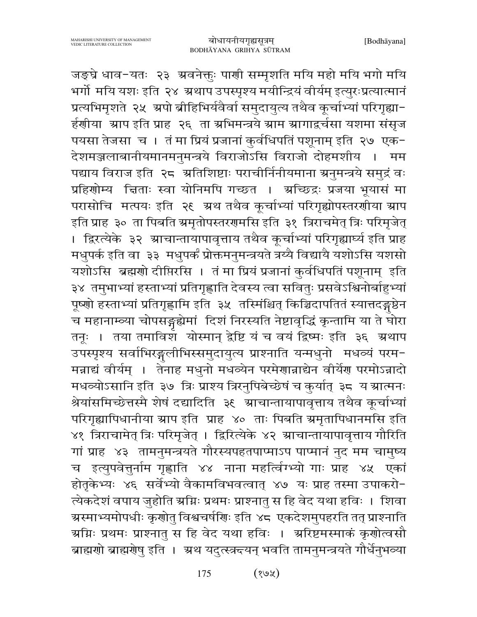जङ्घ्रे धाव-यतः २३ अवनेक्तुः पाणी सम्मृशति मयि महो मयि भगो मयि भर्गो मयि यशः इति २४ अथाप उपस्पृश्य मयीन्द्रियं वीर्यम् इत्युरःप्रत्यात्मानं प्रत्यभिमृशते २५ अपो ब्रीहिभिर्यवैर्वा समुदायुत्य तथैव कूर्चाभ्यां परिगृह्या-र्हणीया आप इति प्राह २६ ता अभिमन्त्रये आम आगाद्वचेसा यशमा संसूज पयसा तेजसा च । तं मा प्रियं प्रजानां कुर्वधिपतिं पशूनाम् इति २७ एक-देशमञ्जलाबानीयमानमनुमन्त्रये विराजोऽसि विराजो दोहमशीय । मम पद्याय विराज इति २८ अतिशिष्टाः पराचीर्निनीयमाना अनुमन्त्रये समुद्रं वः प्रहिणोम्य चिताः स्वा योनिमपि गच्छत । अच्छिद्रः प्रजया भूयासं मा परासोचि मत्पयः इति २६ अ्रथ तथैव कूर्चाभ्यां परिगृह्योपस्तरणीया स्राप इति प्राह ३० ता पिबति स्रमृतोपस्तरगमसि इति ३१ त्रिराचमेत् त्रिः परिमृजेत् । द्विरत्येके ३२ ग्राचान्तायापावृत्ताय तथैव कूर्चाभ्यां परिगृह्यार्घ्य इति प्राह मधुपर्क इति वा ३३ मधुपर्कं प्रोक्तमनुमन्त्रयते त्रय्यै विद्यायै यशोऽसि यशसो यशोऽसि ब्रह्मणो दीप्तिरसि । तं मा प्रियं प्रजानां कुर्वधिपतिं पशूनाम् इति ३४) तमुभाभ्यां हस्ताभ्यां प्रतिगृह्णाति देवस्य त्वा सर्वितुः प्रसवेऽश्विनोर्बाहुभ्यां पूष्णो हस्ताभ्यां प्रतिगृह्णामि इति ३५ तस्मिंश्चित् किञ्चिदापतितं स्यात्तदङ्गष्ठेन च महानाम्व्या चोपसङ्गद्येमां दिशं निरस्यति नेष्टावृद्धिं कृन्तामि या ते घोरा तनूः । तया तमाविश योस्मान् द्वेष्टि यं च वयं द्विष्मः इति ३६ अथाप उपस्पृश्य सर्वाभिरङ्गलीभिस्समुदायुत्य प्राश्नाति यन्मधुनो मधव्यं परम-मन्नाद्यं वीर्यम् । तेनाह मधुनो मधव्येन परमेणान्नाद्येन वीर्येण परमोऽन्नादो मधव्योऽसानि इति ३७ त्रिः प्राश्य त्रिरनुपिबेच्छेषं च कुर्यात् ३८ य स्रात्मनः श्रेयांसमिच्छेत्तस्मै शेषं दद्यादिति ३६ ग्राचान्तायापावृत्ताय तथैव कूर्चाभ्यां परिगृह्यापिधानीया स्राप इति प्राह ४० ताः पिबति स्रमृतापिधानमसि इति ४१ त्रिराचामेत् त्रिः परिमृजेत् । द्विरित्येके ४२ स्राचान्तायापावृत्ताय गौरिति गां प्राह ४३ तामनुमन्त्रयते गौरस्यपहतपाप्माऽप पाप्मानं नुद मम चामुष्य च इत्युपवेत्तुर्नाम गृह्णाति ४४ नाना महत्विंग्भ्यो गाः प्राह ४५ एकां होतृकेभ्यः ४६ सर्वेभ्यो वैकामविभवत्वात् ४७ यः प्राह तस्मा उपाकरो-त्येकदेशं वपाय जुहोति स्रग्निः प्रथमः प्राश्नातु स हि वेद यथा हविः । शिवा <mark>ग्रस्माभ्यमोप</mark>धीः कृणोतु विश्वचर्षणिः इति ४८ एकदेशमुपहरति तत् प्राश्नाति ग्रग्निः प्रथमः प्राश्नातु स हि वेद यथा हविः । अरिष्टमस्माकं कृणोत्वसौ ब्राह्मणो ब्राह्मणेषु इति । ग्रथ यदुत्स्त्रन्दयन् भवति तामनुमन्त्रयते गौर्धेनुभव्या

> $(xe)$ 175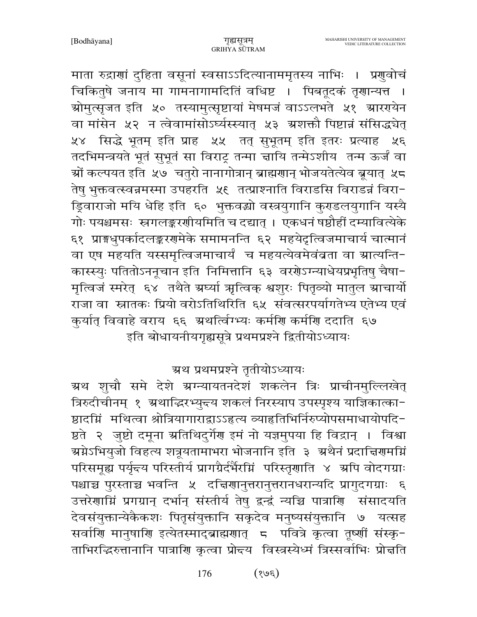माता रुद्राणां दुहिता वसूनां स्वसाऽऽदित्यानाममृतस्य नाभिः । प्रणुवोचं चिकितुषे जनाय मा गामनागामदितिं वधिष्ट । पिबतूदकं तृणान्यत्त । ग्रोमुत्सृजत इति ५० तस्यामुत्सृष्टायां मेषमजं वाऽऽलभते ५१ ग्रारएयेन वा मांसेन ५२ न त्वेवामांसोऽर्घ्यस्स्यात् ५३ अशक्तौ पिष्टान्नं संसिद्धचेत् ५४ सिद्धे भूतम् इति प्राह ५५ तत् सुभूतम् इति इतरः प्रत्याह ५६ तदभिमन्त्रयते भूतं सुभूतं सा विराट्र तन्मा चायि तन्मेऽशीय तन्म ऊर्जं वा ञ्चों कल्पयत इति *५*७ चतुरो नानागोत्रान् ब्राह्मणान् भोजयतेत्येव ब्रूयात् *५*८ तेषु भुक्तवत्स्वन्नमस्मा उपहरति ४६ तत्प्राश्नाति विराडसि विराडन्नं विरा− ड़िवाराजो मयि धेहि इति ६० भुक्तवद्यो वस्त्रयुगानि कुराडलयुगानि यस्यै गोः पयश्चमसः स्नगलङ्करणीयमिति च दद्यात् । एकधनं षष्ठौहीं दम्यावित्येके ६१ प्राङ्गधुपर्कादलङ्करणमेके समामनन्ति ६२ महयेदृत्विजमाचार्य चात्मानं वा एष महयति यस्समृत्विजमाचार्यं च महयत्येवमेवंबता वा स्रात्यन्ति-कास्स्युः पतितोऽननूचान इति निमित्तानि ६३ वरशेऽग्न्याधेयप्रभृतिषु चैषा-मृत्विजं स्मरेत् ६४ तथैते ग्रध्यां ऋत्विक् श्वशुरः पितृव्यो मातुल ग्राचार्यो राजा वा स्नातकः प्रियो वरोऽतिथिरिति ६५ संवत्सरपर्यागतेभ्य एतेभ्य एवं कुर्यात् विवाहे वराय ६६ ग्रथत्विंग्भ्यः कर्माण कर्माण ददाति ६७ इति बोधायनीयगृह्यसूत्रे प्रथमप्रश्ने द्वितीयोऽध्यायः

ग्रथ प्रथमप्रश्ने तृतीयोऽध्यायः

ग्र्रथ शुचौ समे देशे ग्रग्न्यायतनदेशं शकलेन त्रिः प्राचीनमुल्लिखेत् त्रिरुदीचीनम् १ अ्थाद्धिरभ्युन्त्य शकलं निरस्याप उपस्पृश्य याज्ञिकात्का-ष्ठादग्निं मथित्वा श्रोत्रियागाराद्वाऽऽहृत्य व्याहृतिभिर्निरुप्योपसमाधायोपदि-ष्ठते २ जुष्टो दमूना ग्रतिथिदुर्गेण इमं नो यज्ञमुपया हि विद्रान् । विश्वा ग्र्य्रप्रेऽभियुजो विहत्य शत्रूयतामाभरा भोजनानि इति ३ अथैनं प्रदाचिरणमग्नि परिसमूह्य पर्यृत्त्य परिस्तीर्य प्रागग्रैर्दर्भैरम्निं परिस्तृणाति ४ अपि वोदगग्राः पश्चाच्च पुरस्ताच्च भवन्ति ५ दचिरणानुत्तरानुत्तरानधरान्यदि प्रागुदगग्राः ६ उत्तरेणामिं प्रगग्रान् दर्भान् संस्तीर्य तेषु द्वन्द्वं न्यच्चि पात्राणि संसादयति देवसंयुक्तान्येकैकशः पितृसंयुक्तानि सकृदेव मनुष्यसंयुक्तानि ७ यत्सह सर्वाणि मानुषाणि इत्येतस्माद्ब्राह्मणात् 5 पवित्रे कृत्वा तूष्णीं संस्कृ-ताभिरद्धिरुत्तानानि पात्राणि कृत्वा प्रोन्दय विस्त्रस्येध्मं त्रिस्सर्वाभिः प्रोन्नति

> $(36)$ 176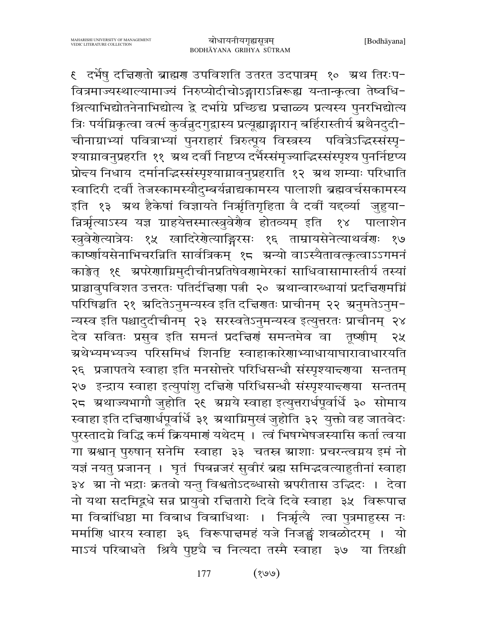€ दर्भेषु दचिरणतो ब्राह्मण उपविशति उतरत उदपात्रम् १० अ्रथ तिरःप− वित्रमाज्यस्थाल्यामाज्यं निरुप्योदीचोऽङ्गाराऽन्निरूह्य यन्तान्कृत्वा तेष्वधि-श्रित्याभिद्योतनेनाभिद्योत्य द्वे दर्भाग्रे प्रच्छिद्य प्रत्ताळ्य प्रत्यस्य पुनरभिद्योत्य त्रिः पर्यम्रिकृत्वा वर्त्म कुर्वन्नुदगुद्वास्य प्रत्यूह्याङ्गारान् बर्हिरास्तीर्य अथैनदुदी− चीनाग्राभ्यां पवित्राभ्यां पुनराहारं त्रिरुत्पूय विस्त्रस्य पवित्रेऽद्धिस्संस्पृ-श्याम्रावनुप्रहरति ११ अथ दर्वी निष्टप्य दर्भैरसंमृज्याद्धिस्संस्पृश्य पुनर्निष्टप्य प्रोन्चय निधाय दर्मानद्धिस्संस्पृश्याम्रावनुप्रहराति १२ अथ शम्याः परिधाति स्वादिरी दर्वी तेजस्कामस्यौदुम्बर्यन्नाद्यकामस्य पालाशी ब्रह्मवर्चसकामस्य इति १३ अ्थ हैकेषां विज्ञायते निर्ऋातगृहिता वै दवीं यद्दव्या जुहुया− न्निर्भृत्याऽस्य यज्ञ ग्राहयेत्तस्मात्स्त्रुवेर्णैव होतव्यम् इति १४ पालाशेन स्त्रुवेर्ग्रेत्यात्रेयः १५ खादिरेर्ग्रेत्याङ्गिरसः १६ ताम्रायसेनेत्याथर्वग्रः १७ कार्ष्णायसेनाभिचरन्निति सार्वत्रिकम् १८ अन्यो वाऽस्यैतावत्कृत्वाऽऽगमनं काङ्केत् १६ अपरेणाग्निमुदीचीनप्रतिषेवणामेरकां साधिवासामास्तीर्य तस्यां प्राञ्चावुपविशत उत्तरतः पतिर्दचिणा पत्नी २० अ्थान्वारब्धायां प्रदच्चिणमग्नि परिषिञ्चति २१ अदितेऽनुमन्यस्व इति दच्चिणतः प्राचीनम् २२ अनुमतेऽनुम-न्यस्व इति पश्चादुदीचीनम् २३ सरस्वतेऽनुमन्यस्व इत्युत्तरतः प्राचीनम् २४ देव सवितः प्रसुव इति समन्तं प्रदच्चिणं समन्तमेव वा तृष्णीम् २५ ग्रथेभ्यमभ्यज्य परिसमिधं शिनष्टि स्वाहाकारेणाभ्याधायाघारावाधारयति २६ प्रजापतये स्वाहा इति मनसोत्तरे परिधिसन्धौ संस्पृश्याद्दर्णया सन्ततम् २७ इन्द्राय स्वाहा इत्युपांशु दचिरो परिधिसन्धौ संस्पृश्याद्दराया सन्ततम् २८ ग्रथाज्यभागौ जुहोति २९ ग्रग्नये स्वाहा इत्युत्तरार्धपूर्वार्धे ३० सोमाय स्वाहा इति दच्चिणार्धपूर्वार्धे ३१ अथाग्निमुखं जुहोति ३२ युक्तो वह जातवेदः पुरस्तादग्ने विद्धि कर्म क्रियमाणं यथेदम् । त्वं भिषग्भेषजस्यासि कर्ता त्वया गा ग्रश्वान् पुरुषान् सनेमि स्वाहा ३३ चतस्र ग्राशाः प्रचरन्त्वग्नय इमं नो यज्ञं नयतु प्रजानन् । घृतं पिबन्नजरं सुवीरं ब्रह्म समिद्भवत्याहुतीनां स्वाहा ३४ स्रा नो भद्राः क्रतवो यन्तु विश्वतोऽदब्धासो स्रपरीतास उद्धिदः । देवा नो यथा सदमिद्वधे सन्न प्रायुवो रचितारो दिवे दिवे स्वाहा ३५ विरूपाच मा विबांधिष्ठा मा विबाध विबाधिथाः । निर्म्भत्यै त्वा पुत्रमाहुस्स नः मर्माणि धारय स्वाहा ३६ विरूपाचमहं यजे निजङ्घं शबळोदरम् । यो माऽयं परिबाधते श्रियै पुष्टचै च नित्यदा तस्मै स्वाहा ३७ या तिरश्ची

> $(vv)$ 177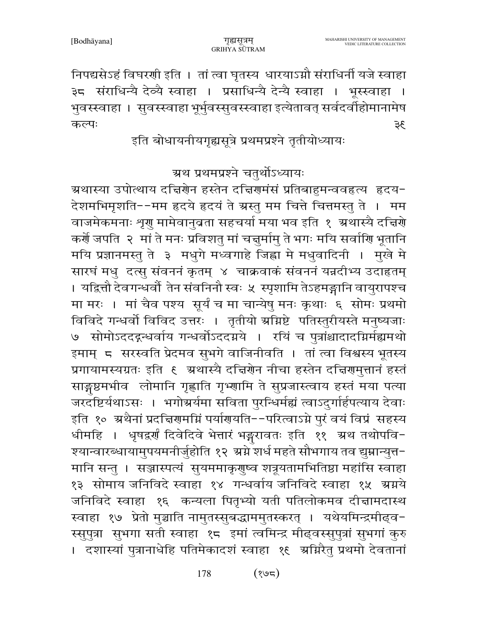निपद्यसेऽहं विघरणी इति । तां त्वा घृतस्य धारयाऽग्नौ संराधिर्नी यजे स्वाहा ३८ संराधिन्यै देव्यै स्वाहा । प्रसाधिन्यै देन्यै स्वाहा । भूस्स्वाहा । भुवस्स्वाहा । सुवस्स्वाहा भूर्भुवस्सुवस्स्वाहा इत्येतावत् सर्वदर्वीहोमानामेष कल्पः 35

इति बोधायनीयगृह्यसूत्रे प्रथमप्रश्ने तृतीयोध्यायः

ग्रथ प्रथमप्रश्ने चतुर्थोऽध्यायः

ग्रथास्या उपोत्थाय दचिरणेन हस्तेन दचिरणमंसं प्रतिबाहुमन्ववहृत्य हृदय− देशमभिमृशति--मम हृदये हृदयं ते ग्रस्तु मम चित्ते चित्तमस्तु ते । मम वाजमेकमनाः शृगु मामेवानुबता सहचर्या मया भव इति १ अथास्यै दत्तिग्रे कर्णें जपति २ मां ते मनः प्रविशतु मां चत्तुर्मामु ते भगः मयि सर्वाणि भूतानि मयि प्रज्ञानमस्तु ते ३ मधुगे मध्वगाहे जिह्वा मे मधुवादिनी । मुखे मे सारघं मधु दत्सु संवननं कृतम् ४ चाक्रवाकं संवननं यन्नदीभ्य उदाहृतम् । यद्वित्तौ देवगन्धर्वौ तेन संवनिनौ स्वः ५ स्पृशामि तेऽहमङ्गानि वायुरापश्च मा मरः । मां चैव पश्य सूर्यं च मा चान्येषु मनः कृथाः ६ सोमः प्रथमो विविदे गन्धर्वो विविद उत्तरः । तृतीयो ग्रमिष्टे पतिस्तुरीयस्ते मनुष्यजाः ७ सोमोऽददद्ग्धर्वाय गन्धर्वोऽददग्रये । रयिं च पुत्रांश्चादादग्निर्मह्यमथो इमाम् ८ सरस्वति प्रेदमव सुभगे वाजिनीवति । तां त्वा विश्वस्य भूतस्य प्रगायामस्यग्रतः इति ६ अथास्यै दचिरणेन नीचा हस्तेन दचिरणमुत्तानं हस्तं साङ्गष्ठमभीव लोमानि गृह्णाति गृभ्णामि ते सुप्रजास्त्वाय हस्तं मया पत्या जरदॅष्टिर्यथाऽसः । भगोग्रर्यमा सविता पुरन्धिर्मह्यं त्वाऽदुर्गार्हपत्याय देवाः इति १० अथैनां प्रदत्तिरामग्निं पर्यारायति--परित्वाऽग्ने पुरं वयं विप्रं सहस्य धीमहि । धृषद्वर्णं दिवेदिवे भेत्तारं भङ्गरावतः इति ११ अथ तथोपवि-श्यान्वारब्धायामुपयमनीर्जुहोति १२ अग्ने शर्ध महते सौभगाय तव द्युम्नान्युत्त− मानि सन्तु । सञ्जास्पत्यं सुयममाकृणुष्व शत्रूयतामभितिष्ठा महांसि स्वाहा १३ सोमाय जनिविदे स्वाहा १४ गन्धर्वाय जनिविदे स्वाहा १५ ग्रग्नये जनिविदे स्वाहा १६ कन्यला पितृभ्यो यती पतिलोकमव दीन्नामदास्थ स्वाहा १७ प्रेतो मुञ्चाति नामुतस्सुबद्धाममुतस्करत् । यथेयमिन्द्रमीढ्व-स्सुपुत्रा सुभगा सती स्वाहा १८ इमां त्वमिन्द्र मीढ्वस्सुपुत्रां सुभगां कुरु । दशास्यां पुत्रानाधेहि पतिमेकादशं स्वाहा १९ अग्निरैतु प्रथमो देवतानां

> $(362)$ 178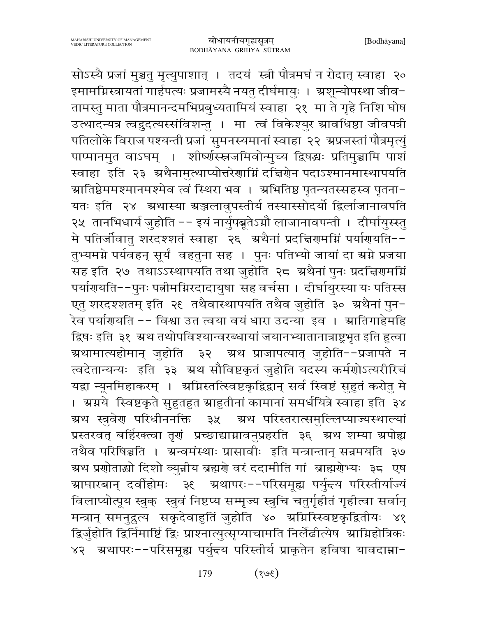सोऽस्यै प्रजां मुञ्चतु मृत्युपाशात् । तदयं स्त्री पौत्रमघं न रोदात् स्वाहा २० इमामग्निस्त्रायतां गार्हपत्यः प्रजामस्यै नयतु दीर्घमायुः । ऋशून्योपस्था जीव− तामस्तु माता पौत्रमानन्दमभिप्रबुध्यतामियं स्वाहा २१ मा ते गृहे निशि घोष उत्थादन्यत्र त्वद्रुदत्यस्संविशन्तु । मा त्वं विकेश्युर स्रावधिष्ठा जीवपत्री पतिलोके विराज पश्यन्ती प्रजां सुमनस्यमानां स्वाहा २२ अप्रजस्तां पौत्रमृत्युं पाप्मानमुत वाऽघम् । शीर्ष्णस्स्नजमिवोन्मुच्य द्विषद्धः प्रतिमुञ्चामि पाशं स्वाहा इति २३ अथैनामुत्थाप्योत्तरेणाग्निं दच्चिणेन पदाऽश्मानमास्थापयति ग्रातिष्ठेममश्मानमश्मेव त्वं स्थिरा भव । अभितिष्ठ पृतन्यतस्सहस्व पृतना− यतः इति २४ अथास्या ग्रञ्जलावुपस्तीर्य तस्यास्सोदर्यो द्विर्लाजानावपति २४ तानभिधार्य जुहोति -- इयं नार्युपब्रूतेऽग्नौ लाजानावपन्ती । दीर्घायुस्स्तु मे पतिर्जीवातु शरदश्शतं स्वाहा २६ अथैनां प्रदत्तिरामग्निं पर्यारायति--तुभ्यमग्ने पर्यवहन् सूर्यं वहतुना सह । पुनः पतिभ्यो जायां दा ग्रग्ने प्रजया सह इति २७ तथाऽऽस्थापयति तथा जुहोति २८ अथैनां पुनः प्रदच्चिरामग्निं पर्याणयति--पुनः पत्नीमग्निरदादायुषा सह वर्चसा । दीर्घायुरस्या यः पतिस्स एत् शरदश्शतम् इति २६ तथैवास्थापयति तथैव जुहोति ३० अथैनां पुन-रेव पर्याणयति -- विश्वा उत त्वया वयं धारा उदन्या इव । ग्रातिगाहेमहि द्विषः इति ३१ स्रथ तथोपविश्यान्वरब्धायां जयानभ्यातानात्राष्ट्रभृत इति हुत्वा ग्रथामात्यहोमान् जुहोति ३२ अथ प्राजापत्यात् जुहोति−−प्रजापते न त्वदेतान्यन्यः इति ३३ ग्रथ सौविष्टकृतं जुहोति यदस्य कर्मणोऽत्यरीरिचं यद्वा न्यूनमिहाकरम् । अग्निस्तत्स्विष्टकृद्विद्वान् सर्व स्विष्टं सुहुतं करोतु मे । अग्नये स्विष्टकृते सुहुतहुत स्राहुतीनां कामानां समर्धयित्रे स्वाहा इति ३४ ग्रथ स्त्रवेण परिधीननक्ति ३५ अथ परिस्तरात्समुल्लिप्याज्यस्थाल्यां प्रस्तरवत् बर्हिरक्त्वा तृगं प्रच्छाद्याग्नावनुप्रहरति ३६ अथ शम्या अपोह्य तथैव परिषिञ्चति । अ्चनमंस्थाः प्रासावीः इति मन्त्रान्तान् सन्नमयति ३७ ग्रथ प्रणोताद्यो दिशो व्युन्नीय ब्रह्मणे वरं ददामीति गां ब्राह्मणेभ्यः ३८ एष ग्राघारबान् दर्वाहोमः ३६ ग्रथापरः--परिसमूह्य पर्युन्दय परिस्तीर्याज्यं विलाप्योत्पूय स्त्रुक् स्त्रुवं निष्टप्य सम्मृज्य स्त्रुचि चतुर्गृहीतं गृहीत्वा सर्वान् मन्त्रान् समनुद्रुत्य सकृदेवाहुतिं जुहोति ४० ग्रग्निस्स्विष्टकृद्वितीयः ४१ द्विर्जुहोति द्विर्निमार्ष्टि द्विः प्राश्नात्युत्सृप्याचामति निर्लेढीत्येष श्राम्निहोत्रिकः ४२ अथापरः--परिसमूह्य पर्युन्त्य परिस्तीर्य प्राकृतेन हविषा यावदाम्ना-

> 179  $(3e)$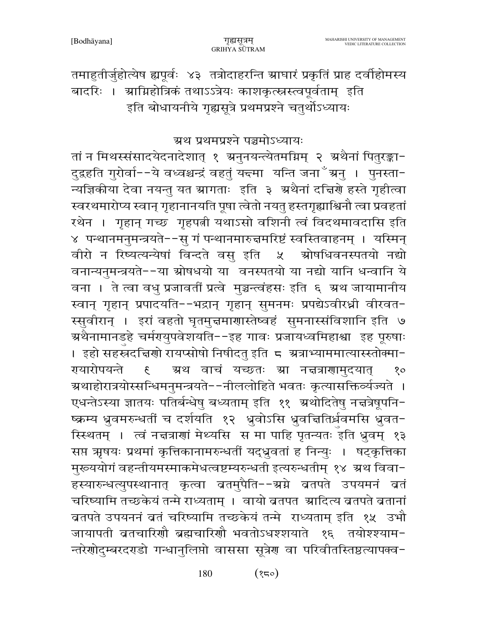तमाहुतीर्जुहोत्येष ह्यपूर्वः ४३ तत्रोदाहरन्ति स्राघारं प्रकृतिं प्राह दर्वाहोमस्य बादरिः । स्रामिहोत्रिकं तथाऽऽत्रेयः काशकृत्स्नस्त्वपूर्वताम् इति इति बोधायनीये गृह्यसूत्रे प्रथमप्रश्ने चतुर्थोऽध्यायः

#### ग्रथ प्रथमप्रश्ने पञ्चमोऽध्यायः

तां न मिथस्संसादयेदनादेशात् १ अनुनयन्त्येतमग्निम् २ अथैनां पितुरङ्का-दुद्रहति गुरोर्वा−−ये वध्वश्चन्द्रं वहतुं य<del>द्</del>मा यन्ति जना<sup>≚ं</sup>ग्रनु । पुनस्ता− न्यज्ञिकीया देवा नयन्तु यत स्रागताः इति ३ ग्रथैनां दच्चिणे हस्ते गृहीत्वा स्वरथमारोप्य स्वान् गृहानानयति पूषा त्वेतो नयतु हस्तगृह्याश्विनौ त्वा प्रवहतां रथेन । गृहान् गच्छ गृहपत्नी यथाऽसो वशिनी त्वं विदथमावदासि इति ४ पन्थानमनुमन्त्रयते--सु गं पन्थानमारुज्ञमरिष्टं स्वस्तिवाहनम् । यस्मिन् वीरो न रिष्यत्यन्येषां विन्दते वसु इति ५ श्रोषधिवनस्पतयो नद्यो वनान्यनुमन्त्रयते--या स्रोषधयो या वनस्पतयो या नद्यो यानि धन्वानि ये वना । ते त्वा वधु प्रजावतीं प्रत्वे मुञ्चन्त्वंहसः इति ६ ग्रथ जायामानीय स्वान् गृहान् प्रपादयति--भद्रान् गृहान् सुमनमः प्रपद्येऽवीरध्नी वीरवत-स्सवीरान् । इरां वहतो घृतमुज्ञमाणास्तेष्वहं सुमनास्संविशानि इति ७ ग्रथैनामानडहे चर्मरायुपवेशयति−−इह गावः प्रजायध्वमिहाश्वा इह पूरुषाः । इहो सहस्रदचिरणो रायप्सोषो निषीदतु इति ८ अत्राभ्याममात्यास्स्तोक्मा− गयारोपयन्ते ग्रथ वाचं यच्छतः स्रा नज्ञत्राणामदयात्  $\mathcal{E}$  $80$ ग्रथाहोरात्रयोस्सन्धिमनुमन्त्रयते--नीललोहिते भवतः कृत्यासक्तिर्व्यज्यते । एधन्तेऽस्या ज्ञातयः पतिर्बन्धेषु बध्यताम् इति ११ अथोदितेषु नच्चत्रेषूपनि-ष्क्रम्य ध्रुवमरुन्धर्ती च दर्शयति १२ ध्रुवोऽसि ध्रुवचितिर्ध्रवमसि ध्रुवत-स्स्थितम् । त्वं नचत्राणां मेथ्यसि स मा पाहि पृतन्यतः इति ध्रुवम् १३ सप्त ऋषयः प्रथमां कृत्तिकानामरुन्धतीं यद्ध्रुवतां ह निन्युः । षट्कृत्तिका मुरूययोगं वहन्तीयमस्माकमेधत्वष्टम्यरुन्धती इत्यरुन्धतीम् १४ ग्रथ विवा-हस्यारुन्धत्युपस्थानात् कृत्वा बतमुपैति--ग्रग्ने बतपते उपयमनं बतं चरिष्यामि तच्छकेयं तन्मे राध्यताम् । वायो ब्रतपत ग्रादित्य ब्रतपते ब्रतानां ब्रतपते उपयननं बतं चरिष्यामि तच्छकेयं तन्मे राध्यताम् इति १५ उभौ जायापती बतचारिणौ ब्रह्मचारिणौ भवतोऽधश्शयाते १६ तयोश्श्याम− न्तरेणोदुम्बरदरहो गन्धानुलिप्तो वाससा सूत्रेण वा परिवीतस्तिष्ठत्यापक्व-

> $(35)$ 180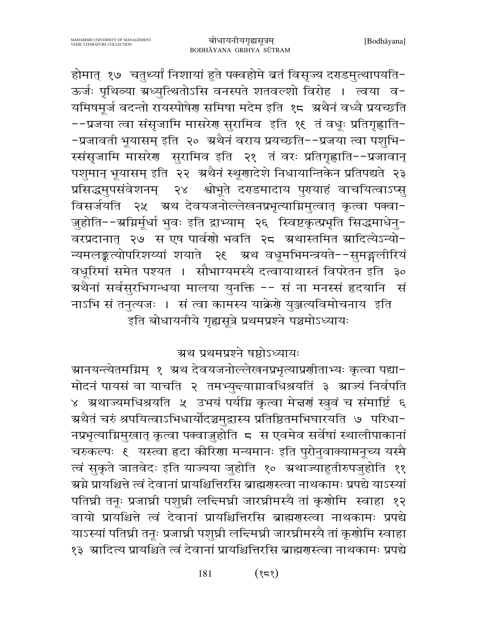ग्रथैतं चरुं श्रपयित्वाऽभिधार्योदञ्चमुद्रास्य प्रतिष्ठितमभिघारयति ७ परिधा− नप्रभृत्याग्निमुखात् कृत्वा पक्वाजुहोति ८ स एवमेव सर्वेषां स्थालीपाकानां चरुकल्पः १ यस्त्वा हृदा कीरिणा मन्यमानः इति पुरोनुवाक्यामनूच्य यस्मै त्वं सुकृते जातवेदः इति याज्यया जुहोति १० अ्थाज्याहुतीरुपजुहोति ११ ग्र्म्रमे प्रायश्चित्ते त्वं देवानां प्रायश्चित्तिरसि ब्राह्मगस्त्वा नाथकामः प्रपद्ये याऽस्यां पतिघ्नी तनूः प्रजाघ्नी पशुघ्नी लन्दिमघ्नी जारघ्नीमस्यै तां कृणोमि स्वाहा १२ वायो प्रायश्चित्ते त्वं देवानां प्रायश्चित्तिरसि ब्राह्मणस्त्वा नाथकामः प्रपद्ये याऽस्यां पतिघ्री तनूः प्रजाघ्री पशुघ्री लन्दिमघ्री जारघ्रीमस्यै तां कृणोमि स्वाहा १३ ग्रादित्य प्रायश्चिते त्वं देवानां प्रायश्चित्तिरसि ब्राह्मगस्त्वा नाथकामः प्रपद्ये

बोधायनीयगृह्यसूत्रम् BODHĀYANA GRIHYA SŪTRAM होमात् १७ चतुर्थ्यां निशायां हुते पक्वहोमे व्रतं विसृज्य दराडमुत्थापयति-ऊर्जः पृथिव्या ग्रध्युत्थितोऽसि वनस्पते शतवल्शो विरोह । त्वया व-यमिषमूर्ज वदन्तो रायस्पोषेर समिषा मदेम इति १८ अथैनं वध्वै प्रयच्छति --प्रजया त्वा संसृजामि मासरेण सुरामिव इति १६ तं वधूः प्रतिगृह्णाति-

-प्रजावती भूयासम् इति २० अथैनं वराय प्रयच्छति--प्रजया त्वा पशुभि-

स्संसृजामि मासरेण सुरामिव इति २१ तं वरः प्रतिगृह्णाति--प्रजावान्

पशुमान् भूयासम् इति २२ अथैनं स्थूणादेशे निधायान्तिकेन प्रतिपद्यते २३

प्रसिद्धमुपसंवेशनम् २४ श्वोभूते दराडमादाय पुरायाहं वाचयित्वाऽप्स्

विसर्जयति २५ अथ देवयजनोल्लेखनप्रभृत्याग्निमुत्वात् कृत्वा पक्वा-

जुहोति--ग्रग्निर्मूर्धा भुवः इति द्वाभ्याम् २६ स्विष्टकृत्प्रभृति सिद्धमाधेनु-

वरप्रदानात् २७ स एष पार्वणो भवति २८ अथास्तमित स्रादित्येऽन्यो-

न्यमलङ्कत्योपरिशय्यां शयाते २६ अथ वधूमभिमन्त्रयते--सुमङ्गलीरियं

वधूरिमां समेत पश्यत । सौभाग्यमस्यै दत्वायाथास्तं विपरेतन इति ३०

ग्रथैनां सर्वसुरभिगन्धया मालया युनक्ति -- सं ना मनस्सं हृदयानि सं

्<br>इति बोधायनीये गृह्यसूत्रे प्रथमप्रश्ने पञ्चमोऽध्यायः

ग्रथ प्रथमप्रश्ने षष्ठोऽध्यायः

ग्रानयन्त्येतमग्निम् १ ग्रथ देवयजनोल्लेखनप्रभृत्याप्रणीताभ्यः कृत्वा पद्या−

मोदनं पायसं वा याचति २ तमभ्युन्त्याग्नावधिश्रयतिं ३ स्राज्यं निर्वपति

४ अथाज्यमधिश्रयति ५ उभयं पर्यम्नि कृत्वा मेत्तरां स्त्रुवं च संमार्ष्टि ६

नाऽभि सं तनत्यजः । सं त्वा कामस्य याक्रेणे युञ्जत्यविमोचनाय इति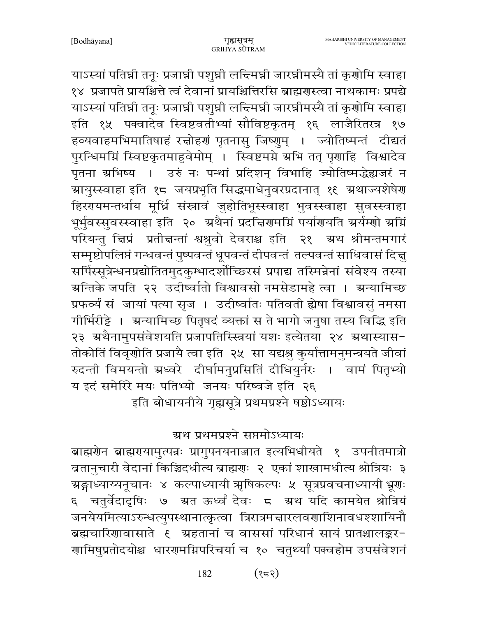याऽस्यां पतिघ्री तनूः प्रजाघ्री पशुघ्री लन्दिमघ्री जारघ्रीमस्यै तां कृणोमि स्वाहा १४ प्रजापते प्रायश्चित्ते त्वं देवानां प्रायश्चित्तिरसि ब्राह्मगस्त्वा नाथकामः प्रपद्ये याऽस्यां पतिघ्नी तनूः प्रजाघ्नी पशुघ्नी लन्दिमघ्नी जारघ्नीमस्यै तां कृणोमि स्वाहा इति १५ पक्वादेव स्विष्टवतीभ्यां सौविष्टकृतम् १६ लाजैरितरत्र १७ हव्यवाहमभिमातिषाहं रच्चोहर्णं पृतनासु जिष्णुम् । ज्योतिष्मन्तं दीद्यतं पुरन्धिमग्निं स्विष्टकृतमाहुवेमोम् । स्विष्टमग्ने ग्रभि तत् पृणाहि विश्वादेव पृतना ग्रभिष्य । उरुं नः पन्थां प्रदिशन् विभाहि ज्योतिष्मद्धेह्यजरं न ग्रायुस्स्वाहा इति १८ जयप्रभृति सिद्धमाधेनुवरप्रदानात् १९ ग्रथाज्यशेषेण हिरंगयमन्तर्धाय मूर्ध्नि संस्नावं जुहोतिभूस्स्वाहा भुवस्स्वाहा सुवस्स्वाहा भूर्भुवस्सुवस्स्वाहा इति २० अथैनां प्रदत्तिरामग्निं पर्यारायति अर्यम्णो अग्निं परियन्तु चिप्रं प्रतीचन्तां श्वश्रुवो देवराश्च इति २१ अथ श्रीमन्तमगारं सम्मृष्टोपलिप्तं गन्धवन्तं पुष्पवन्तं धूपवन्तं दीपवन्तं तल्पवन्तं साधिवासं दिच्च सर्पिस्सूत्रेन्धनप्रद्योतितमुदकुम्भादर्शोच्छिरसं प्रपाद्य तस्मिन्नेनां संवेश्य तस्या ग्रन्तिके जपति २२ उदीष्वातो विश्वावसो नमसेडामहे त्वा । ग्रन्यामिच्छ प्रफर्व्यं संजायां पत्या सृज । उदीष्वांतः पतिवती ह्येषा विश्वावसुं नमसा गीर्भिरीड्टे । अन्यामिच्छ पितृषदं व्यक्तां स ते भागो जनुषा तस्य विद्धि इति २३ अथैनामुपसंवेशयति प्रजापतिस्स्त्रियां यशः इत्येतया २४ अथास्यास-तोकोतिं विवृणोति प्रजायै त्वा इति २५ सा यद्यश्रु कुर्यात्तामनुमन्त्रयते जीवां रुदन्ती विमयन्तो ग्रध्वरे दीर्घामनुप्रसितिं दीधियुर्नरः । वामं पितृभ्यो य इदं समेरिरे मयः पतिभ्यो जनयः परिष्वजे इति २६ इति बोधायनीये गृह्यसूत्रे प्रथमप्रश्ने षष्ठोऽध्यायः

ग्रथ प्रथमप्रश्ने सप्तमोऽध्यायः

ब्राह्मणेन ब्राह्मरायामुत्पन्नः प्रागुपनयनाज्जात इत्यभिधीयते १ उपनीतमात्रो ब्रतानुचारी वेदानां किञ्चिदधीत्य ब्राह्मणः २ एकां शाखामधीत्य श्रोत्रियः ३ ग्रङ्गाध्याय्यनूचानः ४ कल्पाध्यायी ऋषिकल्पः ५ सूत्रप्रवचनाध्यायी भ्रूणः चतुर्वेदादृषिः ७ ग्रत ऊर्ध्वं देवः ८ ग्रथ यदि कामयेत श्रोत्रियं  $\mathcal{E}$ जनयेयमित्याऽरुन्धत्युपस्थानात्कृत्वा त्रिरात्रमत्तारलवणाशिनावधश्शायिनौ ब्रह्मचारिणावासाते १ अहतानां च वाससां परिधानं सायं प्रातश्चालङ्कर-गामिषुप्रतोदयोश्च धारगमग्निपरिचर्या च १० चतुर्थ्यां पक्वहोम उपसंवेशनं

> $($ १८२) 182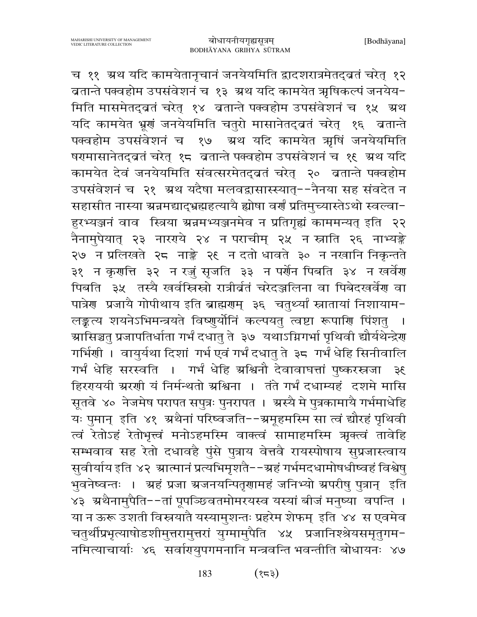च ११ अथ यदि कामयेतानृचानं जनयेयमिति द्वादशरात्रमेतद्वतं चरेत् १२ ब्रतान्ते पक्वहोम उपसंवेशनं च १३ अ्थ यदि कामयेत ऋषिकल्पं जनयेय-मिति मासमेतद्वतं चरेत् १४ वतान्ते पक्वहोम उपसंवेशनं च १५ अथ यदि कामयेत भ्रूणं जनयेयमिति चतुरो मासानेतद्व्रतं चरेत् १६ वतान्ते पक्वहोम उपसंवेशनं च १७ अ्थ यदि कामयेत अृषिं जनयेयमिति षरमासानेतद्वतं चरेत् १८ वतान्ते पक्वहोम उपसंवेशनं च १९ अथ यदि कामयेत देवं जनयेयमिति संवत्सरमेतद्व्रतं चरेत् २० व्रतान्ते पक्वहोम उपसंवेशनं च २१ अथ यदैषा मलवद्वासास्स्यात्--नैनया सह संवदेत न सहासीत नास्या ग्रन्नमद्याद्भ्रह्महत्यायै ह्योषा वर्णं प्रतिमुच्यास्तेऽथो स्वल्वा-हुरभ्यञ्जनं वाव स्त्रिया ग्रन्नमभ्यञ्जनमेव न प्रतिगृह्यं काममन्यत् इति २२ नैनामुपेयात् २३ नारराये २४ न पराचीम् २५ न स्नाति २६ नाभ्यङ्के २७ न प्रलिखते २८ नाङ्के २६ न दतो धावते ३० न नखानि निकृन्तते ३१ न कृराति ३२ न रज़ुं सृजति ३३ न पर्रोन पिबति ३४ न खर्वेरा पिबति ३५ तस्यै खर्वस्त्रिस्रो रात्रीर्वतं चरेदञ्जलिना वा पिबेदखर्वेण वा पात्रेण प्रजायै गोपीथाय इति ब्राह्मणम् ३६ चतुर्थ्यां स्नातायां निशायाम-लङ्कत्य शयनेऽभिमन्त्रयते विष्णुर्योनिं कल्पयतु त्वष्टा रूपाणि पिंशतु ग्रासिञ्चतु प्रजापतिर्धाता गर्भं दधातु ते ३७ यथाऽग्निगर्भा पृथिवी द्यौर्यथेन्द्रेण गर्भिणी । वायुर्यथा दिशां गर्भ एवं गर्भं दधातु ते ३८ गर्भं धेहि सिनीवालि गर्भं धेहि सरस्वति । गर्भं धेहि ग्रश्चिनौ देवावाघत्तां पुष्करस्रजा ३६ हिररयये श्ररणी यं निर्मन्थतो ग्रश्चिना । तंते गर्भं दधाम्यहं दशमे मासि सूतवे ४० नेजमेष परापत सपुत्रः पुनरापत । अस्यै मे पुत्रकामायै गर्भमाधेहि यः पुमान् इति ४१ अथैनां परिष्वजति--अमूहमस्मि सा त्वं द्यौरहं पृथिवी त्वं रेतोऽहं रेतोभृत्त्वं मनोऽहमस्मि वाक्त्वं सामाहमस्मि ऋक्त्वं तावेहि सम्भवाव सह रेतो दधावहै पुंसे पुत्राय वेत्तवै रायस्पोषाय सुप्रजास्त्वाय सुवीर्याय इति ४२ स्रात्मानं प्रत्यभिमृशतै--स्रहं गर्भमदधामोषधीष्वहं विश्वेषु भुवनेष्वन्तः । <mark>ग्रहं प्रजा ग्रजनयन्पितृ</mark>णामहं जनिभ्यो ग्रपरीषु पुत्रान् इति ४३ ग्रथैनामुपैति--तां पूपञ्छिवतमोमरयस्व यस्यां बीजं मनुष्या वपन्ति । या न ऊरू उशती विस्नयातै यस्यामुशन्तः प्रहरेम शेफम् इति ४४ स एवमेव चतुर्थीप्रभृत्याषोडशीमुत्तरामुत्तरां युग्मामुपैति ४५ प्रजानिश्श्रेयसमृतुगम-नमित्याचार्याः ४६ सर्वागयुपगमनानि मन्त्रवन्ति भवन्तीति बोधायनः ४७

> $(55)$ 183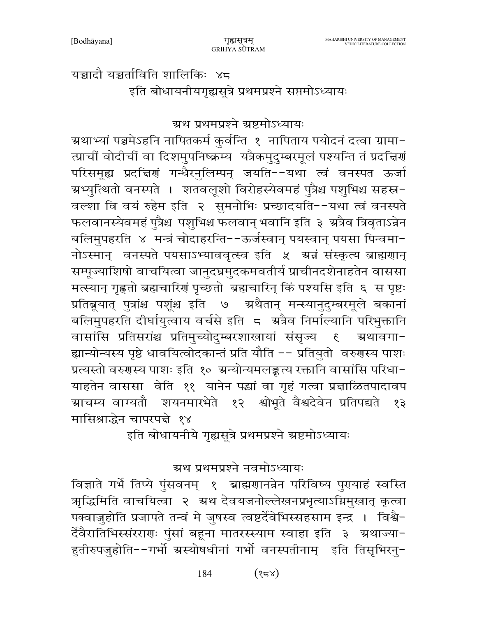यच्चादौ यच्चर्ताविति शालिकिः ४८ इति बोधायनीयगृह्यसूत्रे प्रथमप्रश्ने सप्तमोऽध्यायः

ग्रथ प्रथमप्रश्ने ग्रष्टमोऽध्यायः

म्रथाभ्यां पञ्चमेऽहनि नापितकर्म कुर्वन्ति १ नापिताय पयोदनं दत्वा ग्रामा− त्प्राचीं वोदीचीं वा दिशमुपनिष्क्रम्य यत्रैकमुदुम्बरमूलं पश्यन्ति तं प्रदत्तिणं परिसमूह्य प्रदच्चिणं गन्धैरनुलिम्पन् जयति--यथा त्वं वनस्पत ऊर्जा ग्रभ्युत्थितो वनस्पते । शतवलूशो विरोहस्येवमहं पुत्रैश्च पशुभिश्च सहस्र− वल्शा वि वयं रुहेम इति २ सुमनोभिः प्रच्छादयति--यथा त्वं वनस्पते फलवानस्येवमहं पुत्रैश्च पशुभिश्च फलवान् भवानि इति ३ ग्रत्रैव त्रिवृताऽन्नेन बलिमुपहरति ४ मन्त्रं चोदाहरन्ति--ऊर्जस्वान् पयस्वान् पयसा पिन्वमा-नोऽस्मान् वनस्पते पयसाऽभ्याववृत्स्व इति ५ अन्नं संस्कृत्य ब्राह्मणान् सम्पूज्याशिषो वाचयित्वा जानुदघ्नमुदकमवतीर्य प्राचीनदशेनाहतेन वाससा मत्स्यान् गृह्णतो ब्रह्मचारिणं पृच्छतो ब्रह्मचारिन् किं पश्यसि इति ६ स पृष्टः प्रतिब्रूयात् पुत्रांश्च पशूंश्च इति ७ अथैतान् मन्स्यानुदुम्बरमूले बकानां बलिमुपहरति दीर्घायुत्वाय वर्चसे इति 5 अत्रैव निर्माल्यानि परिभुक्तानि वासांसि प्रतिसरांश्च प्रतिमुच्योदुम्बरशाखायां संसृज्य ६ अथावगा− ह्यान्योन्यस्य पृष्ठे धावयित्वोदकान्तं प्रति यौति -- प्रतियुतो वरुगस्य पाशः प्रत्यस्तो वरुगस्य पाशः इति १० ग्रन्योन्यमलङ्कत्य रक्तानि वासांसि परिधा-याहतेन वाससा वेति ११ यानेन पद्धां वा गृहं गत्वा प्रज्ञाळितपादावप ग्राचम्य वाग्यतौ शयनमारभेते १२ श्वोभूते वैश्वदेवेन प्रतिपद्यते १३ मासिश्राद्धेन चापरपद्मे १४

इति बोधायनीये गृह्यसूत्रे प्रथमप्रश्ने ग्रष्टमोऽध्यायः

ग्रथ प्रथमप्रश्ने नवमोऽध्यायः

विज्ञाते गर्भे तिप्ये पुंसवनम् १ ब्राह्मणानन्नेन परिविष्य पुरायाहं स्वस्ति भूद्धिमिति वाचयित्वा २ अथ देवयजनोल्लेखनप्रभृत्याऽग्निमुखात् कृत्वा पक्वाज़ुहोति प्रजापते तन्वं मे जुषस्व त्वष्टर्देवेभिस्सहसाम इन्द्र । विश्वे-र्देवैरातिभिस्संरराणः पुंसां बहूना मातरस्स्याम स्वाहा इति ३ अथाज्या-हुतीरुपजुहोति--गर्भो ग्रस्योषधीनां गर्भो वनस्पतीनाम् इति तिसृभिरनु-

> $(84)$ 184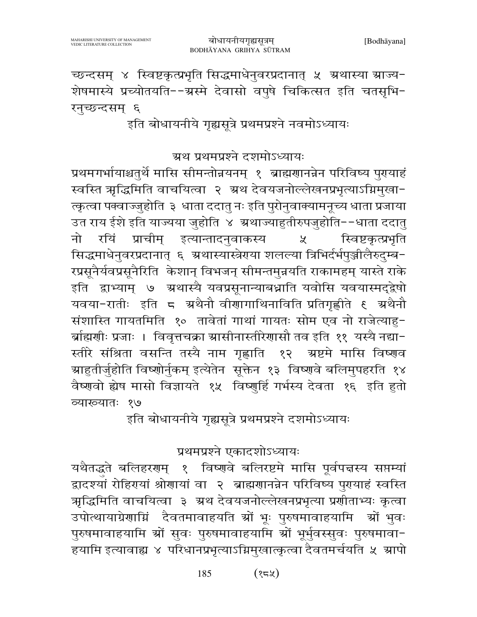$(32)$ 185

यथैतद्धते बलिहरणम् १ विष्णवे बलिरष्टमे मासि पूर्वपत्तस्य सप्तम्यां द्वादश्यां रोहिरायां श्रोणायां वा २ ब्राह्मणानन्नेन परिविष्य पुरायाहं स्वस्ति ऋद्धिमिति वाचयित्वा ३ अथ देवयजनोल्लेखनप्रभृत्या प्रणीताभ्यः कृत्वा उपोत्थायाग्रेणाग्निं दैवतमावाहयति स्रों भूः पुरुषमावाहयामि स्रों भुवः पुरुषमावाहयामि स्रों सुवः पुरुषमावाहयामि स्रों भूर्भुवस्सुवः पुरुषमावा-हयामि इत्यावाह्य ४ परिधानप्रभृत्याऽग्निमुखात्कृत्वा दैवतमर्चयति ५ स्रापो

प्रथमप्रश्ने एकादशोऽध्यायः

इति बोधायनीये गृह्यसूत्रे प्रथमप्रश्ने दशमोऽध्यायः

प्रथमगर्भायाश्चतुर्थे मासि सीमन्तोन्नयनम् १ ब्राह्मणानन्नेन परिविष्य पुगयाहं स्वस्ति ऋद्धिमिति वाचयित्वा २ अ्थ देवयजनोल्लेखनप्रभृत्याऽग्निमुखा-त्कृत्वा पक्वाज्जुहोति ३ धाता ददातु नः इति पुरोनुवाक्यामनूच्य धाता प्रजाया उत राय ईशे इति याज्यया जुहोति ४ अ्थाज्याहुतीरुपजुहोति--धाता ददात् नो रयिं प्राचीम् इत्यान्तादनुवाकस्य स्विष्टकृत्प्रभृति  $\chi$ सिद्धमाधेनुवरप्रदानात् ६ अथास्यास्त्रेराया शलल्या त्रिभिर्दर्भपुञ्जीलैरुदुम्ब-रप्रसूनैर्यवप्रसूनैरिति केशान् विभजन् सीमन्तमुन्नयति राकामहम् यास्ते राके इति द्वाभ्याम् ७ ग्रथास्यै यवप्रसूनान्याबध्नाति यवोसि यवयास्मद्द्वेषो संशास्ति गायतमिति १० तावेतां गाथां गायतः सोम एव नो राजेत्याहु-र्ब्राह्मणीः प्रजाः । विवृत्तचक्रा स्रासीनास्तीरेणासौ तव इति ११ यस्यै नद्या− स्तीरे संश्रिता वसन्ति तस्यै नाम गृह्णाति १२ अष्टमे मासि विष्णव ग्राहुतीर्जुहोति विष्णोर्नुकम् इत्येतेन सूक्तेन १३ विष्णवे बलिमुपहरति १४ वैष्णवो ह्येष मासो विज्ञायते १५ विष्णुर्हि गर्भस्य देवता १६ इति हुतो व्याख्यातः १७

इति बोधायनीये गृह्यसूत्रे प्रथमप्रश्ने नवमोऽध्यायः

ग्रथ प्रथमप्रश्ने दशमोऽध्यायः

च्छन्दसम् ४ स्विष्टकृत्प्रभृति सिद्धमाधेनुवरप्रदानात् ५ ग्रथास्या ग्राज्य-शेषमास्ये प्रच्योतयति--ग्रस्मे देवासो वपुषे चिकित्सत इति चतसृभि-रनुच्छन्दसम् ६

BODHĀYANA GRIHYA SŪTRAM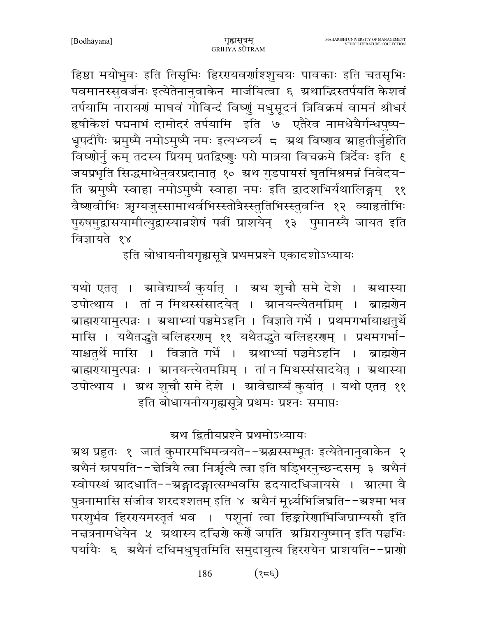हिष्ठा मयोभुवः इति तिसृभिः हिररयवर्णाश्शुचयः पावकाः इति चतसृभिः पवमानस्सुवर्जनः इत्येतेनानुवाकेन मार्जयित्वा ६ ग्रथाद्धिस्तर्पयति केशवं तर्पयामि नारायणं माघवं गोविन्दं विष्णुं मधुसूदनं त्रिविक्रमं वामनं श्रीधरं हषीकेशं पद्मनाभं दामोदरं तर्पयामि इति ७ एतैरेव नामधेयैर्गन्धपुष्प-धूपदीपैः ग्रमुष्मै नमोऽमुष्मै नमः इत्यभ्यर्च्य ८ ग्रथ विष्णव ग्राहुतीर्जुहोति विष्णोर्नु कम् तदस्य प्रियम् प्रतद्विष्णुः परो मात्रया विचक्रमे त्रिर्देवः इति ६ जयप्रभृति सिद्धमाधेनुवरप्रदानात् १० ग्रथ गुडपायसं घृतमिश्रमन्नं निवेदय-ति ग्रमुष्मै स्वाहा नमोऽमुष्मै स्वाहा नमः इति द्वादशभिर्यथालिङ्गम् ११ वैष्णवीभिः ऋग्यजुस्सामाथर्वभिस्स्तोत्रैस्स्तुतिभिस्स्तुवन्ति १२ व्याहृतीभिः पुरुषमुद्रासयामीत्युद्रास्यान्नशेषं पत्नीं प्राशयेन् १३ पुमानस्यै जायत इति विज्ञायते १४

इति बोधायनीयगृह्यसूत्रे प्रथमप्रश्ने एकादशोऽध्यायः

यथो एतत् । स्रावेद्यार्घ्यं कुर्यात् । स्रथ शुचौ समे देशे । स्रथास्या उपोत्थाय । तां न मिथस्संसादयेत् । म्रानयन्त्येतमग्निम् । ब्राह्मणेन ब्राह्मरायामुत्पन्नः । स्रथाभ्यां पञ्चमेऽहनि । विज्ञाते गर्भे । प्रथमगर्भायाश्चतुर्थे मासि । यथैतद्धते बलिहरणम् ११ यथैतद्धते बलिहरणम् । प्रथमगर्भा-याश्चतुर्थे मासि । विज्ञाते गर्भे । अ्रथाभ्यां पञ्चमेऽहनि । ब्राह्मणेन ब्राह्मरायामुत्पन्नः । स्रानयन्त्येतमग्निम् । तां न मिथस्संसादयेत् । स्रथास्या उपोत्थाय । अथ शुचौ समे देशे । आवेद्यार्घ्यं कुर्यात् । यथो एतत् ११ इति बोधायनीयगृह्यसूत्रे प्रथमः प्रश्नः समाप्तः

ग्रथ द्वितीयप्रश्ने प्रथमोऽध्यायः

ग्रथ प्रहुतः १ जातं कुमारमभिमन्त्रयते−−ग्रद्धस्सम्भूतः इत्येतेनानुवाकेन २ ग्रथैनं स्नपयति--द्वेत्रियै त्वा निर्ऋत्यै त्वा इति षड्भिरनुच्छन्दसम् ३ अथैनं स्वोपस्थं म्रादधाति--ग्रङ्गादङ्गात्सम्भवसि हृदयादधिजायसे । म्रात्मा वै पुत्रनामासि संजीव शरदश्शतम् इति ४ अथैनं मूर्ध्न्यभिजिघ्रति--अश्मा भव परशुर्भव हिररयमस्तृतं भव । पशूनां त्वा हिङ्कारेणाभिजिघ्राम्यसौ इति नचत्रनामधेयेन ५ अथास्य दचिरणे कर्णे जपति अग्निरायुष्मान् इति पञ्चभिः पर्यायैः ६ अथैनं दधिमधुघृतमिति समुदायुत्य हिररयोन प्राशयति--प्राणो

> $(325)$ 186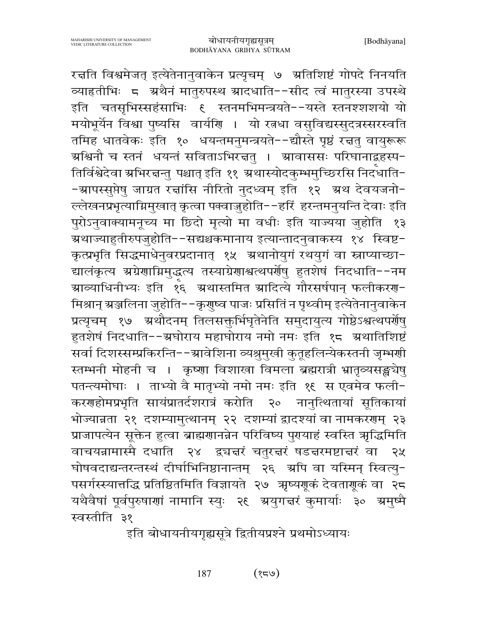रचति विश्वमेजत् इत्येतेनानुवाकेन प्रत्यृचम् ७ अतिशिष्टं गोपदे निनयति व्याहतीभिः ८ अथैनं मातुरुपस्थ स्रादधाति--सीद त्वं मातुरस्या उपस्थे इति चतसृभिस्सहंसाभिः ६ स्तनमभिमन्त्रयते--यस्ते स्तनश्शशयो यो मयोभूर्येन विश्वा पुष्यसि वार्याण । यो रत्नधा वसुविद्यस्सुदत्रस्सरस्वति तमिह धातवेकः इति १० धयन्तमनुमन्त्रयते--द्यौस्ते पृष्ठं रचतु वायुरूरू ग्रश्चिनौ च स्तनं धयन्तं सविताऽभिरत्तत् । ग्रावाससः परिघानाद्बहस्प− तिर्विश्वेदेवा ग्रभिरत्तन्तु पश्चात् इति ११ ग्रथास्योदकुम्भमुच्छिरसि निर्दधाति--स्रापस्सुप्तेषु जाग्रत रच्चांसि नीरितो नुदध्वम् इति १२ ऋथ देवयजनो-ल्लेखनप्रभृत्याम्रिमुखात् कृत्वा पक्वाज़ुहोति--हरिं हरन्तमनुयन्ति देवाः इति पुरोऽनुवाक्यामनूच्य मा छिदो मृत्यो मा वधीः इति याज्यया जुहोति १३ ग्रथाज्याहुतीरुपजुहोति−−सद्यश्चकमानाय इत्यान्तादनुवाकस्य १४ स्विष्ट− कृत्प्रभृति सिद्धमाधेनुवरप्रदानात् १५ अथानोयुगं रथयुगं वा स्नाप्याच्छा-द्यालंकृत्य अग्रेणाग्निमुद्धत्य तस्याग्रेणाश्वत्थपर्णेषु हुतशेषं निदधाति--नम म्राव्याधिनीभ्यः इति १६ अथास्तमित स्रादित्ये गौरसर्षपान् फलीकरण− मिश्रान् ग्रञ्जलिना जुहोति--कृणुष्व पाजः प्रसितिं न पृथ्वीम् इत्येतेनानुवाकेन प्रत्यृचम् १७ ग्रथौदनम् तिलसक्तर्भिघृतेनेति समुदायुत्य गोष्ठेऽश्वत्थपर्योषु हुतशेषं निदधाति--ग्रघोराय महाघोराय नमो नमः इति १८ अथातिशिष्टं सर्वा दिशस्सम्प्रकिरन्ति--ग्रावेशिना व्यश्रुमुखी कुतूहलिन्येकस्तनी जृम्भर्णी स्तम्भनी मोहनी च । कृष्णा विशाखा विमला ब्रह्मरात्री भ्रातृव्यसङ्खचेषु पतन्त्यमोघाः । ताभ्यो वै मातृभ्यो नमो नमः इति १९ स एवमेव फली-करणहोमप्रभृति सायंप्रातर्दशरात्रं करोति २० नानुत्थितायां सूतिकायां भोज्यान्नता २१ दशम्यामुत्थानम् २२ दशम्यां द्वादश्यां वा नामकरगम् २३ प्राजापत्येन सूक्तेन हुत्वा ब्राह्मणानन्नेन परिविष्य पुगयाहं स्वस्ति ऋद्धिमिति वाचयन्नामास्मै दधाति २४ द्व्यज्ञरं चतुरज्ञरं षडज्ञरमष्टाज्ञरं वा २५ घोषवदाद्यन्तरन्तस्थं दीर्घाभिनिष्ठानान्तम् २६ अपि वा यस्मिन् स्वित्यु-पसर्गस्स्यात्तद्धि प्रतिष्ठितमिति विज्ञायते २७ ऋष्यगूकं देवतागूकं वा २८ यथैवैषां पूर्वपुरुषाणां नामानि स्युः २६ अ्ययाद्मरं कुमार्याः ३० अमुष्मै स्वस्तीति ३१

इति बोधायनीयगृह्यसूत्रे द्वितीयप्रश्ने प्रथमोऽध्यायः

187  $(84)$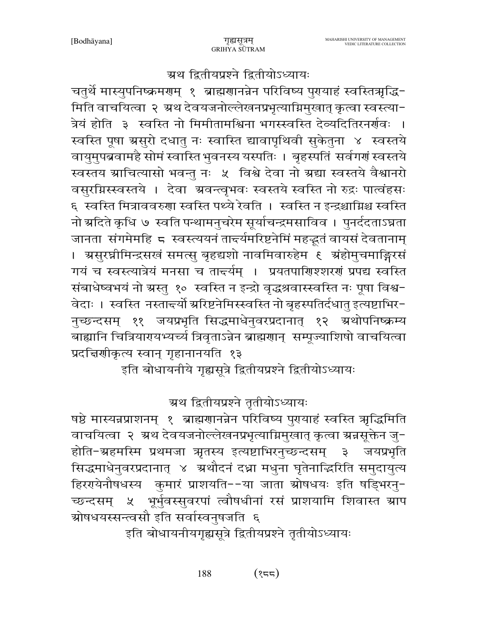#### ग्रथ द्वितीयप्रश्ने द्वितीयोऽध्यायः

चतुर्थे मास्युपनिष्क्रमरणम् १ ब्राह्मरणनन्नेन परिविष्य पुरायाहं स्वस्तित्रृद्धि-मिति वाचयित्वा २ अथ देवयजनोल्लेखनप्रभृत्याग्निमुखात् कृत्वा स्वस्त्या-त्रेयं होति ३ स्वस्ति नो मिमीतामश्विना भगस्स्वस्ति देव्यदितिरनर्णवः । स्वस्ति पूषा ग्रसुरो दधातु नः स्वास्ति द्यावापृथिवी सुकेतुना ४ स्वस्तये वायुमुपब्रवामहै सोमं स्वास्ति भुवनस्य यस्पतिः । बृहस्पतिं सर्वगर्गं स्वस्तये स्वस्तय ग्राचित्यासो भवन्तु नः ५ विश्वे देवा नो ग्रद्या स्वस्तये वैश्वानरो वसुरग्निस्स्वस्तये । देवा ग्रवन्त्वृभवः स्वस्तये स्वस्ति नो रुद्रः पात्वंहसः ६) स्वस्ति मित्राववरुणा स्वस्ति पथ्ये रेवति । स्वस्ति न इन्द्रश्चाग्निश्च स्वस्ति नो ग्रदिते कृधि ७ स्वति पन्थामनुचरेम सूर्याचन्द्रमसाविव । पुनर्ददताऽघ्नता जानता संगमेमहि ८ स्वस्त्ययनं तार्च्यमरिष्टनेमिं महद्भूतं वायसं देवतानाम् । असुरघ्नीमिन्द्रसखं समत्सु बृहद्यशो नावमिवारुहेम ६ अंहोमुचमाङ्गिरसं गयं च स्वस्त्यात्रेयं मनसा च तार्च्यम् । प्रयतपाशिश्शरणं प्रपद्य स्वस्ति संबाधेष्वभयं नो ग्रस्तु १० स्वस्ति न इन्द्रो वृद्धश्रवास्स्वस्ति नः पूषा विश्व-वेदाः । स्वस्ति नस्तान्त्यों ग्ररिष्टनेमिस्स्वस्ति नो बृहस्पतिर्दधातु इत्यष्टाभिर-नुच्छन्दसम् ११ जयप्रभृति सिद्धमाधेनुवरप्रदानात् १२ ग्रथोपनिष्क्रम्य बाह्यानि चित्रियारपथभ्यर्च्य त्रिवृताऽन्नेन ब्राह्मगान् सम्पूज्याशिषो वाचयित्वा प्रदत्तिशीकृत्य स्वान् गृहानानयति १३

इति बोधायनीये गृह्यसूत्रे द्वितीयप्रश्ने द्वितीयोऽध्यायः

# ग्रथ द्वितीयप्रश्ने तृतीयोऽध्यायः

षष्ठे मास्यन्नप्राशनम् १ ब्राह्मणानन्नेन परिविष्य पुरायाहं स्वस्ति ऋद्धिमिति वाचयित्वा २ अथ देवयजनोल्लेखनप्रभृत्याग्निमुखात् कृत्वा स्रन्नसूक्तेन जु-होति-ग्रहमस्मि प्रथमजा ऋृतस्य इत्यष्टाभिरनुच्छन्दसम् ३ जयप्रभृति सिद्धमाधेनुवरप्रदानात् ४ अथौदनं दध्ना मधुना घृतेनाद्धिरिति समुदायुत्य हिररयेनौषधस्य कुमारं प्राशयति--या जाता स्रोषधयः इति षड्भिरनु-च्छन्दसम् ५ भूर्भुवस्सुवरपां त्वौषधीनां रसं प्राशयामि शिवास्त स्राप ग्रोषधयस्सन्त्वसौ इति सर्वास्वनुषजति ६

इति बोधायनीयगृह्यसूत्रे द्वितीयप्रश्ने तृतीयोऽध्यायः

188  $(322)$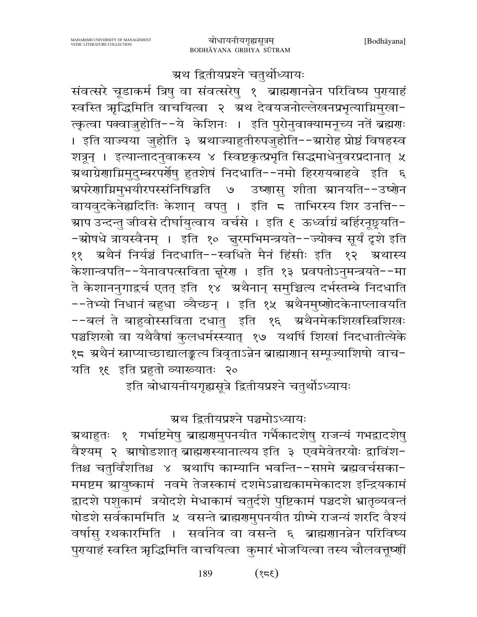ग्रथ द्वितीयप्रश्ने चतुर्थोध्यायः

संवत्सरे चूडाकर्म त्रिषु वा संवत्सरेषु १ ब्राह्मणानन्नेन परिविष्य पुरायाहं स्वस्ति ऋद्धिमिति वाचयित्वा २ अथ देवयजनोल्लेखनप्रभृत्याग्निमुखा-क्कृत्वा पक्वाजुहोति--ये केशिनः । इति पुरोनुवाक्यामनूच्य नतें ब्रह्मणः । इति याज्यया जुहोति ३ ग्रथाज्याहुतीरुपजुहोति--ग्रारोह प्रोष्ठं विषहस्व शत्रून् । इत्यान्तादनुवाकस्य ४ स्विष्टकृत्प्रभृति सिद्धमाधेनुवरप्रदानात् ५ अथाग्रेणाग्निमुदुम्बरपर्रोषु हुतशेषं निदधाति--नमो हिररयबाहवे इति ६ अपरेणाग्निमुभयीरपस्संनिषिञ्चति ७ उष्णासु शीता स्रानयति--उष्णेन वायवुदकेनेह्यदितिः केशान् वपतु । इति ८ ताभिरस्य शिर उनत्ति--ग्राप उन्दन्तु जीवसे दीर्घायुत्वाय वर्चसे । इति € ऊर्ध्वाग्रं बर्हिरनूछूयति− -स्रोषधे त्रायस्वैनम् । इति १० त्तूरमभिमन्त्रयते--ज्योक्च सूर्यं दृशे इति ११ अथैनं निर्यञ्चं निदधाति--स्वधिते मैनं हिंसीः इति १२ अथास्य केशान्वपति--येनावपत्सविता चूरेण । इति १३ प्रवपतोऽनुमन्त्रयते--मा ते केशाननगाद्वर्च एतत् इति १४ अथैनान् समुच्चित्य दर्भस्तम्बे निदधाति --तेभ्यो निधानं बहुधा व्यैच्छन् । इति १५ ग्रथैनमुष्णोदकेनाप्लावयति --बलं ते बाहवोस्सविता दधात् इति १६ अथैनमेकशिखस्त्रिशिखः पञ्चशिखो वा यथैवैषां कुलधर्मस्स्यात् १७ यथर्षि शिखां निदधातीत्येके १८ अथैनं स्नाप्याच्छाद्यालङ्कत्य त्रिवृताऽन्नेन ब्राह्माणान् सम्पूज्याशिषो वाच− यति १६ इति प्रहतो व्याख्यातः २०

इति बोधायनीयगृह्यसूत्रे द्वितीयप्रश्ने चतुर्थोऽध्यायः

# ग्रथ द्वितीयप्रश्ने पञ्चमोऽध्यायः

ग्रथाहुतः १ गर्भाष्टमेषु ब्राह्मणमुपनयीत गर्भैकादशेषु राजन्यं गभद्रादशेषु वैश्यम् २ स्राषोडशात् ब्राह्मणस्यानात्यय इति ३ एवमेवेतरयोः द्वाविंश-तिश्च चतुर्विंशतिश्च ४ ग्रथापि काम्यानि भवन्ति--सप्तमे ब्रह्मवर्चसका-ममष्टम ग्रायुष्कामं नवमे तेजस्कामं दशमेऽन्नाद्यकाममेकादश इन्द्रियकामं द्वादशे पशुकामं त्रयोदशे मेधाकामं चतुर्दशे पुष्टिकामं पञ्चदशे भ्रातृव्यवन्तं षोडशे सर्वकाममिति ५ वसन्ते ब्राह्मणुमुपनयीत ग्रीष्मे राजन्यं शरदि वैश्यं वर्षासु रथकारमिति । सर्वानेव वा वसन्ते ६ ब्राह्मणानन्नेन परिविष्य पुरायाहं स्वस्ति ऋद्धिमिति वाचयित्वा कुमारं भोजयित्वा तस्य चौलवत्तूष्णीं

> $(358)$ 189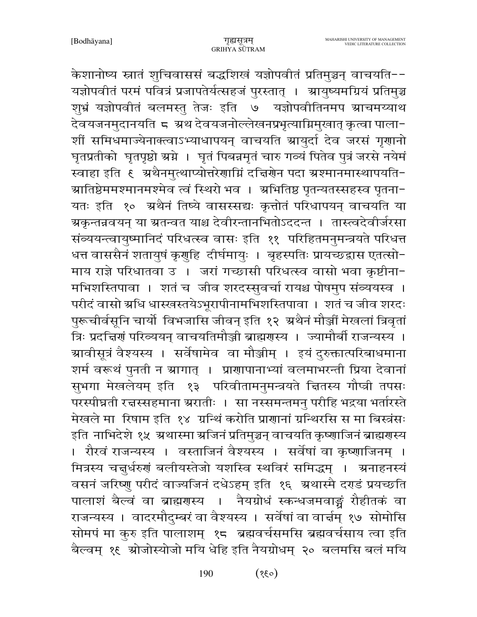केशानोष्य स्नातं शुचिवाससं बद्धशिखं यज्ञोपवीतं प्रतिमुञ्चन् वाचयति--यज्ञोपवीतं परमं पवित्रं प्रजापतेर्यत्सहजं पुरस्तात् । श्रायुष्यमग्रियं प्रतिमुञ्च शूभ्रं यज्ञोपवीतं बलमस्तु तेजः इति ७ यज्ञोपवीतिनमप स्राचमय्याथ देवयजनमुदानयति ८ ग्रथ देवयजनोल्लेखनप्रभृत्याग्निमुखात् कृत्वा पाला− शीं समिधमाज्येनाक्त्वाऽभ्याधापयन् वाचयति स्रायुर्दा देव जरसं गृणानो घृतप्रतीको घृतपृष्ठो स्रग्ने । घृतं पिबन्नमृतं चारु गव्यं पितेव पुत्रं जरसे नयेमं स्वाहा इति १ अथैनमुत्थाप्योत्तरेणाग्निं दचिरणेन पदा अश्मानमास्थापयति-ग्रातिष्ठेममश्मानमश्मेव त्वं स्थिरो भव । अभितिष्ठ पृतन्यतस्सहस्व पृतना− यतः इति १० अथैनं तिष्ये वासस्सद्यः कृत्तोतं परिधापयन् वाचयति या ग्रकृन्तन्नवयन् या ग्रतन्वत याश्च देवीरन्तानभितोऽददन्त । तास्त्वदेवीर्जरसा संव्ययन्त्वायुष्मानिदं परिधत्स्व वासः इति ११ परिहितमनुमन्त्रयते परिधत्त धत्त वाससैनं शतायुषं कृगुहि दीर्घमायुः । बृहस्पतिः प्रायच्छद्वास एतत्सो-माय राज्ञे परिधातवा उ । जरां गच्छासी परिधत्स्व वासो भवा कृष्टीना-मभिशस्तिपावा । शतं च जीव शरदस्सुवर्चा रायश्च पोषमुप संव्ययस्व । परीदं वासो ग्रधि धास्खस्तयेऽभूरापीनामभिशस्तिपावा । शतं च जीव शरदः पुरूचीर्वसूनि चार्यो विभजासि जीवन् इति १२ अथैनं मौञ्जीं मेखलां त्रिवृतां त्रिः प्रदत्तिर्णं परिव्ययन् वाचयतिमौञ्जी ब्राह्मणस्य । ज्यामौर्बी राजन्यस्य । ग्र्यावीसूत्रं वैश्यस्य । सर्वेषामेव वा मौञ्जीम् । इयं दुरुक्तात्परिबाधमाना शर्म वरूथं पुनती न स्रागात् । प्राणापानाभ्यां वलमाभरन्ती प्रिया देवानां सूभगा मेखलेयम् इति १३ परिवीतामनुमन्त्रयते चितस्य गौप्त्री तपसः परस्पीघ्नती रत्नस्सहमाना ग्ररातीः । सा नस्समन्तमन् परीहि भद्रया भर्तारस्ते मेखले मा रिषाम इति १४ ग्रन्थिं करोति प्राणानां ग्रन्थिरसि स मा बिस्त्रंसः इति नाभिदेशे १५ अथास्मा अजिनं प्रतिमुञ्चन् वाचयति कृष्णाजिनं ब्राह्मणस्य । रौरवं राजन्यस्य । वस्ताजिनं वैश्यस्य । सर्वेषां वा कृष्णाजिनम् । मित्रस्य चत्तुर्धरुणं बलीयस्तेजो यशस्वि स्थविरं समिद्धम् । अनाहनस्यं वसनं जरिष्णु परीदं वाज्यजिनं दधेऽहम् इति १६ अथास्मै दर्गडं प्रयच्छति पालाशं बैल्वं वा ब्राह्मगस्य । नैयग्रोधं स्कन्धजमवाङ्गं रौहीतकं वा राजन्यस्य । वादरमौदुम्बरं वा वैश्यस्य । सर्वेषां वा वार्न्नम् १७ सोमोसि सोमपं मा कुरु इति पालाशम् १८ ब्रह्मवर्चसमसि ब्रह्मवर्चसाय त्वा इति बैल्वम् १६ ग्रोजोस्योजो मयि धेहि इति नैयग्रोधम् २० बलमसि बलं मयि

> 190  $(03)$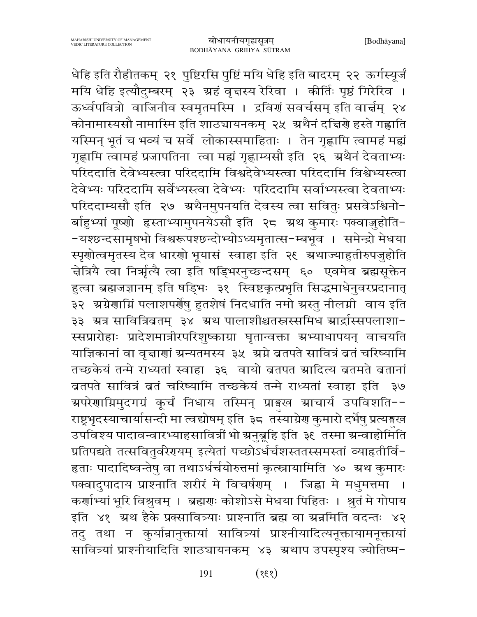धेहि इति रौहीतकम् २१ पुष्टिरसि पुष्टिं मयि धेहि इति बादरम् २२ ऊर्गस्यूर्जं मयि धेहि इत्यौदुम्बरम् २३ ग्रहं वृत्तस्य रेरिवा । कीर्तिः पृष्ठं गिरेरिव । ऊर्ध्वपवित्रो वाजिनीव स्वमृतमस्मि । द्रविणं सवर्चसम् इति वार्चम् २४ कोनामास्यसौ नामास्मि इति शाठ्यायनकम् २५ अथैनं दत्तिरो हस्ते गह्णाति यस्मिन् भूतं च भव्यं च सर्वे लोकास्समाहिताः । तेन गृह्णामि त्वामहं मह्यं गृह्णामि त्वामहं प्रजापतिना त्वा मह्यं गृह्णाम्यसौ इति २६ अथैनं देवताभ्यः परिददाति देवेभ्यस्त्वा परिददामि विश्वदेवेभ्यस्त्वा परिददामि विश्वेभ्यस्त्वा देवेभ्यः परिददामि सर्वेभ्यस्त्वा देवेभ्यः परिददामि सर्वाभ्यस्त्वा देवताभ्यः परिददाम्यसौ इति २७ अथैनमुपनयति देवस्य त्वा सवितुः प्रसवेऽश्विनो-र्बाहुभ्यां पूष्णो हृस्ताभ्यामुपनयेऽसौ इति २८ अथ कुमारः पक्वाजुहोति--यश्छन्दसामृषभो विश्वरूपश्छन्दोभ्योऽध्यमृतात्स-म्बभूव । समेन्द्रो मेधया स्पृणोत्वमृतस्य देव धारणो भूयासं स्वाहा इति २९ अथाज्याहुतीरुपजुहोति चेत्रिये त्वा निर्भात्यै त्वा इति षड्भिरनुच्छन्दसम् ६० एवमेव ब्रह्मसूक्तेन हुत्वा ब्रह्मजज्ञानम् इति षड्भिः ३१ स्विष्टकृत्प्रभृति सिद्धमाधेनुवरप्रदानात् ३२ अग्रेणाम्निं पलाशपर्णेषु हुतशेषं निदधाति नमो अस्तु नीलमी वाय इति ३३ अत्र सावित्रिव्रतम् ३४ अथ पालाशीश्चतस्रस्समिधं आर्द्रास्सपलाशा-स्सप्रारोहाः प्रादेशमात्रीरपरिशुष्काग्रा घृतान्वक्ता ग्रभ्याधापयन् वाचयति याज्ञिकानां वा वृत्ताणां ग्रन्यतमस्य ३५ अग्ने ब्रतपते सावित्रं ब्रतं चरिष्यामि तच्छकेयं तन्मे राध्यतां स्वाहा ३६ वायो ब्रतपत स्रादित्य ब्रतमते ब्रतानां ब्रतपते सावित्रं बतं चरिष्यामि तच्छकेयं तन्मे राध्यतां स्वाहा इति ३७ अपरेणाग्निमुदगग्रं कूर्चं निधाय तस्मिन् प्राइख आचार्य उपविशति--राष्ट्रभृदस्याचार्यासन्दी मा त्वद्योषम् इति ३८ तस्याग्रेण कुमारो दर्भेषु प्रत्यङ्गख उपविश्य पादावन्वारभ्याहसावित्रीं भो ग्रनुब्रूहि इति ३६ तस्मा ग्रन्वाहोमिति प्रतिपद्यते तत्सवितुर्वरेरायम् इत्येतां पच्छोऽर्धर्चशस्ततस्समस्तां व्याहृतीर्वि-हताः पादादिष्वन्तेषु वा तथाऽर्धर्चयोरुत्तमां कृत्स्नायामिति ४० ग्रथ कुमारः पक्वादुपादाय प्राश्नाति शरीरं मे विचर्षणम् । जिह्वा मे मधुमत्तमा । कर्णाभ्यां भूरि विश्रुवम् । ब्रह्मणः कोशोऽसे मेधया पिहितः । श्रुतं मे गोपाय इति ४१ अथ हैके प्रक्सावित्र्याः प्राश्नाति ब्रह्म वा ग्रज्ञमिति वदन्तः ४२ तदु तथा न कुर्यान्नानुक्तायां सावित्र्यां प्राश्नीयादित्यनूक्तायामनूक्तायां सावित्र्यां प्राश्नीयादिति शाठ्यायनकम् ४३ अथाप उपस्पृश्य ज्योतिष्म-

> 191  $(838)$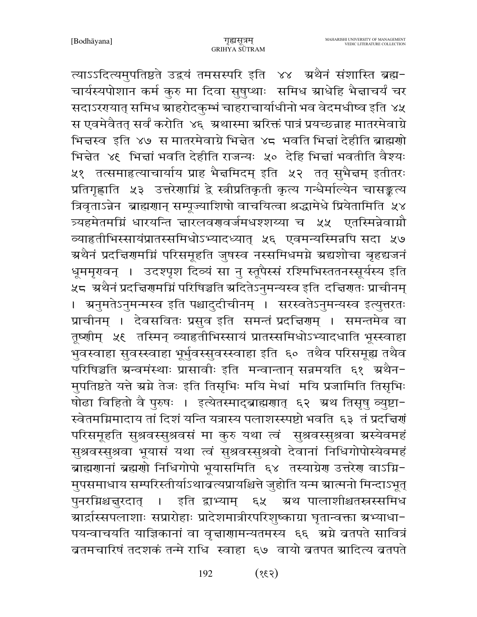त्याऽऽदित्यमुपतिष्ठते उद्वयं तमसस्परि इति ४४ अथैनं संशास्ति ब्रह्म-चार्यस्यपोशान कर्म कुरु मा दिवा सुषुप्थाः समिध स्राधेहि भैद्माचर्यं चर सदाऽररयात् समिध ग्राहरोदकुम्भं चाहराचार्याधीनो भव वेदमधीष्व इति ४५ स एवमेवैतत् सर्वं करोति ४६ अथास्मा अरिक्तं पात्रं प्रयच्छन्नाह मातरमेवाग्रे भिन्नस्व इति ४७ स मातरमेवाग्रे भिन्नेत ४८ भवति भिन्नां देहीति ब्राह्मणो भिन्नेत ४६ भिन्नां भवति देहीति राजन्यः ५० देहि भिन्नां भवतीति वैश्यः ५१ तत्समाहत्याचार्याय प्राह भैज्ञमिदम् इति ५२ तत् सुभैज्ञम् इतीतरः प्रतिगृह्णाति ५३ उत्तरेणामिं द्वे स्त्रीप्रतिकृती कृत्य गन्धैर्माल्येन चासङ्कृत्य त्रिवृताऽन्नेन ब्राह्मणान् सम्पूज्याशिषो वाचयित्वा श्रद्धामेधे प्रियेतामिति ५४ त्र्यहमेतमग्निं धारयन्ति ज्ञारलवरण्वर्जमधश्शय्या च ५५ एतस्मिन्नेवाग्नौ व्याहृतीभिस्सायंप्रातस्समिधोऽभ्यादध्यात् ५६ एवमन्यस्मिन्नपि सदा ५७ ग्रथैनं प्रदत्तिरामग्निं परिसमूहति जुषस्व नस्समिधमग्ने ग्रद्यशोचा बृहद्यजनं धूममृरावन् । उदश्पृश दिव्यं सा नु स्तूपैरसं रश्मिभिस्ततनस्सूर्यस्य इति ्<br>५८ अथैनं प्रदत्तिरामग्निं परिषिञ्चति स्रदितेऽनुमन्यस्व इति दत्तिरातः प्राचीनम् । अनुमतेऽनुमन्मस्व इति पश्चादुदीचीनम् । सरस्वतेऽनुमन्यस्व इत्युत्तरतः प्राचीनम् । देवसवितः प्रसुव इति समन्तं प्रदद्मिणम् । समन्तमेव वा तृष्णीम् ५६ तस्मिन् व्याहृतीभिस्सायं प्रातस्समिधोऽभ्यादधाति भूस्स्वाहा भुवस्वाहा सुवस्स्वाहा भूर्भुवस्सुवस्स्वाहा इति ६० तथैव परिसमूह्य तथैव परिषिञ्चति ग्रन्वमंस्थाः प्रासावीः इति मन्वान्तान् सन्नमयति ६१ अथैन-मुपतिष्ठते यत्ते स्रग्ने तेजः इति तिसृभिः मयि मेधां मयि प्रजामिति तिसृभिः षोढा विहितो वै पुरुषः । इत्येतस्माद्ब्राह्मणात् ६२ अथ तिसृषु व्युष्टा-स्वेतमग्निमादाय तां दिशं यन्ति यत्रास्य पलाशस्स्पष्टो भवति ६३ तं प्रदत्तिर्गं परिसमूहति सुश्रवस्सुश्रवसं मा कुरु यथा त्वं सुश्रवस्सुश्रवा ग्रस्येवमहं सुश्रवस्सुश्रवा भूयासं यथा त्वं सुश्रवस्सुश्रवो देवानां निधिगोपोस्येवमहं ब्राह्मणानां ब्रह्मणो निधिगोपो भूयासमिति ६४ तस्याग्रेण उत्तरेण वाऽग्नि-मुपसमाधाय सम्परिस्तीर्याऽथाबत्यप्रायश्चित्ते जुहोति यन्म स्रात्मनो मिन्दाऽभूत् पुनरग्निश्चन्नुरदात् । इति द्वाभ्याम् ६५ ग्रथं पालाशीश्चतस्रसमिध ग्रार्द्रास्सपलाशाः सप्रारोहाः प्रादेशमात्रीरपरिशुष्काग्रा घृतान्वक्ता ग्रभ्याधा− पयन्वाचयति याज्ञिकानां वा वृत्ताणामन्यतमस्य ६६ अग्ने ब्रतपते सावित्रं ब्रतमचारिषं तदशकं तन्मे राधि स्वाहा ६७ वायो ब्रतपत म्रादित्य ब्रतपते

> 192  $(535)$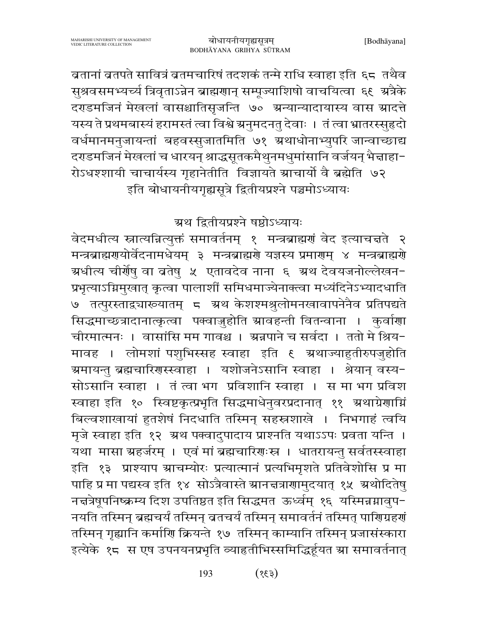बतानां बतपते सावित्रं बतमचारिषं तदशकं तन्मे राधि स्वाहा इति ६८ तथैव सुश्रवसमभ्यर्च्य त्रिवृताऽन्नेन ब्राह्मणान् सम्पूज्याशिषो वाचयित्वा ६९ अत्रैके दराडमजिनं मेखलां वासश्चातिसृजन्ति ७० ग्रन्यान्यादायास्य वास ग्रादत्ते यस्य ते प्रथमबास्यं हरामस्तं त्वा विश्वे ग्रनुमदनतु देवाः । तं त्वा भ्रातरस्सुहृदो वर्धमानमनुजायन्तां बहवस्सुजातमिति ७१ ग्रथाधोनाभ्युपरि जान्वाच्छाद्य दराडमजिनं मेखलां च धारयन् श्राद्धसूतकमैथुनमधुमांसानि वर्जयन् भैज्ञाहा-रोऽधश्शायी चाचार्यस्य गृहानेतीति विज्ञायते स्राचार्यो वै ब्रह्मेति ७२ इति बोधायनीयगृह्यसूत्रे द्वितीयप्रश्ने पञ्चमोऽध्यायः

ग्रथ द्वितीयप्रश्ने षष्ठोऽध्यायः

वेदमधीत्य स्नात्यन्नित्युक्तं समावर्तनम् १ मन्त्रब्राह्मणं वेद इत्याचत्तते २ मन्त्रब्राह्मणयोर्वेदनामधेयम् ३ मन्त्रब्राह्मणे यज्ञस्य प्रमाणम् ४ मन्त्रब्राह्मणे ग्रधीत्य चीर्णेषु वा ब्रतेषु ४ एतावदेव नाना ६ ग्रथ देवयजनोल्लेखन− प्रभृत्याऽग्निमुखात् कृत्वा पालाशीं समिधमाज्येनाक्त्वा मध्यंदिनेऽभ्यादधाति ७ तत्पुरस्ताद्व्याख्यातम् ८ ग्रथं केशश्मश्रुलोमनखावापनेनैव प्रतिपद्यते सिद्धमाच्छत्रादानात्कृत्वा पक्वाज़ुहोति स्रावहन्ती वितन्वाना । कुर्वाणा चीरमात्मनः । वासांसि मम गावश्च । ग्रन्नपाने च सर्वदा । ततो मे श्रिय-मावह । लोमशां पशुभिस्सह स्वाहा इति ६ ग्रथाज्याहुतीरुपजुहोति ग्रमायन्तु ब्रह्मचारिणस्स्वाहा । यशोजनेऽसानि स्वाहा । श्रेयान् वस्य-सोऽसानि स्वाहा । तं त्वा भग प्रविशानि स्वाहा । स मा भग प्रविश स्वाहा इति १० स्विष्टकृत्प्रभृति सिद्धमाधेनुवरप्रदानात् ११ अथाग्रेणाग्निं बिल्वशाखायां हुतशेषं निदधाति तस्मिन् सहस्रशाखे । निभगाहं त्वयि मृजे स्वाहा इति १२ अथ पक्वादुपादाय प्राश्नति यथाऽऽपः प्रवता यन्ति । यथा मासा ग्रहर्जरम् । एवं मां ब्रह्मचारिणःस्र । धातरायन्तु सर्वतस्स्वाहा इति १३ प्राश्याप ग्राचम्योरः प्रत्यात्मानं प्रत्यभिमृशते प्रतिवेशोसि प्र मा पाहि प्र मा पद्यस्व इति १४ सोऽत्रैवास्ते स्रानत्तत्राणामुदयात् १५ स्रथोदितेषु नचत्रेषूपनिष्क्रम्य दिश उपतिष्ठत इति सिद्धमत ऊर्ध्वम् १६ यस्मिन्नग्नावुप-नयति तस्मिन् ब्रह्मचर्यं तस्मिन् व्रतचर्यं तस्मिन् समावर्तनं तस्मित् पाणिग्रहणं तस्मिन् गृह्यानि कर्माणि क्रियन्ते १७) तस्मिन् काम्यानि तस्मिन् प्रजासंस्कारा इत्येके १८ स एष उपनयनप्रभृति व्याहृतीभिस्समिद्धिर्हूयत स्रा समावर्तनात्

> $(53)$ 193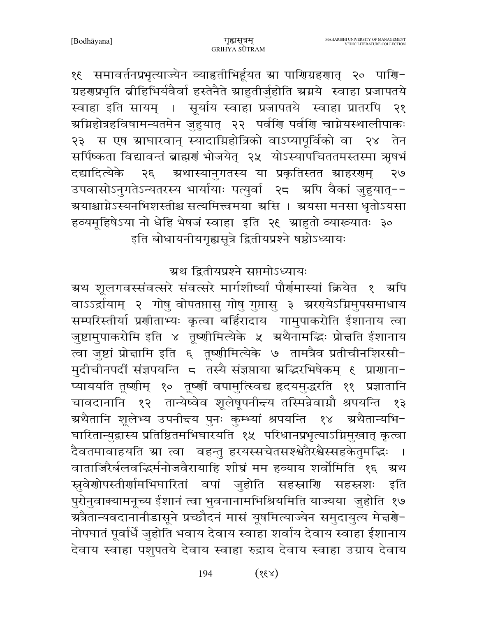१६ समावर्तनप्रभृत्याज्येन व्याहृतीभिर्हूयत स्रा पाणिग्रहणात् २० पाणि− ग्रहणप्रभृति व्रीहिभिर्यवैर्वा हस्तेनैते स्राहुतीर्जुहोति स्रग्नये स्वाहा प्रजापतये स्वाहा इति सायम् । सूर्याय स्वाहा प्रजापतये स्वाहा प्रातरपि २१ ग्रमिहोत्रहविषामन्यतमेन जुहुयात् २२ पर्वणि पर्वणि चाम्नेयस्थालीपाकः २३ स एष ग्राघारवान् स्यादाम्निहोत्रिको वाऽप्यापूर्विको वा २४ तेन सर्पिष्कता विद्यावन्तं ब्राह्मणं भोजयेत् २५ योऽस्यापचिततमस्तस्मा ऋषभं ग्रथास्यानुगतस्य या प्रकृतिस्तत स्राहररणम् दद्यादित्येके २६  $\partial \mathcal{E}$ उपवासोऽनुगतेऽन्यतरस्य भार्यायाः पत्युर्वा २८ अपि वैकां जुहुयात्--ग्र्ययाश्चाग्नेऽस्यनभिशस्तीश्च सत्यमित्त्वमया ग्रसि । ग्रयसा मनसा धृतोऽयसा हव्यमूहिषेऽया नो धेहि भेषजं स्वाहा इति २६ म्राहुतो व्याख्यातः ३० इति बोधायनीयगृह्यसूत्रे द्वितीयप्रश्ने षष्ठोऽध्यायः

### ग्रथ द्वितीयप्रश्ने सप्तमोऽध्यायः

ग्रथ शूलगवस्संवत्सरे संवत्सरे मार्गशीष्यां पौर्णमास्यां क्रियेत १ अपि वाऽऽर्द्रायाम् २ गोषु वोपतप्तासु गोषु गुप्तासु ३ श्रररायेऽग्निमुपसमाधाय सम्परिस्तीर्या प्रणीताभ्यः कृत्वा बर्हिरादाय गामुपाकरोति ईशानाय त्वा जुष्टामुपाकरोमि इति ४ तृष्णीमित्येके ५ अथैनामद्भिः प्रोत्तति ईशानाय त्वा जुष्टां प्रोन्नामि इति ६ तूष्णीमित्येके ७ तामत्रैव प्रतीचीनशिरसी-मुदीचीनपदीं संज्ञपयन्ति ८ तस्यै संज्ञप्ताया अद्भिरभिषेकम् ६ प्राणाना− .<br>प्याययति तूष्णीम् १० तूष्णीं वपामुत्स्विद्य हृदयमुद्धरति ११ प्रज्ञातानि चावदानानि १२ तान्येष्वेव शूलेषूपनीच्य तस्मिन्नेवाग्नौ श्रपयन्ति १३ ग्रथैतानि शूलेभ्य उपनीद्त्य पुनः कुम्भ्यां श्रपयन्ति १४ अथैतान्यभि− घारितान्युद्रास्य प्रतिष्ठितमभिघारयति १५ परिधानप्रभृत्याऽग्निमुखात् कृत्वा दैवतमावाहयति स्रा त्वा वहन्तु हरयस्सचेतसश्श्वेतैरश्वैस्सहकेतुमद्भिः । वाताजिरैर्बलवद्धिर्मनोजवैरायाहि शीघ्रं मम हव्याय शर्वोमिति १६ अ्थ स्रुवेणोपस्तीर्णामभिघारितां वपां जुहोति सहस्राणि सहस्रशः इति पुरोनुवाक्यामनूच्य ईशानं त्वा भुवनानामभिश्रियमिति याज्यया जुहोति १७ ग्रत्रैतान्यवदानानीडासूने प्रच्छौदनं मासं यूषमित्याज्येन समुदायुत्य मेच्चणे− नोपघातं पूर्वार्धे जुहोति भवाय देवाय स्वाहा शर्वाय देवाय स्वाहा ईशानाय देवाय स्वाहा पशुपतये देवाय स्वाहा रुद्राय देवाय स्वाहा उग्राय देवाय

> $(x3)$ 194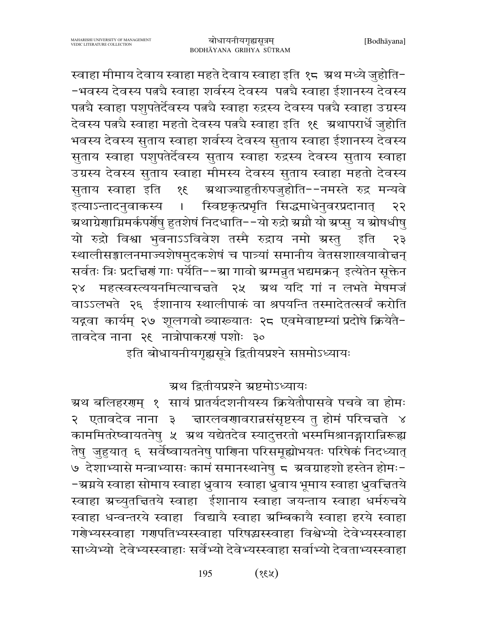स्वाहा मीमाय देवाय स्वाहा महते देवाय स्वाहा इति १८ अथ मध्ये जुहोति--भवस्य देवस्य पत्न्चै स्वाहा शर्वस्य देवस्य पत्न्चै स्वाहा ईशानस्य देवस्य पत्नचै स्वाहा पशुपतेर्देवस्य पत्नचै स्वाहा रुद्रस्य देवस्य पत्नचै स्वाहा उग्रस्य देवस्य पत्न्चै स्वाहा महतो देवस्य पत्नचै स्वाहा इति १६ ग्रथापरार्धे जुहोति भवस्य देवस्य सुताय स्वाहा शर्वस्य देवस्य सुताय स्वाहा ईशानस्य देवस्य सुताय स्वाहा पशुपतेर्देवस्य सुताय स्वाहा रुद्रस्य देवस्य सुताय स्वाहा उग्रस्य देवस्य सुताय स्वाहा मीमस्य देवस्य सुताय स्वाहा महतो देवस्य सुताय स्वाहा इति ग्र्रथाज्याहुतीरुपजुहोति−−नमस्ते रुद्र मन्यवे  $38$ स्विष्टकृत्प्रभृति सिद्धमाधेनुवरप्रदानात् इत्याऽन्तादनुवाकस्य २२  $\mathbf{L}$ अथाग्रेणाग्निमर्कपर्णेषु हुतशेषं निदधाति−−यो रुद्रो स्रप्नौ यो स्रप्सु य स्रोषधीषु यो रुद्रो विश्वा भुवनाऽऽविवेश तस्मै रुद्राय नमो ग्रस्तु इति २३ स्थालीसङ्गालनमाज्यशेषमुदकशेषं च पात्र्यां समानीय वेतसशाखयावोत्तन् सर्वतः त्रिः प्रदच्चिणं गाः पर्येति--स्रा गावो स्रग्मन्नुत भद्यमक्रन् इत्येतेन सूक्तेन २४ महत्स्वस्त्ययनमित्याचन्नते २५ ग्रथ यदि गां न लभते मेषमजं वाऽऽलभते २६ ईशानाय स्थालीपाकं वा श्रपयन्ति तस्मादेतत्सर्वं करोति यद्गवा कार्यम् २७ शूलगवो व्याख्यातः २८ एवमेवाष्टम्यां प्रदोषे क्रियेतै-तावदेव नाना २९ नात्रोपाकरणं पशोः ३०

इति बोधायनीयगृह्यसूत्रे द्वितीयप्रश्ने सप्तमोऽध्यायः

ग्रथ द्वितीयप्रश्ने ग्रष्टमोऽध्यायः

ग्रथ बलिहरणम् १ सायं प्रातर्यदशनीयस्य क्रियेतौपासवे पचवे वा होमः २ एतावदेव नाना ३ दाारलवणावरान्नसंसृष्टस्य तु होमं परिचत्तते ४ काममितरेष्वायतनेषु ५ अथ यद्येतदेव स्यादुत्तरतो भस्ममिश्रानङ्गारान्निरूह्य तेषु जुहुयात् ६ सर्वेष्वायतनेषु पारिाना परिसमूह्योभयतः परिषेकं निदध्यात् ७ देशाभ्यासे मन्त्राभ्यासः कामं समानस्थानेषु ८ अवग्राहशो हस्तेन होमः--ग्रग्नये स्वाहा सोमाय स्वाहा ध्रुवाय)स्वाहा ध्रुवाय भूमाय स्वाहा ध्रुवच्तितये स्वाहा ग्रच्युतचितये स्वाहा ईशानाय स्वाहा जयन्ताय स्वाहा धर्मरुचये स्वाहा धन्वन्तरये स्वाहा विद्यायै स्वाहा ग्रम्बिकायै स्वाहा हरये स्वाहा गरेभ्यस्स्वाहा गरापतिभ्यस्स्वाहा परिषद्मस्स्वाहा विश्वेभ्यो देवेभ्यस्स्वाहा साध्येभ्यो देवेभ्यस्स्वाहाः सर्वेभ्यो देवेभ्यस्स्वाहा सर्वाभ्यो देवताभ्यस्स्वाहा

> $(x3)$ 195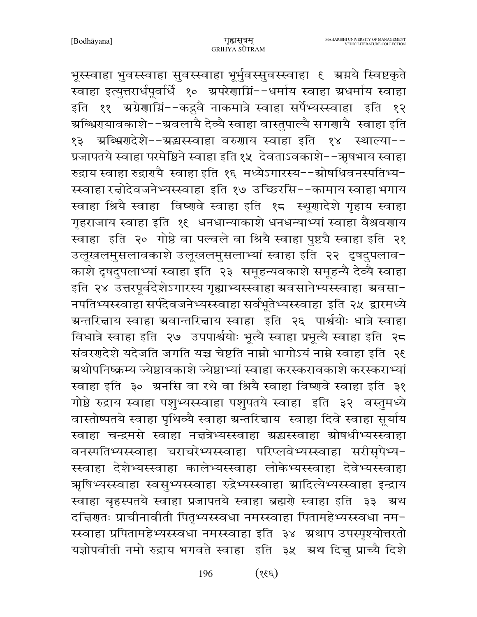भूस्स्वाहा भुवस्स्वाहा सुवस्स्वाहा भूर्भुवस्सुवस्स्वाहा ६ ग्रग्नये स्विष्टकृते स्वाहा इत्युत्तरार्धपूर्वार्धे १० ग्रपरेणाग्निं--धर्माय स्वाहा ग्रधर्माय स्वाहा इति ११ अग्रेणाग्निं--कद्रुवै नाकमात्रे स्वाहा सर्पेभ्यस्स्वाहा इति १२ ग्रब्भिरायावकाशे−−ग्रवलायै देव्यै स्वाहा वास्तुपाल्यै सगराायै स्वाहा इति १३ अञ्भिरादेशे--अद्यस्स्वाहा वरुगाय स्वाहा इति १४ स्थाल्या--प्रजापतये स्वाहा परमेष्ठिने स्वाहा इति १५ देवताऽवकाशे--ऋषभाय स्वाहा रुद्राय स्वाहा रुद्रारायै स्वाहा इति १६ मध्येऽगारस्य--ग्रोषधिवनस्पतिभ्य-स्स्वाहा रच्चोदेवजनेभ्यस्स्वाहा इति १७ उच्छिरसि--कामाय स्वाहा भगाय स्वाहा श्रियै स्वाहा विष्णवे स्वाहा इति १८ स्थूणादेशे गृहाय स्वाहा गृहराजाय स्वाहा इति १६ धनधान्याकाशे धनधन्याभ्यां स्वाहा वैश्रवणाय स्वाहा इति २० गोष्ठे वा पल्वले वा श्रियै स्वाहा पुष्टचै स्वाहा इति २१ उलूखलमुसलावकाशे उलूखलमुसलाभ्यां स्वाहा इति २२ दृषदुपलाव-काशे दृषदुपलाभ्यां स्वाहा इति २३ समूहन्यवकाशे समूहन्यै देव्यै स्वाहा इति २४ उत्तरपूर्वदेशेऽगारस्य गृह्याभ्यस्स्वाहा ग्रवसानेभ्यस्स्वाहा ग्रवसा-नपतिभ्यस्स्वाहा सर्पदेवजनेभ्यस्स्वाहा सर्वभूतेभ्यस्स्वाहा इति २५ द्वारमध्ये ग्रन्तरित्ताय स्वाहा ग्रवान्तरित्ताय स्वाहा इति २६ पार्श्वयोः धात्रे स्वाहा विधात्रे स्वाहा इति २७ उपपार्श्वयोः भूत्यै स्वाहा प्रभूत्यै स्वाहा इति २८ संवरणदेशे यदेजति जगति यच्च चेष्टति नाम्नो भागोऽयं नाम्ने स्वाहा इति २६ ग्रथोपनिष्क्रम्य ज्येष्ठावकाशे ज्येष्ठाभ्यां स्वाहा करस्करावकाशे करस्कराभ्यां स्वाहा इति ३० ग्रनसि वा रथे वा श्रियै स्वाहा विष्णुवे स्वाहा इति ३१ गोष्ठे रुद्राय स्वाहा पशुभ्यस्स्वाहा पशुपतये स्वाहा इति ३२ वस्तुमध्ये वास्तोष्पतये स्वाहा पृथिव्यै स्वाहा ग्रन्तरिज्ञाय स्वाहा दिवे स्वाहा सूर्याय स्वाहा चन्द्रमसे स्वाहा नन्नत्रेभ्यस्स्वाहा ग्रद्धास्स्वाहा ग्रोषधीभ्यस्स्वाहा वनस्पतिभ्यस्स्वाहा चराचरेभ्यस्स्वाहा परिप्लवेभ्यस्स्वाहा सरीसृपेभ्य-स्स्वाहा देशेभ्यस्स्वाहा कालेभ्यस्स्वाहा लोकेभ्यस्स्वाहा देवेभ्यस्स्वाहा ऋषिभ्यस्स्वाहा स्वसुभ्यस्स्वाहा रुद्रेभ्यस्स्वाहा म्रादित्येभ्यस्स्वाहा इन्द्राय स्वाहा बृहस्पतये स्वाहा प्रजापतये स्वाहा ब्रह्मणे स्वाहा इति ३३ अथ दच्चिरातः प्राचीनावीती पितृभ्यस्स्वधा नमस्स्वाहा पितामहेभ्यस्स्वधा नम-स्स्वाहा प्रपितामहेभ्यस्स्वधा नमस्स्वाहा इति ३४ अथाप उपस्पृश्योत्तरतो यज्ञोपवीती नमो रुद्राय भगवते स्वाहा इति ३५ अथ दिन्नु प्राच्यै दिशे

> $(33)$ 196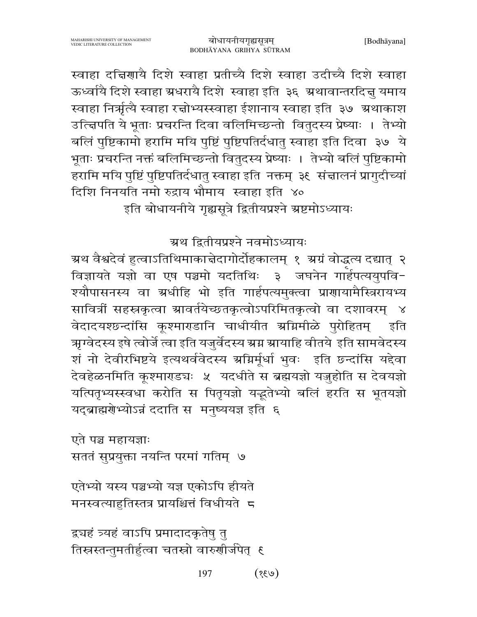स्वाहा दत्तिराायै दिशे स्वाहा प्रतीच्यै दिशे स्वाहा उदीच्यै दिशे स्वाहा ऊर्ध्वायै दिशे स्वाहा ग्रधरायै दिशे स्वाहा इति ३६ ग्रथावान्तरदित्तु यमाय स्वाहा निर्भृत्यै स्वाहा रच्चोभ्यस्स्वाहा ईशानाय स्वाहा इति ३७ अथाकाश उत्त्विपति ये भूताः प्रचरन्ति दिवा वलिमिच्छन्तो वितुदस्य प्रेष्याः । तेभ्यो बलिं पुष्टिकामो हरामि मयि पुष्टिं पुष्टिपतिर्दधातु स्वाहा इति दिवा ३७ ये भूताः प्रचरन्ति नक्तं बलिमिच्छन्तो वितुदस्य प्रेष्याः । तेभ्यो बलिं पुष्टिकामो हरामि मयि पुष्टिं पुष्टिपतिर्दधातु स्वाहा इति नक्तम् ३६ संज्ञालनं प्रागुदीच्यां दिशि निनयति नमो रुद्राय भौमाय स्वाहा इति ४०

इति बोधायनीये गृह्यसूत्रे द्वितीयप्रश्ने ग्रष्टमोऽध्यायः

## ग्रथ द्वितीयप्रश्ने नवमोऽध्यायः

ग्रथ वैश्वदेवं हुत्वाऽतिथिमाकाचेदागोर्दोहकालम् १ ग्रग्रं वोद्धत्य दद्यात् २ विज्ञायते यज्ञो वा एष पञ्चमो यदतिथिः ३ जघनेन गार्हपत्ययुपवि-श्यौपासनस्य वा ग्रधीहि भो इति गार्हपत्यमुक्त्वा प्राणायामैस्त्रिरायभ्य सावित्रीं सहस्रकृत्वा ग्रावर्तयेच्छतकृत्वोऽपरिमितकृत्वो वा दशावरम् ४ वेदादयश्छन्दांसि कूश्माराडानि चाधीयीत ग्रग्निमीळे पुरोहितम् इति ऋग्वेदस्य इषे त्वोर्जे त्वा इति यजुर्वेदस्य ग्रग्न ग्रायाहि वीतये इति सामवेदस्य शं नो देवीरभिष्टये इत्यथर्ववेदस्य ग्रग्निर्मूर्धा भुवः इति छन्दांसि यद्देवा देवहेळनमिति कूश्माराडचः ५ यदधीते स ब्रह्मयज्ञो यजुहोति स देवयज्ञो यत्पितृभ्यस्स्वधा करोति स पितृयज्ञो यद्भुतेभ्यो बलिं हरति स भूतयज्ञो यद्ब्राह्मणेभ्योऽन्नं ददाति स मनुष्ययज्ञ इति ६

एते पञ्च महायज्ञाः सततं सुप्रयुक्ता नयन्ति परमां गतिम् ७

एतेभ्यो यस्य पञ्चभ्यो यज्ञ एकोऽपि हीयते मनस्वत्याहृतिस्तत्र प्रायश्चित्तं विधीयते 5

द्र्यहं त्र्यहं वाऽपि प्रमादादकृतेषु तु तिस्रस्तन्तुमतीर्हुत्वा चतस्रो वारुणीर्जपेत् ६

> $(\psi$ 33) 197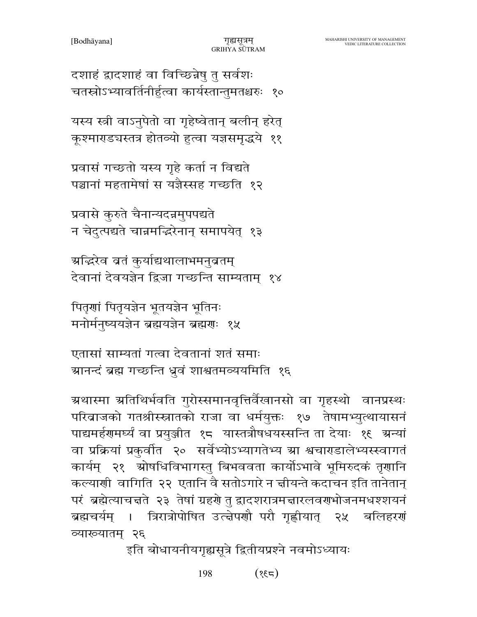198  $(73)$ 

इति बोधायनीयगृह्यसूत्रे द्वितीयप्रश्ने नवमोऽध्यायः

ग्रथास्मा ग्रतिथिर्भवति गुरोस्समानवृत्तिर्वैखानसो वा गृहस्थो वानप्रस्थः परिवाजको गतश्रीस्स्नातको राजा वा धर्मयुक्तः १७ तेषामभ्युत्थायासनं पाद्यमर्हणमर्घ्यं वा प्रयुञ्जीत १८ यास्तत्रौषधयस्सन्ति ता देयाः १६ ग्रन्यां वा प्रक्रियां प्रकुर्वात २० सर्वेभ्योऽभ्यागतेभ्य स्रा श्वचाराडालेभ्यस्स्वागतं कार्यम् २१ स्रोषधिविभागस्तु बिभववता कार्योऽभावे भूमिरुदकं तृणानि कल्याणी वागिति २२ एतानि वै सतोऽगारे न चीयन्ते कदाचन इति तानेतान् परं ब्रह्मेत्याचत्तते २३ तेषां ग्रहणे तु द्वादशरात्रमत्तारलवणभोजनमधश्शयनं ब्रह्मचर्यम् । त्रिरात्रोपोषित उत्त्वेपर्णौ परौ गृह्णीयात् २५ बलिहरणं व्याख्यातम् २६

एतासां साम्यतां गत्वा देवतानां शतं समाः ग्रानन्दं ब्रह्म गच्छन्ति ध्रुवं शाश्वतमव्ययमिति १६

पितृणां पितृयज्ञेन भूतयज्ञेन भूतिनः मनोर्मनुष्ययज्ञेन ब्रह्मयज्ञेन ब्रह्मणः १५

ग्रद्धिव वतं कुर्याद्यथालाभमनुव्रतम् देवानां देवयज्ञेन द्विजा गच्छन्ति साम्यताम् १४

प्रवासे कुरुते चैनान्यदन्नमुपपद्यते न चेदुत्पद्यते चान्नमद्भिरेनान् समापयेत् १३

प्रवासं गच्छतो यस्य गृहे कर्ता न विद्यते पञ्चानां महतामेषां स यज्ञैस्सह गच्छति १२

यस्य स्त्री वाऽनुपेतो वा गृहेष्वेतान् बलीन् हरेत् कूश्माराड्यस्तत्र होतव्यो हुत्वा यज्ञसमृद्धये ११

दशाहं द्वादशाहं वा विच्छिन्नेषु तु सर्वशः चतस्रोऽभ्यावर्तिनीर्हुत्वा कार्यस्तान्तुमतश्चरुः १०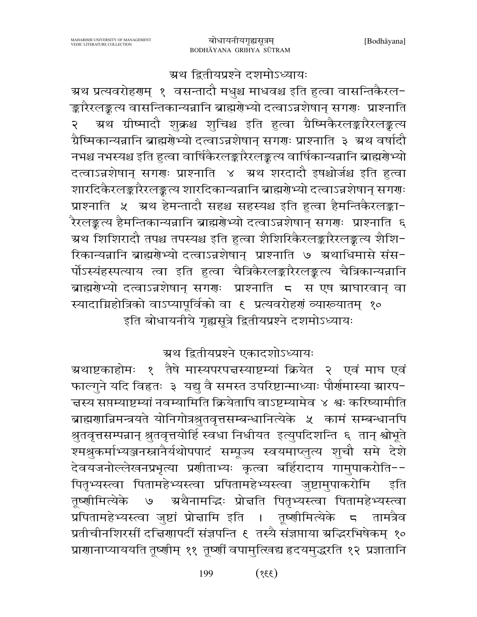#### ग्रथ द्वितीयप्रश्ने दशमोऽध्यायः

ग्रथ प्रत्यवरोहरणम् १ वसन्तादौ मधुश्च माधवश्च इति हुत्वा वासन्तिकैरल− ङ्कारैरलङ्कत्य वासन्तिकान्यन्नानि ब्राह्मणेभ्यो दत्वाऽन्नशेषान् सगणः प्राश्नाति ग्रथ ग्रीष्मादौ शुक्रश्च शुचिश्च इति हुत्वा ग्रैष्मिकैरलङ्कारैरलङ्कत्य २ ग्रैष्मिकान्यन्नानि ब्राह्मगेभ्यो दत्वाऽन्नशेषान् सगगः प्राश्नाति ३ अथ वर्षादौ नभश्च नभस्यश्च इति हुत्वा वार्षिकैरलङ्कारैरलङ्कत्य वार्षिकान्यन्नानि ब्राह्मग्रेभ्यो दत्वाऽन्नशेषान् सगराः प्राश्नाति ४ अ्थ शरदादौ इषश्चोर्जश्च इति हुत्वा शारदिकैरलङ्कारैरलङ्कत्य शारदिकान्यन्नानि ब्राह्मणेभ्यो दत्वाऽन्नशेषान् सगणः प्राश्नाति ५ अथ हेमन्तादौ सहश्च सहस्यश्च इति हुत्वा हैमन्तिकैरलङ्का-.<br>रैरलङ्कत्य हैमन्तिकान्यन्नानि ब्राह्मणेभ्यो दत्वाऽन्नशेषान् सग<mark>णः प्रा</mark>श्नाति ६ म्रथ शिशिरादौ तपश्च तपस्यश्च इति हुत्वा शैशिरिकैरलङ्कारैरलङ्कत्य शैशि− रिकान्यन्नानि ब्राह्मणेभ्यो दत्वाऽन्नशेषान् प्राश्नाति ७ ग्रथाधिमासे संस-र्पोऽस्यंहस्पत्याय त्वा इति हुत्वा चैत्रिकैरलङ्कारैरलङ्कत्य चैत्रिकान्यन्नानि ब्राह्मरोभ्यो दत्वाऽन्नशेषान् सगराः प्राश्नाति ८ स एष स्राघारवान् वा स्यादाग्निहोत्रिको वाऽप्यापूर्विको वा ६ प्रत्यवरोहर्गं व्याख्यातम् १० इति बोधायनीये गृह्यसूत्रे द्वितीयप्रश्ने दशमोऽध्यायः

### ग्रथ द्वितीयप्रश्ने एकादशोऽध्यायः

ग्रथाष्टकाहोमः १ तैषे मास्यपरपत्तस्याष्टम्यां क्रियेत २ एवं माघ एवं फाल्गुने यदि विहृतः ३ यद्यु वै समस्त उपरिष्टान्माध्याः पौर्णमास्या ग्रारप-च्चस्य सप्तम्याष्टम्यां नवम्यामिति क्रियेतापि वाऽष्टम्यामेव ४ श्वः करिष्यामीति ब्राह्मणान्निमन्त्रयते योनिगोत्रश्रुतवृत्तसम्बन्धानित्येके ५ कामं सम्बन्धानपि श्रुतवृत्तसम्पन्नान् श्रुतवृत्तयोर्हि स्वधा निधीयत इत्युपदिशन्ति ६ तान् श्वोभूते श्मश्रुकर्माभ्यञ्जनस्नानैर्यथोपपादं सम्पूज्य स्वयमाप्लुत्य शुचौ समे देशे देवयजनोल्लेखनप्रभृत्या प्रणीताभ्यः कृत्वा बर्हिरादाय गामुपाकरोति--पितृभ्यस्त्वा पितामहेभ्यस्त्वा प्रपितामहेभ्यस्त्वा जुष्टामुपाकरोमि इति ग्रथैनामद्धिः प्रोत्तति पितृभ्यस्त्वा पितामहेभ्यस्त्वा तष्णीमित्येके  $\Theta$ प्रपितामहेभ्यस्त्वा जुष्टां प्रोन्नामि इति । तूष्णीमित्येके ८ तामत्रैव प्रतीचीनशिरसीं दच्चिणापदीं संज्ञपन्ति ६ तस्यै संज्ञप्ताया ग्रद्धिरभिषेकम् १० प्राणानाप्याययति तूष्णीम् ११ तूष्णीं वपामुत्खिद्य हृदयमुद्धरति १२ प्रज्ञातानि

> 199  $(33)$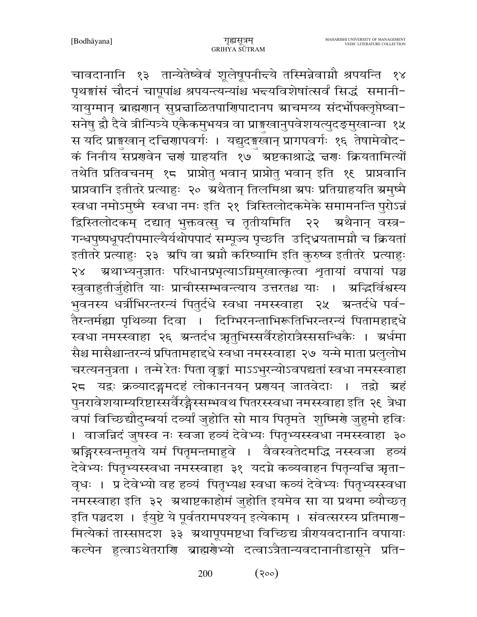चावदानानि १३ तान्येतेष्वेवं शूलेषूपनी<del>द</del>ये तस्मिन्नेवाग्नौ श्रपयन्ति १४ पृथङ्गांसं चौदनं चापूपांश्च श्रपयन्त्यन्यांश्च भन्त्यविशेषांत्सर्वं सिद्धं समानी-यायुग्मान् ब्राह्मणान् सुप्रत्नाळितपाणिपादानप स्राचमय्य संदर्भोपक्लृप्तेष्वा-सनेषु द्वौ दैवे त्रीन्पित्र्ये एकैकमुभयत्र वा प्राङ्गुखानुपवेशयत्युदङ्मुखान्वा १५ स यदि प्राङ्गखान् दचिरणापवर्गः । यद्युदङ्खान् प्रागपवर्गः १६ तेषामेवोद− कं निनीय सप्रणवेन चर्ण ग्राहयति १७ँ ग्रष्टकाश्राद्धे चर्णः क्रियतामित्यों तथेति प्रतिवचनम् १८ प्राप्नोतु भवान् प्राप्नोतु भवान् इति १६ प्राप्नवानि प्राप्नवानि इतीतरे प्रत्याहुः २० अथैतान् तिलमिश्रा अपः प्रतिग्राहयति अमुष्मै स्वधा नमोऽमुष्मै स्वधा नमः इति २१ त्रिस्तिलोदकमेके समामनन्ति पुरोऽन्नं द्विस्तिलोदकम् दद्यात् भुक्तवत्सु च तृतीयमिति २२ ऋथैनान् वस्त्र− गन्धपुष्पधूपदीपमाल्यैर्यथोपपादं सम्पूज्य पृच्छति उद्धियतामग्नौ च क्रियतां इतीतरे प्रत्याहुः २३ अपि वा अमौ करिष्यामि इति कुरुष्व इतीतरे प्रत्याहुः २४ - अथाभ्यनुज्ञातः परिधानप्रभृत्याऽम्रिमुखात्कृत्वा शृतायां वपायां पञ्च स्त्रुवाहुतीर्जुहोति याः प्राचीस्सम्भवन्त्याय उत्तरतश्च याः । अद्भिर्विश्वस्य भुवनस्य धर्त्रीभिरन्तरन्यं पितुर्दधे स्वधा नमस्स्वाहा २५ ग्रन्तर्दधे पर्व-तैरन्तर्मह्या पृथिव्या दिवा । दिग्भिरनन्ताभिरूतिभिरन्तरन्यं पितामहाद्दधे स्वधा नमस्स्वाहा २६ ग्रन्तर्दध ऋतुभिस्सर्वैरहोरात्रैस्ससन्धिकैः । ग्रर्धमा सैश्च मासैश्चान्तरन्यं प्रपितामहाद्दधे स्वधा नमस्स्वाहा २७ यन्मे माता प्रलुलोभ चरत्यननुत्रता । तन्मे रेतः पिता वृङ्कां माऽऽभुरन्योऽवपद्यतां स्वधा नमस्स्वाहा २८ यद्वः क्रव्यादङ्गमदहं लोकाननयन् प्रगयन् जातवेदाः । तद्वो अहं पुनरावेशयाम्यरिष्टास्सर्वैरङ्गैस्सम्भवथ पितरस्स्वधा नमस्स्वाहा इति २६ त्रेधा वपां विच्छिद्यौदुम्बर्या दव्यां जुहोति सो माय पितृमते शुष्मिर्णे जुहुमो हविः । वाजन्निदं जुषस्व नः स्वजा हव्यं देवेभ्यः पितृभ्यस्स्वधा नमस्स्वाहा ३० ग्रङ्गिरस्वन्तमूतये यमं पितृमन्तमाहुवे । वैवस्वतेदमद्धि नस्स्वजा हव्यं देवेभ्यः पितृभ्यस्स्वधा नमस्स्वाहा ३१ यदग्ने कव्यवाहन पितृन्यचि ऋता− वृधः । प्र देवेभ्यो वह हव्यं पितृभ्यश्च स्वधा कव्यं देवेभ्यः पितृभ्यस्स्वधा नमस्स्वाहा इति ३२ अथाष्टकाहोमं जुहोति इयमेव सा या प्रथमा व्यौच्छत् इति पञ्चदश । ईयुष्टे ये पूर्वतरामपश्यन् इत्येकाम् । संवत्सरस्य प्रतिमाण-मित्येकां तास्सप्तदश ३३ अथापूपमष्टधा विच्छिद्य त्रीरायवदानानि वपायाः कल्पेन हुत्वाऽथेतराणि ब्राह्मणेभ्यो दत्वाऽत्रैतान्यवदानानीडासूने प्रति-

> $(300)$ 200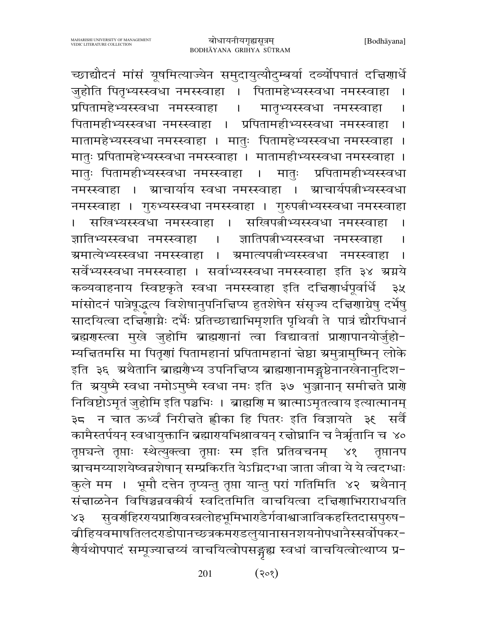च्छाद्यौदनं मांसं यूषमित्याज्येन समुदायुत्यौदुम्बर्या दर्व्योपघातं दत्तिगार्धे जुहोति पितृभ्यस्स्वधा नमस्स्वाहा । पितामहेभ्यस्स्वधा नमस्स्वाहा प्रपितामहेभ्यस्स्वधा नमस्स्वाहा मातृभ्यस्स्वधा नमस्स्वाहा  $\mathbf{I}$ पितामहीभ्यस्स्वधा नमस्स्वाहा । प्रपितामहीभ्यस्स्वधा नमस्स्वाहा मातामहेभ्यस्स्वधा नमस्स्वाहा । मातुः पितामहेभ्यस्स्वधा नमस्स्वाहा । मातुः प्रपितामहेभ्यस्स्वधा नमस्स्वाहा । मातामहीभ्यस्स्वधा नमस्स्वाहा । मातुः पितामहीभ्यस्स्वधा नमस्स्वाहा मातः प्रपितामहीभ्यस्स्वधा  $\mathbf{I}$ ग्राचार्याय स्वधा नमस्स्वाहा नमस्स्वाहा । ग्र्याचार्यपत्नीभ्यस्स्वधा  $-1$ नमस्स्वाहा । गुरुभ्यस्स्वधा नमस्स्वाहा । गुरुपत्नीभ्यस्स्वधा नमस्स्वाहा सखिभ्यस्स्वधा नमस्स्वाहा । सखिपत्नीभ्यस्स्वधा नमस्स्वाहा ज्ञातिभ्यस्स्वधा नमस्स्वाहा ज्ञातिपत्नीभ्यस्स्वधा नमस्स्वाहा  $\Box$ ग्रमात्येभ्यस्स्वधा नमस्स्वाहा ग्रमात्यपतीभ्यस्स्वधा  $\Box$ नमस्स्वाहा  $\mathbf{I}$ सर्वेभ्यस्स्वधा नमस्स्वाहा । सर्वाभ्यस्स्वधा नमस्स्वाहा इति ३४ ग्रग्नये कव्यवाहनाय स्विष्टकृते स्वधा नमस्स्वाहा इति दत्तिशार्धपूर्वार्धे  $32$ मांसोदनं पात्रेषूद्धत्य विशेषानुपनिचिप्य हुतशेषेन संसृज्य दचियाग्रेषु दर्भेषु सादयित्वा दचिंगाग्नैः दर्भैः प्रतिच्छाद्याभिमृशति पृथिवी ते पात्रं द्यौरपिधानं ब्रह्मगस्त्वा मुखे जुहोमि ब्राह्मगानां त्वा विद्यावतां प्रागापानयोर्जुहो-म्यचितमसि मा पितृणां पितामहानां प्रपितामहानां चेष्ठा ग्रमुत्रामुष्मिन् लोके इति ३६ अथैतानि ब्राह्मरैणभ्य उपनिच्चिप्य ब्राह्मरणानामङ्गष्ठेनानखेनानुदिश− ति अ्ययष्मै स्वधा नमोऽमुष्मै स्वधा नमः इति ३७ भुञ्जानान् समीचते प्रारो निविष्टोऽमृतं जुहोमि इति पञ्चभिः । ब्राह्मणि म स्रात्माऽमृतत्वाय इत्यात्मानम् ३८ न चात ऊर्ध्व निरीचते ह्लीका हि पितरः इति विज्ञायते ३९ सर्वै कामैस्तर्पयन् स्वधायुक्तानि ब्रह्मारपयभिश्रावयन् रत्नोघ्नानि च नैर्ऋतानि च ४० तृप्तचन्ते तृप्ताः स्थेत्युक्त्वा तृप्ताः स्म इति प्रतिवचनम्  $88$ तृप्तानप ग्राचमय्याशयेष्वन्नशेषान् सम्प्रकिरति येऽग्निदग्धा जाता जीवा ये ये त्वदग्धाः कुले मम । भूमौ दत्तेन तृप्यन्तु तृप्ता यान्तु परां गतिमिति ४२ अथैनान् संज्ञाळनेन विषिञ्चन्नवकीर्य स्वदितमिति वाचयित्वा दज्ञिणाभिराराधयति सुवर्णहिररयप्राणिवस्त्रलोहभूमिभार्एडैर्गवाश्वाजाविकहस्तिदासपुरुष- $83$ बीहियवमाषतिलदरगडोपानच्छत्रकमराडलुयानासनशयनोपधानैस्सर्वोपकर-रौर्यथोपपादं सम्पूज्याच्चयं वाचयित्वोपसङ्गद्य स्वधां वाचयित्वोत्थाप्य प्र-

> $(305)$ 201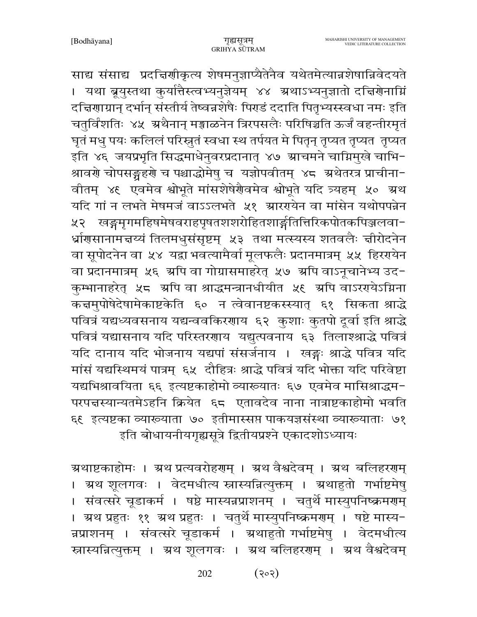साद्य संसाद्य प्रदत्तिशीकृत्य शेषमनुज्ञाप्यैतेनैव यथेतमेत्यान्नशेषान्निवेदयते । यथा ब्रूयुस्तथा कुर्यात्तैस्त्वभ्यनुज्ञेयम् ४४ ग्रथाऽभ्यनुज्ञातो दचिरणेनाम्नि दच्चिणाग्रान् दर्भान् संस्तीर्य तेष्वन्नशेषैः पिराडं ददाति पितृभ्यस्स्वधा नमः इति चतुर्विंशतिः ४५ अथैनान् मङ्गाळनेन त्रिरपसलैः परिषिञ्चति ऊर्जं वहन्तीरमृतं घृतं मधु पयः कलिलं परिस्नुतं स्वधा स्थ तर्पयत मे पितॄन् तृप्यत तृप्यत तृप्यत इति ४६ जयप्रभृति सिद्धमाधेनुवरप्रदानात् ४७ स्राचमने चाम्निमुखे चाभि-श्रावर्णे चोपसङ्ग्रहर्णे च पश्चाद्धोमेषु च यज्ञोपवीतम् ४८ अथेतरत्र प्राचीना− वीतम् ४६ एवमेव श्वोभूते मांसशेषेरौवमेव श्वोभूते यदि त्र्यहम् ५० ग्रथ यदि गां न लभते मेषमजं वाऽऽलभते ५१ म्रारएयेन वा मांसेन यथोपपन्नेन ४२ खङ्गमृगमहिषमेषवराहपृषतशशरोहितशार्ङ्गतित्तिरिकपोतकपिञ्जलवा− र्ध्राणसानामत्तय्यं तिलमधुसंसृष्टम् ५३ तथा मत्स्यस्य शतवलैः त्तीरोदनेन वा सूपोदनेन वा ५४ यद्वा भवत्यामैर्वा मूलफलैः प्रदानमात्रम् ५५ हिररपयेन वा प्रदानमात्रम् ५६ अपि वा गोग्रासमाहरेत् ५७ अपि वाऽनूचानेभ्य उद-कुम्भानाहरेत् ५८ अपि वा श्राद्धमन्त्रानधीयीत ५६ अपि वाऽररयोऽग्निना कचमुपोषेदेषामेकाष्टकेति ६० न त्वेवानष्टकस्स्यात् ६१ सिकता श्राद्धे पवित्रं यद्यध्यवसनाय यद्यन्ववकिरणाय ६२ कुशाः कुतपो दूर्वा इति श्राद्धे पवित्रं यद्यासनाय यदि परिस्तरणाय यद्युत्पवनाय ६३ तिलाश्श्राद्धे पवित्रं यदि दानाय यदि भोजनाय यद्यपां संसर्जनाय । खङ्गः श्राद्धे पवित्र यदि मांसं यद्यस्थिमयं पात्रम् ६५ दौहित्रः श्राद्धे पवित्रं यदि भोक्ता यदि परिवेष्टा यद्यभिश्रावयिता ६६ इत्यष्टकाहोमो व्याख्यातः ६७ एवमेव मासिश्राद्धम-परपत्तस्यान्यतमेऽहनि क्रियेत ६८ एतावदेव नाना नात्राष्टकाहोमो भवति ६९ इत्यष्टका व्याख्याता ७० इतीमास्सप्त पाकयज्ञसंस्था व्याख्याताः ७१ इति बोधायनीयगृह्यसूत्रे द्वितीयप्रश्ने एकादशोऽध्यायः

ग्रथाष्टकाहोमः । ग्रथ प्रत्यवरोहरणम् । ग्रथ वैश्वदेवम् । ग्रथ बलिहररणम् । ग्रथ शूलगवः । वेदमधीत्य स्नास्यन्नित्युक्तम् । ग्रथाहुतो गर्भाष्टमेषु । संवत्सरे चूडाकर्म । षष्ठे मास्यन्नप्राशनम् । चतुर्थे मास्युपनिष्क्रमराम् । अ्रथ प्रहुतः ११ अथ प्रहुतः । चतुर्थे मास्युपनिष्क्रमराम् । षष्टे मास्य-न्नप्राशनम् । संवत्सरे चूडाकर्म । ग्रथाहुतो गर्भाष्टमेषु । वेदमधीत्य स्नास्यन्नित्युक्तम् । ग्रथ शूलगवः । ग्रथ बलिहरणम् । ग्रथ वैश्वदेवम्

> $(305)$ 202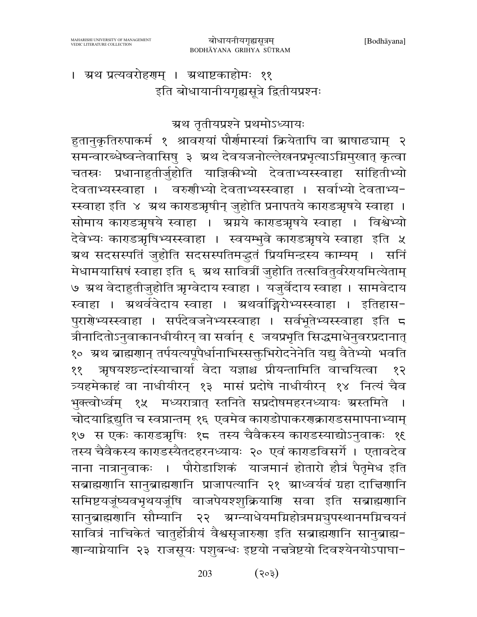। अथ प्रत्यवरोहरणम् । अथाष्टकाहोमः ११ इति बोधायानीयगृह्यसूत्रे द्वितीयप्रश्नः

ग्रथ तृतीयप्रश्ने प्रथमोऽध्यायः

हुतानुकृतिरुपाकर्म १ श्रावरपयां पौर्णमास्यां क्रियेतापि वा ग्राषाढ्याम् २ समन्वारब्धेष्वन्तेवासिषु ३ ग्रथ देवयजनोल्लेखनप्रभृत्याऽग्निमुखात् कृत्वा चतस्त्रः प्रधानाहुतीर्जुहोति याज्ञिकीभ्यो देवताभ्यस्स्वाहा सांहितीभ्यो देवताभ्यस्स्वाहा । वरुणीभ्यो देवताभ्यस्स्वाहा । सर्वाभ्यो देवताभ्य-स्स्वाहा इति ४ अ्थ काराडअृषीन् जुहोति प्रनापतये काराडअृषये स्वाहा । सोमाय काराडअप्रथे स्वाहा । ग्रग्नये काराडअप्रथे स्वाहा । विश्वेभ्यो देवेभ्यः काराडञ्गषिभ्यस्स्वाहा । स्वयम्भुवे काराडञ्गषये स्वाहा इति ५ ग्रथ सदसस्पतिं जुहोति सदसस्पतिमद्धतं प्रियमिन्द्रस्य काम्यम् । सनि .<br>मेधामयासिषं स्वाहा इति ६ अथ सावित्रीं जुहोति तत्सवितुर्वरेरायमित्येताम् ७ ग्रथ वेदाहुतीजुहोति ऋग्वेदाय स्वाहा । यजुर्वेदाय स्वाहा । सामवेदाय स्वाहा । ग्रथर्ववेदाय स्वाहा । ग्रथर्वाङ्गिरोभ्यस्स्वाहा । इतिहास-पुरार्गेभ्यस्स्वाहा । सर्पदेवजनेभ्यस्स्वाहा । सर्वभूतेभ्यस्स्वाहा इति ८ त्रीनादितोऽनुवाकानधीयीरन् वा सर्वान् ६ जयप्रभृति सिद्धमाधेनुवरप्रदानात् १० अथ ब्राह्मणान् तर्पयत्यपूपैर्धानाभिस्सक्तुभिरोदनेनेति यद्यु वैतेभ्यो भवति ऋषयश्छन्दांस्याचार्या वेदा यज्ञाश्च प्रीयन्तामिति वाचयित्वा ११ १२ त्र्यहमेकाहं वा नाधीयीरन् १३ मासं प्रदोषे नाधीयीरन् १४ नित्यं चैव भुक्त्वोर्ध्वम् १५ मध्यरात्रात् स्तनिते सप्रदोषमहरनध्यायः ग्रस्तमिते चोदयाद्रिद्युति च स्वप्नान्तम् १६ एवमेव काराडोपाकररणक्राराडसमापनाभ्याम् १७) स एकः काराडऋषिः १८ तस्य चैवैकस्य काराडस्याद्योऽनुवाकः १६ तस्य चैवैकस्य काराडस्यैतदहरनध्यायः २० एवं काराडविसर्गे । एतावदेव नाना नात्रानुवाकः । पौरोडाशिकं याजमानं होतारो हौत्रं पैतृमेध इति सब्राह्मणानि सानुब्राह्मणानि प्राजापत्यानि २१ स्राध्वर्यवं ग्रहा दाद्मिणानि समिष्टयजूंष्यवभृथयजूंषि वाजपेयश्शुक्रियाणि सवा इति सब्राह्मणानि सानुबाह्मणानि सौम्यानि २२ अग्न्याधेयमग्निहोत्रमग्नञुपस्थानमग्निचयनं सावित्रं नाचिकेतं चातुर्होत्रीयं वैश्वसृजारुणा इति सब्राह्मणानि सानुब्राह्म-णान्याग्नेयानि २३ राजसूयः पशुबन्धः इष्टयो नचत्रेष्टयो दिवश्येनयोऽपाघा−

> 203  $(303)$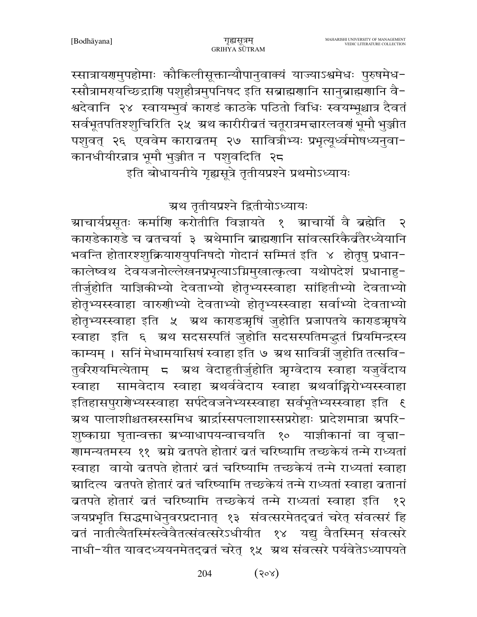स्सात्रायणमुपहोमाः कौकिलीसूक्तान्यौपानुवाक्यं याज्याऽश्वमेधः पुरुषमेध-स्सौत्रामरायच्छिद्राणि पशुहौत्रमुपनिषद इति सब्राह्मणानि सानुब्राह्मणानि वै− श्वदेवानि २४ स्वायम्भुवं काराडं काठके पठितो विधिः स्वयम्भूश्चात्र दैवतं सर्वभूतपतिश्शुचिरिति २५ अथ कारीरीव्रतं चतूरात्रमचारलवर्गं भूमौ भुञ्जीत पशुवत् २६ एववेम काराब्रतम् २७ सावित्रीभ्यः प्रभृत्यूर्ध्वमोषध्यनुवा-कानधीयीरन्नात्र भूमौ भुञ्जीत न पशुवदिति २८ इति बोधायनीये गृह्यसूत्रे तृतीयप्रश्ने प्रथमोऽध्यायः

ग्रथ तृतीयप्रश्ने द्वितीयोऽध्यायः

ग्राचार्यप्रसूतः कर्माणि करोतीति विज्ञायते १ ग्राचार्यो वै ब्रह्मेति  $\overline{\mathcal{R}}$ काराडेकाराडे च ब्रतचर्या ३ अथेमानि ब्राह्मर्णानि सांवत्सरिकैर्व्वतैरध्येयानि भवन्ति होतारश्शक्रियारययपनिषदो गोदानं सम्मितं इति ४ होतृषु प्रधान-कालेष्वथ देवयजनोल्लेखनप्रभृत्याऽग्निमुखात्कृत्वा यथोपदेशं प्रधानाहु-तीर्जुहोति याज्ञिकीभ्यो देवताभ्यो होतृभ्यस्स्वाहा सांहितीभ्यो देवताभ्यो होतृभ्यस्स्वाहा वारुणीभ्यो देवताभ्यो होतृभ्यस्स्वाहा सर्वाभ्यो देवताभ्यो होतृभ्यस्स्वाहा इति ५ अथ काराडअर्षि जुहोति प्रजापतये काराडअपथे स्वाहा इति ६ ग्रथं सदसस्पतिं जुहोति सदसस्पतिमद्भुतं प्रियमिन्द्रस्य काम्यम् । सनिं मेधामयासिषं स्वाहा इति ७ ग्रथ सावित्रीं जुहोति तत्सवि-तुर्वरेरायमित्येताम् ८ ग्रथ वेदाहुतीर्जुहोति ऋग्वेदाय स्वाहा यजुर्वेदाय स्वाहा सामवेदाय स्वाहा ग्रथर्ववेदाय स्वाहा ग्रथर्वाङ्गिरोभ्यस्स्वाहा इतिहासपुरार्येभ्यस्स्वाहा सर्पदेवजनेभ्यस्स्वाहा सर्वभूतेभ्यस्स्वाहा इति १ ग्रथ पालाशीश्चतस्रस्समिध ग्रार्द्रास्सपलाशास्सप्ररोहाः प्रादेशमात्रा ग्रपरि-शुष्काग्रा घृतान्वक्ता स्रभ्याधापयन्वाचयति १० याज्ञीकानां वा वृत्ता− गामन्यतमस्य ११ अग्ने ब्रतपते होतारं ब्रतं चरिष्यामि तच्छकेयं तन्मे राध्यतां स्वाहा वायो ब्रतपते होतारं ब्रतं चरिष्यामि तच्छकेयं तन्मे राध्यतां स्वाहा ग्रादित्य ब्रतपते होतारं ब्रतं चरिष्यामि तच्छकेयं तन्मे राध्यतां स्वाहा ब्रतानां ब्रतपते होतारं बतं चरिष्यामि तच्छकेयं तन्मे राध्यतां स्वाहा इति  $59$ जयप्रभृति सिद्धमाधेनुवरप्रदानात् १३ संवत्सरमेतद्व्रतं चरेत् संवत्सरं हि बतं नातीत्यैतस्मिंस्त्वेवैतत्संवत्सरेऽधीयीत १४ यद्यु वैतस्मिन् संवत्सरे नाधी-यीत यावदध्ययनमेतद्बतं चरेत् १५ अथ संवत्सरे पर्यवेतेऽध्यापयते

> $(80x)$ 204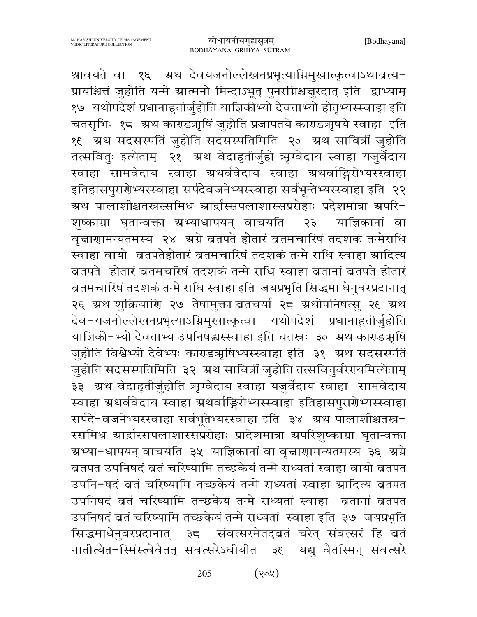श्रावयते वा १६ ऋथ देवयजनोल्लेखनप्रभृत्याग्निमुखात्कृत्वाऽथाब्रत्य-प्रायश्चित्तं जुहोति यन्मे ग्रात्मनो मिन्दाऽभूत् पुनरग्निश्चचुरदात् इति द्वाभ्याम् १७ यथोपदेशं प्रधानाहुतीर्जुहोति याज्ञिकीभ्यो देवताभ्यो होतृभ्यस्स्वाहा इति चतसृभिः १८ अथ काराडअृषिं जुहोति प्रजापतये काराडअृषये स्वाहा इति १६ अथ सदसस्पतिं जुहोति सदसस्पतिमिति २० अथ सावित्रीं जुहोति तत्सवितुः इत्येताम् २१ अथ वेदाहुतीर्जुहो ऋग्वेदाय स्वाहा यजुर्वेदाय स्वाहा सामवेदाय स्वाहा ग्रथर्ववेदाय स्वाहा ग्रथर्वाङ्गिरोभ्यस्स्वाहा इतिहासपुरारोभ्यस्स्वाहा सर्पदेवजनेभ्यस्स्वाहा सर्वभून्तेभ्यस्स्वाहा इति २२ ग्रथ पालाशीश्चतस्रस्समिध ग्रार्द्रांस्सपलाशास्सप्ररोहाः प्रदेशमात्रा ग्रपरि-शष्काग्रा घुतान्वक्ता ग्रभ्याधापयन् वाचयति २३ याज्ञिकानां वा वृत्ताणामन्यतमस्य २४ अग्रे ब्रतपते होतारं ब्रतमचारिषं तदशकं तन्मेराधि स्वाहा वायो व्रतपतेहोतारं व्रतमचारिषं तदशकं तन्मे राधि स्वाहा ग्रादित्य ब्रतपते होतारं ब्रतमचरिषं तदशकं तन्मे राधि स्वाहा ब्रतानां ब्रतपते होतारं ब्रतमचारिषं तदशकं तन्मे राधि स्वाहा इति जयप्रभृति सिद्धमा धेनुवरप्रदानात् २६ ग्रथ शुक्रियाणि २७ तेषामुक्ता बतचर्या २८ ग्रथोपनिषत्सु २९ ग्रथ देव-यजनोल्लेखनप्रभृत्याऽग्निमुखात्कृत्वा यथोपदेशं प्रधानाहुतीर्जुहोति याज्ञिकी-भ्यो देवताभ्य उपनिषद्धस्स्वाहा इति चतस्त्रः ३० ग्रथ काराडऋषिं जुहोति विश्वेभ्यो देवेभ्यः काराडऋषिभ्यस्स्वाहा इति ३१ अथ सदसस्पतिं जुहोति सदसस्पतिमिति ३२ अ्थ सावित्रीं जुहोति तत्सवितुर्वरेरायमित्येताम् ३३ अथ वेदाहुतीर्जुहोति ऋग्वेदाय स्वाहा यजुर्वेदाय स्वाहा सामवेदाय स्वाहा ग्रथर्ववेदाय स्वाहा ग्रथर्वाङ्गिरोभ्यस्स्वाहा इतिहासपुरारोभ्यस्स्वाहा सर्पदे-वजनेभ्यस्स्वाहा सर्वभूतेभ्यस्स्वाहा इति ३४ अथ पालाशीश्चतस्र-स्समिध ग्रार्द्रास्सपलाशास्सप्ररोहाः प्रादेशमात्रा ग्रपरिशुष्काग्रा घृतान्वक्ता ग्रभ्या−धापयन् वाचयति ३५ याज्ञिकानां वा वृत्तागामन्यतमस्य ३६ अ्रग्ने ब्रतपत उपनिषदं ब्रतं चरिष्यामि तच्छकेयं तन्मे राध्यतां स्वाहा वायो ब्रतपत उपनि-षदं व्रतं चरिष्यामि तच्छकेयं तन्मे राध्यतां स्वाहा स्रादित्य व्रतपत उपनिषदं ब्रतं चरिष्यामि तच्छकेयं तन्मे राध्यतां स्वाहा बतानां ब्रतपत उपनिषदं व्रतं चरिष्यामि तच्छकेयं तन्मे राध्यतां स्वाहा इति ३७ जयप्रभृति सिद्धमाधेनुवरप्रदानात् ३८ संवत्सरमेतद्वतं चरेत् संवत्सरं हि व्रतं नातीत्यैत-स्मिंस्त्वेवैतत् संवत्सरेऽधीयीत ३६ यद्यु वैतस्मिन् संवत्सरे

> $(30)$ 205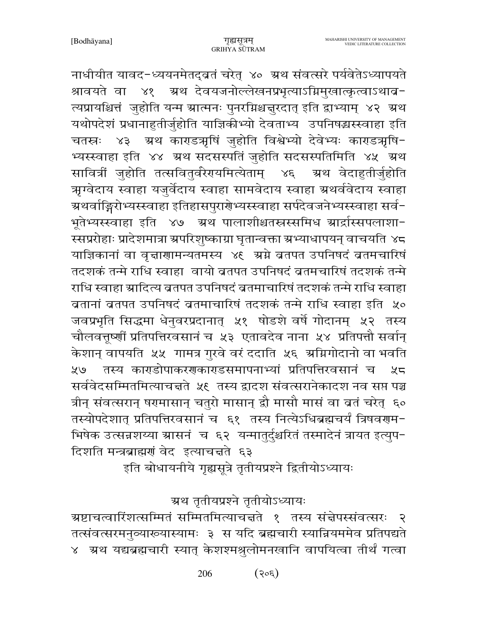नाधीयीत यावद-ध्ययनमेतद्बतं चरेत् ४० ग्रथ संवत्सरे पर्यवेतेऽध्यापयते श्रावयते वा ४१ ऋथ देवयजनोल्लेखनप्रभृत्याऽग्निमुखात्कृत्वाऽथाब-त्यप्रायश्चित्तं जुहोति यन्म स्रात्मनः पुनरग्निश्चचुरदात् इति द्वाभ्याम् ४२ स्रथ यथोपदेशं प्रधानाहुतीर्जुहोति याज्ञिकीभ्यो देवताभ्य उपनिषद्धस्स्वाहा इति चतस्रः ४३ ग्रथ काराडअघिं जुहोति विश्वेभ्यो देवेभ्यः काराडअघि-भ्यस्स्वाहा इति ४४ अथ सदसस्पतिं जुहोति सदसस्पतिमिति ४५ अथ सावित्रीं जुहोति तत्सवितुर्वरेरायमित्येताम् ४६ ग्रथ वेदाहुतीर्जुहोति ऋग्वेदाय स्वाहा यजुर्वेदाय स्वाहा सामवेदाय स्वाहा ग्रथर्ववेदाय स्वाहा ग्रथर्वाङ्गिरोभ्यस्स्वाहा इतिहासपुरार्ग्रेभ्यस्स्वाहा सर्पदेवजनेभ्यस्स्वाहा सर्व-भूतेभ्यस्स्वाहा इति ४७ अथ पालाशीश्चतस्रस्समिध स्रार्द्रास्सपलाशा-स्सप्ररोहाः प्रादेशमात्रा स्रपरिशुष्काग्रा घृतान्वक्ता स्रभ्याधापयन् वाचयति ४८ याज्ञिकानां वा वृत्ताणामन्यतमस्य ४९ अग्ने ब्रतपत उपनिषदं ब्रतमचारिषं तदशकं तन्मे राधि स्वाहा वायो ब्रतपत उपनिषदं ब्रतमचारिषं तदशकं तन्मे राधि स्वाहा स्रादित्य ब्रतपत उपनिषदं ब्रतमाचारिषं तदशकं तन्मे राधि स्वाहा बतानां ब्रतपत उपनिषदं ब्रतमाचारिषं तदशकं तन्मे राधि स्वाहा इति ५० जवप्रभृति सिद्धमा धेनुवरप्रदानात् ५१ षोडशे वर्षे गोदानम् ५२ तस्य चौलवत्तूष्णीं प्रतिपत्तिरवसानं च ५३ एतावदेव नाना ५४ प्रतिपत्तौ सर्वान् केशान् वापयति ५५ गामत्र गुरवे वरं ददाति ५६ ग्रग्निगोदानो वा भवति ५७ तस्य काराडोपाकरराकाराडसमापनाभ्यां प्रतिपत्तिरवसानं च  $25$ सर्ववेदसम्मितमित्याचन्नते ५९ तस्य द्वादश संवत्सरानेकादश नव सप्त पञ्च त्रीन् संवत्सरान् षरमासान् चतुरो मासान् द्वौ मासौ मासं वा बतं चरेत् ६० तस्योपदेशात् प्रतिपत्तिरवसानं च ६१ तस्य नित्येऽधिब्रह्मचर्यं त्रिषवरणम-भिषेक उत्सन्नशय्या ग्रासनं च ६२ यन्मातुर्दुश्चरितं तस्मादेनं त्रायत इत्युप-दिशति मन्त्रब्राह्मणं वेद इत्याचत्तते ६३

इति बोधायनीये गृह्यसूत्रे तृतीयप्रश्ने द्वितीयोऽध्यायः

## ग्रथ तृतीयप्रश्ने तृतीयोऽध्यायः

ग्रष्टाचत्वारिंशत्सम्मितं सम्मितमित्याचन्नते १ तस्य संन्नेपस्संवत्सरः  $\overline{\mathcal{R}}$ तत्संवत्सरमनुव्याख्यास्यामः ३ स यदि ब्रह्मचारी स्यान्नियममेव प्रतिपद्यते ४ अथ यद्यब्रह्मचारी स्यात् केशश्मश्रुलोमनखानि वापयित्वा तीर्थं गत्वा

> 206  $(305)$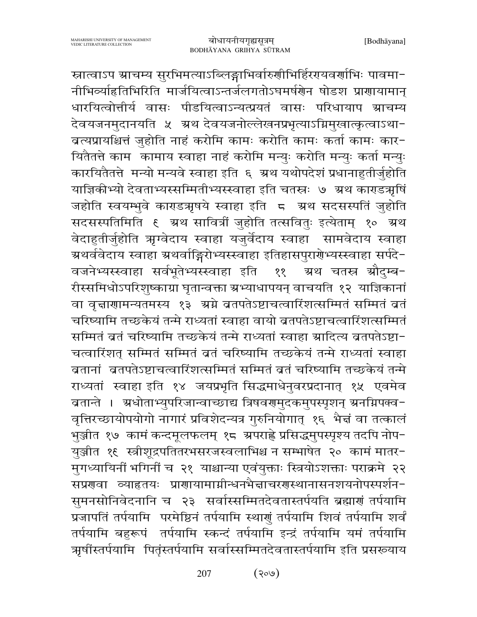स्नात्वाऽप स्राचम्य सुरभिमत्याऽब्लिङ्गाभिर्वारुणीभिर्हिरगयवर्णाभिः पावमा-नीभिव्याहितिभिरिति मार्जयित्वाऽन्तर्जलगतोऽघमर्षणेन षोडश प्राणायामान् धारयित्वोत्तीर्य वासः पीडयित्वाऽन्यत्प्रयतं वासः परिधायाप ग्राचम्य देवयजनमुदानयति ५ अ्थ देवयजनोल्लेखनप्रभृत्याऽग्निमुखात्कृत्वाऽथा-बत्यप्रायश्चित्तं जुहोति नाहं करोमि कामः करोति कामः कर्ता कामः कार-यितैतत्ते काम कामाय स्वाहा नाहं करोमि मन्युः करोति मन्युः कर्ता मन्युः कारयितैतत्ते मन्यो मन्यवे स्वाहा इति ६ अ्रथ यथोपदेशं प्रधानाहुतीर्जुहोति याज्ञिकीभ्यो देवताभ्यस्सम्मितीभ्यस्स्वाहा इति चतस्त्रः ७ ग्रथ काराडञ्गषिं जहोति स्वयम्भुवे काराडऋषये स्वाहा इति ८ अथ सदसस्पतिं जुहोति सदसस्पतिमिति ६ ग्रथ सावित्रीं जुहोति तत्सवितुः इत्येताम् १० ग्रथ वेदाहुतीर्जुहोति ऋग्वेदाय स्वाहा यजुर्वेदाय स्वाहा सामवेदाय स्वाहा ग्रथर्ववेदाय स्वाहा ग्रथर्वाङ्गिरोभ्यस्स्वाहा इतिहासपुरारोभ्यस्स्वाहा सर्पदे-वजनेभ्यस्स्वाहा सर्वभूतेभ्यस्स्वाहा इति म्रथ चतस्र ग्रौदम्ब−  $88$ रीस्समिधोऽपरिशुष्काग्रा घृतान्वक्ता ग्रभ्याधापयन् वाचयति १२ याज्ञिकानां वा वृत्ताणामन्यतमस्य १३ अग्ने ब्रतपतेऽष्टाचत्वारिंशत्सम्मितं सम्मितं ब्रतं चरिष्यामि तच्छकेयं तन्मे राध्यतां स्वाहा वायो ब्रतपतेऽष्टाचत्वारिंशत्सम्मितं सम्मितं व्रतं चरिष्यामि तच्छकेयं तन्मे राध्यतां स्वाहा म्रादित्य व्रतपतेऽष्टा-चत्वारिंशत् सम्मितं सम्मितं व्रतं चरिष्यामि तच्छकेयं तन्मे राध्यतां स्वाहा ब्रतानां ब्रतपतेऽष्टाचत्वारिंशत्सम्मितं सम्मितं बतं चरिष्यामि तच्छकेयं तन्मे राध्यतां स्वाहा इति १४ जयप्रभृति सिद्धमाधेनुवरप्रदानात् १५ एवमेव ब्रतान्ते । अधोताभ्युपरिजान्वाच्छाद्य त्रिषवरामुदकमुपस्पृशन् अनम्रिपक्व− वृत्तिरच्छायोपयोगो नागारं प्रविशेदन्यत्र गुरुनियोगात् १६ भैत्तं वा तत्कालं भुञ्जीत १७) कामं कन्दमूलफलम् १८) श्रपराह्ने प्रसिद्धमुपस्पृश्य तदपि नोप− युञ्जीत १९ स्त्रीशूद्रपतितरभसरजस्वलाभिश्च न सम्भाषेत २० कामं मातर-मुगध्यायिनीं भगिनीं च २१ याश्चान्या एवंयुक्ताः स्त्रियोऽशक्ताः पराक्रमे २२ सप्रगुवा व्याहृतयः प्रागायामाग्नीन्धनभैज्ञाचरगुस्थानासनशयनोपस्पर्शन-सुमनसोनिवेदनानि च २३ सर्वास्सम्मितदेवतास्तर्पयति ब्रह्माणं तर्पयामि प्रजापतिं तर्पयामि परमेष्ठिनं तर्पयामि स्थाणुं तर्पयामि शिवं तर्पयामि शर्वं तर्पयामि बहुरूपं तर्पयामि स्कन्दं तर्पयामि इन्द्रं तर्पयामि यमं तर्पयामि ऋषींस्तर्पयामि पितृंस्तर्पयामि सर्वास्सम्मितदेवतास्तर्पयामि इति प्रसरूयाय

> $($ ९०७) 207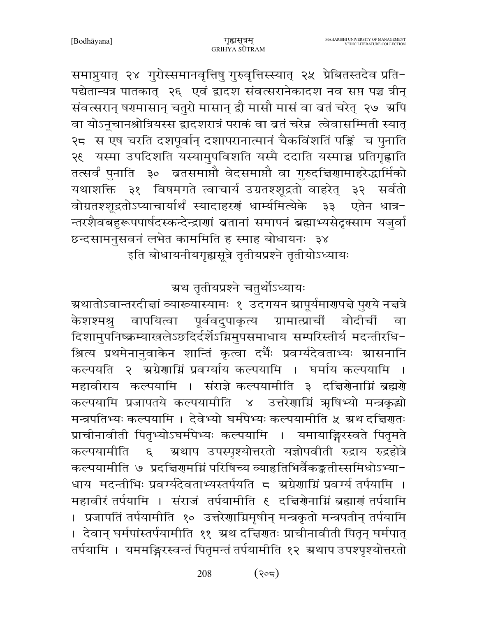समाप्नुयात् २४ गुरोस्समानवृत्तिषु गुरुवृत्तिस्स्यात् २५ प्रेबितस्तदेव प्रति-पद्येतान्यत्र पातकात् २६ एवं द्वादश संवत्सरानेकादश नव सप्त पञ्च त्रीन् संवत्सरान् षरमासान् चतुरो मासान् द्वौ मासौ मासं वा बतं चरेत् २७ अपि वा योऽनूचानश्रोत्रियस्स द्वादशरात्रं पराकं वा बतं चरेन्न त्वेवासम्मिती स्यात् २८ स एष चरति दशपूर्वान् दशापरानात्मानं चैकविंशतिं पङ्क्तिं च पुनाति २९ यस्मा उपदिशति यस्यामुपविशति यस्मै ददाति यस्माञ्च प्रतिगृह्णाति तत्सर्वं पुनाति ३० व्रतसमाप्तौ वेदसमाप्तौ वा गुरुदच्चिणामाहरेद्धार्मिको यथाशक्ति ३१ विषमगते त्वाचार्य उग्रतश्शूद्रतो वाहरेत् ३२ सर्वतो वोग्रतश्शूद्रतोऽप्याचार्यार्थं स्यादाहरणं धार्म्यमित्येके ३३ एतेन धात्र-न्तरशैवबहुरूपपार्षदस्कन्देन्द्राणां बतानां समापनं ब्रह्माभ्यसेदृक्साम यजुर्वा छन्दसामनुसवनं लभेत काममिति ह स्माह बोधायनः ३४

इति बोधायनीयगृह्यसूत्रे तृतीयप्रश्ने तृतीयोऽध्यायः

#### ग्रथ तृतीयप्रश्ने चतुर्थोऽध्यायः

ग्र्रथातोऽवान्तरदीचां व्याख्यास्यामः १ उदगयन स्रापूर्यमारणपचे पुरये नचत्रे वापयित्वा पूर्ववदुपाकृत्य ग्रामात्प्राचीं केशश्मश्र वोदीचीं वा दिशामुपनिष्क्रम्याखलेऽछदिर्दर्शेऽग्निमुपसमाधाय सम्परिस्तीर्य मदन्तीरधि-श्रित्य प्रथमेनानुवाकेन शान्तिं कृत्वा दर्भैः प्रवर्ग्यदेवताभ्यः स्रासनानि कल्पयति २ अग्रेणाग्निं प्रवर्ग्याय कल्पयामि । घर्माय कल्पयामि महावीराय कल्पयामि । संराज्ञे कल्पयामीति ३ दचिरोनाग्निं ब्रह्मरो कल्पयामि प्रजापतये कल्पयामीति ४ उत्तरेणाग्निं ऋषिभ्यो मन्त्रकृद्धो मन्त्रपतिभ्यः कल्पयामि । देवेभ्यो घर्मपेभ्यः कल्पयामीति ५ ग्रथ दत्तिरातः प्राचीनावीती पितृभ्योऽघर्मपेभ्यः कल्पयामि । यमायाङ्गिरस्वते पितृमते ग्रथाप उपस्पृश्योत्तरतो यज्ञोपवीती रुद्राय रुद्रहोत्रे कल्पयामीति ६ कल्पयामीति ७ प्रदत्तिरामग्निं परिषिच्य व्याहृतिभिर्वैकङ्कृतीस्समिधोऽभ्या-धाय मदन्तीभिः प्रवर्ग्यदेवताभ्यस्तर्पयति ८ अग्रेणाग्निं प्रवर्ग्यं तर्पयामि । । प्रजापतिं तर्पयामीति १० उत्तरेणाग्निमृषीन् मन्त्रकृतो मन्त्रपतीन् तर्पयामि । देवान् घर्मपांस्तर्पयामीति ११ अ्थ दच्चिणतः प्राचीनावीती पितृन् घर्मपात् तर्पयामि । यममङ्गिरस्वन्तं पितृमन्तं तर्पयामीति १२ अथाप उपश्पृश्योत्तरतो

> 208  $(302)$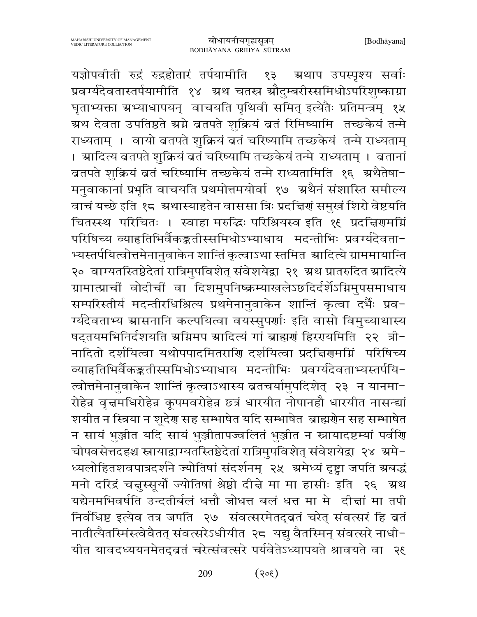यज्ञोपवीती रुद्रं रुद्रहोतारं तर्पयामीति १३ ग्रथाप उपस्पृश्य सर्वाः प्रवर्ग्यदेवतास्तर्पयामीति १४ अथ चतस्र औदुम्बरीस्समिधोऽपरिशुष्काग्रा घृताभ्यक्ता ग्रभ्याधापयन् वाचयति पृथिवी समित् इत्येतैः प्रतिमन्त्रम् १५ ग्रथ देवता उपतिष्ठते स्रग्ने ब्रतपते शुक्रियं बतं रिमिष्यामि तच्छकेयं तन्मे राध्यताम् । वायो ब्रतपते शुक्रियं बतं चरिष्यामि तच्छकेयं तन्मे राध्यताम् । ग्रादित्य ब्रतपते शुक्रियं बतं चरिष्यामि तच्छकेयं तन्मे राध्यताम् । बतानां ब्रतपते शुक्रियं बतं चरिष्यामि तच्छकेयं तन्मे राध्यतामिति १६ अथैतेषा-मनुवाकानां प्रभृति वाचयति प्रथमोत्तमयोर्वा १७ अथैनं संशास्ति समील्य वाचं यच्छे इति १८ अथास्याहतेन वाससा त्रिः प्रदत्तिणं समुखं शिरो वेष्टयति चितस्स्थ परिचितः । स्वाहा मरुद्धिः परिश्रियस्व इति १९ प्रदत्तिरामग्निं परिषिच्य व्याहृतिभिर्वैकङ्कतीस्समिधोऽभ्याधाय मदन्तीभिः प्रवर्ग्यदेवता-भ्यस्तर्पयित्वोत्तमेनानुवाकेन शान्तिं कृत्वाऽथा स्तमित ग्रादित्ये ग्राममायान्ति २० वाग्यतस्तिष्ठेदेतां रात्रिमुपविशेत् संवेशयेद्वा २१ अथ प्रातरुदित स्रादित्ये ग्रामात्प्राचीं वोदीचीं वा दिशमुपनिष्क्रम्याखलेऽछदिर्दर्शेऽग्निमुपसमाधाय सम्परिस्तीर्य मदन्तीरधिश्रित्य प्रथमेनानुवाकेन शान्तिं कृत्वा दर्भैः प्रव-ग्यंदेवताभ्य ग्रासनानि कल्पयित्वा वयस्सुपर्णाः इति वासो विमुच्याथास्य षट्तयमभिनिर्दशयति अग्निमप आदित्यं गां ब्राह्मणं हिरणयमिति २२ त्री-नादितो दर्शयित्वा यथोपपादमितराणि दर्शयित्वा प्रदत्तिरामग्निं परिषिच्य व्याहृतिभिर्वैकङ्कृतीस्समिधोऽभ्याधाय मदन्तीभिः प्रवर्ग्यदेवताभ्यस्तर्पयि-त्वोत्तमेनानुवाकेन शान्तिं कृत्वाऽथास्य ब्रतचर्यामुपदिशेत् २३ न यानमा-रोहेन्न वृत्तमधिरोहेन्न कूपमवरोहेन्न छत्रं धारयीत नोपानहौ धारयीत नासन्द्यां शयीत न स्त्रिया न शूदेण सह सम्भाषेत यदि सम्भाषेत ब्राह्मणेन सह सम्भाषेत न सायं भुञ्जीत यदि सायं भुञ्जीतापज्वलितं भुञ्जीत न स्नायादष्टम्यां पर्वणि चोपवसेत्तदहश्च स्नायाद्वाग्यतस्तिष्ठेदेतां रात्रिमुपविशेत् संवेशयेद्वा २४ अमे-ध्यलोहितशवपात्रदर्शने ज्योतिषां संदर्शनम् २५ अमेध्यं दृष्ट्वा जपति ग्रबद्धं मनो दरिद्रं चत्तुस्सूर्यो ज्योतिषां श्रेष्ठो दीन्ने मा मा हासीः इति २६ अ्रथ यद्येनमभिवर्षति उन्दतीर्बलं धत्तौ जोधत्त बलं धत्त मा मे दीद्मां मा तपी निर्वधिष्ट इत्येव तत्र जपति २७ संवत्सरमेतद्वतं चरेत् संवत्सरं हि व्रतं नातीत्यैतस्मिंस्त्वेवैतत् संवत्सरेऽधीयीत २८ यद्यु वैतस्मिन् संवत्सरे नाधी-यीत यावदध्ययनमेतदुब्रतं चरेत्संवत्सरे पर्यवेतेऽध्यापयते श्रावयते वा २६

> 209  $(305)$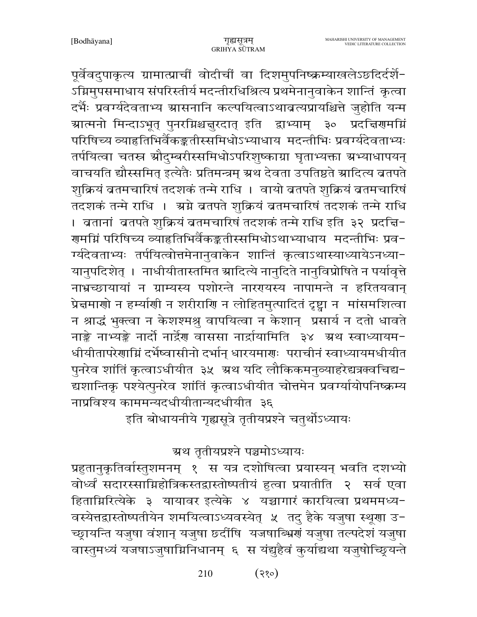पूर्वेवदुपाकृत्य ग्रामात्प्राचीं वोदीचीं वा दिशमुपनिष्क्रम्याखलेऽछदिर्दर्शे-ऽग्निमुपसमाधाय संपरिस्तीर्य मदन्तीरधिश्रित्य प्रथमेनानुवाकेन शान्तिं कृत्वा दर्भैः प्रवर्ग्यदेवताभ्य ग्रासनानि कल्पयित्वाऽथाव्रत्यप्रायश्चित्ते जुहोति यन्म ग्रात्मनो मिन्दाऽभूत् पुनरग्निश्चन्नुरदात् इति द्वाभ्याम् ३० प्रदन्निरामग्नि परिषिच्य व्याहृतिभिर्वैकङ्कतीस्समिधोऽभ्याधाय मदन्तीभिः प्रवर्ग्यदेवताभ्यः तर्पयित्वा चतस्र स्रौदुम्बरीस्समिधोऽपरिशुष्काग्रा घृताभ्यक्ता स्रभ्याधापयन् वाचयति द्यौस्समित् इत्येतैः प्रतिमन्त्रम् ग्रथ देवता उपतिष्ठते स्रादित्य ब्रतपते शुक्रियं ब्रतमचारिषं तदशकं तन्मे राधि । वायो ब्रतपते शुक्रियं ब्रतमचारिषं तदशकं तन्मे राधि । अ्रग्ने ब्रतपते शुक्रियं ब्रतमचारिषं तदशकं तन्मे राधि । बतानां बतपते शुक्रियं बतमचारिषं तदशकं तन्मे राधि इति ३२ प्रदच्चि-गुमग्निं परिषिच्य व्याहृतिभिर्वैकङ्कतीस्समिधोऽथाभ्याधाय मदन्तीभिः प्रव− र्ग्यदेवताभ्यः तर्पयित्वोत्तमेनानुवाकेन शान्तिं कृत्वाऽथास्याध्यायेऽनध्या-यानुपदिशेत् । नाधीयीतास्तमित स्रादित्ये नानुदिते नानुविप्रोषिते न पर्यावृत्ते नाभ्रच्छायायां न ग्राम्यस्य पशोरन्ते नाररयस्य नापामन्ते न हरितयवान् प्रेन्नमाणो न हर्म्याणी न शरीराणि न लोहितमुत्पादितं दृष्ट्वा न मांसमशित्वा न श्राद्धं भुक्त्वा न केशश्मश्रु वापयित्वा न केशान् प्रसार्य न दतो धावते नाङ्के नाभ्यङ्के नार्दो नार्द्रेण वाससा नार्द्रायामिति ३४ अथ स्वाध्यायम-धीयीतापरेणाग्निं दर्भेष्वासीनो दर्भान् धारयमाणः पराचीनं स्वाध्यायमधीयीत पुनरेव शांतिं कृत्वाऽधीयीत ३५ अथ यदि लौकिकमनुव्याहरेद्यत्रक्वचिद्य-द्यशान्तिकृ पश्येत्पुनरेव शांतिं कृत्वाऽधीयीत चोत्तमेन प्रवर्ग्यायोपनिष्क्रम्य नाप्रविश्य काममन्यदधीयीतान्यदधीयीत ३६

इति बोधायनीये गृह्यसूत्रे तृतीयप्रश्ने चतुर्थोऽध्यायः

ग्रथ तृतीयप्रश्ने पञ्चमोऽध्यायः

प्रहुतानुकृतिर्वास्तुशमनम् १ स यत्र दशोषित्वा प्रयास्यन् भवति दशभ्यो वोर्ध्वं सदारस्साम्निहोत्रिकस्तद्वास्तोष्पतीयं हुत्वा प्रयातीति २ सर्व एवा हिताग्निरित्येके ३ यायावर इत्येके ४ यच्चागारं कारयित्वा प्रथममध्य-वस्येत्तद्वास्तोष्पतीयेन शमयित्वाऽध्यवस्येत् ५ तदु हैके यजुषा स्थूणा उ-च्छ्रायन्ति यजुषा वंशान् यजुषा छ्दींषि यजषाब्भ्रिणं यजुषा तल्पदेशं यजुषा वास्तुमध्यं यजषाऽजुषाग्निनिधानम् ६ स यंद्युहैवं कुर्याद्यथा यजुषोच्छ्र्यन्ते

> $(35)$ 210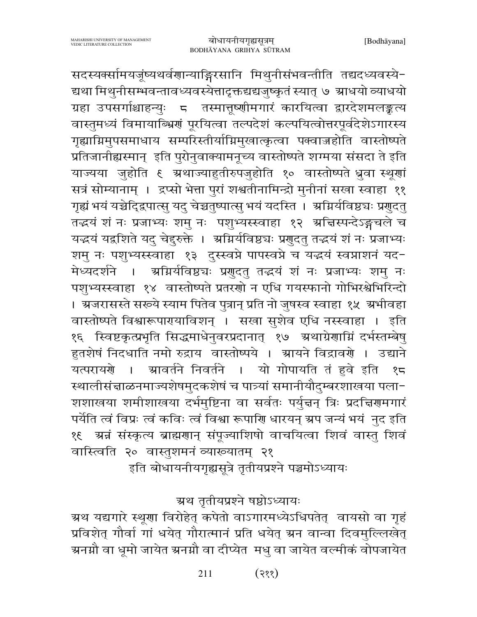सदस्यक्सामयजूष्यथर्वणान्याङ्गिरसानि मिथुनीसंभवन्तीति तद्यदध्यवस्ये-द्यथा मिथुनीसम्भवन्तावध्यवस्येत्तादृक्तद्यद्यजुष्कृतं स्यात् ७ ग्राधयो व्याधयो ग्रहा उपसर्गाश्चाहन्युः 5 तस्मात्तूष्णीमगारं कारयित्वा द्वारदेशमलङ्कृत्य वास्तुमध्यं विमायाब्भ्रिणं पूरयित्वा तल्पदेशं कल्पयित्वोत्तरपूर्वदेशेऽगारस्य गृह्याग्निमुपसमाधाय सम्परिस्तीर्याग्निमुखात्कृत्वा पक्वाज्जहोति वास्तोष्पते प्रतिजानीह्यस्मान् इति पुरोनुवाक्यामनूच्य वास्तोष्पते शग्मया संसदा ते इति याज्यया जुहोति ६ अथाज्याहुतीरुपजुहोति १० वास्तोष्पते ध्रुवा स्थूणां सत्रं सोम्यानाम् । द्रप्सो भेत्ता पुरां शश्वतीनामिन्द्रो मुनीनां सखा स्वाहा ११ गृह्यं भयं यच्चेदि्द्रपात्सु यदु चेच्चतुष्पात्सु भयं यदस्ति । अग्निर्यविष्ठचः प्रणुदतु तद्धयं शं नः प्रजाभ्यः शमु नः पशुभ्यस्स्वाहा १२ अज्ञिस्पन्देऽङ्गचले च यद्धयं यद्वशिते यदु चेदुरुक्ते । अग्निर्यविष्ठ्यः प्रगुदतु तद्धयं शं नः प्रजाभ्यः शमु नः पशुभ्यस्स्वाहा १३ दुस्स्वप्ने पापस्वप्ने च यद्धयं स्वप्नाशनं यद-मेध्यदर्शने । अग्निर्यविष्ठ्यः प्रगुदतु तद्धयं शं नः प्रजाभ्यः शमु नः पशुभ्यस्स्वाहा १४ वास्तोष्पते प्रतरणो न एधि गयस्फानो गोभिरश्वेभिरिन्दो । अजरासस्ते सरूये स्याम पितेव पुत्रान् प्रति नो जुषस्व स्वाहा १५ अभीवहा वास्तोष्पते विश्वारूपारायाविशन् । सखा सुशेव एधि नस्स्वाहा । इति १६ स्विष्टकृत्प्रभृति सिद्धमाधेनुवरप्रदानात् १७ अथाग्रेणाम्निं दर्भस्तम्बेषु हुतशेषं निदधाति नमो रुद्राय वास्तोष्पये । ग्रायने विद्रावर्णे । उद्याने ग्र्यावर्तने निवर्तने । यो गोपायति तं हवे इति यत्परायरो । १८ स्थालीसंचाळनमाज्यशेषमुदकशेषं च पात्र्यां समानीयौदुम्बरशाखया पला-शशाखया शमीशाखया दर्भमुष्टिना वा सर्वतः पर्युत्तन् त्रिः प्रदत्तिरामगारं पर्येति त्वं विप्रः त्वं कविः त्वं विश्वा रूपाणि धारयन् ग्रप जन्यं भयं नुद इति वास्त्विति २० वास्तुशमनं व्याख्यातम् २१

इति बोधायनीयगृह्यसूत्रे तृतीयप्रश्ने पञ्चमोऽध्यायः

#### ग्रथ तृतीयप्रश्ने षष्ठोऽध्यायः

ग्रथ यद्यगारे स्थूणा विरोहेत् कपेतो वाऽगारमध्येऽधिपतेत् वायसो वा गृहं प्रविशेत् गौर्वा गां धयेत् गौरात्मानं प्रति धयेत् ग्रन वान्वा दिवमुल्लिखेत् ग्रनग्नौ वा धूमो जायेत ग्रनग्नौ वा दीप्येत मधु वा जायेत वर्ल्मीकं वोपजायेत

> $(335)$ 211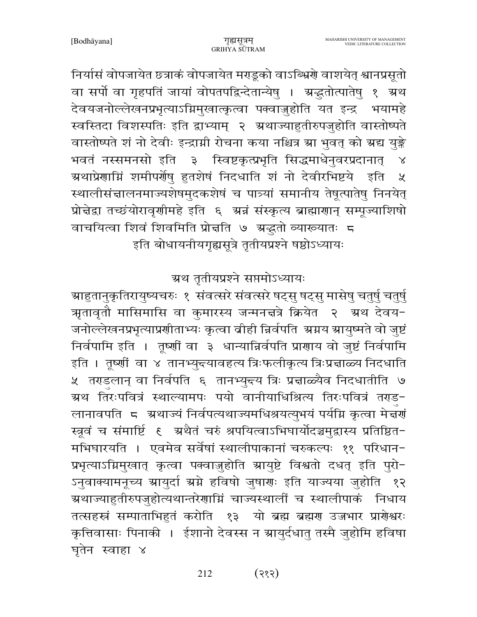निर्यासं वोपजायेत छत्राकं वोपजायेत मराडूको वाऽब्भ्रियो वाशयेत् श्वानप्रसूतो वा सर्पो वा गृहपतिं जायां वोपतपद्विन्देतान्येषु । ग्रद्धतोत्पातेषु १ ग्रथ देवयजनोल्लेखनप्रभृत्याऽग्निमुखात्कृत्वा पक्वाज़ुहोति यत इन्द्र भयामहे स्वस्तिदा विशस्पतिः इति द्वाभ्याम् २ अ्थाज्याहुतीरुपजुहोति वास्तोष्पते वास्तोष्पते शं नो देवीः इन्द्राग्नी रोचना कया नश्चित्र स्रा भुवत् को स्रद्य युङ्के भवतं नस्समनसो इति ३ स्विष्टकृत्प्रभृति सिद्धमाधेनुवरप्रदानात् ग्र्यथाप्रेणाम्निं शमीपर्णेषु हुतशेषं निदधाति शं नो देवीरभिष्टये इति  $\chi$ स्थालीसंचालनमाज्यशेषमुदकशेषं च पात्र्यां समानीय तेषूत्पातेषु निनयेत् प्रोन्नेद्रा तच्छंयोरावृणीमहे इति ६ अन्नं संस्कृत्य ब्राह्माणान् सम्पूज्याशिषो वाचयित्वा शिवं शिवमिति प्रोच्चति ७ ग्रद्धतो व्याख्यातः ८ इति बोधायनीयगृह्यसूत्रे तृतीयप्रश्ने षष्ठोऽध्यायः

ग्रथ तृतीयप्रश्ने सप्तमोऽध्यायः

ग्राहुतानुकृतिरायुष्यचरुः १ संवत्सरे संवत्सरे षट्सु षट्सु मासेषु चतुर्षु चतुर्षु अनावृतौ मासिमासि वा कुमारस्य जन्मनत्तत्रे क्रियेत २ अथ देवय− जनोल्लेखनप्रभृत्याप्रणीताभ्यः कृत्वा बीही न्निर्वपति अग्नय आयुष्मते वो जुष्टं निर्वपामि इति । तूष्णीं वा ३ धान्यान्निर्वपति प्राणाय वो जुष्टं निर्वपामि इति । तृष्णीं वा ४ तानभ्युन्त्यावहत्य त्रिःफलीकृत्य त्रिःप्रन्नाळ्य निदधाति ५ तराडलान् वा निर्वपति ६ तानभ्यु<del>द्</del>य त्रिः प्र<mark>त्</mark>वाळ्यैव निदधातीति ७ म्रथ तिरःपवित्रं स्थाल्यामपः पयो वानीयाधिश्रित्य तिरःपवित्रं तराड− लानावपति द ग्रथाज्यं निर्वपत्यथाज्यमधिश्रयत्युभयं पर्यम्नि कृत्वा मेज्ञणं मभिघारयति । एवमेव सर्वेषां स्थालीपाकानां चरुकल्पः ११ परिधान-प्रभृत्याऽग्निमुखात् कृत्वा पक्वाज़ुहोति स्रायुष्टे विश्वतो दधत् इति पुरो-ऽनुवाक्यामनूच्य स्रायुर्दा स्रग्ने हविषो जुषारणः इति याज्यया जुहोति १२ ग्रथाज्याहुतीरुपजुहोत्यथान्तरेणाम्निं चाज्यस्थालीं च स्थालीपाकं निधाय तत्सहस्रं सम्पाताभिहुतं करोति १३ यो ब्रह्म ब्रह्मण उज्जभार प्राणेश्वरः कृत्तिवासाः पिनाकी । ईशानो देवस्स न स्रायुर्दधातु तस्मै जुहोमि हविषा घृतेन स्वाहा ४

> $(335)$ 212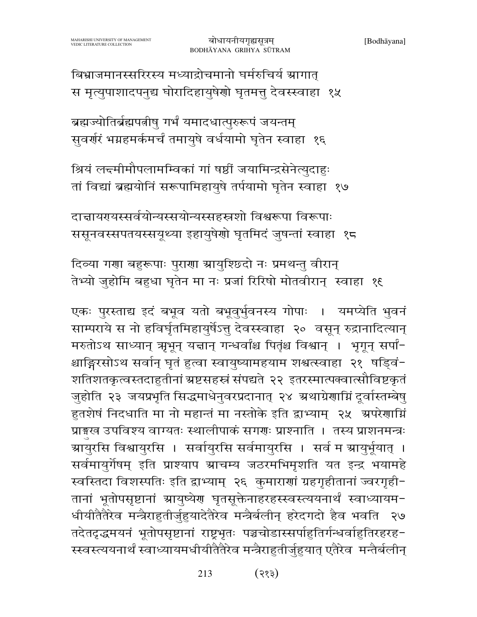213  $(333)$ 

साम्पराये स नो हविर्घृतमिहायुर्षेऽतु देवस्स्वाहा २० वसून् रुद्रानादित्यान् मरुतोऽथ साध्यान् ऋभून् यत्तान् गन्धर्वांश्च पितृंश्च विश्वान् । भृगून् सर्पां-श्चाङ्गिरसोऽथ सर्वान् घृतं हुत्वा स्वायुष्यामहयाम शश्वत्स्वाहा २१ षड्विं-शतिशतकृत्वस्तदाहुतीनां ग्रष्टसहस्रं संपद्यते २२ इतरस्मात्पक्वात्सौविष्टकृतं जुहोति २३ जयप्रभृति सिद्धमाधेनुवरप्रदानात् २४ अथाग्रेणाम्निं दूर्वास्तम्बेषु हुतशेषं निदधाति मा नो महान्तं मा नस्तोके इति द्वाभ्याम् २५ अपरेणाग्निं प्राङ्गस्व उपविश्य वाग्यतः स्थालीपाकं सगराः प्राश्नाति । तस्य प्राशनमन्त्रः ग्रायुरसि विश्वायुरसि । सर्वायुरसि सर्वमायुरसि । सर्व म ग्रायुर्भूयात् । सर्वमायुर्गेषम् इति प्राश्याप ग्राचम्य जठरमभिमृशति यत इन्द्र भयामहे स्वस्तिदा विशस्पतिः इति द्वाभ्याम् २६ कुमाराणां ग्रहगृहीतानां ज्वरगृही-तानां भूतोपसृष्टानां स्रायुष्येर घृतसूक्तेनाहरहस्स्वस्त्ययनार्थं स्वाध्यायम-धीयीतैतैरेव मन्त्रैराहुतीर्जुहुयादेतैरेव मन्त्रैर्बलीन् हरेदगदो हैव भवति २७ तदेतदृद्धमयनं भूतोपसृष्टानां राष्ट्रभृतः पञ्चचोडास्सर्पाहुतिर्गन्धर्वाहुतिरहरह-स्स्वस्त्ययनार्थं स्वाध्यायमधीयीतैतैरेव मन्त्रैराहुतीर्जुहुयात् एतैरेव मन्तैर्बलीन्

दिव्या गणा बहुरूपाः पुराणा ग्रायुश्छिदो नः प्रमथन्तु वीरान् तेभ्यो जुहोमि बहुधा घृतेन मा नः प्रजां रिरिषो मोतवीरान् स्वाहा १६

एकः पुरस्ताद्य इदं बभूव यतो बभूवुर्भुवनस्य गोपाः । यमप्येति भुवनं

दान्नायरयस्सर्वयोन्यस्सयोन्यस्सहस्रशो विश्वरूपा विरूपाः ससूनवस्सपतयस्सयूथ्या इहायुषेणो घृतमिदं जुषन्तां स्वाहा १८

श्रियं लन्दमीमौपलामम्विकां गां षष्ठीं जयामिन्द्रसेनेत्युदाहुः तां विद्यां ब्रह्मयोनिं सरूपामिहायुषे तर्पयामो घृतेन स्वाहा १७

ब्रह्मज्योतिर्ब्रह्मपत्नीषु गर्भं यमादधात्पुरुरूपं जयन्तम् सुवर्णरं भग्नहमर्कमर्चं तमायुषे वर्धयामो घृतेन स्वाहा १६

बिभ्राजमानस्सरिरस्य मध्याद्रोचमानो घर्मरुचिर्य ग्रागात् स मृत्युपाशादपनुद्य घोरादिहायुषेणो घृतमत्तु देवस्स्वाहा १५

बोधायनीयगृह्यसूत्रम्

BODHĀYANA GRIHYA SŪTRAM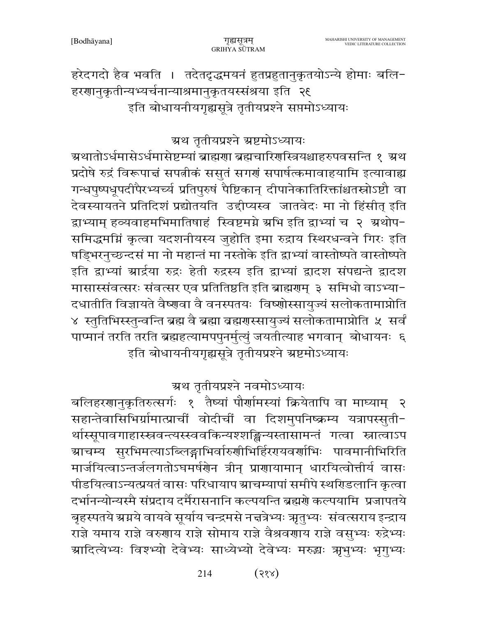हरेदगदो हैव भवति । तदेतदृद्धमयनं हुतप्रहुतानुकृतयोऽन्ये होमाः बलि-हरणानुकृतीन्यभ्यर्चनान्याश्रमानुकृतयस्संश्रया इति २६ इति बोधायनीयगृह्यसूत्रे तृतीयप्रश्ने सप्तमोऽध्यायः

### ग्रथ तृतीयप्रश्ने ग्रष्टमोऽध्यायः

ग्रथातोऽर्धमासेऽर्धमासेष्टम्यां ब्राह्मणा ब्रह्मचारिणस्त्रियश्चाहरुपवसन्ति १ अथ प्रदोषे रुद्रं विरूपाचं सपत्नीकं ससुतं सगर्गं सपार्षत्कमावाहयामि इत्यावाह्य गन्धपुष्पधूपदीपैरभ्यर्च्य प्रतिपुरुषं पैष्टिकान् दीपानेकातिरिक्तांश्चतस्रोऽष्टौ वा देवस्यायतने प्रतिदिशं प्रद्योतयति उद्दीप्यस्व जातवेदः मा नो हिंसीत् इति द्वाभ्याम् हव्यवाहमभिमातिषाहं स्विष्टमग्ने ग्रभि इति द्वाभ्यां च २ ग्रथोप-समिद्धमग्निं कृत्वा यदशनीयस्य जुहोति इमा रुद्राय स्थिरधन्वने गिरः इति षड्भिरनुच्छन्दसं मा नो महान्तं मा नस्तोके इति द्वाभ्यां वास्तोष्पते वास्तोष्पते इति द्वाभ्यां ग्रार्द्रया रुद्रः हेती रुद्रस्य इति द्वाभ्यां द्वादश संपद्यन्ते द्वादश मासास्संवत्सरः संवत्सर एव प्रतितिष्ठति इति ब्राह्मणम् ३ समिधो वाऽभ्या-दधातीति विज्ञायते वैष्णवा वै वनस्पतयः विष्णोस्सायुज्यं सलोकतामाप्नोति ४ स्तुतिभिस्स्तुन्वन्ति ब्रह्म वै ब्रह्मा व्रह्मणस्सायुज्यं सलोकतामाप्नोति ५ सर्वं पाप्मानं तरति तरति ब्रह्महत्यामपपुनर्मुत्युं जयतीत्याह भगवान् बोधायनः ६ इति बोधायनीयगृह्यसूत्रे तृतीयप्रश्ने स्रष्टमोऽध्यायः

ग्रथ तृतीयप्रश्ने नवमोऽध्यायः

बलिहरणानुकृतिरुत्सर्गः १ तैष्यां पौर्णामस्यां क्रियेतापि वा माघ्याम् २ सहान्तेवासिभिर्ग्रामात्प्राचीं वोदीचीं वा दिशमुपनिष्क्रम्य यत्रापस्सुती-र्थास्सूपावगाहास्स्नवन्त्यस्स्ववकिन्यश्शङ्किन्यस्तासामन्तं गत्वा स्नात्वाऽप ग्र्याचम्य सुरभिमत्याऽब्लिङ्गाभिर्वारुणीभिर्हिरएयवर्णाभिः पावमानीभिरिति मार्जयित्वाऽन्तर्जलगतोऽघमर्षणेन त्रीन् प्राणायामान् धारयित्वोत्तीर्य वासः पीडयित्वाऽन्यत्प्रयतं वासः परिधायाप स्राचम्यापां समीपे स्थरिडलानि कृत्वा दर्भानन्योन्यस्मै संप्रदाय दर्मैरासनानि कल्पयन्ति ब्रह्मणे कल्पयामि प्रजापतये बृहस्पतये ग्रग्नये वायवे सूर्याय चन्द्रमसे नत्तत्रेभ्यः ऋतुभ्यः संवत्सराय इन्द्राय राज्ञे यमाय राज्ञे वरुगाय राज्ञे सोमाय राज्ञे वैश्रवगाय राज्ञे वसुभ्यः रुद्रेभ्यः ग्रादित्येभ्यः विश्भ्यो देवेभ्यः साध्येभ्यो देवेभ्यः मरुद्धः ऋभुभ्यः भृगुभ्यः

> $(33)$ 214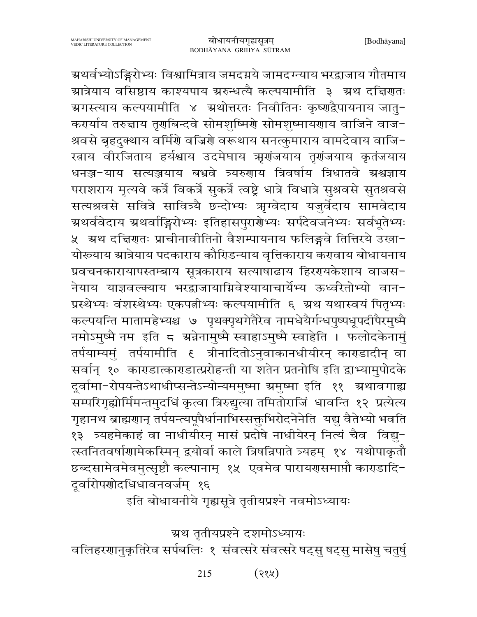ग्र्यर्वभ्योऽङ्गिरोभ्यः विश्वामित्राय जमदग्नये जामदग्न्याय भरद्वाजाय गौतमाय ग्रात्रेयाय वसिष्ठाय काश्यपाय ग्ररुन्धत्यै कल्पयामीति ३ ग्रथ दत्तिगतः ग्रगस्त्याय कल्पयामीति ४ अ्थोत्तरतः निवीतिनः कृष्णद्वैपायनाय जातु− कर्ग्याय तरुन्नाय तृगबिन्दवे सोमशुष्मिर्गे सोमशुष्मायगाय वाजिने वाज-श्रवसे बृहदुक्थाय वर्मिणे वज्रिणे वरूथाय सनत्कुमाराय वामदेवाय वाजि-रताय वीरजिताय हर्यश्वाय उदमेघाय ऋणंजयाय तृणंजयाय कृतंजयाय धनञ्ज-याय सत्यञ्जयाय बभ्रवे त्र्यरुगाय त्रिवर्षाय त्रिधातवे ग्रश्वज्ञाय पराशराय मृत्यवे कर्त्रे विकर्त्रे सुकर्त्रे त्वष्ट्रे धात्रे विधात्रे सुश्रवसे सुतश्रवसे सत्यश्रवसे सवित्रे सावित्र्यै छन्दोभ्यः ऋग्वेदाय यजुर्वेदाय सामवेदाय ग्रथर्ववेदाय ग्रथर्वाङ्गिरोभ्यः इतिहासपुरारोभ्यः सर्पदेवजनेभ्यः सर्वभूतेभ्यः ४ - ग्रथ दत्तिरातः प्राचीनावीतिनो वैशम्पायनाय फलिङ्गवे तित्तिरये उखा− योरूयाय स्रात्रेयाय पदकाराय कौरिडन्याय वृत्तिकाराय करावाय बोधायनाय प्रवचनकारायापस्तम्बाय सूत्रकाराय सत्याषाढाय हिररपकेशाय वाजस-नेयाय याज्ञवल्क्याय भरद्वाजायाग्निवेश्यायाचार्येभ्य ऊर्ध्वरेतोभ्यो वान-प्रस्थेभ्यः वंशस्थेभ्यः एकपत्नीभ्यः कल्पयामीति ६ ग्रथ यथास्वयं पितृभ्यः कल्पयन्ति मातामहेभ्यश्च ७ पृथक्पृथगेतैरेव नामधेयैर्गन्धपुष्पधूपदीपैरमुष्मै नमोऽमुष्मै नम इति ८ अन्नेनामुष्मै स्वाहाऽमुष्मै स्वाहेति । फलोदकेनामुं तर्पयाम्यमुं तर्पयामीति ६ त्रीनादितोऽनुवाकानधीयीरन् काराडादीन् वा सर्वान् १० काराडात्काराडात्प्ररोहन्ती या शतेन प्रतनोषि इति द्वाभ्यामुपोदके दुर्वामा-रोपयन्तेऽथाधीप्सन्तेऽन्योन्यममुष्मा ग्रमुष्मा इति ११ ग्रथावगाह्य सम्परिगृह्योर्मिमन्तमुदधिं कृत्वा त्रिरुद्युत्या तमितोराजिं धावन्ति १२ प्रत्येत्य गृहानथ ब्राह्मणान् तर्पयन्त्यपूर्पैर्धानाभिस्सक्तूभिरोदनेनेति यद्यु वैतेभ्यो भवति १३ त्र्यहमेकाहं वा नाधीयीरन् मासं प्रदोषे नाधीयेरन् नित्यं चैव विद्यु-त्स्तनितवर्षाणामेकस्मिन् द्रयोर्वा काले त्रिषन्निपाते त्र्यहम् १४ यथोपाकृतौ छब्दसामेवमेवमुत्सृष्टौ कल्पानाम् १५ एवमेव पारायणसमाप्तौ काराडादि-दुर्वारोपणोदधिधावनवर्जम् १६

इति बोधायनीये गृह्यसूत्रे तृतीयप्रश्ने नवमोऽध्यायः

ग्रथ तृतीयप्रश्ने दशमोऽध्यायः

वलिहरणानुकृतिरेव सर्पबलिः १ संवत्सरे संवत्सरे षट्सु षट्सु मासेषु चतुर्षु

 $(33)$ 215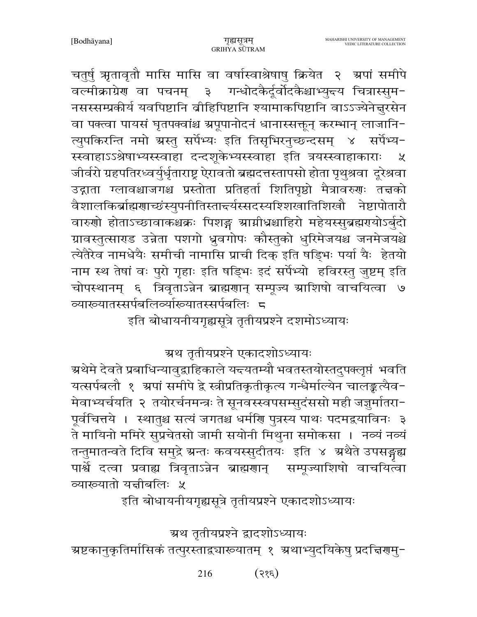चतुर्षु ऋतावृतौ मासि मासि वा वर्षास्वाश्रेषाषु क्रियेत २ अपां समीपे वल्मीक्राग्रेण वा पचनम् ३ गन्धोदकैर्दूर्वोदकैश्चाभ्युन्त्य चित्रास्सुम-नसस्सम्प्रकीर्य यवपिष्टानि व्रीहिपिष्टानि श्यामाकपिष्टानि वाऽऽज्येनेत्तुरसेन वा पक्त्वा पायसं घृतपक्वांश्च ग्रपूपानोदनं धानास्सक्तून् करम्भान् लाजानि-त्युपकिरन्ति नमो ग्रस्तु सर्पेभ्यः इति तिसृभिरनुच्छन्दसम् ४ सर्पेभ्य-स्स्वाहाऽऽश्रेषाभ्यस्स्वाहा दन्दशूकेभ्यस्स्वाहा इति त्रयस्स्वाहाकाराः  $\chi$ जीर्वरो ग्रहपतिरध्वर्युर्धृताराष्ट्र ऐरावतो ब्रह्मदत्तस्तापसो होता पृथुश्रवा दूरेश्रवा उद्गाता ग्लावश्चाजगश्च प्रस्तोता प्रतिहर्ता शितिपृष्ठो मैत्रावरुणः तत्तको वैशालकिर्ब्राह्मणाच्छंस्युपनीतिस्तान्त्र्यस्सदस्यश्शिखातिशिखौ नेष्टापोतारौ वारुणो होताऽच्छावाकश्चक्रः पिशङ्ग स्रामीधश्चाहिरो महेयस्सुब्रह्मएयोऽर्बुदो ग्रावस्तुत्साराड उन्नेता पशगो ध्रुवगोपः कौस्तुको धुरिमेजयश्च जनमेजयश्चे त्येतैरेव नामधेयैः समीची नामासि प्राची दिक् इति षड़िभः पर्या यैः हेतयो नाम स्थ तेषां वः पुरो गृहाः इति षड्भिः इदं सर्पेभ्यो हविरस्तु जुष्टम् इति चोपस्थानम् ६ त्रिवृताऽन्नेन ब्राह्मणान् सम्पूज्य स्राशिषो वाचयित्वा ७ व्यारूयातस्सर्पबलिर्व्याख्यातस्सर्पबलिः ८

इति बोधायनीयगृह्यसूत्रे तृतीयप्रश्ने दशमोऽध्यायः

ग्रथ तृतीयप्रश्ने एकादशोऽध्यायः

ग्र्रथेमे देवते प्रबाधिन्यावुद्वाहिकाले यन्त्यतम्यौ भवतस्तयोस्तदुपक्लृप्तं भवति यत्सर्पबलौ १ अपां समीपे द्वे स्त्रीप्रतिकृतीकृत्य गन्धैर्माल्येन चालङ्कत्यैव-मेवाभ्यर्चयति २ तयोरर्चनमन्त्रः ते सूनवस्स्वपसम्सुदंससो मही जज्ञुर्मातरा-पूर्वचित्तये । स्थातुश्च सत्यं जगतश्च धर्माण पुत्रस्य पाथः पदमद्वयाविनः ३ ते मायिनो ममिरे सुप्रचेतसो जामी सयोनी मिथुना समोकसा । नव्यं नव्यं तन्तुमातन्वते दिवि समुद्रे ग्रन्तः कवयस्सुदीतयः इति ४ ग्रथैते उपसङ्गद्य पार्श्वे दत्वा प्रवाह्य त्रिवृताऽन्नेन ब्राह्मणान् सम्पूज्याशिषो वाचयित्वा व्याख्यातो यज्ञीबलिः ५

इति बोधायनीयगृह्यसूत्रे तृतीयप्रश्ने एकादशोऽध्यायः

ग्रथ तृतीयप्रश्ने द्वादशोऽध्यायः

म्रष्टकानुकृतिर्मासिकं तत्पुरस्ताद्व्याख्यातम् १ अथाभ्युदयिकेषु प्रदच्चिरणमु−

 $(3\epsilon)$ 216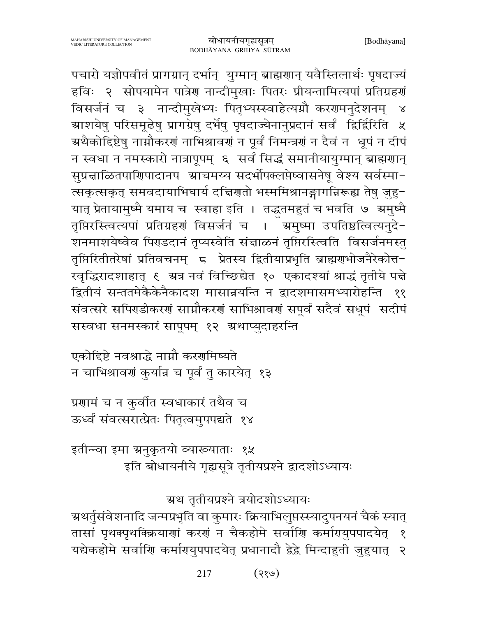पचारो यज्ञोपवीतं प्रागग्रान् दर्भान् युग्मान् ब्राह्मणान् यवैस्तिलार्थः पृषदाज्यं हविः २ सोपयामेन पात्रेण नान्दीमुखाः पितरः प्रीयन्तामित्यपां प्रतिग्रहणं विसर्जनं च ३ नान्दीमुखेभ्यः पितृभ्यस्स्वाहेत्यग्नौ करणमनुदेशनम् ४ ग्राशयेषु परिसमूढेषु प्रागग्रेषु दर्भेषु पृषदाज्येनानुप्रदानं सर्वं द्विर्द्विरिति ५ ग्र्रथैकोद्दिष्टेषु नाम्नौकरणं नाभिश्रावणं न पूर्वं निमन्त्रणं न दैवं न धूपं न दीपं न स्वधा न नमस्कारो नात्रापूपम् ६ सर्वं सिद्धं समानीयायुग्मान् ब्राह्मणान् सुप्रन्नाळितपारिणादानप स्राचमय्य सदर्भोपक्लप्तेष्वासनेषू वेश्य सर्वस्मा-त्सकृत्सकृत् समवदायाभिघार्य दचिणतो भस्ममिश्रानङ्गागन्निरूह्य तेषु जुहु-यात् प्रेतायामुष्मै यमाय च स्वाहा इति । तद्धतमहुतं च भवति ७ ग्रमुष्मै तृप्तिरस्त्वित्यपां प्रतिग्रहणं विसर्जनं च । ऋमुष्मा उपतिष्ठत्वित्यनुदे-शनमाशयेष्वेव पिराडदानं तृप्यस्वेति संचाळनं तृप्तिरस्त्विति विसर्जनमस्तु तृप्तिरितीतरेषां प्रतिवचनम् ८ प्रेतस्य द्वितीयाप्रभृति ब्राह्मराभोजनैरेकोत्त-रवृद्धिरादशाहात् ६ अत्र नवं विच्छिद्येत १० एकादश्यां श्राद्धं तृतीये पत्ते द्वितीयं सन्ततमेकैकेनैकादश मासान्नयन्ति न द्वादशमासमभ्यारोहन्ति  $88$ संवत्सरे सपिराडीकरणं साम्रौकरणं साभिश्रावणं सपूर्वं सदैवं सधूपं सदीपं सस्वधा सनमस्कारं सापूपम् १२ अथाप्युदाहरन्ति

एकोहिष्टे नवश्राद्धे नाम्नौ करगमिष्यते न चाभिश्रावणं कुर्यान्न च पूर्वं तु कारयेत् १३

प्रणामं च न कुर्वीत स्वधाकारं तथैव च ऊर्ध्वं संवत्सरात्प्रेतः पितृत्वमुपपद्यते १४

इतीन्न्वा इमा ग्रनुकृतयो व्याख्याताः १५ इति बोधायनीये गृह्यसूत्रे तृतीयप्रश्ने द्वादशोऽध्यायः

ग्रथ तृतीयप्रश्ने त्रयोदशोऽध्यायः

ग्र्यर्तुसंवेशनादि जन्मप्रभृति वा कुमारः क्रियाभिलुप्तस्स्यादुपनयनं चैकं स्यात् तासां पृथक्पृथक्क्रियाणां करणं न चैकहोमे सर्वाणि कर्मागयुपपादयेत् १ यद्येकहोमे सर्वाणि कर्मागयुपपादयेत् प्रधानादौ द्वेद्वे मिन्दाहुती जुहुयात् २

> 217 (२१७)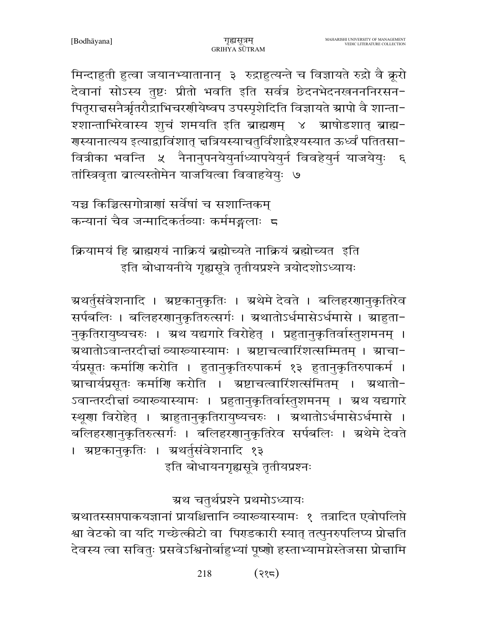मिन्दाहुती हुत्वा जयानभ्यातानान् ३ रुद्राहुत्यन्ते च विज्ञायते रुद्रो वै क्रूरो देवानां सोऽस्य तुष्टः प्रीतो भवति इति सर्वत्र छेदनभेदनखनननिरसन-पितृराचसनैर्ऋतरौद्राभिचरणीयेष्वप उपस्पृशेदिति विज्ञायते स्रापो वै शान्ता-श्शान्ताभिरेवास्य शूचं शमयति इति ब्राह्मणम् ४ म्राषोडशात् ब्राह्म-ग्रस्यानात्यय इत्याद्वाविंशात् चत्रियस्याचतुर्विंशाद्वैश्यस्यात ऊर्ध्वं पतितसा− वित्रीका भवन्ति ४ नैनानुपनयेयुर्नाध्यापयेयुर्न विवहेयुर्न याजयेयुः ६ तांस्त्रिवृता बात्यस्तोमेन याजयित्वा विवाहयेयुः ७

यच्च किञ्चित्सगोत्राणां सर्वेषां च सशान्तिकम कन्यानां चैव जन्मादिकर्तव्याः कर्ममङ्गलाः ८

क्रियामयं हि ब्राह्मएयं नाक्रियं ब्रह्मोच्यते नाक्रियं ब्रह्मोच्यत इति इति बोधायनीये गृह्यसूत्रे तृतीयप्रश्ने त्रयोदशोऽध्यायः

ग्र्यर्तुसंवेशनादि । ग्रष्टकानुकृतिः । ग्रथेमे देवते । बलिहरणानुकृतिरेव सर्पबलिः । बलिहरणानुकृतिरुत्सर्गः । अथातोऽर्धमासेऽर्धमासे । आहुता-नुकृतिरायुष्यचरुः । अ्रथ यद्यगारे विरोहेत् । प्रहुतानुकृतिर्वास्तुशमनम् । अथातोऽवान्तरदीन्तां व्याख्यास्यामः । अष्टाचत्वारिंशत्सम्मितम् । स्राचा-र्यप्रसूतः कर्माणि करोति । हुतानुकृतिरुपाकर्म १३ हुतानुकृतिरुपाकर्म । ग्राचार्यप्रसूतः कर्माणि करोति । ग्रष्टाचत्वारिंशत्संमितम् । ग्रथातो-ऽवान्तरदीज्ञां व्याख्यास्यामः । प्रहुतानुकृतिर्वास्तुशमनम् । ग्रथ यद्यगारे स्थूणा विरोहेत् । स्राहुतानुकृतिरायुष्यचरुः । स्रथातोऽर्धमासेऽर्धमासे । बलिहरणानुकृतिरुत्सर्गः । बलिहरणानुकृतिरेव सर्पबलिः । स्रथेमे देवते । ग्रष्टकानुकृतिः । ग्रथर्तुसंवेशनादि १३

इति बोधायनगृह्यसूत्रे तृतीयप्रश्नः

# ग्रथ चतुर्थप्रश्ने प्रथमोऽध्यायः

ग्रथातस्सप्तपाकयज्ञानां प्रायश्चित्तानि व्याख्यास्यामः १ तत्रादित एवोपलिप्ते श्वा वेटको वा यदि गच्छेत्कीटो वा पिराडकारी स्यात् तत्पुनरुपलिप्य प्रोत्तति देवस्य त्वा सवितुः प्रसवेऽश्विनोर्बाहुभ्यां पूष्णो हस्ताभ्यामग्नेस्तेजसा प्रोत्नामि

> $(35)$ 218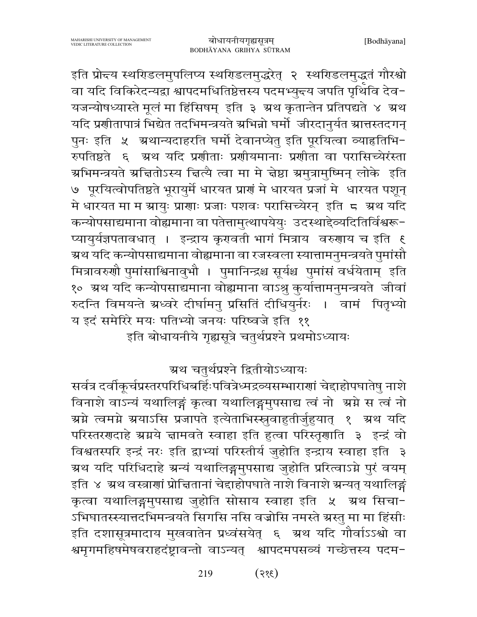इति प्रोन्दय स्थरिडलमुपलिप्य स्थरिडलमुद्धरेत् २ स्थरिडलमुद्धतं गौरश्वो वा यदि विकिरेदन्यद्वा श्वापदमधितिष्ठेत्तस्य पदमभ्युन्त्य जपति पृथिवि देव− यजन्योषध्यास्ते मूलं मा हिंसिषम् इति ३ ग्रथ कृतान्तेन प्रतिपद्यते ४ ग्रथ यदि प्रशीतापात्रं भिद्येत तदभिमन्त्रयते स्रभिन्नो घर्मो जीरदानुर्यत स्रात्तस्तदगन् पुनः इति ५ अथान्यदाहरति घर्मो देवानप्येतु इति पूरयित्वा व्याहतिभि-रुपतिष्ठते ६ अथ यदि प्रशीताः प्रशीयमानाः प्रशीता वा परासिच्येरंस्ता ग्रभिमन्त्रयते ग्रचितोऽस्य चित्यै त्वा मा मे चेष्ठा ग्रमुत्रामुष्मिन् लोके इति ७ पूरयित्वोपतिष्ठते भूरायुर्मे धारयत प्राणं मे धारयत प्रजां मे धारयत पशून् मे धारयत मा म ग्रायुः प्राणाः प्रजाः पशवः परासिच्येरन् इति ८ अथ यदि कन्योपसाद्यमाना वोह्यमाना वा पतेत्तामुत्थापयेयुः उदस्थाद्देव्यदितिर्विश्वरू-प्यायुर्यज्ञपतावधात् । इन्द्राय कृरावती भागं मित्राय वरुगाय च इति ६ ग्रथ यदि कन्योपसाद्यमाना वोह्यमाना वा रजस्वला स्यात्तामनुमन्त्रयते पुमांसौ मित्रावरुणौ पुमांसाश्विनावुभौ । पुमानिन्द्रश्च सूर्यश्च पुमांसं वर्धयेताम् इति १० ग्रथ यदि कन्योपसाद्यमाना वोह्यमाना वाऽश्रु कुर्यात्तामनुमन्त्रयते जीवां रुदन्ति विमयन्ते ग्रध्वरे दीर्घामनु प्रसितिं दीधियुर्नरः । वामं पितृभ्यो य इदं समेरिरे मयः पतिभ्यो जनयः परिष्वजे इति ११

इति बोधायनीये गृह्यसूत्रे चतुर्थप्रश्ने प्रथमोऽध्यायः

ग्रथ चतुर्थप्रश्ने द्वितीयोऽध्यायः

सर्वत्र दर्वीकूर्चप्रस्तरपरिधिबर्हिःपवित्रेध्मद्रव्यसम्भाराणां चेद्दाहोपघातेषु नाशे विनाशे वाऽन्यं यथालिङ्गं कृत्वा यथालिङ्गमुपसाद्य त्वं नो अ्रमे स त्वं नो ग्र्म्भे त्वमग्ने ग्रयाऽसि प्रजापते इत्येताभिस्स्रुवाहुतीर्जुहुयात् १ ग्रथ यदि परिस्तरणदाहे ग्रग्नये चामवते स्वाहा इति हुत्वा परिस्तृणाति ३ इन्द्रं वो विश्वतस्परि इन्द्रं नरः इति द्वाभ्यां परिस्तीर्य जुहोति इन्द्राय स्वाहा इति ३ ग्रथ यदि परिधिदाहे ग्रन्यं यथालिङ्गमुपसाद्य जुहोति प्ररित्वाऽग्ने पुरं वयम् इति ४ अ्रथ वस्त्राणां प्रोचितानां चेदाहोपघाते नाशे विनाशे ग्रन्यत् यथालिङ्गं कृत्वा यथालिङ्गमुपसाद्य जुहोति सोसाय स्वाहा इति ५ अथ सिचा-ऽभिघातस्स्यात्तदभिमन्त्रयते सिगसि नसि वज्रोसि नमस्ते ग्रस्तु मा मा हिंसीः इति दशासूत्रमादाय मुखवातेन प्रध्वंसयेत् ६ अ्थ यदि गौर्वाऽऽश्वो वा श्वमृगमहिषमेषवराहदंष्ट्रावन्तो वाऽन्यत् श्वापदमपसव्यं गच्छेत्तस्य पदम-

> $(385)$ 219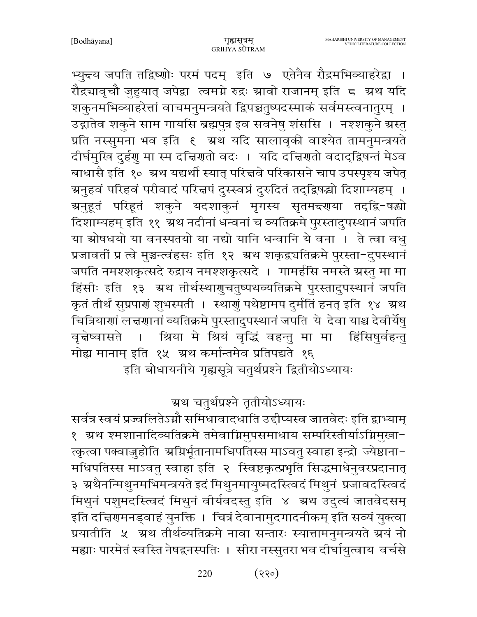भ्युन्त्य जपति तद्विष्णोः परमं पदम् इति ७ एतेनैव रौद्रमभिव्याहरेद्वा । रौद्र्यावृचौ जुहुयात् जपेद्रा त्वमग्ने रुद्रः स्रावो राजानम् इति ८ स्रथ यदि शकुनमभिव्याहरेत्तां वाचमनुमन्त्रयते द्विपञ्चतुष्पदस्माकं सर्वमस्त्वनातुरम् । उद्गातेव शकुने साम गायसि ब्रह्मपुत्र इव सवनेषु शंससि । नश्शकुने ग्रस्तु प्रति नस्सुमना भव इति १ अथ यदि सालावृकी वाश्येत तामनुमन्त्रयते दीर्घमुखि दुर्हगु मा स्म दच्चिगतो वदः । यदि दच्चिगतो वदाद्द्विषन्तं मेऽव बाधासै इति १० ग्रथ यद्यर्थी स्यात् परित्तवे परिकासने चाप उपस्पृश्य जपेत् ग्रनुहवं परिहवं परीवादं परित्तपं दुस्स्वप्नं दुरुदितं तद्द्विषद्यो दिशाम्यहम् । ञ्चनुहूतं परिहूतं शकुने यदशाकुनं मृगस्य सृतमन्दगया तद्द्वि−षद्यो दिशाम्यहम् इति ११ ग्रॅथ नदीनां धन्वनां च व्यतिक्रमे पुरस्तादुपस्थानं जपति या स्रोषधयो या वनस्पतयो या नद्यो यानि धन्वानि ये वना । ते त्वा वधु प्रजावतीं प्र त्वे मुञ्चन्त्वंहसः इति १२ अथ शकृद्वचतिक्रमे पुरस्ता-दुपस्थानं जपति नमश्शकृत्सदे रुद्राय नमश्शकृत्सदे । गामर्हसि नमस्ते ग्रस्तु मा मा हिंसीः इति १३ ग्रथ तीर्थस्थागुचतुष्पथव्यतिक्रमे पुरस्तादुपस्थानं जपति कृतं तीर्थं सुप्रपार्गं शुभस्पती । स्थागुं पथेष्टामप दुर्मतिं हनत् इति १४ अथ चित्रियाणां लत्तणानां व्यतिक्रमे पुरस्तादुपस्थानं जपति ये देवा याश्च देवीर्येषु वृत्तेष्वासते । श्रिया मे श्रियं वृद्धिं वहन्तु मा मा हिंसिषुर्वहन्तु मोह्य मानाम् इति १५ अथ कर्मान्तमेव प्रतिपद्यते १६

इति बोधायनीये गृह्यसूत्रे चतुर्थप्रश्ने द्वितीयोऽध्यायः

ग्रथ चतुर्थप्रश्ने तृतीयोऽध्यायः

सर्वत्र स्वयं प्रज्वलितेऽग्नौ समिधावादधाति उद्दीप्यस्व जातवेदः इति द्वाभ्याम् १ ग्रथ श्मशानादिव्यतिक्रमे तमेवाग्निमुपसमाधाय सम्परिस्तीर्याऽग्निमुखा-त्कृत्वा पक्वाज़ुहोति अग्निर्भूतानामधिपतिस्स माऽवतु स्वाहा इन्द्रो ज्येष्ठाना-मधिपतिस्स माऽवतु स्वाहा इति २ स्विष्टकृत्प्रभृति सिद्धमाधेनुवरप्रदानात् ३ अथैनन्मिथुनमभिमन्त्रयते इदं मिथुनमायुष्मदस्त्विदं मिथुनं प्रजावदस्त्विदं मिथुनं पशुमदस्त्विदं मिथुनं वीर्यवदस्तु इति ४ अ्थ उदुत्यं जातवेदसम् इति दच्चिणमनड्वाहं युनक्ति । चित्रं देवानामुदगादनीकम् इति सव्यं युक्त्वा प्रयातीति ५ अथ तीर्थव्यतिक्रमे नावा सन्तारः स्यात्तामनुमन्त्रयते ग्रयं नो मह्याः पारमेतं स्वस्ति नेषद्वनस्पतिः । सीरा नस्सुतरा भव दीर्घायुत्वाय वर्चसे

> $(330)$ 220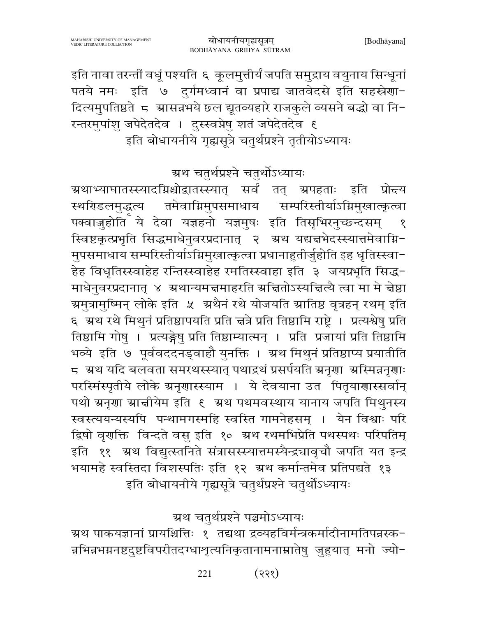इति नावा तरन्तीं वधूं पश्यति ६ कूलमुत्तीर्यं जपति समुद्राय वयुनाय सिन्धूनां पतये नमः इति ७ दुर्गमध्वानं वा प्रपाद्य जातवेदसे इति सहस्रेणा-दित्यमुपतिष्ठते 5 ग्रासन्नभये छल द्यूतव्यहारे राजकुले व्यसने बद्धो वा नि-रन्तरमुपांशु जपेदेतदेव । दुस्स्वप्नेषु शतं जपेदेतदेव ६ इति बोधायनीये गृह्यसूत्रे चतुर्थप्रश्ने तृतीयोऽध्यायः

ग्रथ चतुर्थप्रश्ने चतुर्थोऽध्यायः

<mark>ग्रथाभ्या</mark>घातस्स्यादग्निश्चोद्वातस्स्यात् सर्वं तत् ग्रपहताः इति प्रो<del>द</del>य स्थरिडलमुद्धत्य तमेवाग्निमुपसमाधाय सम्परिस्तीर्याऽग्निमुखात्कृत्वा पक्वाज़ुहोति ये देवा यज्ञहनो यज्ञमुषः इति तिसृभिरनुच्छन्दसम्  $\sqrt{2}$ स्विष्टकृत्प्रभृति सिद्धमाधेनुवरप्रदानात् २ अ्रथ यद्यज्ञभेदस्स्यात्तमेवाग्नि-मुपसमाधाय सम्परिस्तीर्याऽग्निमुखात्कृत्वा प्रधानाहुतीर्जुहोति इह धृतिस्स्वा-हेह विधृतिस्स्वाहेह रन्तिस्स्वाहेह रमतिस्स्वाहा इति ३ जयप्रभृति सिद्ध-माधेनुवरप्रदानात् ४ अथान्यमत्तमाहरति अचितोऽस्यचित्यै त्वा मा मे चेष्ठा ग्रमुत्रामुष्मिन् लोके इति *५ श्र*थैनं रथे योजयति स्रातिष्ठ वृत्रहन् रथम् इति ६ अथ रथे मिथुनं प्रतिष्ठापयति प्रति चत्रे प्रति तिष्ठामि राष्ट्रे । प्रत्यश्वेषु प्रति तिष्ठामि गोषु । प्रत्यङ्गेषु प्रति तिष्ठाम्यात्मन् । प्रति प्रजायां प्रति तिष्ठामि भव्ये इति ७ पूर्ववददनड्वाहौ युनक्ति । अ्रथ मिथुनं प्रतिष्ठाप्य प्रयातीति 5 अथ यदि बलवता समरथस्स्यात् पथाद्रथं प्रसर्पयति अनृणा अस्मिन्ननृणाः परस्मिंस्पृतीये लोके ग्रनृणास्स्याम । ये देवयाना उत पितृयाणास्सर्वान् पथो ग्रनृणा ग्राज्ञीयेम इति ६ ग्रथ पथमवस्थाय यानाय जपति मिथुनस्य स्वस्त्ययन्यस्यपि पन्थामगस्महि स्वस्ति गामनेहसम् । येन विश्वाः परि द्विषो वृणक्ति विन्दते वसु इति १० अथ रथमभिप्रेति पथस्पथः परिपतिम् इति ११ अथ विद्युत्स्तनिते संत्रासस्स्यात्तमस्यैन्द्रञावृचौ जपति यत इन्द्र भयामहे स्वस्तिदा विशस्पतिः इति १२ अथ कर्मान्तमेव प्रतिपद्यते १३ इति बोधायनीये गृह्यसूत्रे चतुर्थप्रश्ने चतुर्थोऽध्यायः

ग्रथ चतुर्थप्रश्ने पञ्चमोऽध्यायः

म्रथ पाकयज्ञानां प्रायश्चित्तिः १ तद्यथा द्रव्यहविर्मन्त्रकर्मादीनामतिपन्नस्क− न्नभिन्नभग्ननष्टदुष्टविपरीतदग्धाशृत्यनिकृतानामनाम्नातेषु जुहुयात् मनो ज्यो-

> $(335)$ 221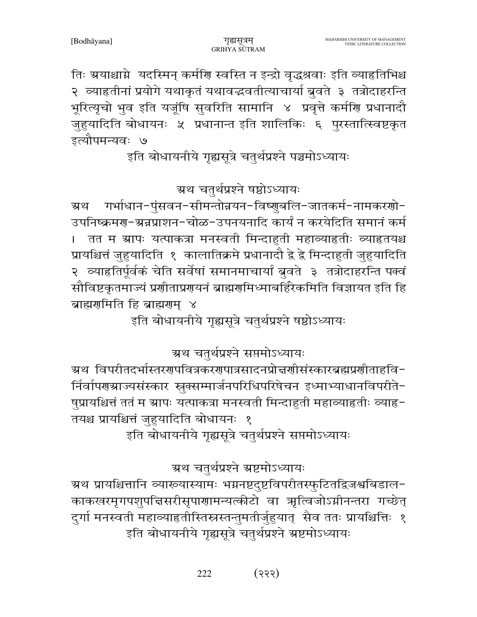ग्रथ चतुर्थप्रश्ने ग्रष्टमोऽध्यायः ग्रथ प्रायश्चित्तानि व्याख्यास्यामः भग्ननष्टदुष्टविपरीतस्फुटितद्विजश्वबिडाल− काकखरमृगपशुपत्तिसरीसृपागामन्यत्कीटो वा ऋत्विजोऽग्नीनन्तरा गच्छेत् दुर्गा मनस्वती महाव्याहृतीस्तिस्नस्तन्तुमतीर्जुहुयात् सैव ततः प्रायश्चित्तिः १ इति बोधायनीये गृह्यसूत्रे चतुर्थप्रश्ने ग्रष्टमोऽध्यायः

इति बोधायनीये गृह्यसूत्रे चतुर्थप्रश्ने सप्तमोऽध्यायः

षुप्रायश्चित्तं ततं म ग्रापः यत्पाकत्रा मनस्वती मिन्दाहुती महाव्याहृतीः व्याहृ-तयश्च प्रायश्चित्तं जुहुयादिति बोधायनः १

र्निर्वापणग्राज्यसंस्कार स्रुक्सम्मार्जनपरिधिपरिषेचन इध्माभ्याधानविपरीते-

इति बोधायनीये गृह्यसूत्रे चतुर्थप्रश्ने षष्ठोऽध्यायः

ग्रथ चतुर्थप्रश्ने सप्तमोऽध्यायः

अथ विपरीतदर्भास्तररणपवित्रकररणात्रसादनप्रोत्तर्णासंस्कारब्रह्मप्रणीताहवि−

गर्भाधान-पुंसवन-सीमन्तोन्नयन-विष्णुबलि-जातकर्म-नामकरणो-ग्र्थ उपनिष्क्रमण्-भ्रन्नप्राशन-चोळ-उपनयनादि कार्यं न करयेदिति समानं कर्म तत म ग्रापः यत्पाकत्रा मनस्वती मिन्दाहुती महाव्याहृतीः व्याहृतयश्च प्रायश्चित्तं जुहुयादिति १ कालातिक्रमे प्रधानादौ द्वे द्वे मिन्दाहुती जुहुयादिति २ व्याहृतिर्पूर्वकं चेति सर्वेषां समानमाचार्यां बुवते ३ तत्रोदाहरन्ति पक्वं सौविष्टकृतमाज्यं प्रणीताप्रणयनं ब्राह्मणमिध्माबर्हिरेकमिति विज्ञायत इति हि ब्राह्मरामिति हि ब्राह्मराम ४

ग्रथ चतुर्थप्रश्ने षष्ठोऽध्यायः

इति बोधायनीये गृह्यसूत्रे चतुर्थप्रश्ने पञ्चमोऽध्यायः

तिः ग्रयाश्चाग्ने यदस्मिन् कर्मणि स्वस्ति न इन्द्रो वृद्धश्रवाः इति व्याहतिभिश्च २ व्याहृतीनां प्रयोगे यथाकृतं यथावद्धवतीत्याचार्या बुवते ३ तत्रोदाहरन्ति भूरित्यृचो भुव इति यजूंषि सुवरिति सामानि ४ प्रवृत्ते कर्मणि प्रधानादौ जुहुयादिति बोधायनः ५ प्रधानान्त इति शालिकिः ६ पुरस्तात्स्विष्टकृत इत्यौपमन्यवः ७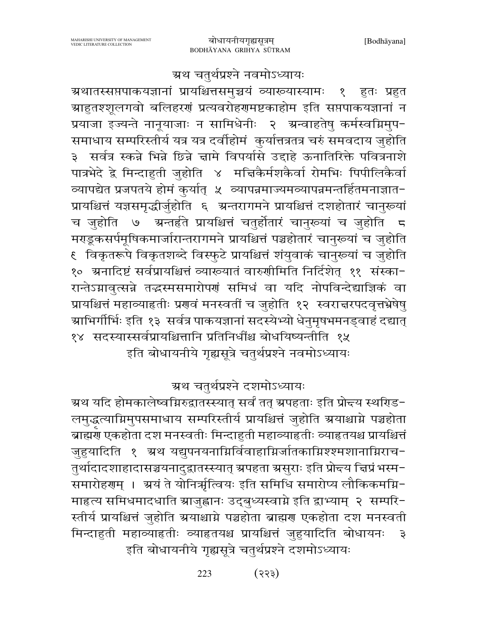#### ग्रथ चतुर्थप्रश्ने नवमोऽध्यायः

ग्रथातस्सप्तपाकयज्ञानां प्रायश्चित्तसमुच्चयं व्याख्यास्यामः १ हुतः प्रहुत ग्राहुतश्शूलगवो बलिहरणं प्रत्यवरोहणमष्टकाहोम इति सप्तपाकयज्ञानां न प्रयाजा इज्यन्ते नानूयाजाः न सामिधेनीः २ अन्वाहतेषु कर्मस्वग्निमुप-समाधाय सम्परिस्तीर्य यत्र यत्र दर्वाहोमं कुर्यात्तत्रतत्र चरुं समवदाय जुहोति ३ सर्वत्र स्कन्ने भिन्ने छिन्ने चामे विपर्यासे उद्दाहे ऊनातिरिक्ते पवित्रनाशे पात्रभेदे द्वे मिन्दाहुती जुहोति ४ मचिकैर्मशकैर्वा रोमभिः पिपीलिकैर्वा व्यापद्येत प्रजपतये होमं कुर्यात् ४ व्यापन्नमाज्यमव्यापन्नमन्तर्हितमनाज्ञात− प्रायश्चित्तं यज्ञसमृद्धीर्जुहोति ६ अन्तरागमने प्रायश्चित्तं दशहोतारं चानुरूयां च जुहोति ७ अन्तर्हते प्रायश्चित्तं चतुर्होतारं चानुरूयां च जुहोति 5 मराडूकसर्पमूषिकमार्जारान्तरागमने प्रायश्चित्तं पञ्चहोतारं चानुरूयां च जुहोति १ विकृतरूपे विकृतशब्दे विस्फुटे प्रायश्चित्तं शंयुवाकं चानुरूयां च जुहोति १० ग्रनादिष्टं सर्वप्रायश्चित्तं व्याख्यातं वारुणीमिति निर्दिशेत् ११ संस्का-रान्तेऽग्नावुत्सन्ने तद्धस्मसमारोपणं समिधं वा यदि नोपविन्देद्याज्ञिकं वा प्रायश्चित्तं महाव्याहृतीः प्रणवं मनस्वतीं च जुहोति १२ स्वरात्तरपदवृत्तभ्रेषेषु ग्राभिर्गीर्भिः इति १३ सर्वत्र पाकयज्ञानां सदस्येभ्यो धेनुमृषभमनड्वाहं दद्यात् १४ सदस्यास्सर्वप्रायश्चित्तानि प्रतिनिधींश्च बोधयिष्यन्तीति १५ इति बोधायनीये गृह्यसूत्रे चतुर्थप्रश्ने नवमोऽध्यायः

ग्रथ चतुर्थप्रश्ने दशमोऽध्यायः

ग्रथ यदि होमकालेष्वम्रिरुद्वातस्स्यात् सर्वं तत् ग्रपहताः इति प्रोन्दय स्थरिड− लमुद्धत्याग्निमुपसमाधाय सम्परिस्तीर्य प्रायश्चित्तं जुहोति ग्रयाश्चाग्ने पञ्चहोता ब्राह्मण् एकहोता दश मनस्वतीः मिन्दाहुती महाव्याहृतीः व्याहृतयश्च प्रायश्चित्तं जुहुयादिति १ अ्थ यद्युपनयनाम्निर्विवाहाम्रिर्जातकाम्निश्श्मशानाम्निराच-तुर्थादादशाहादासञ्चयनादुद्वातस्स्यात् ग्रपहता ग्रसुराः इति प्रोन्दय चिप्रं भस्म-समारोहरणम् । अ्यं ते योनिर्भूत्वियः इति समिधि समारोप्य लौकिकमग्नि-माहत्य समिधमादधाति स्राजुह्वानः उद्बुध्यस्वाग्ने इति द्वाभ्याम् २ सम्परि-स्तीर्य प्रायश्चित्तं जुहोति ग्रयाश्चाग्ने पञ्चहोता ब्राह्मण एकहोता दश मनस्वती मिन्दाहुती महाव्याहृतीः व्याहृतयश्च प्रायश्चित्तं जुहुयादिति बोधायनः  $\overline{z}$ इति बोधायनीये गृह्यसूत्रे चतुर्थप्रश्ने दशमोऽध्यायः

> $(333)$ 223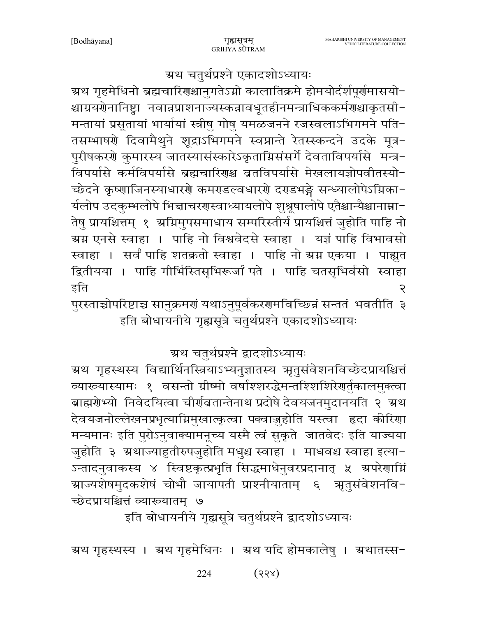ग्रथ चतुर्थप्रश्ने एकादशोऽध्यायः

ग्रथ गृहमेधिनो ब्रह्मचारिणश्चानुगतेऽग्नो कालातिक्रमे होमयोर्दर्शपूर्णमासयो− श्चाग्रयणेनानिष्ट्वा नवान्नप्राशनाज्यस्कन्नावधूतहीनमन्त्राधिककर्मणश्चाकृतसी− मन्तायां प्रसूतायां भार्यायां स्त्रीषु गोषु यमळजनने रजस्वलाऽभिगमने पति-तसम्भाषणे दिवामैथुने शूद्राऽभिगमने स्वप्नान्ते रेतस्स्कन्दने उदके मूत्र-पुरीषकरणे कुमारस्य जातस्यासंस्कारेऽकृताग्निसंसर्गे देवताविपर्यासे मन्त्र-विपर्यासे कर्मविपर्यासे ब्रह्मचारिणश्च व्रतविपर्यासे मेखलायज्ञोपवीतस्यो-च्छेदने कृष्णाजिनस्याधारणे कमराडल्वधारणे दराडभङ्गे सन्ध्यालोपेऽग्निका-र्यलोप उदकुम्भलोपे भिद्माचरगस्वाध्यायलोपे शुश्रूषालोपे एतैश्चान्यैश्चानाम्ना-तेषु प्रायश्चित्तम् १ अग्निमुपसमाधाय सम्परिस्तीर्य प्रायश्चित्तं जुहोति पाहि नो ग्रग्न एनसे स्वाहा । पाहि नो विश्ववेदसे स्वाहा । यज्ञं पाहि विभावसो स्वाहा । सर्वं पाहि शतक्रतो स्वाहा । पाहि नो ग्रग्न एकया । पाह्युत द्वितीयया । पाहि गीर्भिस्तिसृभिरूर्जां पते । पाहि चतसृभिर्वसो स्वाहा इति २

पुरस्ताच्चोपरिष्टाच्च सानुक्रमणं यथाऽनुपूर्वकरणमविच्छिन्नं सन्ततं भवतीति ३ इति बोधायनीये गृह्यसूत्रे चतुर्थप्रश्ने एकादशोऽध्यायः

ग्रथ चतुर्थप्रश्ने द्वादशोऽध्यायः

ग्रथ गृहस्थस्य विद्यार्थिनस्त्रियाऽभ्यनुज्ञातस्य ऋतुसंवेशनविच्छेदप्रायश्चित्तं व्यारूयास्यामः १ वसन्तो ग्रीष्मो वर्षाश्शरद्धेमन्तश्शिशिरेणर्तुकालमुक्त्वा ब्राह्मरोभ्यो निवेदयित्वा चीर्राव्रतान्तेनाथ प्रदोषे देवयजनमुदानयति २ अ्रथ देवयजनोल्लेखनप्रभृत्याग्निमुखात्कृत्वा पक्वाजुहोति यस्त्वा हृदा कीरिणा मन्यमानः इति पुरोऽनुवाक्यामनूच्य यस्मै त्वं सुकृते जातवेदः इति याज्यया जुहोति ३ ग्रथाज्याहुतीरुपजुहोति मधुश्च स्वाहा । माधवश्च स्वाहा इत्या-ऽन्तादनुवाकस्य ४ स्विष्टकृत्प्रभृति सिद्धमाधेनुवरप्रदानात् ५ ग्रपरेणाग्निं ञ्राज्यशेषमुदकशेषं चोभौ जायापती प्राश्नीयाताम् ६ ऋतुसंवेशनवि− च्छेदप्रायश्चित्तं व्याख्यातम् ७

इति बोधायनीये गृह्यसूत्रे चतुर्थप्रश्ने द्वादशोऽध्यायः

ग्रथ गृहस्थस्य । ग्रथ गृहमेधिनः । ग्रथ यदि होमकालेषु । ग्रथातस्स-

224  $(33x)$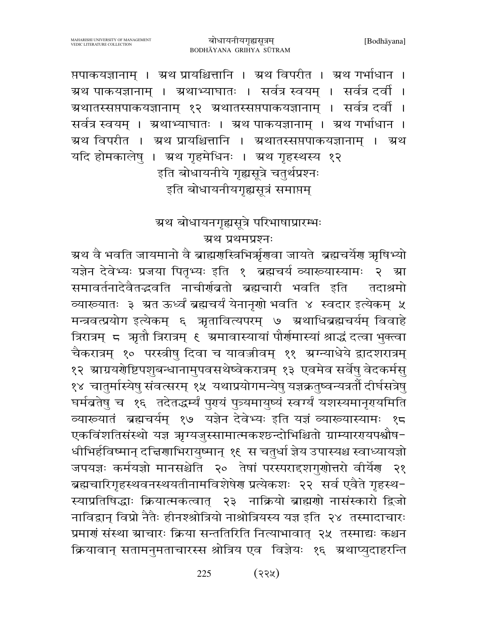प्तपाकयज्ञानाम् । ग्रथ प्रायश्चित्तानि । ग्रथ विपरीत । ग्रथ गर्भाधान । ग्रथ पाकयज्ञानाम् । ग्रथाभ्याघातः । सर्वत्र स्वयम् । सर्वत्र दर्वी । ग्रथातस्सप्तपाकयज्ञानाम् १२ ग्रथातस्सप्तपाकयज्ञानाम् । सर्वत्र दर्वी । सर्वत्र स्वयम् । अ्रथाभ्याघातः । अथ पाकयज्ञानाम् । अथ गर्भाधान । ग्रथ विपरीत । ग्रथ प्रायश्चित्तानि । ग्रथातस्सप्तपाकयज्ञानाम् । ग्रथ यदि होमकालेषु । ग्रथ गृहमेधिनः । ग्रथ गृहस्थस्य १२ इति बोधायनीये गृह्यसूत्रे चतुर्थप्रश्नः इति बोधायनीयगृह्यसूत्रं समाप्तम्

ग्रथ बोधायनगृह्यसूत्रे परिभाषाप्रारम्भः

ग्रथ प्रथमप्रश्नः

ग्रथ वै भवति जायमानो वै ब्राह्मरास्त्रिभिर्म्नुगुवा जायते ब्रह्मचर्येग मृषिभ्यो यज्ञेन देवेभ्यः प्रजया पितृभ्यः इति १ ब्रह्मचर्य व्याख्यास्यामः २ ग्रा समावर्तनादेवैतद्भवति नाचीर्णवतो ब्रह्मचारी भवति इति तदाश्रमो व्यारूयातः ३ ग्रत ऊर्ध्वं ब्रह्मचर्यं येनानृणो भवति ४ स्वदार इत्येकम् ५ मन्त्रवत्प्रयोग इत्येकम् ६ ऋतावित्यपरम् ७ ऋथाधिब्रह्मचर्यम् विवाहे त्रिरात्रम् ८ अतौ त्रिरात्रम् ६ अमावास्यायां पौर्णमास्यां श्राद्धं दत्वा भुक्त्वा चैकरात्रम् १० परस्त्रीषु दिवा च यावज्जीवम् ११ ग्रग्न्याधेये द्वादशरात्रम् १२ स्राग्रयर्गेष्टिपशुबन्धानामुपवसथेष्वेकरात्रम् १३ एवमेव सर्वेषु वेदकर्मसु १४) चातुर्मास्येषु संवत्सरम् १५) यथाप्रयोगमन्येषु यज्ञक्रतुष्वन्यत्रतौँ दीर्घसत्रेषु घर्मब्रतेषु च १६ तदेतद्धर्म्यं पुरयं पुत्र्यमायुष्यं स्वर्ग्यं यशस्यमानृगयमिति व्यारूयातं ब्रह्मचर्यम् १७ यज्ञेन देवेभ्यः इति यज्ञं व्यारूयास्यामः १८ एकविंशतिसंस्थो यज्ञ ऋग्यजुस्सामात्मकश्छन्दोभिश्चितो ग्राम्यारगयपश्चौष-धीभिर्हविष्मान् दच्चिणाभिरायुष्मान् १६ स चतुर्धा ज्ञेय उपास्यश्च स्वाध्यायज्ञो जपयज्ञः कर्मयज्ञो मानसश्चेति २० तेषां परस्परादशगुणोत्तरो वीर्येण २१ ब्रह्मचारिगृहस्थवनस्थयतीनामविशेषेण प्रत्येकशः २२ सर्व एवैते गृहस्थ-स्याप्रतिषिद्धाः क्रियात्मकत्वात् २३ नाक्रियो ब्राह्मणो नासंस्कारो द्विजो नाविद्वान् विप्रो नैतैः हीनश्श्रोत्रियो नाश्रोत्रियस्य यज्ञ इति २४ तस्मादाचारः प्रमाणं संस्था ग्राचारः क्रिया सन्ततिरिति नित्याभावात् २५ तस्माद्यः कश्चन क्रियावान् सतामनुमताचारस्स श्रोत्रिय एव विज्ञेयः १६ ग्रथाप्युदाहरन्ति

> $(33)$ 225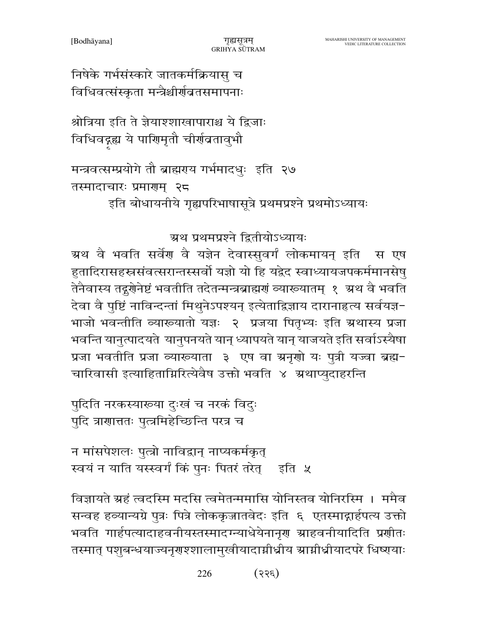226  $(33\varepsilon)$ 

विज्ञायते ग्रहं त्वदस्मि मदसि त्वमेतन्ममासि योनिस्तव योनिरस्मि । ममैव सन्वह हव्यान्यग्रे पुत्रः पित्रे लोककृजातवेदः इति ६ एतस्माद्गार्हपत्य उक्तो भवति गार्हपत्यादाहवनीयस्तस्मादग्न्याधेयेनानृण ग्राहवनीयादिति प्रणीतः तस्मात् पशुबन्धयाज्यनृगश्शालामुखीयादाग्नीध्रीय ग्राग्नीध्रीयादपरे धिष्णयाः

न मांसपेशलः पुत्त्रो नाविद्वान् नाप्यकर्मकृत् स्वयं न याति यस्स्वर्गं किं पुनः पितरं तरेत्र इति ५

पुदिति नरकस्याख्या दुःखं च नरकं विदुः पुदि त्राणात्ततः पुत्त्रमिहेच्छिन्ति परत्र च

ग्रथ प्रथमप्रश्ने द्वितीयोऽध्यायः ग्रथ वै भवति सर्वेण वै यज्ञेन देवास्सुवर्गं लोकमायन् इति स एष हुतादिरासहस्रसंवत्सरान्तस्सर्वो यज्ञो यो हि यद्वेद स्वाध्यायजपकर्ममानसेषु तेनैवास्य तद्गुगेनेष्टं भवतीति तदेतन्मन्त्रब्राह्मगं व्याख्यातम् १ अ्रथ वै भवति देवा वै पुष्टिं नाविन्दन्तां मिथुनेऽपश्यन् इत्येताद्विज्ञाय दारानाहृत्य सर्वयज्ञ-भाजो भवन्तीति व्याख्यातो यज्ञः २ प्रजया पितृभ्यः इति ग्रथास्य प्रजा भवन्ति यानुत्पादयते यानुपनयते यान् ध्यापयते यान् याजयते इति सर्वाऽस्यैषा प्रजा भवतीति प्रजा व्याख्याता ३ एष वा ग्रनृणो यः पुत्री यज्वा ब्रह्म-चारिवासी इत्याहिताग्निरित्येवैष उक्तो भवति ४ अथाप्युदाहरन्ति

इति बोधायनीये गृह्यपरिभाषासूत्रे प्रथमप्रश्ने प्रथमोऽध्यायः

तस्मादाचारः प्रमाणम् २८

मन्त्रवत्सम्प्रयोगे तौ ब्राह्मराय गर्भमादधुः इति २७

श्रोत्रिया इति ते ज्ञेयाश्शाखापाराश्च ये द्विजाः विधिवद्गह्य ये पाणिमृतौ चीर्णव्रतावुभौ

निषेके गर्भसंस्कारे जातकर्मक्रियासु च विधिवत्संस्कृता मन्त्रैश्चीर्णवतसमापनाः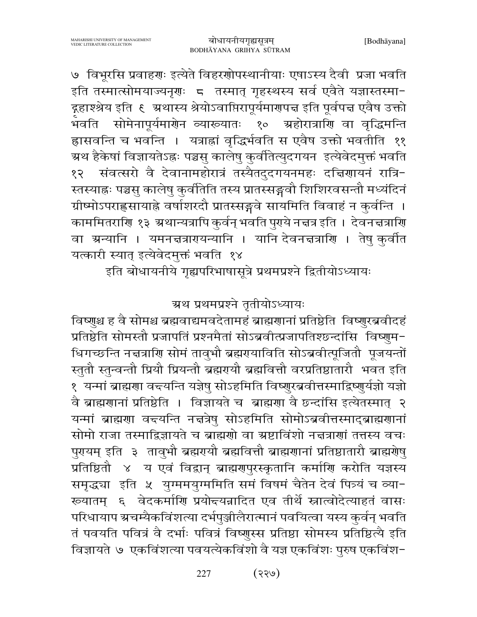वै ब्राह्मणानां प्रतिष्ठेति । विज्ञायते च ब्राह्मणा वै छन्दांसि इत्येतस्मात् २ यन्मां ब्राह्मणा वन्त्यन्ति नन्नत्रेषु सोऽहमिति सोमोऽब्रवीत्तस्माद्ब्राह्मणानां सोमो राजा तस्माद्विज्ञायते च ब्राह्मणो वा ग्रष्टाविंशो नचत्राणां तत्तस्य वचः पुरयम् इति ३ तावुभौ ब्रह्मरायौ ब्रह्मवित्तौ ब्राह्मराानां प्रतिष्ठातारौ ब्राह्मरोषु प्रतिष्ठितौ ४ य एवं विद्वान् ब्राह्मणपुरस्कृतानि कर्माणि करोति यज्ञस्य समृद्ध्या इति ५ युग्ममयुग्ममिति समं विषमं चैतेन देवं पित्र्यं च व्या-ख्यातम् ६ वेदकर्माणि प्रयोद्त्यन्नादित एव तीर्थे स्नात्वोदेत्याहतं वासः परिधायाप ग्रचम्यैकविंशत्या दर्भपुञ्जीलैरात्मानं पवयित्वा यस्य कुर्वन् भवति तं पवयति पवित्रं वै दर्भाः पवित्रं विष्णुस्स प्रतिष्ठा सोमस्य प्रतिष्ठित्यै इति विज्ञायते ७ एकविंशत्या पवयत्येकविंशो वै यज्ञ एकविंशः पुरुष एकविंश-

इति बोधायनीये गृह्यपरिभाषासूत्रे प्रथमप्रश्ने द्वितीयोऽध्यायः

ग्रथ प्रथमप्रश्ने तृतीयोऽध्यायः

विष्णुश्च ह वै सोमश्च ब्रह्मवाद्यमवदेतामहं ब्राह्मणानां प्रतिष्ठेति विष्णुरब्रवीदहं

प्रतिष्ठेति सोमस्तौ प्रजापतिं प्रश्नमैतां सोऽब्रवीत्प्रजापतिश्छन्दांसि विष्णुम-

धिगच्छन्ति नद्मत्राणि सोमं तावुभौ ब्रह्मरायाविति सोऽब्रवीत्पूजितौ पूजयन्तों

स्तुतौ स्तुन्वन्तौ प्रियौ प्रियन्तौ ब्रह्मरायौ ब्रह्मवित्तौ वरप्रतिष्ठातारौ भवत इति

१ यन्मां ब्राह्मणा वद्त्यन्ति यज्ञेषु सोऽहमिति विष्णुरब्रवीत्तस्माद्विष्णुर्यज्ञो यज्ञो

७ विभूरसि प्रवाहणः इत्येते विहरणोपस्थानीयाः एषाऽस्य दैवी प्रजा भवति इति तस्मात्सोमयाज्यनृगः 5 तस्मात् गृहस्थस्य सर्व एवैते यज्ञास्तस्मा-द्गहाश्श्रेय इति ६ ग्रथास्य श्रेयोऽवाप्तिरापूर्यमारणपत्त इति पूर्वपत्त एवैष उक्तो ू<br>भवति सोमेनापूर्यमार्णेन व्याख्यातः १० ग्रहोरात्राणि वा वृद्धिमन्ति ह्रासवन्ति च भवन्ति । यत्राह्मां वृद्धिर्भवति स एवैष उक्तो भवतीति ११ ग्र्रथ हैकेषां विज्ञायतेऽह्रः पञ्चसु कालेषु कुर्वतित्युदगयन इत्येवेदमुक्तं भवति संवत्सरो वै देवानामहोरात्रं तस्यैतदुदगयनमहः दच्चिणायनं रात्रि-१२ स्तस्याह्नः पञ्चसु कालेषु कुर्वतिति तस्य प्रातस्सङ्गवौ शिशिरवसन्तौ मध्यंदिनं ग्रीष्मोऽपराह्लसायाह्ने वर्षाशरदौ प्रातस्सङ्गवे सायमिति विवाहं न कुर्वन्ति । काममितराणि १३ अथान्यत्रापि कुर्वन् भवति पुरये नत्तत्र इति । देवनत्तत्राणि वा ग्रन्यानि । यमनत्तत्रारायन्यानि । यानि देवनत्तत्राणि । तेषु कुर्वात यत्कारी स्यात् इत्येवेदमुक्तं भवति १४

MAHARISHI UNIVERSITY OF MANAGEMENT<br>VEDIC LITERATURE COLLECTION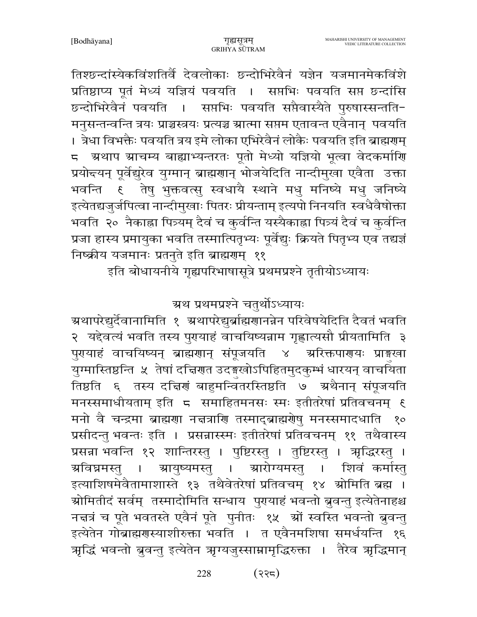तिश्छन्दांस्येकविंशतिर्वै देवलोकाः छन्दोभिरेवैनं यज्ञेन यजमानमेकविंशे प्रतिष्ठाप्य पूतं मेध्यं यज्ञियं पवयति । सप्तभिः पवयति सप्त छन्दांसि छन्दोभिरेवैनं पवयति । सप्तभिः पवयति सप्तैवास्यैते पुरुषास्सन्तति-मनुसन्तन्वन्ति त्रयः प्राञ्चस्त्रयः प्रत्यञ्च ग्रात्मा सप्तम एतावन्त एवैनान् पवयति । त्रेधा विभक्तैः पवयति त्रय इमे लोका एभिरेवैनं लोकैः पवयति इति ब्राह्मगम् 5 अथाप स्राचम्य बाह्याभ्यन्तरतः पूतो मेध्यो यज्ञियो भूत्वा वेदकर्माणि प्रयोद्त्यन् पूर्वेद्युरेव युग्मान् ब्राह्मणान् भोजयेदिति नान्दीमुखा एवैता उक्ता भवन्ति है तेषु भुक्तवत्सु स्वधायै स्थाने मधु मनिष्ये मधु जनिष्ये इत्येतद्यजुर्जपित्वा नान्दीमुखाः पितरः प्रीयन्ताम् इत्यपो निनयति स्वधैवैषोक्ता भवति २० नैकाह्मा पित्र्यम् दैवं च कुर्वन्ति यस्यैकाह्मा पित्र्यं दैवं च कुर्वन्ति प्रजा हास्य प्रमायुका भवति तस्मात्पितृभ्यः पूर्वेद्युः क्रियते पितृभ्य एव तद्यज्ञं निष्क्रीय यजमानः प्रतनुते इति ब्राह्मराम् ११

इति बोधायनीये गृह्यपरिभाषासूत्रे प्रथमप्रश्ने तृतीयोऽध्यायः

ग्रथ प्रथमप्रश्ने चतर्थोऽध्यायः

ग्र्यापरेद्युर्देवानामिति १ अथापरेद्युर्ब्राह्मणानन्नेन परिवेषयेदिति दैवतं भवति २ यद्देवत्यं भवति तस्य पुरायाहं वाचयिष्यन्नाम गृह्णात्यसौ प्रीयतामिति ३ पुरायाहं वाचयिष्यन् ब्राह्मणान् संपूजयति ४ ग्ररिक्तपारायः प्राङ्गस्वा युग्मास्तिष्ठन्ति ४ तेषां दच्चिरणत उदङ्गखोऽपिहितमुदकुम्भं धारयन् वाचयिता तिष्ठति ६ तस्य दच्चिणं बाहुमन्वितरस्तिष्ठति ७ अथैनान् संपूजयति मनस्समाधीयताम् इति 5 समाहितमनसः स्मः इतीतरेषां प्रतिवचनम् ६ मनो वै चन्द्रमा ब्राह्मणा नचत्राणि तस्माद्ब्राह्मणेषु मनस्समादधाति  $80<sub>o</sub>$ प्रसीदन्तु भवन्तः इति । प्रसन्नास्स्मः इतीतरेषां प्रतिवचनम् ११ तथैवास्य प्रसन्ना भवन्ति १२ शान्तिरस्तु । पुष्टिरस्तु । तुष्टिरस्तु । त्रृद्धिरस्तु । ञ्चारोग्यमस्तु । शिवं कर्मास्त ग्रविघ्नमस्त । ञ्चायुष्यमस्तु । इत्याशिषमेवैतामाशास्ते १३ तथैवेतरेषां प्रतिवचम् १४ स्रोमिति ब्रह्म । ग्रोमितीदं सर्वम् तस्मादोमिति सन्धाय पुरायाहं भवन्तो बुवन्तु इत्येतेनाहश्च नचत्रं च पूते भवतस्ते एवैनं पूते पुनीतः १५ स्रों स्वस्ति भवन्तो ब्रुवन्तु इत्येतेन गोब्राह्मणस्याशीरुक्ता भवति । त एवैनमशिषा समर्धयन्ति १६ ऋद्धिं भवन्तो बुवन्तु इत्येतेन ऋग्यजुस्साम्रामृद्धिरुक्ता । तैरेव ऋद्धिमान्

> $(332)$ 228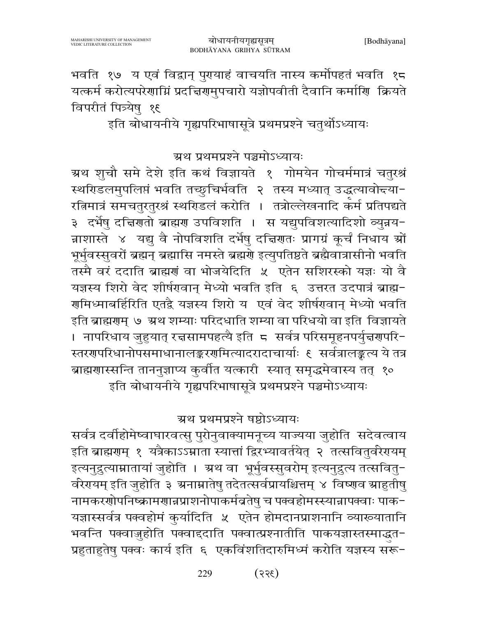भवति १७ य एवं विद्वान् पुरयाहं वाचयति नास्य कर्मोपहतं भवति १८ यत्कर्म करोत्यपरेणाम्निं प्रदच्चिणमुपचारो यज्ञोपवीती दैवानि कर्माणि क्रियते विपरीतं पित्र्येषु १६

इति बोधायनीये गृह्यपरिभाषासूत्रे प्रथमप्रश्ने चतुर्थोऽध्यायः

ग्रथ प्रथमप्रश्ने पञ्चमोऽध्यायः

ग्रथ श़ूचौ समे देशे इति कथं विज्ञायते १ गोमयेन गोचर्ममात्रं चतुरश्रं स्थरिडलमुपलिप्तं भवति तच्छुचिर्भवति २ तस्य मध्यात् उद्धत्यावोद्त्या-रत्निमात्रं समचतुरतुरश्रं स्थरिडलं करोति । तत्रोल्लेखनादि कर्म प्रतिपद्यते ३ दर्भेषु दत्तिरातो ब्राह्मरा उपविशति । स यद्युपविशत्यादिशो व्युन्नय-न्नाशास्ते ४ यद्यु वै नोपविशति दर्भेषु दत्तिरातः प्रागग्रं कूर्चं निधाय श्रों भूर्भुवस्सुवरों ब्रह्मन् ब्रह्मासि नमस्ते ब्रह्मणे इत्युपतिष्ठते ब्रह्मैवात्रासीनो भवति तस्मै वरं ददाति ब्राह्मणं वा भोजयेदिति ५ एतेन सशिरस्को यज्ञः यो वै यज्ञस्य शिरो वेद शीर्षरावान् मेध्यो भवति इति ६ उत्तरत उदपात्रं ब्राह्म-गमिध्माबर्हिरिति एतद्वै यज्ञस्य शिरो य एवं वेद शीर्षगवान् मेध्यो भवति इति ब्राह्मणुम् ७ ग्रथ शम्याः परिदधाति शम्या वा परिधयो वा इति विज्ञायते । नापरिधाय जुहुयात् रच्चसामपहत्यै इति ८ सर्वत्र परिसमूहनपर्युच्चर्णपरि− स्तरगपरिधानोपसमाधानालङ्करगमित्यादरादाचार्याः ६ सर्वत्रालङ्कत्य ये तत्र ब्राह्मणास्सन्ति ताननुज्ञाप्य कुर्वीत यत्कारी स्यात् समृद्धमेवास्य तत् १० इति बोधायनीये गृह्यपरिभाषासूत्रे प्रथमप्रश्ने पञ्चमोऽध्यायः

ग्रथ प्रथमप्रश्ने षष्ठोऽध्यायः

सर्वत्र दर्वाहोमेष्वाघारवत्सु पुरोनुवाक्यामनूच्य याज्यया जुहोति सदेवत्वाय इति ब्राह्मणम् १ यत्रैकाऽऽम्राता स्यात्तां द्विरभ्यावर्तयेत् २ तत्सवितुर्वरेगयम् इत्यनुद्रुत्याम्रातायां जुहोति । अ्रथ वा भूर्भुवस्सुवरोम् इत्यनुद्रुत्य तत्सवितु-र्वरेगयम् इति जुहोति ३ ग्रनाम्नातेषु तदेतत्सर्वप्रायश्चित्तम् ४ विष्णव स्राहुतीषु नामकरणोपनिष्क्रामणान्नप्राशनोपाकर्मव्रतेषु च पक्वहोमस्स्यान्नापक्वाः पाक-यज्ञास्सर्वत्र पक्वहोमं कुर्यादिति ५ एतेन होमदानप्राशनानि व्याख्यातानि भवन्ति पक्वाजुहोति पक्वाद्दाति पक्वात्प्रश्नातीति पाकयज्ञास्तस्माद्धत-प्रहुताहुतेषु पक्वः कार्य इति ६ एकविंशतिदारुमिध्मं करोति यज्ञस्य सरू-

> $(355)$ 229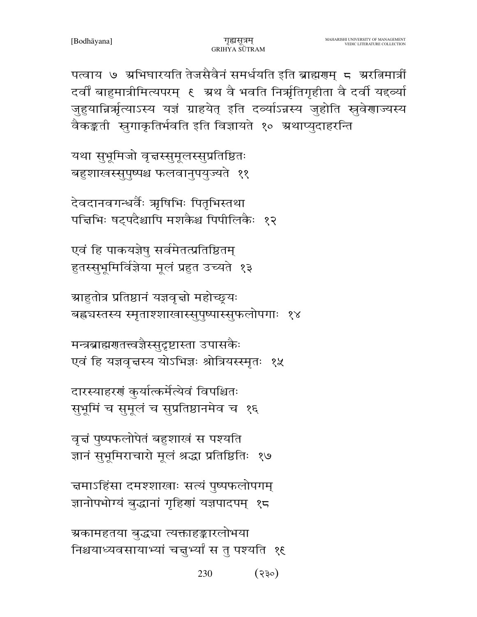230  $(330)$ 

ग्रकामहतया बुद्ध्या त्यक्ताहङ्कारलोभया निश्चयाध्यवसायाभ्यां चत्तुभ्यां स तु पश्यति १६

चमाऽहिंसा दमश्शाखाः सत्यं पुष्पफलोपगम् ज्ञानोपभोग्यं बुद्धानां गृहिणां यज्ञपादपम् १८

वृत्तं पुष्पफलोपेतं बहुशाखं स पश्यति ज्ञानं सुभूमिराचारो मूलं श्रद्धा प्रतिष्ठितिः १७

दारस्याहरणं कुर्यात्कर्मेत्येवं विपश्चितः सुभूमिं च सुमूलं च सुप्रतिष्ठानमेव च १६

मन्त्रबाह्मणतत्त्वज्ञैस्सुदृष्टास्ता उपासकैः एवं हि यज्ञवृत्तस्य योऽभिज्ञः श्रोत्रियस्स्मृतः १५

ग्राहुतोत्र प्रतिष्ठानं यज्ञवृत्तो महोच्छ्र्यः बह्र्यस्तस्य स्मृताश्शाखास्सुपुष्पास्सुफलोपगाः १४

एवं हि पाकयज्ञेषु सर्वमेतत्प्रतिष्ठितम् हुतस्सुभूमिर्विज्ञेया मूलं प्रहुत उच्यते १३

देवदानवगन्धर्वैः ऋषिभिः पितृभिस्तथा पत्तिभिः षट्पदैश्चापि मशकैश्च पिपीलिकैः १२

यथा सुभूमिजो वृत्तस्सुमूलस्सुप्रतिष्ठितः बहुशाखस्सूपुष्पश्च फलवानुपयुज्यते ११

पत्वाय ७ अभिघारयति तेजसैवैनं समर्धयति इति ब्राह्मणम् ८ अरतिमात्रीं दर्वीं बाहुमात्रीमित्यपरम् ६ अ्रथ वै भवति निर्ऋातगृहीता वै दर्वी यद्दव्या जुहुयान्निर्भृत्याऽस्य यज्ञं ग्राहयेत् इति दव्याऽन्नस्य जुहोति स्रुवेणाज्यस्य वैकङ्कती सूगाकृतिर्भवति इति विज्ञायते १० ग्रथाप्युदाहरन्ति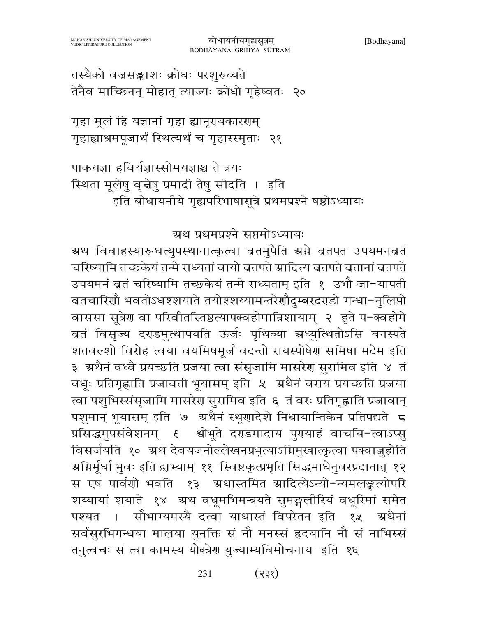उपयमनं ब्रतं चरिष्यामि तच्छकेयं तन्मे राध्यताम् इति १ उभौ जा-यापती ब्रतचारिणौ भवतोऽधश्शयाते तयोश्शय्यामन्तरेणौदुम्बरदराडो गन्धा−नुलिप्तो वाससा सूत्रेण वा परिवीतस्तिष्ठत्यापक्वहोमान्निशायाम् २ हुते प-क्वहोमे बतं विसृज्य दराडमुत्थापयति ऊर्जः पृथिव्या ग्रध्युत्थितोऽसि वनस्पते शतवल्शो विरोह त्वया वयमिषमूर्जं वदन्तो रायस्पोषेण समिषा मदेम इति ३) अथैनं वध्वै प्रयच्छति प्रजया त्वा संसृजामि मासरेण सुरामिव इति ४) तं वधूः प्रतिगृह्णाति प्रजावती भूयासम् इति ५ अथैनं वराय प्रयच्छति प्रजया त्वा पशुभिस्संसृजामि मासरेण सुरामिव इति ६ तं वरः प्रतिगृह्णाति प्रजावान् पशुमान् भूयासम् इति ७ अथैनं स्थूणादेशे निधायान्तिकेन प्रतिपद्यते 5 प्रसिद्धमुपसंवेशनम् ६ श्वोभूते दराडमादाय पुरायाहं वाचयि-त्वाऽप्सु विसर्जयति १० ग्रथ देवयजनोल्लेखनप्रभृत्याऽग्निमुखात्कृत्वा पक्वाजुहोति ग्र्याग्रर्मूर्धा भुवः इति द्वाभ्याम् ११ स्विष्टकृत्प्रभृति सिद्धमाधेनुवरप्रदानात् १२ स एष पार्वणो भवति १३ अथास्तमित स्रादित्येऽन्यो-न्यमलङ्कत्योपरि शय्यायां शयाते १४ अथ वधूमभिमन्त्रयते सुमङ्गलीरियं वधूरिमां समेत सौभाग्यमस्यै दत्वा याथास्तं विपरेतन इति १५ अथैनां पश्यत । सर्वसुरभिगन्धया मालया युनक्ति सं नौ मनस्सं हृदयानि नौ सं नाभिस्सं तनुत्वचः सं त्वा कामस्य योक्त्रेण युज्याम्यविमोचनाय इति १६

ग्रथ प्रथमप्रश्ने सप्तमोऽध्यायः ग्रथ विवाहस्यारुन्धत्युपस्थानात्कृत्वा ब्रतमुपैति ग्रग्ने ब्रतपत उपयमनब्रतं

चरिष्यामि तच्छकेयं तन्मे राध्यतां वायो ब्रतपते स्रादित्य ब्रतपते ब्रतानां ब्रतपते

पाकयज्ञा हविर्यज्ञास्सोमयज्ञाश्च ते त्रयः स्थिता मूलेषु वृत्तेषु प्रमादी तेषु सीदति । इति इति बोधायनीये गृह्यपरिभाषासूत्रे प्रथमप्रश्ने षष्ठोऽध्यायः

गृहा मूलं हि यज्ञानां गृहा ह्यानृगयकारणम् गृहाह्याश्रमपूजार्थं स्थित्यर्थं च गृहास्स्मृताः २१

तस्यैको वज्रसङ्काशः क्रोधः परशुरुच्यते तेनैव माच्छिनन् मोहात् त्याज्यः क्रोधो गृहेष्वतः २०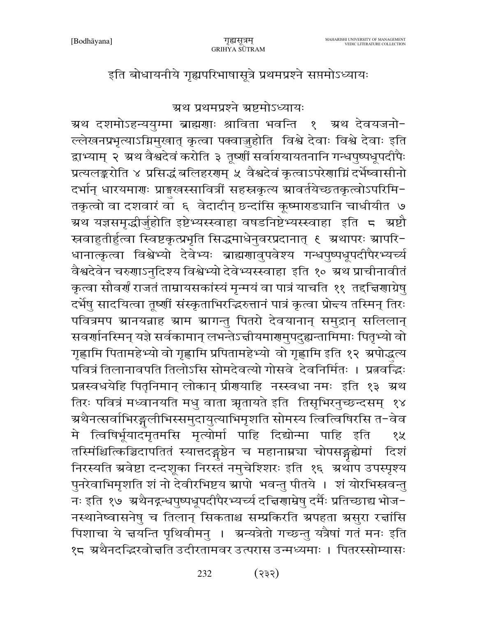इति बोधायनीये गृह्यपरिभाषासूत्रे प्रथमप्रश्ने सप्तमोऽध्यायः

ग्रथ प्रथमप्रश्ने ग्रष्टमोऽध्यायः

ग्रथ दशमोऽहन्ययुग्मा ब्राह्मणाः श्राविता भवन्ति १ ग्रथ देवयजनो-ल्लेखनप्रभृत्याऽग्निमुखात् कृत्वा पक्वाज़ुहोति विश्वे देवाः विश्वे देवाः इति द्वाभ्याम् २ ग्रथ वैश्वदेवं करोति ३ तृष्णीं सर्वारायायतनानि गन्धपुष्पधूपदीपैः प्रत्यलङ्करोति ४ प्रसिद्धं बलिहरगम् ५ वैश्वदेवं कृत्वाऽपरेगाम्निं दर्भेष्वासीनो दर्भान् धारयमाणः प्राङ्गखस्सावित्रीं सहस्रकृत्य स्रावर्तयेच्छतकृत्वोऽपरिमि-तकृत्वो वा दशवारं वा ६ वेदादीन् छ्न्दांसि कूष्माराड्यानि चाधीयीत ७ ग्रथ यज्ञसमृद्धीर्जुहोति इष्टेभ्यस्स्वाहा वषडनिष्टेभ्यस्स्वाहा इति ८ ग्रष्टौ धानात्कृत्वा विश्वेभ्यो देवेभ्यः ब्राह्मणावुपवेश्य गन्धपुष्पधूपदीपैरभ्यर्च्य वैश्वदेवेन चरुणाऽनुदिश्य विश्वेभ्यो देवेभ्यस्स्वाहा इति १० ग्रथ प्राचीनावीतं कृत्वा सौवर्णं राजतं ताम्रायसकांस्यं मृन्मयं वा पात्रं याचति ११ तद्दचिणाग्रेषु दर्भेषु सादयित्वा तृष्णीं संस्कृताभिरद्भिरुत्तानं पात्रं कृत्वा प्रोद्तय तस्मिन् तिरः पवित्रमप स्रानयन्नाह स्राम स्रागन्तु पितरो देवयानान् समुद्रान् सलिलान् सवर्णानस्मिन् यज्ञे सर्वकामान् लभन्तेऽचीयमार्गमुपदुह्यन्तामिमाः पितृभ्यो वो गृह्णामि पितामहेभ्यो वो गृह्णामि प्रपितामहेभ्यो वो गृह्णामि इति १२ अपोद्धत्य पवित्रं तिलानावपति तिलोऽसि सोमदेवत्यो गोसवे देवनिर्मितः । प्रत्नवर्द्धिः प्रतस्वधयेहि पितृनिमान् लोकान् प्रीणयाहि नस्स्वधा नमः इति १३ अथ तिरः पवित्रं मध्वानयति मधु वाता ऋृतायते इति तिसृभिरनुच्छन्दसम् १४ ग्रथैनत्सर्वाभिरङ्गलीभिस्समुदायुत्याभिमृशति सोमस्य त्वित्विषिरसि त−वेव मे त्विषिर्भूयादमृतमसि मृत्योर्मा पाहि दिद्योन्मा पाहि इति १५ तस्मिंश्चित्किञ्चिदापतितं स्यात्तदङ्गष्ठेन च महानाम्नचा चोपसङ्गद्येमां दिशं निरस्यति अवेष्टा दन्दशूका निरस्तं नमुचेश्शिरः इति १६ अथाप उपस्पृश्य पुनरेवाभिमृशति शं नो देवीरभिष्टय स्रापो भवन्तु पीतये । शं योरभिस्नवन्तु नः इति १७ अथैनद्गन्धपुष्पधूपदीपैरभ्यर्च्य दच्चिणाम्रेषु दर्मैः प्रतिच्छाद्य भोज-नस्थानेष्वासनेषु च तिलान् सिकताश्च सम्प्रकिरति ग्रपहता ग्रसुरा रत्तांसि पिशाचा ये चयन्ति पृथिवीमनु । अन्यत्रेतो गच्छन्तु यत्रैषां गतं मनः इति १८ अथैनदद्भिरवोत्तति उदीरतामवर उत्परास उन्मध्यमाः । पितरस्सोम्यासः

> $(335)$ 232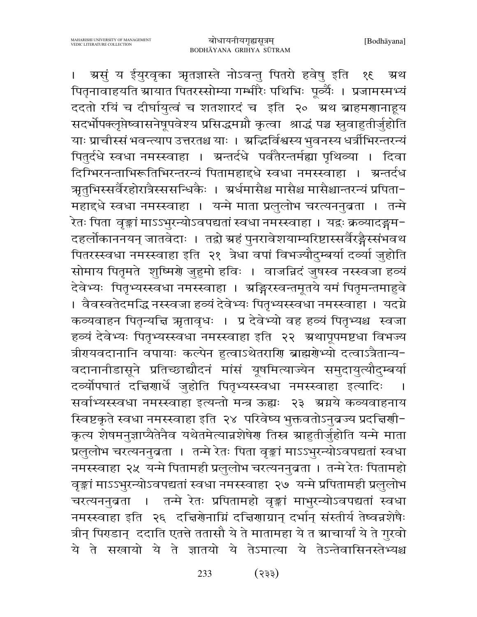ग्रसुं य ईयुरवृका ऋृतज्ञास्ते नोऽवन्तु पितरो हवेषु इति १६ म्रथ  $\mathbf{I}$ पितृनावाहयति ग्रायात पितरस्सोम्या गर्भ्भारैः पथिभिः पूर्व्यैः । प्रजामस्मभ्यं ददतो रयिं च दीर्घायुत्वं च शतशारदं च इति २० अथ ब्राहमणानाहूय सदर्भोपक्लृप्तेष्वासनेषूपवेश्य प्रसिद्धमग्नौ कृत्वा श्राद्धं पञ्च स्रुवाहुतीर्जुहोति याः प्राचीस्सं भवन्त्याप उत्तरतश्च याः । अद्भिर्विश्वस्य भुवनस्य धर्त्रीभिरन्तरन्यं पितुर्दधे स्वधा नमस्स्वाहा । ग्रन्तर्दधे पर्वतैरन्तर्मह्या पृथिव्या । दिवा दिग्भिरनन्ताभिरूतिभिरन्तरन्यं पितामहाद्दधे स्वधा नमस्स्वाहा । ग्रन्तर्दध ऋतुभिस्सर्वैरहोरात्रैस्ससन्धिकैः । अर्धमासैश्च मासैश्च मासैश्चान्तरन्यं प्रपिता-महाद्धे स्वधा नमस्स्वाहा । यन्मे माता प्रलुलोभ चरत्यननुब्रता । तन्मे .<br>रेतः पिता वृङ्कां माऽऽभुरन्योऽवपद्यतां स्वधा नमस्स्वाहा । यद्वः क्रव्यादङ्गम-दहलोकाननयन् जातवेदाः । तद्रो ग्रहं पुनरावेशयाम्यरिष्टास्सर्वैरङ्गैस्संभवथ पितरस्स्वधा नमस्स्वाहा इति २१ त्रेधा वपां विभज्यौदुम्बर्या दव्या जुहोति सोमाय पितृमते शुष्मिर्णे जुहुमो हविः । वाजन्निदं जुषस्व नस्स्वजा हव्यं देवेभ्यः पितृभ्यस्स्वधा नमस्स्वाहा । अङ्गिरस्वन्तमूतये यमं पितृमन्तमाहुवे । वैवस्वतेदमद्धि नस्स्वजा हव्यं देवेभ्यः पितृभ्यस्स्वधा नमस्स्वाहा । यदग्ने कव्यवाहन पितृन्यन्ति ऋतावृधः । प्र देवेभ्यो वह हव्यं पितृभ्यश्च स्वजा हव्यं देवेभ्यः पितृभ्यस्स्वधा नमस्स्वाहा इति २२ अथापूपमष्टधा विभज्य त्रीरपयवदानानि वपायाः कल्पेन हुत्वाऽथेतराणि ब्राह्मणेभ्यो दत्वाऽत्रैतान्य− वदानानीडासूने प्रतिच्छाद्यौदनं मांसं यूषमित्याज्येन समुदायुत्यौदुम्बर्या दव्योपघातं दक्षिणार्धे जुहोति पितृभ्यस्स्वधा नमस्स्वाहा इत्यादिः .<br>सर्वाभ्यस्स्वधा नमस्स्वाहा इत्यन्तो मन्त्र ऊह्यः २३ ग्रग्नये कव्यवाहनाय स्विष्टकृते स्वधा नमस्स्वाहा इति २४ परिवेष्य भुक्तवतोऽनुब्रज्य प्रदत्तिर्णा-कृत्य शेषमनुज्ञाप्यैतेनैव यथेतमेत्यान्नशेषेण तिस्न म्राहुतीर्जुहोति यन्मे माता प्रलुलोभ चरत्यननुब्रता । तन्मे रेतः पिता वृङ्कां माऽऽभुरन्योऽवपद्यतां स्वधा नमस्स्वाहा २५ यन्मे पितामही प्रलुलोभ चरत्यननुबता । तन्मे रेतः पितामहो वृङ्कां माऽऽभुरन्योऽवपद्यतां स्वधा नमस्स्वाहा २७ यन्मे प्रपितामही प्रलुलोभ चरत्यननुब्रता । तन्मे रेतः प्रपितामहो वृङ्कां माभुरन्योऽवपद्यतां स्वधा नमस्स्वाहा इति २६ दचिर्णनाम्निं दचिणाग्रान् दर्भान् संस्तीर्य तेष्वन्नशेषैः त्रीन् पिराडान् ददाति एतत्ते ततासौ ये ते मातामहा ये त स्राचार्यां ये ते गुरवो ये ते सखायो ये ते ज्ञातयो ये तेऽमात्या ये तेऽन्तेवासिनस्तेभ्यश्च

> $($ 33) 233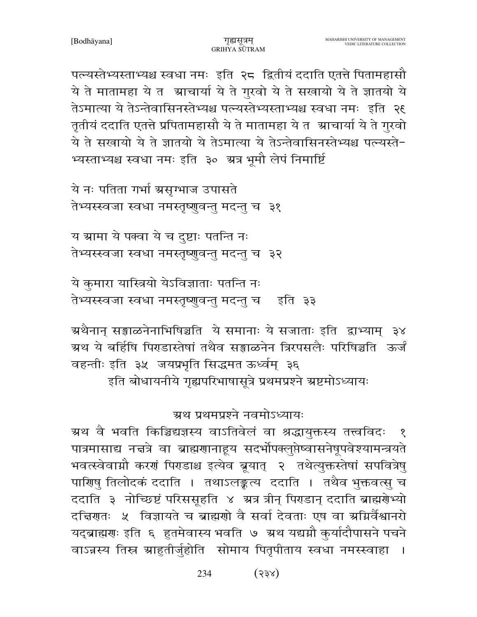पल्यस्तेभ्यस्ताभ्यश्च स्वधा नमः इति २८ द्वितीयं ददाति एतत्ते पितामहासौ ये ते मातामहा ये त श्राचार्या ये ते गुरवो ये ते सखायो ये ते ज्ञातयो ये तेऽमात्या ये तेऽन्तेवासिनस्तेभ्यश्च पत्न्यस्तेभ्यस्ताभ्यश्च स्वधा नमः इति २६ तृतीयं ददाति एतत्ते प्रपितामहासौ ये ते मातामहा ये त) ग्राचार्या ये ते गुरवो ये ते सखायो ये ते ज्ञातयो ये तेऽमात्या ये तेऽन्तेवासिनस्तेभ्यश्च पत्न्यस्ते-भ्यस्ताभ्यश्च स्वधा नमः इति ३० अत्र भूमौ लेपं निमार्ष्टि

गुह्यसत्रम्

ये नः पतिता गर्भा ग्रसृग्भाज उपासते तेभ्यस्स्वजा स्वधा नमस्तृष्णुवन्तु मदन्तु च ३१

य ग्रामा ये पक्वा ये च दुष्टाः पतन्ति नः तेभ्यस्स्वजा स्वधा नमस्तृष्णुवन्तु मदन्तु च ३२

ये कुमारा यास्त्रियो येऽविज्ञाताः पतन्ति नः तेभ्यस्स्वजा स्वधा नमस्तृष्णुवन्तु मदन्तु च इति ३३

ग्रथैनान् सङ्गाळनेनाभिषिञ्चति ये समानाः ये सजाताः इति द्वाभ्याम् ३४ ग्रथ ये बर्हिषि पिराडास्तेषां तथैव सङ्गाळनेन त्रिरपसलैः परिषिञ्चति ऊर्जं वहन्तीः इति ३५ जयप्रभृति सिद्धमत ऊर्ध्वम् ३६

इति बोधायनीये गृह्यपरिभाषासूत्रे प्रथमप्रश्ने ग्रष्टमोऽध्यायः

ग्रथ प्रथमप्रश्ने नवमोऽध्यायः

ग्रथ वै भवति किञ्चिद्यज्ञस्य वाऽतिवेलं वा श्रद्धायुक्तस्य तत्त्वविदः पात्रमासाद्य नचत्रे वा ब्राह्मणानाहूय सदर्भोपक्लूप्तेष्वासनेषूपवेश्यामन्त्रयते भवत्स्वेवामौ करणं पिराडाश्च इत्येव ब्रूयात् २ तथेत्युक्तस्तेषां सपवित्रेषु पाणिषु तिलोदकं ददाति । तथाऽलङ्कृत्य ददाति । तथैव भुक्तवत्सु च ददाति ३ नोच्छिष्टं परिससूहति ४ अत्र त्रीन् पिराडान् ददाति ब्राह्मरोभ्यो दचिरणतः ५ विज्ञायते च ब्राह्मणो वै सर्वा देवताः एष वा अमिर्वैश्वानरो यद्ब्राह्मणः इति ६ हुतमेवास्य भवति ७ ग्रथ यद्यग्नौ कुर्यादौपासने पचने वाऽन्नस्य तिस्र ग्राहुतीर्जुहोति सोमाय पितृपीताय स्वधा नमस्स्वाहा  $\blacksquare$ 

> 234  $(53x)$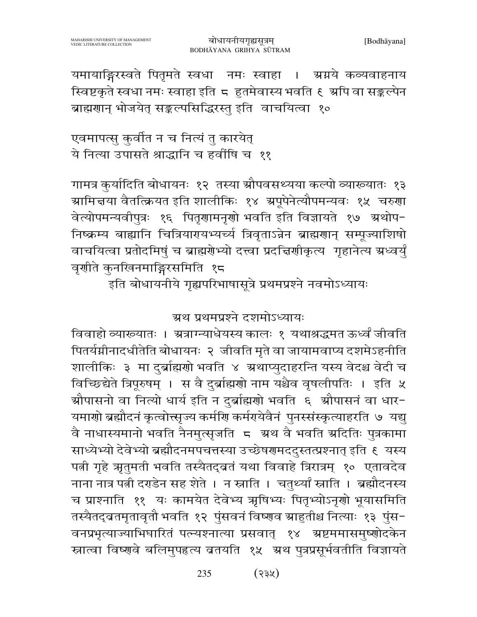यमायाङ्गिरस्वते पितृमते स्वधा नमः स्वाहा । ग्रग्नये कव्यवाहनाय स्विष्टकृते स्वधा नमः स्वाहा इति ८ हुतमेवास्य भवति ६ अपि वा सङ्कल्पेन ब्राह्मणान् भोजयेत् सङ्कल्पसिद्धिरस्तु इति वाचयित्वा १०

एवमापत्सु कुर्वीत न च नित्यं तु कारयेत् ये नित्या उपासते श्राद्धानि च हवींषि च ११

गामत्र कुर्यादिति बोधायनः १२ तस्या स्रौपवसथ्यया कल्पो व्याख्यातः १३ ग्रामित्तया वैतत्क्रियत इति शालीकिः १४ ग्रपूपेनेत्यौपमन्यवः १५ चरुणा वेत्योपमन्यवीपुत्रः १६ पितृणामनृणो भवति इति विज्ञायते १७ अथोप-निष्क्रम्य बाह्यानि चित्रियारपथभ्यर्च्य त्रिवृताऽन्नेन ब्राह्मराान् सम्पूज्याशिषो वाचयित्वा प्रतोदमिषुं च ब्राह्मरोभ्यो दत्त्वा प्रदत्तिर्णीकृत्य गृहानेत्य ग्रध्वर्युं वृशीते कुनखिनमाङ्गिरसमिति १८

इति बोधायनीये गृह्यपरिभाषासूत्रे प्रथमप्रश्ने नवमोऽध्यायः

ग्रथ प्रथमप्रश्ने दशमोऽध्यायः

विवाहो व्याख्यातः । भ्रत्राग्न्याधेयस्य कालः १ यथाश्रद्धमत ऊर्ध्वं जीवति पितर्यमीनादधीतेति बोधायनः २ जीवति मृते वा जायामवाप्य दशमेऽहनीति शालीकिः ३ मा दुर्ब्राह्मणो भवति ४ ग्रथाप्युदाहरन्ति यस्य वेदश्च वेदी च विच्छिद्येते त्रिपूरुषम् । स वै दुर्ब्राह्मणो नाम यश्चैव वृषलीपतिः । इति ५ औपासनो वा नित्यो धार्य इति न दुर्ब्राह्मणो भवति ६ औपासनं वा धार− यमाणो ब्रह्मौदनं कृत्वोत्त्सृज्य कर्माण कर्मगयेवैनं पुनरसंस्कृत्याहरति ७ यद्यु वै नाधास्यमानो भवति नैनमुत्सृजति 5 अ्रथ वै भवति स्रदितिः पुत्रकामा साध्येभ्यो देवेभ्यो ब्रह्मौदनमपचत्तस्या उच्छेषरमददुस्तत्प्रश्नात् इति ६ यस्य पत्नी गृहे ऋतुमती भवति तस्यैतद्व्रतं यथा विवाहे त्रिरात्रम् १० एतावदेव नाना नात्र पत्नी दराडेन सह शेते । न स्नाति । चतुर्थ्यां स्नाति । ब्रह्मौदनस्य च प्राश्नाति ११ यः कामयेत देवेभ्य ऋषिभ्यः पितृभ्योऽनृणो भूयासमिति तस्यैतद्व्रतमृतावृतौ भवति १२ पुंसवनं विष्णव स्राहुतीश्च नित्याः १३ पुंस− वनप्रभृत्याज्याभिघारितं पत्न्यश्नात्या प्रसवात् १४ अष्टममासमुष्णोदकेन स्नात्वा विष्णवे बलिमुपहृत्य ब्रतयति १५ अथ पुत्रप्रसूर्भवतीति विज्ञायते

> $(33%)$ 235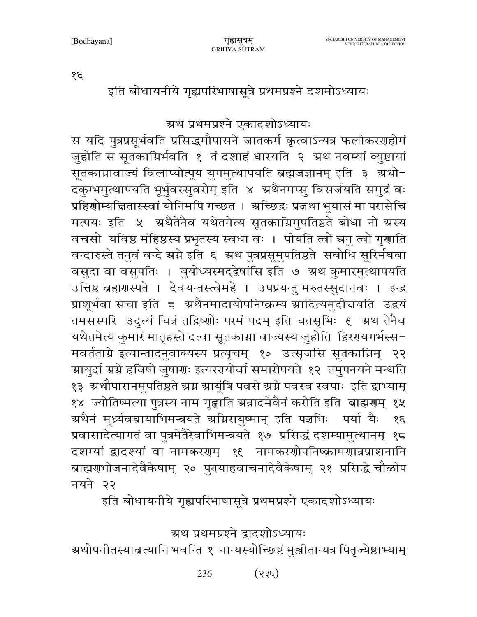ग्रथ प्रथमप्रश्ने द्वादशोऽध्यायः ग्रश्योपनीतस्याव्रत्यानि भवन्ति १ नान्यस्योच्छिष्टं भुञ्जीतान्यत्र पितृज्येष्ठाभ्याम्

वचसो यविष्ठ मंहिष्ठस्य प्रभृतस्य स्वधा वः । पीयति त्वो ग्रनु त्वो गृणाति वन्दारुस्ते तनुवं वन्दे ग्रग्ने इति ६ ग्रथ पुत्रप्रसूमुपतिष्ठते सबोधि सूरिर्मघवा वसुदा वा वसुपतिः । युयोध्यस्मद्द्वेषांसि इति ७ अ्रथ कुमारमुत्थापयति उत्तिष्ठ ब्रह्मणस्पते । देवयन्तस्त्वेमहे । उपप्रयन्तु मरुतस्सुदानवः । इन्द्र प्राशूर्भवा सचा इति 5 अथैनमादायोपनिष्क्रम्य स्रादित्यमुदीज्ञयति उद्वयं तमसस्परि उदुत्यं चित्रं तद्विष्णोः परमं पदम् इति चतसृभिः १ अथ तेनैव यथेतमेत्य कुमारं मातृहस्ते दत्वा सूतकाम्ना वाज्यस्य जुहोति हिररायगर्भस्स-मवर्तताग्रे इत्यान्तादनुवाक्यस्य प्रत्यृचम् १० उत्सृजसि सूतकाग्निम् २२ ग्रायुर्दा स्रग्ने हविषो जुषाग्रः इत्यरगयोर्वा समारोपयते १२ तमुपनयने मन्थति १३ ग्रथौपासनमुपतिष्ठते ग्रग्न ग्रायूंषि पवसे ग्रग्ने पवस्व स्वपाः इति द्वाभ्याम् १४ ज्योतिष्मत्या पुत्रस्य नाम गृह्णाति ग्रन्नादमेवैनं करोति इति ब्राह्मणम् १५ ग्रथैनं मूर्ध्न्यवघायाभिमन्त्रयते अग्निरायुष्मान् इति पञ्चभिः पर्या यैः  $39$ प्रवासादेत्यागतं वा पुत्रमेतैरेवाभिमन्त्रयते १७ प्रसिद्धं दशम्यामुत्थानम् १८ दशम्यां द्वादश्यां वा नामकरणम् १९ नामकरणोपनिष्क्रामणान्नप्राशनानि ब्राह्मराभोजनादेवैकेषाम् २० पुरयाहवाचनादेवैकेषाम् २१ प्रसिद्धे चौळोप नयने २२ इति बोधायनीये गृह्यपरिभाषासूत्रे प्रथमप्रश्ने एकादशोऽध्यायः

ग्रथ प्रथमप्रश्ने एकादशोऽध्यायः

स यदि पुत्रप्रसूर्भवति प्रसिद्धमौपासने जातकर्म कृत्वाऽन्यत्र फलीकरणहोमं

जुहोति स सूतकाग्निर्भवति १ तं दशाहं धारयति २ अ्थ नवम्यां व्युष्टायां

सूतकाग्नावाज्यं विलाप्योत्पूय युगमुत्थापयति ब्रह्मजज्ञानम् इति ३ अथो-

दकुम्भमुत्थापयति भूर्भुवस्सुवरोम् इति ४ अथैनमप्सु विसर्जयति समुद्रं वः

प्रहिणोम्यचितास्स्वां योनिमपि गच्छत । अच्छिद्रः प्रजथा भूयासं मा परासेचि

मत्पयः इति ५ अथैतेनैव यथेतमेत्य सूतकाग्निमुपतिष्ठते बोधा नो ग्रस्य

इति बोधायनीये गृह्यपरिभाषासूत्रे प्रथमप्रश्ने दशमोऽध्यायः

गुह्यसत्रम्

GRIHYA SUTRAM

 $\mathcal{E}$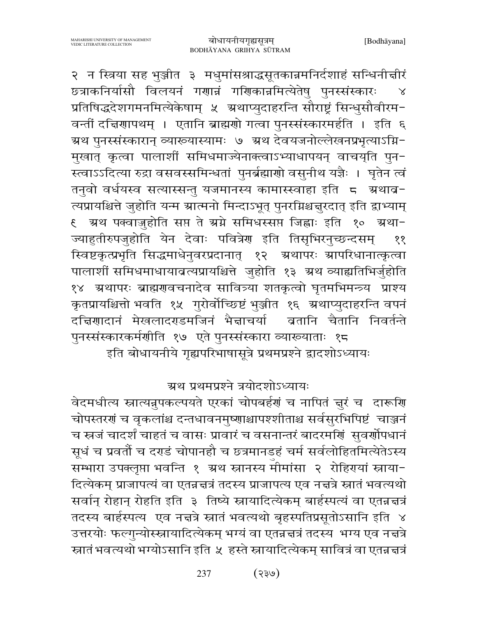२ न स्त्रिया सह भुञ्जीत ३ मधुमांसश्राद्धसूतकान्नमनिर्दशाहं सन्धिनीचीरं छत्राकनिर्यासौ विलयनं गणान्नं गणिकान्नमित्येतेषु पुनरसंस्कारः  $\chi$ प्रतिषिद्धदेशगमनमित्येकेषाम् ५ अथाप्युदाहरन्ति सौराष्ट्रं सिन्धुसौवीरम-वन्तीं दच्चिणापथम् । एतानि ब्राह्मणो गत्वा पुनर्स्संस्कारमर्हति । इति ६ ग्रथ पुनरसंस्कारान् व्याख्यास्यामः ७ अ्रथ देवयजनोल्लेखनप्रभृत्याऽग्नि− मुखात् कृत्वा पालाशीं समिधमाज्येनाक्त्वाऽभ्याधापयन् वाचय्ति पुन-स्त्वाऽऽदित्या रुद्रा वसवस्समिन्धतां पुनर्ब्रह्माणो वसुनीथ यज्ञैः । घृतेन त्वं तनुवो वर्धयस्व सत्यास्सन्तु यजमानस्य कामास्स्वाहा इति 5 अथाव-त्यप्रायश्चित्ते जुहोति यन्म स्रात्मनो मिन्दाऽभूत् पुनरग्निश्चज्ञुरदात् इति द्वाभ्याम् € ग्रथ पक्वाज़ुहोति सप्त ते ग्रग्ने समिधस्सप्त जिह्वाः इति १० ग्रथा-ज्याहुतीरुपजुहोति येन देवाः पवित्रेण इति तिसृभिरनुच्छन्दसम् ११ स्विष्टकृत्प्रभृति सिद्धमाधेनुवरप्रदानात् १२ ग्रथापरः ग्रापरिधानात्कृत्वा पालाशीं समिधमाधायाबत्यप्रायश्चित्ते जुहोति १३ ग्रथ व्याह्यतिभिर्जुहोति १४ अथापरः ब्राह्मणुवचनादेव सावित्र्या शतकृत्वो घृतमभिमन्त्र्य प्राश्य कृतप्रायश्चित्तो भवति १५ गुरोर्वोच्छिष्टं भुञ्जीत १६ ग्रथाप्युदाहरन्ति वपनं दच्चिणादानं मेखलादराडमजिनं भैज्ञाचर्या व्रतानि चैतानि निवर्तन्ते पुनरसंस्कारकर्मणीति १७ एते पुनरसंस्कारा व्याख्याताः १८ इति बोधायनीये गृह्यपरिभाषासूत्रे प्रथमप्रश्ने द्वादशोऽध्यायः

ग्रथ प्रथमप्रश्ने त्रयोदशोऽध्यायः

वेदमधीत्य स्नात्यन्नुपकल्पयते एरकां चोपबर्हणं च नापितं ज़ुरं च दारूणि चोपस्तरगं च वृकलांश्च दन्तधावनमुष्णाश्चापश्शीताश्च सर्वसुरभिपिष्टं चाञ्जनं च स्त्रजं चादर्शं चाहतं च वासः प्रावारं च वसनान्तरं बादरमर्णि सुवर्णोपधानं सूधं च प्रवर्तों च दराडं चोपानहौ च छत्रमानडहं चर्म सर्वलोहितमित्येतेऽस्य सम्भारा उपक्लृप्ता भवन्ति १ ग्रथ स्नानस्य मीमांसा २ रोहिरायां स्नाया-दित्येकम् प्राजापत्यं वा एतन्नत्तत्रं तदस्य प्राजापत्य एव नत्तत्रे स्नातं भवत्यथो सर्वान् रोहान् रोहति इति ३ तिष्ये स्नायादित्येकम् बार्हस्पत्यं वा एतन्नचत्रं तदस्य बार्हस्पत्य एव नचत्रे स्नातं भवत्यथो बृहस्पतिप्रसूतोऽसानि इति ४ उत्तरयोः फल्गुन्योस्स्नायादित्येकम् भग्यं वा एतन्नत्तत्रं तदस्य भग्य एव नत्तत्रे स्नातं भवत्यथो भग्योऽसानि इति ५ हस्ते स्नायादित्येकम् सावित्रं वा एतन्नन्नत्रं

> $($ ९३५) 237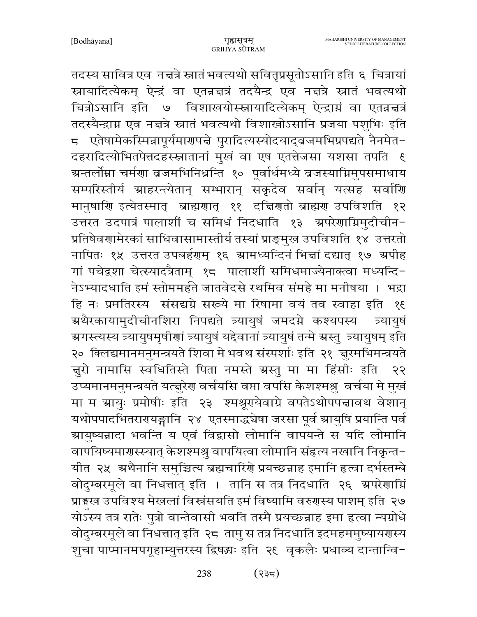तदस्य सावित्र एव) नच्चत्रे स्नातं भवत्यथो सवितृप्रसूतोऽसानि इति ६ चित्रायां स्नायादित्येकम् ऐन्द्रं वा एतन्नचत्रं तदयैन्द्र एव नचत्रे स्नातं भवत्यथो चित्रोऽसानि इति ७ विशाखयोस्स्नायादित्येकम् ऐन्द्राग्नं वा एतन्नत्तत्रं तदस्यैन्द्राग्न एव नत्तत्रे स्नातं भवत्यथो विशाखोऽसानि प्रजया पशुभिः इति ८ एतेषामेकस्मिन्नापूर्यमारण्पत्ते पुरादित्यस्योदयाद्बजमभिप्रपद्यते नैनमेत− दहरादित्योभितपेत्तदहस्स्नातानां मुखं वा एष एतत्तेजसा यशसा तपति १ ग्रन्तर्लोम्ना चर्मणा व्रजमभिनिध्नन्ति १० पूर्वार्धमध्ये व्रजस्याग्निमुपसमाधाय सम्परिस्तीर्य ग्राहरन्त्येतान् सम्भारान् सकृदेव सर्वान् यत्सह सर्वाणि मानुषाणि इत्येतस्मात् ब्राह्मणात् ११ दचिणतो ब्राह्मण उपविशति १२ उत्तरत उदपात्रं पालाशीं च समिधं निदधाति १३ अपरेणाग्निमुदीचीन-प्रतिषेवणामेरकां साधिवासामास्तीर्य तस्यां प्राङ्मुख उपविशति १४ उत्तरतो नापितः १५ उत्तरत उपबर्हणम् १६ ग्रामध्यन्दिनं भित्तां दद्यात् १७ ग्रपीह गां पचेद्रशा चेत्स्यादत्रैताम् १८ पालाशीं समिधमाज्येनाक्त्वा मध्यन्दि-नेऽभ्यादधाति इमं स्तोममर्हते जातवेदसे रथमिव संमहे मा मनीषया । भद्रा हि नः प्रमतिरस्य संसद्यग्रे सरूये मा रिषामा वयं तव स्वाहा इति १९ ग्रथैरकायामुदीचीनशिरा निपद्यते त्र्यायुषं जमदग्ने कश्यपस्य त्र्यायषं ञ्चगस्त्यस्य त्र्यायुषमृषीणां त्र्यायुषं यद्देवानां त्र्यायुषं तन्मे ग्रस्तु त्र्यायुषम् इति २० क्लिद्यमानमनुमन्त्रयते शिवा मे भवथ संस्पर्शाः इति २१ जुरमभिमन्त्रयते न्नुरो नामासि स्वधितिस्ते पिता नमस्ते ग्रस्तु मा मा हिंसीः इति  $55$ उप्यमानमनुमन्त्रयते यत्त्तूरेण वर्चयसि वप्ता वपसि केशश्मश्रु वर्चया मे मुखं मा म स्रायुः प्रमोषीः इति २३ श्मश्रूरयेवाग्रे वपतेऽथोपपत्तावथ वेशान् यथोपपादभितरारयङ्गानि २४ एतस्माद्धयेषा जरसा पूर्व स्रायुषि प्रयान्ति पर्व ग्रायुष्यन्नादा भवन्ति य एवं विद्वासो लोमानि वापयन्ते स यदि लोमानि वापयिष्यमार्गस्स्यात् केशश्मश्र् वापयित्वा लोमानि संहृत्य नखानि निकृन्त-यीत २५ अथैनानि समुच्चित्य ब्रह्मचारिणे प्रयच्छन्नाह इमानि हत्वा दर्भस्तम्बे वोदुम्बरमूले वा निधत्तात् इति । तानि स तत्र निदधाति २६ अपरेणाग्निं प्राङ्गख उपविश्य मेखलां विस्नंसयति इमं विष्यामि वरुगस्य पाशम् इति २७ योऽस्य तत्र रातेः पुत्रो वान्तेवासी भवति तस्मै प्रयच्छन्नाह इमा हत्वा न्यग्रोधे वोदुम्बरमूले वा निधत्तात् इति २८ तामु स तत्र निदधाति इदमहममुष्यायरणस्य शुचा पाप्मानमपगूहाम्युत्तरस्य द्विषद्धः इति २९ वृकलैः प्रधाव्य दान्तान्वि-

> $(332)$ 238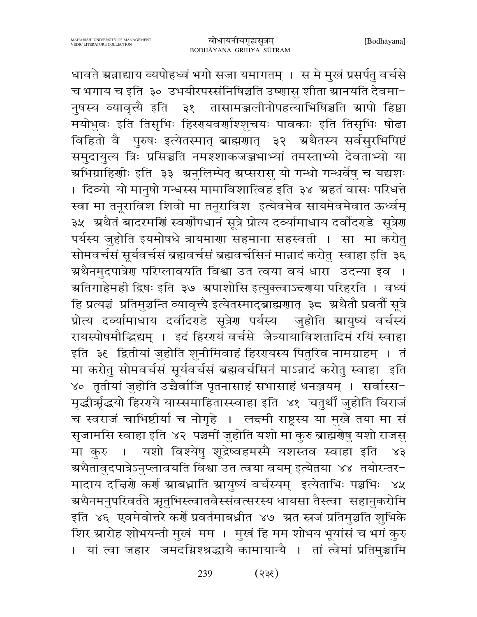धावते ग्रन्नाद्याय व्यपोहध्वं भगो सजा यमागतम् । स मे मुखं प्रसर्पतु वर्चसे च भगाय च इति ३० उभयीरपस्संनिषिञ्चति उष्णासु शीता स्रानयति देवमा-नुषस्य व्यावृत्त्यै इति ३१ तासामञ्जलीनोपहत्याभिषिञ्चति स्रापो हिष्ठा मयोभुवः इति तिसृभिः हिररायवर्णाश्शुचयः पावकाः इति तिसृभिः षोढा विहितो वै पुरुषः इत्येतस्मात् ब्राह्मणात् ३२ अथैतस्य सर्वसुरभिपिष्टं समुदायुत्य त्रिः प्रसिञ्चति नमश्शाकजञ्जभाभ्यां तमस्ताभ्यो देवताभ्यो या अभिग्राहिणीः इति ३३ अनुलिम्पेत् अप्सरासु यो गन्धो गन्धर्वेषु च यद्यशः । दिव्यो यो मानुषो गन्धस्स मामाविशात्विह इति ३४ ग्रहतं वासः परिधत्ते स्वा मा तनूराविश शिवो मा तनूराविश इत्येवमेव सायमेवमेवात ऊर्ध्वम् ३५ अथैतं बादरमणिं स्वर्णोपधानं सूत्रे प्रोत्य दव्यामाधाय दर्वादरहे सूत्रेण पर्यस्य जुहोति इयमोषधे त्रायमाणा सहमाना सहस्वती । सा मा करोतु सोमवर्चसं सूर्यवर्चसं ब्रह्मवर्चसं ब्रह्मवर्चसिनं मान्नादं करोतु स्वाहा इति ३६ ग्रथैनमुदपात्रेण परिप्लावयति विश्वा उत त्वया वयं धारा उदन्या इव । ग्रतिगाहेमही द्विषः इति ३७ ग्रपाशोसि इत्युक्त्वाऽन्दरणया परिहरति । वध्यं हि प्रत्यञ्चं प्रतिमुञ्चन्ति व्यावृत्त्यै इत्येतस्माद्ब्राह्मणात् ३८ अथैतौ प्रवर्तौ सूत्रे प्रोत्य दर्व्यामाधाय दर्वीदरहे सूत्रेण पर्यस्य जुहोति ग्रायुष्यं वर्चस्यं रायस्पोषमौद्धिद्यम् । इदं हिररयं वर्चसे जैत्र्यायाविशतादिमं रयिं स्वाहा इति ३६ द्वितीयां जुहोति शुनीमिवाहं हिररायस्य पितुरिव नामग्राहम् । तं मा करोतु सोमवर्चसं सूर्यवर्चसं ब्रह्मवर्चसिनं माऽन्नादं करोतु स्वाहा इति ४०) तृतीयां जुहोति उच्चैर्वाजि पृतनासाहं सभासाहं धनञ्जयम् । सर्वास्स-मृद्धीर्भ्रद्धयो हिरगये यास्समाहितास्स्वाहा इति ४१ चतुर्थीं जुहोति विराजं च स्वराजं चाभिष्टीर्या च नोगृहे । लन्दमी राष्ट्रस्य या मुखे तया मा सं सृजामसि स्वाहा इति ४२ पञ्चमीं जुहोति यशो मा कुरु ब्राह्मरोषु यशो राजसु यशो विश्येषु शूद्रेष्वहमस्मै यशस्तव स्वाहा इति ४३ मा करु । म्रथैतावुदपात्रेऽनुप्लावयति विश्वा उत त्वया वयम् इत्येतया ४४ तयोरन्तर− मादाय दत्तिशे कर्श ग्राबध्नाति ग्रायुष्यं वर्चस्यम् इत्येताभिः पञ्चभिः ४५ ग्रथैनमनुपरिवर्तते ऋतुभिस्त्वातवैस्संवत्सरस्य धायसा तैस्त्वा सहानुकरोमि इति ४६ एवमेवोत्तरे कर्णे प्रवर्तमाबध्नीत ४७ ग्रत स्त्रजं प्रतिमुञ्चति शुभिके शिर स्रारोह शोभयन्ती मुखं मम । मुखं हि मम शोभय भूयांसं च भगं कुरु । यां त्वा जहार जमदग्निश्श्रद्धायै कामायान्यै । तां त्वेमां प्रतिमुञ्चामि

> $(355)$ 239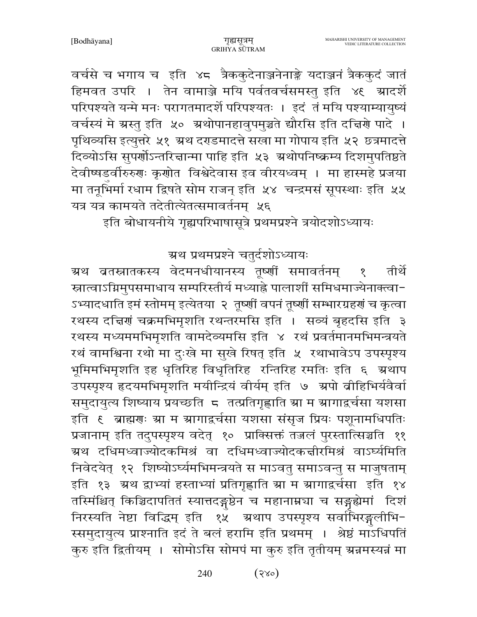वर्चसे च भगाय च इति ४८ त्रैककुदेनाञ्जनेनाङ्के यदाञ्जनं त्रैककुदं जातं हिमवत उपरि । तेन वामाञ्जे मयि पर्वतवर्चसमस्तु इति ४६ म्रादर्शे परिपश्यते यन्मे मनः परागतमादर्शे परिपश्यतः । इदं तं मयि पश्याम्यायुष्यं वर्चस्यं मे ग्रस्तु इति ५० ग्रथोपानहावुपमुञ्चते द्यौरसि इति दच्चिरो पादे । पृथिव्यसि इत्युत्तरे ५१ ग्रथ दराडमादत्ते सखा मा गोपाय इति ५२ छत्रमादत्ते दिव्योऽसि सुपर्णोऽन्तरिज्ञान्मा पाहि इति ५३ अथोपनिष्क्रम्य दिशमुपतिष्ठते देवीष्षडर्वीरुरुगः कृगोत विश्वेदेवास इव वीरयध्वम् । मा हास्महे प्रजया मा तनूभिर्मा रधाम द्विषते सोम राजन् इति ५४ चन्द्रमसं सूपस्थाः इति ५५ यत्र यत्र कामयते तदेतीत्येतत्समावर्तनम् । ५६

इति बोधायनीये गृह्यपरिभाषासूत्रे प्रथमप्रश्ने त्रयोदशोऽध्यायः

## ग्रथ प्रथमप्रश्ने चतुर्दशोऽध्यायः

ग्रथ बतस्नातकस्य वेदमनधीयानस्य तूष्णीं समावर्तनम् तीर्थे  $\delta$ स्नात्वाऽग्निमुपसमाधाय सम्परिस्तीर्य मध्याह्ने पालाशीं समिधमाज्येनाक्त्वा-ऽभ्यादधाति इमं स्तोमम् इत्येतया २ तूष्णीं वपनं तूष्णीं सम्भारग्रहणं च कृत्वा रथस्य दत्तिणं चक्रमभिमृशति रथन्तरमसि इति । सव्यं बृहदसि इति ३ रथस्य मध्यममभिमृशति वामदेव्यमसि इति ४ रथं प्रवर्तमानमभिमन्त्रयते रथं वामश्विना रथो मा दुःखे मा सुखे रिषत् इति ५ रथाभावेऽप उपस्पृश्य भूमिमभिमृशति इह धृतिरिह विधृतिरिह रन्तिरिह रमतिः इति ६ <mark>ग्र</mark>थाप उपस्पृश्य हृदयमभिमृशति मयीन्द्रियं वीर्यम् इति ७ अपो बीहिभिर्यवैर्वा समुदायुत्य शिष्याय प्रयच्छति 5 तत्प्रतिगृह्णाति ग्रा म ग्रागाद्वर्चसा यशसा इति ६ ब्राह्मणः स्रा म स्रागाद्वर्चसा यशसा संसृज प्रियः पशूनामधिपतिः प्रजानाम् इति तदुपस्पृश्य वदेत् १० प्राक्सिक्तं तज्जलं पुरस्तात्सिञ्चति ११ ग्रथ दधिमध्वाज्योदकमिश्रं वा दधिमध्वाज्योदकर्त्तारमिश्रं वाऽर्घ्यमिति निवेदयेत् १२ शिष्योऽर्घ्यमभिमन्त्रयते स माऽवतु समाऽवन्तु स माजुषताम् इति १३ अथ द्वाभ्यां हस्ताभ्यां प्रतिगृह्णाति स्रा म स्रागाद्वर्चसा इति १४ तस्मिंश्चित् किञ्चिदापतितं स्यात्तदङ्गष्ठेन च महानाम्नचा च सङ्गद्येमां दिशं निरस्यति नेष्टा विद्धिम् इति १५ अथाप उपस्पृश्य सर्वाभिरङ्गलीभि-स्समुदायुत्य प्राश्नाति इदं ते बलं हरामि इति प्रथमम् । श्रेष्ठं माउधिपतिं कुरु इति द्वितीयम् । सोमोऽसि सोमपं मा कुरु इति तृतीयम् ग्रन्नमस्यन्नं मा

> $(3x^{\circ})$ 240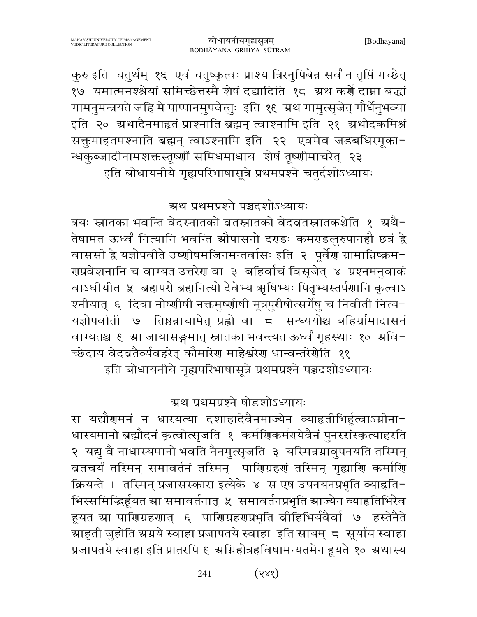$(38)$ 241

स यद्यौगमनं न धारयत्या दशाहादेवैनमाज्येन व्याहृतीभिर्हुत्वाऽग्नीना-धास्यमानो ब्रह्मौदनं कृत्वोत्सृजति १ कर्मणिकर्मरायेवैनं पुनरसंस्कृत्याहरति २ यद्यु वै नाधास्यमानो भवति नैनमुत्सृजति ३ यस्मिन्नग्नावुपनयति तस्मिन् ब्रतचर्यं तस्मिन् समावर्तनं तस्मिन् पारिणग्रहणं तस्मिन् गृह्याणि कर्माणि क्रियन्ते । तस्मिन् प्रजासस्कारा इत्येके ४ स एष उपनयनप्रभृति व्याहृति-भिस्समिद्भिर्हूयत स्रा समावर्तनात् ५ समावर्तनप्रभृति स्राज्येन व्याहतिभिरेव हूयत स्रा पारिणग्रहरणात् ६ पारिणग्रहरणप्रभृति व्रीहिभिर्यवैर्वा ७ हस्तेनैते ग्राहुती जुहोति ग्रग्नये स्वाहा प्रजापतये स्वाहा इति सायम् ८ सूर्याय स्वाहा प्रजापतये स्वाहा इति प्रातरपि ६ अग्निहोत्रहविषामन्यतमेन हूयते १० अथास्य

ग्रथ प्रथमप्रश्ने षोडशोऽध्यायः

च्छेदाय वेदव्रतैर्व्यवहरेत् कौमारेण माहेश्वरेण धान्वन्तरेणेति ११ इति बोधायनीये गृह्यपरिभाषासूत्रे प्रथमप्रश्ने पञ्चदशोऽध्यायः

ग्रथ प्रथमप्रश्ने पञ्चदशोऽध्यायः त्रयः स्नातका भवन्ति वेदस्नातको ब्रतस्नातको वेदबतस्नातकश्चेति १ अथै-तेषामत ऊर्ध्वं नित्यानि भवन्ति स्रौपासनो दराडः कमराडलुरुपानहौ छत्रं द्वे वाससी द्वे यज्ञोपवीते उष्णीषमजिनमन्तर्वासः इति २ पूर्वेण ग्रामान्निष्क्रम− <u> राप्रवेशनानि च वाग्यत उत्तरेरा वा ३ बहिर्वाचं विसृजेत् ४ प्रश्नमनुवाकं</u> वाऽधीयीत ५ ब्रह्मपरो ब्रह्मनित्यो देवेभ्य ऋषिभ्यः पितृभ्यस्तर्पणानि कृत्वाऽ श्नीयात् ६ दिवा नोष्णीषी नक्तमुष्णीषी मूत्रपुरीषोत्सर्गेषु च निवीती नित्य− यज्ञोपवीती ७ तिष्ठन्नाचामेत् प्रह्लो वा ८ सन्ध्ययोश्च बहिर्ग्रामादासनं वाग्यतश्च ६ स्रा जायासङ्गमात् स्नातका भवन्त्यत ऊर्ध्वं गृहस्थाः १० स्रवि-

कुरु इति चतुर्थम् १६ एवं चतुष्कृत्वः प्राश्य त्रिरनुपिबेन्न सर्वं न तृप्तिं गच्छेत् १७ यमात्मनश्श्रेयां समिच्छेत्तस्मै शेषं दद्यादिति १८ ग्रथ कर्णे दाम्ना बद्धां गामनुमन्त्रयते जहि मे पाप्पानमुपवेत्तुः इति १६ ग्रथ गामुत्सृजेत् गौर्धेनुभव्या इति २० ग्रथादैनमाहृतं प्राश्नाति ब्रह्मन् त्वाश्नामि इति २१ ग्रथोदकमिश्रं सक्तुमाहृतमश्नाति ब्रह्मन् त्वाऽश्नामि इति २२ एवमेव जडबधिरमूका-न्धकुब्जादीनामशक्तस्तूष्णीं समिधमाधाय शेषं तूष्णीमाचरेत् २३ इति बोधायनीये गृह्यपरिभाषासूत्रे प्रथमप्रश्ने चतुर्दशोऽध्यायः

बोधायनीयगृह्यसूत्रम् BODHĀYANA GRIHYA SŪTRAM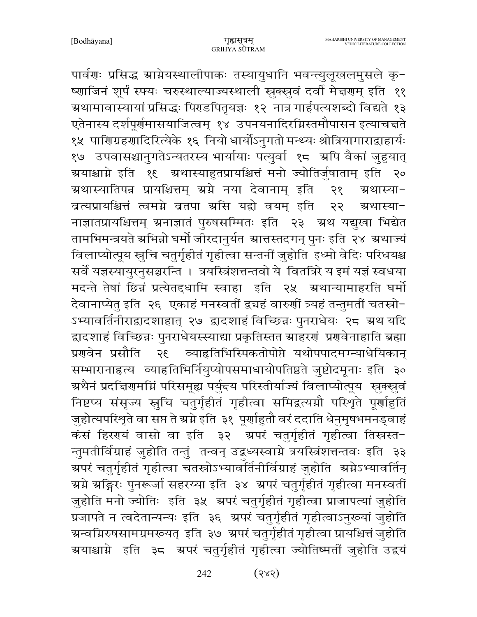पार्वणः प्रसिद्ध ग्राग्नेयस्थालीपाकः तस्यायुधानि भवन्त्युलूखलमुसले कृ-ष्णाजिनं शूर्पं स्फ्यः चरुस्थाल्याज्यस्थाली स्नुक्स्नुवं दर्वी मेन्नगम् इति ११ ग्र्यामावास्यायां प्रसिद्धः पिराडपितृयज्ञः १२ नात्र गार्हपत्यशब्दो विद्यते १३ एतेनास्य दर्शपूर्णमासयाजित्वम् १४ उपनयनादिरग्निस्तमौपासन इत्याचन्नते १५ पाणिग्रहणादिरित्येके १६ नियो धार्योऽनुगतो मन्थ्यः श्रोत्रियागाराद्वाहार्यः १७ उपवासश्चानुगतेऽन्यतरस्य भार्यायाः पत्युर्वा १८ अपि वैकां जुहुयात् ग्र्ययाश्चाग्ने इति १६ ग्रथास्याहुतप्रायश्चित्तं मनो ज्योतिर्जुषाताम् इति २० ग्रथास्यातिपन्न प्रायश्चित्तम् अग्ने नया देवानाम् इति २१ ग्रथास्या-ब्रत्यप्रायश्चित्तं त्वमग्ने ब्रतपा ग्रसि यद्वो वयम् इति २२ ग्रथास्या− नाज्ञातप्रायश्चित्तम् ग्रनाज्ञातं पुरुषसम्मितः इति २३ ग्रथ यद्युखा भिद्येत तामभिमन्त्रयते स्रभिन्नो घर्मो जीरदानुर्यत स्रात्तस्तदगन् पुनः इति २४ स्रथाज्यं विलाप्योत्पूय स्नुचि चतुर्गृहीतं गृहीत्वा सन्तनीं जुहोति इध्मो वेदिः परिधयश्च सर्वे यज्ञस्यायुरनुसञ्चरन्ति । त्रयस्त्रिंशत्तन्तवो ये वितत्रिरे य इमं यज्ञं स्वधया मदन्ते तेषां छिन्नं प्रत्येतद्दधामि स्वाहा इति २५ अथान्यामाहरति घर्मो देवानाप्येत् इति २६ एकाहं मनस्वतीं द्व्यहं वारुणीं त्र्यहं तन्तुमतीं चतस्रो-ऽभ्यावर्तिनीराद्वादशाहात् २७ द्वादशाहं विच्छिन्नः पुनराधेयः २८ ग्रथ यदि द्वादशाहं विच्छिन्नः पुनराधेयस्स्याद्या प्रकृतिस्तत स्राहरणं प्रणवेनाहाति ब्रह्मा प्रणवेन प्रसौति २९ व्याहृतिभिस्पिकतोपोप्ते यथोपपादमग्न्याधेयिकान् सम्भारानाहृत्य व्याहृतिभिर्नियुप्योपसमाधायोपतिष्ठते जुष्टोदमूनाः इति ३० ग्रथैनं प्रदत्तिरामग्निं परिसमूह्य पर्युन्त्य परिस्तीर्याज्यं विलाप्योत्पूय स्वक्सूवं निष्टप्य संसृज्य स्तूचि चतुर्गृहीतं गृहीत्वा समिद्वत्यग्नौ परिशृते पूर्णाहुतिं जुहोत्यपरिश्रते वा सप्त ते स्रग्ने इति ३१ पूर्णाहुतौ वरं ददाति धेनुमृषभमनड्वाहं कंसं हिरगयं वासो वा इति ३२ अपरं चतुर्गृहीतं गृहीत्वा तिस्नस्त-न्तुमतीर्विग्राहं जुहोति तन्तुं तन्वन् उद्वध्यस्वाग्ने त्रयस्त्रिंशत्तन्तवः इति ३३ ञ्चपरं चतुर्गृहीतं गृहीत्वा चतस्रोऽभ्यावर्तिनीर्विग्राहं जुहोति अ्रप्रेऽभ्यावर्तिन् ग्रग्ने ग्रङ्गिरः पुनरूर्जा सहरय्या इति ३४ ग्रपरं चतुर्गृहीतं गृहीत्वा मनस्वतीं जुहोति मनो ज्योतिः इति ३५ अपरं चतुर्गृहीतं गृहीत्वा प्राजापत्यां जुहोति प्रजापते न त्वदेतान्यन्यः इति ३६ अपरं चतुर्गृहीतं गृहीत्वाऽनुरूयां जुहोति ग्रन्वमिरुषसामग्रमख्यत् इति ३७ ग्रपरं चतुर्गृहीतं गृहीत्वा प्रायश्चित्तं जुहोति ग्रयाश्चाग्ने इति ३८ ग्रपरं चतुर्गृहीतं गृहीत्वा ज्योतिष्मतीं जुहोति उद्वयं

> $(385)$ 242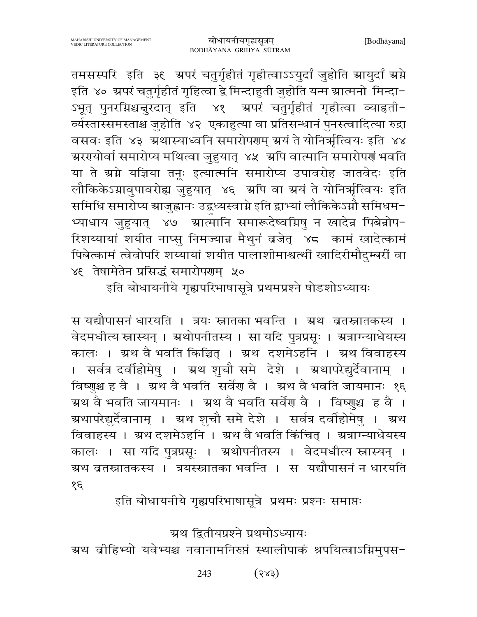MAHARISHI UNIVERSITY OF MANAGEMENT VEDIC LITERATURE COLLECTION

तमसस्परि इति ३६ अपरं चतुर्गृहीतं गृहीत्वाऽऽयुर्दां जुहोति आयुर्दां अम्रे इति ४० ग्रपरं चतुर्गृहीतं गृहित्वा द्वे मिन्दाहुती जुहोति यन्म ग्रात्मनो मिन्दा-ऽभूत् पुनरग्निश्चचुरदात् इति ४१ ऋपरं चतुर्गृहीतं गृहीत्वा व्याहृती− र्व्यस्तास्समस्ताश्च जुहोति ४२ एकाहुत्या वा प्रतिसन्धानं पुनस्त्वादित्या रुद्रा वसवः इति ४३ अथास्याध्वनि समारोपराम् अयं ते योनिर्भूत्वियः इति ४४ ग्र्यरयोर्वा समारोप्य मथित्वा जुहुयात् ४५ अपि वात्मानि समारोपणं भवति या ते ग्रग्ने यज्ञिया तनूः इत्यात्मनि समारोप्य उपावरोह जातवेदः इति लौकिकेऽग्नावुपावरोह्य जुहुयात् ४६ अपि वा अयं ते योनिर्भृत्वियः इति समिधि समारोप्य स्राजुह्वानः उद्वध्यस्वाग्ने इति द्वाभ्यां लौकिकेऽग्नौ समिधम-भ्याधाय जुहुयात् ४७ ग्रात्मानि समारूदेष्वग्निषु न खादेन्न पिबेन्नोप-रिशय्यायां शयीत नाप्स् निमज्यान्न मैथुनं ब्रजेत् ४८ कामं खादेत्कामं पिबेत्कामं त्वेवोपरि शय्यायां शयीत पालाशीमाश्वर्त्थीं खादिरीमौदम्बरीं वा ४६ तेषामेतेन प्रसिद्धं समारोपरणम ५०

इति बोधायनीये गृह्यपरिभाषासूत्रे प्रथमप्रश्ने षोडशोऽध्यायः

स यद्यौपासनं धारयति । त्रयः स्नातका भवन्ति । ग्रथ व्रतस्नातकस्य । वेदमधीत्य स्नास्यन् । ग्रथोपनीतस्य । सा यदि पुत्रप्रसूः । ग्रत्राग्न्याधेयस्य कालः । ग्रथ वै भवति किञ्चित् । ग्रथ दशमेऽहनि । ग्रथ विवाहस्य । सर्वत्र दर्वाहोमेषु । ग्रथ शुचौ समे देशे । ग्रथापरेद्युर्देवानाम् । विष्णुश्च ह वै । ग्रथ वै भवति सर्वेण वै । ग्रथ वै भवति जायमानः १६ ग्रथ वै भवति जायमानः । ग्रथ वै भवति सर्वेश वै । विष्णुश्च ह वै । ग्रथापरेद्युर्देवानाम् । ग्रथ शुचौ समे देशे । सर्वत्र दर्वाहोमेषु । ग्रथ विवाहस्य । ग्रथ दशमेऽहनि । ग्रथ वै भवति किंचित् । ग्रत्राग्न्याधेयस्य कालः । सा यदि पुत्रप्रसूः । ग्रथोपनीतस्य । वेदमधीत्य स्नास्यन् । ग्रथ ब्रतस्नातकस्य । त्रयस्स्नातका भवन्ति । स यद्यौपासनं न धारयति  $35$ 

इति बोधायनीये गृह्यपरिभाषासूत्रे प्रथमः प्रश्नः समाप्तः

ग्रथ द्वितीयप्रश्ने प्रथमोऽध्यायः

ग्रथ व्रीहिभ्यो यवेभ्यश्च नवानामनिरुप्तं स्थालीपाकं श्रपयित्वाऽग्निमुपस-

 $(32)$ 243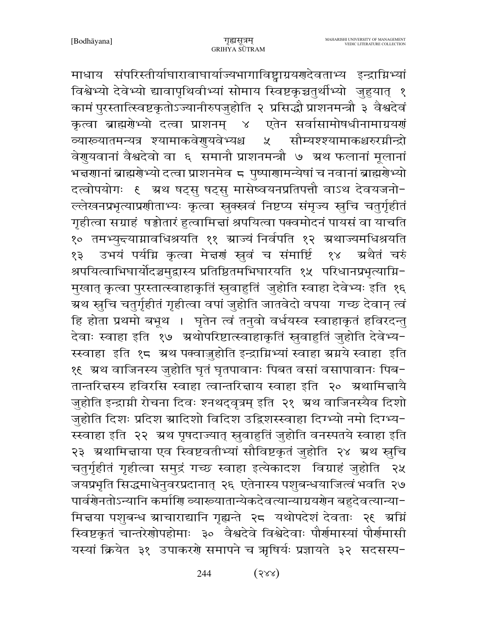माधाय संपरिस्तीर्याघारावाघार्याज्यभागाविष्ट्वाग्रयणदेवताभ्य इन्द्राग्निभ्यां विश्वेभ्यो देवेभ्यो द्यावापृथिवीभ्यां सोमाय स्विष्टकृञ्चतुर्थीभ्यो जुहुयात् १ कामं पुरस्तात्स्विष्टकृतोऽज्यानीरुपजुहोति २ प्रसिद्धौ प्राशनमन्त्रौ ३ वैश्वदेवं कृत्वा ब्राह्मरोभ्यो दत्वा प्राशनम् ४ एतेन सर्वासामोषधीनामाग्रयर्ग \_\_<br>व्याख्यातमन्यत्र श्यामाकवेणुयवेभ्यश्च सौम्यश्श्यामाकश्चरुरग्नीन्द्रो  $x^2$ वेगुयवानां वैश्वदेवो वा ६ समानौ प्राशनमन्त्रौ ७ ग्रथ फलानां मूलानां भद्मगानां ब्राह्मगेभ्यो दत्वा प्राशनमेव ८ पुष्पागामन्येषां च नवानां ब्राह्मगेभ्यो दत्वोपयोगः ६ अ्रथ षट्सु षट्सु मासेष्वयनप्रतिपत्तौ वाऽथ देवयजनो-ल्लेखनप्रभृत्याप्रणीताभ्यः कृत्वा स्रुक्स्नवं निष्टप्य संमृज्य स्तुचि चतुर्गृहीतं गृहीत्वा सग्राहं षड्ढोतारं हुत्वामित्तां श्रपयित्वा पक्वमोदनं पायसं वा याचति १० तमभ्युन्त्याम्रावधिश्रयति ११ स्राज्यं निर्वपति १२ स्रथाज्यमधिश्रयति उभयं पर्यम्नि कृत्वा मेन्नणं स्रुवं च संमार्ष्टि ग्रथैतं चरुं १३  $88$ श्रपयित्वाभिघार्योदञ्चमुद्रास्य प्रतिष्ठितमभिघारयति १५ परिधानप्रभृत्याग्नि-मुखात् कृत्वा पुरस्तात्स्वाहाकृतिं स्रुवाहुतिं जुहोति स्वाहा देवेभ्यः इति १६ ग्र्रथ स्नुचि चतुर्गृहीतं गृहीत्वा वपां जुहोति जातवेदो वपया गच्छ देवान् त्वं हि होता प्रथमो बभूथ । घृतेन त्वं तनुवो वर्धयस्व स्वाहाकृतं हविरदन्तु देवाः स्वाहा इति १७ अथोपरिष्टात्स्वाहाकृतिं स्रुवाहुतिं जुहोति देवेभ्य-स्स्वाहा इति १८ ग्रथ पक्वाजुहोति इन्द्राग्निभ्यां स्वाहा ग्रग्नये स्वाहा इति १€ अ्थ वाजिनस्य जुहोति घृतं घृतपावानः पिबत वसां वसापावानः पिब− तान्तरित्तस्य हविरसि स्वाहा त्वान्तरित्ताय स्वाहा इति २० ग्रथामित्तायै जुहोति इन्द्राग्नी रोचना दिवः श्नथद्वृत्रम् इति २१ अ्थ वाजिनस्यैव दिशो जुहोति दिशः प्रदिश स्रादिशो विदिश उद्विशस्स्वाहा दिग्भ्यो नमो दिग्भ्य-स्स्वाहा इति २२ अथ पृषदाज्यात् स्रुवाहुतिं जुहोति वनस्पतये स्वाहा इति २३ अथामित्ताया एव स्विष्टवतीभ्यां सौविष्टकृतं जुहोति २४ अथ स्तुचि चतुर्गृहीतं गृहीत्वा समुद्रं गच्छ स्वाहा इत्येकादश विग्राहं जुहोति २५ जयप्रभृति सिद्धमाधेनुवरप्रदानात् २६ एतेनास्य पशुबन्धयाजित्वं भवति २७ पार्वर्णेनतोऽन्यानि कर्माणि व्याख्यातान्येकदेवत्यान्याग्रयणेन बहुदेवत्यान्या-मित्तया पशुबन्ध स्राचाराद्यानि गृह्यन्ते २८ यथोपदेशं देवताः २६ अम्निं स्विष्टकृतं चान्तरेणोपहोमाः ३० वैश्वदेवे विश्वेदेवाः पौर्णमास्यां पौर्णमासी यस्यां क्रियेत ३१ उपाकरणे समापने च ऋषिर्यः प्रज्ञायते ३२ सदसस्प-

> $(322)$ 244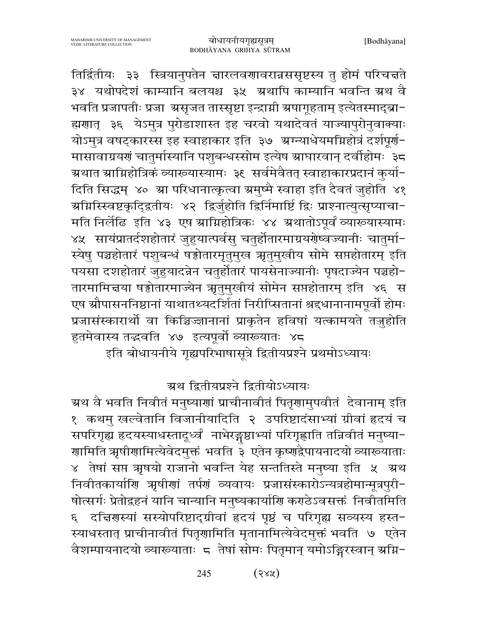तिर्द्वितीयः ३३ स्त्रियानुपतेन चारलवणावरान्नससृष्टस्य तु होमं परिचचते ३४ यथोपदेशं काम्यानि बलयश्च ३५ अथापि काम्यानि भवन्ति ग्रथ वै भवति प्रजापतीः प्रजा स्रसृजत तास्सृष्टा इन्द्राम्री स्रपागूहताम् इत्येतस्माद्ब्रा-ह्मणात् ३६ येऽमुत्र पुरोडाशास्त इह चरवो यथादेवतं याज्यापुरोनुवाक्याः योऽमुत्र वषट्कारस्स इह स्वाहाकार इति ३७ अग्न्याधेयमग्निहोत्रं दर्शपूर्ण-मासावाग्रयणं चातुर्मास्यानि पशुबन्धस्सोम इत्येष स्राघारवान् दर्वाहोमः ३८ ग्रथात ग्राम्निहोत्रिकं व्याख्यास्यामः ३६ सर्वमेवैतत् स्वाहाकारप्रदानं कुर्या-दिति सिद्धम् ४० म्रा परिधानात्कृत्वा ग्रमुष्मै स्वाहा इति दैवतं जुहोति ४१ ग्रग्निस्खिष्टकृद्द्वितीयः ४२ द्विर्जुहोति द्विर्निमार्ष्टि द्विः प्राश्नात्युत्सृप्याचा− मति निर्लेढि इति ४३ एष स्राम्निहोत्रिकः ४४ स्रथातोऽपूर्वं व्याख्यास्यामः ४५ सायंप्रातर्दशहोतारं जुहुयात्पर्वसु चतुर्होतारमाग्रयरोष्वज्यानीः चातुर्मा-स्येषु पञ्चहोतारं पशुबन्धं षड्वोतारमृतुमुख ऋृतुमुखीय सोमे सप्तहोतारम् इति पयसा दशहोतारं जुहुयादन्नेन चतुर्होतारं पायसेनाज्यानीः पृषदाज्येन पञ्चहो-तारमामित्तया षड्वोतारमाज्येन ऋतुमुखीयं सोमेन सप्तहोतारम् इति ४६ स एष स्रौपासननिष्ठानां याथातथ्यदर्शितां निरीप्सितानां श्रद्दधानानामपूर्वो होमः प्रजासंस्कारार्थो वा किञ्चिज्ज्ञानानां प्राकृतेन हविषां यत्कामयते तञ्जुहोति हुतमेवास्य तद्भवति ४७ इत्यपूर्वो व्याख्यातः ४८

इति बोधायनीये गृह्यपरिभाषासूत्रे द्वितीयप्रश्ने प्रथमोऽध्यायः

### ग्रथ द्वितीयप्रश्ने द्वितीयोऽध्यायः

ग्र्रथ वै भवति निवीतं मनुष्याणां प्राचीनावीतं पितृणामुपवीतं देवानाम् इति १ कथमु खल्वेतानि विजानीयादिति २ उपरिष्टादंसाभ्यां ग्रीवां हृदयं च सपरिगृह्य हृदयस्याधस्तादूर्ध्वं नाभेरङ्गष्ठाभ्यां परिगृह्णाति तन्निवीतं मनुष्या− णामिति ऋषीणामित्येवेदमुक्तं भवति ३ एतेन कृष्णद्वैपायनादयो व्याख्याताः ४ तेषां सप्त ऋषयो राजानो भवन्ति येह सन्ततिस्ते मनुष्या इति ५ अथ निवीतकार्याणि ऋषीणां तर्पणं व्यवायः प्रजासंस्कारोऽन्यत्रहोमान्मूत्रपुरी-षोत्सर्गः प्रेतोद्वहनं यानि चान्यानि मनुष्यकार्याणि कराठेऽवसक्तं निवीतमिति ६ दत्तिरास्यां सस्योपरिष्टाद्ग्रीवां हृदयं पृष्ठं च परिगृह्य सव्यस्य हस्त-स्याधस्तात् प्राचीनावीतं पितृणामिति मृतानामित्येवेदमुक्तं भवति ७ एतेन वैशम्पायनादयो व्याख्याताः 5 तेषां सोमः पितृमान् यमोऽङ्गिरस्वान् ग्रग्नि-

> $(32)$ 245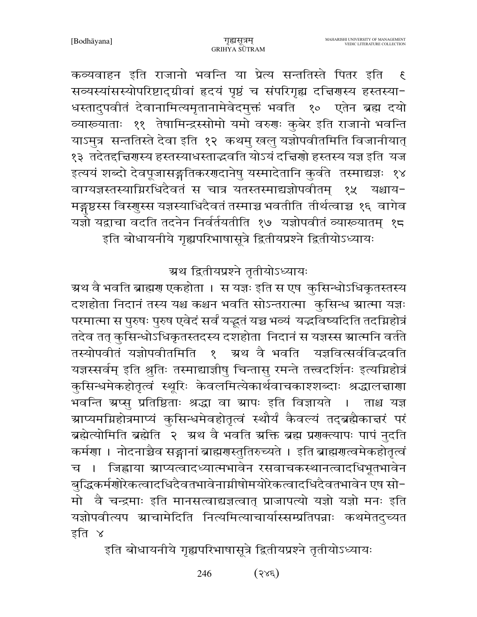कव्यवाहन इति राजानो भवन्ति या प्रेत्य सन्ततिस्ते पितर इति  $\mathfrak{F}$ सव्यस्यांसस्योपरिष्टाद्ग्रीवां हृदयं पृष्ठं च संपरिगृह्य दत्तिरास्य हस्तस्या-धस्तादुपवीतं देवानामित्यमृतानामेवेदमुक्तं भवति १० एतेन ब्रह्म दयो व्यारूयाताः ११ तेषामिन्द्रस्सोमो यमो वरुणः कुबेर इति राजानो भवन्ति याऽमुत्र सन्ततिस्ते देवा इति १२ कथमु खलु यज्ञोपवीतमिति विजानीयात् १३) तदेतद्दचिरणस्य हस्तस्याधस्ताद्धवति योऽयं दच्चिर्णो हस्तस्य यज्ञ इति ।यज इत्ययं शब्दो देवपूजासङ्गतिकरणदानेषु यस्मादेतानि कुर्वते तस्माद्यज्ञः १४ वाग्यज्ञस्तस्याग्निरधिदैवतं स चात्र यतस्तस्माद्यज्ञोपवीतम् १५ यश्चाय-मङ्गष्ठस्स विस्णुस्स यज्ञस्याधिदैवतं तस्माञ्च भवतीति तीर्थत्वाच्च १६ वागेव यज्ञो यद्वाचा वदति तदनेन निर्वर्तयतीति १७ यज्ञोपवीतं व्याख्यातम् १८ इति बोधायनीये गृह्यपरिभाषासूत्रे द्वितीयप्रश्ने द्वितीयोऽध्यायः

## ग्रथ द्वितीयप्रश्ने तृतीयोऽध्यायः

ग्रथ वै भवति ब्राह्मण एकहोता । स यज्ञः इति स एष कुसिन्धोऽधिकृतस्तस्य दशहोता निदानं तस्य यश्च कश्चन भवति सोऽन्तरात्मा कुसिन्ध ग्रात्मा यज्ञः परमात्मा स पुरुषः पुरुष एवेदं सर्वं यद्भूतं यच्च भव्यं यद्भविष्यदिति तदग्निहोत्रं तदेव तत् कुसिन्धोऽधिकृतस्तदस्य दशहोता निदानं स यज्ञस्स स्रात्मनि वर्तते तस्योपवीतं यज्ञोपवीतमिति । श्रथं वै भवति यज्ञवित्सर्वविद्धवति यज्ञस्सर्वम् इति श्रुतिः तस्माद्याज्ञीषु चिन्तासु रमन्ते तत्त्वदर्शिनः इत्यग्निहोत्रं कुसिन्धमेकहोतृत्वं स्थूरिः केवलमित्येकार्थवाचकाश्शब्दाः श्रद्धालचाणा भवन्ति ग्रप्स् प्रतिष्ठिताः श्रद्धा वा ग्रापः इति विज्ञायते । ताश्च यज्ञ ग्राप्यमग्निहोत्रमाप्यं कुसिन्धमेवहोतृत्वं स्थौर्यं कैवल्यं तद्ब्रह्मैकात्तरं परं ब्रह्मेत्योमिति ब्रह्मेति २ अ्रथ वै भवति अक्ति ब्रह्म प्रणक्त्यापः पापं नुदति कर्मणा । नोदनाच्चेव सङ्गानां ब्राह्मणस्तुतिरुच्यते । इति ब्राह्मणत्वमेकहोतृत्वं च । जिह्वाया ग्राप्यत्वादध्यात्मभावेन रसवाचकस्थानत्वादधिभूतभावेन बुद्धिकर्मणोरेकत्वादधिदैवतभावेनाग्नीषोमयोरेकत्वादधिदैवतभावेन एष सो− मो वै चन्द्रमाः इति मानसत्वाद्यज्ञत्वात् प्राजापत्यो यज्ञो यज्ञो मनः इति यज्ञोपवीत्यप ग्राचामेदिति नित्यमित्याचार्यास्सम्प्रतिपन्नाः कथमेतदुच्यत इति ४

इति बोधायनीये गृह्यपरिभाषासूत्रे द्वितीयप्रश्ने तृतीयोऽध्यायः

 $(sse)$ 246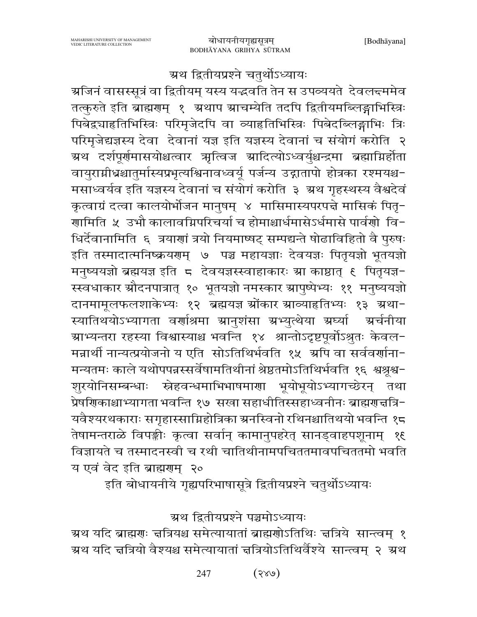## ग्रथ द्वितीयप्रश्ने चतुर्थोऽध्यायः

ग्रजिनं वासस्सूत्रं वा द्वितीयम् यस्य यद्धवति तेन स उपव्ययते देवलन्दममेव तत्कुरुते इति ब्राह्मणम् १ अथाप स्राचम्येति तदपि द्वितीयमब्लिङ्गाभिस्त्रिः पिबेद्वचाहतिभिस्त्रिः परिमृजेदपि वा व्याहतिभिस्त्रिः पिबेदब्लिङ्गाभिः त्रिः परिमृजेद्यज्ञस्य देवा देवानां यज्ञ इति यज्ञस्य देवानां च संयोगं करोति २ ग्रथ दर्शपूर्णमासयोश्चत्वार ऋत्विज स्रादित्योऽध्वर्युश्चन्द्रमा ब्रह्माग्निर्होता वायुराग्नीधश्चातुर्मास्यप्रभृत्यश्चिनावध्वर्यू पर्जन्य उद्गातापो होत्रका रश्मयश्च-मसाध्वर्यव इति यज्ञस्य देवानां च संयोगं करोति ३ अथ गृहस्थस्य वैश्वदेवं कृत्वाग्रं दत्वा कालयोर्भोजन मानुषम् ४ मासिमास्यपरपत्ते मासिकं पितृ-णामिति ५ उभौ कालावग्निपरिचर्या च होमाश्चार्धमासेऽर्धमासे पार्वणो वि− धिर्देवानामिति ६ त्रयाणां त्रयो नियमाष्यट् सम्पद्यन्ते षोढाविहितो वै पुरुषः इति तस्मादात्मनिष्क्रयणम् ७ पञ्च महायज्ञाः देवयज्ञः पितृयज्ञो भूतयज्ञो मनुष्ययज्ञो ब्रह्मयज्ञ इति ८ देवयज्ञस्स्वाहाकारः स्रा काष्ठात् ६ पितृयज्ञ-स्स्वधाकार स्रौदनपात्रात् १० भूतयज्ञो नमस्कार स्रापुष्पेभ्यः ११ मनुष्ययज्ञो दानमामूलफलशाकेभ्यः १२ ब्रह्मयज्ञ स्रोंकार स्राव्याहतिभ्यः १३ स्रथा-स्यातिथयोऽभ्यागता वर्णाश्रमा स्रानुशंसा स्रभ्युत्थेया स्रघ्या ग्रर्चनीया ग्राभ्यन्तरा रहस्या विश्वास्याश्च भवन्ति १४ श्रान्तोऽदृष्टपूर्वोऽश्रुतः केवल− मन्नार्थी नान्यत्प्रयोजनो य एति सोऽतिथिर्भवति १५ अपि वा सर्ववर्णाना-मन्यतमः काले यथोपपन्नस्सर्वेषामतिथीनां श्रेष्ठतमोऽतिथिर्भवति १६ श्वश्रूश्व-शूरयोनिसम्बन्धाः स्नेहवन्धमाभिभाषमाणा भूयोभूयोऽभ्यागच्छेरन् तथा प्रेषणिकाश्चाभ्यागता भवन्ति १७ सखा सहाधीतिस्सहाध्वनीनः ब्राह्मणत्तत्रि-यवैश्यरथकाराः सगृहास्साम्निहोत्रिका ग्रनस्विनो रथिनश्चातिथयो भवन्ति १८ तेषामन्तराळे विपङ्कीः कृत्वा सर्वान् कामानुपहरेत् सानड्वाहपशूनाम् १६ विज्ञायते च तस्मादनस्वी च रथी चातिथीनामपचिततमावपचिततमो भवति य एवं वेद इति ब्राह्मणम् २०

इति बोधायनीये गृह्यपरिभाषासूत्रे द्वितीयप्रश्ने चतुर्थोऽध्यायः

#### ग्रथ द्वितीयप्रश्ने पञ्चमोऽध्यायः

ग्रथ यदि ब्राह्मणः चत्रियश्च समेत्यायातां ब्राह्मणोऽतिथिः चत्रिये सान्त्वम् १ ग्रथ यदि न्नत्रियो वैश्यश्च समेत्यायातां न्नत्रियोऽतिथिर्वैश्ये सान्त्वम् २ ग्रथ

> $(688)$ 247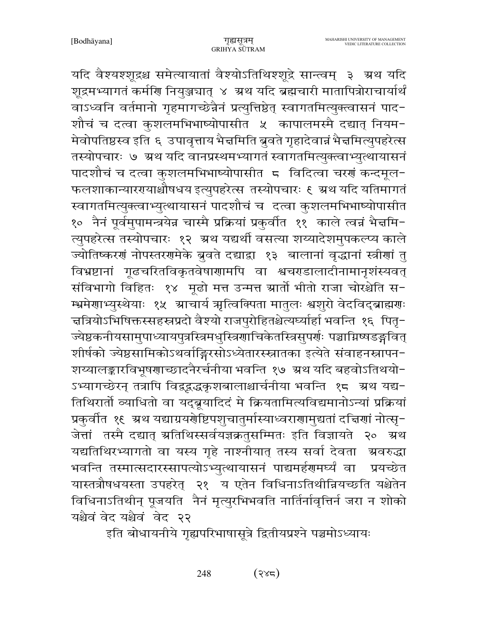यदि वैश्यश्शूद्रश्च समेत्यायातां वैश्योऽतिथिश्शूद्रे सान्त्वम् ३ अथ यदि शूद्रमभ्यागतं कर्मणि नियुञ्जघात् ४ अथ यदि ब्रह्मचारी मातापित्रोराचार्यार्थं वाऽध्वनि वर्तमानो गृहमागच्छेन्नैनं प्रत्युत्तिष्ठेत् स्वागतमित्युक्त्वासनं पाद-शौचं च दत्वा कुशलमभिभाष्योपासीत ५ कापालमस्मै दद्यात् नियम-मेवोपतिष्ठस्व इति ६ उपावृत्ताय भैचमिति बुवते गृहादेवान्नं भैचमित्युपहरेत्स तस्योपचारः ७ ग्रथ यदि वानप्रस्थमभ्यागतं स्वागतमित्युक्त्वाभ्युत्थायासनं पादशौचं च दत्वा कुशलमभिभाष्योपासीत 5 विदित्वा चरणं कन्दमूल-फलशाकान्याररायाश्चौषधय इत्युपहरेत्स तस्योपचारः ६ ग्रथ यदि यतिमागतं स्वागतमित्युक्त्वाभ्युत्थायासनं पादशौचं च दत्वा कुशलमभिभाष्योपासीत १० नैनं पूर्वमुपामन्त्रयेन्न चास्मै प्रक्रियां प्रकुर्वीत ११ काले त्वन्नं भैज्ञमि-त्युपहरेत्स तस्योपचारः १२ अ्थ यद्यर्थी वसत्या शय्यादेशमुपकल्प्य काले ज्योतिष्करणं नोपस्तरणमेके बुवते दद्याद्वा १३ बालानां वृद्धानां स्त्रीणां तु विभ्रष्टानां गूढचरितविकृतवेषाणामपि वा श्वचरडालादीनामानृशंस्यवत् संविभागो विहितः १४ मूढो मत्त उन्मत्त ग्रार्तो भीतो राजा चोरश्चेति स-म्भ्रमेणाभ्यस्थेयाः १५ स्राचार्य ऋत्विक्पिता मातुलः श्वशुरो वेदविद्ब्राह्मणः चत्रियोऽभिषिक्तस्सहस्रप्रदो वैश्यो राजपुरोहितश्चेत्यर्घ्यार्हा भवन्ति १६ पितृ− ज्येष्ठकनीयसामुपाध्यायपुत्रस्त्रिमधुस्त्रिणाचिकेतस्त्रिसुपर्णः पञ्चाग्निष्षडङ्गवित् शीर्षको ज्येष्ठसामिकोऽथर्वाङ्गिरसोऽध्येतारस्स्नातका इत्येते संवाहनस्नापन-शय्यालङ्कारविभूषणाच्छादनैरर्चनीया भवन्ति १७ अ्रथ यदि बहवोऽतिथयो-ऽभ्यागच्छेरन् तत्रापि विद्वद्वद्भृष्शबालाश्चार्चनीया भवन्ति १८ ऋथ यद्य− तिथिरार्तो व्याधितो वा यद्ब्रूयादिदं मे क्रियतामित्यविद्यमानोऽन्यां प्रक्रियां प्रकुर्वात १६ अथ यद्याग्रयरोष्टिपशुचातुर्मास्याध्वराराामुद्यतां दत्तिर्णा नोत्सृ− जेत्तां तस्मै दद्यात् स्रतिथिस्सर्वयज्ञक्रतुसम्मितः इति विज्ञायते २० स्रथ यद्यतिथिरभ्यागतो वा यस्य गृहे नाश्नीयात् तस्य सर्वा देवता अ्वरुद्धा भवन्ति तस्मात्सदारस्सापत्योऽभ्युत्थायासनं पाद्यमर्हणमर्घ्यं वा प्रयच्छेत यास्तत्रौषधयस्ता उपहरेत् २१ य एतेन विधिनाऽतिथीन्नियच्छति यश्चेतेन विधिनाऽतिथीन् पूजयति नैनं मृत्युरभिभवति नार्तिर्नावृत्तिर्न जरा न शोको यश्चैवं वेद यश्चैवं वेद २२

इति बोधायनीये गृह्यपरिभाषासूत्रे द्वितीयप्रश्ने पञ्चमोऽध्यायः

 $(322)$ 248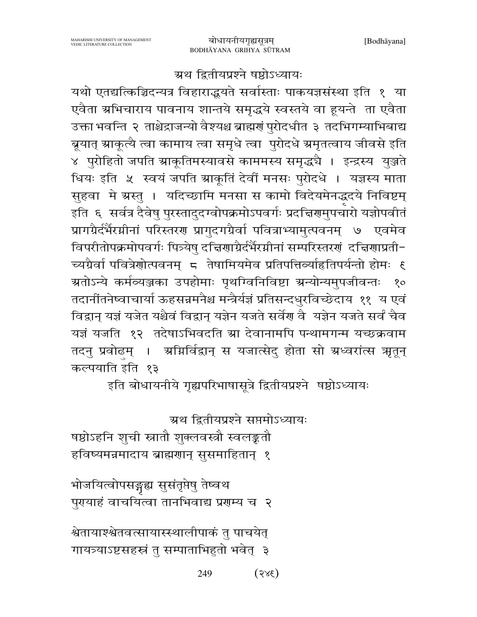## ग्रथ द्वितीयप्रश्ने षष्ठोऽध्यायः

यथो एतद्यत्किञ्चिदन्यत्र विहाराद्भयते सर्वास्ताः पाकयज्ञसंस्था इति १ या एवैता ग्रभिचाराय पावनाय शान्तये समृद्धये स्वस्तये वा हूयन्ते ता एवैता उक्ता भवन्ति २ ताश्चेद्राजन्यो वैश्यश्च ब्राह्मणं पुरोदधीत ३ तदभिगम्याभिबाद्य ब्रूयात् स्राकूत्यै त्वा कामाय त्वा समृधे त्वा पुरोदधे स्रमृतत्वाय जीवसे इति ४ पुरोहितो जपति स्राकूतिमस्यावसे काममस्य समृद्धचै । इन्द्रस्य युञ्जते धियः इति ५ स्वयं जपति स्राकूतिं देवीं मनसः पुरोदधे । यज्ञस्य माता सुहवा मे ग्रस्तु । यदिच्छामि मनसा स कामो विदेयमेनद्धदये निविष्टम् इति ६ सर्वत्र दैवेषु पुरस्तादुदग्वोपक्रमोऽपवर्गः प्रदच्चिरणमुपचारो यज्ञोपवीतं प्रागग्रैर्दर्भैरग्नीनां परिस्तरण प्रागुदगग्रैर्वा पवित्राभ्यामुत्पवनम् ७ एवमेव विपरीतोपक्रमोपवर्गः पित्र्येषु दत्तिराग्रैर्दर्भैरग्नीनां सम्परिस्तररां दत्तिरागप्रती-च्यग्रैर्वा पवित्रेणोत्पवनम् ८ तेषामियमेव प्रतिपत्तिर्व्याहृतिपर्यन्तो होमः ६ ग्रतोऽन्ये कर्मव्यञ्जका उपहोमाः पृथग्विनिविष्टा ग्रन्योन्यमुपजीवन्तः  $80^{\circ}$ तदानींतनेष्वाचार्या ऊहसन्नमनैश्च मन्त्रैर्यज्ञं प्रतिसन्दधुरविच्छेदाय ११ य एवं विद्वान् यज्ञं यजेत यश्चैवं विद्वान् यज्ञेन यजते सर्वेण वै यज्ञेन यजते सर्वं चैव यज्ञं यजति १२ तदेषाऽभिवदति स्रा देवानामपि पन्थामगन्म यच्छक्रवाम तदनु प्रवोढम् । अग्निर्विद्वान् स यजात्सेदु होता सो ग्रध्वरांत्स ऋतून् कल्पयाति इति १३

इति बोधायनीये गृह्यपरिभाषासूत्रे द्वितीयप्रश्ने षष्ठोऽध्यायः

ग्रथ द्वितीयप्रश्ने सप्तमोऽध्यायः

षष्ठोऽहनि शुची स्नातौ शुक्लवस्त्रौ स्वलङ्कतौ हविष्यमन्नमादाय ब्राह्मणान् ससमाहितान् १

भोजयित्वोपसङ्गृह्य सुसंतृप्तेषु तेष्वथ पुरायाहं वाचयित्वा तानभिवाद्य प्रराम्य च २

श्वेतायाश्श्वेतवत्सायास्स्थालीपाकं तु पाचयेत् गायत्र्याऽष्टसहस्रं तु सम्पाताभिहुतो भवेत् ३

> $(3x\xi)$ 249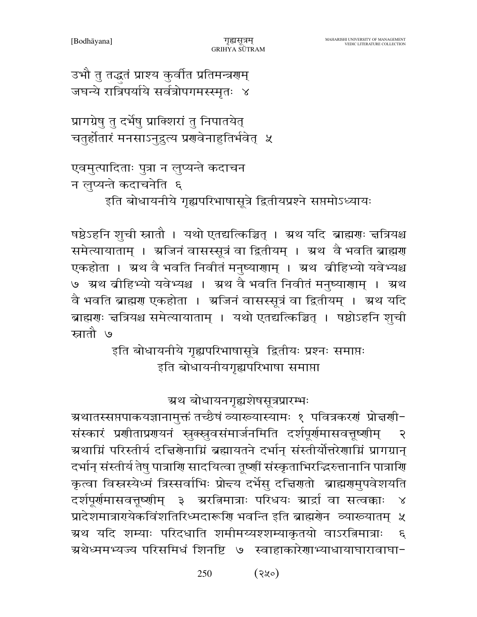उभौ तु तद्धतं प्राश्य कुर्वीत प्रतिमन्त्रगम् जघन्ये रात्रिपर्याये सर्वत्रोपगमस्स्मृतः ४

प्रागग्रेषु तु दर्भेषु प्राक्शिरां तु निपातयेत् चतुर्होतारं मनसाऽनुद्रत्य प्रणवेनाहुतिर्भवेत् ५

एवमुत्पादिताः पुत्रा न लुप्यन्ते कदाचन न लुप्यन्ते कदाचनेति ६

इति बोधायनीये गृह्यपरिभाषासूत्रे द्वितीयप्रश्ने सप्तमोऽध्यायः

षष्ठेऽहनि शृची स्नातौ । यथो एतद्यत्किञ्चित् । ग्रथ यदि ब्राह्मणः त्तत्रियश्च समेत्यायाताम् । अजिनं वासस्सूत्रं वा द्वितीयम् । अ्रथ वै भवति ब्राह्मण एकहोता । अ्रथ वै भवति निवीतं मनुष्याणाम् । अ्रथ व्रीहिभ्यो यवेभ्यश्च ७ ग्रथ बीहिभ्यो यवेभ्यश्च । ग्रथ वै भवति निवीतं मनुष्याणाम् । ग्रथ वै भवति ब्राह्मण एकहोता । अजिनं वासस्सूत्रं वा द्वितीयम् । अ्रथ यदि ब्राह्मणः चत्रियश्च समेत्यायाताम् । यथो एतद्यत्किञ्चित् । षष्ठोऽहनि शृची स्रातौ ७

> इति बोधायनीये गृह्यपरिभाषासूत्रे द्वितीयः प्रश्नः समाप्तः इति बोधायनीयगृह्यपरिभाषा समाप्ता

> > ग्रथ बोधायनगृह्यशेषसूत्रप्रारम्भः

ग्रथातस्सप्तपाकयज्ञानामुक्तं तच्छैषं व्याख्यास्यामः १ पवित्रकरणं प्रोत्तर्णा− संस्कारं प्रशीताप्रशयनं स्रुक्स्नुवसंमार्जनमिति दर्शपूर्णमासवत्तूष्शीम्  $\overline{\mathcal{E}}$ ग्रथाम्निं परिस्तीर्य दच्चिरोनाम्निं ब्रह्मायतने दर्भान् संस्तीर्योत्तरेणाम्निं प्रागग्रान् दर्भान् संस्तीर्य तेषु पात्राणि सादयित्वा तृष्णीं संस्कृताभिरद्भिरुत्तानानि पात्राणि कृत्वा विस्नस्येध्मं त्रिस्सर्वाभिः प्रोन्दय दर्भेसु दत्तिरातो ब्राह्मरामुपवेशयति दर्शपूर्णमासवत्तूष्णीम् ३ ग्ररतिमात्राः परिधयः ग्रार्द्रा वा सत्वक्काः प्रादेशमात्रारायेकविंशतिरिध्मदारूणि भवन्ति इति ब्राह्मणेन व्याख्यातम् ५ ग्रथ यदि शम्याः परिदधाति शमीमय्यश्शम्याकृतयो वाऽरत्निमात्राः  $\mathcal{E}$ म्रथेध्ममभ्यज्य परिसमिधं शिनष्टि ७ स्वाहाकारेणाभ्याधायाघारावाघा-

> $(3x^{\circ})$ 250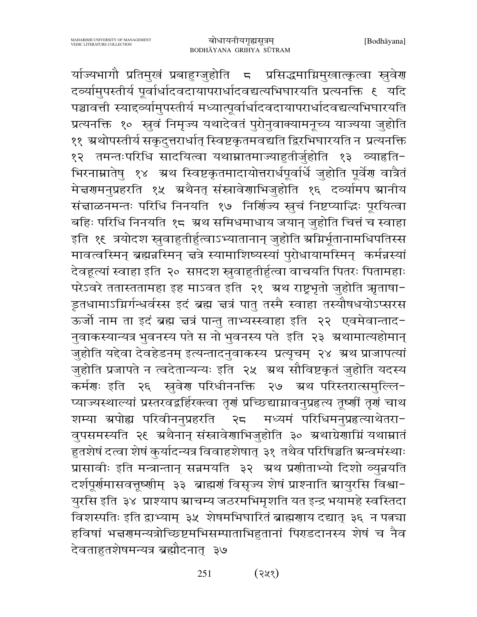र्याज्यभागौ प्रतिमुखं प्रबाहुग्जुहोति 5 प्रसिद्धमाग्निमुखात्कृत्वा स्नुवेरण दव्यामुपस्तीर्य पूर्वार्धादवदायापरार्धादवद्यत्यभिघारयति प्रत्यनक्ति १ यदि पञ्चावत्ती स्याद्व्यामुपस्तीर्य मध्यात्पूर्वार्धादवदायापरार्धादवद्यत्यभिघारयति प्रत्यनक्ति १० स्रुवं निमृज्य यथादेवतं पुरोनुवाक्यामनूच्य याज्यया जुहोति ११ अथोपस्तीर्य सकृदुत्तरार्धात् स्विष्टकृतमवद्यति द्विरभिघारयति न प्रत्यनक्ति १२ तमन्तःपरिधि सादयित्वा यथाम्रातमाज्याहुतीर्जुहोति १३ व्याहृति-भिरनाम्नातेषु १४ अथ स्विष्टकृतमादायोत्तरार्धपूर्वार्धे जुहोति पूर्वेण वात्रैतं मेज्ञणमनुप्रहरति १५ अथैनत् संस्नावेणाभिजुहोति १६ दव्यामप स्रानीय संज्ञाळनमन्तः परिधि निनयति १७ निर्शिज्य स्नुचं निष्टप्याद्धिः पूरयित्वा बहिः परिधि निनयति १८ अ्रथ समिधमाधाय जयान् जुहोति चित्तं च स्वाहा इति १६ त्रयोदश स्रुवाहुतीर्हुत्वाऽभ्यातानान् जुहोति अग्निर्भूतानामधिपतिस्स मावत्वस्मिन् ब्रह्मन्नस्मिन् चत्रे स्यामाशिष्यस्यां पुरोधायामस्मिन् कर्मन्नस्यां देवहूत्यां स्वाहा इति २० सप्तदश स्रुवाहुतीर्हुत्वा वाचयति पितरः पितामहाः परेऽवरे ततास्ततामहा इह माऽवत इति २१ अ्थ राष्ट्रभृतो जुहोति ऋताषा-डूतधामाऽग्निर्गन्धर्वस्स इदं ब्रह्म त्तत्रं पातु तस्मै स्वाहा तस्यौषधयोऽप्सरस ऊर्जी नाम ता इदं ब्रह्म न्नत्रं पान्तु ताभ्यस्स्वाहा इति २२ एवमेवान्ताद-नुवाकस्यान्यत्र भुवनस्य पते स नो भुवनस्य पते इति २३ अथामात्यहोमान् जुहोति यद्देवा देवहेडनम् इत्यन्तादनुवाकस्य प्रत्यृचम् २४ ग्रथ प्राजापत्यां जुहोति प्रजापते न त्वदेतान्यन्यः इति २५ अथ सौविष्टकृतं जुहोति यदस्य कर्मणः इति २६ स्ववेण परिधीननक्ति २७ अथ परिस्तरात्समुल्लि-प्याज्यस्थाल्यां प्रस्तरवद्वर्हिरक्त्वा तृगं प्रच्छिद्याग्नावनुप्रहृत्य तूष्णीं तृगं चाथ शम्या ग्रपोह्य परिवीननुप्रहरति २८ मध्यमं परिधिमनुप्रहत्याथेतरा-वुपसमस्यति २६ अथैनान् संस्नावेणाभिजुहोति ३० अथाग्रेणाग्निं यथाम्नातं .<br>हुतशेषं दत्वा शेषं कुर्यादन्यत्र विवाहशेषात् ३१ तथैव परिषिञ्चति ग्रन्वमंस्थाः प्रासावीः इति मन्त्रान्तान् सन्नमयति ३२ अथ प्रणीताभ्यो दिशो व्युन्नयति दर्शपूर्णमासवत्तूष्णीम् ३३ ब्राह्मणं विसृज्य शेषं प्राश्नाति स्रायुरसि विश्वा− युरसि इति ३४ प्राश्याप स्राचम्य जठरमभिमृशति यत इन्द्र भयामहे स्वस्तिदा विशस्पतिः इति द्वाभ्याम् ३५ शेषमभिघारितं ब्राह्मणाय दद्यात् ३६ न पत्नचा हविषां भन्नगमन्यत्रोच्छिष्टमभिसम्पाताभिहुतानां पिराडदानस्य शेषं च नैव देवताहुतशेषमन्यत्र ब्रह्मौदनात् ३७

> $(375)$ 251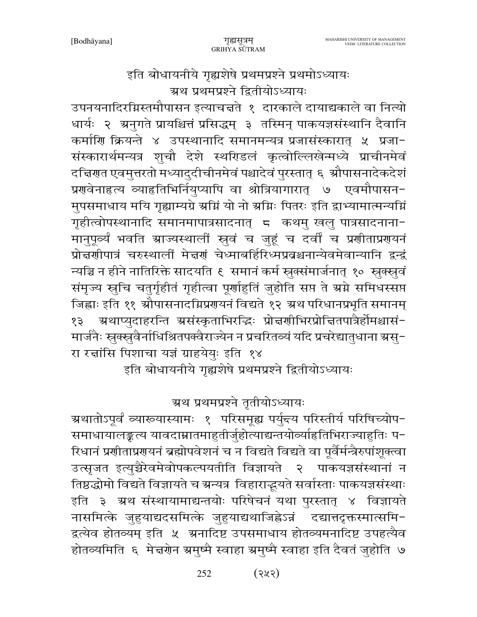इति बोधायनीये गृह्यशेषे प्रथमप्रश्ने प्रथमोऽध्यायः ग्रथ प्रथमप्रश्ने द्वितीयोऽध्यायः

उपनयनादिरग्निस्तमौपासन इत्याचत्तते १ दारकाले दायाद्यकाले वा नित्यो धार्यः २ अनुगते प्रायश्चित्तं प्रसिद्धम् ३ तस्मिन् पाकयज्ञसंस्थानि दैवानि कर्माणि क्रियन्ते ४ उपस्थानादि समानमन्यत्र प्रजासंस्कारात् ५ प्रजा-संस्कारार्थमन्यत्र शुचौ देशे स्थरिडलं कृत्वोल्लिखेन्मध्ये प्राचीनमेवं दचिणत एवमुत्तरतो मध्यादुदीचीनमेवं पश्चादेवं पुरस्तात् ६ औपासनादेकदेशं प्रगवेनाहत्य व्याहतिभिर्नियुप्यापि वा श्रोत्रियागारात् ७ एवमौपासन-मुपसमाधाय मयि गृह्याम्यग्रे ग्रग्निं यो नो ग्रग्निः पितरः इति द्वाभ्यामात्मन्यग्निं गृहीत्वोपस्थानादि समानमापात्रसादनात् = कथमु खलु पात्रसादनाना-मानुपूर्व्यं भवति म्राज्यस्थालीं स्नुवं च जुहूं च दर्वीं च प्रणीताप्रणयनं प्रोत्तर्णापात्रं चरुस्थालीं मेत्तरणं चेध्माबर्हिरिध्मप्रवश्चनान्येवमेवान्यानि द्वन्द्वं न्यञ्चि न हीने नातिरिक्ते सादयति ६ समानं कर्म स्रुक्संमार्जनात् १० स्रुक्स्नुवं संमृज्य स्तुचि चतुर्गृहीतं गृहीत्वा पूर्णाहुतिं जुहोति सप्त ते ग्रग्ने समिधस्सप्त जिह्वाः इति ११ औपासनादग्निप्रशयनं विद्यते १२ अथ परिधानप्रभृति समानम् १३ - अथाप्युदाहरन्ति असंस्कृताभिरद्धिः प्रोत्तर्णाभिरप्रोत्तितपात्रैर्होमश्चासं-मार्जनैः स्रुक्स्नुवैर्नाधिश्रितपक्वैराज्येन न प्रचरितव्यं यदि प्रचरेद्यातुधाना ग्रसु-रा रत्नांसि पिशाचा यज्ञं ग्राहयेयुः इति १४

इति बोधायनीये गृह्यशेषे प्रथमप्रश्ने द्वितीयोऽध्यायः

# ग्रथ प्रथमप्रश्ने तृतीयोऽध्यायः

म्रथातोऽपूर्वं व्याख्यास्यामः १ परिसमूह्य पर्युन्त्य परिस्तीर्य परिषिच्योप− समाधायालङ्कत्य यावदाम्नातमाहुतीर्जुहोत्याद्यन्तयोर्व्याहतिभिराज्याहुतिः प-रिधानं प्रणीताप्रगयनं ब्रह्मोपवेशनं च न विद्यते विद्यते वा पूर्वैर्मन्त्रैरुपांशूक्त्वा उत्सृजत इत्युच्चैरेवमेवोपकल्पयतीति विज्ञायते २ पाकयज्ञसंस्थानां न तिष्ठद्धोमो विद्यते विज्ञायते च ग्रन्यत्र विहाराद्भयते सर्वास्ताः पाकयज्ञसंस्थाः इति ३ ग्रथ संस्थायामाद्यन्तयोः परिषेचनं यथा पुरस्तात् ४ विज्ञायते नासमित्के जुहुयाद्यदसमित्के जुहुयाद्यथाजिह्नेऽन्नं दद्यात्तदृक्तस्मात्समि-द्वत्येव होतव्यम् इति ५ अनादिष्ट उपसमाधाय होतव्यमनादिष्ट उपहत्यैव होतव्यमिति ६ मेच्चोन ग्रमुष्मै स्वाहा ग्रमुष्मै स्वाहा इति दैवतं जुहोति ७

> $(385)$ 252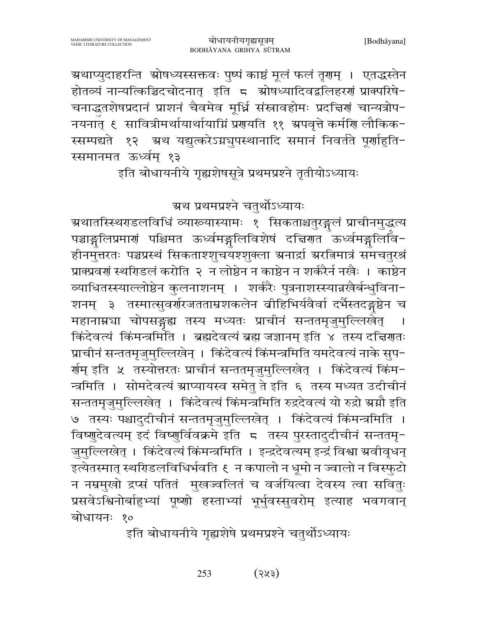ग्रथाप्युदाहरन्ति श्रोषध्यस्सक्तवः पुष्पं काष्ठं मूलं फलं तृगम् । एतद्धस्तेन होतव्यं नान्यत्किञ्चिदचोदनात् इति ८ स्रोषध्यादिवद्वलिहरणं प्राक्परिषे-चनाद्धतशेषप्रदानं प्राशनं चैवमेव मूर्ध्नि संस्नावहोमः प्रदत्तिर्णं चान्यत्रोप-स्सम्पद्यते १२ ग्रथ यद्युत्करेऽग्नचुपस्थानादि समानं निवर्तते पूर्णाहुति-स्समानमत ऊर्ध्वम् १३

इति बोधायनीये गृह्यशेषसूत्रे प्रथमप्रश्ने तृतीयोऽध्यायः

ग्रथ प्रथमप्रश्ने चतुर्थोऽध्यायः

ग्रथातस्स्थिरडलविधिं व्याख्यास्यामः १ सिकताश्चतुरङ्गलं प्राचीनमुद्धत्य पञ्चाङ्गलिप्रमाणं पश्चिमत ऊर्ध्वमङ्गलिविशेषं दद्मिणत<sup>ॅ</sup>ऊर्ध्वमङ्गलिवि-हीनमुत्तरतः पञ्चप्रस्थं सिकताश्शुचयश्शुक्ला ग्रनार्द्रा ग्ररतिमात्रं समचतुरश्रं प्राक्प्रवर्ग स्थरिडलं करोति २ न लोष्ठेन न काष्ठेन न शर्करैर्न नखैः । काष्ठेन व्याधितस्स्याल्लोष्ठेन कुलनाशनम् । शर्करैः पुत्रनाशस्स्यान्नखैर्बन्धुविना-शनम् ३ तस्मात्सुवर्णरजतताम्रशकलेन व्रीहिभिर्यवैर्वा दर्भैस्तदङ्गष्ठेन च महानाम्रञा चोपसङ्गद्य तस्य मध्यतः प्राचीनं सन्ततमृजुमुल्लिखेत् । किंदेवत्यं किंमन्त्रमिति । ब्रह्मदेवत्यं ब्रह्म जज्ञानम् इति ४ तस्य दद्मिणतः प्राचीनं सन्ततमृजुमुल्लिखेन् । किंदेवत्यं किंमन्त्रमिति यमदेवत्यं नाके सुप-र्ग्णम् इति ५ तस्योत्तरतः प्राचीनं सन्ततमृजुमुल्लिखेत् । किंदेवत्यं किंम-न्त्रमिति । सोमदेवत्यं ग्राप्यायस्व समेतु ते इति ६ तस्य मध्यत उदीचीनं सन्ततमृजुमुल्लिखेत् । किंदेवत्यं किंमन्त्रमिति रुद्रदेवत्यं यो रुद्रो ग्रग्नौ इति ७) तस्यः पश्चादुदीचीनं सन्ततमृजुमुल्लिखेत् । किंदेवत्यं किंमन्त्रमिति । विष्णुदेवत्यम् इदं विष्णुर्विवक्रमे इति 5 तस्य पुरस्तादुदीचीनं सन्ततमृ-जुमुल्लिखेत् । किंदेवत्यं किंमन्त्रमिति । इन्द्रदेवत्यम् इन्द्रं विश्वा ग्रवीवृधन् इत्येतस्मात् स्थरिडलविधिर्भवति ६ न कपालो न धूमो न ज्वालो न विस्फुटो न नम्रमुखो द्रप्सं पतितं मुखज्वलितं च वर्जयित्वा देवस्य त्वा सवितुः प्रसवेऽश्विनोर्बाहुभ्यां पूष्णो हस्ताभ्यां भूर्भुवस्सुवरोम् इत्याह भवगवान् बोधायनः १०

इति बोधायनीये गृह्यशेषे प्रथमप्रश्ने चतुर्थोऽध्यायः

253 (२५३)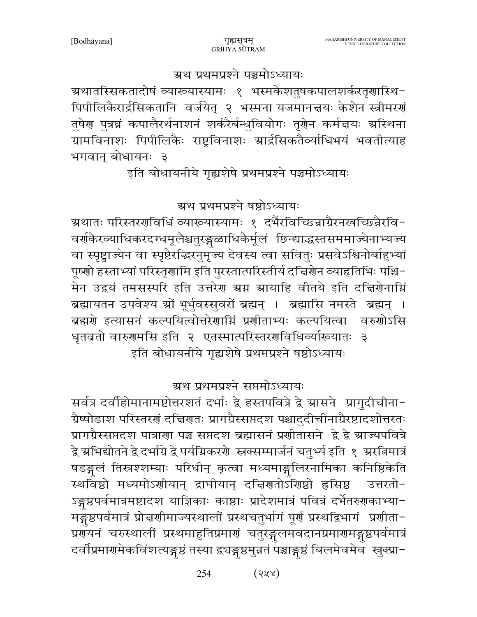ग्रथ प्रथमप्रश्ने पञ्चमोऽध्यायः

ग्रथातस्सिकतादोषं व्याख्यास्यामः १ भस्मकेशतुषकपालशर्करतृणास्थि-पिपीलिकैरार्द्रसिकतानि वर्जयेत् २ भस्मना यजमानत्तयः केशेन स्त्रीमरणं तुषेण पुत्रघ्नं कपालैरर्थनाशनं शर्करैर्बन्धुवियोगः तृगेन कर्मचयः स्रस्थिना ग्रामविनाशः पिपीलिकैः राष्ट्रविनाशः स्रार्द्रसिकतैर्व्याधिभयं भवतीत्याह भगवान् बोधायनः ३

इति बोधायनीये गृह्यशेषे प्रथमप्रश्ने पञ्चमोऽध्यायः

ग्रथ प्रथमप्रश्ने षष्ठोऽध्यायः

ग्रथातः परिस्तरर्णविधिं व्याख्यास्यामः १ दर्भैरविच्छिन्नाग्रैरनखच्छिन्नैरवि-वर्ग्फैरव्याधिकरदग्धमूलैश्चतुरङ्गळाधिकैर्मूलं छिन्द्याद्धस्तसममाज्येनाभ्यज्य वा स्पृष्ट्वाज्येन वा स्पृष्टैरदिरनुमृज्य देवस्य त्वा सवितुः प्रसवेऽश्विनोर्बाहुभ्यां पूष्णो हस्ताभ्यां परिस्तृणामि इति पुरस्तात्परिस्तीर्य दच्चिणेन व्याहतिभिः पश्चि-मेन उद्वयं तमसस्परि इति उत्तरेण ग्रग्न श्रायाहि वीतये इति दचिणेनाग्निं ब्रह्मायतन उपवेश्य श्रों भूर्भुवस्सुवरों ब्रह्मन् । ब्रह्मासि नमस्ते ब्रह्मन् । ब्रह्मणे इत्यासनं कल्पयित्वोत्तरेणाग्निं प्रणीताभ्यः कल्पयित्वा वरुणोऽसि धृतब्रतो वारुगमसि इति २ एतस्मात्परिस्तरगतिधिव्यारूयातः ३ इति बोधायनीये गृह्यशेषे प्रथमप्रश्ने षष्ठोऽध्यायः

ग्रथ प्रथमप्रश्ने सप्तमोऽध्यायः

सर्वत्र दर्वाहोमानामष्टोत्तरशतं दर्भाः द्वे हस्तपवित्रे द्वे स्रासने प्रागुदीचीना-ग्रैष्षोडाश परिस्तरणं दच्चिणतः प्रागग्रैस्सप्तदश पश्चादुदीचीनाग्रैरष्टादशोत्तरतः प्रागग्रैस्सप्तदश पात्राणा पञ्च सप्तदश ब्रह्मासनं प्रणीतासने द्वे द्वे स्राज्यपवित्रे द्वे ग्रभिद्योतने द्वे दर्भाग्रे द्वे पर्यग्निकरणे स्त्रक्सम्मार्जनं चतुर्भ्य इति १ ग्ररतिमात्रं षडङ्गलं तिस्रश्शम्याः परिधीन् कृत्वा मध्यमाङ्गलिरनामिका कनिष्ठिकेति स्थविष्ठो मध्यमोऽणीयान् द्राघीयान् दच्चिणतोऽंशिष्ठो हृसिष्ठ उत्तरतो− ऽङ्गुष्ठपर्वमात्रमष्टादश याज्ञिकाः काष्ठाः प्रादेशमात्रं पवित्रं दर्भेतरुगकाभ्या-मङ्गुष्ठपर्वमात्रं प्रोत्तर्णामाज्यस्थालीं प्रस्थचतुर्भागं पूर्णं प्रस्थद्विभागं प्रणीता-प्रणॅयनं चरुस्थालीं प्रस्थमाहुतिप्रमाणं चतुरङ्गलमवदानप्रमाणमङ्गृष्ठपर्वमात्रं दर्वीप्रमार्ग्सकविंशत्यङ्गुष्ठं तस्या द्र्यङ्गुष्ठमुन्नतं पञ्चाङ्गुष्ठं बिलमेवमेवं स्नुक्प्रा-

> 254  $(372)$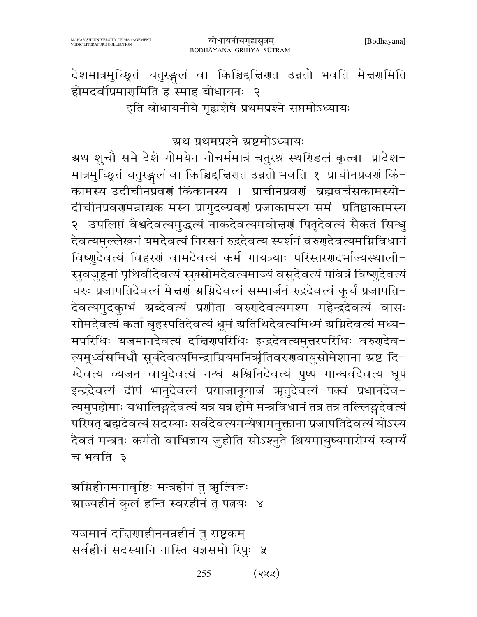# देशमात्रमुच्छितं चतुरङ्गलं वा किञ्चिद्दचिणत उन्नतो भवति मेचणमिति होमदर्वीप्रमार्गमिति ह<sup>ँ</sup>स्माह बोधायनः २ इति बोधायनीये गृह्यशेषे प्रथमप्रश्ने सप्तमोऽध्यायः

#### ग्रथ प्रथमप्रश्ने ग्रष्टमोऽध्यायः

ग्रथ शुचौ समे देशे गोमयेन गोचर्ममात्रं चतुरश्रं स्थरिडलं कृत्वा प्रादेश-मात्रमुच्छितं चतुरङ्गलं वा किञ्चिद्दचिरणा उन्नतो भवति १ प्राचीनप्रवर्ग किं-कामस्य उदीचीनप्रवणं किंकामस्य । प्राचीनप्रवणं ब्रह्मवर्चसकामस्यो-दीचीनप्रवरणमन्नाद्यक मस्य प्रागुदक्प्रवर्णं प्रजाकामस्य समं प्रतिष्ठाकामस्य २ उपलिप्तं वैश्वदेवत्यमुद्धत्यं नाकदेवत्यमवोत्तर्णं पितृदेवत्यं सैकतं सिन्धु देवत्यमुल्लेखनं यमदेवत्यं निरसनं रुद्रदेवत्य स्पर्शनं वरुगदेवत्यमग्निविधानं विष्णुदेवत्यं विहरणं वामदेवत्यं कर्म गायत्र्याः परिस्तरणदर्भाज्यस्थाली-स्रुवजुहूनां पृथिवीदेवत्यं स्रुक्सोमदेवत्यमाज्यं वसुदेवत्यं पवित्रं विष्णुदेवत्यं चरुः प्रजापतिदेवत्यं मेद्मणं श्रम्भिदेवत्यं सम्मार्जनं रुद्रदेवत्यं कूर्चं प्रजापति-देवत्यमुदकुम्भं ग्रब्देवत्यं प्रणीता वरुणदेवत्यमश्म महेन्द्रदेवत्यं वासः सोमदेवत्यं कर्ता बृहस्पतिदेवत्यं धूमं ग्रतिथिदेवत्यमिध्मं ग्रग्निदेवत्यं मध्य-मपरिधिः यजमानदेवत्यं दच्चिणपरिधिः इन्द्रदेवत्यमुत्तरपरिधिः वरुगदेव-त्यमूर्ध्वसमिधौ सूर्यदेवत्यमिन्द्राग्नियमनिर्ऋतिवरुगवायुसोमेशाना ग्रष्ट दि-ग्देवत्यं व्यजनं वायुदेवत्यं गन्धं म्रश्चिनिदेवत्यं पुष्पं गान्धर्वदेवत्यं धूपं इन्द्रदेवत्यं दीपं भानुदेवत्यं प्रयाजानूयाजं ऋतुदेवत्यं पक्वं प्रधानदेव-त्यमुपहोमाः यथालिङ्गदेवत्यं यत्र यत्र होमे मन्त्रविधानं तत्र तत्र तत्लिङ्गदेवत्यं परिषत् ब्रह्मदेवत्यं सदस्याः सर्वदेवत्यमन्येषामनुक्ताना प्रजापतिदेवत्यं योऽस्य दैवतं मन्त्रतः कर्मतो वाभिज्ञाय जुहोति सोऽश्नुते श्रियमायुष्यमारोग्यं स्वर्ग्यं च भवति ३

ग्रग्निहीनमनावृष्टिः मन्त्रहीनं तु ऋत्विजः ग्राज्यहीनं कुलं हन्ति स्वरहीनं तु पत्नयः ४

यजमानं दचियाहीनमन्नहीनं तु राष्ट्रकम् सर्वहीनं सदस्यानि नास्ति यज्ञसमो रिपुः ५

> 255  $(322)$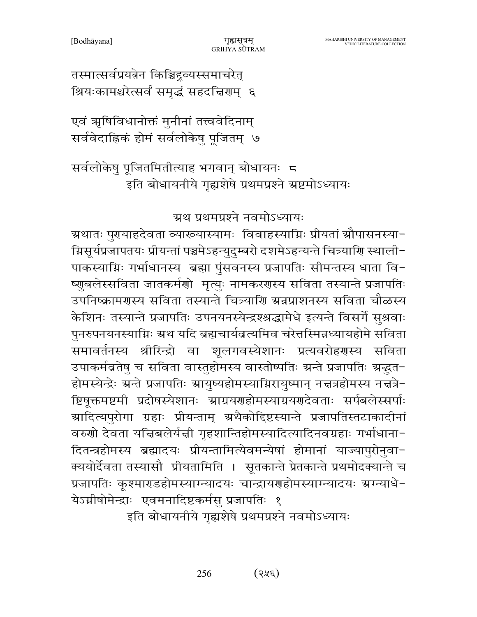तस्मात्सर्वप्रयत्नेन किञ्चिद्गञ्यस्समाचरेत् श्रियःकामश्चरेत्सर्वं समृद्धं सहदत्तिराम् ६

एवं ऋषिविधानोक्तं मुनीनां तत्त्ववेदिनाम् सर्ववेदाह्निकं होमं सर्वलोकेषु पूजितम् ७

सर्वलोकेषु पूजितमितीत्याह भगवान् बोधायनः 5 इति बोधायनीये गृह्यशेषे प्रथमप्रश्ने ग्रष्टमोऽध्यायः

ग्रथ प्रथमप्रश्ने नवमोऽध्यायः

ग्रथातः पुरायाहदेवता व्याख्यास्यामः विवाहस्याग्निः प्रीयतां श्रौपासनस्या− म्रिसूर्यप्रजापतयः प्रीयन्तां पञ्चमेऽहन्युदुम्बरो दशमेऽहन्यन्ते चित्र्याणि स्थाली− पाकस्याग्निः गर्भाधानस्य ब्रह्मा पुंसवनस्य प्रजापतिः सीमन्तस्य धाता वि-ष्णुबलेस्सविता जातकर्मणो मृत्युः नामकरणस्य सविता तस्यान्ते प्रजापतिः उपनिष्क्रामरास्य सविता तस्यान्ते चित्र्याराि ग्रन्नप्राशनस्य सविता चौळस्य केशिनः तस्यान्ते प्रजापतिः उपनयनस्येन्द्रश्श्रद्धामेधे इत्यन्ते विसर्गे सुश्रवाः पुनरुपनयनस्याग्निः ग्रथ यदि ब्रह्मचार्यव्रत्यमिव चरेत्तस्मिन्नध्यायहोमे सविता समावर्तनस्य श्रीरिन्द्रो वा शूलगवस्येशानः प्रत्यवरोहरणस्य सविता उपाकर्मब्रतेषु च सविता वास्तुहोमस्य वास्तोष्पतिः ग्रन्ते प्रजापतिः ग्रबु्दत-होमस्येन्द्रेः ग्रन्ते प्रजापतिः ग्रायुष्यहोमस्याग्निरायुष्मान् नत्तत्रहोमस्य नत्तत्रे− ष्टिषूक्तमष्टमी प्रदोषस्येशानः स्राग्रयणहोमस्याग्रयणदेवताः सर्पबलेस्सर्पाः ग्रादित्यपुरोगा ग्रहाः प्रीयन्ताम् ग्रथैकोद्दिष्टस्यान्ते प्रजापतिस्तटाकादीनां वरुणो देवता यचिबलेर्यची गृहशान्तिहोमस्यादित्यादिनवग्रहाः गर्भाधाना− दितन्त्रहोमस्य ब्रह्मादयः प्रीयन्तामित्येवमन्येषां होमानां याज्यापुरोनुवा-क्ययोर्देवता तस्यासौ प्रीयतामिति । सूतकान्ते प्रेतकान्ते प्रथमोदक्यान्ते च प्रजापतिः कूश्माराडहोमस्याग्न्यादयः चान्द्रायराहोमस्याग्न्यादयः ग्रग्न्याधे-येऽग्नीषोमेन्द्राः एवमनादिष्टकर्मसु प्रजापतिः १

इति बोधायनीये गृह्यशेषे प्रथमप्रश्ने नवमोऽध्यायः

 $(375)$ 256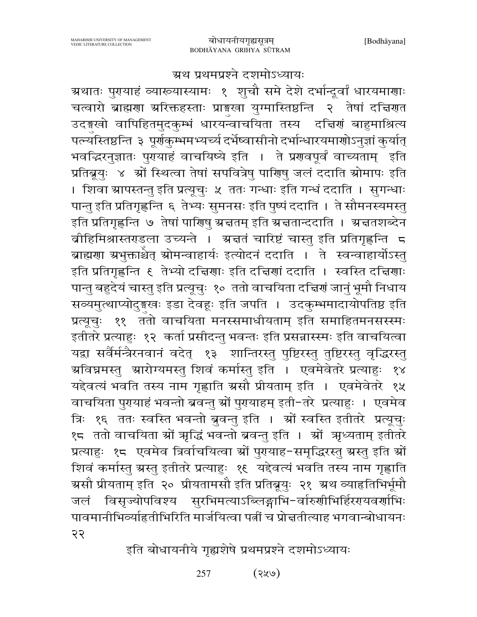## ग्रथ प्रथमप्रश्ने दशमोऽध्यायः

ग्रथातः पुरायाहं व्याख्यास्यामः १ शुचौ समे देशे दर्भान्द्र्वां धारयमाणाः चत्वारो ब्राह्मणा ग्ररिक्तहस्ताः प्राङ्गस्वा युग्मास्तिष्ठन्ति २ तेषां दचिणत उदङ्खो वापिहितमुदकुम्भं धारयन्वाचयिता तस्य दचिरणं बाहुमाश्रित्य पत्न्यस्तिष्ठन्ति ३ पूर्णकुम्भमभ्यच्यं दर्भेष्वासीनो दर्भान्धारयमाणोऽनुज्ञां कुर्यात् भवद्भिरनुज्ञातः पुरायाहं वाचयिष्ये इति । ते प्ररावपूर्वं वाच्यताम् इति प्रतिब्रूयुः ४ श्रों स्थित्वा तेषां सपवित्रेषु पारिणु जलं ददाति स्रोमापः इति । शिवा स्रापस्तन्तु इति प्रत्यूचुः ५ ततः गन्धाः इति गन्धं ददाति । सुगन्धाः पान्तु इति प्रतिगृह्णन्ति ६ तेभ्यः सुमनसः इति पुष्पं ददाति । ते सौमनस्यमस्तु इति प्रतिगृह्णन्ति ७ तेषां पारिण्षु श्रचतम् इति श्रचतान्ददाति । श्रचतशब्देन बीहिमिश्रास्तराडला उच्यन्ते । अचतं चारिष्टं चास्तु इति प्रतिगृह्णन्ति 5 ब्राह्मणा ग्रभुक्ताश्चेत् स्रोमन्वाहार्यः इत्योदनं ददाति । ते स्वन्वाहार्योऽस्तु इति प्रतिगृह्णन्ति १ तेभ्यो दच्चिणाः इति दच्चिणां ददाति । स्वस्ति दच्चिणाः पान्तु बहुदेयं चास्तु इति प्रत्यूचुः १० ततो वाचयिता दच्चिणं जानुं भूमौ निधाय सव्यमुत्थाप्योदुङ्गखः इडा देवहः इति जपति । उदकुम्भमादायोपतिष्ठ इति प्रत्यूचुः ११ ततो वाचयिता मनस्समाधीयताम् इति समाहितमनसस्स्मः इतीतरे प्रत्याहुः १२ कर्ता प्रसीदन्तु भवन्तः इति प्रसन्नास्स्मः इति वाचयित्वा यद्वा सर्वैर्मन्त्रैरनवानं वदेत् १३ शान्तिरस्तु पुष्टिरस्तु तुष्टिरस्तु वृद्धिरस्तु ग्रविघ्नमस्तु ग्रारोग्यमस्तु शिवं कर्मास्तु इति । एवमेवेतरे प्रत्याहुः १४ यद्देवत्यं भवति तस्य नाम गृह्णाति ग्रसौ प्रीयताम् इति । एवमेवेतरे १५ वाचयिता पुरायाहं भवन्तो ब्रवन्तु स्रों पुरायाहम् इती-तरे प्रत्याहुः । एवमेव त्रिः १६ ततः स्वस्ति भवन्तो ब्रुवन्तु इति । श्रों स्वस्ति इतीतरे प्रत्यूचुः १८ ततो वाचयिता स्रों ऋद्धिं भवन्तो ब्रवन्तु इति । स्रों ऋध्यताम् इतीतरे प्रत्याहुः १८ एवमेव त्रिर्वाचयित्वा स्रों पुरायाह-समृद्धिरस्तु स्रस्तु इति स्रों शिवं कर्मास्तु ग्रस्तु इतीतरे प्रत्याहुः १९ यद्देवत्यं भवति तस्य नाम गृह्णाति ग्रसौ प्रीयताम् इति २० प्रीयतामसौ इति प्रतिब्रूयुः २१ ग्रथ व्याहृतिभिर्भूमौ जलं विसृज्योपविश्य सुरभिमत्याऽब्लिङ्गाभि-र्वारुणीभिर्हिरएयवर्णाभिः पावमानीभिर्व्याहृतीभिरिति मार्जयित्वा पत्नीं च प्रोत्ततीत्याह भगवान्बोधायनः २२

इति बोधायनीये गृह्यशेषे प्रथमप्रश्ने दशमोऽध्यायः

 $(9x)$ 257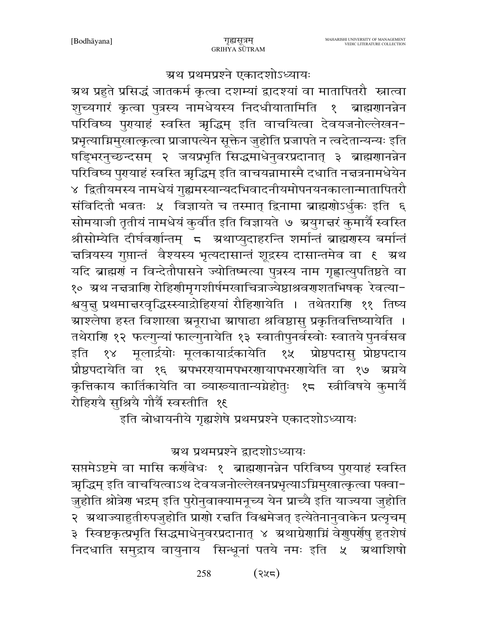#### ग्रथ प्रथमप्रश्ने एकादशोऽध्यायः

ग्रथ प्रहुते प्रसिद्धं जातकर्म कृत्वा दशम्यां द्वादश्यां वा मातापितरौ स्नात्वा शुच्यगारं कृत्वा पुत्रस्य नामधेयस्य निदधीयातामिति १ ब्राह्मगानन्नेन परिविष्य पुरायाहं स्वस्ति ऋद्धिम् इति वाचयित्वा देवयजनोल्लेखन-प्रभृत्याग्निमुखात्कृत्वा प्राजापत्येन सूक्तेन जुहोति प्रजापते न त्वदेतान्यन्यः इति षड्भिरनुच्छन्दसम् २ जयप्रभृति सिद्धमाधेनुवरप्रदानात् ३ ब्राह्मणानन्नेन परिविष्य पुरायाहं स्वस्ति ऋद्धिम् इति वाचयन्नामास्मै दधाति नत्तत्रनामधेयेन ४ द्वितीयमस्य नामधेयं गुह्यमस्यान्यदभिवादनीयमोपनयनकालान्मातापितरौ संविदितौ भवतः ५ विज्ञायते च तस्मात् द्विनामा ब्राह्मणोऽर्धुकः इति ६ सोमयाजी तृतीयं नामधेयं कुर्वीत इति विज्ञायते ७ ग्रयुगत्तरं कुमार्यै स्वस्ति श्रीसोम्येति दीर्घवर्णान्तम् = ग्रथाप्युदाहरन्ति शर्मान्तं ब्राह्मणस्य बर्मान्तं चत्रियस्य गुप्तान्तं वैश्यस्य भृत्यदासान्तं शूद्रस्य दासान्तमेव वा १ ग्रथ यदि ब्राह्मणं न विन्देतौपासने ज्योतिष्मत्या पुत्रस्य नाम गृह्णात्युपतिष्ठते वा १० ग्रथ नत्तत्राणि रोहिणीमृगशीर्षमखाचित्राज्येष्ठाश्रवणशतभिषक् रेवत्या− श्वयुत्तु प्रथमात्तरवृद्धिस्स्याद्रोहिरायां रौहिरायोति । तथेतराणि ११ तिष्य ग्राश्लेषा हस्त विशाखा ग्रनूराधा ग्राषाढा श्रविष्ठासु प्रकृतिवत्तिष्यायेति । तथेराणि १२ फल्गुन्यां फाल्गुनायेति १३ स्वातीपुनर्वस्वोः स्वातये पुनर्वसव इति १४ मूलार्द्रयोः मूलकायार्द्रकायेति १५ प्रोष्ठपदासु प्रोष्ठपदाय प्रौष्ठपदायेति वा १६ अपभररयामपभरणायापभरणायेति वा १७ अग्नये कृत्तिकाय कार्तिकायेति वा व्याख्यातान्यग्नेहोतुः १८ स्त्रीविषये कुमार्यै रोहिरायै सृश्रियै गौर्यै स्वस्तीति १९

.<br>इति बोधायनीये गृह्यशेषे प्रथमप्रश्ने एकादशोऽध्यायः

## ग्रथ प्रथमप्रश्ने द्वादशोऽध्यायः

सप्तमेऽष्टमे वा मासि कर्णवेधः १ ब्राह्मणानन्नेन परिविष्य पुरायाहं स्वस्ति ऋद्धिम् इति वाचयित्वाऽथ देवयजनोल्लेखनप्रभृत्याऽग्निमुखात्कृत्वा पक्वा− जुहोति श्रोत्रेण भद्रम् इति पुरोनुवाक्यामनूच्य येन प्राच्यै इति याज्यया जुहोति २ अथाज्याहुतीरुपजुहोति प्राणो रच्चति विश्वमेजत् इत्येतेनानुवाकेन प्रत्यृचम् ३ स्विष्टकृत्प्रभृति सिद्धमाधेनुवरप्रदानात् ४ अथाग्रेणाम्निं वेणुपर्णेषु हुतशेषं निदधाति समुद्राय वायुनाय सिन्धूनां पतये नमः इति ५ अथाशिषो

> 258 (२५८)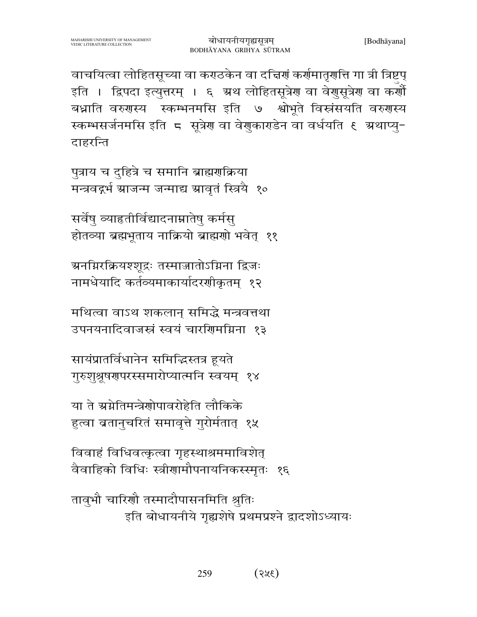वाचयित्वा लोहितसूच्या वा कराठकेन वा दचिर्ग कर्णमातृगति गा त्री त्रिष्टप् इति । द्विपदा इत्युत्तरम् । ६ अ्थ लोहितसूत्रेण वा वेणुसूत्रेण वा कर्णौ बध्नाति वरुगस्य स्कम्भनमसि इति ७ श्वोभूते विस्नंसयति वरुगस्य स्कम्भसर्जनमसि इति 5 सूत्रेण वा वेणुकागडेन वा वर्धयति १ ग्रथाप्यू-दाहरन्ति

पुत्राय च दुहित्रे च समानि ब्राह्मणक्रिया मन्त्रवद्गर्भ ग्राजन्म जन्माद्य ग्रावृतं स्त्रियै १०

सर्वेषु व्याहतीर्विद्यादनाम्नातेषु कर्मसु होतव्या ब्रह्मभूताय नाक्रियो ब्राह्मणो भवेत् ११

ग्रनग्निरक्रियश्शुद्रः तस्माजातोऽग्निना द्विजः नामधेयादि कर्तव्यमाकार्यादरशीकृतम् १२

मथित्वा वाऽथ शकलान समिद्धे मन्त्रवत्तथा उपनयनादिवाजस्तं स्वयं चारशिमग्निना १३

सायंप्रातर्विधानेन समिद्धिस्तत्र हयते गुरुशुश्रुषणुपरस्समारोप्यात्मनि स्वयम् १४

या ते स्रग्नेतिमन्त्रेणोपावरोहेति लौकिके हुत्वा ब्रतानुचरितं समावृत्ते गुरोर्मतात् १५

विवाहं विधिवत्कृत्वा गृहस्थाश्रममाविशेत् वैवाहिको विधिः स्त्रीणामौपनायनिकस्स्मृतः १६

तावुभौ चारिणौ तस्मादौपासनमिति श्रुतिः इति बोधायनीये गृह्यशेषे प्रथमप्रश्ने द्वादशोऽध्यायः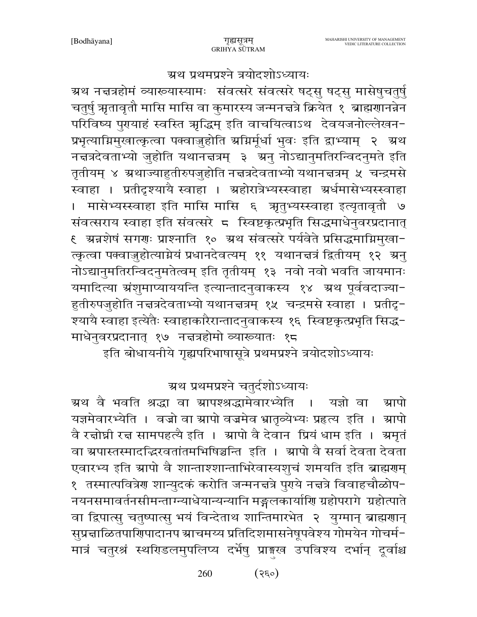ग्रथ प्रथमप्रश्ने त्रयोदशोऽध्यायः

ग्रथ नचत्रहोमं व्याख्यास्यामः संवत्सरे संवत्सरे षट्सु षट्सु मासेषुचतुर्षु चतुर्षु ऋतावृतौ मासि मासि वा कुमारस्य जन्मनत्तत्रे क्रियेत १ ब्राह्मणानन्नेन परिविष्य पुरायाहं स्वस्ति ऋद्धिम् इति वाचयित्वाऽथ देवयजनोल्लेखन-प्रभृत्याग्निमुखात्कृत्वा पक्वाजुहोति अग्निर्मूर्धा भुवः इति द्वाभ्याम् २ अथ नचत्रदेवताभ्यो जुहोति यथानचत्रम् ३ अनु नोऽद्यानुमतिरन्विदनुमते इति तृतीयम् ४ ग्रथाज्याहुतीरुपजुहोति नच्नत्रदेवताभ्यो यथानचत्रम् ५ चन्द्रमसे स्वाहा । प्रतीदृश्यायै स्वाहा । ग्रहोरात्रेभ्यस्स्वाहा ग्रर्धमासेभ्यस्स्वाहा । मासेभ्यस्स्वाहा इति मासि मासि ६ ऋतुभ्यस्स्वाहा इत्यृतावृतौ ७ संवत्सराय स्वाहा इति संवत्सरे ८ स्विष्टकृत्प्रभृति सिद्धमाधेनुवरप्रदानात् ९ अन्नशेषं सगराः प्राश्नाति १० अथ संवत्सरे पर्यवेते प्रसिद्धमाग्निमुखा− त्कृत्वा पक्वाज़ुहोत्याग्नेयं प्रधानदेवत्यम् ११ यथानत्तत्रं द्वितीयम् १२ ग्रनु नोऽद्यानुमतिरन्विदनुमतेत्वम् इति तृतीयम् १३ नवो नवो भवति जायमानः यमादित्या ग्रंशुमाप्याययन्ति इत्यान्तादनुवाकस्य १४ अ्थ पूर्ववदाज्या-हुतीरुपजुहोति नच्नत्रदेवताभ्यो यथानचत्रम् १५ चन्द्रमसे स्वाहा । प्रतीदृ-श्यायै स्वाहा इत्येतैः स्वाहाकारैरान्तादनुवाकस्य १६ स्विष्टकृत्प्रभृति सिद्ध-माधेनुवरप्रदानात् १७ नचत्रहोमो व्याख्यातः १८

इति बोधायनीये गृह्यपरिभाषासूत्रे प्रथमप्रश्ने त्रयोदशोऽध्यायः

ग्रथ प्रथमप्रश्ने चतर्दशोऽध्यायः

ग्रथ वै भवति श्रद्धा वा ग्रापश्श्रद्धामेवारभ्येति । यज्ञो वा ग्रापो यज्ञमेवारभ्येति । वज्रो वा स्रापो वज्रमेव भ्रातृव्येभ्यः प्रहृत्य इति । स्रापो वै रचोघ्नी रच सामपहत्यै इति । स्रापो वै देवान प्रियं धाम इति । स्रमृतं वा ग्रपास्तस्मादद्भिरवतांतमभिषिञ्चन्ति इति । ग्रापो वै सर्वा देवता देवता एवारभ्य इति स्रापो वै शान्ताश्शान्ताभिरेवास्यशुचं शमयति इति ब्राह्मराम् १ तस्मात्पवित्रेण शान्युदकं करोति जन्मनत्तत्रे पुग्ये नत्तत्रे विवाहचौळोप− नयनसमावर्तनसीमन्ताग्न्याधेयान्यन्यानि मङ्गलकार्याणि ग्रहोपरागे ग्रहोत्पाते वा द्विपात्सु चतुष्पात्सु भयं विन्देताथ शान्तिमारभेत २ युग्मान् ब्राह्मणान् सुप्रद्माळितपार्णिपादानप स्राचमय्य प्रतिदिशमासनेषूपवेश्य गोमयेन गोचर्म-मात्रं चतुरश्रं स्थरिडलमुपलिप्य दर्भेषु प्राङ्गख उपविश्य दर्भान् दूर्वाश्च

> 260  $(s\epsilon$ o)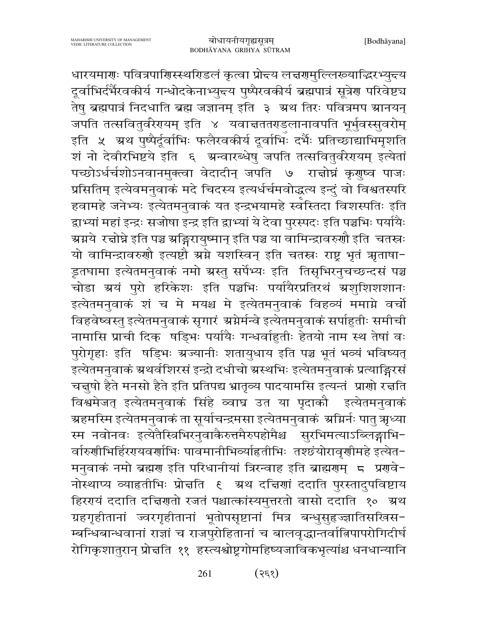धारयमाराः पवित्रपाशिस्स्थरिडलं कृत्वा प्रोद्तय लज्ञरामुल्लिरूयाद्भिरभ्युद्धय दूर्वाभिर्दर्भैरवकीर्य गन्धोदकेनाभ्युन्त्य पुष्पैरवकीर्य ब्रह्मपात्रं सूत्रेण परिवेष्ट्य तेषु ब्रह्मपात्रं निदधाति ब्रह्म जज्ञानम् इति ३ अ्थ तिरः पवित्रमप स्रानयन् जपति तत्सवितुर्वरेरयम् इति ४ यवाचततराडलानावपति भूर्भुवस्सुवरोम् इति ५ अथ पुष्पैर्दूर्वाभिः फलैरवकीर्य दूर्वाभिः दर्भैः प्रतिच्छाद्याभिमृशति शं नो देवीरभिष्टये इति ६ अन्वारब्धेषु जपति तत्सवितुर्वरेरायम् इत्येतां पच्छोऽर्धर्चशोऽनवानमुक्त्वा वेदादीन् जपति ७ रान्नोघ्नं कृणुष्व पाजः प्रसितिम् इत्येवमनुवाकं मदे चिदस्य इत्यर्धर्चमवोद्धत्य इन्दुं वो विश्वतस्परि हवामहे जनेभ्यः इत्येतमनुवाकं यत इन्द्रभयामहे स्वस्तिदा विशस्पतिः इति द्वाभ्यां महां इन्द्रः सजोषा इन्द्र इति द्वाभ्यां ये देवा पुरस्पदः इति पञ्चभिः पर्यायैः ग्र्याये रत्नोघ्ने इति पञ्च ग्रङ्गिरायुष्मान् इति पञ्च या वामिन्द्रावरुणौ इति चतस्त्रः यो वामिन्द्रावरुणौ इत्यष्टौ ग्रग्ने यशस्विन् इति चतस्त्रः राष्ट्र भृतं ऋताषा-डूतघामा इत्येतमनुवाकं नमो ग्रस्तु सर्पेभ्यः इति तिसृभिरनुचच्छन्दसं पञ्च चोडा ग्रयं पुरो हरिकेशः इति पञ्चभिः पर्यायैरप्रतिरथं ग्रशुशिशशानः इत्येतमनुवाकं शं च मे मयश्च मे इत्येतमनुवाकं विहव्यं ममाग्ने वर्चो विहवेष्वस्तु इत्येतमनुवाकं सृगारं श्रग्नेर्मन्वे इत्येतमनुवाकं सर्पाहुतीः समीची नामासि प्राची दिक् षड़िभः पर्यायैः गन्धर्वाहुतीः हेतयो नाम स्थ तेषां वः प्रोगृहाः इति षड्भिः श्रज्यानीः शतायुधाय इति पञ्च भूतं भव्यं भविष्यत् .<br>इत्येतमनुवाकं ग्रथर्वशिरसं इन्द्रो दधीचो ग्रस्थभिः इत्येतमनुवाकं प्रत्याङ्गिरसं चन्नुषो हैते मनसो हैते इति प्रतिपद्य भ्रातृव्य पादयामसि इत्यन्तं प्राणो रच्चति विश्वमेजत् इत्येतमनुवाकं सिंहे व्वाघ्र उत या पृदाकौ इत्येतमनुवाकं ग्रहमस्मि इत्येतमनुवाकं ता सूर्याचन्द्रमसा इत्येतमनुवाकं ग्रग्निर्नः पातु त्र्रध्या स्म नवोनवः इत्येतैस्त्रिभिरनुवाकैरुत्तमैरुपहोमैश्च सुरभिमत्याऽब्लिङ्गाभि-र्वारुणीभिर्हिरएयवर्णाभिः पावमानीभिर्व्याहृतीभिः तश्छंयोरावृणीमहे इत्येत− मनुवाकं नमो ब्रह्मण इति परिधानीयां त्रिरन्वाह इति ब्राह्मणम् 5 प्रणवे-नोस्थाप्य व्याहृतीभिः प्रोत्तति १ अथ दत्तिणां ददाति पुरस्तादुपविष्टाय हिरगयं ददाति दचिगातो रजतं पश्चात्कांस्यमुत्तरतो वासो ददाति १० अथ ग्रहगृहीतानां ज्वरगृहीतानां भूतोपसृष्टानां मित्र बन्धुसुहज्ज्ञातिसखिस-म्बन्धिबान्धवानां राज्ञां च राजपुरोहितानां च बालवृद्धान्तर्वात्निपापरोगिदीर्घ रोगिकृशातुरान् प्रोत्तति ११ हस्त्यश्वोष्ट्रगोमहिष्यजाविकभृत्यांश्च धनधान्यानि

> 261  $(3\xi)$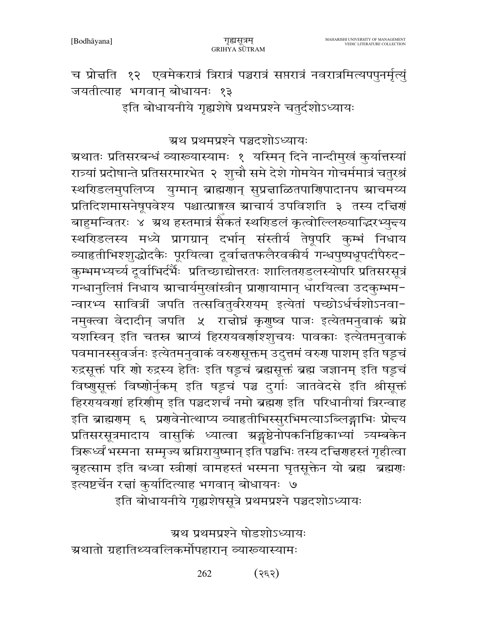च प्रोत्तति १२ एवमेकरात्रं त्रिरात्रं पञ्चरात्रं सप्तरात्रं नवरात्रमित्यपपुनर्मृत्युं जयतीत्याह भगवान् बोधायनः १३ इति बोधायनीये गृह्यशेषे प्रथमप्रश्ने चतुर्दशोऽध्यायः

ग्रथ प्रथमप्रश्ने पञ्चदशोऽध्यायः

ग्र्रथातः प्रतिसरबन्धं व्याख्यास्यामः १ यस्मिन् दिने नान्दीमुखं कुर्यात्तस्यां रात्र्यां प्रदोषान्ते प्रतिसरमारभेत २ शुचौ समे देशे गोमयेन गोचर्ममात्रं चतुरश्रं स्थरिडलमुपलिप्य युग्मान् ब्राह्मणान् सुप्रज्ञाळितपाणिपादानप स्राचमय्य प्रतिदिशमासनेषूपवेश्य पश्चात्प्राङ्मख स्राचार्य उपविशति ३ तस्य दत्तिर्गं बाहुमन्वितरः ४ ग्रथ हस्तमात्रं सैकतं स्थरिडलं कृत्वोल्लिरूयाद्धिरभ्युन्त्य स्थरिडलस्य मध्ये प्रागग्रान् दर्भान् संस्तीर्य तेषूपरि कुम्भं निधाय व्याहृतीभिश्शुद्धोदकैः पूरयित्वा दूर्वाच्ततफलैरवकीर्य गन्धपुष्पधूपदीपैरुद− कुम्भमभ्यर्च्य दुर्वाभिर्दर्भैः प्रतिच्छाद्योत्तरतः शालितराडलस्योपरि प्रतिसरसूत्रं गन्धानुलिप्तं निधाय स्राचार्यमुखांस्त्रीन् प्राणायामान् धारयित्वा उदकुम्भम− न्वारभ्य सावित्रीं जपति तत्सवितुर्वरेरायम् इत्येतां पच्छोऽर्धर्चशोऽनवा-नमुक्त्वा वेदादीन् जपति ५ राज्ञोघ्नं कृगुष्व पाजः इत्येतमनुवाकं श्रग्ने यशस्विन् इति चतस्र स्राप्यं हिररयवर्णाश्शुचयः पावकाः इत्येतमनुवाकं पवमानस्सुवर्जनः इत्येतमनुवाकं वरुगसूक्तम् उदुत्तमं वरुग पाशम् इति षड्चं रुद्रसूक्तं परि णो रुद्रस्य हेतिः इति षड्टचं ब्रह्मसूक्तं ब्रह्म जज्ञानम् इति षड्टचं विष्णुसूक्तं विष्णोर्नुकम् इति षड्टचं पञ्च दुर्गाः जातवेदसे इति श्रीसूक्तं हिररयवरणां हरिणीम् इति पञ्चदशर्चं नमो ब्रह्मण इति परिधानीयां त्रिरन्वाह इति ब्राह्मणम् ६ प्रणवेनोत्थाप्य व्याहृतीभिस्सुरभिमत्याऽब्लिङ्गाभिः प्रोन्दय प्रतिसरसूत्रमादाय वासुकिं ध्यात्वा ग्रङ्गष्ठेनोपकनिष्ठिकाभ्यां त्र्यम्बकेन त्रिरूध्वं भस्मना सम्मृज्य ग्रग्निरायुष्मान् इति पञ्चभिः तस्य दच्चिणहस्तं गृहीत्वा बृहत्साम इति बध्वा स्त्रीणां वामहस्तं भस्मना घृतसूक्तेन यो ब्रह्म ब्रह्मणः इत्यष्टर्चेन रच्चां कुर्यादित्याह भगवान् बोधायनः ७ इति बोधायनीये गृह्यशेषसूत्रे प्रथमप्रश्ने पञ्चदशोऽध्यायः

ग्रथ प्रथमप्रश्ने षोडशोऽध्यायः ग्रथातो ग्रहातिथ्यवलिकर्मोपहारान् व्याख्यास्यामः

> $($ २६२) 262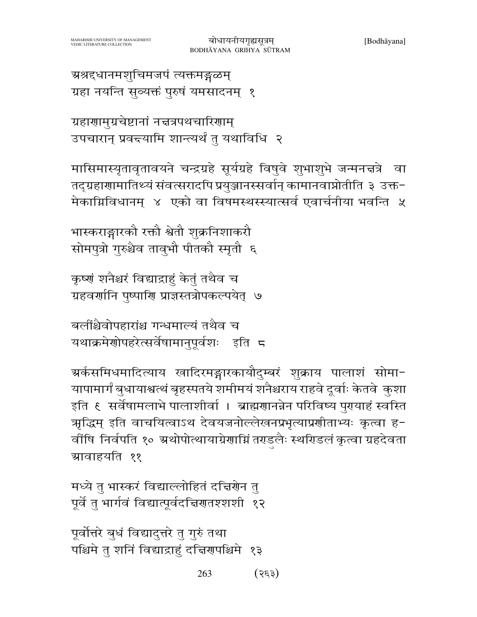मासिमास्यृतावृतावयने चन्द्रग्रहे सूर्यग्रहे विषुवे शुभाशुभे जन्मनत्तत्रे वा

तद्ग्रहाणामातिथ्यं संवत्सरादपि प्रयुञ्जानस्सर्वान् कामानवाप्नोतीति ३ उक्त-

बोधायनीयगृह्यसूत्रम्

BODHĀYANA GRIHYA SŪTRAM

ग्रहाणामुग्रचेष्टानां नद्मत्रपथचारिणाम्

उपचारान् प्रवद्त्यामि शान्त्यर्थं तु यथाविधि २

ग्रहा नयन्ति सुव्यक्तं पुरुषं यमसादनम् १

ग्रश्रद्धानमशुचिमजपं त्यक्तमङ्गळम्

मेकाग्निविधानम् ४ एको वा विषमस्थस्स्यात्सर्व एवार्चनीया भवन्ति ५ भास्कराङ्गारको रक्तो श्वेतो शुक्रनिशाकरौ सोमपत्रो गुरुश्चैव तावुभौ पीतकौ स्मृतौ ६

कृष्णं शनैश्चरं विद्याद्राहुं केतुं तथैव च ग्रहवर्णानि पुष्पाणि प्राज्ञस्तत्रोपकल्पयेत् ७

बलींश्चैवोपहारांश्च गन्धमाल्यं तथैव च यथाक्रमेणोपहरेत्सर्वेषामानुपूर्वशः इति ८

ग्र्कसमिधमादित्याय खादिरमङ्गारकायौदुम्बरं शुक्राय पालाशं सोमा− यापामार्गं बुधायाश्वत्थं बृहस्पतये शमीमयं शनैश्चराय राहवे दूर्वाः केतवे कुशा इति ६ सर्वेषामलाभे पालाशीर्वा । ब्राह्मणानन्नेन परिविष्य पुरायाहं स्वस्ति ऋद्धिम् इति वाचयित्वाऽथ देवयजनोल्लेखनप्रभृत्याप्रणीताभ्यः कृत्वा ह− वींषि निर्वपति १० ग्रथोपोत्थायाग्रेणाग्निं तराडलैः स्थरिडलं कृत्वा ग्रहदेवता ग्रावाहयति ११

मध्ये तु भास्करं विद्याल्लोहितं दद्मिणेन तु पूर्वे तु भार्गवं विद्यात्पूर्वदचिणतश्शशी १२

पूर्वोत्तरे बुधं विद्यादुत्तरे तु गुरुं तथा पश्चिमे तु शनिं विद्याद्राहुं दत्तिरापश्चिमे १३

> 263  $($ 3 $\xi$ 3)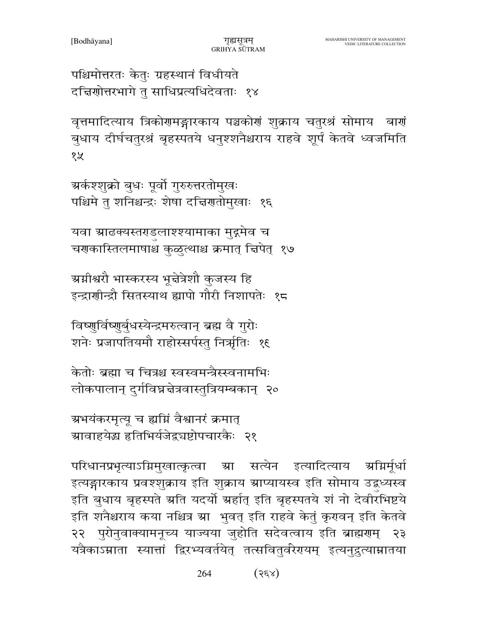पश्चिमोत्तरतः केतुः ग्रहस्थानं विधीयते दच्चिणोत्तरभागे तु साधिप्रत्यधिदेवताः १४

वृत्तमादित्याय त्रिकोगमङ्गारकाय पञ्चकोगं शुक्राय चतुरश्रं सोमाय बागं बुधाय दीर्घचतुरश्रं बृहस्पतये धनुश्शनैश्चराय राहवे शूर्पं केतवे ध्वजमिति १५

ग्रर्कश्श्क्रो बुधः पूर्वो गुरुरुत्तरतोमुखः पश्चिमे तु शनिश्चन्द्रः शेषा दच्चिणतोमुखाः १६

यवा स्राढक्यस्तराडुलाश्श्यामाका मुद्गमेव च चरणास्तिलमाषाश्च कुळुत्थाश्च क्रमात् चिपेत् १७

ग्रग्नीश्वरौ भास्करस्य भून्नेत्रेशौ कुजस्य हि इन्द्राणीन्द्रौ सितस्याथ ह्यापो गौरी निशापतेः १८

विष्णुर्विष्णुर्बुधस्येन्द्रमरुत्वान् ब्रह्म वै गुरोः शनेः प्रजापतियमौ राहोस्सर्पस्तु निर्त्राृतिः १६

केतोः ब्रह्मा च चित्रश्च स्वस्वमन्त्रैस्स्वनामभिः लोकपालान् दुर्गविघ्नचेत्रवास्तुत्रियम्बकान् २०

ग्रभयंकरमृत्यू च ह्यग्निं वैश्वानरं क्रमात् ग्रावाहयेद्ध हृतिभिर्यजेद्वचष्टोपचारकैः २१

परिधानप्रभृत्याऽग्निमुखात्कृत्वा म्रा सत्येन इत्यादित्याय अग्निर्मधो इत्यङ्गारकाय प्रवश्शुक्राय इति शुक्राय ग्राप्यायस्व इति सोमाय उद्बध्यस्व इति बुधाय बृहस्पते ग्रति यदर्यो ग्रहांत् इति बृहस्पतये शं नो देवीरभिष्टये इति शनैश्चराय कया नश्चित्र म्रा भुवत् इति राहवे केतुं कृरावन् इति केतवे २२ पुरोनुवाक्यामनूच्य याज्यया जुहोति सदेवत्वाय इति ब्राह्मणम् २३ यत्रैकाऽम्राता स्यात्तां द्विरभ्यवर्तयेत् तत्सवितुर्वरेरायम् इत्यनुद्रुत्याम्रातया

> 264  $(s$   $(s \infty)$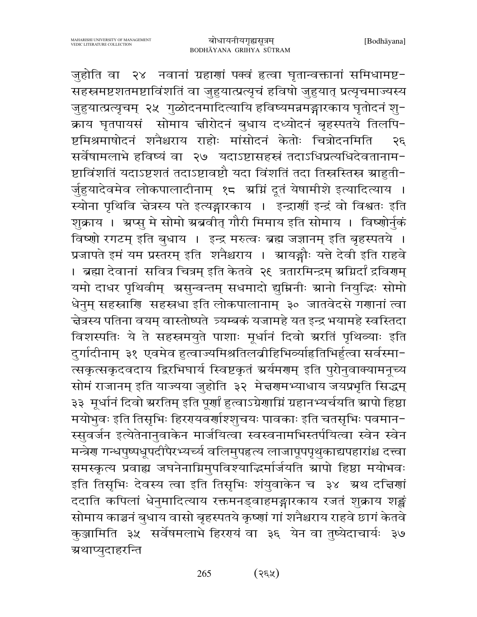जुहोति वा २४ नवानां ग्रहाणां पक्वं हत्वा घृतान्वक्तानां समिधामष्ट-सहस्रमष्टशतमष्टाविंशतिं वा जुहुयात्प्रत्यृचं हविषो जुहुयात् प्रत्यृचमाज्यस्य जुहुयात्प्रत्यृचम् २५ गुळोदनमादित्यायि हविष्यमन्नमङ्गारकाय घृतोदनं शु-क्राय घृतपायसं सोमाय चीरोदनं बुधाय दध्योदनं बृहस्पतये तिलपि-ष्टमिश्रमाषोदनं शनैश्चराय राहोः मांसोदनं केतोः चित्रोदनमिति २६ सर्वेषामलाभे हविष्यं वा २७ यदाऽष्टासहस्रं तदाऽधिप्रत्यधिदेवतानाम-ष्टाविंशतिं यदाऽष्टशतं तदाऽष्टावष्टौ यदा विंशतिं तदा तिस्रस्तिस्त्र ग्राहुती-र्जुहुयादेवमेव लोकपालादीनाम् १८ अग्निं दूतं येषामीशे इत्यादित्याय । स्योना पृथिवि चेत्रस्य पते इत्यङ्गारकाय । इन्द्रार्णी इन्द्रं वो विश्वतः इति शुक्राय । ग्रप्सु मे सोमो ग्रब्रवीत् गौरी मिमाय इति सोमाय । विष्णोर्नुकं विष्णो रगटम् इति बुधाय । इन्द्र मरुत्वः ब्रह्म जज्ञानम् इति बृहस्पतये । प्रजापते इमं यम प्रस्तरम् इति शनैश्चराय । स्रायङ्गौः यत्ते देवी इति राहवे । ब्रह्मा देवानां सवित्र चित्रम् इति केतवे २६ त्रतारमिन्द्रम् अग्निर्दां द्रविराम् यमो दाधर पृथिवीम् असुन्वन्तम् सधमादो द्युम्निनीः स्रानो नियुद्धिः सोमो धेनुम् सहस्राणि सहस्रधा इति लोकपालानाम् ३० जातवेदसे गणानां त्वा चेत्रस्य पतिना वयम् वास्तोष्पते त्र्यम्बकं यजामहे यत इन्द्र भयामहे स्वस्तिदा विशस्पतिः ये ते सहस्त्रमयुते पाशाः मूर्धानं दिवो ग्ररतिं पृथिव्याः इति दुर्गादीनाम् ३१ एवमेव हुत्वाज्यमिश्रतिलबीहिभिव्याहितिभिर्हुत्वा सर्वस्मा-त्सकृत्सकृदवदाय द्विरभिघार्य स्विष्टकृतं अर्यमणम् इति पुरोनुवाक्यामनूच्य सोमं राजानम् इति याज्यया जुहोति ३२ मे नरणमभ्याधाय जयप्रभृति सिद्धम् ३३ मूर्धानं दिवो ग्ररतिम् इति पूर्णां हुत्वाऽग्रेणाम्निं ग्रहानभ्यर्चयति स्रापो हिष्ठा मयोभुवः इति तिसृभिः हिररयवर्णाश्शुचयः पावकाः इति चतसृभिः पवमान-स्सुवर्जन इत्येतेनानुवाकेन मार्जयित्वा स्वस्वनामभिस्तर्पयित्वा स्वेन स्वेन मन्त्रेण गन्धपुष्पधूपदीपैरभ्यर्च्य वलिमुपहत्य लाजापूपपृथुकाद्यपहारांश्च दत्त्वा समस्कृत्य प्रवाह्य जघनेनाग्निमुपविश्याद्धिर्मार्जयति स्रापो हिष्ठा मयोभवः इति तिसृभिः देवस्य त्वा इति तिसृभिः शंयुवाकेन च ३४ अ्थ दचियां ददाति कपिलां धेनुमादित्याय रक्तमनड्वाहमङ्गारकाय रजतं शुक्राय शङ्क सोमाय काञ्चनं बुधाय वासो बृहस्पतये कृष्णां गां शनैश्चराय राहवे छागं केतवे कुञ्जामिति ३५ सर्वेषमलाभे हिररायं वा ३६ येन वा तुष्येदाचार्यः ३७ ग्रथाप्युदाहरन्ति

> $(35)$ 265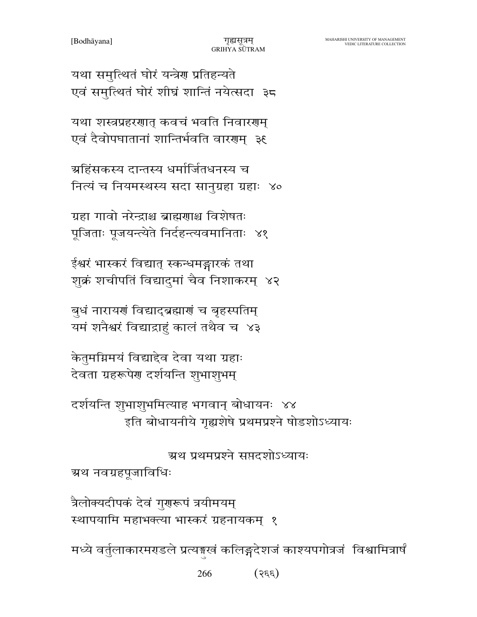266  $(s \in \mathcal{E})$ 

मध्ये वर्तुलाकारमराडले प्रत्यङ्खं कलिङ्गदेशजं काश्यपगोत्रजं विश्वामित्रार्षं

त्रैलोक्यदीपकं देवं गुणरूपं त्रयीमयम् स्थापयामि महाभक्त्या भास्करं ग्रहनायकम् १

ग्रथ नवग्रहपूजाविधिः

ग्रथ प्रथमप्रश्ने सप्तदशोऽध्यायः

दर्शयन्ति शुभाशुभमित्याह भगवान् बोधायनः ४४ इति बोधायनीये गृह्यशेषे प्रथमप्रश्ने षोडशोऽध्यायः

केतुमग्निमयं विद्याद्देव देवा यथा ग्रहाः देवता ग्रहरूपेण दर्शयन्ति शुभाशुभम्

बुधं नारायणं विद्याद्ब्रह्माणं च बृहस्पतिम् यमं शनैश्वरं विद्याद्राहुं कालं तथैव च ४३

ईश्वरं भास्करं विद्यात् स्कन्धमङ्गारकं तथा शुक्रं शचीपतिं विद्यादुमां चैव निशाकरम् ४२

ग्रहा गावो नरेन्द्राश्च ब्राह्मणाश्च विशेषतः पूजिताः पूजयन्त्येते निर्दहन्त्यवमानिताः ४१

ग्रहिंसकस्य दान्तस्य धर्मार्जितधनस्य च नित्यं च नियमस्थस्य सदा सानुग्रहा ग्रहाः ४०

यथा शस्त्रप्रहरणात् कवचं भवति निवारणम् एवं दैवोपघातानां शान्तिर्भवति वारणम् ३६

यथा समुत्थितं घोरं यन्त्रेण प्रतिहन्यते एवं समुत्थितं घोरं शीघ्रं शान्तिं नयेत्सदा ३८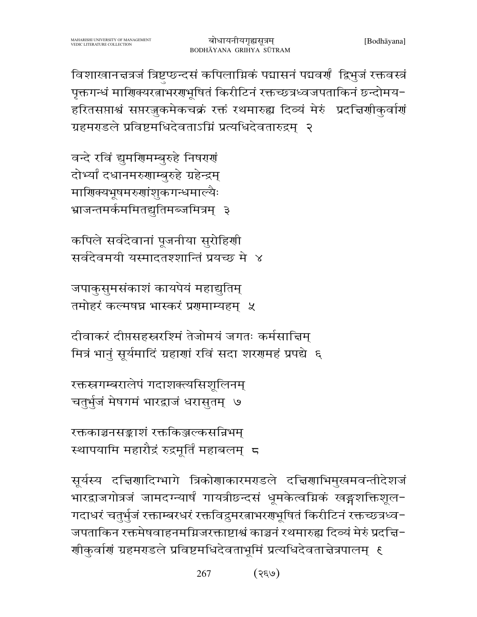विशाखानत्तत्रजं त्रिष्टप्छन्दसं कपिलाम्निकं पद्मासनं पद्मवर्णं ह्रिभुजं रक्तवस्त्रं पृक्तगन्धं माणिक्यरत्नाभरणभूषितं किरीटिनं रक्तच्छत्रध्वजपताकिनं छन्दोमय-हरितसप्ताश्वं सप्तरज्जुकमेकचक्रं रक्तं रथमारुह्य दिव्यं मेरुं प्रदत्तिणीकुर्वाणं ग्रहमराडले प्रविष्टमधिदेवताऽग्निं प्रत्यधिदेवतारुद्रम् २

वन्दे रविं द्युमणिमम्बुरुहे निषरण दोभ्यां दधानमरुणाम्बरुहे ग्रहेन्द्रम् माणिक्यभूषमरुणांशुकगन्धमाल्यैः भ्राजन्तमर्कममितद्युतिमब्जमित्रम् ३

कपिले सर्वदेवानां पूजनीया सुरोहिणी सर्वदेवमयी यस्मादतश्शान्तिं प्रयच्छ मे ४

जपाकुसुमसंकाशं कायपेयं महाद्युतिम् तमोहरं कल्मषघ्न भास्करं प्रगमाम्यहम ५

दीवाकरं दीप्तसहस्त्ररश्मिं तेजोमयं जगतः कर्मसाद्मिम् मित्रं भानुं सूर्यमादिं ग्रहाणां रविं सदा शरणमहं प्रपद्ये ६

रक्तस्रगम्बरालेपं गदाशक्त्यसिशुलिनम् चतुर्भुजं मेषगमं भारद्वाजं धरासुतम् ।७

रक्तकाञ्चनसङ्काशं रक्तकिञ्जल्कसन्निभम् स्थापयामि महारौद्रं रुद्रमूर्तिं महाबलम् ८

सूर्यस्य दचिर्णादिग्भागे त्रिकोणाकारमराडले दचिर्णाभिमुखमवन्तीदेशजं भारद्वाजगोत्रजं जामदग्न्यार्षं गायत्रीछ्न्दसं धूमकेत्वम्निकं खङ्गशक्तिशूल-गदाधरं चतुर्भुजं रक्ताम्बरधरं रक्तविद्रुमरत्नाभरग्रभूषितं किरीटिनं रक्तच्छत्रध्व− जपताकिन रक्तमेषवाहनमग्निजरक्ताष्टाश्वं काञ्चनं रथमारुह्य दिव्यं मेरुं प्रदद्दि-र्णाकुर्वाणं ग्रहमराडले प्रविष्टमधिदेवताभूमिं प्रत्यधिदेवताचेत्रपालम् ६

> 267  $(3\xi\rho)$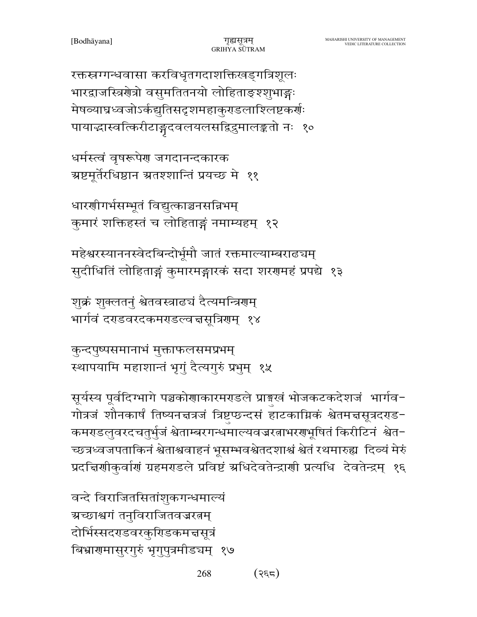268  $(35)$ 

वन्दे विराजितसितांशुकगन्धमाल्यं ग्रच्छाश्वगं तनुविराजितवज्ररतम् दोर्भिस्सदराडवरकुरिडकमत्तसूत्रं बिभ्रारामासुरगुरुं भृगुपुत्रमीडचम् १७

सूर्यस्य पूर्वदिग्भागे पञ्चकोणाकारमराडले प्राङ्गखं भोजकटकदेशजं भार्गव-गोत्रजं शौनकार्षं तिष्यनचत्रजं त्रिष्टप्छन्दसं हाटकाग्निकं श्वेतमचसूत्रदराड-कमराडलुवरदचतुर्भुजं श्वेताम्बरगन्धमाल्यवज्ररत्नाभरराभूषितं किरीटिनं श्वेत− च्छत्रध्वजपताकिनं श्वेताश्ववाहनं भूसम्भवश्वेतदशाश्वं श्वेतं रथमारुह्य दिव्यं मेरुं प्रदत्तिर्णाकुर्वाणं ग्रहमराडले प्रविष्टं अधिदेवतेन्द्राणी प्रत्यधि देवतेन्द्रम् १६

कुन्दपुष्पसमानाभं मुक्ताफलसमप्रभम् स्थापयामि महाशान्तं भृगुं दैत्यगुरुं प्रभुम् १५

शुक्रं शुक्लतनुं श्वेतवस्त्राढचं दैत्यमन्त्रिरम् भार्गवं दराडवरदकमराडल्वचसूत्रिरम् १४

महेश्वरस्याननस्वेदबिन्दोर्भूमौ जातं रक्तमाल्याम्बराढचम् सुदीधितिं लोहिताङ्गं कुमारमङ्गारकं सदा शरणमहं प्रपद्ये १३

धारणीगर्भसम्भूतं विद्युत्काञ्चनसन्निभम् कुमारं शक्तिहस्तं च लोहिताङ्गं नमाम्यहम् १२

धर्मस्त्वं वृषरूपेण जगदानन्दकारक ग्रष्टमूर्तेरधिष्ठान ग्रतश्शान्तिं प्रयच्छ मे ११

रक्तस्रग्गन्धवासा करविधृतगदाशक्तिखड्गत्रिशूलः भारद्वाजस्त्रियोत्रो वसुमतितनयो लोहिताङ्श्शुभाङ्गः मेषव्याघ्रध्वजोऽर्कद्युतिसदृशमहाकुराडलाश्लिष्टकर्णः पायाद्धास्वत्किरीटाङ्गदवलयलसद्विदुमालङ्कतो नः १०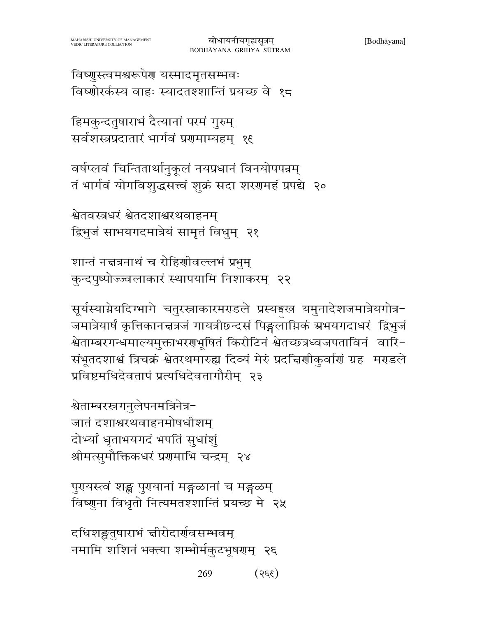269  $(355)$ 

दधिशङ्खतुषाराभं चीरोदार्गवसम्भवम् नमामि शशिनं भक्त्या शम्भोर्मकुटभूषराम् २६

पुर्ययस्त्वं शङ्ख पुरयानां मङ्गळानां च मङ्गळम् विष्णुना विधृतो नित्यमतश्शान्तिं प्रयच्छ मे २५

श्वेताम्बरस्त्रगनुलेपनमत्रिनेत्र-जातं दशाश्वरथवाहनमोषधीशम् दोभ्यां धृताभयगदं भपतिं सुधांशुं श्रीमत्सुमौक्तिकधरं प्रणमाभि चन्द्रम् २४

सूर्यस्याग्नेयदिग्भागे चतुरस्राकारमराडले प्रस्यङ्गख यमुनादेशजमात्रेयगोत्र-जमात्रेयार्षं कृत्तिकानत्तत्रजं गायत्रीछ्नदसं पिङ्गलाग्निकं ग्रभयगदाधरं द्विभुजं श्वेताम्बरगन्धमाल्यमुक्ताभरगभूषितं किरीटिनं श्वेतच्छत्रध्वजपताविनं वारि-संभूतदशाश्वं त्रिचक्रं श्वेतरथमारुह्य दिव्यं मेरुं प्रदत्तिशीकुर्वाणं ग्रह मराडले प्रविष्टमधिदेवतापं प्रत्यधिदेवतागौरीम् २३

शान्तं नच्चत्रनाथं च रोहिणीवल्लभं प्रभुम् कुन्दपुष्पोज्ज्वलाकारं स्थापयामि निशाकरम् २२

श्वेतवस्त्रधरं श्वेतदशाश्वरथवाहनम् द्विभुजं साभयगदमात्रेयं सामृतं विधुम् २१

वर्षप्लवं चिन्तितार्थानुकूलं नयप्रधानं विनयोपपन्नम् तं भार्गवं योगविशुद्धसत्त्वं शुक्रं सदा शरणमहं प्रपद्ये २०

हिमकुन्दतुषाराभं दैत्यानां परमं गुरुम् सर्वशस्त्रप्रदातारं भार्गवं प्रणमाम्यहम् १६

विष्णुस्त्वमश्वरूपेण यस्मादमृतसम्भवः विष्णोरर्कस्य वाहः स्यादतश्शान्तिं प्रयच्छ वे १८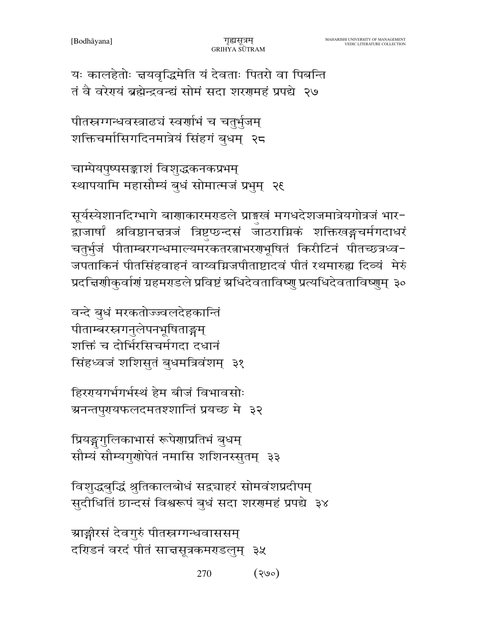यः कालहेतोः चयवृद्धिमेति यं देवताः पितरो वा पिबन्ति तं वै वरेगयं ब्रह्मेन्द्रवन्द्यं सोमं सदा शरगमहं प्रपद्ये २७

पीतस्रग्गन्धवस्त्राढ्यं स्वर्णाभं च चतुर्भुजम् शक्तिचर्मासिगदिनमात्रेयं सिंहगं बुधम्) २८

चाम्पेयपुष्पसङ्काशं विशुद्धकनकप्रभम् स्थापयामि महासौम्यं बुधं सोमात्मजं प्रभुम् २६

सूर्यस्येशानदिग्भागे बाणाकारमराडले प्राइखं मगधदेशजमात्रेयगोत्रजं भार-द्वाजार्षां श्रविष्ठानचत्रजं त्रिष्टप्छ्न्दसं जाठराम्निकं शक्तिखङ्गचर्मगदाधरं चतुर्भुजं पीताम्बरगन्धमाल्यमरकतरत्नाभरणभूषितं किरीटिनं पीतच्छत्रध्व-जपताकिनं पीतसिंहवाहनं वाय्वग्निजपीताष्टादवं पीतं रथमारुह्य दिव्यं मेरुं प्रदत्तिर्णाकुर्वाणं ग्रहमराडले प्रविष्टं ग्रधिदेवताविष्णु प्रत्यधिदेवताविष्णुम् ३०

वन्दे बुधं मरकतोज्ज्वलदेहकान्तिं पीताम्बरस्नगनुलेपनभूषिताङ्गम् शक्तिं च दोर्भिरसिचर्मगदा दधानं सिंहध्वजं शशिसुतं बुधमत्रिवंशम् ३१

हिररयगर्भगर्भस्थं हेम बीजं विभावसोः ग्रनन्तपुरायफलदमतश्शान्तिं प्रयच्छ मे ३२

प्रियङ्गगुलिकाभासं रूपेणाप्रतिभं बुधम् सौम्यं सौम्यगुणोपेतं नमासि शशिनस्सुतम् ३३

विशुद्धबुद्धिं श्रुतिकालबोधं सद्व्याहरं सोमवंशप्रदीपम् सुदीधितिं छान्दसं विश्वरूपं बुधं सदा शरणमहं प्रपद्ये ३४

ग्राङ्गीरसं देवगुरुं पीतस्रग्गन्धवाससम् दरिडनं वरदं पीतं साचसूत्रकमरडलुम् ३५

> 270  $(300)$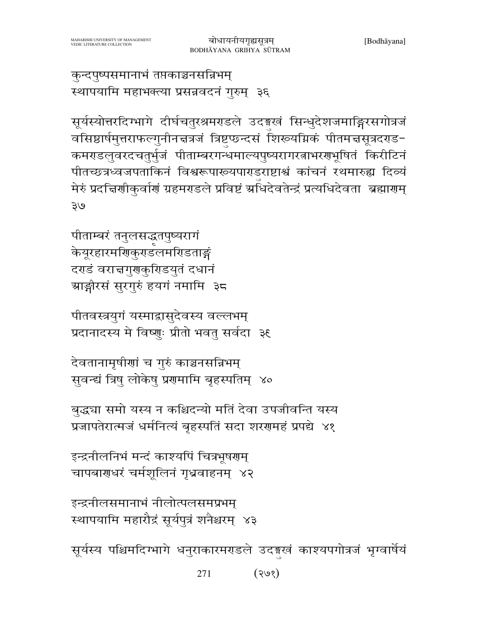271 (१७१)

सूर्यस्य पश्चिमदिग्भागे धनुराकारमराडले उदङ्गखं काश्यपगोत्रजं भृग्वार्षेयं

इन्द्रनीलसमानाभं नीलोत्पलसमप्रभम् स्थापयामि महारौद्रं सूर्यपुत्रं शनैश्चरम् ४३

इन्द्रनीलनिभं मन्दं काश्यपिं चित्रभूषराम् चापबाराधरं चर्मशूलिनं गृध्रवाहनम् ४२

प्रजापतेरात्मजं धर्मनित्यं बृहस्पतिं सदा शरणमहं प्रपद्ये ४१

बुद्ध्या समो यस्य न कश्चिदन्यो मतिं देवा उपजीवन्ति यस्य

देवतानामृषीणां च गुरुं काञ्चनसन्निभम् सुवन्द्यं त्रिषु लोकेषु प्रगमामि बृहस्पतिम् ४०

ग्राङ्गीरसं सुरगुरुं हयगं नमामि ३८ पीतवस्त्रयुगं यस्माद्वासुदेवस्य वल्लभम् प्रदानादस्य मे विष्णुः प्रीतो भवतु सर्वदा ३६

केयूरहारमणिकुराडलमरिडताङ्गं

दरडं वराचगुराकुरिडयुतं दधानं

सूर्यस्योत्तरदिग्भागे दीर्घचतुरश्रमराडले उदङ्गखं सिन्धुदेशजमाङ्गिरसगोत्रजं वसिष्ठार्षमुत्तराफल्गुनीनचत्रजं त्रिष्टुप्छन्दसं शिरूयग्निकं पीतमचसूत्रदराड-कमराडलुवरदचतुर्भुजं पीताम्बरगन्धमाल्यपुष्यरागरत्नाभरराभूषितं किरीटिनं पीतच्छत्रध्वजपताकिनं विश्वरूपाख्यपाराडराष्टाश्वं कांचनं रथमारुह्य दिव्यं मेरुं प्रदत्तिर्णीकुर्वाणं ग्रहमराडले प्रविष्टं अधिदेवतेन्द्रं प्रत्यधिदेवता ब्रह्माराम्  $\partial \mathfrak{E}$ पीताम्बरं तनुलसद्धृतपुष्यरागं

बोधायनीयगृह्यसूत्रम्

BODHĀYANA GRIHYA SŪTRAM

कुन्दपुष्पसमानाभं तप्तकाञ्चनसन्निभम् स्थापयामि महाभक्त्या प्रसन्नवदनं गुरुम् ३६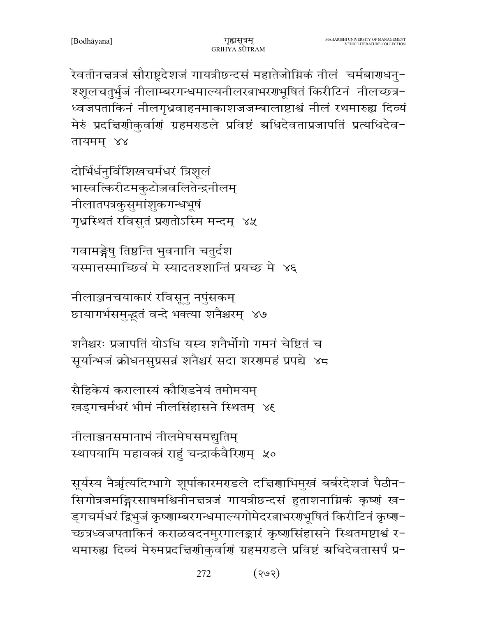.<br>रेवतीन<mark>च</mark>त्रजं सौराष्ट्रदेशजं गायत्रीछ्न्दसं महातेजोग्निकं नीलं चर्मबा<mark>र</mark>ाधनु-श्शूलचतुर्भुजं नीलाम्बरगन्धमाल्यनीलरत्नाभरगभूषितं किरीटिनं नीलच्छत्र-ध्वजपताकिनं नीलगृध्रवाहनमाकाशजजम्बालाष्टाश्वं नीलं रथमारुह्य दिव्यं मेरुं प्रदच्चिणीकुर्वाणं ग्रहमराडले प्रविष्टं अधिदेवताप्रजापतिं प्रत्यधिदेव-तायमम् ४४

दोर्भिर्धनुर्विशिखचर्मधरं त्रिशूलं भास्वत्किरीटमकुटोज्जवलितेन्द्रनीलम् नीलातपत्रकुसुमांशुकगन्धभूषं गृध्रस्थितं रविसुतं प्रगतोऽस्मि मन्दम् ४५

गवामङ्गेषु तिष्ठन्ति भुवनानि चतुर्दश यस्मात्तस्माच्छिवं मे स्यादतश्शान्तिं प्रयच्छ मे ४६

नीलाञ्जनचयाकारं रविसूनु नपुंसकम् छायागर्भसमुद्भूतं वन्दे भक्त्या शनैश्चरम् ४७

शनैश्नरः प्रजापतिं योऽधि यस्य शनैर्भोगो गमनं चेष्टितं च सूर्यान्भजं क्रोधनसुप्रसन्नं शनैश्चरं सदा शरणमहं प्रपद्ये ४८

सैहिकेयं करालास्यं कौरिडनेयं तमोमयम् खड़गचर्मधरं भीमं नीलसिंहासने स्थितम् ४६

नीलाञ्जनसमानाभं नीलमेघसमद्युतिम् स्थापयामि महावक्त्रं राहुं चन्द्रार्कवैरिणम् ५०

सूर्यस्य नैर्ऋत्यदिग्भागे शूर्पाकारमराडले दद्मिणाभिमुखं बर्बरदेशजं पैठीन-सिगोत्रजमङ्गिरसाषमश्विनीनचत्रजं गायत्रीछन्दसं हुताशनाग्निकं कृष्णं ख-ड्गचर्मधरं द्विभुजं कृष्णाम्बरगन्धमाल्यगोमेदरत्नाभरगभूषितं किरीटिनं कृष्ण− च्छत्रध्वजपताकिनं कराळवदनमुरगालङ्कारं कृष्णसिंहासने स्थितमष्टाश्वं र-थमारुह्य दिव्यं मेरुमप्रदच्चिर्णाकुर्वाणं ग्रहमराडले प्रविष्टं ग्रधिदेवतासर्पं प्र-

> $(365)$ 272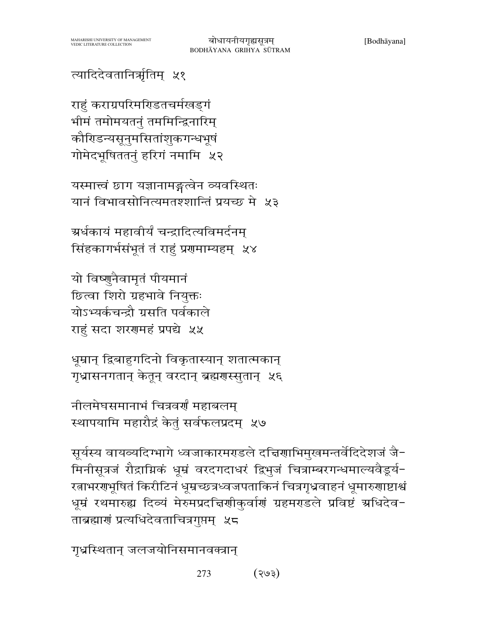# त्यादिदेवतानिर्भृतिम् ५१

राहुं कराग्रपरिमरिडतचर्मखड्गं भीमं तमोमयतनुं तममिन्द्रिनारिम् कौरिडन्यसूनुमसितांशुकगन्धभूषं गोमेदभूषिततनुं हरिगं नमामि ५२

यस्मात्त्वं छाग यज्ञानामङ्गत्वेन व्यवस्थितः यानं विभावसोनित्यमतश्शान्तिं प्रयच्छ मे ५३

ग्रर्धकायं महावीर्यं चन्द्रादित्यविमर्दनम् सिंहकागर्भसंभूतं तं राहुं प्रणमाम्यहम् ५४

यो विष्णुनैवामृतं पीयमानं छित्वा शिरो ग्रहभावे नियुक्तः योऽभ्यर्कचन्द्रौ ग्रसति पर्वकाले राहं सदा शरणमहं प्रपद्ये ५५

धूम्रान् द्विबाहुगदिनो विकृतास्यान् शतात्मकान् गृध्रासनगतान् केतून् वरदान् ब्रह्मणस्सुतान् ५६

नीलमेघसमानाभं चित्रवर्णं महाबलम् स्थापयामि महारौद्रं केतुं सर्वफलप्रदम् ५७

सूर्यस्य वायव्यदिग्भागे ध्वजाकारमराडले दचिर्णाभिमुखमन्तर्वेदिदेशजं जै-मिनीसूत्रजं रौद्राग्निकं धूम्रं वरदगदाधरं द्विभुजं चित्राम्बरगन्धमाल्यवैडूर्य-रत्नाभरगभूषितं किरीटिनं धूम्रच्छत्रध्वजपताकिनं चित्रगृध्रवाहनं धूमारुगाष्टाश्वं धूम्रं रथमारुह्य दिव्यं मेरुमप्रदच्चिर्णाकुर्वाणं ग्रहमराडले प्रविष्टं अधिदेव-ताब्रह्माणं प्रत्यधिदेवताचित्रगुप्तम् ५८

गृध्रस्थितान् जलजयोनिसमानवक्त्रान्

273  $($  हु $\psi$   $\zeta$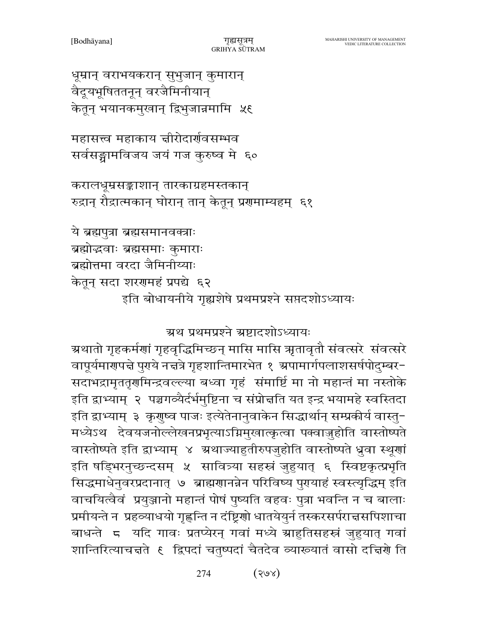274  $(S\odot S)$ 

सदाभद्रामृततृगमिन्द्रवल्ल्या बध्वा गृहं संमार्ष्टि मा नो महान्तं मा नस्तोके इति द्वाभ्याम्) २ पञ्चगव्यैर्दर्भमुष्टिना च संप्रोन्नति यत इन्द्र भयामहे स्वस्तिदा इति द्वाभ्याम् ३ कृगुष्व पाजः इत्येतेनानुवाकेन सिद्धार्थान् सम्प्रकीर्य वास्तु-मध्येऽथ देवयजनोल्लेखनप्रभृत्याऽग्निमुखात्कृत्वा पक्वाजुहोति वास्तोष्पते वास्तोष्पते इति द्वाभ्याम् ४ अथाज्याहुतीरुपजुहोति वास्तोष्पते ध्रुवा स्थूणां इति षड्भिरनुच्छन्दसम् ५ सावित्र्या सहस्रं जुहुयात् ६ स्विष्टकृत्प्रभृति सिद्धमाधेनुवरप्रदानात् ७ ब्राह्मणानन्नेन परिविष्य पुरायाहं स्वस्त्यृद्धिम् इति वाचयित्वैवं प्रयुञ्जानो महान्तं पोषं पुष्यति वहवः पुत्रा भवन्ति न च बालाः प्रमीयन्ते न प्रहव्याधयो गृह्णन्ति न दंष्ट्रिणो धातयेयुर्न तस्करसर्पराचसपिशाचा शान्तिरित्याचन्नते ६ द्विपदां चतुष्पदां चैतदेव व्याख्यातं वासो दन्निणे ति

ग्रथ प्रथमप्रश्ने ग्रष्टादशोऽध्यायः

ग्रथातो गृहकर्मणां गृहवृद्धिमिच्छन् मासि मासि ऋतावृतौ संवत्सरे संवत्सरे

वापूर्यमार्गपद्मे पुराये नद्मत्रे गृहशान्तिमारभेत १ अपामार्गपलाशसर्षपोदुम्बर-

ये ब्रह्मपुत्रा ब्रह्मसमानवक्त्राः ब्रह्मोद्भवाः ब्रह्मसमाः कुमाराः ब्रह्मोत्तमा वरदा जैमिनीय्याः केतून् सदा शरगमहं प्रपद्ये ६२ इति बोधायनीये गृह्यशेषे प्रथमप्रश्ने सप्तदशोऽध्यायः

करालधूम्रसङ्काशान् तारकाग्रहमस्तकान् रुद्रान् रौद्रात्मकान् घोरान् तान् केतून् प्रणमाम्यहम् ६१

महासत्त्व महाकाय चीरोदार्गवसम्भव सर्वसङ्गामविजय जयं गज कुरुष्व मे ६०

धूम्रान् वराभयकरान् सुभुजान् कुमारान् वैदूयभूषिततनून् वरजैमिनीयान् केतून् भयानकमुखान् द्विभुजान्नमामि ५६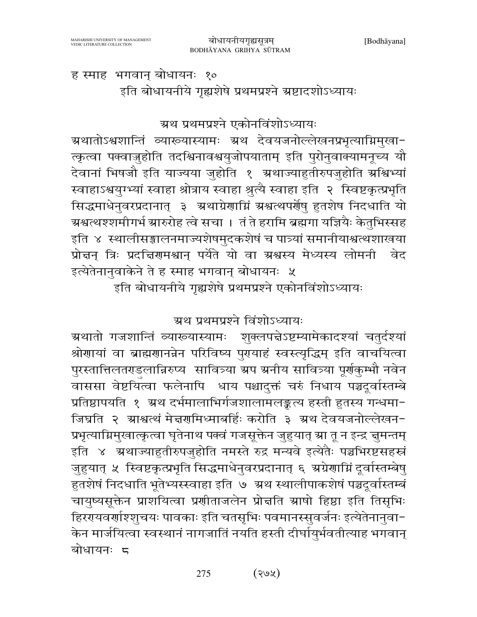ह स्माह भगवान् बोधायनः १०

इति बोधायनीये गृह्यशेषे प्रथमप्रश्ने स्रष्टादशोऽध्यायः

ग्रथ प्रथमप्रश्ने एकोनविंशोऽध्यायः

ग्रथातोऽश्वशान्तिं व्याख्यास्यामः ग्रथ देवयजनोल्लेखनप्रभृत्याग्निमुखा-त्कृत्वा पक्वाज्जुहोति तदश्विनावश्वयुजोपयाताम् इति पुरोनुवाक्यामनूच्य यौ देवानां भिषजौ इति याज्यया जुहोति १ अथाज्याहुतीरुपजुहोति अश्विभ्यां स्वाहाऽश्वयुग्भ्यां स्वाहा श्रोत्राय स्वाहा श्रुत्यै स्वाहा इति २ स्विष्टकृत्प्रभृति सिद्धमाधेनुवरप्रदानात् ३ अथाग्रेणाग्निं अश्वत्थपर्णेषु हुतशेष निदधाति यो ग्रश्वत्थश्शमीगर्भ ग्रारुरोह त्वे सचा । तं ते हरामि ब्रह्मगा यज्ञियैः केतुभिस्सह इति ४ स्थालीसङ्गालनमाज्यशेषमुदकशेषं च पात्र्यां समानीयाश्वत्थशाखया प्रोत्तन् त्रिः प्रदत्तिरामश्वान् पर्येते यो वा ग्रश्वस्य मेध्यस्य लोमनी वेद इत्येतेनानुवाकेने ते ह स्माह भगवान् बोधायनः ५

इति बोधायनीये गृह्यशेषे प्रथमप्रश्ने एकोनविंशोऽध्यायः

ग्रथ प्रथमप्रश्ने विंशोऽध्यायः

ग्रथातो गजशान्तिं व्याख्यास्यामः शुक्लपत्तेऽष्टम्यामेकादश्यां चतुर्दश्यां श्रोणायां वा ब्राह्मणानन्नेन परिविष्य पुरायाहं स्वस्त्यृद्धिम् इति वाचयित्वा पुरस्तात्तिलतराडलान्निरुप्य सावित्र्या ग्रप ग्रनीय सावित्र्या पूर्णकुम्भौ नवेन वाससा वेष्टयित्वा फलेनापि धाय पश्चादुक्तं चरुं निधाय पञ्चदूर्वास्तम्बे प्रतिष्ठापयति १ अथ दर्भमालाभिर्गजशालामलङ्कत्य हस्ती हुतस्य गन्धमा-जिघ्रति २ ग्राश्वत्थं मेद्मगमिध्माबर्हिः करोति ३ ग्रथ देवयजनोल्लेखन-प्रभृत्याग्निमुखात्कृत्वा घृतेनाथ पक्वं गजसूक्तेन जुहुयात् स्रा तू न इन्द्र ज्ञुमन्तम् इति ४ अथाज्याहुतीरुपजुहोति नमस्ते रुद्र मन्यवे इत्येतैः पञ्चभिरष्टसहस्रं जुहुयात् ५ स्विष्टकृत्प्रभृति सिद्धमाधेनुवरप्रदानात् ६ अग्रेणाग्निं दूर्वास्तम्बेषु हुतशेषं निदधाति भूतेभ्यस्स्वाहा इति ७ अथ स्थालीपाकशेषं पञ्चदूर्वास्तम्बं चायुष्यसूक्तेन प्राशयित्वा प्रणीताजलेन प्रोन्नति स्राषो हिष्ठा इति तिसृभिः हिररयवर्णाश्शुचयः पावकाः इति चतसृभिः पवमानस्सुवर्जनः इत्येतेनानुवा-केन मार्जयित्वा स्वस्थानं नागजातिं नयति हस्ती दीर्घायुर्भवतीत्याह भगवान् बोधायनः ८

> $(36)$ 275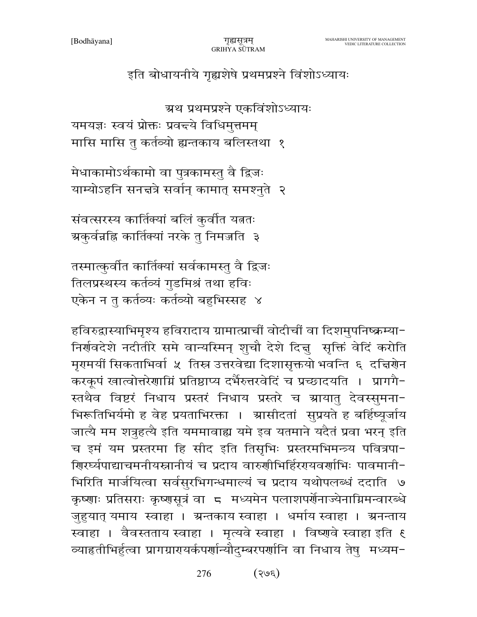इति बोधायनीये गृह्यशेषे प्रथमप्रश्ने विंशोऽध्यायः

ग्रथ प्रथमप्रश्ने एकविंशोऽध्यायः

यमयज्ञः स्वयं प्रोक्तः प्रवद्त्ये विधिमुत्तमम्

मासि मासि तु कर्तव्यो ह्यन्तकाय बलिस्तथा १

मेधाकामोऽर्थकामो वा पुत्रकामस्तु वै द्विजः याम्योऽहनि सनन्नत्रे सर्वान् कामात् समश्नुते २

संवत्सरस्य कार्तिक्यां बलिं कुर्वीत यत्नतः ग्रकुर्वन्नहि कार्तिक्यां नरके तु निमज्जति ३

तस्मात्कुर्वात कार्तिक्यां सर्वकामस्तु वै द्विजः तिलप्रस्थस्य कर्तव्यं गुडमिश्रं तथा हविः एकेन न तु कर्तव्यः कर्तव्यो बहुभिस्सह ४

हविरुद्वास्याभिमृश्य हविरादाय ग्रामात्प्राचीं वोदीचीं वा दिशमुपनिष्क्रम्या-निर्णवदेशे नदीतीरे समे वान्यस्मिन् शुचौ देशे दिन्नु सृक्तिं वेदिं करोति मृगमर्यो सिकताभिर्वा ५ तिस्र उत्तरवेद्या दिशासृक्तयो भवन्ति ६ दत्तिर्णेन करकूपं खात्वोत्तरेणाग्निं प्रतिष्ठाप्य दर्भैरुत्तरवेदिं च प्रच्छादयति । प्रागगै-स्तथैव विष्टरं निधाय प्रस्तरं निधाय प्रस्तरे च ग्रायातु देवस्सुमना-भिरूतिभिर्यमो ह वेह प्रयताभिरक्ता । ग्रासीदतां सुप्रयते ह बर्हिष्यूर्जाय जात्यै मम शत्रुहत्यै इति यममावाह्य यमे इव यतमाने यदैतं प्रवा भरन् इति च इमं यम प्रस्तरमा हि सीद इति तिसृभिः प्रस्तरमभिमन्त्र्य पवित्रपा-शिरर्घ्यपाद्याचमनीयस्नानीयं च प्रदाय वारुशीभिर्हिररायवर्णाभिः पावमानी-भिरिति मार्जयित्वा सर्वसुरभिगन्धमाल्यं च प्रदाय यथोपलब्धं ददाति ७ कृष्णाः प्रतिसराः कृष्णसूत्रं वा ८ मध्यमेन पलाशपर्णेनाज्येनाग्निमन्वारब्धे जुहुयात् यमाय स्वाहा । ग्रन्तकाय स्वाहा । धर्माय स्वाहा । ग्रनन्ताय स्वाहा । वैवस्तताय स्वाहा । मृत्यवे स्वाहा । विष्णुवे स्वाहा इति ६ व्याहृतीभिर्हुत्वा प्रागग्रारायर्कपर्णान्यौदुम्बरपर्णानि वा निधाय तेषु मध्यम-

> $(365)$ 276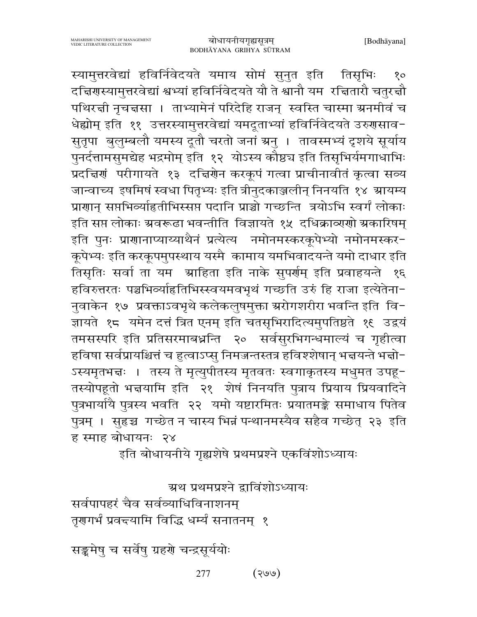स्यामुत्तरवेद्यां हविर्निवेदयते यमाय सोमं सुनुत इति तिसृभिः  $8^{\circ}$ दच्चिरणस्यामुत्तरवेद्यां श्वभ्यां हविर्निवेदयते यौ ते श्वानौ यम रच्चितारौ चतुरच्चौ पथिरत्नी नृचत्तसा । ताभ्यामेनं परिदेहि राजन् स्वस्ति चास्मा ग्रनमीवं च धेह्योम् इति ११ उत्तरस्यामुत्तरवेद्यां यमदूताभ्यां हविर्निवेदयते उरुगसाव-सुतृपा बुलुम्बलौ यमस्य दूतौ चरतो जनां ग्रनु । तावस्मभ्यं दृशये सूर्याय पुनर्दत्तामसुमद्येह भद्रमोम् इति १२ योऽस्य कौष्ठच इति तिसृभिर्यमगाधाभिः प्रदच्चिणं परीगायते १३ दच्चिणेन करकूपं गत्वा प्राचीनावीतं कृत्वा सव्य जान्वाच्य इषमिषं स्वधा पितृभ्यः इति त्रीनुदकाञ्जलीन् निनयति १४ म्रायम्य प्राणान् सप्तभिव्याहितीभिस्सप्त पदानि प्राञ्चो गच्छन्ति त्रयोऽभि स्वर्गं लोकाः इति सप्त लोकाः ग्रवरूढा भवन्तीति विज्ञायते १५ दधिक्राव्यणो ग्रकारिषम् इति पुनः प्राणानाप्याय्याथैनं प्रत्येत्य नमोनमस्करकूपेभ्यो नमोनमस्कर-कूपेभ्यः इति करकूपमुपस्थाय यस्मै कामाय यमभिवादयन्ते यमो दाधार इति तिसृतिः सर्वा ता यम श्राहिता इति नाके सुपर्राम् इति प्रवाहयन्ते १६ हविरुत्तरतः पञ्चभिव्याहितिभिस्स्वयमवभृथं गच्छति उरुं हि राजा इत्येतेना-नुवाकेन १७ प्रवक्ताऽवभृथे कलेकलुषमुक्ता स्ररोगशरीरा भवन्ति इति वि− ज्ञायते १८ यमेन दत्तं त्रित एनम् इति चतसृभिरादित्यमुपतिष्ठते १६ उद्वयं तमसस्परि इति प्रतिसरमाबध्नन्ति २० सर्वसुरभिगन्धमाल्यं च गृहीत्वा हविषा सर्वप्रायश्चित्तं च हुत्वाऽप्सु निमजन्तस्तत्र हविश्शेषान् भत्तयन्ते भत्तो-ऽस्यमृतभज्ञः । तस्य ते मृत्युपीतस्य मृतवतः स्वगाकृतस्य मधुमत उपहू− तस्योपहूतो भत्तयामि इति २१ शेषं निनयति पुत्राय प्रियाय प्रियवादिने पुत्रभार्यायै पुत्रस्य भवति २२ यमो यष्टारमितः प्रयातमङ्के समाधाय पितेव पुत्रम् । सुहृञ्च गच्छेत न चास्य भिन्नं पन्थानमस्यैव सहैव गच्छेत् २३ इति ह स्माह बोधायनः २४

इति बोधायनीये गृह्यशेषे प्रथमप्रश्ने एकविंशोऽध्यायः

ग्रथ प्रथमप्रश्ने द्वाविंशोऽध्यायः

सर्वपापहरं चैव सर्वव्याधिविनाशनम् तृगुगर्भं प्रवद्त्यामि विद्धि धर्म्यं सनातनम् १

सङ्कमेषु च सर्वेषु ग्रहर्रो चन्द्रसूर्ययोः

 $(\partial \mathcal{S})$ 277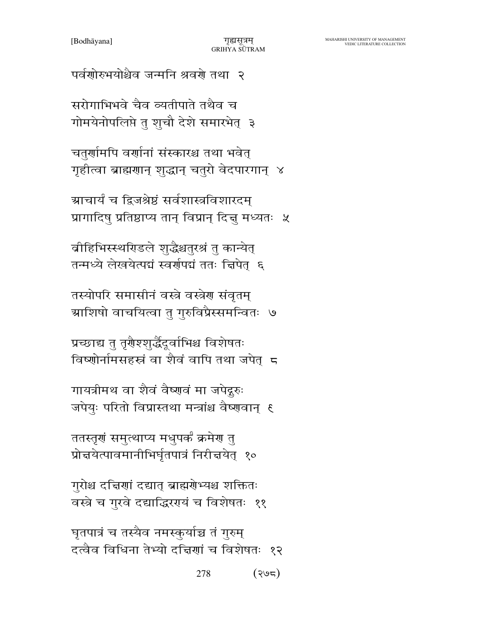घृतपात्रं च तस्यैव नमस्कुर्याच्च तं गुरुम् दत्वैव विधिना तेभ्यो दत्तिणां च विशेषतः १२

278

 $(795)$ 

गुरोश्च दत्तिणां दद्यात् ब्राह्मणेभ्यश्च शक्तितः वस्त्रे च गुरवे दद्याद्धिरगयं च विशेषतः ११

ततस्तृणं समुत्थाप्य मधुपर्कं क्रमेण तु प्रोत्तयेत्पावमानीभिर्घृतपात्रं निरीत्तयेत् १०

गायत्रीमथ वा शैवं वैष्णवं मा जपेदुरुः जपेयुः परितो विप्रास्तथा मन्त्रांश्च वैष्णवान् ६

प्रच्छाद्य तु तृरौश्शुर्द्धैदूर्वाभिश्च विशेषतः विष्णोर्नामसहस्रं वा शैवं वापि तथा जपेत्र द

तस्योपरि समासीनं वस्त्रे वस्त्रेण संवृतम् ग्राशिषो वाचयित्वा तु गुरुविप्रैस्समन्वितः ७

वीहिभिस्स्थरिडले शुद्धैश्चतुरश्रं तु कान्येत् तन्मध्ये लेखयेत्पद्मं स्वर्णपद्मं ततः चिपेत् ६

ग्राचार्यं च द्विजश्रेष्ठं सर्वशास्त्रविशारदम् प्रागादिषु प्रतिष्ठाप्य तान् विप्रान् दिन्नु मध्यतः ५

चतुर्णामपि वर्णानां संस्कारश्च तथा भवेत् गृहीत्वा ब्राह्मणान् शुद्धान् चतुरो वेदपारगान् ४

सरोगाभिभवे चैव व्यतीपाते तथैव च गोमयेनोपलिप्ते तु शुचौ देशे समारभेत् ३

पर्वशोरुभयोश्चैव जन्मनि श्रवरो तथा २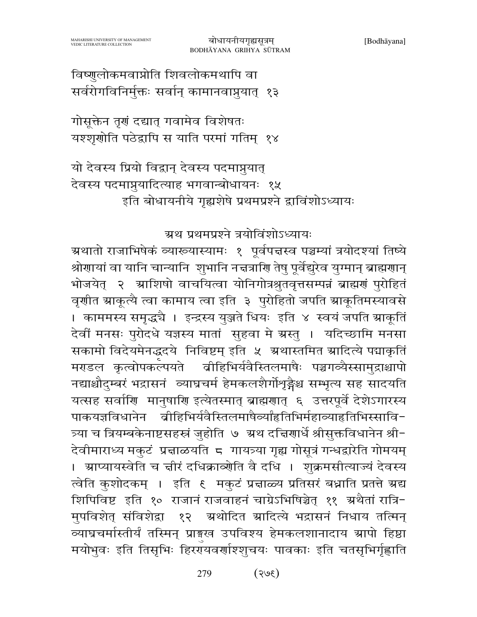विष्णुलोकमवाप्नोति शिवलोकमथापि वा सर्वरोगविनिर्मुक्तः सर्वान् कामानवाप्नुयात् १३

गोसूक्तेन तृणं दद्यात् गवामेव विशेषतः यश्शृंगोति पठेद्वापि स याति परमां गतिम् १४

यो देवस्य प्रियो विद्वान् देवस्य पदमाप्नुयात् देवस्य पदमाप्नुयादित्याह भगवान्बोधायनः १५ इति बोधायनीये गृह्यशेषे प्रथमप्रश्ने द्वाविंशोऽध्यायः

ग्रथ प्रथमप्रश्ने त्रयोविंशोऽध्यायः

ग्रथातो राजाभिषेकं व्याख्यास्यामः १ पूर्वपत्तस्व पञ्चम्यां त्रयोदश्यां तिष्ये श्रोणायां वा यानि चान्यानि शुभानि नच्नत्राणि तेषु पूर्वेद्युरेव युग्मान् ब्राह्मणान् भोजयेत् २ ग्राशिषो वाचयित्वा योनिगोत्रश्रुतवृत्तसम्पन्नं ब्राह्मणं पुरोहितं वृशीत स्राकूत्यै त्वा कामाय त्वा इति ३ पुरोहितो जपति स्राकूतिमस्यावसे । काममस्य समृद्धचै । इन्द्रस्य युञ्जते धियः इति ४ स्वयं जपति म्राकूतिं देवीं मनसः पुरोदधे यज्ञस्य मातां सुहवा मे ग्रस्तु । यदिच्छामि मनसा सकामो विदेयमेनद्धदये निविष्टम् इति ५ ग्रथास्तमित ग्रादित्ये पद्माकृतिं मराडल कृत्वोपकल्पयते वीहिभिर्यवैस्तिलमाषैः पञ्चगव्यैस्सामुद्राश्चापो नद्याश्चौदुम्बरं भद्रासनं व्याघ्रचर्म हेमकलशैर्गोशृङ्गेश्च सम्भृत्य सह सादयति यत्सह सर्वाणि मानुषाणि इत्येतस्मात् ब्राह्मणात् ६ उत्तरपूर्वे देशेऽगारस्य पाकयज्ञविधानेन व्रीहिभिर्यवैस्तिलमाषैर्व्यांहृतिभिर्महाव्याहृतिभिस्सावि-त्र्या च त्रियम्बकेनाष्टसहस्रं जुहोति ७ अथ दत्तिणार्धे श्रीसुक्तविधानेन श्री-देवीमाराध्य मकुटं प्रत्नाळयति ८ गायत्र्या गृह्य गोसूत्रं गन्धद्वारेति गोमयम् । आप्यायस्वेति च न्नीरं दधिक्राव्योति वै दधि । शुक्रमसीत्याज्यं देवस्य त्वेति कुशोदकम् । इति ६ मकुटं प्रज्ञाळ्य प्रतिसरं बध्नाति प्रतत्ते ग्रद्य शिपिविष्ट इति १० राजानं राजवाहनं चाग्रेऽभिषिञ्चेत् ११ अथैतां रात्रि-मुपविशेत् संविशेद्रा १२ अथोदित स्रादित्ये भद्रासनं निधाय तत्मिन् व्याघ्रचर्मास्तीर्यं तस्मिन् प्राङ्गख उपविश्य हेमकलशानादाय ग्रापो हिष्ठा मयोभुवः इति तिसृभिः हिररायवर्णाश्शुचयः पावकाः इति चतसृभिर्गृह्णाति

> $(3e)$ 279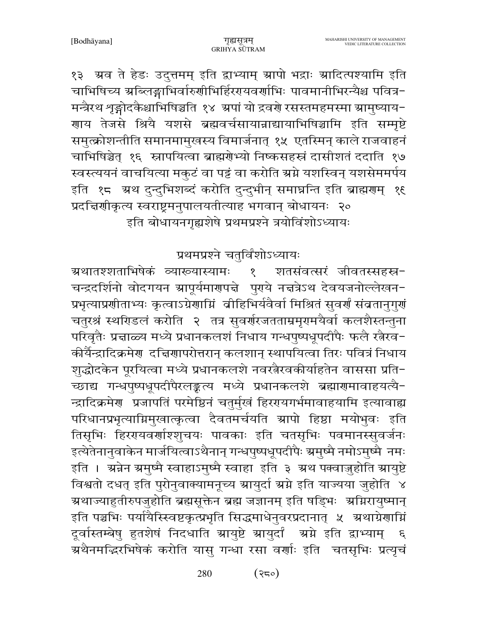१३ ग्रव ते हेडः उदुत्तमम् इति द्वाभ्याम् ग्रापो भद्राः ग्रादित्पश्यामि इति चाभिषिच्य ग्रब्लिङ्गाभिर्वारुणीभिर्हिरएयवर्णाभिः पावमानीभिरन्यैश्च पवित्र-मन्त्रैरथ शृङ्गोदकैश्चाभिषिञ्चति १४ अपां यो द्रवर्गे रसस्तमहमस्मा स्रामुष्याय-णाय तेजसे श्रियै यशसे ब्रह्मवर्चसायान्नाद्यायाभिषिञ्चामि इति सम्मृष्टे समुत्क्रोशन्तीति समानमामुखस्य विमार्जनात् १५ एतस्मिन् काले राजवाहनं चाभिषिञ्चेत् १६ स्नापयित्वा ब्राह्मरोभ्यो निष्कसहस्रं दासीशतं ददाति १७ स्वस्त्ययनं वाचयित्या मकुटं वा पट्टं वा करोति ग्रग्ने यशस्विन् यशसेममर्पय इति १८ अथ दुन्दुभिशब्दं करोति दुन्दुभीन् समाघ्नन्ति इति ब्राह्मणम् १६ प्रदच्चिणीकृत्य स्वराष्ट्रमनुपालयतीत्याह भगवान् बोधायनः २० इति बोधायनगृह्यशेषे प्रथमप्रश्ने त्रयोविंशोऽध्यायः

प्रथमप्रश्ने चतुर्विंशोऽध्यायः

ग्रथातश्शताभिषेकं व्याख्यास्यामः शतसंवत्सरं जीवतस्सहस्र- $\overline{\mathcal{E}}$ चन्द्रदर्शिनो वोदगयन स्रापूर्यमारणपत्ने पुराये नत्तत्रेऽथ देवयजनोल्लेखन-प्रभृत्याप्रशीताभ्यः कृत्वाऽग्रेशाम्निं वीहिभिर्यवैर्वा मिश्रितं सुवर्शं संव्रतानुगुर्ग चतुरश्रं स्थरिडलं करोति २ तत्र सुवर्णरजतताम्रमृगमयैर्वा कलशैस्तन्तुना परिवृतैः प्रज्ञाळ्य मध्ये प्रधानकलशं निधाय गन्धपुष्पधूपदीपैः फलै रत्नैरव-कीर्यैन्द्रादिक्रमेण दच्चिणापरोत्तरान् कलशान् स्थापयित्वा तिरः पवित्रं निधाय शुद्धोदकेन पूरयित्वा मध्ये प्रधानकलशे नवरत्नैरवकीर्याहतेन वाससा प्रति-च्छाद्य गन्धपुष्पधूपदीपैरलङ्कत्य मध्ये प्रधानकलशे ब्रह्मारामावाहयत्यै-न्द्रादिक्रमेण प्रजापतिं परमेष्ठिनं चतुर्मुखं हिररयगर्भमावाहयामि इत्यावाह्य परिधानप्रभृत्याग्निमुखात्कृत्वा दैवतमर्चयति स्रापो हिष्ठा मयोभुवः इति तिसृभिः हिररायवर्णाश्शुचयः पावकाः इति चतसृभिः पवमानस्सुवर्जनः इत्येतेनानुवाकेन मार्जयित्वाऽथैनान् गन्धपुष्पधूपदीपैः ग्रमुष्मै नमोऽमुष्मै नमः इति । अन्नेन अमुष्मै स्वाहाऽमुष्मै स्वाहा इति ३ अथ पक्वाज़ुहोति आयुष्टे विश्वतो दधत् इति पुरोनुवाक्यामनूच्य स्रायुर्दा स्रग्ने इति याज्यया जुहोति ४ ग्रथाज्याहुतीरुपजुहोति ब्रह्मसूक्तेन ब्रह्म जज्ञानम् इति षड्भिः अग्निरायुष्मान् इति पञ्चभिः पर्यायैस्स्विष्टकृत्प्रभृति सिद्धमाधेनुवरप्रदानात् ५ अथाग्रेणाग्निं दूर्वास्तम्बेषु हुतशेषं निदधाति स्रायुष्टे स्रायुर्दां स्रग्ने इति द्वाभ्याम् ६ .<br>ग्रथैनमद्भिरभिषेकं करोति यासु गन्धा रसा वर्णाः इति वतसृभिः प्रत्यृचं

> 280  $(35)$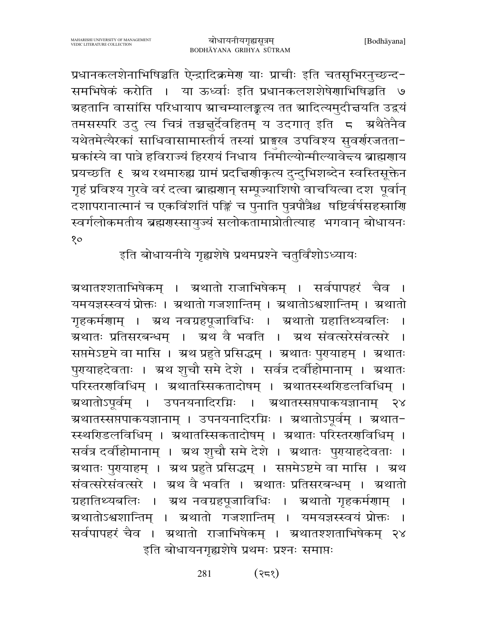प्रधानकलशेनाभिषिञ्चति ऐन्द्रादिक्रमेण याः प्राचीः इति चतसृभिरनुच्छन्द-समभिषेकं करोति । या ऊर्ध्वाः इति प्रधानकलशशेषेणाभिषिञ्चति ७ ग्रहतानि वासांसि परिधायाप ग्राचम्यालङ्कत्य तत ग्रादित्यमुदीचयति उद्वयं तमसस्परि उदु त्य चित्रं तच्चन्नुर्देवहितम् य उदगात् इति 5 अथैतेनैव यथेतमेत्यैरकां साधिवासामास्तीर्य तस्यां प्राङ्गख उपविश्य सुवर्णरजतता-म्रकांस्ये वा पात्रे हविराज्यं हिररायं निधाय निर्माल्योन्मील्यावेन्दय ब्राह्मगाय प्रयच्छति ६ अथ रथमारुह्य ग्रामं प्रदच्चिर्णाकृत्य दुन्दुभिशब्देन स्वस्तिसूक्तेन गृहं प्रविश्य गुरवे वरं दत्वा ब्राह्मणान् सम्पूज्याशिषो वाचयित्वा दश पूर्वान् दशापरानात्मानं च एकविंशतिं पङ्किं च पुनाति पुत्रपौत्रैश्च षष्टिर्वर्षसहस्राणि स्वर्गलोकमतीय ब्रह्मगस्सायुज्यं सलोकतामाप्नोतीत्याह भगवान् बोधायनः  $80^{\circ}$ 

इति बोधायनीये गृह्यशेषे प्रथमप्रश्ने चतुर्विंशोऽध्यायः

ग्र्यातश्शताभिषेकम् । ग्रथातो राजाभिषेकम् । सर्वपापहरं चैव । यमयज्ञस्स्वयं प्रोक्तः । अथातो गजशान्तिम् । अथातोऽश्वशान्तिम् । अथातो गृहकर्मणाम् । ग्रथ नवग्रहपूजाविधिः । ग्रथातो ग्रहातिथ्यबलिः । ग्रथातः प्रतिसरबन्धम् । ग्रथ वै भवति । ग्रथ संवत्सरेसंवत्सरे सप्तमेऽष्टमे वा मासि । अथ प्रहुते प्रसिद्धम् । अथातः पुरायाहम् । अथातः पुरायाहदेवताः । ग्रथ शुचौ समे देशे । सर्वत्र दर्वाहोमानाम् । ग्रथातः परिस्तरराविधिम् । ग्रथातस्सिकतादोषम् । ग्रथातस्स्थरिडलविधिम् । ग्र्रथातोऽपर्वम । उपनयनादिरग्निः । ग्रथातस्सप्तपाकयज्ञानाम्  $58$ अथातस्सप्तपाकयज्ञानाम् । उपनयनादिरग्निः । अथातोऽपूर्वम् । अथात-स्स्थरिडलविधिम् । ग्रथातस्सिकतादोषम् । ग्रथातः परिस्तरराविधिम् । सर्वत्र दर्वाहोमानाम् । ग्रथ शुचौ समे देशे । ग्रथातः पुरयाहदेवताः । ग्रथातः पुरायाहम् । ग्रथ प्रहुते प्रसिद्धम् । सप्तमेऽष्टमे वा मासि । ग्रथ संवत्सरेसंवत्सरे । ग्रथ वै भवति । ग्रथातः प्रतिसरबन्धम् । ग्रथातो ग्रहातिथ्यबलिः । ग्रथ नवग्रहपूजाविधिः । ग्रथातो गृहकर्मणाम् । ग्रथातोऽश्वशान्तिम् । ग्रथातो गजशान्तिम् । यमयज्ञस्स्वयं प्रोक्तः । सर्वपापहरं चैव । अथातो राजाभिषेकम् । अथातश्शताभिषेकम् २४ इति बोधायनगृह्यशेषे प्रथमः प्रश्नः समाप्तः

> $(325)$ 281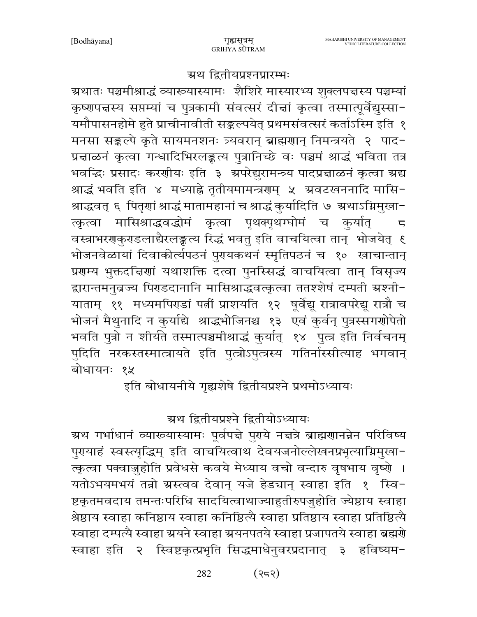#### ग्रथ द्वितीयप्रश्नप्रारम्भः

ग्रथातः पञ्चमीश्राद्धं व्याख्यास्यामः शैशिरे मास्यारभ्य शुक्लपत्तस्य पञ्चम्यां कृष्णपत्तस्य सप्तम्यां च पुत्रकामी संवत्सरं दीत्तां कृत्वा तस्मात्पूर्वेद्युस्सा-यमौपासनहोमे हुते प्राचीनावीती सङ्कल्पयेत् प्रथमसंवत्सरं कर्ताऽस्मि इति १ मनसा सङ्कल्पे कृते सायमनशनः त्र्यवरान् ब्राह्मणान् निमन्त्रयते २ पाद-प्रत्नाळनं कृत्वा गन्धादिभिरलङ्कत्य पुत्रानिच्छे वः पञ्चमं श्राद्धं भविता तत्र भवद्धिः प्रसादः करणीयः इति ३ अपरेद्युरामन्त्र्य पादप्रज्ञाळनं कृत्वा अद्य श्राद्धं भवति इति ४ मध्याह्ने तृतीयमामन्त्रराम् ५ अ्वटखननादि मासि− श्राद्धवत् ६ पितृणां श्राद्धं मातामहानां च श्राद्धं कुर्यादिति ७ ग्रथाऽग्निमुखा-त्कृत्वा मासिश्राद्धवद्धोमं कृत्वा पृथक्पृथग्घोमं च कुर्यात्  $\overline{5}$ वस्त्राभरगकुराडलाद्यैरलङ्कल्य रिद्धं भवतु इति वाचयित्वा तान् भोजयेत् ६ भोजनवेळायां दिवाकीर्त्यपठनं पुरसयकथनं स्मृतिपठनं च १० खाचान्तान् प्रणम्य भुक्तदत्तिणां यथाशक्ति दत्वा पुनस्सिद्धं वाचयित्वा तान् विसृज्य द्वारान्तमनुव्रज्य पिराडदानानि मासिश्राद्धवत्कृत्वा ततश्शेषं दम्पती ग्रश्नी-याताम् ११ मध्यमपिराडां पत्नीं प्राशयति १२ षूर्वेद्यू रात्रावपरेद्यू रात्रौ च भोजनं मैथुनादि न कुर्याद्ये श्राद्धभोजिनश्च १३ एवं कुर्वन् पुत्रस्सगर्गोपेतो भवति पुत्रो न शीर्यते तस्मात्पञ्चमीश्राद्धं कुर्यात् १४ पुत्त्र इति निर्वचनम् पुदिति नरकस्तस्मात्त्रायते इति पुत्त्रोऽपुत्त्रस्य गतिर्नास्सीत्याह भगवान् बोधायनः १५

इति बोधायनीये गृह्यशेषे द्वितीयप्रश्ने प्रथमोऽध्यायः

# ग्रथ द्वितीयप्रश्ने द्वितीयोऽध्यायः

ग्रथ गर्भाधानं व्याख्यास्यामः पूर्वपद्मे पुरये नत्तत्रे ब्राह्मराानन्नेन परिविष्य पुरायाहं स्वस्त्यृद्धिम् इति वाचयित्वाथ देवयजनोल्लेखनप्रभृत्याग्निमुखा-त्कृत्वा पक्वाज़ुहोति प्रवेधसे कवये मेध्याय वचो वन्दारु वृषभाय वृष्णे । यतोऽभयमभयं तन्नो ग्रस्त्वव देवान् यजे हेड्यान् स्वाहा इति १ स्वि-ष्टकृतमवदाय तमन्तःपरिधि सादयित्वाथाज्याहुतीरुपजुहोति ज्येष्ठाय स्वाहा श्रेष्ठाय स्वाहा कनिष्ठाय स्वाहा कनिष्ठित्यै स्वाहा प्रतिष्ठाय स्वाहा प्रतिष्ठित्यै स्वाहा दम्पत्यै स्वाहा ग्रयने स्वाहा ग्रयनपतये स्वाहा प्रजापतये स्वाहा ब्रह्मणे स्वाहा इति २ स्विष्टकृत्प्रभृति सिद्धमाधेनुवरप्रदानात् ३ हविष्यम-

> 282 (२८२)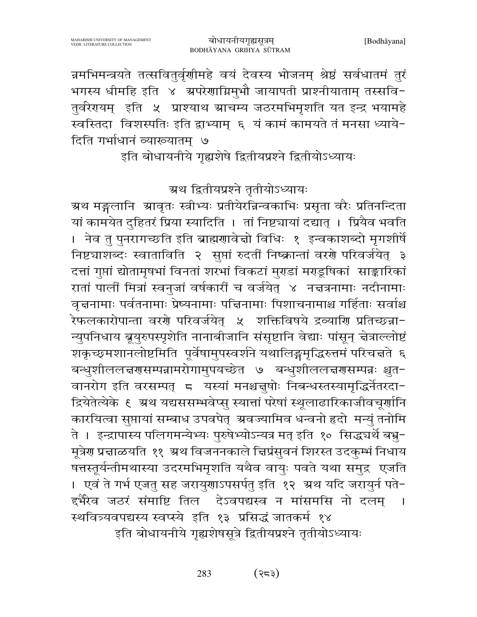न्नमभिमन्त्रयते तत्सवितुर्वृणीमहे वयं देवस्य भोजनम् श्रेष्ठं सर्वधातमं तुरं भगस्य धीमहि इति ४ अपरेणाग्निमुभौ जायापती प्राश्नीयाताम् तस्सवि-तुर्वरेरायम् इति ५ प्राश्याथ स्राचम्य जठरमभिमृशति यत इन्द्र भयामहे स्वस्तिदा विशस्पतिः इति द्वाभ्याम् ६ यं कामं कामयते तं मनसा ध्याये-दिति गर्भाधानं व्याख्यातम् ७

इति बोधायनीये गृह्यशेषे द्वितीयप्रश्ने द्वितीयोऽध्यायः

ग्रथ द्वितीयप्रश्ने तृतीयोऽध्यायः

ग्रथ मङ्गलानि । श्रावृतः स्त्रीभ्यः प्रतीयेरच्निन्वकाभिः प्रसृता वरैः प्रतिनन्दिता यां कामयेत दुहितरं प्रिया स्यादिति । तां निष्ट्यायां दद्यात् । प्रियैव भवति । नेव तु पुनरागच्छति इति ब्राह्मणावेचो विधिः १ इन्वकाशब्दो मृगशीर्षे निष्ट्याशब्दः स्वाताविति २ सुप्तां रुदतीं निष्क्रान्तां वरणे परिवर्जयेत् ३ दत्तां गुप्तां द्योतामृषभां विनतां शरभां विकटां मुराडां मराडूषिकां साङ्कारिकां रातां पालीं मित्रां स्वनुजां वर्षकारीं च वर्जयेत् ४ नज्ञत्रनामाः नदीनामाः वृज्ञनामाः पर्वतनामाः प्रेष्यनामाः पत्तिनामाः पिशाचनामाश्च गर्हिताः सर्वाश्च .<br>रेफलकारोपान्ता वरणे परिवर्जयेत् ४ शक्तिविषये द्रव्याणि प्रतिच्छन्ना-न्युपनिधाय ब्रूयुरुपस्पृशेति नानाबीजानि संसृष्टानि वेद्याः पांसून् चेत्राल्लोष्टं शकृच्छ्मशानलोष्टमिति पूर्वेषामुपस्वर्शने यथालिङ्गमृद्धिरुत्तमं परिचत्तते ६ बन्धुशीललच्चणसम्पन्नामरोगामुपयच्छेत ७ बन्धुशीललच्चणसम्पन्नः श्चुत− वानरोग इति वरसम्पत् 5 यस्यां मनश्चनुषोः निबन्धस्तस्यामृद्धिर्नेतरदा-द्रियेतेत्येके ६ ग्रथ यद्यससम्भवेप्स् स्यात्तां परेषां स्थूलाढारिकाजीवचूर्णानि कारयित्वा सुप्तायां सम्बाध उपवपेत् ग्रवज्यामिव धन्वनो हृदो मन्युं तनोमि ते । इन्द्रापास्य पलिगमन्येभ्यः पुरुषेभ्योऽन्यत्र मत् इति १० सिद्धघर्थे बभु-मूत्रेण प्रचाळयति ११ अथ विजननकाले चिप्रंसुवनं शिरस्त उदकुम्भं निधाय षत्तस्तूर्यन्तीमथास्या उदरमभिमृशति यथैव वायुः पवते यथा समुद्र एजति । एवं ते गर्भ एजतु सह जरायुणाऽपसर्पतु इति १२ अ्थ यदि जरायुर्न पते− द्दर्भैरेव जठरं संमाष्टि तिल देऽवपद्यस्व न मांसमसि नो दलम् । स्थवित्र्यवपद्यस्य स्वप्स्ये इति १३ प्रसिद्धं जातकर्म १४ इति बोधायनीये गृह्यशेषसूत्रे द्वितीयप्रश्ने तृतीयोऽध्यायः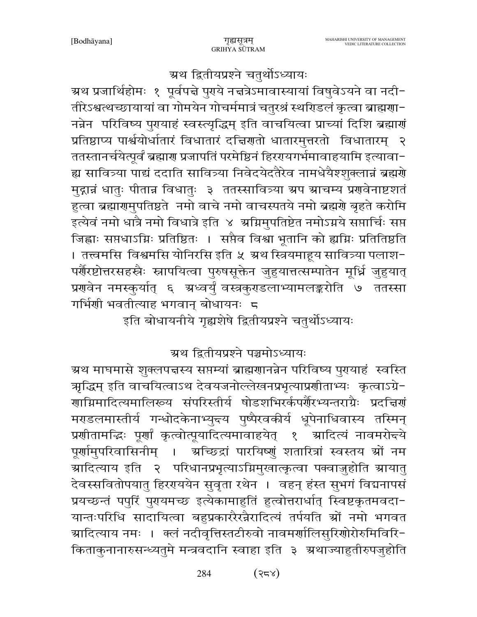# ग्रथ द्वितीयप्रश्ने चतुर्थोऽध्यायः

म्रथ प्रजार्थिहोमः १ पूर्वपद्मे पुरये नद्मत्रेऽमावास्यायां विषुवेऽयने वा नदी− तीरेऽश्वत्थच्छायायां वा गोमयेन गोचर्ममात्रं चतुरश्रं स्थरिडलं कृत्वा ब्राह्मणा-नन्नेन परिविष्य पुरायाहं स्वस्त्यृद्धिम् इति वाचयित्वा प्राच्यां दिशि ब्रह्मार्गं प्रतिष्ठाप्य पार्श्वयोर्धातारं विधातारं दचिरणतो धातारमुत्तरतो विधातारम् २ ततस्तानर्चयेत्पूर्वं ब्रह्मारा प्रजापतिं परमेष्ठिनं हिररायगर्भमावाहयामि इत्यावा-ह्य सावित्र्या पाद्यं ददाति सावित्र्या निवेदयेदतैरेव नामधेयैश्शुक्लान्नं ब्रह्मणे मुद्गान्नं धातुः पीतान्न विधातुः ३ ततस्सावित्र्या ग्रप ग्राचम्य प्रणवेनाष्टशतं हुत्वा ब्रह्मारामुपतिष्ठते नमो वाचे नमो वाचस्पतये नमो ब्रह्मरो बृहते करोमि इत्येवं नमो धात्रै नमो विधात्रे इति ४ अग्निमुपतिष्टेत नमोऽग्नये सप्तार्चिः सप्त जिह्वाः सप्तधाऽग्निः प्रतिष्ठितः । सप्तैव विश्वा भूतानि को ह्यग्निः प्रतितिष्ठति । तत्त्वमसि विश्वमसि योनिरसि इति ५ ग्रथ स्त्रियमाहूय सावित्र्या पलाश-पर्शैरष्टोत्तरसहस्त्रैः स्नापयित्वा पुरुषसूक्तेन जुहुयात्तत्सम्पातेन मूर्ध्नि जुहुयात् प्रणवेन नमस्कुर्यात् ६ ग्रध्वर्युं वस्त्रकुराडलाभ्यामलङ्करोति ७ ततस्सा 

इति बोधायनीये गृह्यशेषे द्वितीयप्रश्ने चतुर्थोऽध्यायः

## ग्रथ द्वितीयप्रश्ने पञ्चमोऽध्यायः

ग्रथ माघमासे शुक्लपत्तस्य सप्तम्यां ब्राह्मणानन्नेन परिविष्य पुरायाहं स्वस्ति ऋद्धिम् इति वाचयित्वाऽथ देवयजनोल्लेखनप्रभृत्याप्रणीताभ्यः कृत्वाऽग्रे− गाग्निमादित्यमालिख्य संपरिस्तीर्य षोडशभिरर्कपर्गैरभ्यन्तराग्रैः प्रदत्तिर्ग मराडलमास्तीर्य गन्धोदकेनाभ्युन्त्य पुष्पैरवकीर्य धूपेनाधिवास्य तस्मिन् प्रणीतामद्धिः पूर्णां कृत्वोत्पूयादित्यमावाहयेत् १ ग्रादित्यं नावमरोच्चे पूर्णामुपरिवासिनीम् । अच्छिद्रां पारयिष्णुं शतारित्रां स्वस्तय श्रों नम ग्रादित्याय इति २ परिधानप्रभृत्याऽग्निमुखात्कृत्वा पक्वाज़ुहोति स्रायातु देवस्सवितोपयातु हिररययेन सुवृता रथेन । वहन् हंस्त सुभगं विद्यनापसं प्रयच्छन्तं पपुरिं पुरायमच्छ इत्येकामाहुतिं हुत्वोत्तरार्धात् स्विष्टकृतमवदा-यान्तःपरिधि सादायित्वा बहुप्रकाररैरन्नैरादित्यं तर्पयति श्रों नमो भगवत ग्रादित्याय नमः । क्लं नदीवृत्तिस्तटीरुवो नावमर्णालिसुरिणोरोरुमिविरि− किताकुनानारुसन्ध्यतुमे मन्त्रवदानि स्वाहा इति ३ ग्रथाज्याहुतीरुपजुहोति

> $(525)$ 284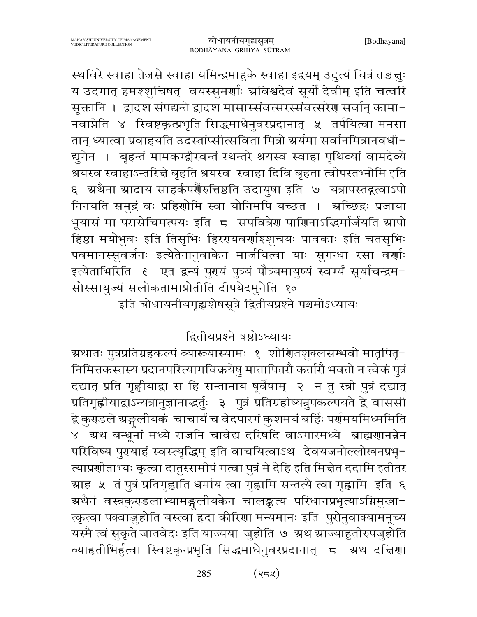स्थविरे स्वाहा तेजसे स्वाहा यमिन्द्रमाहुके स्वाहा इद्वयम् उदुत्यं चित्रं तच्चन्नुः य उदगात् हमश्शुचिषत् वयस्सुमर्णाः स्रविश्वदेवं सूर्यो देवीम् इति चत्वरि सूक्तानि । द्वादश संपद्यन्ते द्वादश मासास्संवत्सरस्संवत्सरेण सर्वान् कामा-नवाप्नेति ४ स्विष्टकृत्प्रभृति सिद्धमाधेनुवरप्रदानात् ५ तर्पयित्वा मनसा तान् ध्यात्वा प्रवाहयति उदस्तांप्सीत्सविता मित्रो ग्रर्यमा सर्वानमित्रानवधी-द्युगेन । बृहन्तं मामकग्द्वीरवन्तं रथन्तरे श्रयस्व स्वाहा पृथिव्यां वामदेव्ये श्रयस्व स्वाहाऽन्तरिन्ने बृहति श्रयस्व) स्वाहा दिवि बृहता त्वोपस्तभ्नोमि इति ६ अथैना स्रादाय साहर्कपर्णैरुत्तिष्ठति उदायुषा इति ७ यत्रापस्तद्गत्वाऽपो निनयति समुद्रं वः प्रहिशोमि स्वा योनिमपि यच्छत । अच्छिद्रः प्रजाया भूयासं मा परासेचिमत्पयः इति 5 सपवित्रेण पाणिनाऽद्धिर्मार्जयति स्रापो हिष्ठा मयोभुवः इति तिसृभिः हिररयवर्णाश्शुचयः पावकाः इति चतसृभिः पवमानस्सुवर्जनः इत्येतेनानुवाकेन मार्जयित्वा याः सुगन्धा रसा वर्णाः सोस्सायुज्यं सलोकतामाप्नोतीति दीपयेदम्नेति १०

इति बोधायनीयगृह्यशेषसूत्रे द्वितीयप्रश्ने पञ्चमोऽध्यायः

द्वितीयप्रश्ने षष्ठोऽध्यायः

ग्र्रथातः पुत्रप्रतिग्रहकल्पं व्याख्यास्यामः १ शोणितशुक्लसम्भवो मातृपितृ− निमित्तकस्तस्य प्रदानपरित्यागविक्रयेषु मातापितरौ कर्तारौ भवतो न त्वेकं पुत्रं दद्यात् प्रति गृह्णीयाद्वा स हि सन्तानाय षूर्वेषाम् २ न तु स्त्री पुत्रं दद्यात् प्रतिगृह्णीयाद्वाऽन्यत्रानुज्ञानाद्भर्तुः ३ पुत्रं प्रतिग्रहीष्यन्नुपकल्पयते द्वे वाससी द्वे कुराडले ग्रङ्गलीयकं चाचार्यं च वेदपारगं कुशमयं बर्हिः पर्रामयमिध्ममिति ४ अथ बन्धूनां मध्ये राजनि चावेद्य दरिषदि वाऽगारमध्ये ब्राह्मणानन्नेन परिविष्य पुरायाहं स्वस्त्यृद्धिम् इति वाचयित्वाऽथ देवयजनोल्लोखनप्रभृ-त्याप्रणीताभ्यः कृत्वा दातुस्समीपं गत्वा पुत्रं मे देहि इति मिन्नेत ददामि इतीतर ग्र्याह ५ तं पुत्रं प्रतिगृह्णाति धर्माय त्वा गृह्णामि सन्तत्यै त्वा गृह्णामि इति ६ ग्रथैनं वस्त्रकुराडलाभ्यामङ्गुलीयकेन चालङ्कत्य परिधानप्रभृत्याऽग्निमुखा− त्कृत्वा पक्वाज़ुहोति यस्त्वा हृदा कीरिणा मन्यमानः इति पुरोनुवाक्यामनूच्य यस्मै त्वं सुकृते जातवेदः इति याज्यया जुहोति ७ ग्रथ ग्राज्याहुतीरुपजुहोति व्याहतीभिर्हुत्वा स्विष्टकृन्प्रभृति सिद्धमाधेनुवरप्रदानात् 5 अथ दचिर्णा

> $(32)$ 285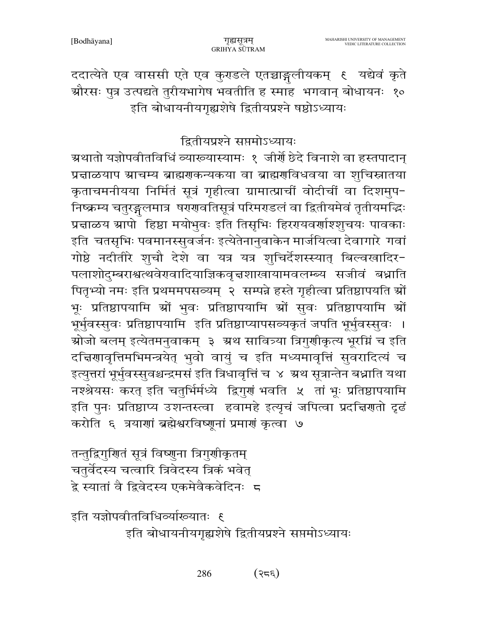ददात्येते एव वाससी एते एव कुराडले एतच्चाङ्गलीयकम् १ यद्येवं कृते औरसः पुत्र उत्पद्यते तुरीयभागेष भवतीति ह स्माह भगवान् बोधायनः १० इति बोधायनीयगृह्यशेषे द्वितीयप्रश्ने षष्ठोऽध्यायः

द्वितीयप्रश्ने सप्तमोऽध्यायः

ग्र्रथातो यज्ञोपवीतविधिं व्याख्यास्यामः १ जीर्णे छेदे विनाशे वा हस्तपादान् प्रत्नाळयाप स्राचम्य ब्राह्मणकन्यकया वा ब्राह्मणविधवया वा शुचिस्नातया कृताचमनीयया निर्मितं सूत्रं गृहीत्वा ग्रामात्प्राचीं वोदीचीं वा दिशमुप-निष्क्रम्य चतुरङ्गलमात्र षरगावतिसूत्रं परिमराडलं वा द्वितीयमेवं तृतीयमद्धिः प्रत्नाळय स्रापो हिष्ठा मयोभुवः इति तिसृभिः हिररयवर्णाश्शुचयः पावकाः इति चतसृभिः पवमानस्सुवर्जनः इत्येतेनानुवाकेन मार्जयित्वा देवागारे गवां गोष्ठे नदीतीरे शुचौ देशे वा यत्र यत्र शुचिर्देशस्स्यात् बिल्वखादिर-पलाशोदुम्बराश्वत्थवेरावादियाज्ञिकवृत्तशाखायामवलम्ब्य सजीवं बध्नाति पितृभ्यो नमः इति प्रथममपसव्यम् २ सम्पन्ने हस्ते गृहीत्वा प्रतिष्ठापयति स्रों भूः प्रतिष्ठापयामि स्रों भुवः प्रतिष्ठापयामि स्रों सुवः प्रतिष्ठापयामि स्रों भूर्भुवस्सुवः प्रतिष्ठापयामि इति प्रतिष्ठाप्यापसव्यकृतं जपति भूर्भुवस्सुवः । ग्रोजो बलम् इत्येतमनुवाकम् ३ अथ सावित्र्या त्रिगुणीकृत्य भूरम्निं च इति दचिणावृत्तिमभिमन्त्रयेत् भुवो वायुं च इति मध्यमावृत्तिं सुवरादित्यं च इत्युत्तरां भूर्भुवस्सुवश्चन्द्रमसं इति त्रिधावृत्तिं च ४ अथ सूत्रान्तेन बधाति यथा नश्श्रेयसः करत् इति चतुर्भिर्मध्ये द्विगुणं भवति ५ तां भूः प्रतिष्ठापयामि इति पुनः प्रतिष्ठाप्य उशन्तस्त्वा हवामहे इत्यृचं जपित्वा प्रदचिरणाो दृढं करोति ६ त्रयाणां ब्रह्मेश्वरविष्णूनां प्रमाणं कृत्वा ७

तन्तुद्विगुणितं सूत्रं विष्णुना त्रिगुणीकृतम् चतुर्वेदस्य चत्वारि त्रिवेदस्य त्रिकं भवेत् द्वे स्यातां वै द्विवेदस्य एकमेवैकवेदिनः 5

इति यज्ञोपवीतविधिव्यांख्यातः ६ इति बोधायनीयगृह्यशेषे द्वितीयप्रश्ने सप्तमोऽध्यायः

> 286  $(32\epsilon)$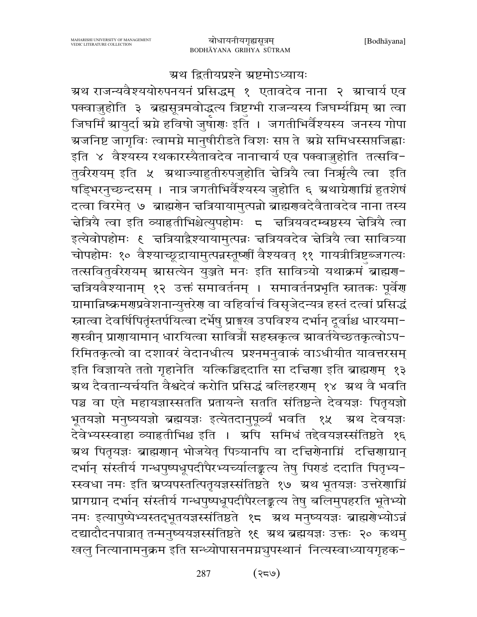#### ग्रथ द्वितीयप्रश्ने ग्रष्टमोऽध्यायः

ग्रथ राजन्यवैश्ययोरुपनयनं प्रसिद्धम् १ एतावदेव नाना २ ग्राचार्य एव पक्वाज़ुहोति ३ ब्रह्मसूत्रमवोद्धत्य त्रिष्टग्भी राजन्यस्य जिघर्म्याग्नम् ग्रा त्वा जिघर्मिं ग्रायुर्दा ग्रग्ने हविषो जुषाग्रः इति । जगतीभिर्वैश्यस्य जनस्य गोपा ग्र्रजनिष्ट जागृविः त्वामग्ने मानुषीरीडते विशः सप्त ते श्रग्ने समिधस्सप्तजिह्वाः इति ४ वैश्यस्य रथकारस्यैतावदेव नानाचार्य एव पक्वाज़ुहोति तत्सवि-तुर्वरेरायम् इति ५ अथाज्याहुतीरुपजुहोति चेत्रियै त्वा निर्ऋत्यै त्वा इति ू<br>षड्भिरनुच्छन्दसम् । नात्र जगतीभिर्वैश्यस्य जुहोति ६ ग्रथाग्रेणाग्निं हुतशेषं दत्वा विरमेत् ७ ब्राह्मणेन चत्रियायामुत्पन्नो ब्राह्मणवदेवैतावदेव नाना तस्य चेत्रिये त्वा इति व्याहृतीभिश्चेत्युपहोमः ८ चत्रियवदम्बष्ठस्य चेत्रियै त्वा इत्येवोपहोमः ६ चत्रियाद्वैश्यायामुत्पन्नः चत्रियवदेव चेत्रियै त्वा सावित्र्या चोपहोमः १० वैश्याच्छूद्रायामुत्पन्नस्तूष्णीं वैश्यवत् ११ गायत्रीत्रिष्टब्जगत्यः तत्सवितुर्वरेरययम् स्रासत्येन युञ्जते मनः इति सावित्र्यो यथाक्रमं ब्राह्मण-चत्रियवैश्यानाम् १२ उक्तं समावर्तनम् । समावर्तनप्रभृति स्नातकः पूर्वेण ग्रामान्निष्क्रमराप्रवेशनान्युत्तरेरा वा वहिर्वाचं विसृजेदन्यत्र हस्तं दत्वां प्रसिद्धं स्नात्वा देवर्षिपितृंस्तर्पयित्वा दर्भेषु प्राङ्मख उपविश्य दर्भान् दूर्वाश्च धारयमा-गस्त्रीन् प्रागायामान् धारयित्वा सावित्रीं सहस्रकृत्व स्रावर्तयेच्छतकृत्वोऽप− रिमितकृत्वो वा दशावरं वेदानधीत्य प्रश्नमनुवाकं वाऽधीयीत यावत्तरसम् इति विज्ञायते ततो गृहानेति यत्किञ्चिद्दाति सा दच्चिणा इति ब्राह्मणम् १३ ग्रथ दैवतान्यर्चयति वैश्वदेवं करोति प्रसिद्धं बलिहरणम् १४ अ्रथ वै भवति पञ्च वा एते महायज्ञास्सतति प्रतायन्ते सतति संतिष्ठन्ते देवयज्ञः पितृयज्ञो भूतयज्ञो मनुष्ययज्ञो ब्रह्मयज्ञः इत्येतदानुपूर्व्यं भवति १५ अथ देवयज्ञः देवेभ्यस्स्वाहा व्याहृतीभिश्च इति । अपि समिधं तद्देवयज्ञस्संतिष्ठते १६ ग्रथ पितृयज्ञः ब्राह्मणान् भोजयेत् पित्र्यानपि वा दत्तिरोनाग्निं दत्तिणाग्रान् दर्भान् संस्तीर्य गन्धपुष्पधूपदीपैरभ्यच्यालिङ्कत्य तेषु पिराडं ददाति पितृभ्य-स्स्वधा नमः इति ग्रप्यपस्तत्पितृयज्ञस्संतिष्ठते १७ ग्रथ भूतयज्ञः उत्तरेणाग्नि प्रागग्रान् दर्भान् संस्तीर्य गन्धपुष्पधूपदीपैरलङ्कत्य तेषु बलिमुपहरति भूतेभ्यो नमः इत्यापुष्पेभ्यस्तद्भूतयज्ञस्संतिष्ठते १८ अथ मनुष्ययज्ञः ब्राह्मरोभ्योऽन्नं दद्यादौदनपात्रात् तन्मनुष्ययज्ञस्संतिष्ठते १९ ग्रथ ब्रह्मयज्ञः उक्तः २० कथमु खलु नित्यानामनुक्रम इति सन्ध्योपासनमग्नचुपस्थानं नित्यस्वाध्यायगृहक-

> $(\mathrm{e}$ द्रप $)$ 287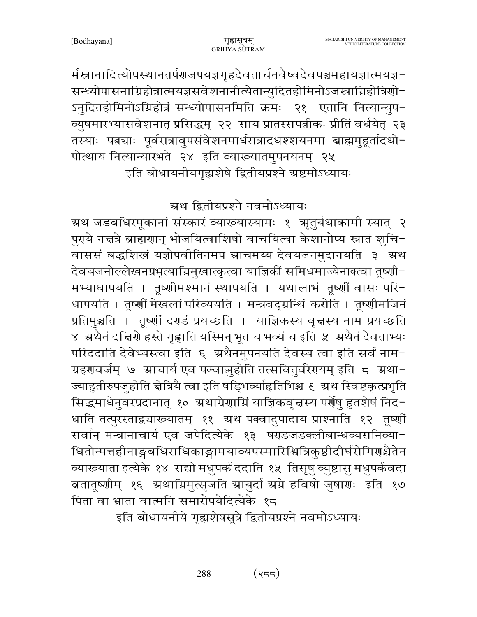र्मस्नानादित्योपस्थानतर्पणजपयज्ञगृहदेवतार्चनवैष्वदेवपञ्चमहायज्ञात्मयज्ञ− सन्ध्योपासनाग्रिहोत्रात्मयज्ञसवेशनानीत्येतान्युदितहोमिनोऽजस्त्राग्निहोत्रिणो-ऽनुदितहोमिनोऽग्निहोत्रं सन्ध्योपासनमिति क्रमः २१ एतानि नित्यान्युप-व्युषमारभ्यासवेशनात् प्रसिद्धम् २२ साय प्रातस्सपत्नीकः प्रीतिं वर्धयेत् २३ तस्याः पत्न्याः पूर्वरात्रावुपसंवेशनमार्धरात्रादधश्शयनमा ब्राह्ममुहूर्तादथो-पोत्थाय नित्यान्यारभते २४ इति व्याख्यातमुपनयनम् २५ इति बोधायनीयगृह्यशेषे द्वितीयप्रश्ने ग्रष्टमोऽध्यायः

ग्रथ द्वितीयप्रश्ने नवमोऽध्यायः

ग्रथ जडबधिरमूकानां संस्कारं व्याख्यास्यामः १ ऋतुर्यथाकामी स्यात् २ पुरये नत्तत्रे ब्राह्मणान् भोजयित्वाशिषो वाचयित्वा केशानोप्य स्नातं शुचि-वाससं बद्धशिखं यज्ञोपवीतिनमप स्राचमय्य देवयजनमुदानयति ३ स्रथ देवयजनोल्लेखनप्रभृत्याग्निमुखात्कृत्वा याज्ञिकीं समिधमाज्येनाक्त्वा तूष्णी-मभ्याधापयति । तृष्णीमश्मानं स्थापयति । यथालाभं तृष्णीं वासः परि-धापयति । तूष्णीं मेखलां परिव्ययति । मन्त्रवद्ग्रन्थिं करोति । तूष्णीमजिनं प्रतिमुञ्चति । तृष्णीं दराडं प्रयच्छति । याज्ञिकस्य वृत्तस्य नाम प्रयच्छति ४ अथैनं दत्तिशे हस्ते गृह्णाति यस्मिन् भूतं च भव्यं च इति ५ अथैनं देवताभ्यः परिददाति देवेभ्यस्त्वा इति ६ अथैनमुपनयति देवस्य त्वा इति सर्वं नाम-ग्रहगावर्जम् ७ म्राचार्य एव पक्वाजुहोति तत्सवितुर्वरेगयम् इति ८ ग्रथा-ज्याहुतीरुपजुहोति चेत्रियै त्वा इति षड्भिव्याहितिभिश्च ६ ग्रथ स्विष्टकृत्प्रभृति सिद्धमाधेनुवरप्रदानात् १० अ्थाग्रेणाग्निं याज्ञिकवृत्तस्य पर्णेषु हुतशेषं निद− धाति तत्पुरस्ताद्व्यारूयातम् ११ अथ पक्वादुपादाय प्राश्नाति १२ तृष्णीं सर्वान् मन्त्रानाचार्य एव जपेदित्येके १३ षराडजडक्लीबान्धव्यसनिव्या-धितोन्मत्तहीनाङ्गबधिराधिकाङ्गामयाव्यपस्मारिश्वित्रिकुष्ठीदीर्घरोगिर्णश्चैतेन व्याख्याता इत्येके १४ सद्यो मधुपर्कं ददाति १५ तिसृषु व्युष्टासु मधुपर्कवदा ब्रतातूष्णीम् १६ ग्रथाग्निमुत्सृजति ग्रायुर्दा ग्रग्ने हविषो जुषागः इति १७ पिता वा भ्राता वात्मनि समारोपयेदित्येके १८

इति बोधायनीये गृह्यशेषसूत्रे द्वितीयप्रश्ने नवमोऽध्यायः

288  $(322)$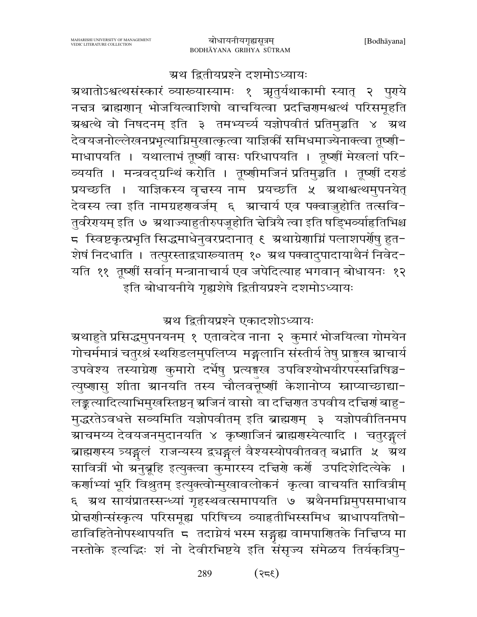#### ग्रथ द्वितीयप्रश्ने दशमोऽध्यायः

ग्रथातोऽश्वत्थसंस्कारं व्याख्यास्यामः १ ऋतुर्यथाकामी स्यात् २ पुराये नद्मत्र ब्राह्मणान् भोजयित्वाशिषो वाचयित्वा प्रदद्मिणमश्वत्थं परिसमूहति ग्रश्वत्थे वो निषदनम् इति ३ तमभ्यर्च्य यज्ञोपवीतं प्रतिमुञ्चति ४ ग्रथ देवयजनोल्लेखनप्रभृत्याग्निमुखात्कृत्वा याज्ञिकीं समिधमाज्येनाक्त्वा तृष्णी-माधापयति । यथालाभं तृष्णीं वासः परिधापयति । तृष्णीं मेखलां परि-व्ययति । मन्त्रवद्ग्रन्थिं करोति । तूष्णीमजिनं प्रतिमुञ्चति । तूष्णीं दराडं प्रयच्छति । याज्ञिकस्य वृत्तस्य नाम प्रयच्छति ५ ग्रथाश्वत्थमुपनयेत् देवस्य त्वा इति नामग्रहणवर्जम् ६ आचार्य एव पक्वाज़ुहोति तत्सवि-तुर्वरेरायम् इति ७ अथाज्याहुतीरुपजूहोति चेत्रियै त्वा इति षड्भिव्याहितिभिश्च ८ स्विष्टकृत्प्रभृति सिद्धमाधेनुवरप्रदानात् ६ अथाग्रेणाग्निं पलाशपर्णेषु हुत− शेषं निदधाति । तत्पुरस्ताद्व्यारूयातम् १० ग्रथ पक्वादुपादायाथैनं निवेद-यति ११ तृष्णीं सर्वान् मन्त्रानाचार्य एव जपेदित्याह भगवान् बोधायनः १२ इति बोधायनीये गृह्यशेषे द्वितीयप्रश्ने दशमोऽध्यायः

ग्रथ द्वितीयप्रश्ने एकादशोऽध्यायः

ग्र्रथाहुते प्रसिद्धमुपनयनम् १ एतावदेव नाना २ कुमारं भोजयित्वा गोमयेन गोचर्ममात्रं चतुरश्रं स्थरिडलमुपलिप्य मङ्गलानि संस्तीर्य तेषु प्राङ्गख स्राचार्य उपवेश्य तस्याग्रेण कुमारो दर्भेषु प्रत्यङ्गस्व उपविश्योभयीरपस्सन्निषिञ्च-त्युष्णासु शीता ग्रानयति तस्य चौलवत्तूर्ष्णी केशानोप्य स्नाप्याच्छाद्या-लङ्कृत्यादित्याभिमुखस्तिष्ठन् स्रजिनं वासो वा दच्चिणत उपवीय दच्चिणं बाहु-मुद्धरतेऽवधत्ते सव्यमिति यज्ञोपवीतम् इति ब्राह्मणम् ३ यज्ञोपवीतिनमप ग्राचमय्य देवयजनमुदानयति ४ कृष्णाजिनं ब्राह्मगस्येत्यादि । चतुरङ्गलं ब्राह्मगस्य त्र्यङ्गुलं राजन्यस्य द्र्यङ्गुलं वैश्यस्योपवीतवत् बध्नाति ५ अथ सावित्रीं भो ग्रनुबूहि इत्युक्त्वा कुमारस्य दच्चिणे कर्णे उपदिशेदित्येके । कर्णाभ्यां भूरि विश्रुतम् इत्युक्त्वोन्मुखावलोकनं कृत्वा वाचयति सावित्रीम् ६ ग्रथ सायंप्रातस्सन्ध्यां गृहस्थवत्समापयति ७ ग्रथैनमग्निमुपसमाधाय प्रोन्नर्णान्संस्कृत्य परिसमूह्य परिषिच्य व्याहृतीभिस्समिध श्राधापयतिषो-ढाविहितेनोपस्थापयति ८ तदाग्नेयं भस्म सङ्गृह्य वामपाणितके निद्मिप्य मा नस्तोके इत्यद्धिः शं नो देवीरभिष्टये इति संसृज्य संमेळय तिर्यक्त्रिपु-

> $(355)$ 289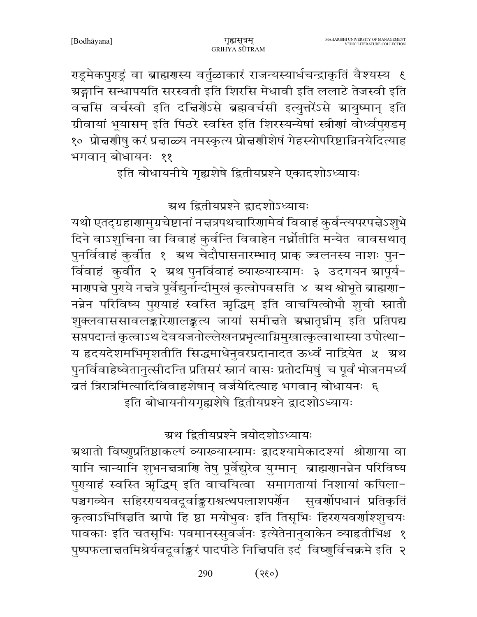राडूमेकपुराडूं वा ब्राह्मगस्य वर्तुळाकारं राजन्यस्यार्धचन्द्राकृतिं वैश्यस्य १ ग्रङ्गानि सन्धापयति सरस्वती इति शिरसि मेधावी इति ललाटे तेजस्वी इति वचसि वर्चस्वी इति दचिर्णेऽसे ब्रह्मवर्चसी इत्युत्तरेंऽसे ग्रायुष्मान् इति ग्रीवायां भूयासम् इति पिठरे स्वस्ति इति शिरस्यन्येषां स्त्रीणां वोर्ध्वपुराडम् १० प्रोन्नर्णाषु करं प्रन्नाळ्य नमस्कृत्य प्रोन्नर्णाशेषं गेहस्योपरिष्टान्निनयेदित्याह भगवान् बोधायनः ११

इति बोधायनीये गृह्यशेषे द्वितीयप्रश्ने एकादशोऽध्यायः

ग्रथ द्वितीयप्रश्ने द्वादशोऽध्यायः

यथो एतद्ग्रहाणामुग्रचेष्टानां नच्नत्रपथचारिणामेवं विवाहं कुर्वन्त्यपरपद्मेऽशुभे दिने वाऽशुचिना वा विवाहं कुर्वन्ति विवाहेन नर्ध्नोतीति मन्येत वावसथात् पुनर्विवाहं कुर्वात १ ग्रथ चेदौपासनारम्भात् प्राक् ज्वलनस्य नाशः पुन-र्विवाहं कुर्वीत २ ग्रथ पुनर्विवाहं व्याख्यास्यामः ३ उदगयन ग्रापूर्य-मारापत्ते पुराये नत्तत्रे पूर्वेद्युर्नान्दीमुखं कृत्वोपवसति ४ अथ श्वोभूते ब्राह्मराा-नन्नेन परिविष्य पुरायाहं स्वस्ति ऋद्धिम् इति वाचयित्वोभौ शुची स्नातौ शुक्लवाससावलङ्कारेणालङ्कत्य जायां समीचते ग्रभ्रातृघ्नीम् इति प्रतिपद्य सप्तपदान्तं कृत्वाऽथ देवयजनोल्लेखनप्रभृत्याग्निमुखात्कृत्वाथास्या उपोत्था-य हृदयदेशमभिमृशतीति सिद्धमाधेनुवरप्रदानादत ऊर्ध्वं नाद्रियेत ५ अथ पुनर्विवाहेष्वेतानुत्सीदन्ति प्रतिसरं स्नानं वासः प्रतोदमिषुं च पूर्वं भोजनमर्ध्यं ब्रतं त्रिरात्रमित्यादिविवाहशेषान् वर्जयेदित्याह भगवान् बोधायनः ६ इति बोधायनीयगृह्यशेषे द्वितीयप्रश्ने द्वादशोऽध्यायः

ग्रथ द्वितीयप्रश्ने त्रयोदशोऽध्यायः

ग्रथातो विष्णुप्रतिष्ठाकल्पं व्याख्यास्यामः द्वादश्यामेकादश्यां श्रोणाया वा यानि चान्यानि शुभनद्मत्राणि तेषु पूर्वेद्युरेव युग्मान् ब्राह्मणानन्नेन परिविष्य पुरायाहं स्वस्ति ऋद्धिम् इति वाचयित्वा समागतायां निशायां कपिला-पञ्चगव्येन सहिररपययवदूर्वाङ्कराश्वत्थपलाशपर्णेन सुवर्णोपधानं प्रतिकृतिं कृत्वाऽभिषिञ्चति स्रापो हि ष्ठा मयोभुवः इति तिसृभिः हिररयवर्णाश्शृचयः पावकाः इति चतसृभिः पवमानस्सुवर्जनः इत्येतेनानुवाकेन व्याहृतीभिश्च १ पुष्पफलाचतमिश्रेर्यवदूर्वाङ्करं पादपीठे निचिपति इदं विष्णुर्विचक्रमे इति २

> $(0.35)$ 290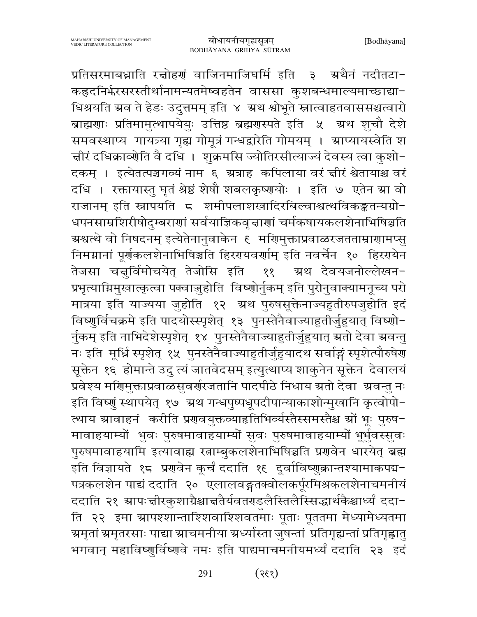प्रतिसरमाबध्नाति रचोहणं वाजिनमाजिघर्मि इति ३ अथैनं नदीतटा− कह्रदनिर्फरसरस्तीर्थानामन्यतमेष्वहतेन वाससा कुशबन्धमाल्यमाच्छाद्या-धिश्रयति ग्रव ते हेडः उदुत्तमम् इति ४ ग्रथ श्वोभूते स्नात्वाहतवाससश्चत्वारो ब्राह्मणाः प्रतिमामुत्थापयेयुः उत्तिष्ठ ब्रह्मणस्पते इति ५ अथ शुचौ देशे समवस्थाप्य गायत्र्या गृह्य गोमूत्रं गन्धद्वारेति गोमयम् । स्राप्यायस्वेति श चीरं दधिक्राव्योति वै दधि । शुक्रमसि ज्योतिरसीत्याज्यं देवस्य त्वा कुशो− दकम् । इत्येतत्पञ्चगव्यं नाम ६ ग्रत्राह कपिलाया वरं चीरं श्वेतायाश्च वरं दधि । रक्तायास्तु घृतं श्रेष्ठं शेषौ शबलकृष्णयोः । इति ७ एतेन स्रा वो राजानम् इति स्नापयति ८ शमीपलाशखादिरबिल्वाश्वत्थविकङ्कतन्यग्रो-धपनसाम्रशिरीषोदुम्बराणां सर्वयाज्ञिकवृत्ताणां चर्मकषायकलशेनाभिषिञ्चति ग्रश्वत्थे वो निषदनम् इत्येतेनानुवाकेन ६ मणिमुक्ताप्रवाळरजतताम्राणामप्स् निमग्नानां पूर्णकलशेनाभिषिञ्चति हिररयवर्णाम् इति नवर्चेन १० हिररयेन तेजसा चन्नुर्विमोचयेत् तेजोसि इति म्रथ देवयजनोल्लेखन− ११ प्रभृत्याग्निमुखात्कृत्वा पक्वाज़ुहोति विष्णोर्नुकम् इति पुरोनुवाक्यामनूच्य परो मात्रया इति याज्यया जुहोति १२ अ्थ पुरुषसूक्तेनाज्यहुतीरुपजुहोति इदं विष्णुर्विचक्रमे इति पादयोस्स्पृशेत् १३ पुनस्तेनैवाज्याहुतीर्जुहुयात् विष्णो-र्नुकम् इति नाभिदेशेस्पृशेत् १४ पुनस्तेनैवाज्याहुतीर्जुहुयात् ग्रतो देवा ग्रवन्तु नः इति मूर्ध्नि स्पृशेत् १५ पुनस्तेनैवाज्याहुतीर्जुहुयादथ सर्वाङ्गं स्पृशेत्पौरुषेण सूक्तेन १६ होमान्ते उदु त्यं जातवेदसम् इत्युत्थाप्य शाकुनेन सूक्तेन देवालयं प्रवेश्य मणिमुक्ताप्रवाळसुवर्णरजतानि पादपीठे निधाय ग्रतो देवा ग्रवन्तु नः इति विष्णुं स्थापयेत् १७ अ्रथ गन्धपुष्पधूपदीपान्याकाशोन्मुखानि कृत्वोपो-त्थाय ग्रावाहनं करीति प्रणवयुक्तव्याहृतिभिर्व्यस्तैस्समस्तैश्च ग्रों भूः पुरुष-मावाहयाम्यों भुवः पुरुषमावाहयाम्यों सुवः पुरुषमावाहयाम्यों भूर्भुवस्सुवः पुरुषमावाहयामि इत्यावाह्य रत्नाम्बुकलशेनाभिषिञ्चति प्रणवेन धारयेत् ब्रह्म इति विज्ञायते १८ प्रगवेन कूर्चं ददाति १६ दूर्वाविष्णुक्रान्तश्यामाकपद्म− पत्रकलशेन पाद्यं ददाति २० एलालवङ्गतक्वोलकर्पूरमिश्रकलशेनाचमनीयं ददाति २१ ग्रापःचीरकुशाग्रैश्चाचतैर्यवतराडलैस्तिलैस्सिद्धार्थकैश्चार्ध्यं ददा− ति २२ इमा ग्रापश्शान्ताश्शिवाश्शिवतमाः पूताः पूततमा मेध्यामेध्यतमा ग्र्मृतां ग्रमृतरसाः पाद्या स्राचमनीया ग्रर्ध्यास्ता जुषन्तां प्रतिगृह्यन्तां प्रतिगृह्णातु भगवान् महाविष्णुर्विष्णुवे नमः इति पाद्यमाचमनीयमर्ध्यं ददाति २३ इदं

> 291  $(335)$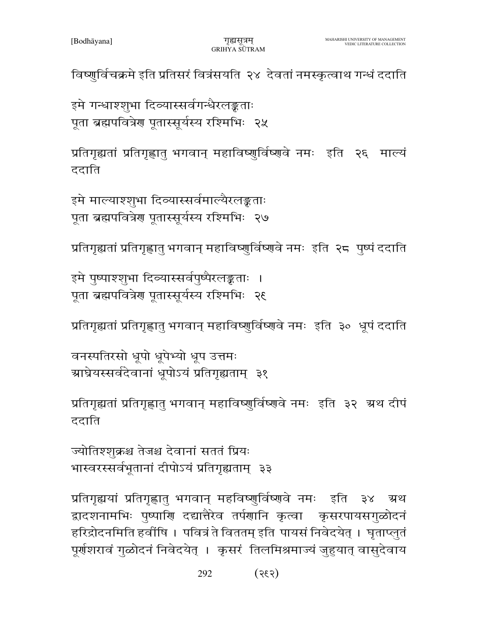विष्णुर्विचक्रमे इति प्रतिसरं वित्रंसयति २४ देवतां नमस्कृत्वाथ गन्धं ददाति

इमे गन्धाश्शुभा दिव्यास्सर्वगन्धैरलङ्कताः पूता ब्रह्मपवित्रेण पूतास्सूर्यस्य रश्मिभिः २५

प्रतिगृह्यतां प्रतिगृह्णातु भगवान् महाविष्णुर्विष्णुवे नमः इति २६ माल्यं ददाति

इमे माल्याश्शूभा दिव्यास्सर्वमाल्यैरलङ्कताः पूता ब्रह्मपवित्रेण पूतास्सूर्यस्य रश्मिभिः २७

प्रतिगृह्यतां प्रतिगृह्णातु भगवान् महाविष्णुर्विष्णवे नमः इति २८ पुष्पं ददाति

इमे पुष्पाश्शुभा दिव्यास्सर्वपुष्पैरलङ्कताः । पूता ब्रह्मपवित्रेण पूतास्सूर्यस्य रश्मिभिः २६

प्रतिगृह्यतां प्रतिगृह्णातु भगवान् महाविष्णुर्विष्णुवे नमः इति ३० धूपं ददाति

वनस्पतिरसो धूपो धूपेभ्यो धूप उत्तमः ग्राघ्रेयस्सर्वदेवानां धूपोऽयं प्रतिगृह्यताम् ३१

प्रतिगृह्यतां प्रतिगृह्णातु भगवान् महाविष्णुर्विष्णुवे नमः इति ३२ अथ दीपं ददाति

ज्योतिश्शुक्रश्च तेजश्च देवानां सततं प्रियः भास्वरस्सर्वभूतानां दीपोऽयं प्रतिगृह्यताम् ३३

प्रतिगृह्ययां प्रतिगृह्णातु भगवान् महविष्णुर्विष्णवे नमः इति ३४ ग्रथ द्वादशनामभिः पुष्पाणि दद्यात्तैरेव तर्पणानि कृत्वा कृसरपायसगुळोदनं हरिद्रोदनमिति हवींषि । पवित्रं ते विततम् इति पायसं निवेदयेत् । घृताप्लुतं पूर्णशरावं गुळोदनं निवेदयेत् । कृसरं तिलमिश्रमाज्यं जुहुयात् वासुदेवाय

> 292  $(535)$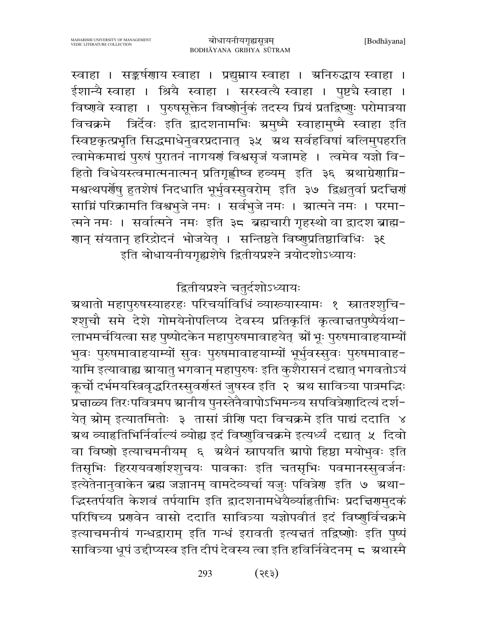लाभमर्चयित्वा सह पुष्पोदकेन महापुरुषमावाहयेत् श्रों भूः पुरुषमावाहयाम्यों भुवः पुरुषमावाहयाम्यों सुवः पुरुषमावाहयाम्यों भूर्भुवस्सुवः पुरुषमावाह-यामि इत्यावाह्य स्रायातु भगवान् महापुरुषः इति कुशैरासनं दद्यात् भगवतोऽयं कूर्चो दर्भमयस्त्रिवृद्धरितस्सुवर्णस्तं जुषस्व इति २ अथ सावित्र्या पात्रमद्भिः प्रेन्नाळ्य तिरःपवित्रमप स्रानीय पुनस्तेनैवापोऽभिमन्त्र्य सपवित्रेणादित्यं दर्श-येत् स्रोम् इत्यातमितोः ३ तासां त्रीणि पदा विचक्रमे इति पाद्यं ददाति ४ ग्रथ व्याहतिभिर्निर्वाल्यं व्योह्य इदं विष्णुविचक्रमे इत्यर्ध्यं दद्यात् ५ दिवो वा विष्णो इत्याचमनीयम् ६ अथैनं स्नापयति ग्रापो हिष्ठा मयोभुवः इति तिसृभिः हिररायवर्णाश्शुचयः पावकाः इति चतसृभिः पवमानस्सुवर्जनः इत्येतेनानुवाकेन ब्रह्म जज्ञानम् वामदेव्यर्चा यजुः पवित्रेण इति ७ ग्रथा-दिस्तर्पयति केशवं तर्पयामि इति द्वादशनामधेयैव्याहितीभिः प्रदत्तिरामुदकं परिषिच्य प्रणवेन वासो ददाति सावित्र्या यज्ञोपवीतं इदं विष्णुर्विचक्रमे इत्याचमनीयं गन्धद्वाराम् इति गन्धं इरावती इत्यज्ञतं तद्विष्णोः इति पुष्पं सावित्र्या धूपं उद्दीप्यस्व इति दीपं देवस्य त्वा इति हविर्निवेदनम् ८ ग्रथास्मै

इति बोधायनीयगृह्यशेषे द्वितीयप्रश्ने त्रयोदशोऽध्यायः

द्वितीयप्रश्ने चतुर्दशोऽध्यायः ग्रथातो महापुरुषस्याहरहः परिचर्याविधिं व्याख्यास्यामः १ स्नातश्शुचि−

श्शूचौ समे देशे गोमयेनोपलिप्य देवस्य प्रतिकृतिं कृत्वाचतपुष्पैर्यथा-

स्वाहा । सङ्कर्षणाय स्वाहा । प्रद्युम्नाय स्वाहा । अनिरुद्धाय स्वाहा । ईशान्यै स्वाहा । श्रियै स्वाहा । सरस्वत्यै स्वाहा । पुष्टचै स्वाहा । विष्णवे स्वाहा । पुरुषसूक्तेन विष्णोर्नुकं तदस्य प्रियं प्रतद्विष्णुः परोमात्रया विचक्रमे त्रिर्देवः इति द्वादशनामभिः ग्रमुष्मै स्वाहामुष्मै स्वाहा इति स्विष्टकृत्प्रभृति सिद्धमाधेनुवरप्रदानात् ३५ अथ सर्वहविषां बलिमुपहरति त्वामेकमाद्यं पुरुषं पुरातनं नागयणं विश्वसृजं यजामहे । त्वमेव यज्ञो वि-हितो विधेयस्त्वमात्मनात्मन् प्रतिगृह्णीष्व हव्यम् इति ३६ ग्रथाग्रेणाग्नि-मश्वत्थपर्योषु हुतशेषं निदधाति भूर्भुवस्सुवरोम् इति ३७ द्विश्चतुर्वा प्रदत्तियां साग्निं परिक्रामति विश्वभुजे नमः । सर्वभुजे नमः । स्रात्मने नमः । परमा-त्मने नमः । सर्वात्मने नमः इति ३८ ब्रह्मचारी गृहस्थो वा द्रादश ब्राह्म-गान् संयतान् हरिद्रोदनं भोजयेत् । सन्तिष्ठते विष्णुप्रतिष्ठाविधिः ३६

293

 $($ 535)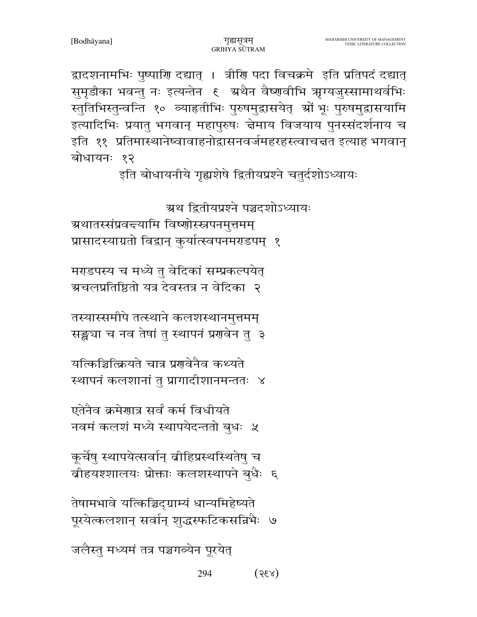294  $(x35)$ 

जलैस्तु मध्यमं तत्र पञ्चगव्येन पूरयेत्

तेषामभावे यत्किञ्चिद्ग्राम्यं धान्यमिहेष्यते पूरयेत्कलशान् सर्वान् शुद्धस्फटिकसन्निभैः ७

कूर्चेषु स्थापयेत्सर्वान् बीहिप्रस्थस्थितेषु च बीहयश्शालयः प्रोक्ताः कलशस्थापने बुधैः ६

एतेनैव क्रमेणात्र सर्वं कर्म विधीयते नवमं कलशं मध्ये स्थापयेदन्ततो बुधः ५

यत्किञ्चित्क्रियते चात्र प्रगवेनैव कथ्यते स्थापनं कलशानां तु प्रागादीशानमन्ततः ४

तस्यास्समीपे तत्स्थाने कलशस्थानमुत्तमम् सङ्ख्या च नव तेषां तु स्थापनं प्रणवेन तु ३

मराडपस्य च मध्ये तु वेदिकां सम्प्रकल्पयेत् ग्रचलप्रतिष्ठितो यत्र देवस्तत्र न वेदिका २

ग्रथातस्संप्रवद्त्यामि विष्णोस्स्नपनमुत्तमम् प्रासादस्याग्रतो विद्वान् कुर्यात्स्वपनमराडपम् १

इति बोधायनीये गृह्यशेषे द्वितीयप्रश्ने चतुर्दशोऽध्यायः

ग्रथ द्वितीयप्रश्ने पञ्चदशोऽध्यायः

द्वादशनामभिः पुष्पाणि दद्यात् । त्रीणि पदा विचक्रमे इति प्रतिपदं दद्यात् सुमृडीका भवन्तु नः इत्यन्तेन १ अथैन वैष्णवीभि ऋग्यजुस्सामाथर्वभिः स्तुतिभिस्तुन्वन्ति १० व्याहृतीभिः पुरुषमुद्वासयेत् श्रों भूः पुरुषमुद्वासयामि इत्यादिभिः प्रयातु भगवान् महापुरुषः चेमाय विजयाय पुनरसंदर्शनाय च इति ११ प्रतिमास्थानेष्वावाहनोद्वासनवर्जमहरहस्त्वाचत्तत इत्याह भगवान् बोधायनः १२

गुह्यसत्रम्

GRIHYA SUTRAM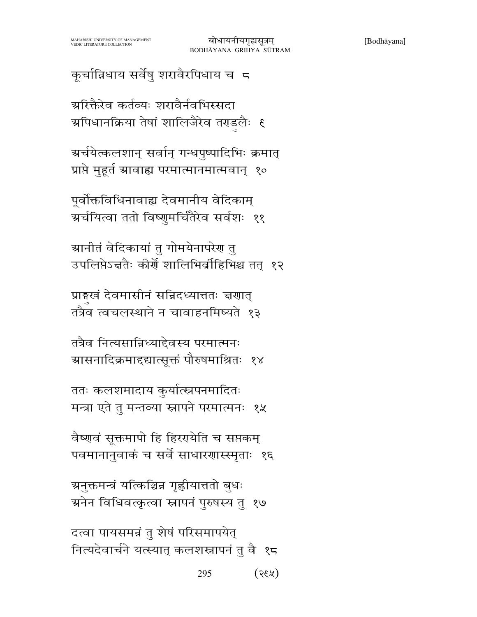कूर्चान्निधाय सर्वेषु शरावैरपिधाय च 5

ग्ररिक्तैरेव कर्तव्यः शरावैर्नवभिस्सदा ग्र्यापधानक्रिया तेषां शालिजैरेव तराडलैः ६

ग्रर्चयेत्कलशान् सर्वान् गन्धपुष्पादिभिः क्रमात् प्राप्ते मुहूर्त स्रावाह्य परमात्मानमात्मवान् १०

पूर्वोक्तविधिनावाह्य देवमानीय वेदिकाम् ग्रर्चयित्वा ततो विष्णुमर्चितैरेव सर्वशः ११

ग्रानीतं वेदिकायां तु गोमयेनापरेग तु उपलिप्तेऽन्नतैः कीर्ये शालिभिर्वीहिभिश्च तत् १२

प्राइखं देवमासीनं सन्निदध्यात्ततः चरणात् तत्रैव त्वचलस्थाने न चावाहनमिष्यते १३

तत्रैव नित्यसान्निध्याद्देवस्य परमात्मनः ञ्चासनादिक्रमादद्यात्सूक्तं पौरुषमाश्रितः १४

ततः कलशमादाय कुर्यात्स्नपनमादितः मन्त्रा एते तु मन्तव्या स्नापने परमात्मनः १५

वैष्णवं सूक्तमापो हि हिररयोति च सप्तकम् पवमानानुवाकं च सर्वे साधारणास्स्मृताः १६

ञ्चनुक्तमन्त्रं यत्किञ्चिन्न गृह्णीयात्ततो बुधः ग्रनेन विधिवत्कृत्वा स्नापनं पुरुषस्य तु १७

दत्वा पायसमन्नं तु शेषं परिसमापयेत् नित्यदेवार्चने यत्स्यात् कलशस्नापनं तु वै १८

> 295  $(x35)$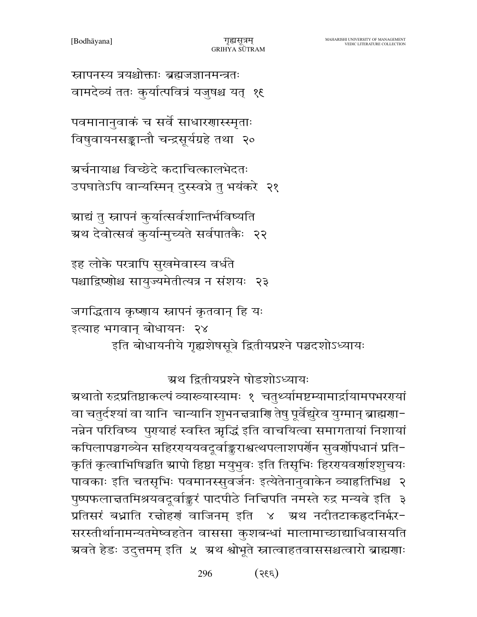296  $(335)$ 

ग्र्यातो रुद्रप्रतिष्ठाकल्पं व्याख्यास्यामः १ चतुर्थ्यामष्टम्यामार्द्रायामपभररायां वा चतुर्दश्यां वा यानि चान्यानि शुभनज्ञत्राणि तेषु पूर्वेद्युरेव युग्मान् ब्राह्मणा− नन्नेन परिविष्य पुरायाहं स्वस्ति ऋद्धिं इति वाचयित्वा समागतायां निशायां कपिलापञ्चगव्येन सहिररययवदूर्वाङ्कराश्वत्थपलाशपर्णेन सुवर्णोपधानं प्रति− कृतिं कृत्वाभिषिञ्चति स्रापो हिष्ठा मयुभुवः इति तिसृभिः हिररयवर्णाश्शुचयः पावकाः इति चतसृभिः पवमानस्सुवर्जनः इत्येतेनानुवाकेन व्याहतिभिश्च २ पुष्पफलाचतमिश्रयवदूर्वाङ्करं पादपीठे निचिपति नमस्ते रुद्र मन्यवे इति ३ प्रतिसरं बध्नाति रचोहणं वाजिनम् इति ४ अ्थ नदीतटाकह्रदनिर्भर-सरस्तीर्थानामन्यतमेष्वहतेन वाससा कुशबन्धां मालामाच्छाद्याधिवासयति ग्रवते हेडः उदुत्तमम् इति ५ ग्रथ श्वोभूते स्नात्वाहतवाससश्चत्वारो ब्राह्मणाः

ग्रथ द्वितीयप्रश्ने षोडशोऽध्यायः

जगद्धिताय कृष्णाय स्नापनं कृतवान् हि यः इत्याह भगवान् बोधायनः २४ इति बोधायनीये गृह्यशेषसूत्रे द्वितीयप्रश्ने पञ्चदशोऽध्यायः

इह लोके परत्रापि सुखमेवास्य वर्धते पश्चाद्रिष्णोश्च सायुज्यमेतीत्यत्र न संशयः २३

ग्राद्यं तु स्नापनं कुर्यात्सर्वशान्तिर्भविष्यति ग्रथ देवोत्सवं कुर्यान्मुच्यते सर्वपातकैः २२

ग्रर्चनायाश्च विच्छेदे कदाचित्कालभेदतः उपघातेऽपि वान्यस्मिन् दुस्स्वप्ने तु भयंकरे २१

पवमानानुवाकं च सर्वे साधारणास्स्मृताः विषुवायनसङ्कान्तौ चन्द्रसूर्यग्रहे तथा २०

स्नापनस्य त्रयश्चोक्ताः ब्रह्मजज्ञानमन्त्रतः वामदेव्यं ततः कुर्यात्पवित्रं यजुषश्च यत् १९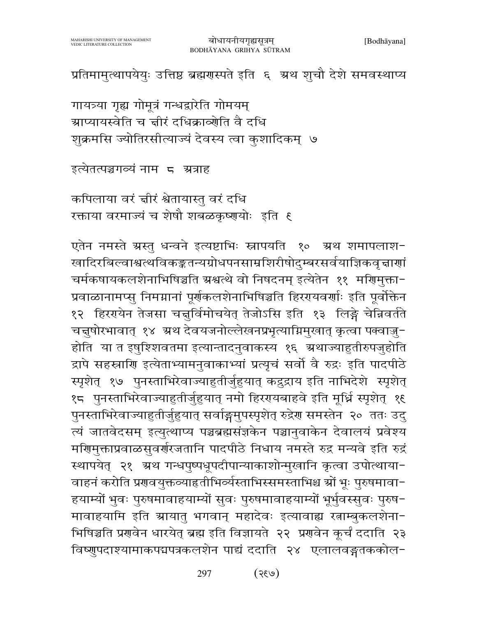प्रतिमामुत्थापयेयुः उत्तिष्ठ ब्रह्मणस्पते इति ६ अथ शुचौ देशे समवस्थाप्य

गायत्र्या गृह्य गोमूत्रं गन्धद्वारेति गोमयम् ग्राप्यायस्वेति च ज्ञीरं दधिक्राव्योति वै दधि शुक्रमसि ज्योतिरसीत्याज्यं देवस्य त्वा कुशादिकम् ७

इत्येतत्पञ्चगव्यं नाम) ८ अत्राह

कपिलाया वरं चीरं श्वेतायास्तु वरं दधि रक्ताया वरमाज्यं च शेषौ शबळकृष्णयोः इति ६

एतेन नमस्ते ग्रस्तु धन्वने इत्यष्टाभिः स्नापयति १० ग्रथ शमापलाश-खादिरबिल्वाश्वत्थविकङ्कतन्यग्रोधपनसाम्रशिरीषोदुम्बरसर्वयाज्ञिकवृत्ताणां चर्मकषायकलशेनाभिषिञ्चति स्रश्वत्थे वो निषदनम् इत्येतेन ११ मणिमुक्ता-प्रवाळानामप्स् निमग्नानां पूर्णकलशेनाभिषिञ्चति हिररयवर्णाः इति पूर्वोक्तेन १२ हिरएयेन तेजसा चत्तुर्विमोचयेत् तेजोऽसि इति १३ लिङ्गे चेन्निवर्तते चन्नुषोरभावात् १४ अ्थ देवयजनोल्लेखनप्रभृत्याग्निमुखात् कृत्वा पक्वाज्जु-होति या त इषुश्शिवतमा इत्यान्तादनुवाकस्य १६ ग्रथाज्याहुतीरुपजुहोति द्रापे सहस्राणि इत्येताभ्यामनुवाकाभ्यां प्रत्यृचं सर्वो वै रुद्रः इति पादपीठे स्पृशेत् १७ पुनस्ताभिरेवाज्याहुतीर्जुहुयात् कद्रुद्राय इति नाभिदेशे स्पृशेत् १८ पुनस्ताभिरेवाज्याहुतीर्जुहुयात् नमो हिररयबाहवे इति मूर्ध्नि स्पृशेत् १६ पुनस्ताभिरेवाज्याहुतीर्जुहुयात् सर्वाङ्गमुपस्पृशेत् रुद्रेण समस्तेन २० ततः उदु त्यं जातवेदसम् इत्युत्थाप्य पञ्चब्रह्मसंज्ञकेन पञ्चानुवाकेन देवालयं प्रवेश्य मणिमुक्ताप्रवाळसुवर्णरजतानि पादपीठे निधाय नमस्ते रुद्र मन्यवे इति रुद्रं स्थापयेत् २१ अ्रथ गन्धपुष्पधूपदीपान्याकाशोन्मुखानि कृत्वा उपोत्थाया-वाहनं करोति प्रगवयुक्तव्याहतीभिर्व्यस्ताभिस्समस्ताभिश्च स्रों भूः पुरुषमावा-हयाम्यों भुवः पुरुषमावाहयाम्यों सुवः पुरुषमावाहयाम्यों भूर्भुवस्सुवः पुरुष-मावाहयामि इति स्रायातु भगवान् महादेवः इत्यावाह्य रत्नाम्बुकलशेना-भिषिञ्चति प्रणवेन धारयेत् ब्रह्म इति विज्ञायते २२ प्रणवेन कूर्चं ददाति २३ विष्णुपदाश्यामाकपद्मपत्रकलशेन पाद्यं ददाति २४ एलालवङ्गतककोल-

> $(\ell\partial\mathcal{S})$ 297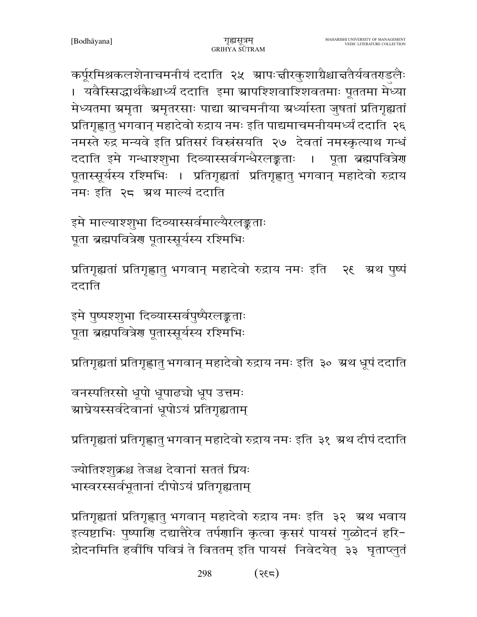कर्पूरमिश्रकलशेनाचमनीयं ददाति २५ स्रापःचीरकुशाग्रैश्चाचतैर्यवतराडलैः । यवैस्सिद्धार्थकैश्चार्ध्यं ददाति इमा ग्रापश्शिवाश्शिवतमाः पूततमा मेध्या मेध्यतमा ग्रमृता अमृतरसाः पाद्या स्राचमनीया अर्ध्यास्ता जुषतां प्रतिगृह्यतां प्रतिगृह्णातु भगवान् महादेवो रुद्राय नमः इति पाद्यमाचमनीयमर्ध्यं ददाति २६ नमस्ते रुद्र मन्यवे इति प्रतिसरं विस्नंसयति २७ देवतां नमस्कृत्याथ गन्धं ददाति इमे गन्धाश्शृभा दिव्यास्सर्वगन्धैरलङ्कताः । पूता ब्रह्मपवित्रेण पूतास्सूर्यस्य रश्मिभिः । प्रतिगृह्यतां प्रतिगृह्णातु भगवान् महादेवो रुद्राय नमः इति २८ अथ माल्यं ददाति

इमे माल्याश्शुभा दिव्यास्सर्वमाल्यैरलङ्कताः पूता ब्रह्मपवित्रेण पूतास्सूर्यस्य रश्मिभिः

प्रतिगृह्यतां प्रतिगृह्णात् भगवान् महादेवो रुद्राय नमः इति । २६ ऋथ पृष्पं ददाति

इमे पुष्पश्शुभा दिव्यास्सर्वपुष्पैरलङ्कताः पूता ब्रह्मपवित्रेण पूतास्सूर्यस्य रश्मिभिः

प्रतिगृह्यतां प्रतिगृह्णातु भगवान् महादेवो रुद्राय नमः इति ३० अ्थ धूपं ददाति

वनस्पतिरसो धूपो धूपाढचो धूप उत्तमः ञ्चाघ्रेयस्सर्वदेवानां धूपोऽयं प्रतिगृह्यताम्

प्रतिगृह्यतां प्रतिगृह्णातु भगवान् महादेवो रुद्राय नमः इति ३१ अ्थ दीपं ददाति

ज्योतिश्शुक्रश्च तेजश्च देवानां सततं प्रियः भास्वरस्सर्वभूतानां दीपोऽयं प्रतिगृह्यताम्

प्रतिगृह्यतां प्रतिगृह्णातु भगवान् महादेवो रुद्राय नमः इति ३२ अथ भवाय इत्यष्टाभिः पुष्पाणि दद्यात्तैरेव तर्पणानि कृत्वा कृसरं पायसं गुळोदनं हरि-द्रोदनमिति हवींषि पवित्रं ते विततम् इति पायसं निवेदयेत् ३३ घृताप्लुतं

> 298  $(735)$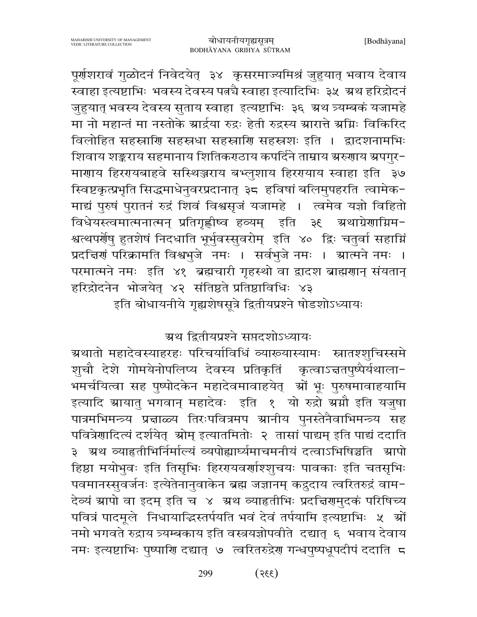पूर्णशरावं गुळोदनं निवेदयेत् ३४ कृसरमाज्यमिश्रं जुहुयात् भवाय देवाय ्<br>स्वाहा इत्यष्टाभिः भवस्य देवस्य पत्नचै स्वाहा इत्यादिभिः ३५ अथ हरिद्रोदनं जुहुयात् भवस्य देवस्य सुताय स्वाहा इत्यष्टाभिः ३६ अथ त्र्यम्बकं यजामहे मा नो महान्तं मा नस्तोके ग्रार्द्रया रुद्रः हेती रुद्रस्य ग्रारात्ते ग्रग्निः विकिरिद विलोहित सहस्राणि सहस्रधा सहस्राणि सहस्रशः इति । द्वादशनामभिः शिवाय शङ्कराय सहमानाय शितिकराठाय कपर्दिने ताम्राय ग्ररुणाय ग्रपगुर-माणाय हिररायबाहवे सस्थिञ्जराय बभ्लुशाय हिररायाय स्वाहा इति ३७ स्विष्टकृत्प्रभृति सिद्धमाधेनुवरप्रदानात् ३८ हविषां बलिमुपहरति त्वामेक-माद्यं पुरुषं पुरातनं रुद्रं शिवं विश्वसृजं यजामहे । त्वमेव यज्ञो विहितो विधेयस्त्वमात्मनात्मन् प्रतिगृह्णीष्व हव्यम् इति ३६ ग्रथाग्रेणाग्निम-श्वत्थपर्योषु हुतशेषं निदधाति भूर्भुवस्सुवरोम् इति ४० द्विः चतुर्वा सहाग्निं प्रदत्तिणं परिक्रामति विश्वभुजे नमः । सर्वभुजे नमः । स्रात्मने नमः । परमात्मने नमः इति ४१ ब्रह्मचारी गृहस्थो वा द्वादश ब्राह्मणान् संयतान् हरिद्रोदनेन भोजयेत् ४२ संतिष्ठते प्रतिष्ठाविधिः ४३

इति बोधायनीये गृह्यशेषसूत्रे द्वितीयप्रश्ने षोडशोऽध्यायः

ग्रथ द्वितीयप्रश्ने सप्तदशोऽध्यायः

ग्रथातो महादेवस्याहरहः परिचर्याविधिं व्याख्यास्यामः स्नातश्शुचिस्समे शूचौ देशे गोमयेनोपलिप्य देवस्य प्रतिकृतिं कृत्वाऽत्ततपुष्पैर्यथाला-भमर्चयित्वा सह पुष्पोदकेन महादेवमावाहयेत् ग्नों भूः पुरुषमावाहयामि इत्यादि स्रायातु भगवान् महादेवः इति १ यो रुद्रो स्रग्नौ इति यजुषा पात्रमभिमन्त्र्य प्रज्ञाळ्य तिरःपवित्रमप स्रानीय पुनस्तेनैवाभिमन्त्र्य सह पवित्रेणादित्यं दर्शयेत् श्रोम् इत्यातमितोः २ तासां पाद्यम् इति पाद्यं ददाति ३ अथ व्याहृतीभिर्निर्माल्यं व्यपोह्यार्घ्यमाचमनीयं दत्वाऽभिषिञ्चति आपो हिष्ठा मयोभुवः इति तिसृभिः हिररायवर्णाश्शुचयः पावकाः इति चतसृभिः पवमानस्सुवर्जनः इत्येतेनानुवाकेन ब्रह्म जज्ञानम् कद्रुदाय त्वरितरुद्रं वाम-देव्यं ग्रापो वा इदम् इति च ४ ग्रथ व्याहतीभिः प्रदत्तिरामुदकं परिषिच्य पवित्रं पादमूले निधायाद्धिस्तर्पयति भवं देवं तर्पयामि इत्यष्टाभिः ५ श्रों नमो भगवते रुद्राय त्र्यम्बकाय इति वस्त्रयज्ञोपवीते दद्यात् ६ भवाय देवाय नमः इत्यष्टाभिः पुष्पाणि दद्यात् ७ त्वरितरुद्रेण गन्धपुष्पधूपदीपं ददाति ८

> $(335)$ 299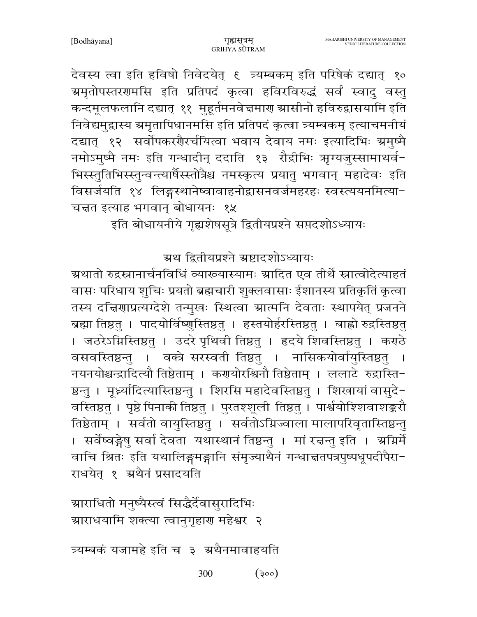देवस्य त्वा इति हविषो निवेदयेत् १ त्र्यम्बकम् इति परिषेकं दद्यात् १० ग्रमृतोपस्तरगमसि इति प्रतिपदं कृत्वा हविरविरुद्धं सर्वं स्वादु वस्तु कन्दमूलफलानि दद्यात् ११ मुहूर्तमनवेच्नमार श्रासीनो हविरुद्वासयामि इति निवेद्यमुद्रास्य ग्रमृतापिधानमसि इति प्रतिपदं कृत्वा त्र्यम्बकम् इत्याचमनीयं दद्यात् १२ सर्वोपकरशैरर्चयित्वा भवाय देवाय नमः इत्यादिभिः ग्रमुष्मै नमोऽमुष्मै नमः इति गन्धादीन् ददाति १३ रौद्रीभिः ऋग्यजुस्सामाथर्व-भिस्स्तुतिभिस्स्तुन्वन्त्यार्षैस्स्तोत्रैश्च नमस्कृत्य प्रयातु भगवान् महादेवः इति विसर्जयति १४ लिङ्गस्थानेष्वावाहनोद्वासनवर्जमहरहः स्वस्त्ययनमित्या-चन्नत इत्याह भगवान् बोधायनः १५

इति बोधायनीये गृह्यशेषसूत्रे द्वितीयप्रश्ने सप्तदशोऽध्यायः

ग्रथ द्वितीयप्रश्ने ग्रष्टादशोऽध्यायः

ग्रथातो रुद्रस्नानार्चनविधिं व्याख्यास्यामः ग्रादित एव तीर्थे स्नात्वोदेत्याहतं वासः परिधाय शुचिः प्रयतो ब्रह्मचारी शुक्लवासाः ईशानस्य प्रतिकृतिं कृत्वा तस्य दचिरणाप्रत्यग्देशे तन्मुखः स्थित्वा ग्रात्मनि देवताः स्थापयेत् प्रजनने ब्रह्मा तिष्ठतु । पादयोर्विष्णुस्तिष्ठतु । हस्तयोर्हरस्तिष्ठतु । बाह्वो रुद्रस्तिष्ठतु । जठरेऽग्निस्तिष्ठतु । उदरे पृथिवी तिष्ठतु । हृदये शिवस्तिष्ठतु । कराठे वसवस्तिष्ठन्तु । वक्त्रे सरस्वती तिष्ठतु । नासिकयोर्वायुस्तिष्ठतु नयनयोश्चन्द्रादित्यौ तिष्ठेताम् । करायोरश्विनौ तिष्ठेताम् । ललाटे रुद्रास्ति-ष्ठन्तु । मूर्ध्न्यादित्यास्तिष्ठन्तु । शिरसि महादेवस्तिष्ठतु । शिखायां वासुदे-वस्तिष्ठतु । पृष्ठे पिनाकी तिष्ठतु । पुरतश्शूली तिष्ठतु । पार्श्वयोश्शिवाशङ्करौ तिष्ठेताम् । सर्वतो वायुस्तिष्ठतु । सर्वतोऽग्निज्वाला मालापरिवृतास्तिष्ठन्तु । सर्वेष्वङ्गेषु सर्वा देवता यथास्थानं तिष्ठन्तु । मां रचन्तु इति । अग्निर्मे वाचि श्रितः इति यथालिङ्गमङ्गानि संमृज्याथैनं गन्धात्ततपत्रपुष्पधूपदीपैरा-राधयेत् १ अथैनं प्रसादयति

ग्राराधितो मनुष्यैस्त्वं सिद्धैर्देवासुरादिभिः ग्राराधयामि शक्त्या त्वानुगृहाण महेश्वर २

त्र्यम्बकं यजामहे इति च ३ अथैनमावाहयति

 $(300)$ 300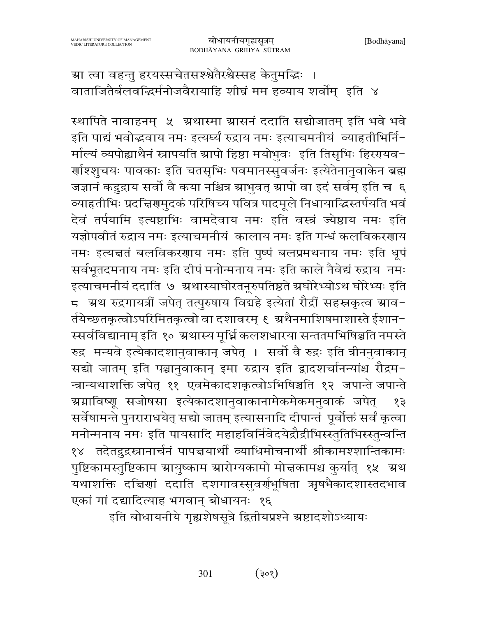ग्रा त्वा वहन्तु हरयस्सचेतसश्श्वेतैरश्वैस्सह केतुमद्भिः । वाताजितैर्बलवद्धिर्मनोजवैरायाहि शीघ्रं मम हव्याय शर्वोम् इति ४

स्थापिते नावाहनम् ५ अथास्मा ग्रासनं ददाति सद्योजातम् इति भवे भवे इति पाद्यं भवोद्धवाय नमः इत्यर्घ्यं रुद्राय नमः इत्याचमनीयं व्याहृतीभिर्नि-र्माल्यं व्यपोह्याथैनं स्नापयति ग्रापो हिष्ठा मयोभुवः इति तिसृभिः हिररयवन-र्णाश्शुचयः पावकाः इति चतसृभिः पवमानस्सुवर्जनः इत्येतेनानुवाकेन ब्रह्म जज्ञानं कद्रुद्राय सर्वो वै कया नश्चित्र ग्राभुवत् ग्रापो वा इदं सर्वम् इति च ६ व्याहृतीभिः प्रदत्तिरामुदकं परिषिच्य पवित्र पादमूले निधायाद्धिस्तर्पयति भवं देवं तर्पयामि इत्यष्टाभिः वामदेवाय नमः इति वस्त्रं ज्येष्ठाय नमः इति यज्ञोपवीतं रुद्राय नमः इत्याचमनीयं कालाय नमः इति गन्धं कलविकरणाय नमः इत्यज्ञतं बलविकरणाय नमः इति पुष्पं बलप्रमथनाय नमः इति धूपं सर्वभूतदमनाय नमः इति दीपं मनोन्मनाय नमः इति काले नैवेद्यं रुद्राय नमः इत्याचमनीयं ददाति ७ ग्रथास्याघोरतनूरुपतिष्ठते ग्रघोरेभ्योऽथ घोरेभ्यः इति ८ अथ रुद्रगायत्रीं जपेत् तत्पुरुषाय विद्यहे इत्येतां रौद्रीं सहस्रकृत्व स्राव− र्तयेच्छतकृत्वोऽपरिमितकृत्वो वा दशावरम् ६ अथैनमाशिषमाशास्ते ईशान-स्सर्वविद्यानाम् इति १० ग्रथास्य मूर्ध्नि कलशधारया सन्ततमभिषिञ्चति नमस्ते रुद्र मन्यवे इत्येकादशानुवाकान् जपेत् । सर्वो वै रुद्रः इति त्रीननुवाकान् सद्यो जातम् इति पञ्चानुवाकान् इमा रुद्राय इति द्वादशर्चानन्यांश्च रौद्रम-न्त्रान्यथाशक्ति जपेत् ११ एवमेकादशकृत्वोऽभिषिञ्चति १२ जपान्ते जपान्ते ग्र्यग्राविष्णू सजोषसा इत्येकादशानुवाकानामेकमेकमनुवाकं जपेत् १३ सर्वेषामन्ते पुनराराधयेत् सद्यो जातम् इत्यासनादि दीपान्तं पूर्वोक्तं सर्वं कृत्वा मनोन्मनाय नमः इति पायसादि महाहविर्निवेदयेद्रौद्रीभिस्स्तुतिभिस्स्तुन्वन्ति १४ तदेतद्रुद्रस्नानार्चनं पापत्तयार्थी व्याधिमोचनार्थी श्रीकामश्शान्तिकामः पुष्टिकामस्तुष्टिकाम स्रायुष्काम स्रारोग्यकामो मोत्तकामश्च कुर्यात् १५ स्रथ यथाशक्ति दचिणां ददाति दशगावस्सुवर्णभूषिता ऋषभैकादशास्तदभाव एकां गां दद्यादित्याह भगवान् बोधायनः १६

इति बोधायनीये गृह्यशेषसूत्रे द्वितीयप्रश्ने ग्रष्टादशोऽध्यायः

301  $(305)$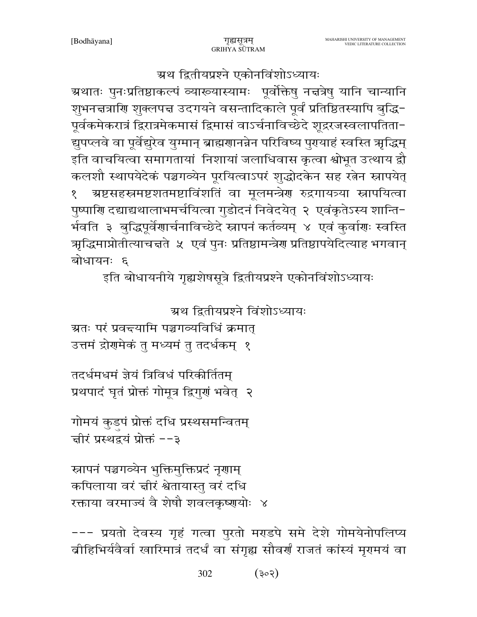--- प्रयतो देवस्य गृहं गत्वा पुरतो मराडपे समे देशे गोमयेनोपलिप्य वीहिभिर्यवैर्वा खारिमात्रं तदर्धं वा संगृह्य सौवर्णं राजतं कांस्यं मृगमयं वा

स्नापनं पञ्चगव्येन भुक्तिमुक्तिप्रदं नृगाम् कपिलाया वरं चीरं श्वेतायास्तु वरं दधि रक्ताया वरमाज्यं वै शेषौ शवलकृष्णयोः ४

गोमयं कुडपं प्रोक्तं दधि प्रस्थसमन्वितम् चीरं प्रस्थद्वयं प्रोक्तं --३

तदर्धमधमं ज्ञेयं त्रिविधं परिकीर्तितम् प्रथपादं घृतं प्रोक्तं गोमूत्र द्विगुणं भवेत् २

ग्रतः परं प्रवद्त्यामि पञ्चगव्यविधिं क्रमात् उत्तमं द्रोगमेकं तु मध्यमं तु तदर्धकम् १

ग्रथातः पुनःप्रतिष्ठाकल्पं व्याख्यास्यामः पूर्वोक्तेषु नत्तत्रेषु यानि चान्यानि शुभनत्तत्राणि शुक्लपत्त उदगयने वसन्तादिकाले पूर्वं प्रतिष्ठितस्यापि बुद्धि-पूर्वकमेकरात्रं द्विरात्रमेकमासं द्विमासं वाऽर्चनाविच्छेदे शूद्ररजस्वलापतिता-द्युपप्लवे वा पूर्वेद्यूरेव युग्मान् ब्राह्मणानन्नेन परिविष्य पुरायाहं स्वस्ति ऋद्धिम् इति वाचयित्वा समागतायां निशायां जलाधिवास कृत्वा श्वोभूत उत्थाय द्वौ कलशौ स्थापयेदेकं पञ्चगव्येन पूरयित्वाऽपरं शुद्धोदकेन सह रत्नेन स्नापयेत् ग्रष्टसहस्रमष्टशतमष्टाविंशतिं वा मूलमन्त्रेण रुद्रगायत्र्या स्नापयित्वा  $\mathbf{S}$ पुष्पाणि दद्याद्यथालाभमर्चयित्वा गुडोदनं निवेदयेत् २ एवंकृतेऽस्य शान्ति-र्भवति ३ बुद्धिपूर्वेणार्चनाविच्छेदे स्नापनं कर्तव्यम् ४ एवं कुर्वाणः स्वस्ति ऋद्धिमाप्नोतीत्याचत्तते ५ एवं पुनः प्रतिष्ठामन्त्रेण प्रतिष्ठापयेदित्याह भगवान् बोधायनः ६ इति बोधायनीये गृह्यशेषसूत्रे द्वितीयप्रश्ने एकोनविंशोऽध्यायः

ग्रथ द्वितीयप्रश्ने विंशोऽध्यायः

### ग्रथ द्वितीयप्रश्ने एकोनविंशोऽध्यायः

गुह्यसत्रम्

GRIHYA SUTRAM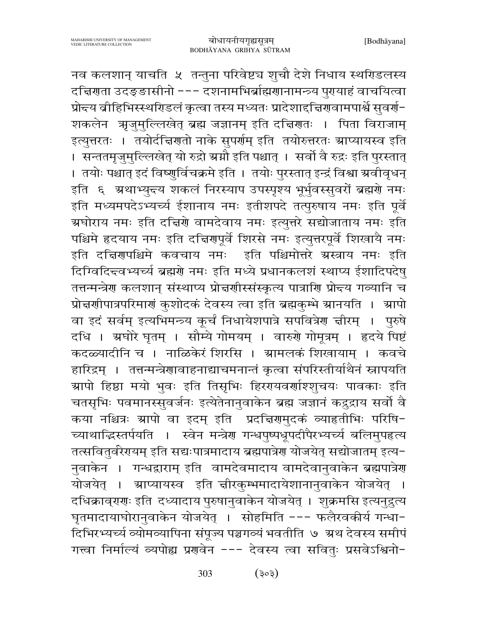नव कलशान् याचति ५ तन्तुना परिवेष्ट्य शुचौ देशे निधाय स्थरिडलस्य दच्चिणता उदङ्ङासीनो --- दशनामभिर्ब्राह्मणानामन्त्र्य पुरायाहं वाचयित्वा प्रोन्दय व्रीहिभिस्स्थरिडलं कृत्वा तस्य मध्यतः प्रादेशाद्दिरणवामपार्श्वे सुवर्ण-शकलेन अञ्जुमुल्लिखेत् ब्रह्म जज्ञानम् इति दच्चिणतः । पिता विराजाम् इत्युत्तरतः । तयोर्दचिरणतो नाके सुपर्राम् इति तयोरुत्तरतः स्राप्यायस्व इति । सन्ततमृज़्मुल्लिखेत् यो रुद्रो ग्रग्नौ इति पश्चात् । सर्वो वै रुद्रः इति पुरस्तात् । तयोः पश्चात् इदं विष्णुर्विचक्रमे इति । तयोः पुरस्तात् इन्द्रं विश्वा ग्रवीवृधन् इति ६ अथाभ्युन्त्य शकलं निरस्याप उपस्पृश्य भूर्भुवस्सुवरों ब्रह्मणे नमः इति मध्यमपदेऽभ्यर्च्य ईशानाय नमः इतीशपदे तत्पुरुषाय नमः इति पूर्वे -<br>ग्रघोराय नमः इति दच्चिणे वामदेवाय नमः इत्युत्तरे सद्योजाताय नमः इति पश्चिमे हृदयाय नमः इति दच्चिरणपूर्वे शिरसे नमः इत्युत्तरपूर्वे शिखायै नमः इति दचिरणपश्चिमे कवचाय नमः इति पश्चिमोत्तरे ग्रस्त्राय नमः इति दिग्विदित्त्वभ्यर्च्य ब्रह्मणे नमः इति मध्ये प्रधानकलशं स्थाप्य ईशादिपदेष् तत्तन्मन्त्रेण कलशान् संस्थाप्य प्रोन्नर्णास्संस्कृत्य पात्राणि प्रोन्दय गव्यानि च प्रोत्तर्णापात्रपरिमाणं कुशोदकं देवस्य त्वा इति ब्रह्मकुम्भे स्रानयति । स्रापो वा इदं सर्वम् इत्यभिमन्त्र्य कुर्चं निधायेशपात्रे सपवित्रेण ज्ञीरम् । पुरुषे दधि । ग्रघोरे घृतम् । सौम्ये गोमयम् । वारुरो गोमूत्रम् । हृदये पिष्टं कदळ्यादीनि च । नाळिकेरं शिरसि । ग्रामलकं शिखायाम् । कवचे हारिद्रम् । तत्तन्मन्त्रेणावाहनाद्याचमनान्तं कृत्वा संपरिस्तीर्याथैनं स्नापयति ग्र्यापो हिष्ठा मयो भुवः इति तिसृभिः हिररायवर्णाश्शृचयः पावकाः इति चतसृभिः पवमानस्सुवर्जनः इत्येतेनानुवाकेन ब्रह्म जज्ञानं कद्रुद्राय सर्वो वै कया नश्चित्रः स्रापो वा इदम् इति प्रदत्तिरामुदकं व्याहतीभिः परिषि-च्याथाद्धिस्तर्पयति । स्वेन मन्त्रेण गन्धपुष्पधूपदीपैरभ्यर्च्य बलिमुपहृत्य तत्सवितुर्वरेरययम् इति सद्यःपात्रमादाय ब्रह्मपात्रेण योजयेत् सद्योजातम् इत्य-नुवाकेन । गन्धद्वाराम् इति वामदेवमादाय वामदेवानुवाकेन ब्रह्मपात्रेण योजयेत् । स्राप्यायस्व इति चीरकुम्भमादायेशानानुवाकेन योजयेत् । दधिक्राव्ग्गः इति दध्यादाय पुरुषानुवाकेन योजयेत् । शुक्रमसि इत्यनुद्रुत्य घृतमादायाघोरानुवाकेन योजयेत् । सोहमिति --- फलैरवकीर्य गन्धा-दिभिरभ्यर्च्य व्योमव्यापिना संपूज्य पञ्चगव्यं भवतीति ७ अ्रथ देवस्य समीपं गत्त्वा निर्माल्यं व्यपोह्य प्रणवेन --- देवस्य त्वा सवितुः प्रसवेऽश्विनो-

> 303  $(505)$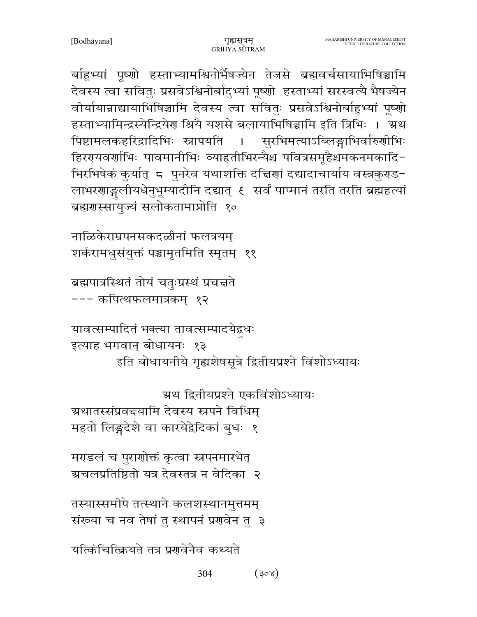र्बाहुभ्यां पूष्णो हस्ताभ्यामश्विनोर्भैषज्येन तेजसे ब्रह्मवर्चसायाभिषिञ्चामि देवस्य त्वा सवितुः प्रसवेऽश्विनोर्बादुभ्यां पूष्णो हस्ताभ्यां सरस्वत्यै भैषज्येन वीर्यायान्नाद्यायाभिषिञ्चामि देवस्य त्वा सवितुः प्रसवेऽश्विनोर्बाहुभ्यां पूष्णो हस्ताभ्यामिन्द्रस्येन्द्रियेण श्रियै यशसे बलायाभिषिञ्चामि इति त्रिभिः । अ्रथ पिष्टामलकहरिद्रादिभिः स्नापयति । सुरभिमत्याऽब्लिङ्गाभिर्वारुणीभिः हिररयवर्णाभिः पावमानीभिः व्याहृतीभिरन्यैश्च पवित्रसमूहैश्चमकनमकादि-भिरभिषेकं कुर्यात् 5 पुनरेव यथाशक्ति दचिणां दद्यादाचार्याय वस्त्रकुराड-लाभरणाङ्गलीयधेनुभूम्यादीनि दद्यात् ६ सर्वं पाप्मानं तरति तरति ब्रह्महत्यां ब्रह्मगस्सायुज्यं सलोकतामाप्नोति १०

नाळिकेराम्रपनसकदळीनां फलत्रयम् शर्करामधुसंयुक्तं पञ्चामृतमिति स्मृतम् ११

ब्रह्मपात्रस्थितं तोयं चतुःप्रस्थं प्रचत्तते --- कपित्थफलमात्रकम् १२

यावत्सम्पादितं भक्त्या तावत्सम्पादयेद्वधः

इत्याह भगवान् बोधायनः १३ इति बोधायनीये गृह्यशेषसूत्रे द्वितीयप्रश्ने विंशोऽध्यायः

ग्रथ द्वितीयप्रश्ने एकविंशोऽध्यायः

ग्रथातस्संप्रवद्त्यामि देवस्य स्नपने विधिम्

महतो लिङ्गदेशे वा कारयेद्वेदिकां बुधः १

मराडलं च पुराणोक्तं कृत्वा स्नपनमारभेत् ग्रचलप्रतिष्ठितो यत्र देवस्तत्र न वेदिका २

तस्यास्समीपे तत्स्थाने कलशस्थानमुत्तमम् संख्या च नव तेषां तु स्थापनं प्रणवेन तु ३

यत्किंचित्क्रियते तत्र प्रगवेनैव कथ्यते

304  $(30x)$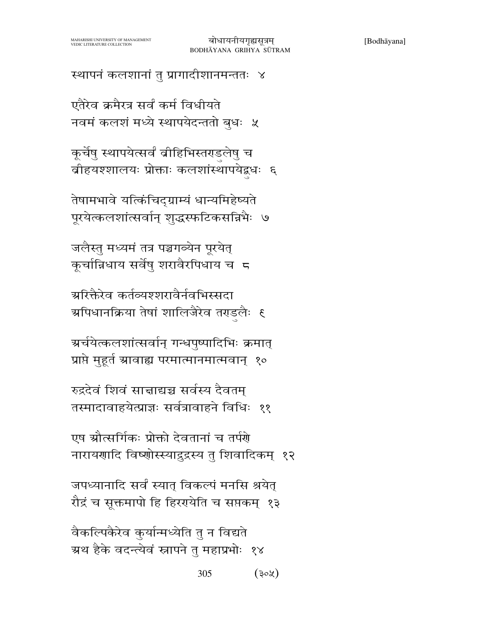स्थापनं कलशानां तु प्रागादीशानमन्ततः ४

एतैरेव क्रमैरत्र सर्वं कर्म विधीयते नवमं कलशं मध्ये स्थापयेदन्ततो बुधः ५

कूर्चेषु स्थापयेत्सर्वं व्रीहिभिस्तराडलेषु च बीहयश्शालयः प्रोक्ताः कलशांस्थापयेद्वधः ६

तेषामभावे यत्किंचिद्ग्राम्यं धान्यमिहेष्यते पूरयेत्कलशांत्सर्वान् शुद्धस्फटिकसन्निभैः ७

जलैस्तु मध्यमं तत्र पञ्चगव्येन पूरयेत् कूर्चान्निधाय सर्वेषु शरावैरपिधाय च 5

ग्ररिक्तैरेव कर्तव्यश्शरावैर्नवभिस्सदा ग्र्यापधानक्रिया तेषां शालिजैरेव तराडुलैः १

ग्रर्चयेत्कलशांत्सर्वान् गन्धपुष्पादिभिः क्रमात् प्राप्ते मुहूर्त ग्रावाह्य परमात्मानमात्मवान् १०

रुद्रदेवं शिवं सान्नाद्यञ्च सर्वस्य दैवतम् तस्मादावाहयेत्प्राज्ञः सर्वत्रावाहने विधिः ११

एष स्रौत्सर्गिकः प्रोक्तो देवतानां च तर्पणे नारायणादि विष्णोस्स्याद्रुद्रस्य तु शिवादिकम् १२

जपध्यानादि सर्वं स्यात् विकल्पं मनसि श्रयेत् रौद्रं च सूक्तमापो हि हिररयोति च सप्तकम् १३

वैकल्पिकैरेव कुर्यान्मध्येति तु न विद्यते ग्रथ हैके वदन्त्येवं स्नापने तु महाप्रभोः १४

> 305  $(30\%)$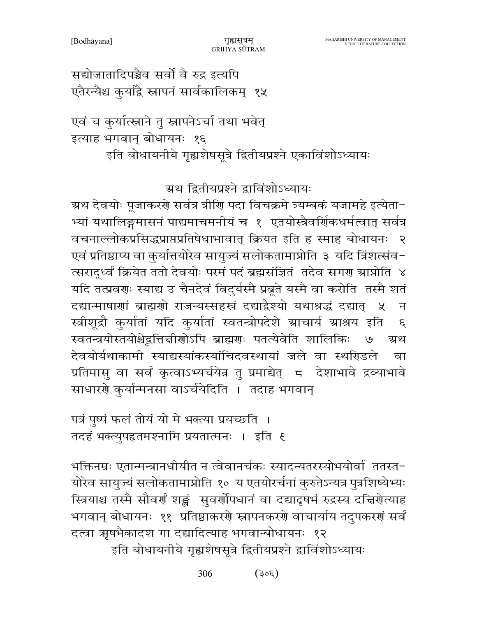सद्योजातादिपञ्चैव सर्वो वै रुद्र इत्यपि एतैरन्यैश्च कुर्याद्वै स्नापनं सार्वकालिकम् १५

एवं च कुर्यात्स्नाने तु स्नापनेऽर्चा तथा भवेत् इत्याह भगवान् बोधायनः १६ इति बोधायनीये गृह्यशेषसूत्रे द्वितीयप्रश्ने एकाविंशोऽध्यायः

ग्रथ द्वितीयप्रश्ने द्वाविंशोऽध्यायः

ग्रथ देवयोः पूजाकरणे सर्वत्र त्रीणि पदा विचक्रमे त्र्यम्बकं यजामहे इत्येता− भ्यां यथालिङ्गमासनं पाद्यमाचमनीयं च १ एतयोस्त्रैवर्णिकधर्मत्वात् सर्वत्र वचनाल्लोकप्रसिद्धप्राप्तप्रतिषेधाभावात् क्रियत इति ह स्माह बोधायनः २ एवं प्रतिष्ठाप्य वा कुर्यात्तयोरेव सायुज्यं सलोकतामाप्नोति ३ यदि त्रिंशत्संव-त्सरादूध्वं क्रियेत ततो देवयोः परमं पदं ब्रह्मसंज्ञितं तदेव सगरा स्राप्नोति ४ यदि तत्प्रवणः स्याद्य उ चैनदेवं विदुर्यस्मै प्रबूते यस्मै वा करोति तस्मै शतं दद्यान्माषाणां ब्राह्मणो राजन्यस्सहस्रं दद्याद्रैश्यो यथाश्रद्धं दद्यात् ५  $\overline{H}$ स्त्रीशूद्रौ कुर्यातां यदि कुर्यातां स्वतन्त्रोपदेशे स्राचार्य स्राश्रय इति  $\mathcal{E}$ स्वतन्त्रयोस्तयोश्चेद्रत्तिज्ञीरणोऽपि ब्राह्मणः पतत्येवेति शालिकिः ग्र्थ देवयोर्यथाकामी स्याद्यस्यांकस्यांचिदवस्थायां जले वा स्थगिडले वा प्रतिमासु वा सर्वं कृत्वाऽभ्यर्चयेन्न तु प्रमाद्येत् ८ देशाभावे द्रव्याभावे साधारणे कुर्यान्मनसा वाऽर्चयेदिति । तदाह भगवान्

पत्रं पुष्पं फलं तोयं यो मे भक्त्या प्रयच्छति । तदहं भक्त्युपहृतमश्नामि प्रयतात्मनः । इति ६

भक्तिनम्रः एतान्मन्त्रानधीयीत न त्वेवानर्चकः स्यादन्यतरस्योभयोर्वा ततस्त-योरेव सायुज्यं सलोकतामाप्नोति १० य एतयोरर्चनां कुरुतेऽन्यत्र पुत्रशिष्येभ्यः स्त्रियाश्च तस्मै सौवर्णं शङ्कं सुवर्णोपधानं वा दद्यादृषभं रुद्रस्य दत्तिरोत्याह भगवान् बोधायनः ११ प्रतिष्ठाकरणे स्नापनकरणे वाचार्याय तदुपकरणं सर्वं दत्वा ऋषभैकादश गा दद्यादित्याह भगवान्बोधायनः १२

इति बोधायनीये गृह्यशेषसूत्रे द्वितीयप्रश्ने द्वाविंशोऽध्यायः

306  $(305)$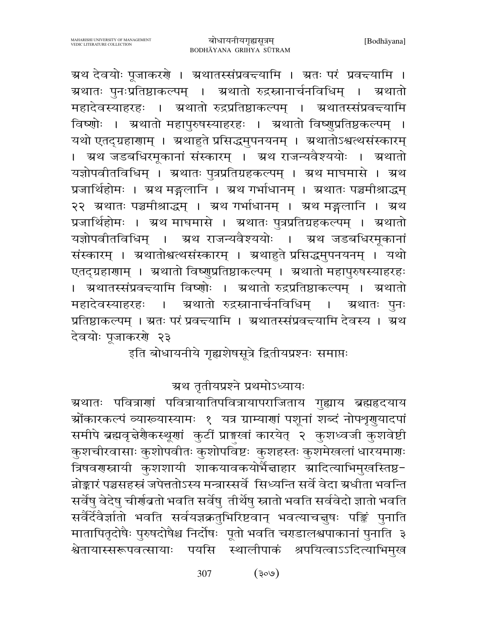ग्रथ देवयोः पूजाकरणे । अथातस्संप्रवच्यामि । अतः परं प्रवच्यामि । ग्रथातः पुनःप्रतिष्ठाकल्पम् । ग्रथातो रुद्रस्नानार्चनविधिम् । ग्रथातो महादेवस्याहरहः । ग्रथातो रुद्रप्रतिष्ठाकल्पम् । ग्रथातस्संप्रवद्त्यामि विष्णोः । अथातो महापुरुषस्याहरहः । अथातो विष्णुप्रतिष्ठकल्पम् । यथो एतद्ग्रहारााम् । अथाहुते प्रसिद्धमुपनयनम् । अथातोऽश्वत्थसंस्कारम् । अ्रथ जडबधिरमूकानां संस्कारम् । अ्रथ राजन्यवैश्ययोः । अ्रथातो यज्ञोपवीतविधिम् । ग्रथातः पुत्रप्रतिग्रहकल्पम् । ग्रथ माघमासे । ग्रथ प्रजार्थिहोमः । ग्रथ मङ्गलानि । ग्रथ गर्भाधानम् । ग्रथातः पञ्चमीश्राद्धम् २२ अथातः पञ्चमीश्राद्धम् । अथ गर्भाधानम् । अथ मङ्गलानि । अथ प्रजार्थिहोमः । ग्रथ माघमासे । ग्रथातः पुत्रप्रतिग्रहकल्पम् । ग्रथातो यज्ञोपवीतविधिम् । ग्रथ राजन्यवैश्ययोः । ग्रथ जडबधिरमूकानां संस्कारम् । ग्रथातोश्वत्थसंस्कारम् । ग्रथाहुते प्रसिद्धमुपनयनम् । यथो एतद्ग्रहाराम् । अ्रथातो विष्णुप्रतिष्ठाकल्पम् । अथातो महापुरुषस्याहरहः । अथातस्संप्रवद्त्यामि विष्णोः । अथातो रुद्रप्रतिष्ठाकल्पम् । अथातो महादेवस्याहरहः । ग्रथातो रुद्रस्नानार्चनविधिम् ग्रथातः पुनः  $\overline{\phantom{0}}$ प्रतिष्ठाकल्पम् । ग्रतः परं प्रवद्त्यामि । अथातस्संप्रवद्त्यामि देवस्य । अ्थ देवयोः पूजाकरणे २३

इति बोधायनीये गृह्यशेषसूत्रे द्वितीयप्रश्नः समाप्तः

## ग्रथ तृतीयप्रश्ने प्रथमोऽध्यायः

ग्र्रथातः पवित्राणां पवित्रायातिपवित्रायापराजिताय गुह्याय ब्रह्महृदयाय ञ्चोंकारकल्पं व्याख्यास्यामः १ यत्र ग्राम्याणां पशूनां शब्दं नोपशृगुयादपां समीपे ब्रह्मवृत्तेरौकस्थूणां कुटीं प्राइखां कारयेत् २ कुशध्वजी कुशवेष्टी कुशचीरवासाः कुशोपवीतः कुशोपविष्टः कुशहस्तः कुशमेखलां धारयमाणः त्रिषवरण्स्नायी कुशशायी शाकयावकयोर्भैद्माहार स्रादित्याभिमुखस्तिष्ठ− न्नोङ्कारं पञ्चसहस्रं जपेत्ततोऽस्य मन्त्रास्सर्वे सिध्यन्ति सर्वे वेदा ग्रधीता भवन्ति सर्वेषु वेदेषु चीर्णवतो भवति सर्वेषु तीर्थेषु स्नातो भवति सर्ववेदो ज्ञातो भवति सर्वैर्देवैर्ज्ञातो भवति सर्वयज्ञक्रतुभिरिष्टवान् भवत्याचचुषः पङ्किं पुनाति मातापितृदोषैः पुरुषदोषैश्च निर्दोषः पूतो भवति चराडालश्वपाकानां पुनाति ३ श्वेतायास्सरूपवत्सायाः पयसि स्थालीपाकं श्रपयित्वाऽऽदित्याभिमुख

> $(\cos)$ 307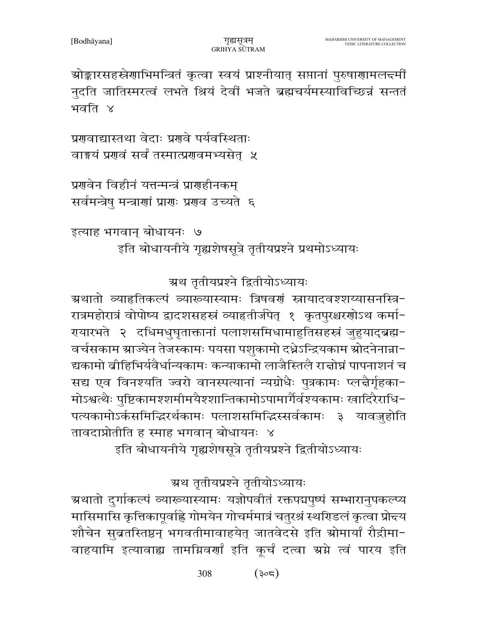ग्रथ तृतीयप्रश्ने तृतीयोऽध्यायः ग्रथातो दुर्गाकल्पं व्याख्यास्यामः यज्ञोपवीतं रक्तपद्मपुष्पं सम्भारानुपकल्प्य मासिमासि कृत्तिकापूर्वाह्ने गोमयेन गोचर्ममात्रं चतुरश्रं स्थरिडलं कृत्वा प्रोन्दय शौचेन सुब्रतस्तिष्ठन् भगवतीमावाहयेत् जातवेदसे इति स्रोमार्यां रौद्रीमा-वाहयामि इत्यावाह्य तामग्निवर्णां इति कूर्चं दत्वा ग्रग्ने त्वं पारय इति

इति बोधायनीये गृह्यशेषसूत्रे तृतीयप्रश्ने द्वितीयोऽध्यायः

रात्रमहोरात्रं वोपोष्य द्वादशसहस्त्रं व्याहृतीर्जपेत् १ कृतपुरश्चरणोऽथ कर्मा-रायारभते २ दधिमधुघृताक्तानां पलाशसमिधामाहुतिसहस्त्रं जुहुयाद्ब्रह्म-वर्चसकाम स्राज्येन तेजस्कामः पयसा पशुकामो दधेऽन्द्रियकाम स्रोदनेनान्ना-द्यकामो ब्रीहिभिर्यवैर्धान्यकामः कन्याकामो लाजैस्तिलै राज्ञोघ्नं पापनाशनं च सद्य एव विनश्यति ज्वरो वानस्पत्यानां न्यग्रोधैः पुत्रकामः प्लत्नैर्गृहका-मोऽश्वत्थैः पुष्टिकामश्शमीमयैश्शान्तिकामोऽपामार्गैर्वश्यकामः खादिरैराधि-पत्यकामोऽर्कसमिद्धिरर्थकामः पलाशसमिद्धिस्सर्वकामः ३ यावजुहोति तावदाप्नोतीति ह स्माह भगवान् बोधायनः ४

ग्रथ तृतीयप्रश्ने द्वितीयोऽध्यायः ग्रथातो व्याहतिकल्पं व्याख्यास्यामः त्रिषवर्णं स्नायादवश्शय्यासनस्त्रि-

इत्याह भगवान् बोधायनः ७ इति बोधायनीये गृह्यशेषसूत्रे तृतीयप्रश्ने प्रथमोऽध्यायः

प्रगुवेन विहीनं यत्तन्मन्त्रं प्रागुहीनकम्

सर्वमन्त्रेषु मन्त्राणां प्राणः प्रणव उच्यते ६

वाङ्मयं प्रशवं सर्वं तस्मात्प्रशवमभ्यसेत ५

प्रगवाद्यास्तथा वेदाः प्रगवे पर्यवस्थिताः

ग्रोङ्कारसहस्रेणाभिमन्त्रितं कृत्वा स्वयं प्राश्नीयात् सप्तानां पुरुषाणामलन्दमीं नुदति जातिस्मरत्वं लभते श्रियं देवीं भजते ब्रह्मचर्यमस्याविच्छिन्नं सन्ततं भवति ४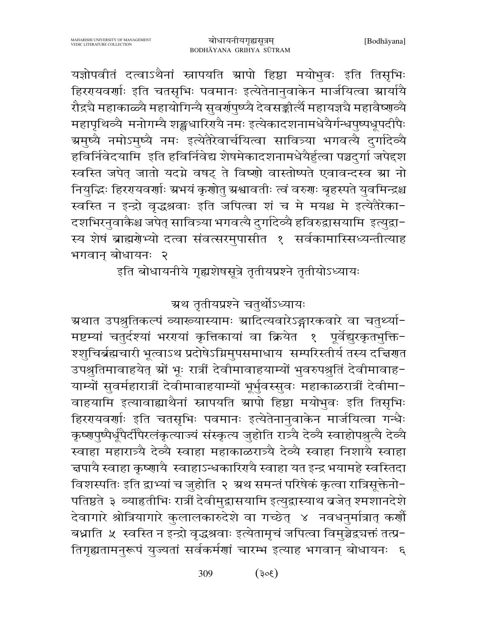च्चपायै स्वाहा कृष्णायै स्वाहाऽन्धकारिरायै स्वाहा यत इन्द्र भयामहे स्वस्तिदा

विशस्पतिः इति द्वाभ्यां च जुहोति २ अथ समन्तं परिषेकं कृत्वा रात्रिसूक्तेनो-

पतिष्ठते ३ व्याहतीभिः रात्रीं देवीमुद्वासयामि इत्युद्वास्याथ व्रजेत् श्मशानदेशे

देवागारे श्रोत्रियागारे कुलालकारुदेशे वा गच्छेत् ४ नवधनुर्मात्रात् कर्णौ

बध्नाति ५ स्वस्ति न इन्द्रो वृद्धश्रवाः इत्येतामृचं जपित्वा विमुञ्चेद्वचक्तं तत्प्र-

तिगृह्यतामनुरूपं युज्यतां सर्वकर्मणां चारम्भ इत्याह भगवान् बोधायनः ६

मष्टम्यां चतुर्दश्यां भरगयां कृत्तिकायां वा क्रियेत १ पूर्वेद्युरकृतभुक्ति-श्शुचिर्ब्रह्मचारी भूत्वाऽथ प्रदोषेऽग्निमुपसमाधाय सम्परिस्तीर्य तस्य दच्चिणत उपश्रुतिमावाहयेत् स्रों भूः रात्रीं देवीमावाहयाम्यों भुवरुपश्रुतिं देवीमावाह-याम्यों सुवर्महारात्रीं देवीमावाहयाम्यों भूर्भुवस्सुवः महाकाळरात्रीं देवीमा-वाहयामि इत्यावाह्याथैनां स्नापयति स्रापो हिष्ठा मयोभूवः इति तिसृभिः हिररयवर्णाः इति चतसृभिः पवमानः इत्येतेनानुवाकेन मार्जयित्वा गन्धैः कृष्णपुष्पैर्धूपैर्दीपैरलंकृत्याज्यं संस्कृत्य जुहोति रात्र्यै देव्यै स्वाहोपश्रुत्यै देव्यै स्वाहा महारात्र्यै देव्यै स्वाहा महाकाळरात्र्यै देव्यै स्वाहा निशायै स्वाहा

रौद्रचै महाकाळ्यै महायोगिन्यै सुवर्र्णपुष्प्यै देवसङ्कीर्त्यै महायज्ञचै महावैष्णव्यै महापृथिव्यै मनोगम्यै शङ्खधारिरायै नमः इत्येकादशनामधेयैर्गन्धपूष्पधूपदीपैः ग्रमुष्यै नमोऽमुष्यै नमः इत्येतैरेवार्चयित्वा सावित्र्या भगवत्यै दुर्गादेव्यै हविर्निवेदयामि इति हविर्निवेद्य शेषमेकादशनामधेयैर्हुत्वा पञ्चदुर्गा जपेद्दश स्वस्ति जपेत् जातो यदग्ने वषट् ते विष्णो वास्तोष्पते एवावन्दस्व म्रा नो नियुद्धिः हिररायवर्णाः ग्रभयं कृणोतु ग्रश्वावतीः त्वं वरुणः बृहस्पते युवमिन्द्रश्च स्वस्ति न इन्द्रो वृद्धश्रवाः इति जपित्वा शं च मे मयश्च मे इत्येतैरेका-दशभिरनुवाकैश्च जपेत् सावित्र्या भगवत्यै दुर्गादेव्यै हविरुद्वासयामि इत्युद्वा-स्य शेषं ब्राह्मणेभ्यो दत्वा संवत्सरमुपासीत १ सर्वकामास्सिध्यन्तीत्याह भगवान बोधायनः २ इति बोधायनीये गृह्यशेषसूत्रे तृतीयप्रश्ने तृतीयोऽध्यायः

ग्रथ तृतीयप्रश्ने चतुर्थोऽध्यायः

ग्रथात उपश्रुतिकल्पं व्याख्यास्यामः स्रादित्यवारेऽङ्गारकवारे वा चतुर्थ्या-

MAHARISHI UNIVERSITY OF MANAGEMENT बोधायनीयगृह्यसूत्रम् VEDIC LITERATURE COLLECTION BODHĀYANA GRIHYA SŪTRAM यज्ञोपवीतं दत्वाऽथैनां स्नापयति स्रापो हिष्ठा मयोभुवः इति तिसृभिः हिररयवर्णाः इति चतसृभिः पवमानः इत्येतेनानुवाकेन मार्जयित्वा स्रार्यायै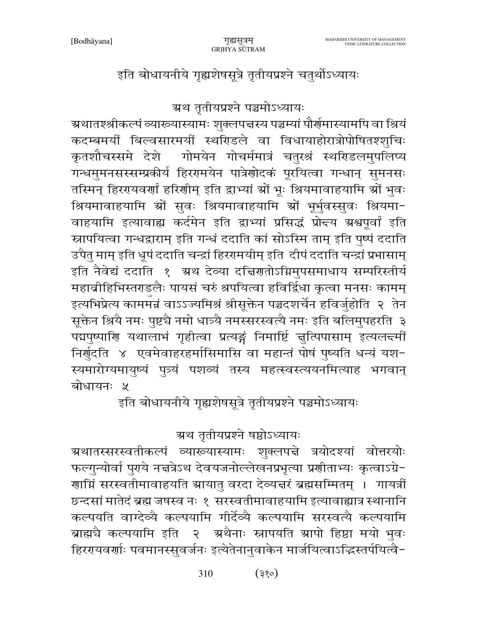ग्रथ तृतीयप्रश्ने षष्ठोऽध्यायः ग्रथातस्सरस्वतीकल्पं व्याख्यास्यामः शुक्लपद्ते त्रयोदश्यां वोत्तरयोः फल्गुन्योर्वा पुरये नद्मत्रेऽथ देवयजनोल्लेखनप्रभृत्या प्रशीताभ्यः कृत्वाऽग्रे-णाग्निं सरस्वतीमावाहयति स्रायातु वरदा देव्यज्ञरं ब्रह्मसम्मितम् । गायत्रीं छन्दसां मातेदं ब्रह्म जषस्व नः १ सरस्वतीमावाहयामि इत्यावाह्यात्र स्थानानि कल्पयति वाग्देव्यै कल्पयामि गीर्देव्यै कल्पयामि सरस्वत्यै कल्पयामि ब्राह्मचै कल्पयामि इति २ अथैनाः स्नापयति स्रापो हिष्ठा मयो भुवः हिररयवर्णाः पवमानस्सुवर्जनः इत्येतेनानुवाकेन मार्जयित्वाऽद्भिस्तर्पयित्वै-

ग्र्रथातश्श्रीकल्पं व्याख्यास्यामः शुक्लपत्तस्य पञ्चम्यां पौर्णमास्यामपि वा श्रियं कदम्बमर्यी बिल्वसारमर्यी स्थरिडले वा विधायाहोरात्रोपोषितश्शुचिः कृतशौचस्समे देशे गोमयेन गोचर्ममात्रं चतुरश्रं स्थरिडलमुपलिप्य गन्धमुमनसस्सम्प्रकीर्य हिररामयेन पात्रेणोदकं पूरयित्वा गन्धान् सुमनसः तस्मिन् हिररयवर्णां हरिणीम् इति द्वाभ्यां श्रों भूः श्रियमावाहयामि श्रों भुवः श्रियमावाहयामि स्रों सुवः श्रियमावाहयामि स्रों भूर्भुवस्सुवः श्रियमा− वाहयामि इत्यावाह्य कर्दमेन इति द्वाभ्यां प्रसिद्धं प्रो<del>द</del>य ग्रश्वपूर्वां इति स्नापयित्वा गन्धद्वाराम् इति गन्धं ददाति कां सोऽस्मि ताम् इति पुष्पं ददाति उपैतु माम् इति धूपं ददाति चन्द्रां हिररमयीम् इति दीपं ददाति चन्द्रां प्रभासाम् इति नैवेद्यं ददाति १ अथ देव्या दच्चिणतोऽग्निमुपसमाधाय सम्परिस्तीर्य महाव्रीहिभिस्तराडलैः पायसं चरुं श्रपयित्वा हविर्द्विधा कृत्वा मनसः कामम् इत्यभिप्रेत्य काममंत्रं वाऽऽज्यमिश्रं श्रीसूक्तेन पञ्चदशर्चेन हविर्जुहोति २ तेन सूक्तेन श्रियै नमः पुष्टचै नमो धात्र्यै नमस्सरस्वत्यै नमः इति बलिमुपहरति ३ पद्मपुष्पाणि यथालाभं गृहीत्वा प्रत्यङ्गं निमार्ष्टि चुत्पिपासाम् इत्यलन्दमीं निर्गुदति ४ एवमेवाहरहर्मासिमासि वा महान्तं पोषं पुष्यति धन्यं यश-स्यमारोग्यमायुष्यं पुत्र्यं पशव्यं तस्य महत्स्वस्त्ययनमित्याह भगवान् बोधायनः *५* इति बोधायनीये गृह्यशेषसूत्रे तृतीयप्रश्ने पञ्चमोऽध्यायः

इति बोधायनीये गृह्यशेषसूत्रे तृतीयप्रश्ने चतुर्थोऽध्यायः

ग्रथ तृतीयप्रश्ने पञ्चमोऽध्यायः

310

 $(35)$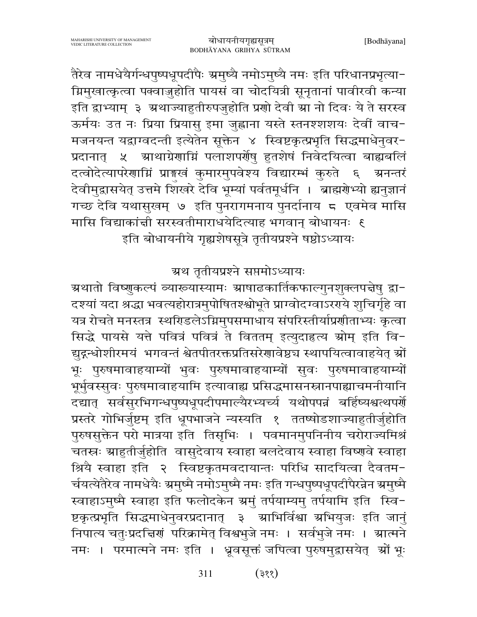तैरेव नामधेयैर्गन्धपुष्पधूपदीपैः ग्रमुष्यै नमोऽमुष्यै नमः इति परिधानप्रभृत्या-ग्निमुखात्कृत्वा पक्वाज़ुहोति पायसं वा चोदयित्री सूनृतानां पावीरवी कन्या इति द्वाभ्याम् ३ अथाज्याहुतीरुपजुहोति प्रणो देवी ग्रा नो दिवः ये ते सरस्व ऊर्मयः उत नः प्रिया प्रियासु इमा जुह्वाना यस्ते स्तनश्शशयः देवीं वाच-मजनयन्त यद्वाग्वदन्ती इत्येतेन सूक्तेन ४ स्विष्टकृत्प्रभृति सिद्धमाधेनुवर-प्रदानात् ५ स्राथाग्रेणाम्निं पलाशपर्णेषु हुतशेषं निवेदयित्वा बाह्यबलिं दत्वोदेत्यापरेणाम्निं प्राङ्गस्वं कुमारमुपवेश्य विद्यारम्भं कुरुते ६ अनन्तरं देवीमुद्रासयेत् उत्तमे शिखरे देवि भूम्यां पर्वतमूर्धनि । ब्राह्मरोभ्यो ह्यनुज्ञानं गच्छ देवि यथासुखम् ७ इति पुनरागमनाय पुनर्दानाय ८ एवमेव मासि मासि विद्याकांची सरस्वतीमाराधयेदित्याह भगवान् बोधायनः १ इति बोधायनीये गृह्यशेषसूत्रे तृतीयप्रश्ने षष्ठोऽध्यायः

ग्रथ तृतीयप्रश्ने सप्तमोऽध्यायः

ग्रथातो विष्णुकल्पं व्याख्यास्यामः ग्राषाढकार्तिकफाल्गुनशुक्लपत्तेषु द्वा-दश्यां यदा श्रद्धा भवत्यहोरात्रमुपोषितश्श्वोभूते प्राग्वोदग्वाऽरगये शुचिर्गृहे वा यत्र रोचते मनस्तत्र स्थरिडलेऽग्निमुपसमाधाय संपरिस्तीर्याप्रणीताभ्यः कृत्वा सिद्धे पायसे यत्ते पवित्रं पवित्रं ते विततम् इत्युदाहृत्य स्रोम् इति वि-द्युद्गम्धीरमयं भगवन्तं श्वेतपीतरक्तप्रतिसरेणावेष्ठच स्थापयित्वावाहयेत् स्रों भूः पुरुषमावाहयाम्यों भुवः पुरुषमावाहयाम्यों सुवः पुरुषमावाहयाम्य<mark>ो</mark>ं भूर्भुवस्सुवः पुरुषमावाहयामि इत्यावाह्य प्रसिद्धमासनस्नानपाह्याचमनीयानि दद्यात् सर्वसुरभिगन्धपुष्पधूपदीपमाल्यैरभ्यच्यं यथोपपन्नं बर्हिष्यश्वत्थपर्णे प्रस्तरे गोभिर्जुष्टम् इति धूपभाजने न्यस्यति १ ततष्षोडशाज्याहुतीर्जुहोति पुरुषसुक्तेन परो मात्रया इति तिसृभिः । पवमानमुपनिनीय चरोराज्यमिश्रं चतस्रः ग्राहुतीर्जुहोति वासुदेवाय स्वाहा बलदेवाय स्वाहा विष्णुवे स्वाहा श्रियै स्वाहा इति २ स्विष्टकृतमवदायान्तः परिधि सादयित्वा दैवतम-र्चयत्येतैरेव नामधेयैः ग्रमुष्मै नमोऽमुष्मै नमः इति गन्धपुष्पधूपदीपैरन्नेन ग्रमुष्मै स्वाहाऽमुष्मै स्वाहा इति फलोदकेन ग्रमुं तर्पयाम्यमु तर्पयामि इति स्वि-ष्टकृत्प्रभृति सिद्धमाधेनुवरप्रदानात् ३ ग्राभिर्विश्वा ग्रभियुजः इति जानुं निपात्य चतुःप्रदच्चिणं परिक्रामेत् विश्वभुजे नमः । सर्वभुजे नमः । स्रात्मने नमः । परमात्मने नमः इति । ध्रूवसूक्तं जपित्वा पुरुषमुद्रासयेत् श्रों भूः

> $(385)$ 311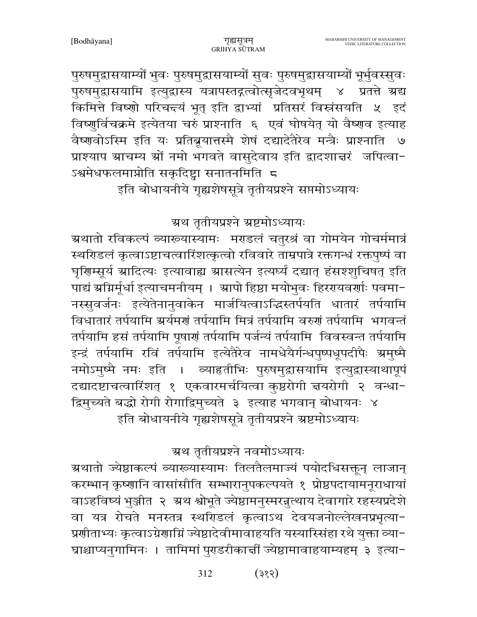पुरुषमुद्रासयाम्यों भुवः पुरुषमुद्रासयाम्यों सुवः पुरुषमुद्रासयाम्यों भूर्भुवस्सुवः पुरुषमुद्रासयामि इत्युद्रास्य यत्रापस्तद्गत्वोत्सृजेदवभृथम् ४ प्रतत्ते ग्रद्य किमित्ते विष्णो परिचन्दयं भूत् इति द्वाभ्यां प्रतिसरं विस्नंसयति ५ इदं विष्णुर्विचक्रमे इत्येतया चरुं प्राश्नाति ६ एवं घोषयेत् यो वैष्णव इत्याह वैष्णवोऽस्मि इति यः प्रतिब्रूयात्तस्मै शेषं दद्यादेतैरेव मन्त्रैः प्राश्नाति ७ प्राश्याप स्राचम्य स्रों नमो भगवते वासुदेवाय इति द्वादशाचरं जपित्वा-ऽश्वमेधफलमाप्नोति सकृदिष्ट्वा सनातनमिति 5

इति बोधायनीये गृह्यशेषसूत्रे तृतीयप्रश्ने सप्तमोऽध्यायः

ग्रथ तृतीयप्रश्ने ग्रष्टमोऽध्यायः

ग्रथातो रविकल्पं व्याख्यास्यामः मराडलं चतुरश्रं वा गोमयेन गोचर्ममात्रं स्थरिडलं कृत्वाऽष्टाचत्वारिंशत्कृत्वो रविवारे ताम्रपात्रे रक्तगन्धं रक्तपुष्पं वा घृणिम्सूर्य ग्रादित्यः इत्यावाह्य ग्रासत्येन इत्यर्घ्यं दद्यात् हंसश्शुचिषत् इति पाद्यं स्रम्भिर्पूर्धा इत्याचमनीयम् । स्रापो हिष्ठा मयोभुवः हिररायवर्णाः पवमा-नस्सुवर्जनः इत्येतेनानुवाकेन मार्जयित्वाऽद्धिस्तर्पयति धातारं तर्पयामि विधातारं तर्पयामि अर्यमणं तर्पयामि मित्रं तर्पयामि वरुणं तर्पयामि भगवन्तं तर्पयामि हसं तर्पयामि पूषाणं तर्पयामि पर्जन्यं तर्पयामि विवस्वन्त तर्पयामि इन्द्रं तर्पयामि रविं तर्पयामि इत्येतैरेव नामधेयैर्गन्धपुष्पधूपदीपैः ग्रमुष्मै नमोऽमुष्मै नमः इति । व्याहृतीभिः पुरुषमुद्वासयामि इत्युद्वास्याथापूपं दद्यादष्टाचत्वारिंशत् १ एकवारमर्चयित्वा कुष्ठरोगी न्नयरोगी २ वन्धा-द्विमुच्यते बद्धो रोगी रोगाद्विमुच्यते ३ इत्याह भगवान् बोधायनः ४ इति बोधायनीये गृह्यशेषसूत्रे तृतीयप्रश्ने ग्रष्टमोऽध्यायः

ग्रथ तृतीयप्रश्ने नवमोऽध्यायः

ग्रथातो ज्येष्ठाकल्पं व्याख्यास्यामः तिलतैलमाज्यं पयोदधिसक्तून् लाजान् करम्भान् कृष्णानि वासांसीति सम्भारानुपकल्पयते १ प्रोष्ठपदायामनूराधायां वाऽहविष्यं भुञ्जीत २ अ्थ श्वोभूते ज्येष्ठामनुस्मरन्नुत्थाय देवागारे रहस्यप्रदेशे वा यत्र रोचते मनस्तत्र स्थरिडलं कृत्वाऽथ देवयजनोल्लेखनप्रभृत्या-प्रशीताभ्यः कृत्वाऽग्रेशाग्निं ज्येष्ठादेवीमावाहयति यस्यास्सिंहा रथे युक्ता व्या-घ्राश्चाप्यनुगामिनः । तामिमां पुराडरीकार्त्ती ज्येष्ठामावाहयाम्यहम् ३ इत्या−

> 312  $(35)$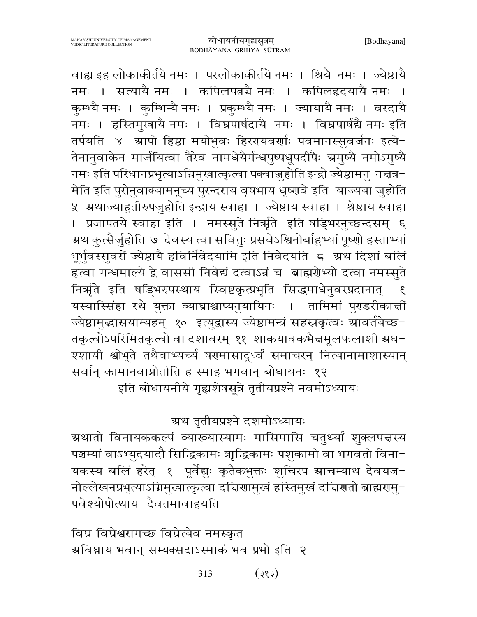वाह्य इह लोकाकीर्तये नमः । परलोकाकीर्तये नमः । श्रियै नमः । ज्येष्ठायै नमः । सत्यायै नमः । कपिलपत्नचै नमः । कपिलहृदयायै नमः । कुम्भ्यै नमः । कुम्भिन्यै नमः । प्रकुम्भ्यै नमः । ज्यायायै नमः । वरदायै नमः । हस्तिमुखायै नमः । विघ्नपार्षदायै नमः । विघ्नपार्षद्यै नमः इति तर्पयति ४ स्रापो हिष्ठा मयोभुवः हिररायवर्णाः पवमानस्सुवर्जनः इत्ये-तेनानुवाकेन मार्जयित्वा तैरेव नामधेयैर्गन्धपुष्पधूपदीपैः ग्रमुष्यै नमोऽमुष्यै नमः इति परिधानप्रभृत्याऽग्निमुखात्कृत्वा पक्वाज़ुहोति इन्द्रो ज्येष्ठामनु नज्ञत्र-मेति इति पुरोनुवाक्यामनूच्य पुरन्दराय वृषभाय धृष्णवे इति याज्यया जुहोति ५ अथाज्याहुतीरुपजुहोति इन्द्राय स्वाहा । ज्येष्ठाय स्वाहा । श्रेष्ठाय स्वाहा । प्रजापतये स्वाहा इति । नमस्सुते निर्ऋाते इति षड्भिरनुच्छन्दसम् ६ ग्रथ कुत्सैर्जुहोति ७ देवस्य त्वा सवितुः प्रसवेऽश्विनोर्बाहुभ्यां पूष्णो हस्ताभ्यां भूर्भुवस्सुवरों ज्येष्ठायै हविर्निवेदयामि इति निवेदयति 5 अ्रथ दिशां बलिं हत्वा गन्धमाल्ये द्वे वाससी निवेद्यं दत्वाऽन्नं च) ब्राह्मर्णभ्यो दत्वा नमस्सुते निर्ऋते इति षड्भिरुपस्थाय स्विष्टकृत्प्रभृति सिद्धमाधेनुवरप्रदानात् यस्यास्सिंहा रथे युक्ता व्याघ्राश्चाप्यनुयायिनः । तामिमां पुराडरीकार्त्ती ज्येष्ठामुद्धासयाम्यहम् १० इत्युद्वास्य ज्येष्ठामन्त्रं सहस्रकृत्वः म्रावर्तयेच्छ-तकृत्वोऽपरिमितकृत्वो वा दशावरम् ११ शाकयावकभैज्ञमूलफलाशी ग्रध-श्शायी श्वोभूते तथैवाभ्यर्च्य षरमासादूर्ध्वं समाचरन् नित्यानामाशास्यान् सर्वान् कामानवाप्नोतीति ह स्माह भगवान् बोधायनः १२ इति बोधायनीये गृह्यशेषसूत्रे तृतीयप्रश्ने नवमोऽध्यायः

# ग्रथ तृतीयप्रश्ने दशमोऽध्यायः

ग्रथातो विनायककल्पं व्याख्यास्यामः मासिमासि चतुर्थ्यां शुक्लपत्तस्य पञ्चम्यां वाऽभ्युदयादौ सिद्धिकामः ऋद्धिकामः पशुकामो वा भगवतो विना-यकस्य बलिं हरेत् १ पूर्वेद्युः कृतैकभुक्तः शुचिरप स्राचम्याथ देवयज-नोल्लेखनप्रभृत्याऽग्निमुखात्कृत्वा दच्चिणामुखं हस्तिमुखं दच्चिणतो ब्राह्मणमु-पवेश्योपोत्थाय दैवतमावाहयति

विघ्न विघ्नेश्वरागच्छ विघ्नेत्येव नमस्कृत ग्रविघ्नाय भवान् सम्यक्सदाऽस्माकं भव प्रभो इति २

> 313  $($ 383)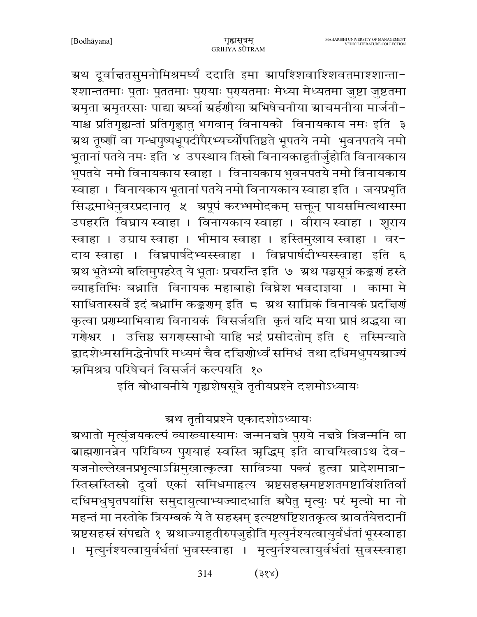ग्रथ दूर्वाचतसुमनोमिश्रमर्घ्यं ददाति इमा ग्रापश्शिवाश्शिवतमाश्शान्ता− श्शान्ततमाः पूताः पूततमाः पुरायाः पुरायतमाः मेध्या मेध्यतमा जुष्टा जुष्टतमा ग्रमृता ग्रमृतरसाः पाद्या ग्रर्घ्या ग्रर्हणीया ग्रभिषेचनीया ग्राचमनीया मार्जनी− याश्च प्रतिगृह्यन्तां प्रतिगृह्णातु भगवान् विनायको विनायकाय नमः इति ३ ग्र्य तूष्णीं वा गन्धपुष्पधूपदीपैरभ्यच्योपतिष्ठते भूपतये नमो भुवनपतये नमो भूतानां पतये नमः इति ४ उपस्थाय तिस्रो विनायकाहुतीर्जुहोति विनायकाय भूपतये नमो विनायकाय स्वाहा । विनायकाय भुवनपतये नमो विनायकाय स्वाहा । विनायकाय भूतानां पतये नमो विनायकाय स्वाहा इति । जयप्रभृति सिद्धमाधेनुवरप्रदानात् ५ अपूपं करभ्भमोदकम् सक्तून् पायसमित्यथास्मा उपहरति विघ्नाय स्वाहा । विनायकाय स्वाहा । वीराय स्वाहा । शूराय स्वाहा । उग्राय स्वाहा । भीमाय स्वाहा । हस्तिमुखाय स्वाहा । वर-दाय स्वाहा । विघ्नपार्षदेभ्यस्स्वाहा । विघ्नपार्षदीभ्यस्स्वाहा इति ६ ग्र्रथ भूतेभ्यो बलिमुपहरेत् ये भूताः प्रचरन्ति इति ७ अ्रथ पञ्चसूत्रं कङ्कर्णं हस्ते व्याहतिभिः बध्नाति विनायक महाबाहो विघ्नेश भवदाज्ञया । कामा मे साधितास्सर्वे इदं बध्नामि कङ्करणम् इति 5 अथ साम्रिकं विनायकं प्रदत्तिर्ण कृत्वा प्रगम्याभिवाद्य विनायकं विसर्जयति कृतं यदि मया प्राप्तं श्रद्धया वा गरोश्वर । उत्तिष्ठ सगरास्साधो याहि भद्रं प्रसीदतोम् इति ६ तस्मिन्याते द्वादशेध्मसमिद्धेनोपरि मध्यमं चैव दत्त्विणोर्ध्वं समिधं तथा दधिमधुपयञ्चाज्यं स्नमिश्रच परिषेचनं विसर्जनं कल्पयति १० इति बोधायनीये गृह्यशेषसूत्रे तृतीयप्रश्ने दशमोऽध्यायः

ग्रथ तृतीयप्रश्ने एकादशोऽध्यायः

ग्र्रथातो मृत्युंजयकल्पं व्याख्यास्यामः जन्मनत्तत्रे पुराये नत्तत्रे त्रिजन्मनि वा बाह्मणानन्नेन परिविष्य पुरायाहं स्वस्ति ऋद्धिम् इति वाचयित्वाऽथ देव-यजनोल्लेखनप्रभृत्याऽग्निमुखात्कृत्वा सावित्र्या पक्वं हुत्वा प्रादेशमात्रा-स्तिस्रस्तिस्रो दूर्वा एकां समिधमाहत्य ग्रष्टसहस्रमष्टशतमष्टाविंशतिर्वा दधिमधुघृतपयांसि समुदायुत्याभ्यज्यादधाति श्रपैतु मृत्युः परं मृत्यो मा नो महन्तं मा नस्तोके त्रियम्बकं ये ते सहस्रम् इत्यष्टषष्टिशतकृत्व स्रावर्तयेत्तदानीं ग्रष्टसहस्रं संपद्यते १ ग्रथाज्याहुतीरुपजुहोति मृत्युर्नश्यत्वायुर्वर्धतां भूस्स्वाहा । मृत्युर्नश्यत्वायुर्वर्धतां भुवस्स्वाहा । मृत्युर्नश्यत्वायुर्वर्धतां सुवस्स्वाहा

> $(38x)$ 314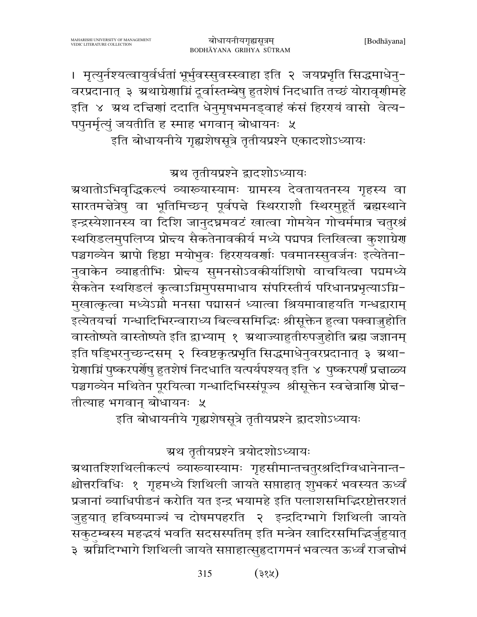। मृत्युर्नश्यत्वायुर्वर्धतां भूर्भुवस्सुवस्स्वाहा इति २ जयप्रभृति सिद्धमाधेनु− वरप्रदानात् ३ अथाग्रेणाम्निं दूर्वास्तम्बेषु हुतशेषं निदधाति तच्छं योरावृणीमहे इति ४ ग्रथ दत्तिणां ददाति धेनुमृषभमनड्वाहं कंसं हिरएयं वासो वेत्य-पपुनर्मृत्युं जयतीति ह स्माह भगवान् बोधायनः ५ इति बोधायनीये गृह्यशेषसूत्रे तृतीयप्रश्ने एकादशोऽध्यायः

ग्रथ तृतीयप्रश्ने द्वादशोऽध्यायः

ग्रथातोऽभिवृद्धिकल्पं व्याख्यास्यामः ग्रामस्य देवतायतनस्य गृहस्य वा सारतमन्नेत्रेषु वा भूतिमिच्छन् पूर्वपन्ने स्थिरराशौ स्थिरमुहूर्ते ब्रह्मस्थाने इन्द्रस्येशानस्य वा दिशि जानुदघ्नमवटं खात्वा गोमयेन गोचर्ममात्र चतुरश्रं स्थरिडलमुपलिप्य प्रोन्दय सैकतेनावकीर्य मध्ये पद्मपत्र लिखित्वा कुशाग्रेर पञ्चगव्येन ग्रापो हिष्ठा मयोभुवः हिररयवर्णाः पवमानस्सुवर्जनः इत्येतेना-नवाकेन व्याहतीभिः प्रोन्दय सुमनसोऽवकीर्याशिषो वाचयित्वा पद्ममध्ये सैकतेन स्थरिडलं कृत्वाऽग्निमुपसमाधाय संपरिस्तीर्य परिधानप्रभृत्याऽग्नि-मुखात्कृत्वा मध्येऽग्नौ मनसा पद्मासनं ध्यात्वा श्रियमावाहयति गन्धद्वाराम् इत्येतयर्चा गन्धादिभिरन्वाराध्य बिल्वसमिद्धिः श्रीसूक्तेन हुत्वा पक्वाज़ुहोति वास्तोष्पते वास्तोष्पते इति द्वाभ्याम् १ अ्थाज्याहुतीरुपजुहोति ब्रह्म जज्ञानम् इति षड्भिरनुच्छन्दसम् २ स्विष्टकृत्प्रभृति सिद्धमाधेनुवरप्रदानात् ३ ग्रथा-ग्रेणाम्निं पुष्करपर्णेषु हुतशेषं निदधाति यत्पर्यपश्यत् इति ४ पुष्करपर्णं प्रचाळ्य पञ्चगव्येन मथितेन पूरयित्वा गन्धादिभिस्संपूज्य श्रीसूक्तेन स्वचेत्राणि प्रोच्च-तीत्याह भगवान बोधायनः ५

इति बोधायनीये गृह्यशेषसूत्रे तृतीयप्रश्ने द्वादशोऽध्यायः

ग्रथ तृतीयप्रश्ने त्रयोदशोऽध्यायः

ग्रथातश्शिथिलीकल्पं व्याख्यास्यामः गृहसीमान्तचतुरश्रदिग्विधानेनान्त− श्चोत्तरविधिः १ गृहमध्ये शिथिली जायते सप्ताहात् शुभकरं भवस्यत ऊर्ध्वं प्रजानां व्याधिपीडनं करोति यत इन्द्र भयामहे इति पलाशसमिद्धिरष्टोत्तरशतं जुहुयात् हविष्यमाज्यं च दोषमपहरति २ इन्द्रदिग्भागे शिथिली जायते सकुटम्बस्य महद्भयं भवति सदसस्पतिम् इति मन्त्रेन खादिरसमिद्भिर्जुहुयात् ३) ग्रॉमदिग्भागे शिथिली जायते सप्ताहात्सुहृदागमनं भवत्यत ऊर्ध्वं राजचोभं

> 315  $(38\%)$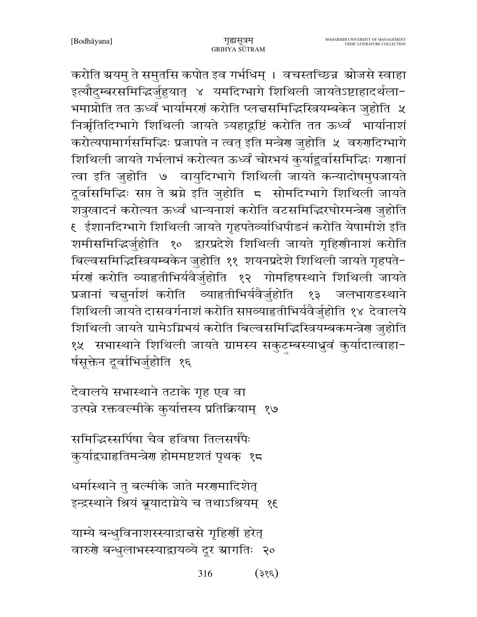करोति ग्रयम् ते समुतसि कपोत इव गर्भधिम् । वचस्तच्छिन्न श्रोजसे स्वाहा इत्यौदुम्बरसमिद्भिर्जुहुयात् ४ यमदिग्भागे शिथिली जायतेऽष्टाहादर्थला-भमाप्नोति तत ऊर्ध्वं भार्यामरणं करोति प्लचसमिद्धिस्त्रियम्बकेन जुहोति ५ निर्म्भतिदिग्भागे शिथिली जायते त्र्यहाद्रष्टिं करोति तत ऊर्ध्वं भार्यानाशं करोत्यपामार्गसमिद्धिः प्रजापते न त्वत् इति मन्त्रेण जुहोति ५ वरुणदिग्भागे शिथिली जायते गर्भलाभं करोत्यत ऊर्ध्वं चोरभयं कुर्याहूर्वासमिद्धिः गणानां त्वा इति जुहोति ७ वायुदिग्भागे शिथिली जायते कन्यादोषमुपजायते दूर्वासमिद्धिः सप्त ते स्रग्ने इति जुहोति 5 सोमदिग्भागे शिथिली जायते शत्रुखादनं करोत्यत ऊर्ध्वं धान्यनाशं करोति वटसमिद्धिरघोरमन्त्रेण जुहोति ६ ईशानदिग्भागे शिथिली जायते गृहपतेर्व्याधिपीडनं करोति येषामीशे इति शमीसमिद्धिर्जुहोति १० द्वारप्रदेशे शिथिली जायते गृहिणीनाशं करोति बिल्वसमिद्धिस्त्रियम्बकेन जुहोति ११ शयनप्रदेशे शिथिली जायते गृहपते-र्मरणं करोति व्याहृतीभिर्यवैर्जुहोति १२ गोमहिषस्थाने शिथिली जायते प्रजानां चत्तुर्नाशं करोति व्याहृतीभिर्यवैर्जुहोति  $59$ जलभाराडस्थाने शिथिली जायते दासवर्गनाशं करोति सप्तव्याहतीभिर्यवैर्जुहोति १४ देवालये शिथिली जायते ग्रामेऽग्निभयं करोति बिल्वसमिद्धिस्त्रियम्बकमन्त्रेण जुहोति १५ सभास्थाने शिथिली जायते ग्रामस्य सकुटम्बस्याध्रुवं कुर्यादात्वाहा-र्षसूक्तेन दूर्वाभिर्जुहोति १६

देवालये सभास्थाने तटाके गृह एव वा उत्पन्ने रक्तवल्मीके कुर्यात्तस्य प्रतिक्रियाम् १७

समिद्धिस्सर्पिषा चैव हविषा तिलसर्षपैः कुर्याद्व्याहृतिमन्त्रेण होममष्टशतं पृथक् १८

धर्मास्थाने तु बल्मीके जाते मरणमादिशेत् इन्द्रस्थाने श्रियं ब्रूयादाग्नेये च तथाऽश्रियम् १६

याम्ये बन्धुविनाशस्स्याद्राचसे गृहिर्णी हरेत् वारुणे बन्धुलाभस्स्याद्वायव्ये दूर स्रागतिः २०

> 316  $(3\epsilon)$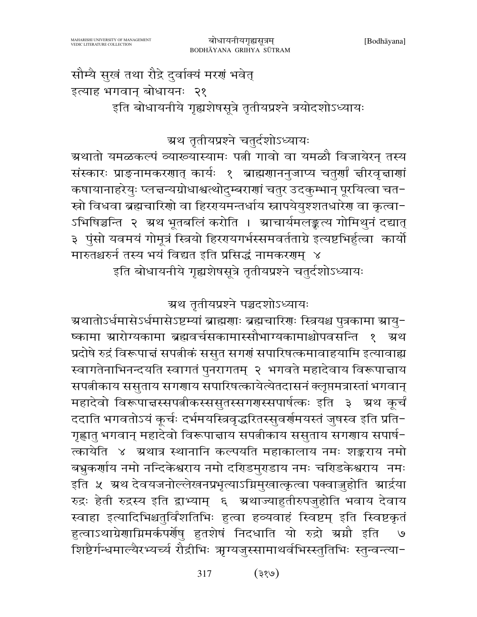प्रदोषे रुद्रं विरूपाचं सपत्नीकं ससुत सगर्ग सपारिषत्कमावाहयामि इत्यावाह्य स्वागतेनाभिनन्दयति स्वागतं पुनरागतम् २ भगवते महादेवाय विरूपान्नाय सपत्नीकाय ससुताय सगणाय सपारिषत्कायेत्येतदासनं क्लृप्तमत्रास्तां भगवान् महादेवो विरूपाचस्सपत्नीकस्ससुतस्सगरास्सपार्षत्कः इति ३ अथ कर्चं ददाति भगवतोऽयं कूर्चः दर्भमयस्त्रिवृद्धरितस्सुवर्णमयस्तं जुषस्व इति प्रति− गृह्णातु भगवान् महादेवो विरूपाचाय सपत्नीकाय ससुताय सगणाय सपार्ष-त्कायेति ४ अथात्र स्थानानि कल्पयति महाकालाय नमः शङ्कराय नमो बभुकर्णाय नमो नन्दिकेश्वराय नमो दरिडिमुराडाय नमः चरिडकेश्वराय नमः इति ५ अ्थ देवयजनोल्लेखनप्रभृत्याऽग्निमुखात्कृत्वा पक्वाजुहोति आर्द्रया रुद्रः हेती रुद्रस्य इति द्वाभ्याम् ६ अ्थाज्याहुतीरुपजुहोति भवाय देवाय स्वाहा इत्यादिभिश्चतुर्विंशतिभिः हुत्वा हव्यवाहं स्विष्टम् इति स्विष्टकृतं हुत्वाऽथाग्रेणाग्निमर्कपर्णेषु हुतशेषं निदधाति यो रुद्रो स्रमौ इति शिष्टैर्गन्धमाल्यैरभ्यर्च्य रौद्रीभिः ऋग्यजुस्सामाथर्वभिस्स्तुतिभिः स्तुन्वन्त्या-

इति बोधायनीये गृह्यशेषसूत्रे तृतीयप्रश्ने चतुर्दशोऽध्यायः

ग्रथ तृतीयप्रश्ने पञ्चदशोऽध्यायः

ग्रथातोऽर्धमासेऽर्धमासेऽष्टम्यां ब्राह्मणाः ब्रह्मचारिणः स्त्रियश्च पुत्रकामा ग्रायु−

ष्कामा स्रारोग्यकामा ब्रह्मवर्चसकामास्सौभाग्यकामाश्चोपवसन्ति १

ग्रथ तृतीयप्रश्ने चतुर्दशोऽध्यायः ग्र्रथातो यमळकल्पं व्याख्यास्यामः पत्नी गावो वा यमळौ विजायेरन् तस्य संस्कारः प्राङ्नामकरणात् कार्यः १ ब्राह्मणाननुजाप्य चतुर्णां चीरवृचाणां कषायानाहरेयुः प्लचन्यग्रोधाश्वत्थोदुम्बराणां चतुर उदकुम्भान् पूरयित्वा चत-स्रो विधवा ब्रह्मचारिणो वा हिररायमन्तर्धाय स्नापयेयुश्शतधारेण वा कृत्वा-ऽभिषिञ्चन्ति २ अ्थ भूतबलिं करोति । स्राचार्यमलङ्कृत्य गोमिथुनं दद्यात् ३ पुंसो यवमयं गोमूत्रं स्त्रियो हिररायगर्भस्समवर्तताग्रे इत्यष्टभिर्हुत्वा कार्यो मारुतश्चरुर्न तस्य भयं विद्यत इति प्रसिद्धं नामकरणम् ४

सौम्यै सुखं तथा रौद्रे दुर्वाक्यं मरणं भवेत् इत्याह भगवान् बोधायनः २१ इति बोधायनीये गृह्यशेषसूत्रे तृतीयप्रश्ने त्रयोदशोऽध्यायः

ग्रथ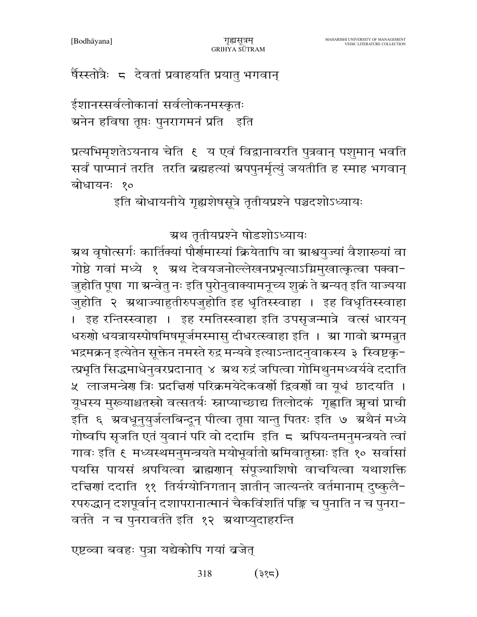### र्षैस्स्तोत्रैः ८ देवतां प्रवाहयति प्रयातु भगवान्

ईशानस्सर्वलोकानां सर्वलोकनमस्कृतः ञ्चनेन हविषा तृप्तः पुनरागमनं प्रति इति

प्रत्यभिमृशतेऽयनाय चेति ६ य एवं विद्वानावरति पुत्रवान् पशुमान् भवति सर्वं पाप्मानं तरति) तरति ब्रह्महत्यां ग्रपपुनर्मृत्युं जयतीति ह स्माह भगवान् बोधायनः १०

इति बोधायनीये गृह्यशेषसूत्रे तृतीयप्रश्ने पञ्चदशोऽध्यायः

ग्रथ तृतीयप्रश्ने षोडशोऽध्यायः

ग्र्रथ वृषोत्सर्गः कार्तिक्यां पौर्णमास्यां क्रियेतापि वा ग्राश्वयुज्यां वैशाख्यां वा गोष्ठे गवां मध्ये १ अथ देवयजनोल्लेखनप्रभृत्याऽग्निमुखात्कृत्वा पक्वा-जुहोति पूषा गा ग्रन्वेतु नः इति पुरोनुवाक्यामनूच्य शुक्रं ते ग्रन्यत् इति याज्यया जुहोति २ ग्रथाज्याहुतीरुपजुहोति इह धृतिस्स्वाहा । इह विधृतिस्स्वाहा । इह रन्तिस्स्वाहा । इह रमतिस्स्वाहा इति उपसृजन्मात्रे वर्त्स धारयन् धरुणो धयत्रायस्पोषमिषमूर्जमस्मासु दीधरत्स्वाहा इति । स्रा गावो स्रग्मन्नत भद्रमक्रन् इत्येतेन सूक्तेन नमस्ते रुद्र मन्यवे इत्याऽन्तादनुवाकस्य ३ स्विष्टकृ-त्प्रभृति सिद्धमाधेनुवरप्रदानात् ४ अ्थ रुद्रं जपित्वा गोमिथुनमध्वर्यवे ददाति ५ लाजमन्त्रेण त्रिः प्रदत्तिणं परिक्रमयेदेकवर्णो द्विवर्णो वा यूधं छादयति । यूधस्य मुख्याश्चतस्रो वत्सतर्यः स्नाप्याच्छाद्य तिलोदकं गृह्णाति ऋचां प्राची इति ६ ग्रवधूनुयुर्जलबिन्दून् पीत्वा तृप्ता यान्तु पितरः इति ७ ग्रथैनं मध्ये गोष्वपि सृजति एतं युवानं परि वो ददामि इति ८ अपियन्तमनुमन्त्रयते त्वां गावः इति ६ मध्यस्थमनुमन्त्रयते मयोभूर्वातो ग्रमिवातूस्नाः इति १० सर्वासां पयसि पायसं श्रपयित्वा ब्राह्मणान् संपूज्याशिषो वाचयित्वा यथाशक्ति दच्चिणां ददाति ११ तिर्यग्योनिगतान् ज्ञातीन् जात्यन्तरे वर्तमानाम् दुष्कुलै-रपरुद्धान् दशपूर्वान् दशापरानात्मानं चैकविंशतिं पङ्कि च पुनाति न च पुनरा− वर्तते न च पुनरावर्तते इति १२ अथाप्युदाहरन्ति

एष्टव्वा बवहः पुत्रा यद्येकोपि गयां व्रजेत्

318 (३१८)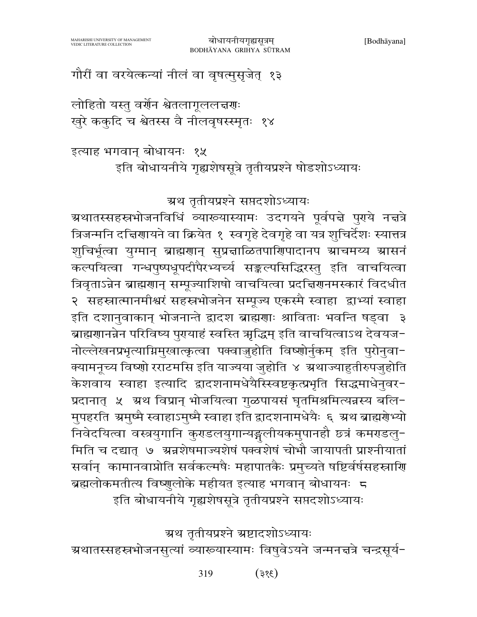$(385)$ 319

ग्रथ तृतीयप्रश्ने ग्रष्टादशोऽध्यायः ग्रथातस्सहस्रभोजनसुत्यां व्याख्यास्यामः विषुवेऽयने जन्मनत्तत्रे चन्द्रसूर्य-

त्रिजन्मनि दत्तिणायने वा क्रियेत १ स्वगृहे देवगृहे वा यत्र शुचिर्देशः स्यात्तत्र शुचिर्भूत्वा युग्मान् ब्राह्मणान् सुप्रदाळितपाणिपादानप स्राचमय्य स्रासनं कल्पयित्वा गन्धपुष्पधूपदीपैरभ्यर्च्य सङ्कल्पसिद्धिरस्तु इति वाचयित्वा त्रिवृताऽन्नेन ब्राह्मणान् सम्पूज्याशिषो वाचयित्वा प्रदच्चिणनमस्कारं विदधीत २ सहस्रात्मानमीश्वरं सहस्रभोजनेन सम्पूज्य एकस्मै स्वाहा द्वाभ्यां स्वाहा इति दशानुवाकान् भोजनान्ते द्वादश ब्राह्मणाः श्राविताः भवन्ति षड्वा ३ ब्राह्मणानन्नेन परिविष्य पुरायाहं स्वस्ति ऋद्धिम् इति वाचयित्वाऽथ देवयज-नोल्लेखनप्रभृत्याग्निमुखात्कृत्वा पक्वाजुहोति विष्णोर्नुकम् इति पुरोनुवा-क्यामनूच्य विष्णो रराटमसि इति याज्यया जुहोति ४ अथाज्याहुतीरुपजुहोति केशवाय स्वाहा इत्यादि द्वादशनामधेयैस्खिष्टकृत्प्रभृति सिद्धमाधेनुवर-प्रदानात् ५ अथ विप्रान् भोजयित्वा गुळपायसं घृतमिश्रमित्यन्नस्य बलि-मुपहरति अमुष्मै स्वाहाऽमुष्मै स्वाहा इति द्वादशनामधेयैः ६ अथ ब्राह्मग्रेभ्यो निवेदयित्वा वस्त्रयुगानि कुरुडलयुगान्यङ्गलीयकमुपानहौ छत्रं कमरडलु-मिति च दद्यात् ७ अन्नशेषमाज्यशेषं पक्वशेषं चोभौ जायापती प्राश्नीयातां सर्वान् कामानवाप्नोति सर्वकल्मषैः महापातकैः प्रमुच्यते षष्टिर्वर्षसहस्राणि ब्रह्मलोकमतीत्य विष्णुलोके महीयत इत्याह भगवान् बोधायनः ८ इति बोधायनीये गृह्यशेषसूत्रे तृतीयप्रश्ने सप्तदशोऽध्यायः

इत्याह भगवान् बोधायनः १५ इति बोधायनीये गृह्यशेषसूत्रे तृतीयप्रश्ने षोडशोऽध्यायः

ग्रथ तृतीयप्रश्ने सप्तदशोऽध्यायः

ग्रथातस्सहस्रभोजनविधिं व्याख्यास्यामः उदगयने पूर्वपद्मे पुराये नद्मत्रे

बोधायनीयगृह्यसूत्रम्

BODHĀYANA GRIHYA SŪTRAM

लोहितो यस्तु वर्णेन श्वेतलागूललच्चणः खुरे ककुदि च श्वेतस्स वै नीलवृषस्स्मृतः १४

गौरीं वा वरयेत्कन्यां नीलं वा वृषत्मुसृजेत् १३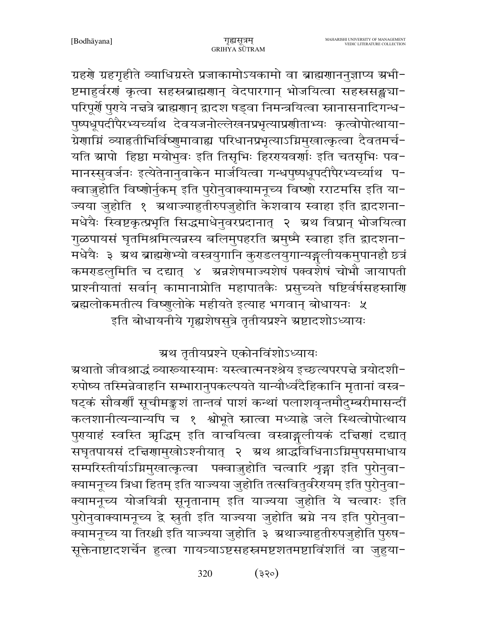MAHARISHI UNIVERSITY OF MANAGEMENT

VEDIC LITERATURE COLLECTION

ग्रहरो ग्रहगृहीते व्याधिग्रस्ते प्रजाकामोऽयकामो वा ब्राह्मरााननुज्ञाप्य ग्रभी-ष्टमाहुर्वरणं कृत्वा सहस्रब्राह्मणान् वेदपारगान् भोजयित्वा सहस्रसङ्ख्या-परिपूर्णे पुराये नचत्रे ब्राह्मणान् द्वादश षड्वा निमन्त्रयित्वा स्नानासनादिगन्ध-पुष्पधूपदीपैरभ्यच्याथि देवयजनोल्लेखनप्रभृत्याप्रशीताभ्यः कृत्वोपोत्थाया-ग्रेणाग्निं व्याहतीभिर्विष्णुमावाह्य परिधानप्रभृत्याऽग्निमुखात्कृत्वा दैवतमर्च-यति स्रापो हिष्ठा मयोभुवः इति तिसृभिः हिररयवर्णाः इति चतसृभिः पव-मानस्सुवर्जनः इत्येतेनानुवाकेन मार्जयित्वा गन्धपुष्पधूपदीपैरभ्यच्याथि प-क्वाज़ुहोति विष्णोर्नुकम् इति पुरोनुवाक्यामनूच्य विष्णो रराटमसि इति या-ज्यया जुहोति १ अथाज्याहुतीरुपजुहोति केशवाय स्वाहा इति द्वादशना-मधेयैः स्विष्टकृत्प्रभृति सिद्धमाधेनुवरप्रदानात् २ अ्रथ विप्रान् भोजयित्वा गुळपायसं घृतमिश्रमित्यन्नस्य बलिमुपहरति ग्रमुष्मै स्वाहा इति द्वादशना-मधेयैः ३ अ्थ ब्राह्मगेभ्यो वस्त्रयुगानि कुराडलयुगान्यङ्गलीयकमुपानहौ छ्त्रं कमराडलुमिति च दद्यात् ४ अन्नशेषमाज्यशेषं पक्वशेषं चोभौ जायापती प्राश्नीयातां सर्वान् कामानाप्नोति महापातकैः प्रसुच्यते षष्टिर्वर्षसहस्त्राणि ब्रह्मलोकमतीत्य विष्णुलोके महीयते इत्याह भगवान् बोधायनः ५ इति बोधायनीये गृह्यशेषसुत्रे तृतीयप्रश्ने स्रष्टादशोऽध्यायः

गुह्यसत्रम

GRIHYA SUTRAM

## ग्रथ तृतीयप्रश्ने एकोनविंशोऽध्यायः

ग्रथातो जीवश्राद्धं व्याख्यास्यामः यस्त्वात्मनश्श्रेय इच्छत्यपरपत्ते त्रयोदशी− रुपोष्य तस्मिन्नेवाहनि सम्भारानुपकल्पयते यान्यौर्ध्वदैहिकानि मृतानां वस्त्र-षट्कं सौवर्णीं सूचीमङ्कशं तान्तवं पाशं कन्थां पलाशवृन्तमौदुम्बरीमासन्दीं कलशानीत्यन्यान्यपि च १ श्वोभूते स्नात्वा मध्याह्ने जले स्थित्वोपोत्थाय पुरयाहं स्वस्ति ऋद्धिम् इति वाचयित्वा वस्त्राङ्गलीयकं दत्तिणां दद्यात् सघृतपायसं दच्चिणामुखोऽश्नीयात् २ अथ श्राद्धविधिनाऽग्निमुपसमाधाय सम्परिस्तीर्याऽग्निमुखात्कृत्वा पक्वाजुहोति चत्वारि शृङ्गा इति पुरोनुवा-क्यामनूच्य त्रिधा हितम् इति याज्यया जुहोति तत्सवितुर्वरेरायम् इति पुरोनुवा-क्यामनूच्य योजयित्री सूनृतानाम् इति याज्यया जुहोति ये चत्वारः इति पुरोनुवाक्यामनूच्य द्वे स्नुती इति याज्यया जुहोति ग्रग्ने नय इति पुरोनुवा-क्यामनूच्य या तिरश्ची इति याज्यया जुहोति ३ ग्रथाज्याहुतीरुपजुहोति पुरुष-सूक्तेनाष्टादशर्चेन हुत्वा गायत्र्याऽष्टसहस्रमष्टशतमष्टाविंशतिं वा जुहुया−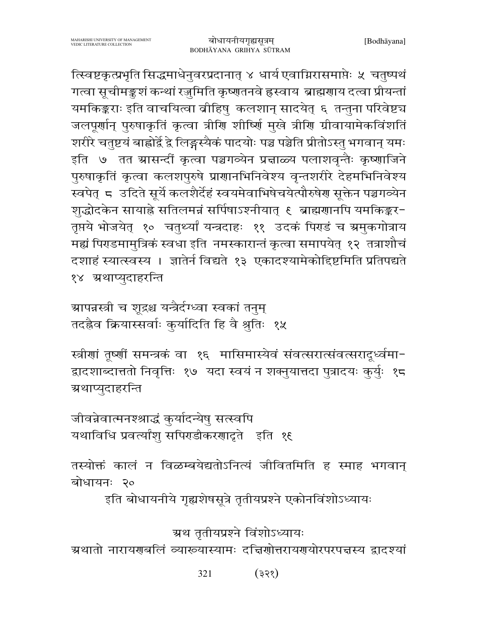त्स्विष्टकृत्प्रभृति सिद्धमाधेनुवरप्रदानात् ४ धार्य एवाग्निरासमाप्तेः ५ चतुष्पथं गत्वा सूचीमङ्कशं कन्थां रजुमिति कृष्णतनवे ह्रस्वाय ब्राह्मणाय दत्वा प्रीयन्तां यमकिङ्कराः इति वाचयित्वा बीहिषु कलशान् सादयेत् ६ तन्तुना परिवेष्ट्य जलपूर्णान् पुरुषाकृतिं कृत्वा त्रीणि शीष्णिं मुखे त्रीणि ग्रीवायामेकविंशतिं शरीरे चतुष्टयं बाह्वोर्द्वे द्वे लिङ्गस्यैकं पादयोः पञ्च पञ्चेति प्रीतोऽस्तु भगवान् यमः इति ७ तत ग्रासन्दीं कृत्वा पञ्चगव्येन प्रत्नाळ्य पलाशवृन्तैः कृष्णाजिने पुरुषाकृतिं कृत्वा कलशपुरुषे प्राणानभिनिवेश्य वृन्तशरीरे देहमभिनिवेश्य स्वपेत् ८ उदिते सूर्ये कलशैर्देहं स्वयमेवाभिषेचयेत्पौरुषेण सूक्तेन पञ्चगव्येन शुद्धोदकेन सायाह्ने सतिलमन्नं सर्पिषाऽश्नीयात् १ ब्राह्मणानपि यमकिङ्कर-तृप्तये भोजयेत् १० चतुर्थ्यां यन्त्रदाहः ११ उदकं पिराडं च ग्रमुकगोत्राय मह्यं पिराडमामुत्रिकं स्वधा इति नमस्कारान्तं कृत्वा समापयेत् १२ तत्राशौचं दशाहं स्यात्स्वस्य । ज्ञातेर्न विद्यते १३ एकादश्यामेकोद्दिष्टमिति प्रतिपद्यते १४ अथाप्यदाहरन्ति

ग्रापन्नस्त्री च शूद्रश्च यन्त्रैर्दग्ध्वा स्वकां तनुम् तदह्रैव क्रियास्सर्वाः कुर्यादिति हि वै श्रुतिः १५

स्त्रीणां तूष्णीं समन्त्रकं वा १६ मासिमास्येवं संवत्सरात्संवत्सरादृर्ध्वमा-द्वादशाब्दात्ततो निवृत्तिः १७ यदा स्वयं न शक्नुयात्तदा पुत्रादयः कुर्युः १८ ग्रथाप्युदाहरन्ति

जीवन्नेवात्मनश्श्राद्धं कुर्यादन्येषु सत्स्वपि यथाविधि प्रवर्त्यांशु सपिराडीकरणादृते इति १६

तस्योक्तं कालं न विळम्बयेद्यतोऽनित्यं जीवितमिति ह स्माह भगवान् बोधायनः २०

इति बोधायनीये गृह्यशेषसूत्रे तृतीयप्रश्ने एकोनविंशोऽध्यायः

ग्रथ तृतीयप्रश्ने विंशोऽध्यायः

ग्रथातो नारायरणबलिं व्याख्यास्यामः दचिरणोत्तरायरणयोरपरपत्तस्य द्वादश्यां

321  $(355)$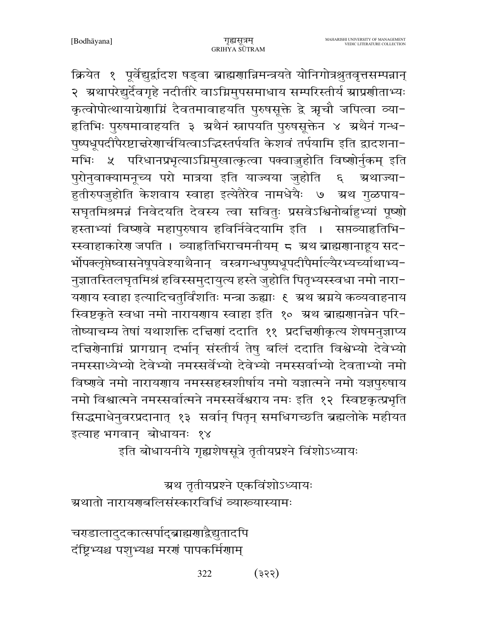क्रियेत १ पूर्वेद्युर्द्वादश षड्वा ब्राह्मणान्निमन्त्रयते योनिगोत्रश्रुतवृत्तसम्पन्नान् २ अथापरेद्युर्देवगृहे नदीतीरे वाऽग्निमुपसमाधाय सम्परिस्तीर्य ग्राप्रशीताभ्यः कृत्वोपोत्थायाग्रेणाम्निं दैवतमावाहयति पुरुषसूक्ते द्वे ऋूचौ जपित्वा व्या-हृतिभिः पुरुषमावाहयति ३ अथैनं स्नापयति पुरुषसूक्तेन ४ अथैनं गन्ध− पुष्पधूपदीपैरष्टाचरेणार्चयित्वाऽद्धिस्तर्पयति केशवं तर्पयामि इति द्वादशना-५ परिधानप्रभृत्याऽग्निमुखात्कृत्वा पक्वाज़ुहोति विष्णोर्नुकम् इति मभिः । पुरोनुवाक्यामनूच्य परो मात्रया इति याज्यया जुहोति  $\epsilon$ ग्रथाज्या-हुतीरुपजुहोति केशवाय स्वाहा इत्येतैरेव नामधेयैः ७ अ्थ गुळपाय-सघृतमिश्रमन्नं निवेदयति देवस्य त्वा सवितुः प्रसवेऽश्विनोर्बाहुभ्यां पूष्णो हस्ताभ्यां विष्णुवे महापुरुषाय हविर्निवेदयामि इति । सप्तव्याहृतिभि-स्स्वाहाकारेण जपति । व्याहतिभिराचमनीयम् ८ अथ ब्राह्मणानाहूय सद-र्भोपक्लृप्तेष्वासनेषूपवेश्याथैनान् वस्त्रगन्धपुष्पधूपदीपैर्माल्यैरभ्यच्याथाभ्य-नुज्ञातस्तिलघृतमिश्रं हविस्समुदायुत्य हस्ते जुहोति पितृभ्यस्स्वधा नमो नारा-यणाय स्वाहा इत्यादिचतुर्विंशतिः मन्त्रा ऊह्याः १ अथ ग्रग्नये कव्यवाहनाय स्विष्टकृते स्वधा नमो नारायणाय स्वाहा इति १० अथ ब्राह्मणानन्नेन परि-तोष्याचम्य तेषां यथाशक्ति दचिरणां ददाति ११ प्रदचिर्णाकृत्य शेषमनुज्ञाप्य दचिरोनामिं प्रागग्रान् दर्भान् संस्तीर्य तेषु बलिं ददाति विश्वेभ्यो देवेभ्यो नमस्साध्येभ्यो देवेभ्यो नमस्सर्वेभ्यो देवेभ्यो नमस्सर्वाभ्यो देवताभ्यो नमो विष्णुवे नमो नारायणाय नमस्सहस्रशीर्षाय नमो यज्ञात्मने नमो यज्ञपुरुषाय नमो विश्वात्मने नमस्सर्वात्मने नमस्सर्वेश्वराय नमः इति १२ स्विष्टकृत्प्रभृति सिद्धमाधेनुवरप्रदानात् १३ सर्वान् पितृन् समधिगच्छति ब्रह्मलोके महीयत इत्याह भगवान् बोधायनः १४

इति बोधायनीये गृह्यशेषसूत्रे तृतीयप्रश्ने विंशोऽध्यायः

ग्रथ तृतीयप्रश्ने एकविंशोऽध्यायः

ग्रथातो नारायरणसिंसंस्कारविधिं व्याख्यास्यामः

चरडालादुदकात्सर्पाद्ब्राह्मणाद्वैद्युतादपि दंष्ट्रिभ्यश्च पशुभ्यश्च मरणं पापकर्मिणाम्

> 322  $(335)$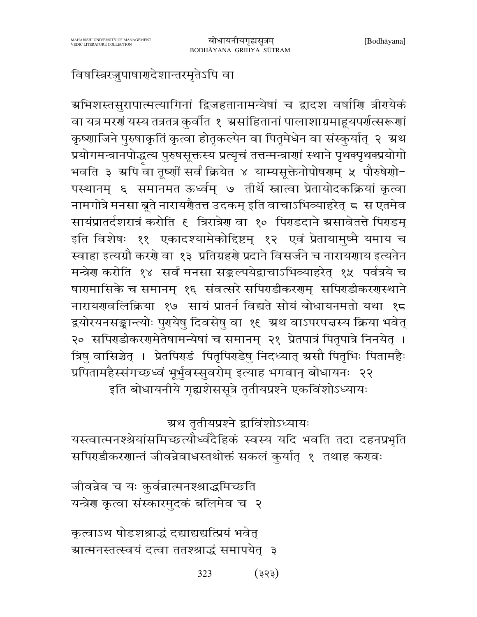# विषस्त्रिरजुपाषार्गदेशान्तरमृतेऽपि वा

अभिशस्तसुरापात्मत्यागिनां द्विजहतानामन्येषां च द्वादश वर्षाणि त्रीगयेकं वा यत्र मरणं यस्य तत्रतत्र कुर्वीत १ असांहितानां पालाशाग्रमाहूयपर्णत्सरूणां कृष्णाजिने पुरुषाकृतिं कृत्वा होतृकल्पेन वा पितृमेधेन वा संस्कुर्यात् २ अ्रथ प्रयोगमन्त्रानपोद्धत्य पुरुषसूक्तस्य प्रत्यृचं तत्तन्मन्त्राणां स्थाने पृथक्पृथक्प्रयोगो भवति ३ अपि वा तूष्णीं सर्वं क्रियेत ४ याम्यसूक्तेनोपोषणम् ५ पौरुषेणो-पस्थानम् ६ समानमत ऊर्ध्वम् ७ तीर्थे स्नात्वा प्रेतायोदकक्रियां कृत्वा नामगोत्रे मनसा बूते नारायर्णैतत्त उदकम् इति वाचाऽभिव्याहरेत् ८ स एतमेव सायंप्रातर्दशरात्रं करोति ६ त्रिरात्रेण वा १० पिराडदाने ग्रसावेतत्ते पिराडम् इति विशेषः ११ एकादश्यामेकोद्दिष्टम् १२ एवं प्रेतायामुष्मै यमाय च स्वाहा इत्यग्रौ करणे वा १३ प्रतिग्रहणे प्रदाने विसर्जने च नारायणाय इत्यनेन मन्त्रेण करोति १४ सर्वं मनसा सङ्कल्पयेद्वाचाऽभिव्याहरेत् १५ पर्वत्रये च षारामासिके च समानम् १६ संवत्सरे सपिराडीकररणम् सपिराडीकररणस्थाने नारायणवलिक्रिया १७ सायं प्रातर्न विद्यते सोयं बोधायनमतो यथा १८ द्वयोरयनसङ्कान्त्योः पुरायेषु दिवसेषु वा १६ अथ वाऽपरपत्तस्य क्रिया भवेत् २० सपिराडीकररामेतेषामन्येषां च समानम् २१ प्रेतपात्रं पितृपात्रे निनयेत् । त्रिषु वासिञ्चेत् । प्रेतपिराडं पितृपिराडेषु निदध्यात् ग्रसौ पितृभिः पितामहैः प्रपितामहैस्संगच्छध्वं भूर्भुवस्सुवरोम् इत्याह भगवान् बोधायनः २२ इति बोधायनीये गृह्यशेससूत्रे तृतीयप्रश्ने एकविंशोऽध्यायः

## ग्रथ तृतीयप्रश्ने द्वाविंशोऽध्यायः

यस्त्वात्मनश्श्रेयांसमिच्छत्यौर्ध्वदैहिकं स्वस्य यदि भवति तदा दहनप्रभृति सपिराडीकरणान्तं जीवन्नेवाधस्तथोक्तं सकलं कुर्यात् १ तथाह करावः

जीवन्नेव च यः कुर्वन्नात्मनश्श्राद्धमिच्छति यन्त्रेण कृत्वा संस्कारमुदकं बलिमेव च २

कृत्वाऽथ षोडशश्राद्धं दद्याद्यद्यस्प्रियं भवेत् ग्रात्मनस्तत्स्वयं दत्वा ततश्श्राद्धं समापयेत् ३

> 323  $(333)$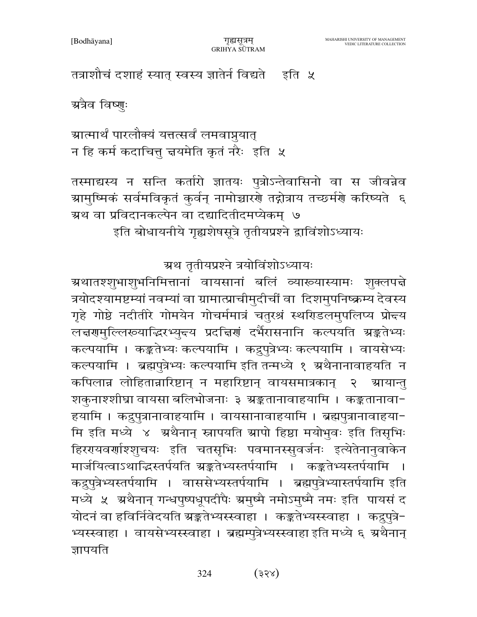[Bodhayana]

तत्राशौचं दशाहं स्यात् स्वस्य ज्ञातेर्न विद्यते । इति ५

ग्रत्रैव विष्णुः

ग्रात्मार्थं पारलौक्यं यत्तत्सर्वं लमवाप्नयात् न हि कर्म कदाचित्तू चयमेति कृतं नरैः इति ५

तस्माद्यस्य न सन्ति कर्तारो ज्ञातयः पुत्रोऽन्तेवासिनो वा स जीवन्नेव ग्रामुष्मिकं सर्वमविकृतं कुर्वन् नामोच्चारणे तद्गोत्राय तच्छर्मणे करिष्यते ६ ग्रथ वा प्रविदानकल्पेन वा दद्यादितीदमप्येकम् ७

इति बोधायनीये गृह्यशेषसूत्रे तृतीयप्रश्ने द्वाविंशोऽध्यायः

ग्रथ तृतीयप्रश्ने त्रयोविंशोऽध्यायः

ग्रथातश्शुभाशुभनिमित्तानां वायसानां बलिं व्याख्यास्यामः शुक्लपद्मे त्रयोदश्यामष्टम्यां नवम्यां वा ग्रामात्प्राचीमुदीचीं वा दिशमुपनिष्क्रम्य देवस्य गृहे गोष्ठे नदीतीरे गोमयेन गोचर्ममात्रं चतुरश्रं स्थरिडलमुपलिप्य प्रोन्दय लचरणमुल्लिरूयाद्धिरभ्युन्दय प्रदचिणं दर्भैरासनानि कल्पयति स्रङ्कतेभ्यः कल्पयामि । कङ्कतेभ्यः कल्पयामि । कद्रुपुत्रेभ्यः कल्पयामि । वायसेभ्यः कल्पयामि । ब्रह्मपुत्रेभ्यः कल्पयामि इति तन्मध्ये १ ग्रथैनानावाहयति न कपिलान्न लोहितान्नारिष्टान् न महारिष्टान् वायसमात्रकान्  $\mathcal{S}$ ग्रायान्त शकुनाश्शीघ्रा वायसा बलिभोजनाः ३ ग्रङ्कतानावाहयामि । कङ्कतानावा− हयामि । कद्रुपुत्रानावाहयामि । वायसानावाहयामि । ब्रह्मपुत्रानावाहया-मि इति मध्ये ४ अथैनान् स्नापयति ग्रापो हिष्ठा मयोभुवः इति तिसृभिः हिररयवर्णाश्शुचयः इति चतसृभिः पवमानस्सुवर्जनः इत्येतेनानुवाकेन मार्जयित्वाऽथाद्भिस्तर्पयति ग्रङ्कतेभ्यस्तर्पयामि । कङ्कतेभ्यस्तर्पयामि कद्रुपुत्रेभ्यस्तर्पयामि । वाससेभ्यस्तर्पयामि । ब्रह्मपुत्रेभ्यास्तर्पयामि इति मध्ये ५ अथैनान् गन्धपुष्पधूपदीपैः अमुष्मै नमोऽमुष्मै नमः इति पायसं द योदनं वा हविर्निवेदयति ग्रङ्कतेभ्यस्स्वाहा । कङ्कतेभ्यस्स्वाहा । कद्रुपुत्रे-भ्यस्स्वाहा । वायसेभ्यस्स्वाहा । ब्रह्मम्पुत्रेभ्यस्स्वाहा इति मध्ये ६ अथैनान् ज्ञापयति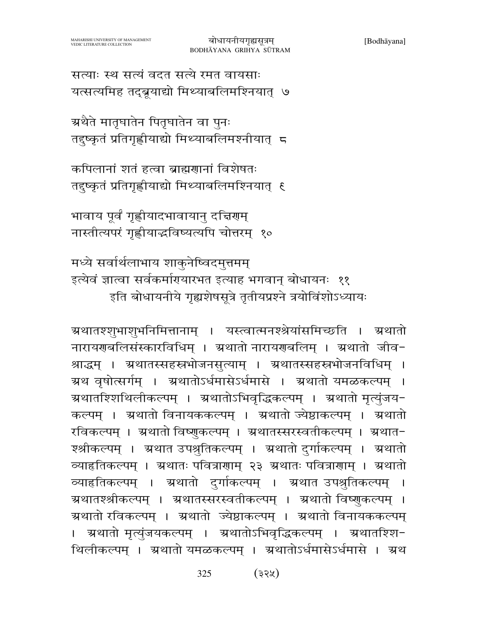कल्पम् । ग्रथातो विनायककल्पम् । ग्रथातो ज्येष्ठाकल्पम् । ग्रथातो रविकल्पम् । ग्रथातो विष्णुकल्पम् । ग्रथातस्सरस्वतीकल्पम् । ग्रथात-श्श्रीकल्पम् । ग्रथात उपश्रुतिकल्पम् । ग्रथातो दुर्गाकल्पम् । ग्रथातो व्याहृतिकल्पम् । ग्रथातः पवित्राणाम् २३ ग्रथातः पवित्राणाम् । ग्रथातो व्याहृतिकल्पम् । ग्रथातो दुर्गाकल्पम् । ग्रथात उपश्रुतिकल्पम् । ग्रथातश्श्रीकल्पम् । ग्रथातस्सरस्वतीकल्पम् । ग्रथातो विष्णुकल्पम् । ग्रथातो रविकल्पम् । ग्रथातो ज्येष्ठाकल्पम् । ग्रथातो विनायककल्पम् ग्र्यातो मृत्युंजयकल्पम् । ग्रथातोऽभिवृद्धिकल्पम् । ग्रथातश्शि− थिलीकल्पम् । ग्रथातो यमळकल्पम् । ग्रथातोऽर्धमासेऽर्धमासे । ग्रथ

मध्ये सर्वार्थलाभाय शाकुनेष्विदमुत्तमम् इत्येवं ज्ञात्वा सर्वकर्मागयारभत इत्याह भगवान् बोधायनः ११ इति बोधायनीये गृह्यशेषसूत्रे तृतीयप्रश्ने त्रयोविंशोऽध्यायः

ग्र्यातश्शुभाशुभनिमित्तानाम् । यस्त्वात्मनश्श्रेयांसमिच्छति । ग्रथातो नारायणबलिसंस्कारविधिम् । ग्रथातो नारायणबलिम् । ग्रथातो जीव-

श्राद्धम् । ग्रथातस्सहस्रभोजनसुत्याम् । ग्रथातस्सहस्रभोजनविधिम् ।

ग्रथ वृषोत्सर्गम् । ग्रथातोऽर्धमासेऽर्धमासे । ग्रथातो यमळकल्पम् ।

ग्रथातश्शिथिलीकल्पम् । ग्रथातोऽभिवृद्धिकल्पम् । ग्रथातो मृत्युंजय−

भावाय पूर्वं गृह्णीयादभावायानु दत्तिरणम् नास्तीत्यपरं गृह्णीयाद्धविष्यत्यपि चोत्तरम् १०

कपिलानां शतं हत्वा ब्राह्मणानां विशेषतः तदुष्कृतं प्रतिगृह्णीयाद्यो मिथ्याबलिमश्नियात् १

ग्रथैते मातृघातेन पितृघातेन वा पुनः तदुष्कृतं प्रतिगृह्णीयाद्यो मिथ्याबलिमश्नीयात् 5

सत्याः स्थ सत्यं वदत सत्ये रमत वायसाः यत्सत्यमिह तद्ब्रूयाद्यो मिथ्याबलिमश्नियात् ७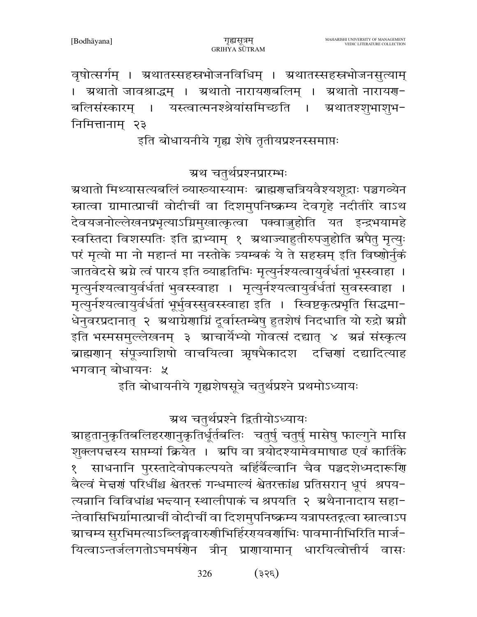वृषोत्सर्गम् । ग्रथातस्सहस्रभोजनविधिम् । ग्रथातस्सहस्रभोजनसुत्याम् । अथातो जावश्राद्धम् । अथातो नारायणबलिम् । अथातो नारायण-बलिसंस्कारम । यस्त्वात्मनश्श्रेयांसमिच्छति । अथातश्शभाशभ-निमित्तानाम २३

इति बोधायनीये गृह्य शेषे तृतीयप्रश्नस्समाप्तः

ग्रथ चतुर्थप्रश्नप्रारम्भः

ग्र्रथातो मिथ्यासत्यबलिं व्याख्यास्यामः ब्राह्मरात्तत्रियवैश्यशूद्राः पञ्चगव्येन स्नात्वा ग्रामात्प्राचीं वोदीचीं वा दिशमुपनिष्क्रम्य देवगृहे नदीतीरे वाऽथ देवयजनोल्लेखनप्रभृत्याऽग्निमुखात्कृत्वा पक्वाज़ुहोति यत इन्द्रभयामहे स्वस्तिदा विशस्पतिः इति द्वाभ्याम् १ अथाज्याहुतीरुपजुहोति अपैतु मृत्युः परं मृत्यो मा नो महान्तं मा नस्तोके त्र्यम्बकं ये ते सहस्रम् इति विष्णोर्नुकं जातवेदसे ग्रग्ने त्वं पारय इति व्याहृतिभिः मृत्युर्नश्यत्वायुर्वर्धतां भूस्स्वाहा । मृत्युर्नश्यत्वायुर्वर्धतां भुवस्स्वाहा । मृत्युर्नश्यत्वायुर्वर्धतां सुवस्स्वाहा । मृत्युर्नश्यत्वायुर्वर्धतां भूर्भुवस्सुवस्स्वाहा इति । स्विष्टकृत्प्रभृति सिद्धमा-धेनवरप्रदानात् २ अथाग्रेणाग्निं दूर्वास्तम्बेषु हुतशेषं निदधाति यो रुद्रो ग्रग्नौ इति भस्मसमुल्लेखनम् ३ स्राचार्येभ्यो गोवत्सं दद्यात् ४ स्रत्नं संस्कृत्य ब्राह्मणान् संपूज्याशिषो वाचयित्वा ऋषभैकादश दचिणां दद्यादित्याह भगवान बोधायनः ५

इति बोधायनीये गृह्यशेषसूत्रे चतुर्थप्रश्ने प्रथमोऽध्यायः

# ग्रथ चतुर्थप्रश्ने द्वितीयोऽध्यायः

ग्र्याहुतानुकृतिबलिहरणानुकृतिर्धूर्तबलिः चतुर्षु चतुर्षु मासेषु फाल्गुने मासि शुक्लपत्तस्य सप्तम्यां क्रियेत । अपि वा त्रयोदश्यामेवमाषाढ एवं कार्तिके साधनानि पुरस्तादेवोपकल्पयते बर्हिर्बैल्वानि चैव पञ्चदशेध्मदारूणि बैल्वं मेद्मणं परिधींश्च श्वेतरक्तं गन्धमाल्यं श्वेतरक्तांश्च प्रतिसरान् धूपं श्रपय-त्यन्नानि विविधांश्च भन्त्यान् स्थालीपाकं च श्रपयति २ अथैनानादाय सहा-न्तेवासिभिर्ग्रामात्प्राचीं वोदीचीं वा दिशमुपनिष्क्रम्य यत्रापस्तद्गत्वा स्नात्वाऽप ञ्चाचम्य सुरभिमत्याऽब्लिङ्गवारुणीभिर्हिरगयवर्णाभिः पावमानीभिरिति मार्ज− यित्वाऽन्तर्जलगतोऽघमर्षणेन त्रीन् प्राणायामान् धारयित्वोत्तीर्य वासः

> $(355)$ 326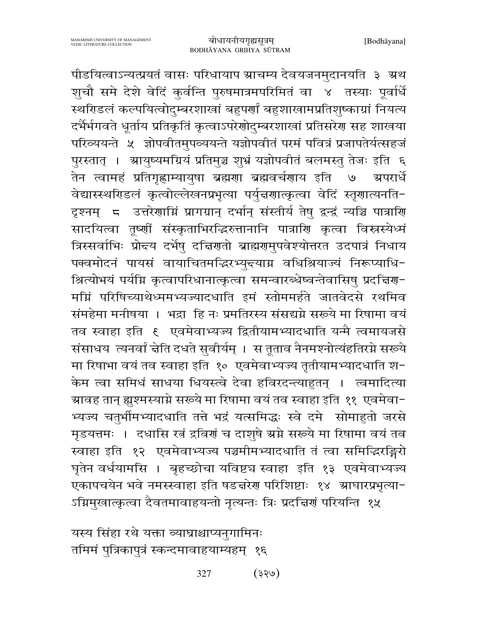पीडयित्वाऽन्यत्प्रयतं वासः परिधायाप स्राचम्य देवयजनमुदानयति ३ स्रथ शुचौ समे देशे वेदिं कुर्वन्ति पुरुषमात्रमपरिमितं वा ४ तस्याः पूर्वार्धे स्थरिडलं कल्पयित्वोद्म्बरशाखां बहुपर्णां बहुशाखामप्रतिशुष्काग्रां नियत्य दर्भैर्भगवते धूर्ताय प्रतिकृतिं कृत्वाऽपरेणोदुम्बरशाखां प्रतिसरेण सह शाखया परिव्ययन्ते ५ ज्ञोपवीतमुपव्ययन्ते यज्ञोपवीतं परमं पवित्रं प्रजापतेर्यत्सहजं पुरस्तात् । स्रायुष्यमग्रियं प्रतिमुञ्च शुभ्रं यज्ञोपवीतं बलमस्तु तेजः इति ६ तेन त्वामहं प्रतिगृह्णाम्यायुषा ब्रह्मणा ब्रह्मवर्चणाय इति  $\mathcal{O}$ ग्र्यपरार्धे वेद्यास्स्थरिडलं कृत्वोल्लेखनप्रभृत्या पर्युन्नगात्कृत्वा वेदिं स्तृगात्यनति-दृश्नम् 5 उत्तरेणाम्निं प्रागग्रान् दर्भान् संस्तीर्य तेषु द्वन्द्वं न्यञ्चि पात्राणि सादयित्वा तृष्णीं संस्कृताभिरद्धिरुत्तानानि पात्राणि कृत्वा विस्नस्येध्मं त्रिस्सर्वाभिः प्रोन्दय दर्भेषु दच्चिणतो ब्राह्मणुमुपवेश्योत्तरत उदपात्रं निधाय पक्वमोदनं पायसं वायाचितमद्भिरभ्युन्त्याग्न वधिश्रियाज्यं निरूप्याधि-श्रित्योभयं पर्यम्नि कृत्वापरिधानात्कृत्वा समन्वारब्धेष्वन्तेवासिषु प्रदत्तिरणा मग्निं परिषिच्याथेध्ममभ्यज्यादधाति इमं स्तोममर्हते जातवेदसे रथमिव संमहेमा मनीषया । भद्रा हि नः प्रमतिरस्य संसद्यग्ने सरूये मा रिषामा वयं तव स्वाहा इति १ एवमेवाभ्यज्य द्वितीयामभ्यादधाति यन्मै त्वमायजसे संसाधय त्यनर्वां चेति दधते सुवीर्यम् । स तूताव नैनमश्नोत्यंहतिरग्ने सख्ये मा रिषाभा वयं तव स्वाहा इति १० एवमेवाभ्यज्य तृतीयामभ्यादधाति श-केम त्वा समिधं साधया धियस्त्वे देवा हविरदन्त्याहुतन् । त्वमादित्या ग्र्यावह तान् ह्यूश्मस्याग्ने सरूये मा रिषामा वयं तव स्वाहा इति ११ एवमेवा− भ्यज्य चतुर्भीमभ्यादधाति तत्ते भद्रं यत्समिद्धः स्वे दमे सोमाहुतो जरसे मृडयत्तमः । दधासि रत्नं द्रविर्गं च दाशुषे ग्रग्ने सरूये मा रिषामा वयं तव स्वाहा इति १२ एवमेवाभ्यज्य पञ्चमीमभ्यादधाति तं त्वा समिद्धिरङ्गिरो घृतेन वर्धयामसि । बृहच्छोचा यविष्ट्य स्वाहा इति १३ एवमेवाभ्यज्य एकापचयेन भवे नमस्स्वाहा इति षडद्मरेण परिशिष्टाः १४ ग्राघारप्रभृत्या-ऽग्निमुखात्कृत्वा दैवतमावाहयन्तो नृत्यन्तः त्रिः प्रदत्त्विणं परियन्ति १५

यस्य सिंहा रथे यक्ता व्याघ्राश्चाप्यनुगामिनः तमिमं पुत्रिकापुत्रं स्कन्दमावाहयाम्यहम् १६

> $(955)$ 327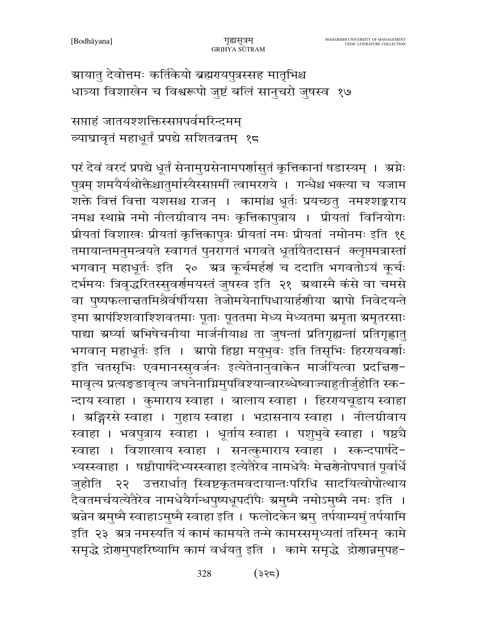ग्रायातु देवोत्तमः कर्तिकेयो ब्रह्मरायपुत्रस्सह मातृभिश्च धात्र्या विशाखेन च विश्वरूपो जुष्टं बलिं सानुचरो जुषस्व १७

सप्ताहं जातयश्शक्तिस्सप्तपर्वमरिन्दमम् व्याघ्रावृतं महाधूर्तं प्रपद्ये सशितव्रतम् १८

परं देवं वरदं प्रपद्ये धूर्तं सेनामुग्रसेनामपर्णासुतं कृत्तिकानां षडास्यम् । अ्रग्नेः पुत्रम् शमयैर्यथोक्तैश्चातुर्मास्यैस्सप्तमीं त्वामरगये । गन्धैश्च भक्त्या च यजाम शक्ते वित्तं वित्ता यशसश्च राजन् । कामांश्च धूर्तः प्रयच्छत् नमश्शङ्कराय नमश्च स्थाम्ने नमो नीलग्रीवाय नमः कृत्तिकापुत्राय । प्रीयतां विनियोगः प्रीयतां विशाखः प्रीयतां कृत्तिकापुत्रः प्रीयतां नमः प्रीयतां नमोनमः इति १६ तमायान्तमनुमन्त्रयते स्वागतं पुनरागतं भगवते धूर्तायैतदासनं क्लूप्तमत्रास्तां भगवान् महाधूर्तः इति २० अत्र कूर्चमर्हणं च ददाति भगवतोऽयं कूर्चः दर्भमयः त्रिवृद्धरितस्सुवर्णमयस्तं जुषस्व इति २१ अथास्मै कंसे वा चमसे वा पुष्पफलान्नतमिश्रैर्वर्षीयसा तेजोमयेनापिधायार्हणीया स्रापो निवेदयन्ते इमा ग्रापंश्शिवाश्शिवतमाः पूताः पूततमा मेध्य मेध्यतमा ग्रमृता ग्रमृतरसाः पाद्या ग्रर्घ्या ग्रभिषेचनीया मार्जनीयाश्च ता जुषन्तां प्रतिगृह्यन्तां प्रतिगृह्णातु भगवान् महाधूर्तः इति । स्रापो हिष्ठा मयुभुवः इति तिसृभिः हिररयवर्णाः इति चतसृभिः एवमानस्सुवर्जनः इत्येतेनानुवाकेन मार्जयित्वा प्रदच्चिण-मावृत्य प्रत्यङ्ङावृत्य जघनेनाग्निमुपविश्यान्वारब्धेष्वाज्याहुतीर्जुहोति स्क-न्दाय स्वाहा । कुमाराय स्वाहा । बालाय स्वाहा । हिररपयचूडाय स्वाहा । अङ्गिरसे स्वाहा । गुहाय स्वाहा । भद्रासनाय स्वाहा । नीलग्रीवाय स्वाहा । भवपुत्राय स्वाहा । धूर्ताय स्वाहा । पशुभुवे स्वाहा । षष्ठचै स्वाहा । विशाखाय स्वाहा । सनत्कुमाराय स्वाहा । स्कन्दपार्षदे-भ्यस्स्वाहा । षष्ठीपार्षदेभ्यस्स्वाहा इत्येतैरेव नामधेयैः मेज्ञग्रेनोपघातं पूर्वार्धे जुहोति २२ उत्तरार्धात् स्विष्टकृतमवदायान्तःपरिधि सादयित्वोपोत्थाय दैवतमर्चयत्येतैरेव नामधेयैर्गन्धपुष्पधूपदीपैः ग्रमुष्मै नमोऽमुष्मै नमः इति । ञ्चन्नेन ग्रमुष्मै स्वाहाऽमुष्मै स्वाहा इति । फलोदकेन ग्रमु तर्पयाम्यमुं तर्पयामि इति २३ अत्र नमस्यति यं कामं कामयते तन्मे कामस्समृध्यतां तस्मिन् कामे समृद्धे द्रोगमुपहरिष्यामि कामं वर्धयतु इति । कामे समृद्धे द्रोगान्नमुपह-

> $(355)$ 328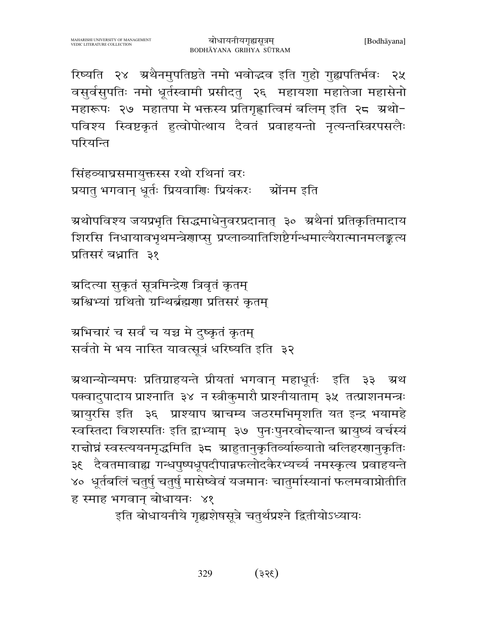रिष्यति २४ अथैनमुपतिष्ठते नमो भवोद्धव इति गुहो गुह्यपतिर्भवः २५ वसुर्वसुपतिः नमो धूर्तस्वामी प्रसीदतु २६ महायशा महातेजा महासेनो महारूपः २७ महातपा मे भक्तस्य प्रतिगृह्णात्विमं बलिम् इति २८ अथो-पविश्य स्विष्टकृतं हृत्वोपोत्थाय दैवतं प्रवाहयन्तो नृत्यन्तस्त्रिरपसलैः परियन्ति

सिंहव्याघ्रसमायुक्तस्स रथो रथिनां वरः प्रयातु भगवान् धूर्तः प्रियवाणिः प्रियंकरः श्रोंनम इति

ग्रथोपविश्य जयप्रभृति सिद्धमाधेनुवरप्रदानात् ३० अथैनां प्रतिकृतिमादाय शिरसि निधायावभृथमन्त्रेणाप्स् प्रप्लाव्यातिशिष्टैर्गन्धमाल्यैरात्मानमलङ्कत्य प्रतिसरं बध्राति ३१

ग्रदित्या सुकृतं सूत्रमिन्द्रेण त्रिवृतं कृतम् अश्विभ्यां ग्रथितो ग्रन्थिर्ब्रह्मणा प्रतिसरं कृतम्

ग्रभिचारं च सर्वं च यच्च मे दुष्कृतं कृतम् सर्वतो मे भय नास्ति यावत्सूत्रं धरिष्यति इति ३२

ग्र्यथान्योन्यमपः प्रतिग्राहयन्ते प्रीयतां भगवान् महाधूर्तः इति ३३ अ्थ पक्वादुपादाय प्राश्नाति ३४ न स्त्रीकुमारौ प्राश्नीयाताम् ३५ तत्प्राशनमन्त्रः ग्रायुरसि इति ३६ प्राश्याप स्राचम्य जठरमभिमृशति यत इन्द्र भयामहे स्वस्तिदा विशस्पतिः इति द्वाभ्याम् ३७ पुनःपुनरवोत्त्यान्त ग्रायुष्यं वर्चस्यं राचोघ्नं स्वस्त्ययनमृद्धमिति ३८ स्राहुतानुकृतिर्व्याख्यातो बलिहरणानुकृतिः ३६ दैवतमावाह्य गन्धपुष्पधूपदीपान्नफलोदकैरभ्यर्च्य नमस्कृत्य प्रवाहयन्ते ४० धूर्तबलिं चतुर्षु चतुर्षु मासेष्वेवं यजमानः चातुर्मास्यानां फलमवाप्नोतीति ह स्माह भगवान् बोधायनः ४१

इति बोधायनीये गृह्यशेषसूत्रे चतुर्थप्रश्ने द्वितीयोऽध्यायः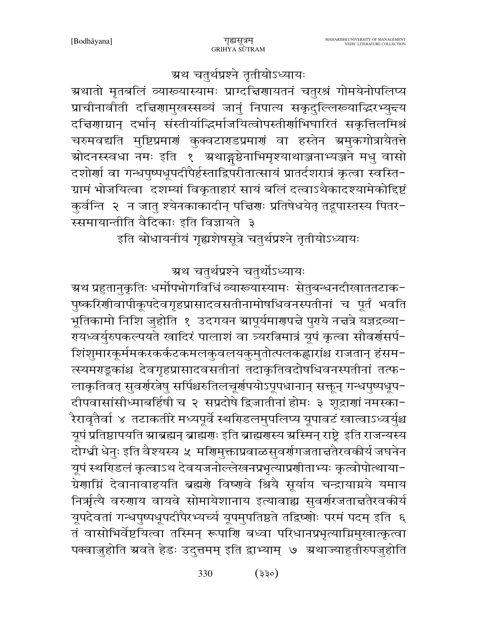रायध्वर्युरुपकल्पयते खादिरं पालाशं वा त्र्यरत्निमात्रं यूपं कृत्वा सौवर्रासर्प− शिंशुमारकूर्ममकरकर्कटकमलकुवलयकुमुतोत्पलकह्लारांश्च राजतान् हंसम-त्स्यमराडूकांश्च देवगृहप्रासादवसतीनां तदाकृतिवदोषधिवनस्पतीनां तत्फ-लाकृतिवत् सुवर्णरत्नेषु सर्पिश्चरुतिलचूर्णपयोऽपूपधानान् सक्तून् गन्धपुष्पधूप-दीपवासांसीध्माबर्हिषी च २ सप्रदोषे द्विजातीनां होमः ३ शूद्राणां नमस्का-रैरावृतैर्वा ४ तटाकतीरे मध्यपूर्वे स्थरिडलमुपलिप्य यूपावटं खात्वाऽध्वर्युश्च यूपं प्रतिष्ठापयति स्राब्रह्मन् ब्राह्मणः इति ब्राह्मणस्य स्रस्मिन् राष्ट्रे इति राजन्यस्य दोग्ध्री धेनुः इति वैश्यस्य ५ मणिमुक्ताप्रवाळसुवर्णगजताचतैरवकीर्य जघनेन यूपं स्थरिडलं कृत्वाऽथ देवयजनोल्लेखनप्रभृत्याप्रशीताभ्यः कृत्वोपोत्थाया-ग्रेणाग्निं देवानावाहयति ब्रह्मणे विष्णुवे श्रियै सूर्याय चन्द्रायाग्नये यमाय निर्ऋत्यै वरुणाय वायवे सोमायेशानाय इत्यावाह्य सुवर्णरजतात्ततैरवकीर्य यूपदेवतां गन्धपुष्पधूपदीपैरभ्यच्यं यूपमुपतिष्ठते तद्विष्णोः परमं पदम् इति ६ तं वासोभिर्वेष्टयित्वा तस्मिन् रूपाणि बध्वा परिधानप्रभृत्याग्निमुखात्कृत्वा पक्वाज़ुहोति ग्रवते हेडः उदुत्तमम् इति द्वाभ्याम् ७ ग्रथाज्याहुतीरुपजुहोति

इति बोधायनीयं गृह्यशेषसूत्रे चतुर्थप्रश्ने तृतीयोऽध्यायः

ग्रथ चतुर्थप्रश्ने चतुर्थोऽध्यायः

ग्र्रथ प्रहुतानुकृतिः धर्मोपभोगविधिं व्याख्यास्यामः सेतुबन्धनदीखाततटाक−

पुष्करिणीवापीकूपदेवगृहप्रासादवसतीनामोषधिवनस्पतीनां च पूर्तं भवति

भूतिकामो निशि जुहोति १ उदगयन स्रापूर्यमाणपत्ने पुरये नत्तत्रे यज्ञद्रव्या−

स्समायान्तीति वैदिकाः इति विज्ञायते ३

ग्रथातो मृतबलिं व्याख्यास्यामः प्राग्दचिणायतनं चतुरश्रं गोमयेनोपलिप्य प्राचीनावीती दच्चिणामुखस्सव्यं जानुं निपात्य सकृदुल्लिरूयाद्धिरभ्युन्दय दचिणाग्रान् दर्भान् संस्तीर्याद्धिर्माजयित्वोपस्तीर्णाभिघारितं सकृत्तिलमिश्रं चरुमवद्यति मुष्टिप्रमाणं कुक्वटाराडप्रमाणं वा हस्तेन ग्रमुकगोत्रायैतत्ते ग्रोदनस्स्वधा नमः इति १ अथाङ्गष्ठेनाभिमृश्याथाञ्जनाभ्यञ्जने मधु वासो दशोर्णा वा गन्धपुष्पधूपदीपैर्हस्ताद्विपरीतात्सायं प्रातर्दशरात्रं कृत्वा स्वस्ति− ग्रामं भोजयित्वा दशम्यां विकृताहारं सायं बलिं दत्वाऽथैकादश्यामेकोद्दिष्टं कुर्वन्ति २ न जातु श्येनकाकादीन् पद्मिणः प्रतिषेधयेत् तद्रूपास्तस्य पितर-

ग्रथ चतुर्थप्रश्ने तृतीयोऽध्यायः

गुह्यसत्रम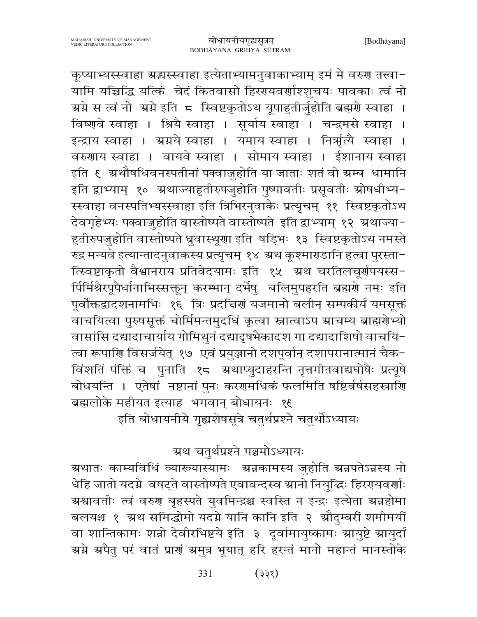कूप्याभ्यस्स्वाहा ग्रद्धास्स्वाहा इत्येताभ्यामनुवाकाभ्याम् इमं मे वरुग तत्त्वा-्<br>यामि यच्चिद्धि यत्किं चेदं कितवासो हिरएयवर्णाश्शृचयः पावकाः त्वं नो ग्रमे स त्वं नो अमे इति ८ स्विष्टकृतोऽथ यूपाहुतीर्जुहोति ब्रह्मणे स्वाहा । विष्णुवे स्वाहा । श्रियै स्वाहा । सूर्याय स्वाहा । चन्द्रमसे स्वाहा । इन्द्राय स्वाहा । ग्रग्नये स्वाहा । यमाय स्वाहा । निर्भूत्यै स्वाहा । वरुणाय स्वाहा । वायवे स्वाहा । सोमाय स्वाहा । ईशानाय स्वाहा इति ६ अथौषधिवनस्पतीनां पक्वाज़ुहोति या जाताः शतं वो ग्रम्ब धामानि इति द्वाभ्याम् १० अथाज्याहुतीरुपजुहोति पुष्पावतीः प्रसूवतीः स्रोषधीभ्य-स्स्वाहा वनस्पतिभ्यस्स्वाहा इति त्रिभिरनुवाकैः प्रत्यृचम् ११ स्विष्टकृतोऽथ देवगृहेभ्यः पक्वाज़ुहोति वास्तोष्पते वास्तोष्पते इति द्वाभ्याम् १२ अ्थाज्या-हुतीरुपजुहोति वास्तोष्पते ध्रुवास्थूणा इति षड्भिः १३ स्विष्टकृतोऽथ नमस्ते रुद्र मन्यवे इत्यान्तादनुवाकस्य प्रत्यृचम् १४ अथ कूश्माराडानि हुत्वा पुरस्ता-त्स्विष्टाकृतो वैश्वानराय प्रतिवेदयामः इति १५ अथ चरतिलचूर्णपयस्स-र्पिर्मिश्रेरपूपैर्धानाभिस्सक्तून् करम्भान् दर्भेषु बलिमुपहरति ब्रह्मणे नमः इति पूर्वोक्तद्वादशनामभिः १६ त्रिः प्रदत्तिरां यजमानो बलीन् सम्पकीर्यं यमसूक्तं वाचयित्वा पुरुषसूक्तं चोर्मिमन्तमुदधिं कृत्वा स्नात्वाऽप स्राचम्य ब्राह्मग्रेभ्यो वासांसि दद्यादाचार्याय गोमिथुनं दद्यादृषभैकादश गा दद्यादाशिषो वाचयि-त्वा रूपाणि विसर्जयेत् १७ एवं प्रयुञ्जानो दशपूर्वान् दशापरानात्मानं चैक-विंशतिं पंक्तिं च पुनाति १८ अथाप्युदाहरन्ति नृत्तगीतवाद्यघोषैः प्रत्यूषे .<br>बोधयन्ति । एतेषां नष्टानां पुनः करणमधिकं फलमिति षष्टिर्वर्षसहस्राणि ब्रह्मलोके महीयत इत्याह भगवान् बोधायनः १९

इति बोधायनीये गृह्यशेषसूत्रे चतुर्थप्रश्ने चतुर्थोऽध्यायः

ग्रथ चतुर्थप्रश्ने पञ्चमोऽध्यायः

ग्रथातः काम्यविधिं व्याख्यास्यामः अन्नकामस्य जुहोति अन्नपतेऽन्नस्य नो धेहि जातो यदग्ने वषट्ते वास्तोष्पते एवावन्दस्व स्रानो नियुद्धिः हिररयवर्णाः ग्रश्वावतीः त्वं वरुण बृहस्पते युवमिन्द्रश्च स्वस्ति न इन्द्रः इत्येता ग्रन्नहोमा बलयश्च १ ग्रथ समिद्धोमो यदग्ने यानि कानि इति २ औदुम्बरीं शमीमयीं वा शान्तिकामः शन्नो देवीरभिष्टये इति ३ दूर्वामायुष्कामः स्रायुष्टे स्रायुर्दां ग्रमे ग्रपैतु परं वातं प्राणं ग्रमुत्र भूयात् हरि हरन्तं मानो महान्तं मानस्तोके

> $(355)$ 331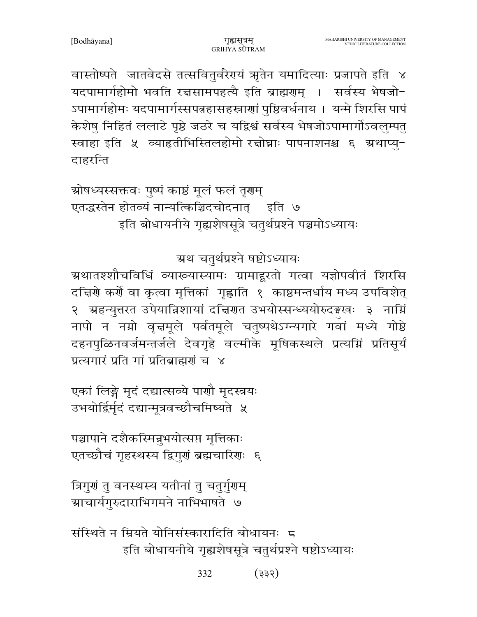वास्तोष्पते जातवेदसे तत्सवितुर्वरेगयं ऋतेन यमादित्याः प्रजापते इति ४ यदपामार्गहोमो भवति रचसामपहत्यै इति ब्राह्मणम् । सर्वस्य भेषजो-ऽपामार्गहोमः यदपामार्गस्सपत्नहासहस्त्राणां पुष्ठिवर्धनाय । यन्मे शिरसि पापं केशेषु निहितं ललाटे पृष्ठे जठरे च यद्विश्वं सर्वस्य भेषजोऽपामार्गोऽवलुम्पतु स्वाहा इति ५ व्याहृतीभिस्तिलहोमो रच्चोघ्राः पापनाशनश्च ६ ग्रथाप्यु-दाहरन्ति

ग्रोषध्यस्सक्तवः पुष्पं काष्ठं मूलं फलं तृगम् एतद्धस्तेन होतव्यं नान्यत्किञ्चिदचोदनात् इति ७ इति बोधायनीये गृह्यशेषसूत्रे चतुर्थप्रश्ने पञ्चमोऽध्यायः

# ग्रथ चतुर्थप्रश्ने षष्टोऽध्यायः

ग्रथातश्शौचविधिं व्याख्यास्यामः ग्रामाद्दूरतो गत्वा यज्ञोपवीतं शिरसि दच्चिणे कर्णे वा कृत्वा मृत्तिकां गृह्णाति १ काष्ठमन्तर्धाय मध्य उपविशेत् २ अहन्युत्तरत उपेयान्निशायां दच्चिणत उभयोस्सन्ध्ययोरुदङ्गखः ३ नाम्निं नापो न नम्रो वृत्तमूले पर्वतमूले चतुष्पथेऽग्न्यगारे गवां मध्ये गोष्ठे दहनपुळिनवर्जमन्तर्जले देवगृहे वर्ल्माके मूषिकस्थले प्रत्यग्निं प्रतिसूर्यं प्रत्यगारं प्रति गां प्रतिब्राह्मणं च ४

एकां लिङ्गे मृदं दद्यात्सव्ये पाणौ मृदस्त्रयः उभयोर्द्विर्मृदं दद्यान्मूत्रवच्छौचमिष्यते ५

पञ्चापाने दशैकस्मिन्नुभयोत्सप्त मृत्तिकाः एतच्छौचं गृहस्थस्य द्विगुणं ब्रह्मचारिणः ६

त्रिगुणं तु वनस्थस्य यतीनां तु चतुर्गुणम् ग्र्याचार्यगुरुदाराभिगमने नाभिभाषते ७

संस्थिते न म्रियते योनिसंस्कारादिति बोधायनः 5 इति बोधायनीये गृह्यशेषसूत्रे चतुर्थप्रश्ने षष्टोऽध्यायः

> 332  $(335)$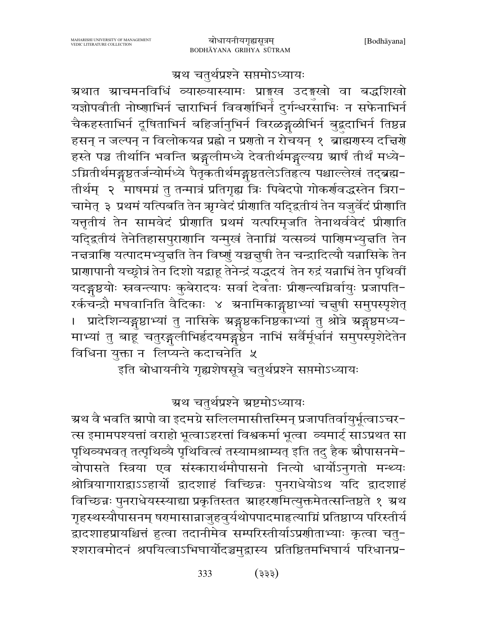## ग्रथ चतुर्थप्रश्ने सप्तमोऽध्यायः

ग्रथात ग्राचमनविधिं व्याख्यास्यामः प्राङ्गख उदङ्गखो वा बद्धशिखो यज्ञोपवीती नोष्णाभिर्न ज्ञाराभिर्न विवर्णाभिर्न दुर्गन्धरसाभिः न सफेनाभिर्न चैकहस्ताभिर्न दूषिताभिर्न बहिर्जानुभिर्न विरळङ्गळीभिर्न बुद्धदाभिर्न तिष्ठन्न हसन् न जल्पन् न विलोकयन्न प्रह्लो न प्रगतो न रोचयन् १ ब्राह्मगस्य दत्तिरो हस्ते पञ्च तीर्थानि भवन्ति ग्रङ्गलीमध्ये देवतीर्थमङ्गल्यग्र ग्रार्षं तीर्थं मध्ये-ऽग्नितीर्थमङ्गृष्ठतर्जन्योर्मध्ये पैतृकतीर्थमङ्गृष्ठतलेऽतिहृत्य पश्चाल्लेखं तद्ब्रह्म-तीर्थम् २ ँमाषमग्नं तु तन्मात्रं प्रतिगृह्य त्रिः पिबेदपो गोकर्णवद्धस्तेन त्रिरा− चामेत् ३ प्रथमं यत्पिबति तेन ऋग्वेदं प्रीणाति यदि्द्वतीयं तेन यजुर्वेदं प्रीणाति यत्तृतीयं तेन सामवेदं प्रीणाति प्रथमं यत्परिमृजति तेनाथर्ववेदं प्रीणाति यदि्द्रतीयं तेनेतिहासपुराणानि यन्मुखं तेनाग्निं यत्सव्यं पाणिमभ्युच्चति तेन नचत्राणि यत्पादमभ्युच्चति तेन विष्णुं यच्चचुषी तेन चन्द्रादित्यौ यन्नासिके तेन प्राणापानौ यच्छ्रोत्रं तेन दिशो यद्वाहू तेनेन्द्रं यद्धदयं तेन रुद्रं यन्नाभिं तेन पृथिवीं यदङ्गष्ठयोः स्रवन्त्यापः कुबेरादयः सर्वा देवताः प्रीगन्त्यग्निर्वायुः प्रजापति− रर्कचन्द्रौ मघवानिति वैदिकाः ४ अनामिकाङ्गुष्ठाभ्यां चत्तुषी समुपस्पृशेत् । प्रादेशिन्यङ्गुष्ठाभ्यां तु नासिके ग्रङ्गुष्ठकनिष्ठकाभ्यां तु श्रोत्रे ग्रङ्गुष्ठमध्य-माभ्यां तु बाहू चतुरङ्गलीभिर्हृदयमङ्गुष्ठेन नाभिं सर्वैर्मूर्धानं समुपस्पृशेदेतेन विधिना युक्ता न लिप्यन्ते कदाचनेति ५

.<br>इति बोधायनीये गृह्यशेषसूत्रे चतुर्थप्रश्ने सप्तमोऽध्यायः

## ग्रथ चतुर्थप्रश्ने ग्रष्टमोऽध्यायः

ग्रथ वै भवति स्रापो वा इदमग्रे सलिलमासीत्तस्मिन् प्रजापतिर्वायुर्भूत्वाऽचर− त्स इमामपश्यत्तां वराहो भूत्वाऽहरत्तां विश्वकर्मा भूत्वा व्यमार्ट् साऽप्रथत सा पृथिव्यभवत् तत्पृथिव्यै पृथिवित्वं तस्यामश्राम्यत् इति तदु हैक स्रौपासनमे-वोपासते स्त्रिया एव संस्कारार्थमौपासनो नित्यो धार्योऽनुगतो मन्थ्यः श्रोत्रियागाराद्वाऽऽहार्यो द्वादशाहं विच्छिन्नः पुनराधेयोऽथ यदि द्वादशाहं विच्छिन्नः पुनराधेयस्स्याद्या प्रकृतिस्तत आहरणमित्युक्तमेतत्सन्तिष्ठते १ अथ गृहस्थस्यौपासनम् षरमासान्नाजुहवुर्यथोपपादमाहत्याम्निं प्रतिष्ठाप्य परिस्तीर्य द्वादशाहप्रायश्चित्तं हुत्वा तदानीमेव सम्परिस्तीर्याऽप्रणीताभ्याः कृत्वा चतु-श्शरावमोदनं श्रपयित्वाऽभिघार्योदञ्चमुद्रास्य प्रतिष्ठितमभिघार्य परिधानप्र-

> 333  $($ 333)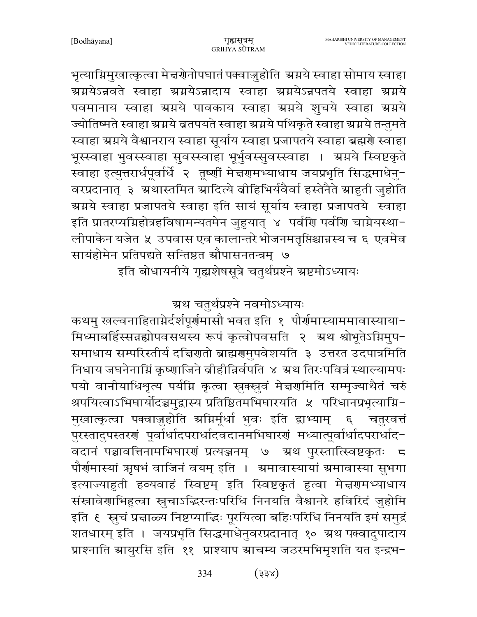भृत्याग्निमुखात्कृत्वा मेद्मग्रेनोपघातं पक्वाजुहोति अग्नये स्वाहा सोमाय स्वाहा ग्रग्नयेऽन्नवते स्वाहा ग्रग्नयेऽन्नादाय स्वाहा ग्रग्नयेऽन्नपतये स्वाहा ग्रग्नये पवमानाय स्वाहा ग्रग्नये पावकाय स्वाहा ग्रग्नये शुचये स्वाहा ग्रग्नये ज्योतिष्मते स्वाहा स्रग्नये ब्रतपयते स्वाहा स्रग्नये पथिकृते स्वाहा स्रग्नये तन्तुमते स्वाहा स्रग्नये वैश्वानराय स्वाहा सूर्याय स्वाहा प्रजापतये स्वाहा ब्रह्मणे स्वाहा भूस्स्वाहा भुवस्स्वाहा सुवस्स्वाहा भूर्भुवस्सुवस्स्वाहा । ग्रग्नये स्विष्टकृते स्वाहा इत्युत्तरार्धपूर्वार्धे २ तूष्णीं मेज्ञगमभ्याधाय जयप्रभृति सिद्धमाधेनु-वरप्रदानात् ३ अथास्तमित स्रादित्ये व्रीहिभिर्यवैर्वा हस्तेनैते स्राहुती जुहोति ग्रग्नये स्वाहा प्रजापतये स्वाहा इति सायं सूर्याय स्वाहा प्रजापतये स्वाहा इति प्रातरप्यम्निहोत्रहविषामन्यतमेन जुहुयात् ४ पर्वर्णि पर्वर्णि चाम्नेयस्था− लीपाकेन यजेत ५ उपवास एव कालान्तरे भोजनमतृप्तिश्चान्नस्य च ६ एवमेव सायंहोमेन प्रतिपद्यते सन्तिष्ठत औपासनतन्त्रम् ७

इति बोधायनीये गृह्यशेषसूत्रे चतुर्थप्रश्ने ग्रष्टमोऽध्यायः

ग्रथ चतुर्थप्रश्ने नवमोऽध्यायः

कथमु खल्वनाहिताग्नेर्दर्शपूर्णमासौ भवत इति १ पौर्णमास्याममावास्याया− मिध्माबर्हिस्सन्नह्योपवसथस्य रूपं कृत्वोपवसति २ अथ श्वोभूतेऽग्निमुप-समाधाय सम्परिस्तीर्य दच्चिणतो ब्राह्मणुमुपवेशयति ३ उत्तरत उदपात्रमिति निधाय जघनेनाम्निं कृष्णाजिने व्रीहीन्निर्वपति ४ ग्रथ तिरःपवित्रं स्थाल्यामपः पयो वानीयाधिशृत्य पर्यम्नि कृत्वा स्नुक्स्नुवं मेज्ञणमिति सम्मृज्याथैतं चरुं श्रपयित्वाऽभिघार्योदञ्चमुद्रास्य प्रतिष्ठितमभिघारयति ५ परिधानप्रभृत्याग्नि-मुखात्कृत्वा पक्वाज़ुहोति स्रम्रिर्मूर्धा भुवः इति द्वाभ्याम् चतुरवत्तं  $\epsilon$ पुरस्तादुपस्तरणं पूर्वार्धादपरार्धादवदानमभिघारणं मध्यात्पूर्वार्धादपरार्धाद-वदानं पञ्चावत्तिनामभिघारणं प्रत्यञ्जनम् ।७ अथ पुरस्तात्स्विष्टकृतः 5 पौर्णमास्यां ऋषभं वाजिनं वयम् इति । अमावास्यायां अमावास्या सुभगा इत्याज्याहुती हव्यवाहं स्विष्टम् इति स्विष्टकृतं हुत्वा मेत्तरणमभ्याधाय संस्नावेणाभिहुत्वा स्नुचाऽद्धिरन्तःपरिधि निनयति वैश्वानरे हविरिदं जुहोमि इति ६ स्तूचं प्रज्ञाळ्य निष्टप्याद्धिः पूरयित्वा बहिःपरिधि निनयति इमं समुद्रं शतधारम् इति । जयप्रभृति सिद्धमाधेनुवरप्रदानात् १० ग्रथ पक्वादुपादाय प्राश्नाति स्रायुरसि इति ११ प्राश्याप स्राचम्य जठरमभिमृशति यत इन्द्रभ-

> 334  $($   $\check{\mathcal{S}}$   $\check{\mathcal{S}}$   $\check{\mathcal{S}}$   $\check{\mathcal{S}}$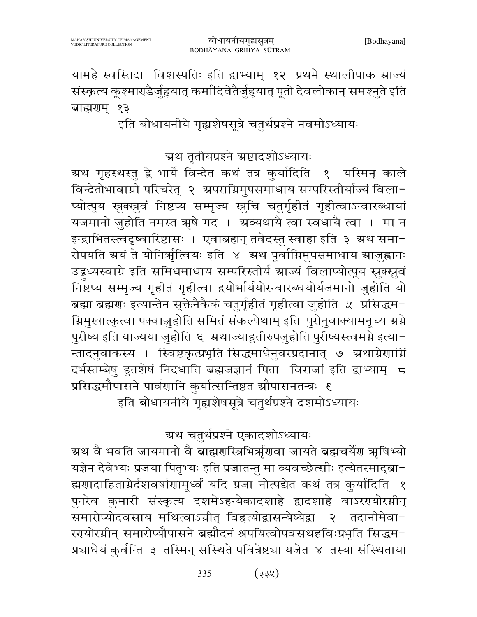यामहे स्वस्तिदा विशस्पतिः इति द्वाभ्याम् १२ प्रथमे स्थालीपाक स्राज्यं संस्कृत्य कूश्माराडैर्जुहुयात् कर्मादिवेतैर्जुहुयात् पूतो देवलोकान् समश्नते इति ब्राह्मराम् १३

इति बोधायनीये गृह्यशेषसूत्रे चतुर्थप्रश्ने नवमोऽध्यायः

ग्रथ तृतीयप्रश्ने ग्रष्टादशोऽध्यायः

ग्रथ गृहस्थस्तु द्वे भार्ये विन्देत कथं तत्र कुर्यादिति १ यस्मिन् काले विन्देतोभावाग्नी परिचरेत् २ अपराग्निमुपसमाधाय सम्परिस्तीर्याज्यं विला-प्योत्पूय स्नुक्स्नुवं निष्टप्य सम्मृज्य स्नुचि चतुर्गृहीतं गृहीत्वाऽन्वारब्धायां यजमानो जुहोति नमस्त ऋषे गद । अञ्यथायै त्वा स्वधायै त्वा । मा न इन्द्राभितस्त्वदृष्वारिष्टासः । एवाब्रह्मन् तवेदस्तु स्वाहा इति ३ अथ समा-रोपयति ग्रयं ते योनिर्ऋत्वियः इति ४ ग्रथ पूर्वाग्निमुपसमाधाय ग्राजुह्वानः उद्बध्यस्वाग्रे इति समिधमाधाय सम्परिस्तीर्य स्राज्यं विलाप्योत्पूय स्नुक्स्नुवं निष्टप्य सम्मृज्य गृहीतं गृहीत्वा द्वयोर्भार्ययोरन्वारब्धयोर्यजमानो जुहोति यो ब्रह्मा ब्रह्मणः इत्यान्तेन सूक्तेनैकैकं चतुर्गृहीतं गृहीत्वा जुहोति ५ प्रसिद्धम-ग्निमुखात्कृत्वा पक्वाज्जुहोति समितं संकल्पेथाम् इति पुरोनुवाक्यामनूच्य ग्रग्ने पुरीष्य इति याज्यया जुहोति ६ अथाज्याहुतीरुपजुहोति पुरीष्यस्त्वमग्ने इत्या-न्तादनुवाकस्य । स्विष्टकृत्प्रभृति सिद्धमाधेनुवरप्रदानात् ७ ग्रथाग्रेणाग्निं दर्भस्तम्बेषु हुतशेषं निदधाति ब्रह्मजज्ञानं पिता विराजां इति द्वाभ्याम् 5 प्रसिद्धमौपासने पार्वणानि कुर्यात्सन्तिष्ठत औपासनतन्त्रः १ इति बोधायनीये गृह्यशेषसूत्रे चतुर्थप्रश्ने दशमोऽध्यायः

ग्रथ चतुर्थप्रश्ने एकादशोऽध्यायः

ग्रथ वै भवति जायमानो वै ब्राह्मणस्त्रिभिर्त्रूणवा जायते ब्रह्मचर्येण ऋषिभ्यो यज्ञेन देवेभ्यः प्रजया पितृभ्यः इति प्रजातन्तु मा व्यवच्छेत्सीः इत्येतस्माद्ब्रा-ह्मणादाहिताग्नेर्दशवर्षाणामूर्ध्वं यदि प्रजा नोत्पद्येत कथं तत्र कुर्यादिति १ पुनरेव कुमारीं संस्कृत्य दशमेऽहन्येकादशाहे द्वादशाहे वाऽररयोरग्रीन् समारोप्योदवसाय मथित्वाऽग्नीत् विहृत्योद्वासन्येष्येद्वा २ तदानीमेवा-रगयोरग्नीन् समारोप्यौपासने ब्रह्मौदनं श्रपयित्वोपवसथहविःप्रभृति सिद्धम-प्रचाधेयं कुर्वन्ति ३ तस्मिन् संस्थिते पवित्रेष्ट्या यजेत ४ तस्यां संस्थितायां

> 335  $(33%)$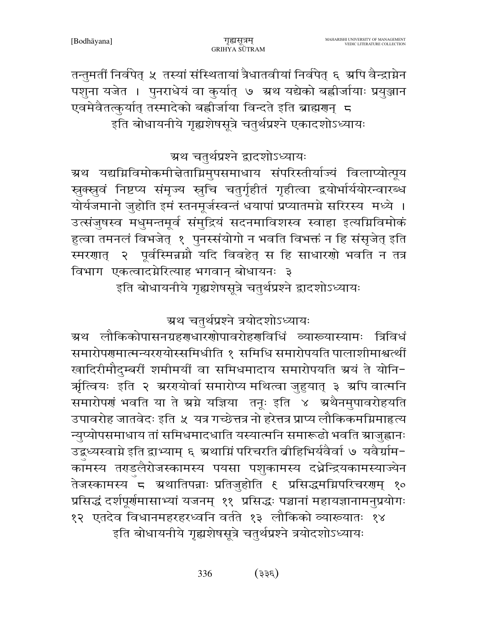तन्तुमतीं निर्वपेत् ५ तस्यां संस्थितायां त्रैधातवीयां निर्वपेत् ६ अपि वैन्द्राग्नेन पशुना यजेत । पुनराधेयं वा कुर्यात् ७ अथ यद्येको बह्वीर्जायाः प्रयुञ्जान एवमेवैतत्कुर्यात् तस्मादेको बह्वीर्जाया विन्दते इति ब्राह्मणन् ८ इति बोधायनीये गृह्यशेषसूत्रे चतुर्थप्रश्ने एकादशोऽध्यायः

ग्रथ चतुर्थप्रश्ने द्वादशोऽध्यायः

ग्रथ यद्यग्निविमोकमीत्तेताग्निमुपसमाधाय संपरिस्तीर्याज्यं विलाप्योत्पूय सुक्स्नुवं निष्टप्य संमृज्य स्नुचि चतुर्गृहीतं गृहीत्वा द्वयोर्भार्ययोरन्वारब्ध योर्यजमानो जुहोति इमं स्तनमूर्जस्वन्तं धयापां प्रप्यातमग्ने सरिरस्य मध्ये । उत्संजुषस्व मधुमन्तमूर्व संमुद्रियं सदनमाविशस्व स्वाहा इत्यग्निविमोकं हुत्वा तमनलं विभजेत् १ पुनरसंयोगो न भवति विभक्तं न हि संसृजेत् इति स्मरणात् २ पूर्वस्मिन्नग्नौ यदि विवहेत् स हि साधारणो भवति न तत्र विभाग एकत्वादग्नेरित्याह भगवान् बोधायनः ३

इति बोधायनीये गृह्यशेषसूत्रे चतुर्थप्रश्ने द्वादशोऽध्यायः

ग्रथ चतुर्थप्रश्ने त्रयोदशोऽध्यायः

ग्रथ लौकिकोपासनग्रहणधारणोपावरोहणविधिं व्याख्यास्यामः त्रिविधं समारोपरणात्मन्यररायोस्समिधीति १ समिधि समारोपयति पालाशीमाश्वर्त्थीं खादिरीमौदुम्बरीं शमीमयीं वा समिधमादाय समारोपयति ग्रयं ते योनि-र्ऋत्वियः इति २ ग्ररएयोर्वा समारोप्य मथित्वा जुहुयात् ३ ग्रपि वात्मनि समारोपणं भवति या ते स्रग्ने यज्ञिया तनूः इति ४ अथैनमुपावरोहयति उपावरोह जातवेदः इति ५ यत्र गच्छेत्तत्र नो हरेत्तत्र प्राप्य लौकिकमग्निमाहत्य न्युप्योपसमाधाय तां समिधमादधाति यस्यात्मनि समारूढो भवति ग्राजुह्वानः उद्बध्यस्वाग्ने इति द्वाभ्याम् ६ ग्रथाग्निं परिचरति व्रीहिभिर्यवैर्वा ७ यवैर्ग्राम-काँमस्य तराडलैरोजस्कामस्य पयसा पशुकामस्य दध्नेन्द्रियकामस्याज्येन तेजस्कामस्य<sup>ँ</sup> ८ अथातिपन्नाः प्रतिजुहोति ६ प्रसिद्धमग्निपरिचरणम् १० प्रसिद्धं दर्शपूर्णमासाभ्यां यजनम् ११ प्रसिद्धः पञ्चानां महायज्ञानामनुप्रयोगः १२ एतदेव विधानमहरहरध्वनि वर्तते १३ लौकिको व्याख्यातः १४ इति बोधायनीये गृह्यशेषसूत्रे चतुर्थप्रश्ने त्रयोदशोऽध्यायः

> 336  $(335)$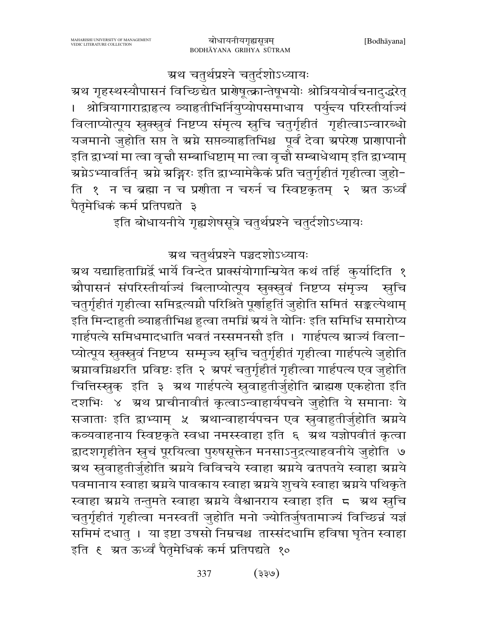ग्रथ चतुर्थप्रश्ने चतुर्दशोऽध्यायः

ग्रथ गृहस्थस्यौपासनं विच्छिद्येत प्रारोषूत्क्रान्तेषूभयोः श्रोत्रिययोर्वचनादुद्धरेत् श्रोत्रियागाराद्वाहृत्य व्याहृतीभिर्नियुप्योपसमाधाय पर्युन्त्य परिस्तीर्याज्यं विलाप्योत्पूय स्नुक्स्नुवं निष्टप्य संमृत्य स्नुचि चतुर्गृहीतं गृहीत्वाऽन्वारब्धो यजमानो जुहोति सप्त ते स्रग्ने सप्तव्याहृतिभिश्च पूर्वं देवा अपरेण प्राणापानौ इति द्वाभ्यां मा त्वा वृत्तौ सम्बाधिष्टाम् मा त्वा वृत्तौ सम्बाधेथाम् इति द्वाभ्याम् ग्रग्नेऽभ्यावर्तिन् अग्ने अङ्गिरः इति द्वाभ्यामेकैकं प्रति चतुर्गृहीतं गृहीत्वा जुहो− ति १ न च ब्रह्मा न च प्रणीता न चरुर्न च स्विष्टकृतम् २ अत ऊर्ध्वं पैतुमेधिकं कर्म प्रतिपद्यते ३

इति बोधायनीये गृह्यशेषसूत्रे चतुर्थप्रश्ने चतुर्दशोऽध्यायः

ग्रथ चतुर्थप्रश्ने पञ्चदशोऽध्यायः

ग्रथ यद्याहिताम्निर्द्वे भार्ये विन्देत प्राक्संयोगान्म्रियेत कथं तर्हि कुर्यादिति १ ग्रौपासनं संपरिस्तीर्याज्यं बिलाप्योत्पूय स्रुक्स्नुवं निष्टप्य संमृज्य स्रचि चतुर्गृहीतं गृहीत्वा समिद्रत्यग्नौ परिश्रिते पूर्णाहुतिं जुहोति समितं सङ्कल्पेथाम् इति मिन्दाहुती व्याहृतीभिश्च हुत्वा तमग्निं ग्रयं ते योनिः इति समिधि समारोप्य गार्हपत्ये समिधमादधाति भवतं नस्समनसौ इति । गार्हपत्य स्राज्यं विला-प्योत्पूय स्नुक्स्नुवं निष्टप्य सम्मृज्य स्नुचि चतुर्गृहीतं गृहीत्वा गार्हपत्ये जुहोति ग्र्यावग्निश्चरति प्रविष्टः इति २ श्रपरं चतुर्गृहीतं गृहीत्वा गार्हपत्य एव जुहोति चित्तिस्खुक् इति ३ ग्रथ गार्हपत्ये स्रुवाहुतीर्जुहोति ब्राह्मण एकहोता इति दशभिः ४ अथ प्राचीनावीतं कृत्वाऽन्वाहार्यपचने जुहोति ये समानाः ये सजाताः इति द्वाभ्याम् ५ अथान्वाहार्यपचन एव स्रुवाहुतीर्जुहोति ग्रग्नये कव्यवाहनाय स्विष्टकृते स्वधा नमस्स्वाहा इति ६ ग्रथ यज्ञोपवीतं कृत्वा द्वादशगृहीतेन स्नुचं पूरयित्वा पुरुषसूक्तेन मनसाऽनुद्रत्याहवनीये जुहोति ७ ग्रथ स्रुवाहुतीर्जुहोति ग्रग्नये विविचये स्वाहा ग्रग्नये ब्रतपतये स्वाहा ग्रग्नये पवमानाय स्वाहा स्रग्नये पावकाय स्वाहा स्रग्नये शुचये स्वाहा स्रग्नये पथिकृते स्वाहा ग्रग्नये तन्तुमते स्वाहा ग्रग्नये वैश्वानराय स्वाहा इति 5 ग्रथ स्तुचि चतुर्गृहीतं गृहीत्वा मनस्वतीं जुहोति मनो ज्योतिर्जुषतामाज्यं विच्छिन्नं यज्ञं समिमं दधातु । या इष्टा उषसो निम्रचश्च तास्संदधामि हविषा घृतेन स्वाहा इति ६ ग्रत ऊर्ध्वं पैतृमेधिकं कर्म प्रतिपद्यते १०

> 337  $(e^{i\xi})$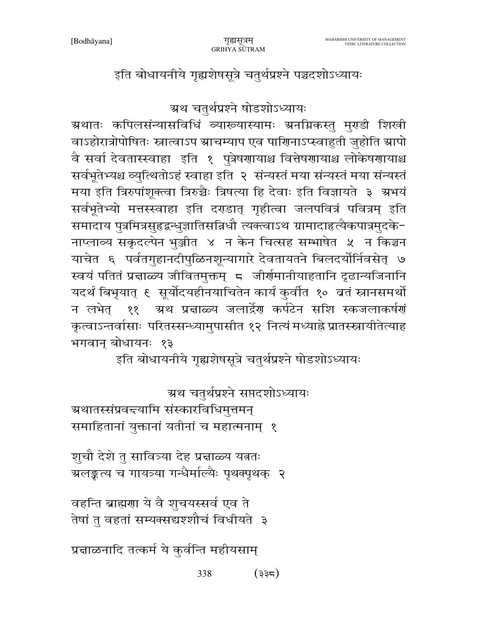[Bodhayana]

इति बोधायनीये गृह्यशेषसूत्रे चतुर्थप्रश्ने पञ्चदशोऽध्यायः

ग्रथ चतुर्थप्रश्ने षोडशोऽध्यायः

ग्रथातः कपिलसंन्यासविधिं व्याख्यास्यामः ग्रनग्निकस्तु मुराडी शिखी वाऽहोरात्रोपोषितः स्नात्वाऽप स्राचम्याप एव पाणिनाऽप्स्वाहुती जुहोति स्रापो वै सर्वा देवतास्स्वाहा इति १ पुत्रेषणायाश्च वित्तेषणायाश्च लोकेषणायाश्च सर्वभूतेभ्यश्च व्युत्थितोऽहं स्वाहा इति २ संन्यस्तं मया संन्यस्तं मया संन्यस्तं मया इति त्रिरुपांशूक्त्वा त्रिरुच्चैः त्रिषत्या हि देवाः इति विज्ञायते ३ ग्रुभयं सर्वभूतेभ्यो मत्तस्स्वाहा इति दराडात् गृहीत्वा जलपवित्रं पवित्रम् इति समादाय पुत्रमित्रसुहृद्वन्धुज्ञातिसन्निधौ त्यक्त्वाऽथ ग्रामादाहृत्यैकपात्रमुदके-नाप्लाव्य सकृदल्पेन भुञ्जीत ४ न केन चित्सह सम्भाषेत ५ न किञ्चन याचेत ६ पर्वतगुहानदीपुळिनशून्यागारे देवतायतने बिलदर्योर्निवसेत् ७ स्वयं पतितं प्रज्ञाळ्य जीवितमुक्तम् 5 जीर्णमानीयाहतानि दृढान्यजिनानि यदर्थं बिभृयात् ६ सूर्योदयहीनयाचितेन कार्यं कुर्वात १० बतं स्नानसमर्थो न लभेत् ११ - ग्रथ प्रचाळ्य जलार्द्रेण कर्पटेन सशि स्कजलाकर्षणं कृत्वाऽन्तर्वासाः परितस्सन्ध्यामुपासीत १२ नित्यं मध्याह्ने प्रातस्स्नायीतेत्याह भगवान् बोधायनः १३

इति बोधायनीये गृह्यशेषसूत्रे चतुर्थप्रश्ने षोडशोऽध्यायः

ग्रथ चतुर्थप्रश्ने सप्तदशोऽध्यायः

ग्रथातस्संप्रवद्त्यामि संस्कारविधिमुत्तमन् समाहितानां युक्तानां यतीनां च महात्मनाम् १

शूचौ देशे तु सावित्र्या देह प्रत्नाळ्य यततः ग्रलङ्कत्य च गायत्र्या गन्धैर्माल्यैः पृथक्पृथक् २

वहन्ति ब्राह्मणा ये वै शुचयस्सर्व एव ते तेषां तु वहतां सम्यक्सद्यश्शौचं विधीयते ३

प्रद्माळनादि तत्कर्म ये कुर्वन्ति महीयसाम्

338 (३३८)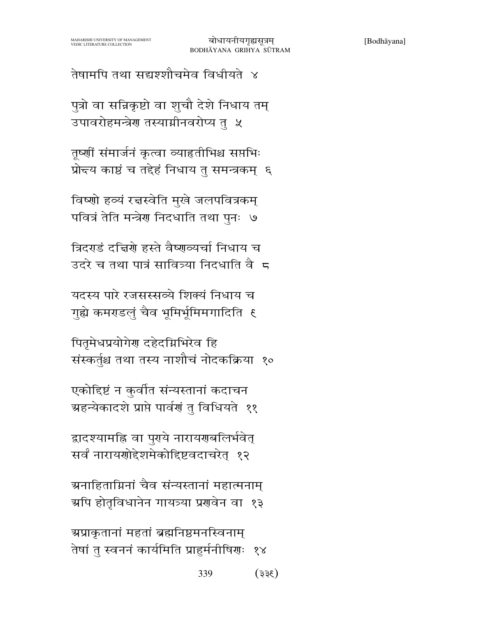तेषामपि तथा सद्यश्शौचमेव विधीयते ४

पुत्रो वा सन्निकृष्टो वा शुचौ देशे निधाय तम् उपावरोहमन्त्रेण तस्यामीनवरोप्य तु ५

तूष्णीं संमार्जनं कृत्वा व्याहतीभिश्च सप्तभिः प्रोन्दय काष्ठं च तद्देहं निधाय तु समन्त्रकम् ६

विष्णो हव्यं रद्मस्वेति मुखे जलपवित्रकम् पवित्रं तेति मन्त्रेण निदधाति तथा पुनः ७

त्रिदराडं दत्तिरो हस्ते वैष्णव्यर्चा निधाय च उदरे च तथा पात्रं सावित्र्या निदधाति वैज

यदस्य पारे रजसस्सव्ये शिक्यं निधाय च गृह्ये कमराडलुं चैव भूमिर्भूमिमगादिति १

पितृमेधप्रयोगेर दहेदग्निभिरेव हि संस्कर्तुश्च तथा तस्य नाशौचं नोदकक्रिया १०

एकोद्दिष्टं न कुर्वात संन्यस्तानां कदाचन ग्रहन्येकादशे प्राप्ते पार्वणं तु विधियते ११

द्वादश्यामहि वा पुरये नारायरणबलिर्भवेत् सर्वं नारायणोद्देशमेकोद्दिष्टवदाचरेत् १२

ग्र्यनाहिताग्निनां चैव संन्यस्तानां महात्मनाम् ग्रपि होतृविधानेन गायत्र्या प्रणवेन वा १३

ग्रप्राकृतानां महतां ब्रह्मनिष्ठमनस्विनाम् तेषां तु स्वननं कार्यमिति प्राहुर्मनीषिग्णः १४

> 339  $(355)$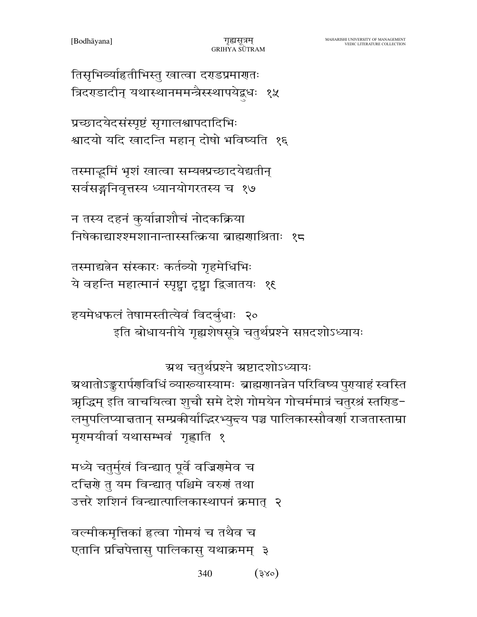340  $(3x^{\circ})$ 

वर्ल्मीकमृत्तिकां हत्वा गोमयं च तथैव च एतानि प्रचिपेत्तासु पालिकासु यथाक्रमम् ३

मध्ये चतुर्मुखं विन्द्यात् पूर्वे वज्रिगमेव च दच्चिणे तु यम विन्द्यात् पश्चिमे वरुणं तथा उत्तरे शशिनं विन्द्यात्पालिकास्थापनं क्रमात् २

ग्रथ चतुर्थप्रश्ने ग्रष्टादशोऽध्यायः ग्र्यशतोऽङ्करार्पणविधिं व्याख्यास्यामः ब्राह्मणानन्नेन परिविष्य पुरायाहं स्वस्ति ऋद्धिम् इति वाचयित्वा शुचौ समे देशे गोमयेन गोचर्ममात्रं चतुरश्रं स्तरिड− लमुपलिप्याचतान् सम्प्रकीर्याद्धिरभ्युद्दय पञ्च पालिकास्सौवर्णा राजतास्ताम्रा मृगमयीर्वा यथासम्भवं गृह्णाति १

हयमेधफलं तेषामस्तीत्येवं विदर्बुधाः २० इति बोधायनीये गृह्यशेषसूत्रे चतुर्थप्रश्ने सप्तदशोऽध्यायः

तस्माद्यतेन संस्कारः कर्तव्यो गृहमेधिभिः ये वहन्ति महात्मानं स्पृष्ट्वा दृष्ट्वा द्विजातयः १६

न तस्य दहनं कुर्यान्नाशौचं नोदकक्रिया निषेकाद्याश्श्मशानान्तास्सत्क्रिया ब्राह्मणाश्रिताः १८

तस्माद्धमिं भृशं खात्वा सम्यक्प्रच्छादयेद्यतीन् सर्वसङ्गनिवृत्तस्य ध्यानयोगरतस्य च १७

प्रच्छादयेदसंस्पृष्टं सृगालश्वापदादिभिः श्वादयो यदि खादन्ति महान् दोषो भविष्यति १६

तिसृभिर्व्याहृतीभिस्तु खात्वा दराडप्रमारातः त्रिदराडादीन् यथास्थानममन्त्रैस्स्थापयेद्वधः १५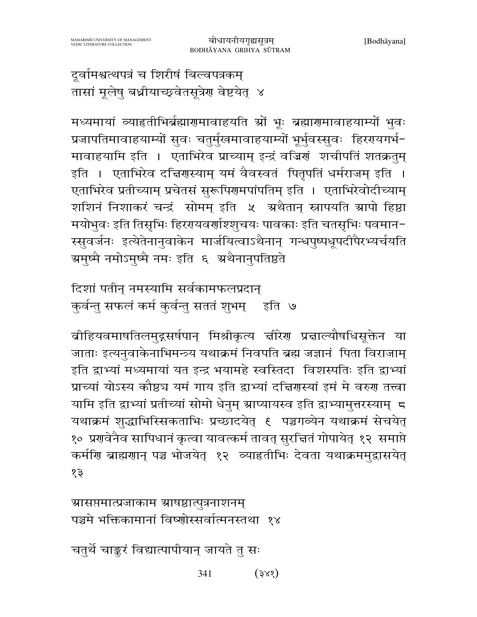दूर्वामश्वत्थपत्रं च शिरीषं बिल्वपत्रकम् तासां मूलेषु बध्नीयाच्छ्वेतसूत्रेण वेष्टयेत् ४

मध्यमायां व्याहतीभिर्ब्रह्मारणमावाहयति स्रों भूः ब्रह्मारणमावाहयाम्यों भुवः प्रजापतिमावाहयाम्यों सुवः चतुर्मुखमावाहयाम्यों भूर्भुवस्सुवः हिररयगर्भ-मावाहयामि इति । एताभिरेव प्राच्याम् इन्द्रं वज्रिणं शचीपतिं शतक्रतुम् इति । एताभिरेव दच्चिरणस्याम् यमं वैवस्वतं पितृपतिं धर्मराजम् इति । एताभिरेव प्रतीच्याम् प्रचेतसं सुरूपिरणमपांपतिम् इति । एताभिरेवोदीच्याम् शशिनं निशाकरं चन्द्रं सोमम् इति ५ अथैतान् स्नापयति ग्रापो हिष्ठा मयोभुवः इति तिसृभिः हिररपयवर्णाश्शुचयः पावकाः इति चतसृभिः पवमान-स्सुवर्जनः इत्येतेनानुवाकेन मार्जयित्वाऽथैनान् गन्धपुष्पधूपदीपैरभ्यर्चयति ग्रमुष्मै नमोऽमुष्मै नमः इति ६ अथैनानुपतिष्ठते

दिशां पतीन् नमस्यामि सर्वकामफलप्रदान् कुर्वन्तु सफलं कर्म कुर्वन्तु सततं शुभम् । इति ।७

ब्रीहियवमाषतिलमुद्गसर्षपान् मिश्रीकृत्य चीरेण प्रचाल्यौषधिसूक्तेन या जाताः इत्यनुवाकेनाभिमन्त्र्य यथाक्रमं निवपति ब्रह्म जज्ञानं पिता विराजाम् इति द्वाभ्यां मध्यमायां यत इन्द्र भयामहे स्वस्तिदा विशस्पतिः इति द्वाभ्यां प्राच्यां योऽस्य कौष्ठ्य यमं गाय इति द्वाभ्यां दत्तिरास्यां इमं मे वरुरा तत्त्वा यामि इति द्वाभ्यां प्रतीच्यां सोमो धेनुम् स्राप्यायस्व इति द्वाभ्यामुत्तरस्याम् 5 यथाक्रमं शुद्धाभिस्सिकताभिः प्रच्छादयेत् १ पञ्चगव्येन यथाक्रमं सेचयेत् १० प्रगवेनैव सापिधानं कृत्वा यावत्कर्म तावत् सुरचितं गोपायेत् १२ समाप्ते कर्मणि ब्राह्मणान् पञ्च भोजयेत् १२ व्याहतीभिः देवता यथाक्रममुद्रासयेत् १३

ग्रासप्तमात्प्रजाकाम ग्राषष्ठात्पुत्रनाशनम् पञ्चमे भक्तिकामानां विष्णोस्सर्वात्मनस्तथा १४

चतुर्थे चाङ्करं विद्यात्पापीयान् जायते तु सः

341  $(3x\zeta)$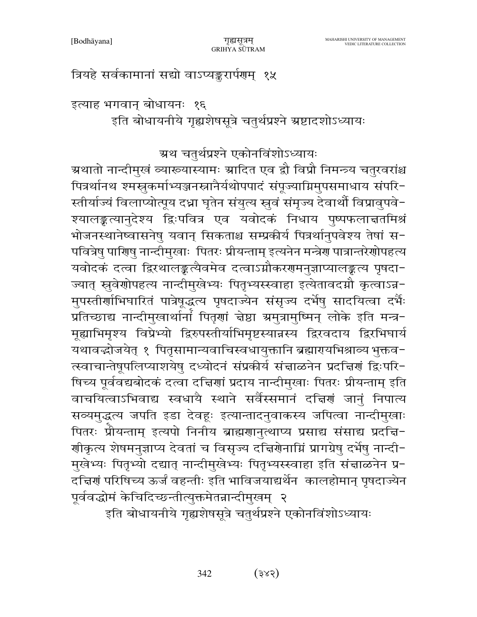इति बोधायनीये गृह्यशेषसूत्रे चतुर्थप्रश्ने एकोनविंशोऽध्यायः

पित्रर्थानथ श्मस्तकर्माभ्यञ्जनस्त्रानैर्यथोपपादं संपूज्याग्निमुपसमाधाय संपरि-स्तीर्याज्यं विलाप्योत्पूय दध्रा घृतेन संयुत्य स्नुवं संमृज्य देवार्थौ विप्रावुपवे-श्यालङ्कल्यानुदेश्य द्विःपवित्र एव यवोदकं निधाय पुष्पफलात्ततमिश्रं भोजनस्थानेष्वासनेषु यवान् सिकताश्च सम्प्रकीर्य पित्रर्थानुपवेश्य तेषां स-पवित्रेषु पाणिषु नान्दीमुखाः पितरः प्रीयन्ताम् इत्यनेन मन्त्रेण पात्रान्तरेणोपहत्य यवोदकं दत्वा द्विरथालङ्कत्यैवमेव दत्वाऽग्नौकरणमनुज्ञाप्यालङ्कत्य पृषदा-ज्यात् स्रुवेशोपहत्य नान्दीमुखेभ्यः पितृभ्यस्स्वाहा इत्येतावदग्नौ कृत्वाऽन्न-मुपस्तीर्णाभिघारितं पात्रेषूद्धत्य पृषदाज्येन संसृज्य दर्भेषु सादयित्वा दर्भैः प्रतिच्छाद्य नान्दीमुखार्थानां पितॄणां चेष्ठा ग्रमुत्रामुष्मिन् लोके इति मन्त्र-मृह्याभिमृश्य विप्रेभ्यो द्विरुपस्तीर्याभिमृष्टस्यान्नस्य द्विरवदाय द्विरभिघार्य यथावद्भोजयेत् १ पितृसामान्यवाचिस्वधायुक्तानि ब्रह्मारायभिश्राव्य भुक्तव-त्स्वाचान्तेषूपलिप्याशयेषु दध्योदनं संप्रकीर्य संज्ञाळनेन प्रदचिर्णं द्विःपरि-षिच्य पूर्ववद्यबोदकं दत्वा दच्चिणां प्रदाय नान्दीमुखाः पितरः प्रीयन्ताम् इति वाचयित्वाऽभिवाद्य स्वधायै स्थाने सर्वैस्समानं दत्तिणं जानं निपात्य सव्यमुद्धत्य जपति इडा देवहः इत्यान्तादनुवाकस्य जपित्वा नान्दीमुखाः पितरः प्रीयन्ताम् इत्यपो निनीय ब्राह्मणानुत्थाप्य प्रसाद्य संसाद्य प्रदच्चि-र्णाकृत्य शेषमनुज्ञाप्य देवतां च विसृज्य दच्चिर्णेनाम्निं प्रागग्रेषु दर्भेषु नान्दी− मुखेभ्यः पितृभ्यो दद्यात् नान्दीमुखेभ्यः पितृभ्यस्स्वाहा इति संज्ञाळनेन प्र-दच्चिणं परिषिच्य ऊर्जं वहन्तीः इति भाविजयाद्यर्थेन कालहोमान् पृषदाज्येन पूर्ववद्धोमं केचिदिच्छन्तीत्युक्तमेतन्नान्दीमुखम् २

ग्रथ चतुर्थप्रश्ने एकोनविंशोऽध्यायः ग्रथातो नान्दीमुखं व्याख्यास्यामः ग्रादित एव द्वौ विप्रौ निमन्त्र्य चतुरवरांश्च

गुह्यसत्रम

GRIHYA SUTRAM

इत्याह भगवान् बोधायनः १६ इति बोधायनीये गृह्यशेषसूत्रे चतुर्थप्रश्ने ग्रष्टादशोऽध्यायः

त्रियहे सर्वकामानां सद्यो वाऽप्यङ्करार्पणम् १५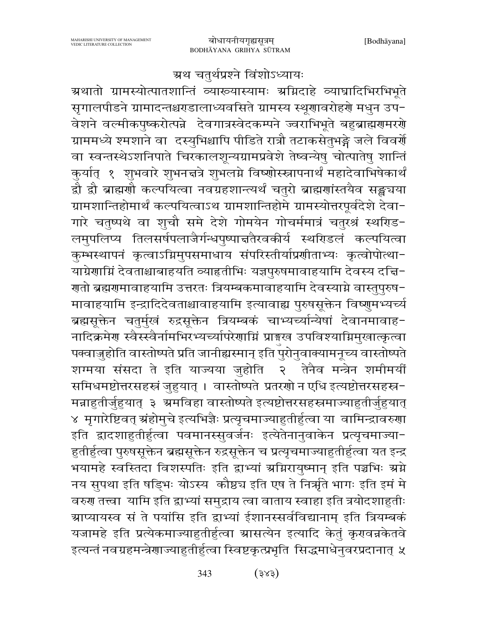### ग्रथ चतुर्थप्रश्ने विंशोऽध्यायः

ग्रथातो ग्रामस्योत्पातशान्तिं व्याख्यास्यामः अग्निदाहे व्याघ्रादिभिरभिभूते सृगालपीडने ग्रामादन्तश्चराडालाध्यवसिते ग्रामस्य स्थूगावरोहर्गे मधुन उप-वेशने वर्ल्मीकपुष्करोत्पन्ने देवगात्रस्वेदकम्पने ज्वराभिभूते बहुब्राह्मणमरणे ग्राममध्ये श्मशाने वा दस्युभिश्चापि पीडिते रात्रौ तटाकसेतुभङ्गे जले विवर्ये वा स्वन्तस्थेऽशनिपाते चिरकालशून्यग्रामप्रवेशे तेष्वन्येषु चोत्पातेषु शान्तिं कुर्यात् १ शुभवारे शुभनन्नत्रे शुभलग्ने विष्णोस्स्त्रापनार्थं महादेवाभिषेकार्थं द्वौ द्वौ ब्राह्मणौ कल्पयित्वा नवग्रहशान्त्यर्थं चतुरो ब्राह्मणांस्तयैव सङ्ख्यया ग्रामशान्तिहोमार्थं कल्पयित्वाऽथ ग्रामशान्तिहोमे ग्रामस्योत्तरपूर्वदेशे देवा-गारे चतुष्पथे वा शुचौ समे देशे गोमयेन गोचर्ममात्रं चतुरश्रं स्थरिड-लमुपलिप्य तिलसर्षपलाजैर्गन्धपुष्पान्नतैरवकीर्य स्थरिडलं कल्पयित्वा कुम्भस्थापनं कृत्वाऽग्निमुपसमाधाय संपरिस्तीर्याप्रणीताभ्यः कृत्वोपोत्था-याग्रेणाम्निं देवताश्चाबाहयति व्याहृतीभिः यज्ञपुरुषमावाहयामि देवस्य दच्चि− ग्गतो ब्रह्मगमावाहयामि उत्तरतः त्रियम्बकमावाहयामि देवस्याग्ने वास्तुपुरुष− मावाहयामि इन्द्रादिदेवताश्चावाहयामि इत्यावाह्य पुरुषसूक्तेन विष्णुमभ्यर्च्य ब्रह्मसूक्तेन चतुर्मुखं रुद्रसूक्तेन त्रियम्बकं चाभ्यच्यान्यिषां देवानमावाह-नादिक्रमेण स्वैस्स्वैर्नामभिरभ्यच्यापिरेणाग्निं प्राङ्गख उपविश्याग्निमुखात्कृत्वा पक्वाजुहोति वास्तोष्पते प्रति जानीह्यस्मान् इति पुरोनुवाक्यामनूच्य वास्तोष्पते शग्मया संसदा ते इति याज्यया जुहोति २ तेनैव मन्त्रेन शमीमयीं समिधमष्टोत्तरसहस्रं जुहुयात् । वास्तोष्पते प्रतरणो न एधि इत्यष्टोत्तरसहस्र-मन्नाहृतीर्जुहयात् ३ अमविहा वास्तोष्पते इत्यष्टोत्तरसहस्रमाज्याहृतीर्जुहयात् ४ मृगारेष्टिवत् ग्रंहोमुचे इत्यभिज्ञैः प्रत्यृचमाज्याहुतीर्हुत्वा या वामिन्द्रावरुणा इति द्वादशाहुतीर्हुत्वा पवमानस्सुवर्जनः इत्येतेनानुवाकेन प्रत्यृचमाज्या-हुतीर्हुत्वा पुरुषसूक्तेन ब्रह्मसूक्तेन रुद्रसूक्तेन च प्रत्यृचमाज्याहुतीर्हुत्वा यत इन्द्र भयामहे स्वस्तिदा विशस्पतिः इति द्वाभ्यां ग्रग्निरायुष्मान् इति पञ्चभिः ग्रग्ने नय सुपथा इति षड्भिः योऽस्य कौष्ठच इति एष ते निर्ऋते भागः इति इमं मे वरुण तत्त्वा यामि इति द्वाभ्यां समुद्राय त्वा वाताय स्वाहा इति त्रयोदशाहुतीः ग्राप्यायस्व सं ते पयांसि इति द्वाभ्यां ईशानस्सर्वविद्यानाम् इति त्रियम्बकं यजामहे इति प्रत्येकमाज्याहुतीर्हुत्वा म्रासत्येन इत्यादि केतुं कृरावन्नकेतवे इत्यन्तं नवग्रहमन्त्रेणाज्याहुतीर्हुत्वा स्विष्टकृत्प्रभृति सिद्धमाधेनुवरप्रदानात् ५

> $(325)$ 343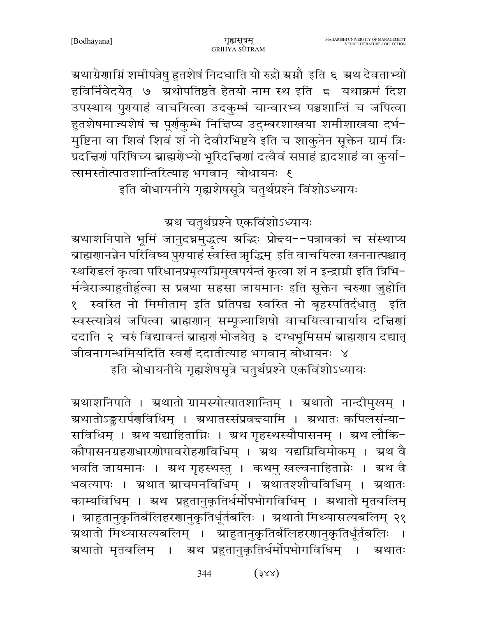ग्रथाग्रेणाम्निं शमीपत्रेषु हुतशेषं निदधाति यो रुद्रो ग्रमौ इति ६ ग्रथ देवताभ्यो हविर्निवेदयेत् ७ ग्रथोपतिष्ठते हेतयो नाम स्थ इति ८ यथाक्रमं दिश उपस्थाय पुरायाहं वाचयित्वा उदकुम्भं चान्वारभ्य पञ्चशान्तिं च जपित्वा हुतशेषमाज्यशेषं च पूर्णकुम्भे निचिप्य उदुम्बरशाखया शमीशाखया दर्भ-मुष्टिना वा शिवं शिवं शं नो देवीरभिष्टये इति च शाकुनेन सूक्तेन ग्रामं त्रिः प्रदत्तिर्गं परिषिच्य ब्राह्मगेभ्यो भूरिदत्तिर्गा दत्वैवं सप्ताहं द्वादशाहं वा कुर्या-त्समस्तोत्पातशान्तिरित्याह भगवान् बोधायनः १ इति बोधायनीये गृह्यशेषसूत्रे चतुर्थप्रश्ने विंशोऽध्यायः

ग्रथ चतुर्थप्रश्ने एकविंशोऽध्यायः

ग्रथाशनिपाते भूमिं जानुदघ्नमुद्धत्य ग्रद्धिः प्रोन्दय--पत्रावकां च संस्थाप्य बाह्मणानन्नेन परिविष्य पुरायाहं स्वस्ति ऋद्धिम् इति वाचयित्वा खननात्पश्चात् स्थरिडलं कृत्वा परिधानप्रभृत्यग्निमुखपर्यन्तं कृत्वा शं न इन्द्राग्नी इति त्रिभि-र्मन्त्रैराज्याहुतीर्हुत्वा स प्रतथा सहसा जायमानः इति सूक्तेन चरुणा जुहोति १ स्वस्ति नो मिमीताम् इति प्रतिपद्य स्वस्ति नो बृहस्पतिर्दधातु इति स्वस्त्यात्रेयं जपित्वा ब्राह्मणान् सम्पूज्याशिषो वाचयित्वाचार्याय दत्तिणां ददाति २ चरुं विद्यावन्तं ब्राह्मणं भोजयेत् ३ दग्धभूमिसमं ब्राह्मणाय दद्यात् जीवनागन्धमियदिति स्वर्णं ददातीत्याह भगवान् बोधायनः ४ इति बोधायनीये गृह्यशेषसूत्रे चतुर्थप्रश्ने एकविंशोऽध्यायः

ग्रथाशनिपाते । ग्रथातो ग्रामस्योत्पातशान्तिम् । ग्रथातो नान्दीमुखम् । अथातोऽङ्करार्पणविधिम् । अथातस्संप्रवद्त्यामि । अथातः कपिलसंन्या-सविधिम् । ग्रथ यद्याहिताग्निः । ग्रथ गृहस्थस्यौपासनम् । ग्रथ लौकि-कौपासनग्रहराधारशोपावरोहराविधिम् । अ्रथ यद्यग्निविमोकम् । अ्रथ वै भवति जायमानः । अ्रथ गृहस्थस्तु । कथमु खल्वनाहिताग्नेः । अ्रथ वै भवत्यापः । ग्रथातं ग्राचमनविधिम् । ग्रथातश्शौचविधिम् । ग्रथातः काम्यविधिम् । ग्रथ प्रहुतानुकृतिर्धर्मोपभोगविधिम् । ग्रथातो मृतबलिम् । स्राहुतानुकृतिर्बलिहरणानुकृतिर्धूर्तबलिः । स्रथातो मिथ्यासत्यबलिम् २१ ग्रथातो मिथ्यासत्यबलिम् । ग्राहुतानुकृतिर्बलिहरणानुकृतिर्धूर्तबलिः । ग्र्यथातो मृतबलिम् । ग्र्यथ प्रहुतानुकृतिर्धर्मोपभोगविधिम् । ग्र्यथातः

> $(328)$ 344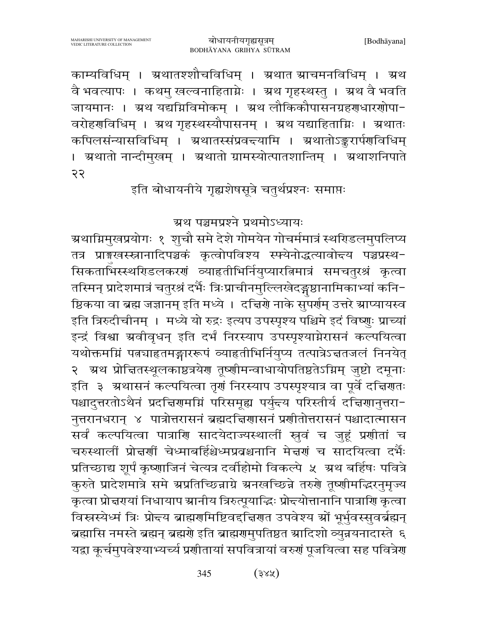काम्यविधिम् । ग्रथातश्शौचविधिम् । ग्रथात ग्राचमनविधिम् । ग्रथ वै भवत्यापः । कथमु खल्वनाहिताग्नेः । ग्रथ गृहस्थस्तु । ग्रथ वै भवति जायमानः । अ्रथ यद्यग्निविमोकम् । अ्रथ लौकिकौपासनग्रहरणधारणोपा-वरोहराविधिम् । स्रथ गृहस्थस्यौपासनम् । स्रथ यद्याहिताग्निः । स्रथातः कपिलसंन्यासविधिम् । ग्रथातस्संप्रवद्त्यामि । ग्रथातोऽङ्करार्पणविधिम् । अ्रथातो नान्दीमुखम् । अ्रथातो ग्रामस्योत्पातशान्तिम् । अ्रथाशनिपाते २२

इति बोधायनीये गृह्यशेषसूत्रे चतुर्थप्रश्नः समाप्तः

ग्रथ पञ्चमप्रश्ने प्रथमोऽध्यायः

ग्र्रथाग्निमुखप्रयोगः १ शुचौ समे देशे गोमयेन गोचर्ममात्रं स्थरिडलमुपलिप्य तत्र प्राङ्गखस्स्नानादिपञ्चकं कृत्वोपविश्य स्फ्येनोद्धत्यावोत्त्य पञ्चप्रस्थ-सिकताभिस्स्थरिडलकरणं व्याहृतीभिर्नियुप्यारत्निमात्रं समचतुरश्रं कृत्वा तस्मिन् प्रादेशमात्रं चतुरश्रं दर्भैः त्रिःप्राचीनमुल्लिखेदङ्गष्ठानामिकाभ्यां कनि-ष्ठिकया वा ब्रह्म जज्ञानम् इति मध्ये । दच्चिणे नाके सुपर्णम् उत्तरे स्राप्यायस्व इति त्रिरुदीचीनम् । मध्ये यो रुद्रः इत्यप उपस्पृश्य पश्चिमे इदं विष्णुः प्राच्यां इन्द्रं विश्वा ग्रवीवृधन् इति दर्भं निरस्याप उपस्पृश्याग्नेरासनं कल्पयित्वा यथोक्तमग्निं पत्नचाहृतमङ्गाररूपं व्याहृतीभिर्नियुष्य तत्पात्रेऽच्चतजलं निनयेत् २ अथ प्रोचितस्थूलकाष्ठत्रयेण तृष्णीमन्वाधायोपतिष्ठतेऽग्निम् जुष्टो दमूनाः इति ३ अथासनं कल्पयित्वा तृगं निरस्याप उपस्पृश्यात्र वा पूर्वे दच्चिगतः पश्चादुत्तरतोऽथैनं प्रदच्चिरामम्निं परिसमूह्य पर्युन्त्य परिस्तीर्य दच्चिरानुत्तरा-नुत्तरानधरान् ४ पात्रोत्तरासनं ब्रह्मदच्चिणासनं प्रणीतोत्तरासनं पश्चादात्मासन सर्वं कल्पयित्वा पात्राणि सादयेदाज्यस्थालीं स्नुवं च जुहूं प्रणीतां च चरुस्थालीं प्रोन्नर्णी चेध्माबर्हिश्चेध्मप्रवश्चनानि मेन्नर्णं च सादयित्वा दर्भैः प्रतिच्छाद्य शूर्पं कृष्णाजिनं चेत्यत्र दर्वीहोमो विकल्पे ५ अ्थ बर्हिषः पवित्रे कुरुते प्रादेशमात्रे समे ग्रप्रतिच्छिन्नाग्रे ग्रनखच्छिन्ने तरुरो तूष्णीमद्भिरनुमृज्य कृत्वा प्रोत्तरायां निधायाप स्रानीय त्रिरुत्पूयाद्धिः प्रोत्त्योत्तानानि पात्राणि कृत्वा विस्नस्येध्मं त्रिः प्रोन्त्य ब्राह्मणमिष्टिवद्दिारणत उपवेश्य श्रों भूर्भुवस्सुवर्ब्रह्मन् ब्रह्मासि नमस्ते ब्रह्मन् ब्रह्मणे इति ब्राह्मणमुपतिष्ठत स्रादिशो व्युन्नयनादास्ते ६ यद्वा कूर्चमुपवेश्याभ्यच्य प्रशीतायां सपवित्रायां वरुशं पूजयित्वा सह पवित्रेश

> $(3x)$ 345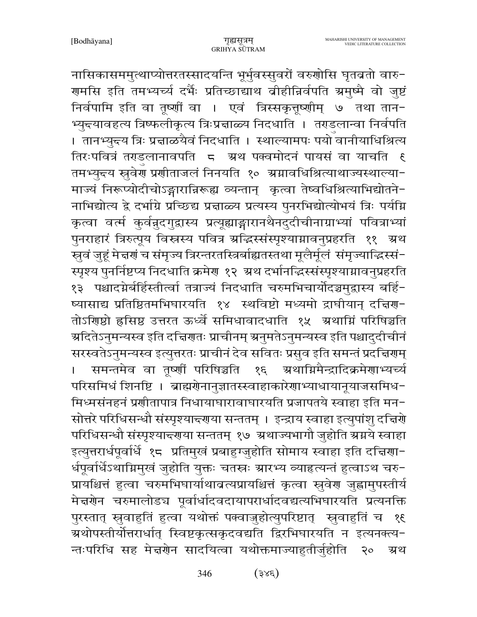नासिकासममुत्थाप्योत्तरतस्सादयन्ति भूर्भुवस्सुवरों वरुणोसि घृतव्रतो वारु-गमसि इति तमभ्यर्च्य दर्भैः प्रतिच्छाद्याथ व्रीहीन्निर्वपति ग्रमुष्मै वो जुष्टं निर्वपामि इति वा तूष्णीं वा । एवं त्रिस्सकृतूष्णीम् ७ तथा तान-भ्युन्त्यावहत्य त्रिष्फलीकृत्य त्रिःप्रद्माळ्य निदधाति । तराडलान्वा निर्वपति । तानभ्युन्त्य त्रिः प्रन्नाळयैवं निदधाति । स्थाल्यामपः पयो वानीयाधिश्रित्य तिरःपवित्रं तराडलानावपति 5 अथ पक्वमोदनं पायसं वा याचति तमभ्युन्त्य स्रुवेण प्रणीताजलं निनयति १० अग्नावधिश्रित्याथाज्यस्थाल्या− माज्यं निरूप्योदीचोऽङ्गारान्निरूह्य व्यन्तान् कृत्वा तेष्वधिश्रित्याभिद्योतने-नाभिद्योत्य द्वे दर्भाग्रे प्रच्छिद्य प्रत्ताळ्य प्रत्यस्य पुनरभिद्योत्योभयं त्रिः पर्यम्नि कृत्वा वर्त्म कुर्वन्नुदगुद्रास्य प्रत्यूह्याङ्गारानथैनदुदीचीनाग्राभ्यां पवित्राभ्यां पुनराहारं त्रिरुत्पूय विस्तस्य पवित्र अद्धिस्संस्पृश्यामावनुप्रहरति ११ अथ स्तुवं जुहूं मेद्मणं च संमृज्य त्रिरन्तरतस्त्रिर्बाह्यतस्तथा मूलैर्मूलं संमृज्याद्धिस्सं-स्पृश्य पुनर्निष्टप्य निदधाति क्रमेण १२ अथ दर्भानद्धिस्संस्पृश्याग्नावनुप्रहरति १३ पश्चादग्नेर्बर्हिस्तीर्त्वा तत्राज्यं निदधाति चरुमभिचार्योदञ्चमुद्रास्य बर्हि-ष्यासाद्य प्रतिष्ठितमभिघारयति १४ स्थविष्टो मध्यमो द्राघीयान् दत्तिण-तोऽरिणशे हृसिष्ठ उत्तरत ऊर्ध्वे समिधावादधाति १५ अथाग्निं परिषिञ्चति ञ्चदितेऽनुमन्यस्व इति दच्चिणतः प्राचीनम् ञ्चनुमतेऽनुमन्यस्व इति पश्चादुदीचीनं सरस्वतेऽनुमन्यस्व इत्युत्तरतः प्राचीनं देव सवितः प्रसुव इति समन्तं प्रदच्चिरणम् समन्तमेव वा तूष्णीं परिषिञ्चति १६ ग्रथाग्निमैन्द्रादिक्रमेणाभ्यर्च्य परिसमिधं शिनष्टि । ब्राह्मग्रेनानुज्ञातस्स्वाहाकारेणाभ्याधायानूयाजसमिध-मिध्मसंनहनं प्रशीतापात्र निधायाघारावाघारयति प्रजापतये स्वाहा इति मन-सोत्तरे परिधिसन्धौ संस्पृश्यान्त्याया सन्ततम् । इन्द्राय स्वाहा इत्युपांशु दत्तिर्ये परिधिसन्धौ संस्पृश्याद्त्याया सन्ततम् १७ अथाज्यभागौ जुहोति ग्रग्नये स्वाहा इत्युत्तरार्धपूर्वार्धे १८ प्रतिमुखं प्रबाहुग्जुहोति सोमाय स्वाहा इति दचिया-र्धपूर्वार्धेऽथाम्रिमुखं जुहोति युक्तः चतस्रः स्रारभ्य व्याहृत्यन्तं हुत्वाऽथ चरु-प्रायश्चित्तं हुत्वा चरुमभिघार्याथाव्रत्यप्रायश्चित्तं कृत्वा स्रुवेर जुह्वामुपस्तीर्य मेत्त्रणेन चरुमालोड्य पूर्वार्धादवदायापरार्धादवद्यत्यभिघारयति प्रत्यनक्ति पुरस्तात् स्रुवाहुतिं हुत्वा यथोक्तं पक्वाजुहोत्युपरिष्टात् स्वताहुतिं च १६ ग्रथोपस्तीर्योत्तरार्धात् स्विष्टकृत्सकृदवद्यति द्विरभिघारयति न इत्यनक्त्य− न्तःपरिधि सह मेज्ञग्रेन सादयित्वा यथोक्तमाज्याहुतीर्जुहोति  $20$ ग्रथ

> $(3x\xi)$ 346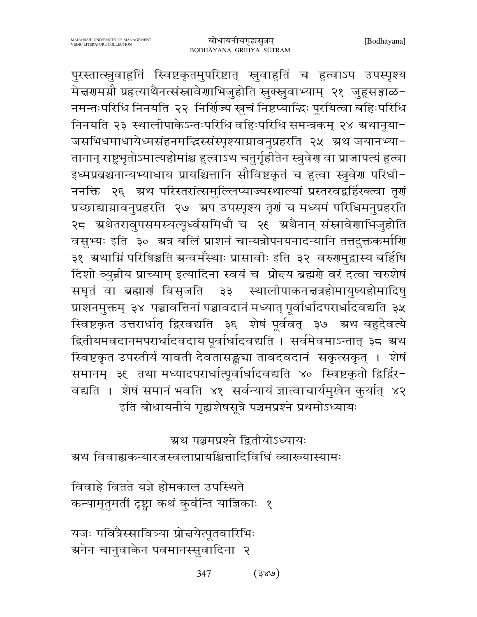पुरस्तात्स्नुवाहुतिं स्विष्टकृतमुपरिष्टात् स्नुवाहुतिं च हुत्वाऽप उपस्पृश्य मेद्मणमग्नौ प्रहत्याथैनत्संस्रावेणाभिजुहोति स्वक्सुवाभ्याम् २१ जुहूसङ्गाळ-नमन्तःपरिधि निनयति २२ निर्णिज्य स्नुचं निष्टप्याद्धिः पूरयित्वा बहिःपरिधि निनयति २३ स्थालीपाकेऽन्तःपरिधि वहिःपरिधि समन्त्रकम् २४ ग्रथानूया-जसभिधमाधायेध्मसंहनमद्भिस्संस्पृश्याग्नावनुप्रहरति २५ अथ जयानभ्या-तानान् राष्ट्रभृतोऽमात्यहोमांश्च हुत्वाऽथ चतुर्गृहीतेन स्त्रुवेरा वा प्राजापत्यं हुत्वा इध्मप्रबश्चनान्यभ्याधाय प्रायश्चित्तानि सौविष्टकृतं च हत्वा स्त्रुवेर परिधी-ननक्ति २६ अथ परिस्तरांत्समुल्लिप्याज्यस्थाल्यां प्रस्तरवद्वर्हिरक्त्वा तृणं प्रच्छाद्याम्रावनुप्रहरति २७ अप उपस्पृश्य तृगं च मध्यमं परिधिमनुप्रहरति २८ अथेतरावुपसमस्यत्यूर्ध्वसमिधौ च २९ अथैनान् संस्नावेणाभिजुहोति वसुभ्यः इति ३० अत्र बलिं प्राशनं चान्यत्रोपनयनादन्यानि तत्तदुक्तकर्माणि ३१ ग्रथाम्निं परिषिञ्चति ग्रन्वमर्ँस्थाः प्रासावीः इति ३२ वरुगमुद्वास्य बर्हिषि दिशो व्युन्नीय प्राच्याम् इत्यादिना स्वयं च प्रोन्दय ब्रह्मणे वरं दत्वा चरुशेषं सघृतं वा ब्रह्माणं विसृजति ३३ स्थालीपाकनत्तत्रहोमायुष्यहोमादिषु प्राशनमुक्तम् ३४ पञ्चावत्तिनां पञ्चावदानं मध्यात् पूर्वार्धादपरार्धादवद्यति ३५ स्विष्टकृत उत्तरार्धात् द्विरवद्यति ३६ शेषं पूर्ववत् ३७ ग्रथ बहुदेवत्ये द्वितीयमवदानमपरार्धादवदाय पूर्वार्धादवद्यति । सर्वमेवमाऽन्तात् ३८ ग्रथ स्विष्टकृत उपस्तीर्य यावती देवतासङ्ख्या तावदवदानं सकृत्सकृत् । शेषं समानम् ३६ तथा मध्यादपरार्धात्पूर्वार्धादवद्यति ४० स्विष्टकृतो द्विर्द्विर-वद्यति । शेषं समानं भवति ४१ सर्वन्यायं ज्ञात्वाचार्यमुखेन कुर्यात् ४२ इति बोधायनीये गृह्यशेषसूत्रे पञ्चमप्रश्ने प्रथमोऽध्यायः

ग्रथ पञ्चमप्रश्ने द्वितीयोऽध्यायः

ग्रथ विवाह्यकन्यारजस्वलाप्रायश्चित्तादिविधिं व्याख्यास्यामः

विवाहे वितते यज्ञे होमकाल उपस्थिते कन्यामृतुमतीं दृष्ट्वा कथं कुर्वन्ति याज्ञिकाः १

यजः पवित्रैस्सावित्र्या प्रोत्तयेत्पूतवारिभिः ग्रनेन चानुवाकेन पवमानस्सुवादिना २

> 347  $(986)$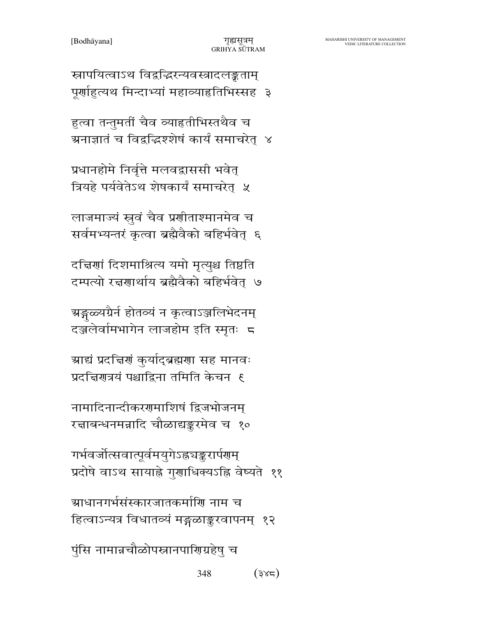स्रापयित्वाऽथ विद्वद्धिरन्यवस्त्रादलङ्कताम् पूर्णाहुत्यथ मिन्दाभ्यां महाव्याहृतिभिस्सह ३

हुत्वा तन्तुमतीं चैव व्याहृतीभिस्तथैव च ग्रनाज्ञातं च विद्वद्धिश्शेषं कार्यं समाचरेत् ४

प्रधानहोमे निर्वृत्ते मलवद्वाससी भवेत्

त्रियहे पर्यवेतेऽथ शेषकार्यं समाचरेत् ५

लाजमाज्यं स्नुवं चैव प्रशीताश्मानमेव च

सर्वमभ्यन्तरं कृत्वा ब्रह्मैवैको बहिर्भवेत् ६

दचिणां दिशमाश्रित्य यमो मृत्युश्च तिष्ठति

दम्पत्यो रत्नगार्थाय ब्रह्मैवैको बहिर्भवेत् ७

ग्रङ्गळ्यग्रैर्न होतव्यं न कृत्वाऽञ्जलिभेदनम्

दञ्जलेर्वामभागेन लाजहोम इति स्मृतः 5

ग्राद्यं प्रदत्तिरां कुर्याद्ब्रह्मराा सह मानवः

प्रदत्तिरात्रयं पश्चाद्विना तमिति केचन ह

नामादिनान्दीकरणमाशिषं द्विजभोजनम्

रत्नाबन्धनमन्नादि चौळाद्यङ्करमेव च १०

गर्भवर्जोत्सवात्पूर्वमयुगेऽह्रुचङ्करार्पणम्

ग्र्याधानगर्भसंस्कारजातकर्माणि नाम च

पुंसि नामान्नचौळोपस्नानपारिण्प्रहेषु च

प्रदोषे वाऽथ सायाह्ने गुणाधिक्यऽह्नि वेष्यते ११

हित्वाऽन्यत्र विधातव्यं मङ्गळाङ्करवापनम् १२

348

 $(3x^2)$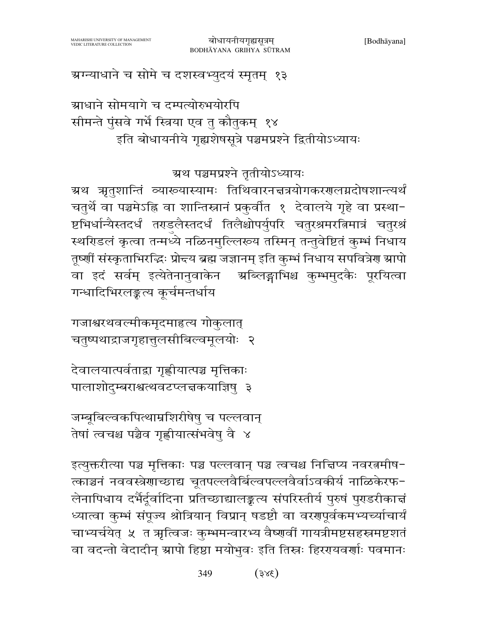$(3x\xi)$ 349

इत्युक्तरीत्या पञ्च मृत्तिकाः पञ्च पल्लवान् पञ्च त्वचश्च निद्मिप्य नवरत्नमीष-त्काञ्चनं नववस्त्रेणाच्छाद्य चूतपल्लवैर्बिल्वपल्लवैर्वाऽवकीर्य नाळिकेरफ-लेनापिधाय दर्भैर्दूर्वादिना प्रतिच्छाद्यालङ्कृत्य संपरिस्तीर्य पुरुषं पुरुडरीकात्तं ध्यात्वा कुम्भं संपूज्य श्रोत्रियान् विप्रान् षडष्टौ वा वरगपूर्वकमभ्यच्याचार्यं चाभ्यर्चयेत् ५ त ऋत्विजः कुम्भमन्वारभ्य वैष्णवीं गायत्रीमष्टसहस्रमष्टशतं वा वदन्तो वेदादीन् स्रापो हिष्ठा मयोभुवः इति तिस्नः हिररयवर्णाः पवमानः

जम्बूबिल्वकपित्थाम्रशिरीषेषु च पल्लवान् तेषां त्वचश्च पञ्चैव गृह्णीयात्संभवेषु वै ४

देवालयात्पर्वताद्रा गृह्णीयात्पञ्च मृत्तिकाः पालाशोदुम्बराश्वत्थवटप्लन्नकयाज्ञिषु ३

गजाश्वरथवल्मीकमृदमाहृत्य गोकुलात् चतुष्पथाद्राजगृहात्तुलसीबिल्वमूलयोः २

ग्रथ पञ्चमप्रश्ने तृतीयोऽध्यायः ग्रथ त्रृतुशान्तिं व्याख्यास्यामः तिथिवारनचत्रयोगकरणलग्नदोषशान्त्यर्थं चतुर्थे वा पञ्चमेऽह्नि वा शान्तिस्नानं प्रकुर्वात १ देवालये गृहे वा प्रस्था-ष्टभिर्धान्यैस्तदर्धं तराडलैस्तदर्धं तिलैश्चोपर्युपरि चतुरश्रमरत्निमात्रं चतुरश्रं स्थरिडलं कृत्वा तन्मध्ये नळिनमुल्लिरूय तस्मिन् तन्तुवेष्टितं कुम्भं निधाय तूर्ष्णीं संस्कृताभिरद्धिः प्रोद्तय ब्रह्म जज्ञानम् इति कुम्भं निधाय सपवित्रेण स्रापो वा इदं सर्वम् इत्येतेनानुवाकेन ग्र्यब्लिङ्गाभिश्च कुम्भमुदकैः पूरयित्वा गन्धादिभिरलङ्कत्य कूर्चमन्तर्धाय

ग्राधाने सोमयागे च दम्पत्योरुभयोरपि सीमन्ते पुंसवे गर्भे स्त्रिया एव तु कौतुकम् १४ इति बोधायनीये गृह्यशेषसूत्रे पञ्चमप्रश्ने द्वितीयोऽध्यायः

ग्रग्न्याधाने च सोमे च दशस्वभ्युदयं स्मृतम् १३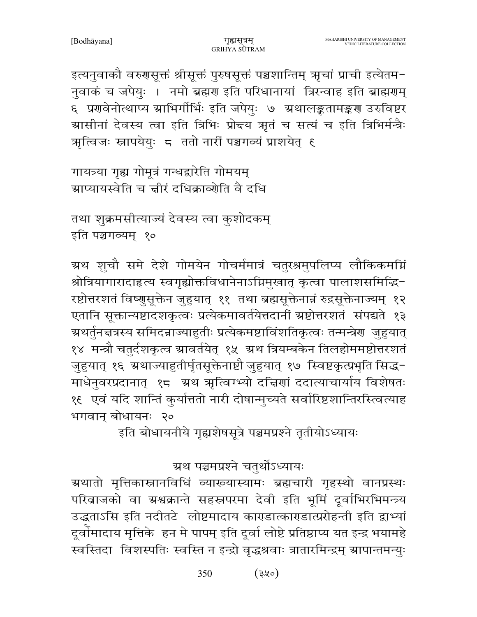इत्यनुवाकौ वरुगसूक्तं श्रीसूक्तं पुरुषसूक्तं पञ्चशान्तिम् ऋृचां प्राची इत्येतम-नुवाकं च जपेयुः । नमो ब्रह्मण इति परिधानायां त्रिस्वाह इति ब्राह्मणम् ६ प्रणवेनोत्थाप्य ग्राभिर्गीर्भिः इति जपेयुः ७ ग्रथालङ्कतामङ्करण उरुविष्टर ग्रासीनां देवस्य त्वा इति त्रिभिः प्रोन्दय त्रृतं च सत्यं च इति त्रिभिर्मन्त्रैः त्रात्विजः स्नापयेयुः ८ ततो नारीं पञ्चगव्यं प्राशयेत् ६

गायत्र्या गृह्य गोमूत्रं गन्धद्वारेति गोमयम् ग्राप्यायस्वेति च ज्ञीरं दधिक्राव्योति वै दधि

तथा शुक्रमसीत्याज्यं देवस्य त्वा कुशोदकम् इति पञ्चगव्यम् १०

ग्रथ शुचौ समे देशे गोमयेन गोचर्ममात्रं चतुरश्रमुपलिप्य लौकिकमग्निं श्रोत्रियागारादाहृत्य स्वगृह्योक्तविधानेनाऽग्निमुखात् कृत्वा पालाशसमिद्धि-रष्टोत्तरशतं विष्णुसूक्तेन जुहुयात् ११ तथा ब्रह्मसूक्तेनान्नं रुद्रसूक्तेनाज्यम् १२ एतानि सूक्तान्यष्टादशकृत्वः प्रत्येकमावर्तयेत्तदानीं श्रष्टोत्तरशतं संपद्यते १३ ग्र्थर्तुनद्मत्रस्य समिदन्नाज्याहुतीः प्रत्येकमष्टाविंशतिकृत्वः तन्मन्त्रेण जुहुयात् १४ मन्त्रौ चतुर्दशकृत्व स्रावर्तयेत् १५ स्रथ त्रियम्बकेन तिलहोममष्टोत्तरशतं जुहुयात् १६ ग्रथाज्याहुतीर्घृतसूक्तेनाष्टौ जुहुयात् १७ स्विष्टकृत्प्रभृति सिद्ध-माधेनुवरप्रदानात् १८ अथ अन्विग्भ्यो दत्तिणां ददात्याचार्याय विशेषतः १६) एवं यदि शान्तिं कुर्यात्ततो नारी दोषान्मुच्यते सर्वारिष्टशान्तिरस्त्वित्याह भगवान् बोधायनः २०

इति बोधायनीये गृह्यशेषसूत्रे पञ्चमप्रश्ने तृतीयोऽध्यायः

ग्रथ पञ्चमप्रश्ने चतुर्थोऽध्यायः

ग्रथातो मृत्तिकास्नानविधिं व्याख्यास्यामः ब्रह्मचारी गृहस्थो वानप्रस्थः परिवाजको वा ग्रश्वक्रान्ते सहस्रपरमा देवी इति भूमिं दूर्वाभिरभिमन्त्र्य उद्धताऽसि इति नदीतटे लोष्टमादाय काराडात्काराडात्प्ररोहन्ती इति द्वाभ्यां दूर्वोमादाय मृत्तिके हन मे पापम् इति दूर्वा लोष्टे प्रतिष्ठाप्य यत इन्द्र भयामहे स्वस्तिदा विशस्पतिः स्वस्ति न इन्द्रो वृद्धश्रवाः त्रातारमिन्द्रम् ग्रापान्तमन्युः

> $(3x^{\circ})$ 350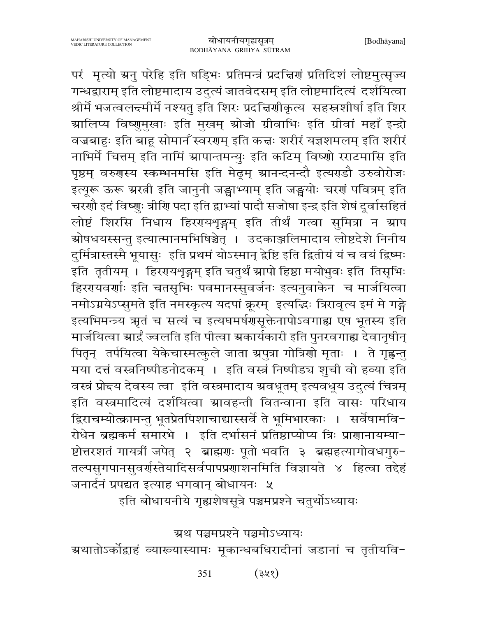परं मृत्यो ग्रनु परेहि इति षड्भिः प्रतिमन्त्रं प्रदच्चिणं प्रतिदिशं लोष्टमुत्सृज्य गन्धद्वाराम् इति लोष्टमादाय उदुत्यं जातवेदसम् इति लोष्टमादित्यं दर्शयित्वा श्रीर्में भजत्वलन्दमीर्मे नश्यतु इति शिरः प्रदच्चिणीकृत्य सहस्रशीर्षा इति शिर ग्रालिप्य विष्णुमुखाः इति मुखम् स्रोजो ग्रीवाभिः इति ग्रीवां महाँ इन्द्रो वज्रबाहः इति बाहू सोमानँ स्वरगम् इति कद्मः शरीरं यज्ञशमलम् इति शरीरं नाभिर्मे चित्तम् इति नामिं ग्रापान्तमन्युः इति कटिम् विष्णो रराटमासि इति पृष्ठम् वरुगस्य स्कम्भनमसि इति मेढ्रम् ग्रानन्दनन्दौ इत्यराडौ उरुवोरोजः इत्यूरू ऊरू ग्ररत्नी इति जानुनी जङ्घाभ्याम् इति जङ्घयोः चरणं पवित्रम् इति चरणौ इदं विष्णुः त्रीणि पदा इति द्वाभ्यां पादौ सजोषा इन्द्र इति शेषं दूर्वासहितं लोष्टं शिरसि निधाय हिररयथृङ्गम् इति तीर्थं गत्वा सुमित्रा न स्राप <u>ग्रोषधयस्सन्तु</u> इत्यात्मानमभिषिञ्चेत् । उदकाञ्जलिमादाय लोष्टदेशे निनीय दुर्मित्रास्तस्मै भूयासुः इति प्रथमं योऽस्मान् द्वेष्टि इति द्वितीयं यं च वयं द्विष्मः इति तृतीयम् । हिररायशृङ्गम् इति चतुर्थं ग्रापो हिष्ठा मयोभुवः इति तिसृभिः हिररयवर्णाः इति चतसृभिः पवमानस्सुवर्जनः इत्यनुवाकेन च मार्जयित्वा नमोऽग्नयेऽप्सुमते इति नमस्कृत्य यदपां क्रूरम् इत्यद्धिः त्रिरावृत्य इमं मे गङ्गे इत्यभिमन्त्र्य ऋतं च सत्यं च इत्यघमर्षणसूक्तेनापोऽवगाह्य एष भूतस्य इति मार्जयित्वा स्रार्द्रं ज्वलति इति पीत्वा स्रकार्यकारी इति पुनरवगाह्य देवानृषीन् पितृन् तर्पयित्वा येकेचास्मत्कुले जाता ग्रपुत्रा गोत्रिणो मृताः । ते गृह्णन्तु मया दत्तं वस्त्रनिष्पीडनोदकम् । इति वस्त्रं निष्पीडच शुची वो हव्या इति वस्त्रं प्रोन्दय देवस्य त्वा) इति वस्त्रमादाय ग्रवधूतम् इत्यवधूय उदुत्यं चित्रम् इति वस्त्रमादित्यं दर्शयित्वा स्रावहन्ती वितन्वाना इति वासः परिधाय द्विराचम्योत्क्रामन्तु भूतप्रेतपिशाचाद्यास्सर्वे ते भूमिभारकाः । सर्वेषामवि− रोधेन ब्रह्मकर्म समारभे । इति दर्भासनं प्रतिष्ठाप्योप्य त्रिः प्राणानायम्या-ष्टोत्तरशतं गायत्रीं जपेत् २ ब्राह्मणः पूतो भवति ३ ब्रह्महत्यागोवधगुरु-तल्पसुगपानसुवर्णस्तेयादिसर्वपापप्रणाशनमिति विज्ञायते ४ हित्वा तद्देहं जनार्दनं प्रपद्यत इत्याह भगवान् बोधायनः ५

इति बोधायनीये गृह्यशेषसूत्रे पञ्चमप्रश्ने चतुर्थोऽध्यायः

ग्रथ पञ्चमप्रश्ने पञ्चमोऽध्यायः

ग्रथातोऽर्कोद्वाहं व्यारूयास्यामः मूकान्धबधिरादीनां जडानां च तृतीयवि-

 $(375)$ 351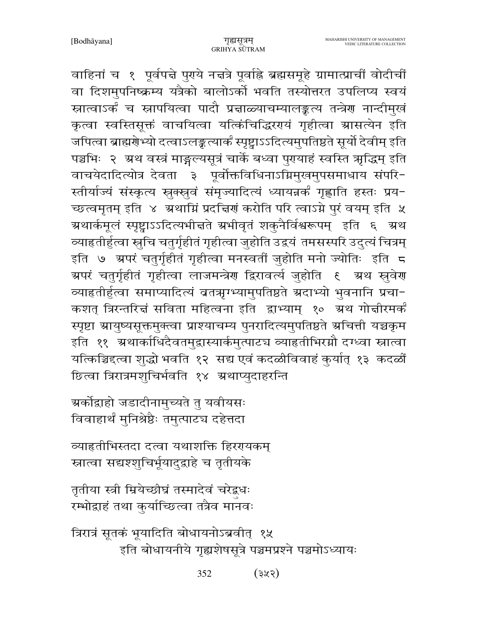वाहिनां च १ पूर्वपद्मे पुराये नद्मत्रे पूर्वाह्ने ब्रह्मसमूहे ग्रामात्प्राचीं वोदीचीं वा दिशमुपनिष्क्रम्य यत्रैको बालोऽर्को भवति तस्योत्तरत उपलिप्य स्वयं स्नात्वाऽर्कं च स्नापयित्वा पादौ प्रज्ञाळ्याचम्यालङ्कत्य तन्त्रेण नान्दीमुखं कृत्वा स्वस्तिसूक्तं वाचयित्वा यत्किंचिद्धिरण्यं गृहीत्वा स्रासत्येन इति जपित्वा ब्राह्मग्रेभ्यो दत्वाऽलङ्कत्यार्कं स्पृष्ट्वाऽऽदित्यमुपतिष्ठते सूर्यो देवीम् इति पञ्चभिः २ अथ वस्त्रं माङ्गल्यसूत्रं चार्के बध्वा पुरायाहं स्वस्ति ऋद्धिम् इति वाचयेदादित्योत्र देवता ३ पूर्वोक्तविधिनाऽग्निमुखमुपसमाधाय संपरि-स्तीर्याज्यं संस्कृत्य स्नुक्स्नुवं संमृज्यादित्यं ध्यायन्नर्कं गृह्णाति हस्तः प्रय-च्छत्वमृतम् इति ४ अथाग्निं प्रदत्तिणं करोति परि त्वाऽग्ने पुरं वयम् इति ५ ग्रथार्कमूलं स्पृष्ट्वाऽऽदित्यभीचते ग्रभीवृतं शकुनैर्विश्वरूपम् इति ६ ग्रथ व्याहृतीर्हुत्वा स्नुचि चतुर्गृहीतं गृहीत्वा जुहोति उद्वयं तमसस्परि उद्त्यं चित्रम् इति ७ ग्रपरं चतुर्गृहीतं गृहीत्वा मनस्वतीं जुहोति मनो ज्योतिः इति ८ ग्रपरं चतुर्गृहीतं गृहीत्वा लाजमन्त्रेण द्विरावर्त्य जुहोति १ अथ स्रुवेण व्याहृतीर्हुत्वा समाप्यादित्यं ब्रतऋग्भ्यामुपतिष्ठते ग्रदाभ्यो भुवनानि प्रचा-कशत् त्रिस्तरित्तं सविता महित्वना इति द्वाभ्याम् १० ग्रथ गोत्तीरमर्कं स्पृष्टा ग्रायुष्यसूक्तमुक्त्वा प्राश्याचम्य पुनरादित्यमुपतिष्ठते ग्रचित्ती यच्चकृम इति ११ अथार्काधिदैवतमुद्दास्यार्कमुत्पाटच व्याहृतीभिरग्नौ दग्ध्वा स्नात्वा यत्किञ्चिद्दत्वा शुद्धो भवति १२ सद्य एवं कदळीविवाहं कुर्यात् १३ कदळीं छित्वा त्रिरात्रमशुचिर्भवति १४ ग्रथाप्युदाहरन्ति

ग्रर्कोद्वाहो जडादीनामुच्यते तु यवीयसः विवाहार्थं मुनिश्रेष्ठैः तमुत्पाटच दहेत्तदा

व्याहृतीभिस्तदा दत्वा यथाशक्ति हिररयकम् स्नात्वा सद्यश्शुचिर्भूयादुद्वाहे च तृतीयके

तृतीया स्त्री म्रियेच्छीघ्रं तस्मादेवं चरेद्वधः रम्भोद्वाहं तथा कुर्याच्छित्वा तत्रैव मानवः

त्रिरात्रं सूतकं भूयादिति बोधायनोऽब्रवीत् १५ इति बोधायनीये गृह्यशेषसूत्रे पञ्चमप्रश्ने पञ्चमोऽध्यायः

> 352 (३५२)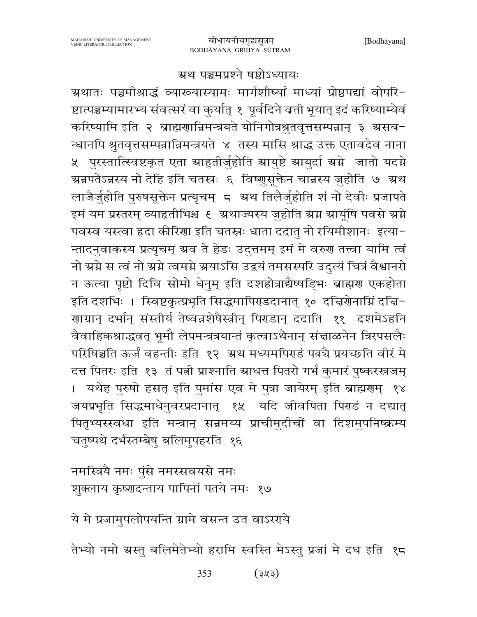## ग्रथ पञ्चमप्रश्ने षष्ठोऽध्यायः

ग्रथातः पञ्चमीश्राद्धं व्याख्यास्यामः मार्गशीष्यां माध्यां प्रोष्ठपद्यां वोपरि-ष्टात्पञ्चम्यामारभ्य संवत्सरं वा कुर्यात् १ पूर्वदिने बती भूयात् इदं करिष्याम्येवं करिष्यामि इति २ ब्राह्मणान्निमन्त्रयते योनिगोत्रश्रुतवृत्तसम्पन्नान् ३ ग्रसब-न्धानपि श्रुतवृत्तसम्पन्नान्निमन्त्रयते ४ तस्य मासि श्राद्ध उक्त एतावदेव नाना ५ पुरस्तात्स्विष्टकृत एता स्राहुतीर्जुहोति स्रायुष्टे स्रायुर्दा स्रग्ने जातो यदग्ने ग्रन्नपतेऽन्नस्य नो देहि इति चतस्त्रः ६ विष्णुसूक्तेन चान्नस्य जुहोति ७ ग्रथ लाजैर्जुहोति पुरुषसूक्तेन प्रत्यृचम् ८ अथ तिलैर्जुहोति शं नो देवीः प्रजापते इमं यम प्रस्तरम् व्याहृतीभिश्च ६ अथाज्यस्य जुहोति ग्रग्न ग्रायूंषि पवसे ग्रग्ने पवस्व यस्त्वा हृदा कीरिणा इति चतस्त्रः धाता ददातु नो रयिमीशानः इत्या-न्तादनुवाकस्य प्रत्यृचम् ग्रव ते हेडः उदुत्तमम् इमं मे वरुग तत्त्वा यामि त्वं नो ग्रग्ने स त्वं नो ग्रग्ने त्वमग्ने ग्रयाऽसि उद्वयं तमसस्परि उदुत्यं चित्रं वैश्वानरो न ऊत्या पृष्टो दिवि सोमो धेनुम् इति दशहोत्राद्यैष्षड़िभः ब्राह्मण एकहोता इति दशभिः । स्विष्टकृत्प्रभृति सिद्धमापिराडदानात् १० दत्तिरोनाम्निं दत्ति-गाग्रान् दर्भान् संस्तीर्य तेष्वन्नशेषैस्त्रीन् पिराडान् ददाति ११ दशमेऽहनि वैवाहिकश्राद्धवत् भूमौ लेपमन्त्रत्रयान्तं कृत्वाऽथैनान् संज्ञाळनेन त्रिरपसलैः परिषिञ्चति ऊर्जं वहन्तीः इति १२ अथ मध्यमपिराडं पत्नचै प्रयच्छति वीरं मे दत्त पितरः इति १३ तं पत्नी प्राश्नाति स्राधत्त पितरो गर्भं कुमारं पुष्करस्त्रजम् । यथेह पुरुषो हसत् इति पुमांस एव मे पुत्रा जायेरम् इति ब्राह्मणम् १४ जयप्रभृति सिद्धमाधेनुवरप्रदानात् १५ यदि जीवपिता पिराडं न दद्यात् पितृभ्यस्स्वधा इति मन्त्रान् सन्नमय्य प्राचीमुदीचीं वा दिशमुपनिष्क्रम्य चतुष्पथे दर्भस्तम्बेषु बलिमुपहरति १६

नमस्त्रियै नमः पुंसे नमस्सवयसे नमः शुक्लाय कृष्णदन्ताय पापिनां पतये नमः १७

ये मे प्रजामुपलोपयन्ति ग्रामे वसन्त उत वाऽररये

तेभ्यो नमो ग्रस्तु बलिमेतेभ्यो हरामि स्वस्ति मेऽस्तु प्रजां मे दध इति १८

353  $(373)$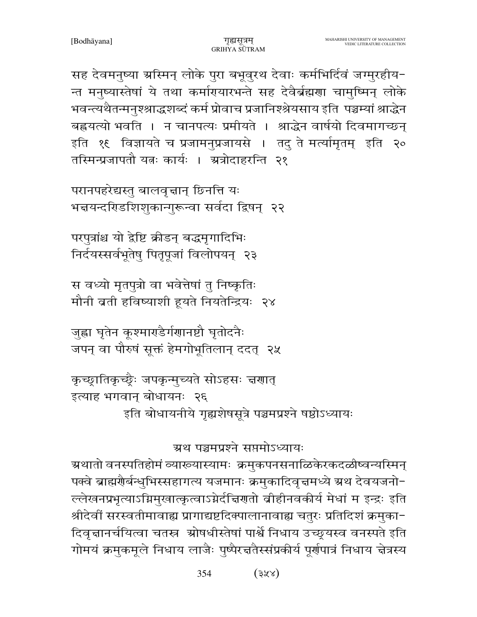354  $(372)$ 

ग्रथ पञ्चमप्रश्ने सप्तमोऽध्यायः ग्रथातो वनस्पतिहोमं व्याख्यास्यामः क्रमुकपनसनाळिकेरकदळीष्वन्यस्मिन् पक्वे ब्राह्मगैर्बन्धुभिस्सहागत्य यजमानः क्रमुकादिवृत्तमध्ये स्रथ देवयजनो-ल्लेखनप्रभृत्याऽग्निमुखात्कृत्वाऽग्नेर्दचिणतो वीहीनवकीर्य मेधां म इन्द्रः इति श्रीदेवीं सरस्वतीमावाह्य प्रागाद्यष्टदिक्पालानावाह्य चतुरः प्रतिदिशं क्रमुका-दिवृत्तानर्चयित्वा चतस्र श्रोषधीस्तेषां पार्श्वे निधाय उच्छूयस्व वनस्पते इति गोमयं क्रमुकमूले निधाय लाजैः पुष्पैरच्ततैस्संप्रकीर्य पूर्णपात्रं निधाय चेत्रस्य

इत्याह भगवान् बोधायनः २६ इति बोधायनीये गृह्यशेषसूत्रे पञ्चमप्रश्ने षष्ठोऽध्यायः

जुह्वा घृतेन कूश्माराडैर्गणानष्टौ घृतोदनैः जपन् वा पौरुषं सूक्तं हेमगोभूतिलान् ददत् २५

कृच्छ्रातिकृच्छ्रैः जपकृन्मुच्यते सोऽहसः चरणात्

स वध्यो मृतपुत्रो वा भवेत्तेषां तु निष्कृतिः मौनी बती हविष्याशी हूयते नियतेन्द्रियः २४

परपुत्रांश्च यो द्रेष्टि क्रीडन् बद्धमृगादिभिः निर्दयस्सर्वभूतेषु पितृपूजां विलोपयन् २३

परानपहरेद्यस्तु बालवृत्तान् छिनत्ति यः भन्नयन्दरिडशिशुकान्गुरून्वा सर्वदा द्विषन् २२

सह देवमनुष्या ग्रस्मिन् लोके पुरा बभूवुरथ देवाः कर्मभिर्दिवं जग्मुरहीय-न्त मनुष्यास्तेषां ये तथा कर्मारायारभन्ते सह देवैर्ब्रह्मणा चामुष्मिन् लोके भवन्त्यथैतन्मनुश्श्राद्धशब्दं कर्म प्रोवाच प्रजानिश्श्रेयसाय इति पञ्चम्यां श्राद्धेन बह्रयत्यो भवति । न चानपत्यः प्रमीयते । श्राद्धेन वार्षयो दिवमागच्छन् इति १६ विज्ञायते च प्रजामनुप्रजायसे । तदु ते मर्त्यामृतम् इति २० तस्मिन्प्रजापतौ यत्नः कार्यः । अत्रोदाहरन्ति २१